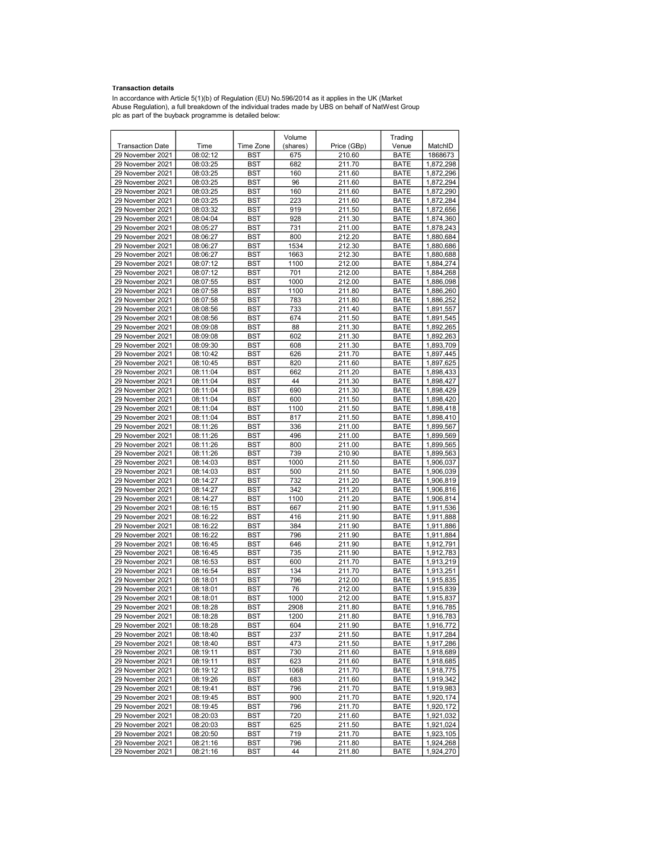## Transaction details

In accordance with Article 5(1)(b) of Regulation (EU) No.596/2014 as it applies in the UK (Market<br>Abuse Regulation), a full breakdown of the individual trades made by UBS on behalf of NatWest Group<br>plc as part of the buyba

|                                      |                      |                          | Volume     |                  | Trading                    |                        |
|--------------------------------------|----------------------|--------------------------|------------|------------------|----------------------------|------------------------|
| <b>Transaction Date</b>              | Time                 | Time Zone                | (shares)   | Price (GBp)      | Venue                      | MatchID                |
| 29 November 2021                     | 08:02:12             | <b>BST</b>               | 675        | 210.60           | <b>BATE</b>                | 1868673                |
| 29 November 2021                     | 08:03:25             | <b>BST</b>               | 682        | 211.70           | <b>BATE</b>                | 1,872,298              |
| 29 November 2021                     | 08:03:25             | <b>BST</b>               | 160        | 211.60           | <b>BATE</b>                | 1,872,296              |
| 29 November 2021                     | 08:03:25             | <b>BST</b>               | 96         | 211.60           | <b>BATE</b>                | 1,872,294              |
| 29 November 2021                     | 08:03:25             | <b>BST</b>               | 160        | 211.60           | <b>BATE</b>                | 1,872,290              |
| 29 November 2021                     | 08:03:25             | <b>BST</b>               | 223        | 211.60           | <b>BATE</b>                | 1,872,284              |
| 29 November 2021                     | 08:03:32             | <b>BST</b>               | 919        | 211.50           | <b>BATE</b>                | 1,872,656              |
| 29 November 2021                     | 08:04:04             | <b>BST</b>               | 928        | 211.30           | <b>BATE</b>                | 1,874,360              |
| 29 November 2021                     | 08:05:27             | <b>BST</b>               | 731        | 211.00           | <b>BATE</b>                | 1,878,243              |
| 29 November 2021                     | 08:06:27             | <b>BST</b>               | 800        | 212.20           | <b>BATE</b>                | 1,880,684              |
| 29 November 2021                     | 08:06:27             | <b>BST</b>               | 1534       | 212.30           | <b>BATE</b>                | 1,880,686              |
| 29 November 2021                     | 08:06:27             | <b>BST</b>               | 1663       | 212.30           | <b>BATE</b>                | 1,880,688              |
| 29 November 2021                     | 08:07:12             | <b>BST</b>               | 1100       | 212.00           | <b>BATE</b>                | 1,884,274              |
| 29 November 2021                     | 08:07:12             | <b>BST</b>               | 701        | 212.00           | <b>BATE</b>                | 1.884.268              |
| 29 November 2021                     | 08:07:55             | <b>BST</b>               | 1000       | 212.00           | <b>BATE</b>                | 1,886,098              |
| 29 November 2021                     | 08:07:58             | <b>BST</b>               | 1100       | 211.80           | <b>BATE</b>                | 1,886,260              |
| 29 November 2021                     | 08:07:58             | <b>BST</b>               | 783        | 211.80           | <b>BATE</b>                | 1,886,252              |
| 29 November 2021                     | 08:08:56             | <b>BST</b>               | 733        | 211.40           | <b>BATE</b>                | 1,891,557              |
| 29 November 2021                     | 08:08:56             | <b>BST</b>               | 674        | 211.50           | <b>BATE</b>                | 1,891,545              |
| 29 November 2021                     | 08:09:08             | <b>BST</b>               | 88         | 211.30           | <b>BATE</b>                | 1,892,265              |
| 29 November 2021                     | 08:09:08             | <b>BST</b>               | 602        | 211.30           | <b>BATE</b>                | 1,892,263              |
| 29 November 2021                     | 08:09:30             | <b>BST</b>               | 608        | 211.30           | <b>BATE</b>                | 1,893,709              |
| 29 November 2021                     | 08:10:42             | <b>BST</b>               | 626        | 211.70           | <b>BATE</b>                | 1,897,445              |
| 29 November 2021                     | 08:10:45             | <b>BST</b>               | 820        | 211.60           | <b>BATE</b>                | 1.897.625              |
| 29 November 2021                     | 08:11:04             | <b>BST</b>               | 662<br>44  | 211.20           | <b>BATE</b>                | 1,898,433              |
| 29 November 2021                     | 08:11:04             | <b>BST</b>               |            | 211.30<br>211.30 | <b>BATE</b>                | 1,898,427              |
| 29 November 2021<br>29 November 2021 | 08:11:04<br>08:11:04 | <b>BST</b><br><b>BST</b> | 690<br>600 | 211.50           | <b>BATE</b><br><b>BATE</b> | 1,898,429              |
| 29 November 2021                     | 08:11:04             | <b>BST</b>               | 1100       | 211.50           | <b>BATE</b>                | 1,898,420<br>1,898,418 |
| 29 November 2021                     | 08:11:04             | <b>BST</b>               | 817        | 211.50           | <b>BATE</b>                | 1,898,410              |
| 29 November 2021                     | 08:11:26             | <b>BST</b>               | 336        | 211.00           | <b>BATE</b>                | 1,899,567              |
| 29 November 2021                     | 08:11:26             | <b>BST</b>               | 496        | 211.00           | <b>BATE</b>                | 1,899,569              |
| 29 November 2021                     | 08:11:26             | <b>BST</b>               | 800        | 211.00           | <b>BATE</b>                | 1,899,565              |
| 29 November 2021                     | 08:11:26             | <b>BST</b>               | 739        | 210.90           | <b>BATE</b>                | 1,899,563              |
| 29 November 2021                     | 08:14:03             | <b>BST</b>               | 1000       | 211.50           | <b>BATE</b>                | 1,906,037              |
| 29 November 2021                     | 08:14:03             | <b>BST</b>               | 500        | 211.50           | <b>BATE</b>                | 1,906,039              |
| 29 November 2021                     | 08:14:27             | <b>BST</b>               | 732        | 211.20           | <b>BATE</b>                | 1,906,819              |
| 29 November 2021                     | 08:14:27             | <b>BST</b>               | 342        | 211.20           | <b>BATE</b>                | 1,906,816              |
| 29 November 2021                     | 08:14:27             | <b>BST</b>               | 1100       | 211.20           | <b>BATE</b>                | 1,906,814              |
| 29 November 2021                     | 08:16:15             | <b>BST</b>               | 667        | 211.90           | <b>BATE</b>                | 1,911,536              |
| 29 November 2021                     | 08:16:22             | <b>BST</b>               | 416        | 211.90           | <b>BATE</b>                | 1,911,888              |
| 29 November 2021                     | 08:16:22             | <b>BST</b>               | 384        | 211.90           | <b>BATE</b>                | 1,911,886              |
| 29 November 2021                     | 08:16:22             | <b>BST</b>               | 796        | 211.90           | <b>BATE</b>                | 1,911,884              |
| 29 November 2021                     | 08:16:45             | <b>BST</b>               | 646        | 211.90           | <b>BATE</b>                | 1,912,791              |
| 29 November 2021                     | 08:16:45             | <b>BST</b>               | 735        | 211.90           | <b>BATE</b>                | 1,912,783              |
| 29 November 2021                     | 08:16:53             | <b>BST</b>               | 600        | 211.70           | <b>BATE</b>                | 1,913,219              |
| 29 November 2021                     | 08:16:54             | <b>BST</b>               | 134        | 211.70           | <b>BATE</b>                | 1,913,251              |
| 29 November 2021                     | 08:18:01             | <b>BST</b>               | 796        | 212.00           | <b>BATE</b>                | 1,915,835              |
| 29 November 2021                     | 08:18:01             | BST                      | 76         | 212.00           | <b>BATE</b>                | 1,915,839              |
| 29 November 2021                     | 08:18:01             | <b>BST</b>               | 1000       | 212.00           | <b>BATE</b>                | 1,915,837              |
| 29 November 2021                     | 08:18:28             | <b>BST</b>               | 2908       | 211.80           | <b>BATE</b>                | 1,916,785              |
| 29 November 2021                     | 08:18:28             | BST                      | 1200       | 211.80           | BATE                       | 1,916,783              |
| 29 November 2021                     | 08:18:28             | <b>BST</b>               | 604        | 211.90           | BATE                       | 1,916,772              |
| 29 November 2021                     | 08:18:40             | <b>BST</b>               | 237        | 211.50           | <b>BATE</b>                | 1,917,284              |
| 29 November 2021                     | 08:18:40             | <b>BST</b>               | 473        | 211.50           | <b>BATE</b>                | 1,917,286              |
| 29 November 2021                     | 08:19:11             | <b>BST</b>               | 730        | 211.60           | <b>BATE</b>                | 1,918,689              |
| 29 November 2021                     | 08:19:11             | BST                      | 623        | 211.60           | <b>BATE</b>                | 1,918,685              |
| 29 November 2021                     | 08:19:12             | <b>BST</b>               | 1068       | 211.70           | <b>BATE</b>                | 1,918,775              |
| 29 November 2021                     | 08:19:26             | <b>BST</b>               | 683        | 211.60           | <b>BATE</b>                | 1,919,342              |
| 29 November 2021                     | 08:19:41             | <b>BST</b>               | 796        | 211.70           | <b>BATE</b>                | 1,919,983              |
| 29 November 2021                     | 08:19:45             | <b>BST</b>               | 900        | 211.70           | <b>BATE</b>                | 1,920,174              |
| 29 November 2021                     | 08:19:45             | BST                      | 796        | 211.70           | <b>BATE</b>                | 1,920,172              |
| 29 November 2021                     | 08:20:03             | <b>BST</b>               | 720        | 211.60           | <b>BATE</b>                | 1,921,032              |
| 29 November 2021                     | 08:20:03             | <b>BST</b>               | 625        | 211.50           | <b>BATE</b>                | 1,921,024              |
| 29 November 2021                     | 08:20:50             | BST                      | 719        | 211.70           | <b>BATE</b>                | 1,923,105              |
| 29 November 2021                     | 08:21:16             | <b>BST</b>               | 796        | 211.80           | <b>BATE</b>                | 1,924,268              |
| 29 November 2021                     | 08:21:16             | BST                      | 44         | 211.80           | <b>BATE</b>                | 1,924,270              |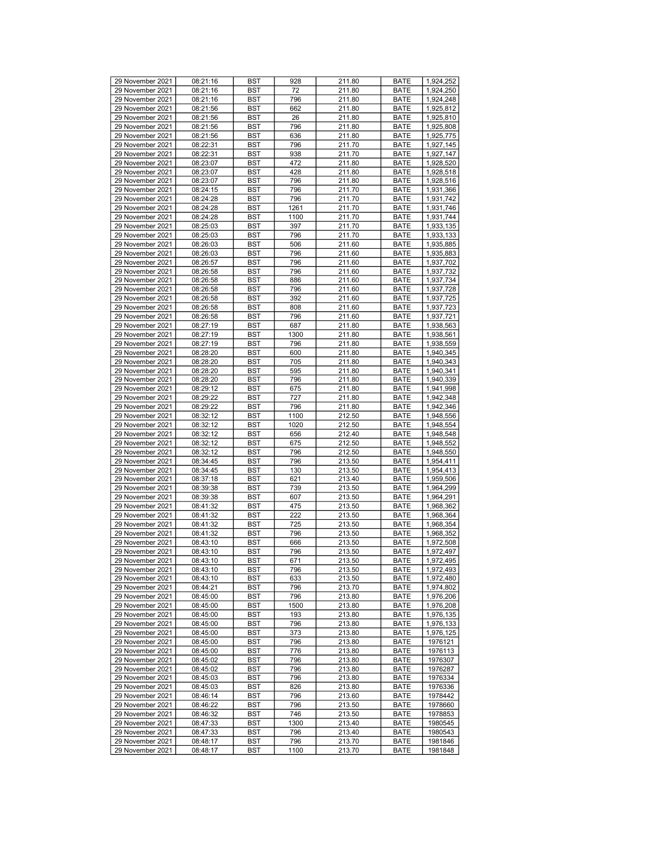| 29 November 2021 | 08:21:16 | BST        | 928  | 211.80 | <b>BATE</b> | 1,924,252 |
|------------------|----------|------------|------|--------|-------------|-----------|
| 29 November 2021 | 08:21:16 | BST        | 72   | 211.80 | <b>BATE</b> | 1,924,250 |
| 29 November 2021 | 08:21:16 | BST        | 796  | 211.80 | <b>BATE</b> | 1,924,248 |
| 29 November 2021 | 08:21:56 | <b>BST</b> | 662  | 211.80 | <b>BATE</b> | 1,925,812 |
|                  |          |            |      |        |             |           |
| 29 November 2021 | 08:21:56 | <b>BST</b> | 26   | 211.80 | <b>BATE</b> | 1,925,810 |
| 29 November 2021 | 08:21:56 | BST        | 796  | 211.80 | <b>BATE</b> | 1,925,808 |
| 29 November 2021 | 08:21:56 | BST        | 636  | 211.80 | <b>BATE</b> | 1,925,775 |
| 29 November 2021 | 08:22:31 | BST        | 796  | 211.70 | <b>BATE</b> | 1,927,145 |
| 29 November 2021 | 08:22:31 | <b>BST</b> | 938  | 211.70 | <b>BATE</b> | 1,927,147 |
| 29 November 2021 | 08:23:07 | <b>BST</b> | 472  | 211.80 | <b>BATE</b> | 1,928,520 |
| 29 November 2021 | 08:23:07 | BST        | 428  | 211.80 | <b>BATE</b> | 1,928,518 |
| 29 November 2021 | 08:23:07 | <b>BST</b> | 796  | 211.80 | <b>BATE</b> | 1,928,516 |
| 29 November 2021 | 08:24:15 | BST        | 796  | 211.70 | <b>BATE</b> | 1,931,366 |
|                  |          |            |      |        |             |           |
| 29 November 2021 | 08:24:28 | <b>BST</b> | 796  | 211.70 | <b>BATE</b> | 1,931,742 |
| 29 November 2021 | 08:24:28 | <b>BST</b> | 1261 | 211.70 | <b>BATE</b> | 1.931.746 |
| 29 November 2021 | 08:24:28 | BST        | 1100 | 211.70 | <b>BATE</b> | 1,931,744 |
| 29 November 2021 | 08:25:03 | BST        | 397  | 211.70 | <b>BATE</b> | 1,933,135 |
| 29 November 2021 | 08:25:03 | BST        | 796  | 211.70 | <b>BATE</b> | 1,933,133 |
| 29 November 2021 | 08:26:03 | <b>BST</b> | 506  | 211.60 | <b>BATE</b> | 1,935,885 |
| 29 November 2021 | 08:26:03 | <b>BST</b> | 796  | 211.60 | <b>BATE</b> | 1,935,883 |
| 29 November 2021 | 08:26:57 | BST        | 796  | 211.60 | <b>BATE</b> | 1,937,702 |
|                  |          |            |      |        |             |           |
| 29 November 2021 | 08:26:58 | <b>BST</b> | 796  | 211.60 | <b>BATE</b> | 1,937,732 |
| 29 November 2021 | 08:26:58 | BST        | 886  | 211.60 | <b>BATE</b> | 1,937,734 |
| 29 November 2021 | 08:26:58 | <b>BST</b> | 796  | 211.60 | <b>BATE</b> | 1,937,728 |
| 29 November 2021 | 08:26:58 | <b>BST</b> | 392  | 211.60 | <b>BATE</b> | 1,937,725 |
| 29 November 2021 | 08:26:58 | BST        | 808  | 211.60 | <b>BATE</b> | 1,937,723 |
| 29 November 2021 | 08:26:58 | <b>BST</b> | 796  | 211.60 | <b>BATE</b> | 1,937,721 |
| 29 November 2021 | 08:27:19 | BST        | 687  | 211.80 | <b>BATE</b> | 1,938,563 |
| 29 November 2021 | 08:27:19 | <b>BST</b> | 1300 | 211.80 | <b>BATE</b> | 1,938,561 |
| 29 November 2021 | 08:27:19 | <b>BST</b> | 796  | 211.80 | <b>BATE</b> | 1.938.559 |
|                  |          |            |      |        |             |           |
| 29 November 2021 | 08:28:20 | BST        | 600  | 211.80 | <b>BATE</b> | 1,940,345 |
| 29 November 2021 | 08:28:20 | <b>BST</b> | 705  | 211.80 | <b>BATE</b> | 1,940,343 |
| 29 November 2021 | 08:28:20 | BST        | 595  | 211.80 | <b>BATE</b> | 1,940,341 |
| 29 November 2021 | 08:28:20 | <b>BST</b> | 796  | 211.80 | <b>BATE</b> | 1,940,339 |
| 29 November 2021 | 08:29:12 | <b>BST</b> | 675  | 211.80 | <b>BATE</b> | 1,941,998 |
| 29 November 2021 | 08:29:22 | BST        | 727  | 211.80 | <b>BATE</b> | 1,942,348 |
| 29 November 2021 | 08:29:22 | <b>BST</b> | 796  | 211.80 | <b>BATE</b> | 1,942,346 |
| 29 November 2021 | 08:32:12 | BST        | 1100 | 212.50 | <b>BATE</b> | 1,948,556 |
|                  |          |            |      |        |             |           |
| 29 November 2021 | 08:32:12 | <b>BST</b> | 1020 | 212.50 | <b>BATE</b> | 1,948,554 |
| 29 November 2021 | 08:32:12 | <b>BST</b> | 656  | 212.40 | <b>BATE</b> | 1,948,548 |
| 29 November 2021 | 08:32:12 | BST        | 675  | 212.50 | <b>BATE</b> | 1,948,552 |
| 29 November 2021 | 08:32:12 | BST        | 796  | 212.50 | <b>BATE</b> | 1,948,550 |
| 29 November 2021 | 08:34:45 | BST        | 796  | 213.50 | <b>BATE</b> | 1,954,411 |
| 29 November 2021 | 08:34:45 | <b>BST</b> | 130  | 213.50 | <b>BATE</b> | 1,954,413 |
| 29 November 2021 | 08:37:18 | <b>BST</b> | 621  | 213.40 | <b>BATE</b> | 1,959,506 |
| 29 November 2021 | 08:39:38 | BST        | 739  | 213.50 | <b>BATE</b> | 1,964,299 |
| 29 November 2021 | 08:39:38 | <b>BST</b> | 607  | 213.50 | <b>BATE</b> | 1,964,291 |
|                  |          |            |      |        |             |           |
| 29 November 2021 | 08:41:32 | BST        | 475  | 213.50 | <b>BATE</b> | 1,968,362 |
| 29 November 2021 | 08:41:32 | <b>BST</b> | 222  | 213.50 | <b>BATE</b> | 1,968,364 |
| 29 November 2021 | 08:41:32 | <b>BST</b> | 725  | 213.50 | <b>BATE</b> | 1,968,354 |
| 29 November 2021 | 08:41:32 | BST        | 796  | 213.50 | <b>BATE</b> | 1,968,352 |
| 29 November 2021 | 08:43:10 | BST        | 666  | 213.50 | <b>BATE</b> | 1,972,508 |
| 29 November 2021 | 08:43:10 | BST        | 796  | 213.50 | <b>BATE</b> | 1,972,497 |
| 29 November 2021 | 08:43:10 | BST        | 671  | 213.50 | <b>BATE</b> | 1,972,495 |
| 29 November 2021 | 08:43:10 | BST        | 796  | 213.50 | <b>BATE</b> | 1,972,493 |
| 29 November 2021 | 08:43:10 | BST        | 633  | 213.50 | <b>BATE</b> |           |
|                  |          |            |      |        |             | 1,972,480 |
| 29 November 2021 | 08:44:21 | BST        | 796  | 213.70 | <b>BATE</b> | 1,974,802 |
| 29 November 2021 | 08:45:00 | BST        | 796  | 213.80 | <b>BATE</b> | 1,976,206 |
| 29 November 2021 | 08:45:00 | BST        | 1500 | 213.80 | <b>BATE</b> | 1,976,208 |
| 29 November 2021 | 08:45:00 | BST        | 193  | 213.80 | <b>BATE</b> | 1,976,135 |
| 29 November 2021 | 08:45:00 | BST        | 796  | 213.80 | <b>BATE</b> | 1,976,133 |
| 29 November 2021 | 08:45:00 | BST        | 373  | 213.80 | <b>BATE</b> | 1,976,125 |
| 29 November 2021 | 08:45:00 | BST        | 796  | 213.80 | <b>BATE</b> | 1976121   |
| 29 November 2021 | 08:45:00 | BST        | 776  | 213.80 | <b>BATE</b> | 1976113   |
|                  |          |            |      |        |             |           |
| 29 November 2021 | 08:45:02 | BST        | 796  | 213.80 | <b>BATE</b> | 1976307   |
| 29 November 2021 | 08:45:02 | BST        | 796  | 213.80 | <b>BATE</b> | 1976287   |
| 29 November 2021 | 08:45:03 | BST        | 796  | 213.80 | <b>BATE</b> | 1976334   |
| 29 November 2021 | 08:45:03 | BST        | 826  | 213.80 | <b>BATE</b> | 1976336   |
| 29 November 2021 | 08:46:14 | BST        | 796  | 213.60 | <b>BATE</b> | 1978442   |
| 29 November 2021 | 08:46:22 | BST        | 796  | 213.50 | <b>BATE</b> | 1978660   |
| 29 November 2021 | 08:46:32 | BST        | 746  | 213.50 | <b>BATE</b> | 1978853   |
| 29 November 2021 | 08:47:33 | BST        | 1300 | 213.40 | <b>BATE</b> | 1980545   |
|                  |          |            |      |        |             |           |
| 29 November 2021 | 08:47:33 | BST        | 796  | 213.40 | <b>BATE</b> | 1980543   |
| 29 November 2021 | 08:48:17 | BST        | 796  | 213.70 | <b>BATE</b> | 1981846   |
| 29 November 2021 | 08:48:17 | BST        | 1100 | 213.70 | BATE        | 1981848   |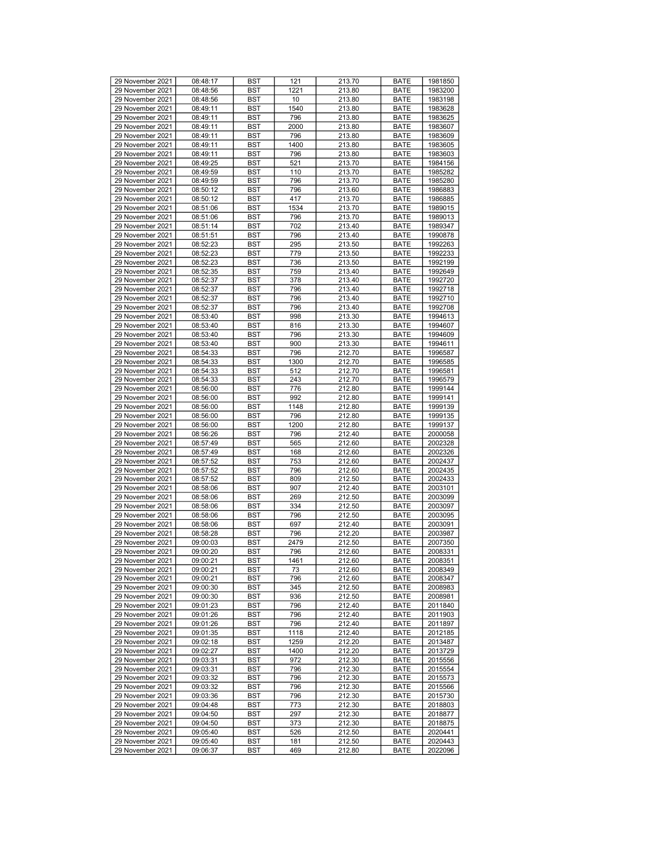| 29 November 2021 | 08:48:17 | <b>BST</b> | 121  | 213.70 | <b>BATE</b> | 1981850 |
|------------------|----------|------------|------|--------|-------------|---------|
| 29 November 2021 | 08:48:56 | BST        | 1221 | 213.80 | <b>BATE</b> | 1983200 |
| 29 November 2021 | 08:48:56 | BST        | 10   | 213.80 | <b>BATE</b> | 1983198 |
| 29 November 2021 | 08:49:11 | <b>BST</b> | 1540 | 213.80 | <b>BATE</b> | 1983628 |
|                  |          |            |      |        |             |         |
| 29 November 2021 | 08:49:11 | <b>BST</b> | 796  | 213.80 | <b>BATE</b> | 1983625 |
| 29 November 2021 | 08:49:11 | <b>BST</b> | 2000 | 213.80 | <b>BATE</b> | 1983607 |
| 29 November 2021 | 08:49:11 | BST        | 796  | 213.80 | <b>BATE</b> | 1983609 |
| 29 November 2021 | 08:49:11 | BST        | 1400 | 213.80 | <b>BATE</b> | 1983605 |
| 29 November 2021 | 08:49:11 | BST        | 796  | 213.80 | <b>BATE</b> | 1983603 |
| 29 November 2021 | 08:49:25 | <b>BST</b> | 521  | 213.70 | <b>BATE</b> | 1984156 |
| 29 November 2021 | 08:49:59 | <b>BST</b> | 110  | 213.70 | <b>BATE</b> | 1985282 |
| 29 November 2021 | 08:49:59 | BST        | 796  | 213.70 | <b>BATE</b> | 1985280 |
| 29 November 2021 | 08:50:12 | BST        | 796  | 213.60 | <b>BATE</b> | 1986883 |
|                  |          |            |      |        |             |         |
| 29 November 2021 | 08:50:12 | <b>BST</b> | 417  | 213.70 | <b>BATE</b> | 1986885 |
| 29 November 2021 | 08:51:06 | <b>BST</b> | 1534 | 213.70 | <b>BATE</b> | 1989015 |
| 29 November 2021 | 08:51:06 | <b>BST</b> | 796  | 213.70 | <b>BATE</b> | 1989013 |
| 29 November 2021 | 08:51:14 | BST        | 702  | 213.40 | <b>BATE</b> | 1989347 |
| 29 November 2021 | 08:51:51 | BST        | 796  | 213.40 | <b>BATE</b> | 1990878 |
| 29 November 2021 | 08:52:23 | BST        | 295  | 213.50 | <b>BATE</b> | 1992263 |
| 29 November 2021 | 08:52:23 | <b>BST</b> | 779  | 213.50 | <b>BATE</b> | 1992233 |
| 29 November 2021 | 08:52:23 | <b>BST</b> | 736  | 213.50 | <b>BATE</b> | 1992199 |
| 29 November 2021 |          | BST        | 759  | 213.40 | <b>BATE</b> | 1992649 |
|                  | 08:52:35 |            |      |        |             |         |
| 29 November 2021 | 08:52:37 | BST        | 378  | 213.40 | <b>BATE</b> | 1992720 |
| 29 November 2021 | 08:52:37 | <b>BST</b> | 796  | 213.40 | <b>BATE</b> | 1992718 |
| 29 November 2021 | 08:52:37 | <b>BST</b> | 796  | 213.40 | <b>BATE</b> | 1992710 |
| 29 November 2021 | 08:52:37 | <b>BST</b> | 796  | 213.40 | <b>BATE</b> | 1992708 |
| 29 November 2021 | 08:53:40 | BST        | 998  | 213.30 | <b>BATE</b> | 1994613 |
| 29 November 2021 | 08:53:40 | BST        | 816  | 213.30 | <b>BATE</b> | 1994607 |
| 29 November 2021 | 08:53:40 | <b>BST</b> | 796  | 213.30 | <b>BATE</b> | 1994609 |
| 29 November 2021 | 08:53:40 | <b>BST</b> | 900  | 213.30 | <b>BATE</b> | 1994611 |
|                  |          |            |      |        |             |         |
| 29 November 2021 | 08:54:33 | <b>BST</b> | 796  | 212.70 | <b>BATE</b> | 1996587 |
| 29 November 2021 | 08:54:33 | BST        | 1300 | 212.70 | <b>BATE</b> | 1996585 |
| 29 November 2021 | 08:54:33 | BST        | 512  | 212.70 | <b>BATE</b> | 1996581 |
| 29 November 2021 | 08:54:33 | <b>BST</b> | 243  | 212.70 | <b>BATE</b> | 1996579 |
| 29 November 2021 | 08:56:00 | <b>BST</b> | 776  | 212.80 | <b>BATE</b> | 1999144 |
| 29 November 2021 | 08:56:00 | <b>BST</b> | 992  | 212.80 | <b>BATE</b> | 1999141 |
| 29 November 2021 | 08:56:00 | BST        | 1148 | 212.80 | <b>BATE</b> | 1999139 |
| 29 November 2021 | 08:56:00 | BST        | 796  | 212.80 | <b>BATE</b> | 1999135 |
| 29 November 2021 | 08:56:00 | BST        | 1200 | 212.80 | <b>BATE</b> | 1999137 |
|                  |          |            |      |        |             |         |
| 29 November 2021 | 08:56:26 | <b>BST</b> | 796  | 212.40 | <b>BATE</b> | 2000058 |
| 29 November 2021 | 08:57:49 | <b>BST</b> | 565  | 212.60 | <b>BATE</b> | 2002328 |
| 29 November 2021 | 08:57:49 | BST        | 168  | 212.60 | <b>BATE</b> | 2002326 |
| 29 November 2021 | 08:57:52 | BST        | 753  | 212.60 | <b>BATE</b> | 2002437 |
| 29 November 2021 | 08:57:52 | <b>BST</b> | 796  | 212.60 | <b>BATE</b> | 2002435 |
| 29 November 2021 | 08:57:52 | <b>BST</b> | 809  | 212.50 | <b>BATE</b> | 2002433 |
| 29 November 2021 | 08:58:06 | <b>BST</b> | 907  | 212.40 | <b>BATE</b> | 2003101 |
| 29 November 2021 | 08:58:06 | BST        | 269  | 212.50 | <b>BATE</b> | 2003099 |
| 29 November 2021 |          |            |      |        |             |         |
|                  | 08:58:06 | BST        | 334  | 212.50 | <b>BATE</b> | 2003097 |
| 29 November 2021 | 08:58:06 | <b>BST</b> | 796  | 212.50 | <b>BATE</b> | 2003095 |
| 29 November 2021 | 08:58:06 | <b>BST</b> | 697  | 212.40 | <b>BATE</b> | 2003091 |
| 29 November 2021 | 08:58:28 | <b>BST</b> | 796  | 212.20 | <b>BATE</b> | 2003987 |
| 29 November 2021 | 09:00:03 | BST        | 2479 | 212.50 | <b>BATE</b> | 2007350 |
| 29 November 2021 | 09:00:20 | <b>BST</b> | 796  | 212.60 | <b>BATE</b> | 2008331 |
| 29 November 2021 | 09:00:21 | <b>BST</b> | 1461 | 212.60 | <b>BATE</b> | 2008351 |
| 29 November 2021 | 09:00:21 | <b>BST</b> | 73   | 212.60 | <b>BATE</b> | 2008349 |
| 29 November 2021 | 09:00:21 | <b>BST</b> | 796  | 212.60 | <b>BATE</b> | 2008347 |
|                  |          | <b>BST</b> |      |        |             |         |
| 29 November 2021 | 09:00:30 |            | 345  | 212.50 | <b>BATE</b> | 2008983 |
| 29 November 2021 | 09:00:30 | <b>BST</b> | 936  | 212.50 | <b>BATE</b> | 2008981 |
| 29 November 2021 | 09:01:23 | BST        | 796  | 212.40 | <b>BATE</b> | 2011840 |
| 29 November 2021 | 09:01:26 | <b>BST</b> | 796  | 212.40 | <b>BATE</b> | 2011903 |
| 29 November 2021 | 09:01:26 | <b>BST</b> | 796  | 212.40 | <b>BATE</b> | 2011897 |
| 29 November 2021 | 09:01:35 | BST        | 1118 | 212.40 | <b>BATE</b> | 2012185 |
| 29 November 2021 | 09:02:18 | <b>BST</b> | 1259 | 212.20 | <b>BATE</b> | 2013487 |
| 29 November 2021 | 09:02:27 | BST        | 1400 | 212.20 | <b>BATE</b> | 2013729 |
| 29 November 2021 | 09:03:31 |            | 972  |        |             |         |
|                  |          | <b>BST</b> |      | 212.30 | <b>BATE</b> | 2015556 |
| 29 November 2021 | 09:03:31 | <b>BST</b> | 796  | 212.30 | <b>BATE</b> | 2015554 |
| 29 November 2021 | 09:03:32 | BST        | 796  | 212.30 | <b>BATE</b> | 2015573 |
| 29 November 2021 | 09:03:32 | <b>BST</b> | 796  | 212.30 | <b>BATE</b> | 2015566 |
| 29 November 2021 | 09:03:36 | BST        | 796  | 212.30 | <b>BATE</b> | 2015730 |
| 29 November 2021 | 09:04:48 | <b>BST</b> | 773  | 212.30 | <b>BATE</b> | 2018803 |
| 29 November 2021 | 09:04:50 | <b>BST</b> | 297  | 212.30 | <b>BATE</b> | 2018877 |
| 29 November 2021 | 09:04:50 | BST        | 373  | 212.30 | <b>BATE</b> | 2018875 |
| 29 November 2021 |          |            |      |        |             |         |
|                  | 09:05:40 | BST        | 526  | 212.50 | <b>BATE</b> | 2020441 |
| 29 November 2021 | 09:05:40 | BST        | 181  | 212.50 | <b>BATE</b> | 2020443 |
| 29 November 2021 | 09:06:37 | BST        | 469  | 212.80 | BATE        | 2022096 |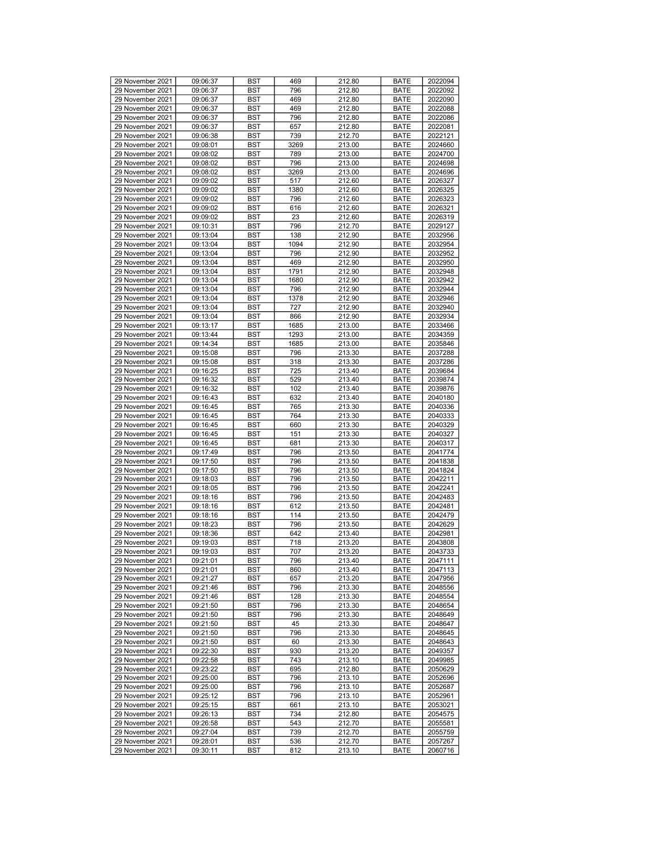| 29 November 2021                     | 09:06:37             | <b>BST</b> | 469        | 212.80           | <b>BATE</b>         | 2022094            |
|--------------------------------------|----------------------|------------|------------|------------------|---------------------|--------------------|
| 29 November 2021                     | 09:06:37             | <b>BST</b> | 796        | 212.80           | <b>BATE</b>         | 2022092            |
| 29 November 2021                     | 09:06:37             | <b>BST</b> | 469        | 212.80           | <b>BATE</b>         | 2022090            |
| 29 November 2021                     | 09:06:37             | <b>BST</b> | 469        | 212.80           | <b>BATE</b>         | 2022088            |
| 29 November 2021                     | 09:06:37             | <b>BST</b> | 796        | 212.80           | <b>BATE</b>         | 2022086            |
|                                      |                      |            |            |                  |                     |                    |
| 29 November 2021                     | 09:06:37             | <b>BST</b> | 657        | 212.80           | <b>BATE</b>         | 2022081            |
| 29 November 2021                     | 09:06:38             | <b>BST</b> | 739        | 212.70           | <b>BATE</b>         | 2022121            |
| 29 November 2021                     | 09:08:01             | <b>BST</b> | 3269       | 213.00           | <b>BATE</b>         | 2024660            |
| 29 November 2021                     | 09:08:02             | <b>BST</b> | 789        | 213.00           | <b>BATE</b>         | 2024700            |
| 29 November 2021                     |                      | <b>BST</b> |            | 213.00           | <b>BATE</b>         | 2024698            |
|                                      | 09:08:02             |            | 796        |                  |                     |                    |
| 29 November 2021                     | 09:08:02             | <b>BST</b> | 3269       | 213.00           | <b>BATE</b>         | 2024696            |
| 29 November 2021                     | 09:09:02             | <b>BST</b> | 517        | 212.60           | <b>BATE</b>         | 2026327            |
| 29 November 2021                     | 09:09:02             | <b>BST</b> | 1380       | 212.60           | <b>BATE</b>         | 2026325            |
| 29 November 2021                     | 09:09:02             | <b>BST</b> | 796        | 212.60           | <b>BATE</b>         | 2026323            |
|                                      |                      |            |            |                  |                     |                    |
| 29 November 2021                     | 09:09:02             | <b>BST</b> | 616        | 212.60           | <b>BATE</b>         | 2026321            |
| 29 November 2021                     | 09:09:02             | <b>BST</b> | 23         | 212.60           | <b>BATE</b>         | 2026319            |
| 29 November 2021                     | 09:10:31             | <b>BST</b> | 796        | 212.70           | <b>BATE</b>         | 2029127            |
| 29 November 2021                     | 09:13:04             | <b>BST</b> | 138        | 212.90           | <b>BATE</b>         | 2032956            |
|                                      |                      |            |            |                  |                     |                    |
| 29 November 2021                     | 09:13:04             | <b>BST</b> | 1094       | 212.90           | <b>BATE</b>         | 2032954            |
| 29 November 2021                     | 09:13:04             | <b>BST</b> | 796        | 212.90           | <b>BATE</b>         | 2032952            |
| 29 November 2021                     | 09:13:04             | <b>BST</b> | 469        | 212.90           | <b>BATE</b>         | 2032950            |
| 29 November 2021                     | 09:13:04             | <b>BST</b> | 1791       | 212.90           | <b>BATE</b>         | 2032948            |
| 29 November 2021                     | 09:13:04             | <b>BST</b> | 1680       | 212.90           | <b>BATE</b>         | 2032942            |
|                                      |                      |            |            |                  |                     |                    |
| 29 November 2021                     | 09:13:04             | <b>BST</b> | 796        | 212.90           | <b>BATE</b>         | 2032944            |
| 29 November 2021                     | 09:13:04             | <b>BST</b> | 1378       | 212.90           | <b>BATE</b>         | 2032946            |
| 29 November 2021                     | 09:13:04             | <b>BST</b> | 727        | 212.90           | <b>BATE</b>         | 2032940            |
| 29 November 2021                     | 09:13:04             | <b>BST</b> | 866        | 212.90           | <b>BATE</b>         | 2032934            |
|                                      |                      |            |            |                  |                     |                    |
| 29 November 2021                     | 09:13:17             | <b>BST</b> | 1685       | 213.00           | <b>BATE</b>         | 2033466            |
| 29 November 2021                     | 09:13:44             | <b>BST</b> | 1293       | 213.00           | <b>BATE</b>         | 2034359            |
| 29 November 2021                     | 09:14:34             | <b>BST</b> | 1685       | 213.00           | <b>BATE</b>         | 2035846            |
| 29 November 2021                     | 09:15:08             | <b>BST</b> | 796        | 213.30           | <b>BATE</b>         | 2037288            |
|                                      |                      |            |            |                  |                     |                    |
| 29 November 2021                     | 09:15:08             | <b>BST</b> | 318        | 213.30           | <b>BATE</b>         | 2037286            |
| 29 November 2021                     | 09:16:25             | <b>BST</b> | 725        | 213.40           | <b>BATE</b>         | 2039684            |
| 29 November 2021                     | 09:16:32             | <b>BST</b> | 529        | 213.40           | <b>BATE</b>         | 2039874            |
| 29 November 2021                     | 09:16:32             | <b>BST</b> | 102        | 213.40           | <b>BATE</b>         | 2039876            |
| 29 November 2021                     | 09:16:43             | <b>BST</b> | 632        | 213.40           | <b>BATE</b>         | 2040180            |
|                                      |                      |            |            |                  |                     |                    |
| 29 November 2021                     | 09:16:45             | <b>BST</b> | 765        | 213.30           | <b>BATE</b>         | 2040336            |
| 29 November 2021                     | 09:16:45             | <b>BST</b> | 764        | 213.30           | <b>BATE</b>         | 2040333            |
| 29 November 2021                     | 09:16:45             | <b>BST</b> | 660        | 213.30           | <b>BATE</b>         | 2040329            |
| 29 November 2021                     | 09:16:45             | <b>BST</b> | 151        | 213.30           | <b>BATE</b>         | 2040327            |
|                                      |                      |            |            |                  |                     |                    |
| 29 November 2021                     | 09:16:45             | <b>BST</b> | 681        | 213.30           | <b>BATE</b>         | 2040317            |
| 29 November 2021                     | 09:17:49             | <b>BST</b> | 796        | 213.50           | <b>BATE</b>         | 2041774            |
| 29 November 2021                     | 09:17:50             | <b>BST</b> | 796        | 213.50           | <b>BATE</b>         | 2041838            |
| 29 November 2021                     | 09:17:50             | <b>BST</b> | 796        | 213.50           | <b>BATE</b>         | 2041824            |
| 29 November 2021                     | 09:18:03             | <b>BST</b> | 796        | 213.50           | <b>BATE</b>         | 2042211            |
|                                      |                      |            |            |                  |                     |                    |
| 29 November 2021                     | 09:18:05             | <b>BST</b> | 796        | 213.50           | <b>BATE</b>         | 2042241            |
| 29 November 2021                     | 09:18:16             | <b>BST</b> | 796        | 213.50           | <b>BATE</b>         | 2042483            |
| 29 November 2021                     | 09:18:16             | <b>BST</b> | 612        | 213.50           | <b>BATE</b>         | 2042481            |
| 29 November 2021                     | 09:18:16             | <b>BST</b> | 114        |                  |                     |                    |
|                                      |                      |            |            |                  |                     |                    |
| 29 November 2021                     | 09:18:23             |            |            | 213.50           | <b>BATE</b>         | 2042479            |
| 29 November 2021                     |                      | <b>BST</b> | 796        | 213.50           | <b>BATE</b>         | 2042629            |
|                                      | 09:18:36             | <b>BST</b> | 642        | 213.40           | <b>BATE</b>         | 2042981            |
| 29 November 2021                     | 09:19:03             | <b>BST</b> | 718        | 213.20           | <b>BATE</b>         | 2043808            |
| 29 November 2021                     | 09:19:03             | <b>BST</b> | 707        | 213.20           | <b>BATE</b>         | 2043733            |
|                                      |                      |            |            |                  |                     |                    |
| 29 November 2021                     | 09:21:01             | <b>BST</b> | 796        | 213.40           | <b>BATE</b>         | 2047111            |
| 29 November 2021                     | 09:21:01             | <b>BST</b> | 860        | 213.40           | <b>BATE</b>         | 2047113            |
| 29 November 2021                     | 09:21:27             | <b>BST</b> | 657        | 213.20           | <b>BATE</b>         | 2047956            |
| 29 November 2021                     | 09:21:46             | BST        | 796        | 213.30           | <b>BATE</b>         | 2048556            |
|                                      |                      |            |            |                  |                     |                    |
| 29 November 2021                     | 09:21:46             | <b>BST</b> | 128        | 213.30           | <b>BATE</b>         | 2048554            |
| 29 November 2021                     | 09:21:50             | <b>BST</b> | 796        | 213.30           | <b>BATE</b>         | 2048654            |
| 29 November 2021                     | 09:21:50             | <b>BST</b> | 796        | 213.30           | <b>BATE</b>         | 2048649            |
| 29 November 2021                     | 09:21:50             | <b>BST</b> | 45         | 213.30           | <b>BATE</b>         | 2048647            |
| 29 November 2021                     | 09:21:50             | BST        | 796        | 213.30           | <b>BATE</b>         | 2048645            |
|                                      |                      |            |            |                  |                     |                    |
| 29 November 2021                     | 09:21:50             | <b>BST</b> | 60         | 213.30           | <b>BATE</b>         | 2048643            |
| 29 November 2021                     | 09:22:30             | <b>BST</b> | 930        | 213.20           | <b>BATE</b>         | 2049357            |
| 29 November 2021                     | 09:22:58             | <b>BST</b> | 743        | 213.10           | <b>BATE</b>         | 2049985            |
| 29 November 2021                     | 09:23:22             | <b>BST</b> | 695        | 212.80           | <b>BATE</b>         | 2050629            |
|                                      |                      |            |            |                  |                     |                    |
| 29 November 2021                     | 09:25:00             | <b>BST</b> | 796        | 213.10           | <b>BATE</b>         | 2052696            |
| 29 November 2021                     | 09:25:00             | <b>BST</b> | 796        | 213.10           | <b>BATE</b>         | 2052687            |
| 29 November 2021                     | 09:25:12             | BST        | 796        | 213.10           | <b>BATE</b>         | 2052961            |
| 29 November 2021                     | 09:25:15             | <b>BST</b> | 661        | 213.10           | <b>BATE</b>         | 2053021            |
| 29 November 2021                     | 09:26:13             | <b>BST</b> | 734        | 212.80           | <b>BATE</b>         | 2054575            |
|                                      |                      |            |            |                  |                     |                    |
| 29 November 2021                     | 09:26:58             | BST        | 543        | 212.70           | <b>BATE</b>         | 2055581            |
| 29 November 2021                     | 09:27:04             | <b>BST</b> | 739        | 212.70           | <b>BATE</b>         | 2055759            |
| 29 November 2021<br>29 November 2021 | 09:28:01<br>09:30:11 | BST<br>BST | 536<br>812 | 212.70<br>213.10 | <b>BATE</b><br>BATE | 2057267<br>2060716 |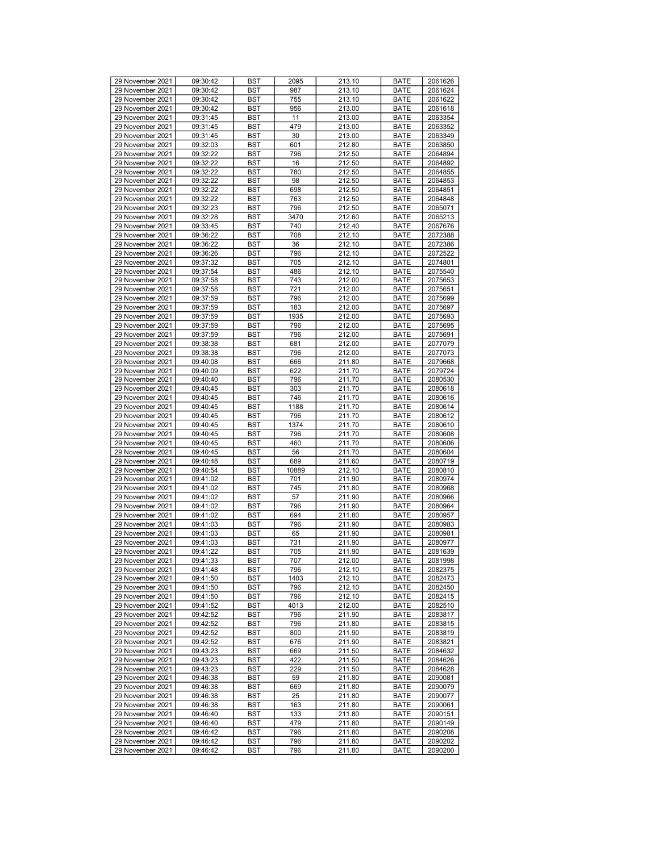| 29 November 2021 | 09:30:42 | <b>BST</b> | 2095  | 213.10 | <b>BATE</b> | 2061626 |
|------------------|----------|------------|-------|--------|-------------|---------|
| 29 November 2021 | 09:30:42 | BST        | 987   | 213.10 | <b>BATE</b> | 2061624 |
| 29 November 2021 | 09:30:42 | BST        | 755   | 213.10 | <b>BATE</b> | 2061622 |
| 29 November 2021 | 09:30:42 | <b>BST</b> | 956   | 213.00 | <b>BATE</b> | 2061618 |
|                  |          |            |       |        |             |         |
| 29 November 2021 | 09:31:45 | <b>BST</b> | 11    | 213.00 | <b>BATE</b> | 2063354 |
| 29 November 2021 | 09:31:45 | <b>BST</b> | 479   | 213.00 | <b>BATE</b> | 2063352 |
| 29 November 2021 | 09:31:45 | BST        | 30    | 213.00 | <b>BATE</b> | 2063349 |
| 29 November 2021 | 09:32:03 | BST        | 601   | 212.80 | <b>BATE</b> | 2063850 |
| 29 November 2021 | 09:32:22 | <b>BST</b> | 796   | 212.50 | <b>BATE</b> | 2064894 |
| 29 November 2021 | 09:32:22 | <b>BST</b> | 16    | 212.50 | <b>BATE</b> | 2064892 |
| 29 November 2021 | 09:32:22 | <b>BST</b> | 780   | 212.50 | <b>BATE</b> | 2064855 |
| 29 November 2021 | 09:32:22 | BST        | 98    | 212.50 | <b>BATE</b> | 2064853 |
| 29 November 2021 | 09:32:22 | BST        | 698   | 212.50 | <b>BATE</b> | 2064851 |
|                  |          |            |       |        |             |         |
| 29 November 2021 | 09:32:22 | <b>BST</b> | 763   | 212.50 | <b>BATE</b> | 2064848 |
| 29 November 2021 | 09:32:23 | <b>BST</b> | 796   | 212.50 | <b>BATE</b> | 2065071 |
| 29 November 2021 | 09:32:28 | <b>BST</b> | 3470  | 212.60 | <b>BATE</b> | 2065213 |
| 29 November 2021 | 09:33:45 | BST        | 740   | 212.40 | <b>BATE</b> | 2067676 |
| 29 November 2021 | 09:36:22 | BST        | 708   | 212.10 | <b>BATE</b> | 2072388 |
| 29 November 2021 | 09:36:22 | BST        | 36    | 212.10 | <b>BATE</b> | 2072386 |
| 29 November 2021 | 09:36:26 | <b>BST</b> | 796   | 212.10 | <b>BATE</b> | 2072522 |
| 29 November 2021 | 09:37:32 | <b>BST</b> | 705   | 212.10 | <b>BATE</b> | 2074801 |
| 29 November 2021 | 09:37:54 | BST        | 486   | 212.10 | <b>BATE</b> | 2075540 |
| 29 November 2021 | 09:37:58 | BST        | 743   | 212.00 | <b>BATE</b> | 2075653 |
|                  |          |            |       |        |             |         |
| 29 November 2021 | 09:37:58 | <b>BST</b> | 721   | 212.00 | <b>BATE</b> | 2075651 |
| 29 November 2021 | 09:37:59 | <b>BST</b> | 796   | 212.00 | <b>BATE</b> | 2075699 |
| 29 November 2021 | 09:37:59 | <b>BST</b> | 183   | 212.00 | <b>BATE</b> | 2075697 |
| 29 November 2021 | 09:37:59 | BST        | 1935  | 212.00 | <b>BATE</b> | 2075693 |
| 29 November 2021 | 09:37:59 | BST        | 796   | 212.00 | <b>BATE</b> | 2075695 |
| 29 November 2021 | 09:37:59 | <b>BST</b> | 796   | 212.00 | <b>BATE</b> | 2075691 |
| 29 November 2021 | 09:38:38 | <b>BST</b> | 681   | 212.00 | <b>BATE</b> | 2077079 |
| 29 November 2021 | 09:38:38 | <b>BST</b> | 796   | 212.00 | <b>BATE</b> | 2077073 |
| 29 November 2021 | 09:40:08 | BST        | 666   |        | <b>BATE</b> | 2079668 |
|                  |          |            |       | 211.80 |             |         |
| 29 November 2021 | 09:40:09 | BST        | 622   | 211.70 | <b>BATE</b> | 2079724 |
| 29 November 2021 | 09:40:40 | <b>BST</b> | 796   | 211.70 | <b>BATE</b> | 2080530 |
| 29 November 2021 | 09:40:45 | <b>BST</b> | 303   | 211.70 | <b>BATE</b> | 2080618 |
| 29 November 2021 | 09:40:45 | <b>BST</b> | 746   | 211.70 | <b>BATE</b> | 2080616 |
| 29 November 2021 | 09:40:45 | BST        | 1188  | 211.70 | <b>BATE</b> | 2080614 |
| 29 November 2021 | 09:40:45 | BST        | 796   | 211.70 | <b>BATE</b> | 2080612 |
| 29 November 2021 | 09:40:45 | <b>BST</b> | 1374  | 211.70 | <b>BATE</b> | 2080610 |
| 29 November 2021 | 09:40:45 | <b>BST</b> | 796   | 211.70 | <b>BATE</b> | 2080608 |
| 29 November 2021 | 09:40:45 | <b>BST</b> | 460   | 211.70 | <b>BATE</b> | 2080606 |
|                  |          |            |       |        |             |         |
| 29 November 2021 | 09:40:45 | BST        | 56    | 211.70 | <b>BATE</b> | 2080604 |
| 29 November 2021 | 09:40:48 | BST        | 689   | 211.60 | <b>BATE</b> | 2080719 |
| 29 November 2021 | 09:40:54 | <b>BST</b> | 10889 | 212.10 | <b>BATE</b> | 2080810 |
| 29 November 2021 | 09:41:02 | <b>BST</b> | 701   | 211.90 | <b>BATE</b> | 2080974 |
| 29 November 2021 | 09:41:02 | <b>BST</b> | 745   | 211.80 | <b>BATE</b> | 2080968 |
| 29 November 2021 | 09:41:02 | BST        | 57    | 211.90 | <b>BATE</b> | 2080966 |
| 29 November 2021 | 09:41:02 | BST        | 796   | 211.90 | <b>BATE</b> | 2080964 |
| 29 November 2021 | 09:41:02 | <b>BST</b> | 694   | 211.80 | <b>BATE</b> | 2080957 |
| 29 November 2021 | 09:41:03 | <b>BST</b> | 796   | 211.90 | <b>BATE</b> | 2080983 |
|                  |          |            |       |        |             |         |
| 29 November 2021 | 09:41:03 | <b>BST</b> | 65    | 211.90 | <b>BATE</b> | 2080981 |
| 29 November 2021 | 09:41:03 | BST        | 731   | 211.90 | <b>BATE</b> | 2080977 |
| 29 November 2021 | 09:41:22 | <b>BST</b> | 705   | 211.90 | <b>BATE</b> | 2081639 |
| 29 November 2021 | 09:41:33 | <b>BST</b> | 707   | 212.00 | <b>BATE</b> | 2081998 |
| 29 November 2021 | 09:41:48 | <b>BST</b> | 796   | 212.10 | <b>BATE</b> | 2082375 |
| 29 November 2021 | 09:41:50 | <b>BST</b> | 1403  | 212.10 | <b>BATE</b> | 2082473 |
| 29 November 2021 | 09:41:50 | <b>BST</b> | 796   | 212.10 | <b>BATE</b> | 2082450 |
| 29 November 2021 | 09:41:50 | <b>BST</b> | 796   | 212.10 | <b>BATE</b> | 2082415 |
| 29 November 2021 | 09:41:52 | BST        | 4013  | 212.00 | <b>BATE</b> | 2082510 |
| 29 November 2021 | 09:42:52 | <b>BST</b> | 796   | 211.90 | <b>BATE</b> | 2083817 |
| 29 November 2021 | 09:42:52 | <b>BST</b> | 796   | 211.80 | <b>BATE</b> | 2083815 |
|                  |          |            |       |        |             |         |
| 29 November 2021 | 09:42:52 | BST        | 800   | 211.90 | <b>BATE</b> | 2083819 |
| 29 November 2021 | 09:42:52 | <b>BST</b> | 676   | 211.90 | <b>BATE</b> | 2083821 |
| 29 November 2021 | 09:43:23 | BST        | 669   | 211.50 | <b>BATE</b> | 2084632 |
| 29 November 2021 | 09:43:23 | <b>BST</b> | 422   | 211.50 | <b>BATE</b> | 2084626 |
| 29 November 2021 | 09:43:23 | <b>BST</b> | 229   | 211.50 | <b>BATE</b> | 2084628 |
| 29 November 2021 | 09:46:38 | BST        | 59    | 211.80 | <b>BATE</b> | 2090081 |
| 29 November 2021 | 09:46:38 | <b>BST</b> | 669   | 211.80 | <b>BATE</b> | 2090079 |
| 29 November 2021 | 09:46:38 | BST        | 25    | 211.80 | <b>BATE</b> | 2090077 |
| 29 November 2021 | 09:46:38 | <b>BST</b> | 163   | 211.80 | <b>BATE</b> | 2090061 |
|                  |          |            |       |        |             |         |
| 29 November 2021 | 09:46:40 | <b>BST</b> | 133   | 211.80 | <b>BATE</b> | 2090151 |
| 29 November 2021 | 09:46:40 | BST        | 479   | 211.80 | <b>BATE</b> | 2090149 |
| 29 November 2021 | 09:46:42 | BST        | 796   | 211.80 | <b>BATE</b> | 2090208 |
| 29 November 2021 | 09:46:42 | BST        | 796   | 211.80 | <b>BATE</b> | 2090202 |
| 29 November 2021 | 09:46:42 | BST        | 796   | 211.80 | BATE        | 2090200 |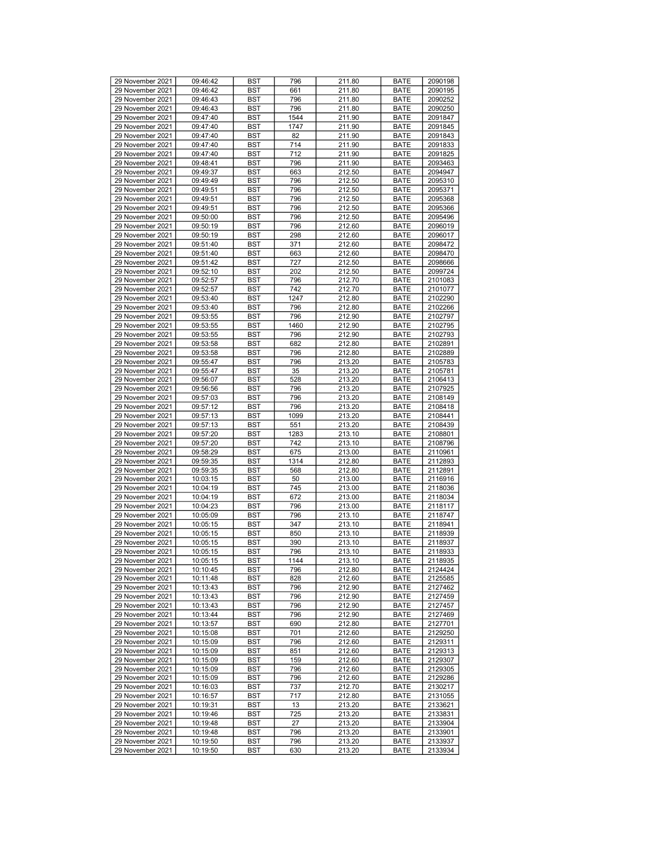| 29 November 2021 | 09:46:42 | <b>BST</b> | 796  | 211.80 | <b>BATE</b> | 2090198 |
|------------------|----------|------------|------|--------|-------------|---------|
| 29 November 2021 | 09:46:42 | <b>BST</b> | 661  | 211.80 | <b>BATE</b> | 2090195 |
| 29 November 2021 | 09:46:43 | <b>BST</b> | 796  | 211.80 | <b>BATE</b> | 2090252 |
| 29 November 2021 | 09:46:43 | <b>BST</b> | 796  | 211.80 | <b>BATE</b> | 2090250 |
| 29 November 2021 | 09:47:40 | <b>BST</b> | 1544 | 211.90 | <b>BATE</b> | 2091847 |
|                  |          |            |      |        |             |         |
| 29 November 2021 | 09:47:40 | <b>BST</b> | 1747 | 211.90 | <b>BATE</b> | 2091845 |
| 29 November 2021 | 09:47:40 | <b>BST</b> | 82   | 211.90 | <b>BATE</b> | 2091843 |
| 29 November 2021 | 09:47:40 | <b>BST</b> | 714  | 211.90 | <b>BATE</b> | 2091833 |
| 29 November 2021 | 09:47:40 | <b>BST</b> | 712  | 211.90 | <b>BATE</b> | 2091825 |
| 29 November 2021 | 09:48:41 |            |      | 211.90 | <b>BATE</b> | 2093463 |
|                  |          | <b>BST</b> | 796  |        |             |         |
| 29 November 2021 | 09:49:37 | <b>BST</b> | 663  | 212.50 | <b>BATE</b> | 2094947 |
| 29 November 2021 | 09:49:49 | <b>BST</b> | 796  | 212.50 | <b>BATE</b> | 2095310 |
| 29 November 2021 | 09:49:51 | <b>BST</b> | 796  | 212.50 | <b>BATE</b> | 2095371 |
| 29 November 2021 | 09:49:51 | <b>BST</b> | 796  | 212.50 | <b>BATE</b> | 2095368 |
|                  |          |            |      |        |             |         |
| 29 November 2021 | 09:49:51 | <b>BST</b> | 796  | 212.50 | <b>BATE</b> | 2095366 |
| 29 November 2021 | 09:50:00 | <b>BST</b> | 796  | 212.50 | <b>BATE</b> | 2095496 |
| 29 November 2021 | 09:50:19 | <b>BST</b> | 796  | 212.60 | <b>BATE</b> | 2096019 |
| 29 November 2021 | 09:50:19 | <b>BST</b> | 298  | 212.60 | <b>BATE</b> | 2096017 |
|                  |          |            |      |        |             |         |
| 29 November 2021 | 09:51:40 | <b>BST</b> | 371  | 212.60 | <b>BATE</b> | 2098472 |
| 29 November 2021 | 09:51:40 | <b>BST</b> | 663  | 212.60 | <b>BATE</b> | 2098470 |
| 29 November 2021 | 09:51:42 | <b>BST</b> | 727  | 212.50 | <b>BATE</b> | 2098666 |
| 29 November 2021 | 09:52:10 | <b>BST</b> | 202  | 212.50 | <b>BATE</b> | 2099724 |
| 29 November 2021 | 09:52:57 | <b>BST</b> | 796  | 212.70 | <b>BATE</b> | 2101083 |
|                  |          |            |      |        |             |         |
| 29 November 2021 | 09:52:57 | <b>BST</b> | 742  | 212.70 | <b>BATE</b> | 2101077 |
| 29 November 2021 | 09:53:40 | <b>BST</b> | 1247 | 212.80 | <b>BATE</b> | 2102290 |
| 29 November 2021 | 09:53:40 | <b>BST</b> | 796  | 212.80 | <b>BATE</b> | 2102266 |
| 29 November 2021 | 09:53:55 | <b>BST</b> | 796  | 212.90 | <b>BATE</b> | 2102797 |
|                  |          |            |      |        |             |         |
| 29 November 2021 | 09:53:55 | <b>BST</b> | 1460 | 212.90 | <b>BATE</b> | 2102795 |
| 29 November 2021 | 09:53:55 | <b>BST</b> | 796  | 212.90 | <b>BATE</b> | 2102793 |
| 29 November 2021 | 09:53:58 | <b>BST</b> | 682  | 212.80 | <b>BATE</b> | 2102891 |
| 29 November 2021 | 09:53:58 | <b>BST</b> | 796  | 212.80 | <b>BATE</b> | 2102889 |
|                  |          |            |      |        |             |         |
| 29 November 2021 | 09:55:47 | <b>BST</b> | 796  | 213.20 | <b>BATE</b> | 2105783 |
| 29 November 2021 | 09:55:47 | <b>BST</b> | 35   | 213.20 | <b>BATE</b> | 2105781 |
| 29 November 2021 | 09:56:07 | <b>BST</b> | 528  | 213.20 | <b>BATE</b> | 2106413 |
| 29 November 2021 | 09:56:56 | <b>BST</b> | 796  | 213.20 | <b>BATE</b> | 2107925 |
| 29 November 2021 | 09:57:03 | <b>BST</b> | 796  | 213.20 | <b>BATE</b> | 2108149 |
|                  |          |            |      |        |             |         |
| 29 November 2021 | 09:57:12 | <b>BST</b> | 796  | 213.20 | <b>BATE</b> | 2108418 |
| 29 November 2021 | 09:57:13 | <b>BST</b> | 1099 | 213.20 | <b>BATE</b> | 2108441 |
| 29 November 2021 | 09:57:13 | <b>BST</b> | 551  | 213.20 | <b>BATE</b> | 2108439 |
| 29 November 2021 | 09:57:20 | <b>BST</b> | 1283 | 213.10 | <b>BATE</b> | 2108801 |
|                  |          |            | 742  |        |             |         |
| 29 November 2021 | 09:57:20 | <b>BST</b> |      | 213.10 | <b>BATE</b> | 2108796 |
| 29 November 2021 | 09:58:29 | <b>BST</b> | 675  | 213.00 | <b>BATE</b> | 2110961 |
| 29 November 2021 | 09:59:35 | <b>BST</b> | 1314 | 212.80 | <b>BATE</b> | 2112893 |
| 29 November 2021 | 09:59:35 | <b>BST</b> | 568  | 212.80 | <b>BATE</b> | 2112891 |
| 29 November 2021 | 10:03:15 | <b>BST</b> | 50   | 213.00 | <b>BATE</b> | 2116916 |
|                  |          |            |      |        |             |         |
| 29 November 2021 | 10:04:19 | <b>BST</b> | 745  | 213.00 | <b>BATE</b> | 2118036 |
| 29 November 2021 | 10:04:19 | <b>BST</b> | 672  | 213.00 | <b>BATE</b> | 2118034 |
| 29 November 2021 | 10:04:23 | <b>BST</b> | 796  | 213.00 | <b>BATE</b> | 2118117 |
| 29 November 2021 | 10:05:09 | <b>BST</b> | 796  |        |             |         |
|                  |          |            |      |        |             |         |
| 29 November 2021 | 10:05:15 |            |      | 213.10 | <b>BATE</b> | 2118747 |
| 29 November 2021 |          | <b>BST</b> | 347  | 213.10 | <b>BATE</b> | 2118941 |
|                  | 10:05:15 | <b>BST</b> | 850  | 213.10 | <b>BATE</b> | 2118939 |
| 29 November 2021 | 10:05:15 | <b>BST</b> | 390  | 213.10 | <b>BATE</b> | 2118937 |
| 29 November 2021 |          | <b>BST</b> | 796  | 213.10 | <b>BATE</b> |         |
|                  | 10:05:15 |            |      |        |             | 2118933 |
| 29 November 2021 | 10:05:15 | <b>BST</b> | 1144 | 213.10 | <b>BATE</b> | 2118935 |
| 29 November 2021 | 10:10:45 | <b>BST</b> | 796  | 212.80 | <b>BATE</b> | 2124424 |
| 29 November 2021 | 10:11:48 | <b>BST</b> | 828  | 212.60 | <b>BATE</b> | 2125585 |
| 29 November 2021 | 10:13:43 | BST        | 796  | 212.90 | <b>BATE</b> | 2127462 |
|                  |          |            |      |        |             |         |
| 29 November 2021 | 10:13:43 | <b>BST</b> | 796  | 212.90 | <b>BATE</b> | 2127459 |
| 29 November 2021 | 10:13:43 | <b>BST</b> | 796  | 212.90 | <b>BATE</b> | 2127457 |
| 29 November 2021 | 10:13:44 | <b>BST</b> | 796  | 212.90 | <b>BATE</b> | 2127469 |
| 29 November 2021 | 10:13:57 | <b>BST</b> | 690  | 212.80 | <b>BATE</b> | 2127701 |
|                  |          |            |      |        |             |         |
| 29 November 2021 | 10:15:08 | BST        | 701  | 212.60 | <b>BATE</b> | 2129250 |
| 29 November 2021 | 10:15:09 | <b>BST</b> | 796  | 212.60 | <b>BATE</b> | 2129311 |
| 29 November 2021 | 10:15:09 | <b>BST</b> | 851  | 212.60 | <b>BATE</b> | 2129313 |
| 29 November 2021 | 10:15:09 | <b>BST</b> | 159  | 212.60 | <b>BATE</b> | 2129307 |
| 29 November 2021 | 10:15:09 | <b>BST</b> | 796  | 212.60 | <b>BATE</b> | 2129305 |
|                  |          |            |      |        |             |         |
| 29 November 2021 | 10:15:09 | <b>BST</b> | 796  | 212.60 | <b>BATE</b> | 2129286 |
| 29 November 2021 | 10:16:03 | <b>BST</b> | 737  | 212.70 | <b>BATE</b> | 2130217 |
| 29 November 2021 | 10:16:57 | BST        | 717  | 212.80 | <b>BATE</b> | 2131055 |
| 29 November 2021 | 10:19:31 | <b>BST</b> | 13   | 213.20 | <b>BATE</b> | 2133621 |
|                  |          |            |      |        |             |         |
| 29 November 2021 | 10:19:46 | <b>BST</b> | 725  | 213.20 | <b>BATE</b> | 2133831 |
| 29 November 2021 | 10:19:48 | BST        | 27   | 213.20 | <b>BATE</b> | 2133904 |
| 29 November 2021 | 10:19:48 | <b>BST</b> | 796  | 213.20 | <b>BATE</b> | 2133901 |
| 29 November 2021 | 10:19:50 | BST        | 796  | 213.20 | <b>BATE</b> | 2133937 |
| 29 November 2021 | 10:19:50 | BST        | 630  | 213.20 | BATE        | 2133934 |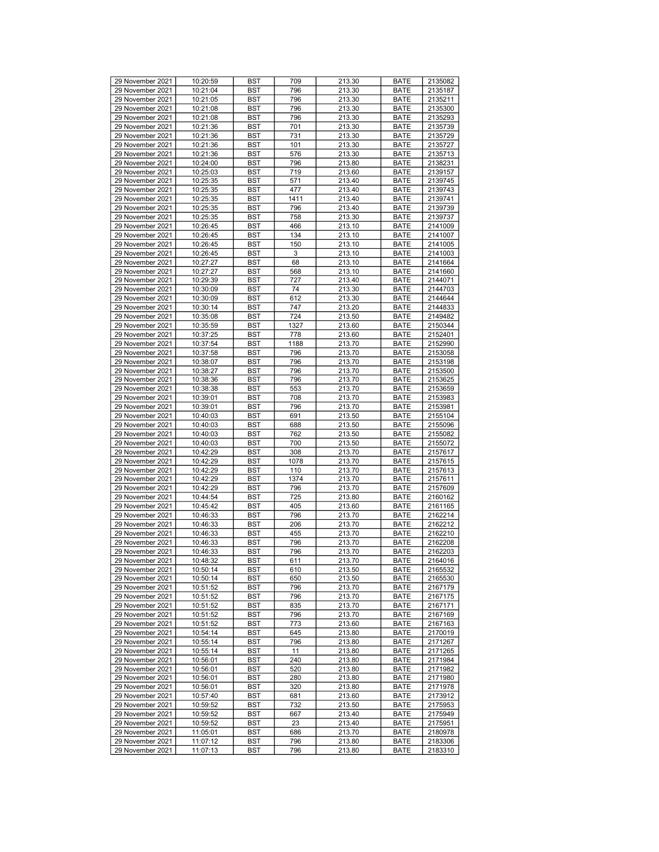| 29 November 2021 | 10:20:59 | <b>BST</b> | 709  | 213.30 | <b>BATE</b> | 2135082 |
|------------------|----------|------------|------|--------|-------------|---------|
| 29 November 2021 | 10:21:04 | BST        | 796  | 213.30 | <b>BATE</b> | 2135187 |
| 29 November 2021 | 10:21:05 | BST        | 796  | 213.30 | <b>BATE</b> | 2135211 |
| 29 November 2021 | 10:21:08 | <b>BST</b> | 796  | 213.30 | <b>BATE</b> | 2135300 |
|                  |          |            |      |        |             |         |
| 29 November 2021 | 10:21:08 | <b>BST</b> | 796  | 213.30 | <b>BATE</b> | 2135293 |
| 29 November 2021 | 10:21:36 | <b>BST</b> | 701  | 213.30 | <b>BATE</b> | 2135739 |
| 29 November 2021 | 10:21:36 | BST        | 731  | 213.30 | <b>BATE</b> | 2135729 |
| 29 November 2021 | 10:21:36 | BST        | 101  | 213.30 | <b>BATE</b> | 2135727 |
| 29 November 2021 | 10:21:36 | <b>BST</b> | 576  | 213.30 | <b>BATE</b> | 2135713 |
| 29 November 2021 | 10:24:00 | <b>BST</b> | 796  | 213.80 | <b>BATE</b> | 2138231 |
| 29 November 2021 | 10:25:03 | <b>BST</b> | 719  | 213.60 | <b>BATE</b> | 2139157 |
| 29 November 2021 | 10:25:35 | BST        | 571  | 213.40 | <b>BATE</b> | 2139745 |
| 29 November 2021 | 10:25:35 | BST        | 477  | 213.40 | <b>BATE</b> | 2139743 |
| 29 November 2021 | 10:25:35 | <b>BST</b> | 1411 | 213.40 | <b>BATE</b> | 2139741 |
| 29 November 2021 | 10:25:35 |            |      |        | <b>BATE</b> |         |
|                  |          | <b>BST</b> | 796  | 213.40 |             | 2139739 |
| 29 November 2021 | 10:25:35 | <b>BST</b> | 758  | 213.30 | <b>BATE</b> | 2139737 |
| 29 November 2021 | 10:26:45 | BST        | 466  | 213.10 | <b>BATE</b> | 2141009 |
| 29 November 2021 | 10:26:45 | BST        | 134  | 213.10 | <b>BATE</b> | 2141007 |
| 29 November 2021 | 10:26:45 | <b>BST</b> | 150  | 213.10 | <b>BATE</b> | 2141005 |
| 29 November 2021 | 10:26:45 | <b>BST</b> | 3    | 213.10 | <b>BATE</b> | 2141003 |
| 29 November 2021 | 10:27:27 | <b>BST</b> | 68   | 213.10 | <b>BATE</b> | 2141664 |
| 29 November 2021 | 10:27:27 | <b>BST</b> | 568  | 213.10 | <b>BATE</b> | 2141660 |
| 29 November 2021 | 10:29:39 | BST        | 727  | 213.40 | <b>BATE</b> | 2144071 |
| 29 November 2021 | 10:30:09 | <b>BST</b> | 74   | 213.30 | <b>BATE</b> | 2144703 |
|                  |          |            |      |        |             | 2144644 |
| 29 November 2021 | 10:30:09 | <b>BST</b> | 612  | 213.30 | <b>BATE</b> |         |
| 29 November 2021 | 10:30:14 | <b>BST</b> | 747  | 213.20 | <b>BATE</b> | 2144833 |
| 29 November 2021 | 10:35:08 | BST        | 724  | 213.50 | <b>BATE</b> | 2149482 |
| 29 November 2021 | 10:35:59 | BST        | 1327 | 213.60 | <b>BATE</b> | 2150344 |
| 29 November 2021 | 10:37:25 | <b>BST</b> | 778  | 213.60 | <b>BATE</b> | 2152401 |
| 29 November 2021 | 10:37:54 | <b>BST</b> | 1188 | 213.70 | <b>BATE</b> | 2152990 |
| 29 November 2021 | 10:37:58 | <b>BST</b> | 796  | 213.70 | <b>BATE</b> | 2153058 |
| 29 November 2021 | 10:38:07 | <b>BST</b> | 796  | 213.70 | <b>BATE</b> | 2153198 |
| 29 November 2021 | 10:38:27 | BST        | 796  | 213.70 | <b>BATE</b> | 2153500 |
| 29 November 2021 | 10:38:36 | <b>BST</b> | 796  | 213.70 | <b>BATE</b> | 2153625 |
| 29 November 2021 | 10:38:38 |            |      | 213.70 |             |         |
|                  |          | <b>BST</b> | 553  |        | <b>BATE</b> | 2153659 |
| 29 November 2021 | 10:39:01 | <b>BST</b> | 708  | 213.70 | <b>BATE</b> | 2153983 |
| 29 November 2021 | 10:39:01 | BST        | 796  | 213.70 | <b>BATE</b> | 2153981 |
| 29 November 2021 | 10:40:03 | BST        | 691  | 213.50 | <b>BATE</b> | 2155104 |
| 29 November 2021 | 10:40:03 | <b>BST</b> | 688  | 213.50 | <b>BATE</b> | 2155096 |
| 29 November 2021 | 10:40:03 | <b>BST</b> | 762  | 213.50 | <b>BATE</b> | 2155082 |
| 29 November 2021 | 10:40:03 | <b>BST</b> | 700  | 213.50 | <b>BATE</b> | 2155072 |
| 29 November 2021 | 10:42:29 | BST        | 308  | 213.70 | <b>BATE</b> | 2157617 |
| 29 November 2021 | 10:42:29 | BST        | 1078 | 213.70 | <b>BATE</b> | 2157615 |
| 29 November 2021 | 10:42:29 | <b>BST</b> | 110  | 213.70 | <b>BATE</b> | 2157613 |
| 29 November 2021 | 10:42:29 | <b>BST</b> | 1374 | 213.70 | <b>BATE</b> | 2157611 |
| 29 November 2021 | 10:42:29 | <b>BST</b> | 796  | 213.70 | <b>BATE</b> | 2157609 |
|                  |          |            |      |        |             |         |
| 29 November 2021 | 10:44:54 | BST        | 725  | 213.80 | <b>BATE</b> | 2160162 |
| 29 November 2021 | 10:45:42 | BST        | 405  | 213.60 | <b>BATE</b> | 2161165 |
| 29 November 2021 | 10:46:33 | <b>BST</b> | 796  | 213.70 | <b>BATE</b> | 2162214 |
| 29 November 2021 | 10:46:33 | <b>BST</b> | 206  | 213.70 | <b>BATE</b> | 2162212 |
| 29 November 2021 | 10:46:33 | <b>BST</b> | 455  | 213.70 | <b>BATE</b> | 2162210 |
| 29 November 2021 | 10:46:33 | BST        | 796  | 213.70 | <b>BATE</b> | 2162208 |
| 29 November 2021 | 10:46:33 | <b>BST</b> | 796  | 213.70 | <b>BATE</b> | 2162203 |
| 29 November 2021 | 10:48:32 | <b>BST</b> | 611  | 213.70 | <b>BATE</b> | 2164016 |
| 29 November 2021 | 10:50:14 | <b>BST</b> | 610  | 213.50 | <b>BATE</b> | 2165532 |
| 29 November 2021 | 10:50:14 | <b>BST</b> | 650  | 213.50 | <b>BATE</b> | 2165530 |
| 29 November 2021 | 10:51:52 | <b>BST</b> | 796  | 213.70 | <b>BATE</b> | 2167179 |
|                  |          |            |      |        |             |         |
| 29 November 2021 | 10:51:52 | <b>BST</b> | 796  | 213.70 | <b>BATE</b> | 2167175 |
| 29 November 2021 | 10:51:52 | BST        | 835  | 213.70 | <b>BATE</b> | 2167171 |
| 29 November 2021 | 10:51:52 | <b>BST</b> | 796  | 213.70 | <b>BATE</b> | 2167169 |
| 29 November 2021 | 10:51:52 | <b>BST</b> | 773  | 213.60 | <b>BATE</b> | 2167163 |
| 29 November 2021 | 10:54:14 | BST        | 645  | 213.80 | <b>BATE</b> | 2170019 |
| 29 November 2021 | 10:55:14 | <b>BST</b> | 796  | 213.80 | <b>BATE</b> | 2171267 |
| 29 November 2021 | 10:55:14 | BST        | 11   | 213.80 | <b>BATE</b> | 2171265 |
| 29 November 2021 | 10:56:01 | <b>BST</b> | 240  | 213.80 | <b>BATE</b> | 2171984 |
| 29 November 2021 | 10:56:01 | <b>BST</b> | 520  | 213.80 | <b>BATE</b> | 2171982 |
| 29 November 2021 | 10:56:01 | BST        | 280  | 213.80 | <b>BATE</b> | 2171980 |
| 29 November 2021 | 10:56:01 | <b>BST</b> | 320  | 213.80 | <b>BATE</b> | 2171978 |
|                  |          |            |      |        |             |         |
| 29 November 2021 | 10:57:40 | BST        | 681  | 213.60 | <b>BATE</b> | 2173912 |
| 29 November 2021 | 10:59:52 | <b>BST</b> | 732  | 213.50 | <b>BATE</b> | 2175953 |
| 29 November 2021 | 10:59:52 | <b>BST</b> | 667  | 213.40 | <b>BATE</b> | 2175949 |
| 29 November 2021 | 10:59:52 | BST        | 23   | 213.40 | <b>BATE</b> | 2175951 |
| 29 November 2021 | 11:05:01 | BST        | 686  | 213.70 | <b>BATE</b> | 2180978 |
| 29 November 2021 | 11:07:12 | BST        | 796  | 213.80 | <b>BATE</b> | 2183306 |
| 29 November 2021 | 11:07:13 | BST        | 796  | 213.80 | BATE        | 2183310 |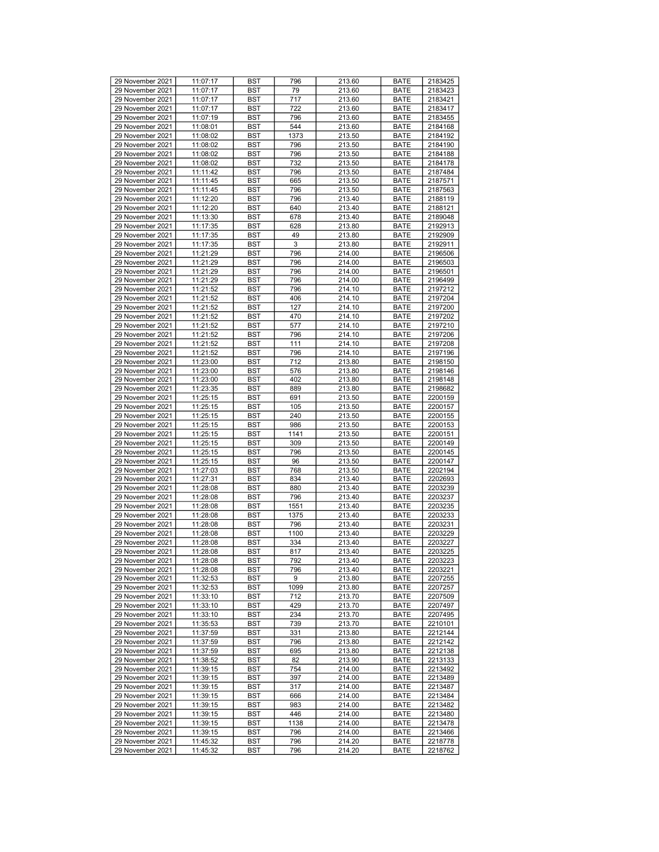|                                      | 11:07:17             | <b>BST</b> | 796        | 213.60           | <b>BATE</b>         | 2183425            |
|--------------------------------------|----------------------|------------|------------|------------------|---------------------|--------------------|
| 29 November 2021                     |                      |            |            |                  |                     |                    |
| 29 November 2021                     | 11:07:17             | <b>BST</b> | 79         | 213.60           | <b>BATE</b>         | 2183423            |
| 29 November 2021                     | 11:07:17             | <b>BST</b> | 717        | 213.60           | <b>BATE</b>         | 2183421            |
| 29 November 2021                     | 11:07:17             | <b>BST</b> | 722        | 213.60           | <b>BATE</b>         | 2183417            |
| 29 November 2021                     | 11:07:19             | <b>BST</b> | 796        | 213.60           | <b>BATE</b>         | 2183455            |
| 29 November 2021                     | 11:08:01             | <b>BST</b> | 544        | 213.60           | <b>BATE</b>         | 2184168            |
|                                      |                      |            |            |                  |                     |                    |
| 29 November 2021                     | 11:08:02             | <b>BST</b> | 1373       | 213.50           | <b>BATE</b>         | 2184192            |
| 29 November 2021                     | 11:08:02             | <b>BST</b> | 796        | 213.50           | <b>BATE</b>         | 2184190            |
| 29 November 2021                     | 11:08:02             | <b>BST</b> | 796        | 213.50           | <b>BATE</b>         | 2184188            |
| 29 November 2021                     | 11:08:02             | <b>BST</b> | 732        | 213.50           | <b>BATE</b>         | 2184178            |
| 29 November 2021                     |                      |            | 796        |                  | <b>BATE</b>         |                    |
|                                      | 11:11:42             | <b>BST</b> |            | 213.50           |                     | 2187484            |
| 29 November 2021                     | 11:11:45             | <b>BST</b> | 665        | 213.50           | <b>BATE</b>         | 2187571            |
| 29 November 2021                     | 11:11:45             | <b>BST</b> | 796        | 213.50           | <b>BATE</b>         | 2187563            |
| 29 November 2021                     | 11:12:20             | <b>BST</b> | 796        | 213.40           | <b>BATE</b>         | 2188119            |
| 29 November 2021                     | 11:12:20             | <b>BST</b> | 640        | 213.40           | <b>BATE</b>         | 2188121            |
|                                      |                      |            |            |                  |                     | 2189048            |
| 29 November 2021                     | 11:13:30             | <b>BST</b> | 678        | 213.40           | <b>BATE</b>         |                    |
| 29 November 2021                     | 11:17:35             | <b>BST</b> | 628        | 213.80           | <b>BATE</b>         | 2192913            |
| 29 November 2021                     | 11:17:35             | <b>BST</b> | 49         | 213.80           | <b>BATE</b>         | 2192909            |
| 29 November 2021                     | 11:17:35             | <b>BST</b> | 3          | 213.80           | <b>BATE</b>         | 2192911            |
| 29 November 2021                     | 11:21:29             | <b>BST</b> | 796        | 214.00           | <b>BATE</b>         | 2196506            |
|                                      |                      |            |            |                  |                     |                    |
| 29 November 2021                     | 11:21:29             | <b>BST</b> | 796        | 214.00           | <b>BATE</b>         | 2196503            |
| 29 November 2021                     | 11:21:29             | <b>BST</b> | 796        | 214.00           | <b>BATE</b>         | 2196501            |
| 29 November 2021                     | 11:21:29             | <b>BST</b> | 796        | 214.00           | <b>BATE</b>         | 2196499            |
| 29 November 2021                     | 11:21:52             | <b>BST</b> | 796        | 214.10           | <b>BATE</b>         | 2197212            |
| 29 November 2021                     | 11:21:52             | <b>BST</b> | 406        | 214.10           | <b>BATE</b>         | 2197204            |
|                                      |                      |            |            |                  |                     |                    |
| 29 November 2021                     | 11:21:52             | <b>BST</b> | 127        | 214.10           | <b>BATE</b>         | 2197200            |
| 29 November 2021                     | 11:21:52             | <b>BST</b> | 470        | 214.10           | <b>BATE</b>         | 2197202            |
| 29 November 2021                     | 11:21:52             | <b>BST</b> | 577        | 214.10           | <b>BATE</b>         | 2197210            |
| 29 November 2021                     | 11:21:52             | <b>BST</b> | 796        | 214.10           | <b>BATE</b>         | 2197206            |
| 29 November 2021                     | 11:21:52             |            |            |                  |                     |                    |
|                                      |                      | <b>BST</b> | 111        | 214.10           | <b>BATE</b>         | 2197208            |
| 29 November 2021                     | 11:21:52             | <b>BST</b> | 796        | 214.10           | <b>BATE</b>         | 2197196            |
| 29 November 2021                     | 11:23:00             | <b>BST</b> | 712        | 213.80           | <b>BATE</b>         | 2198150            |
| 29 November 2021                     | 11:23:00             | <b>BST</b> | 576        | 213.80           | <b>BATE</b>         | 2198146            |
| 29 November 2021                     | 11:23:00             | <b>BST</b> | 402        | 213.80           | <b>BATE</b>         | 2198148            |
|                                      |                      |            |            |                  |                     |                    |
| 29 November 2021                     | 11:23:35             | <b>BST</b> | 889        | 213.80           | <b>BATE</b>         | 2198682            |
| 29 November 2021                     | 11:25:15             | <b>BST</b> | 691        | 213.50           | <b>BATE</b>         | 2200159            |
| 29 November 2021                     | 11:25:15             | <b>BST</b> | 105        | 213.50           | <b>BATE</b>         | 2200157            |
| 29 November 2021                     | 11:25:15             | <b>BST</b> | 240        | 213.50           | <b>BATE</b>         | 2200155            |
| 29 November 2021                     | 11:25:15             | <b>BST</b> | 986        | 213.50           | <b>BATE</b>         | 2200153            |
| 29 November 2021                     |                      |            | 1141       | 213.50           |                     | 2200151            |
|                                      | 11:25:15             | <b>BST</b> |            |                  | <b>BATE</b>         |                    |
|                                      |                      |            |            |                  |                     |                    |
| 29 November 2021                     | 11:25:15             | <b>BST</b> | 309        | 213.50           | <b>BATE</b>         | 2200149            |
| 29 November 2021                     | 11:25:15             | <b>BST</b> | 796        | 213.50           | <b>BATE</b>         | 2200145            |
|                                      |                      |            |            |                  |                     |                    |
| 29 November 2021                     | 11:25:15             | <b>BST</b> | 96         | 213.50           | <b>BATE</b>         | 2200147            |
| 29 November 2021                     | 11:27:03             | <b>BST</b> | 768        | 213.50           | <b>BATE</b>         | 2202194            |
| 29 November 2021                     | 11:27:31             | <b>BST</b> | 834        | 213.40           | <b>BATE</b>         | 2202693            |
| 29 November 2021                     | 11:28:08             | <b>BST</b> | 880        | 213.40           | <b>BATE</b>         | 2203239            |
| 29 November 2021                     | 11:28:08             | <b>BST</b> | 796        | 213.40           | <b>BATE</b>         | 2203237            |
| 29 November 2021                     | 11:28:08             | <b>BST</b> | 1551       | 213.40           | <b>BATE</b>         | 2203235            |
|                                      |                      |            |            |                  |                     |                    |
| 29 November 2021                     | 11:28:08             | <b>BST</b> | 1375       | 213.40           | <b>BATE</b>         | 2203233            |
| 29 November 2021                     | 11:28:08             | <b>BST</b> | 796        | 213.40           | <b>BATE</b>         | 2203231            |
| 29 November 2021                     | 11:28:08             | <b>BST</b> | 1100       | 213.40           | <b>BATE</b>         | 2203229            |
| 29 November 2021                     | 11:28:08             | <b>BST</b> | 334        | 213.40           | <b>BATE</b>         | 2203227            |
| 29 November 2021                     | 11:28:08             | <b>BST</b> | 817        | 213.40           | <b>BATE</b>         | 2203225            |
|                                      |                      |            |            |                  |                     |                    |
| 29 November 2021                     | 11:28:08             | <b>BST</b> | 792        | 213.40           | <b>BATE</b>         | 2203223            |
| 29 November 2021                     | 11:28:08             | <b>BST</b> | 796        | 213.40           | <b>BATE</b>         | 2203221            |
| 29 November 2021                     | 11:32:53             | <b>BST</b> | 9          | 213.80           | <b>BATE</b>         | 2207255            |
| 29 November 2021                     | 11:32:53             | BST        | 1099       | 213.80           | <b>BATE</b>         | 2207257            |
|                                      |                      |            | 712        |                  |                     |                    |
| 29 November 2021                     | 11:33:10             | <b>BST</b> |            | 213.70           | <b>BATE</b>         | 2207509            |
| 29 November 2021                     | 11:33:10             | BST        | 429        | 213.70           | <b>BATE</b>         | 2207497            |
| 29 November 2021                     | 11:33:10             | <b>BST</b> | 234        | 213.70           | <b>BATE</b>         | 2207495            |
| 29 November 2021                     | 11:35:53             | <b>BST</b> | 739        | 213.70           | <b>BATE</b>         | 2210101            |
| 29 November 2021                     | 11:37:59             | BST        | 331        | 213.80           | <b>BATE</b>         | 2212144            |
|                                      |                      |            |            |                  |                     |                    |
| 29 November 2021                     | 11:37:59             | <b>BST</b> | 796        | 213.80           | <b>BATE</b>         | 2212142            |
| 29 November 2021                     | 11:37:59             | <b>BST</b> | 695        | 213.80           | <b>BATE</b>         | 2212138            |
| 29 November 2021                     | 11:38:52             | <b>BST</b> | 82         | 213.90           | <b>BATE</b>         | 2213133            |
| 29 November 2021                     | 11:39:15             | <b>BST</b> | 754        | 214.00           | <b>BATE</b>         | 2213492            |
| 29 November 2021                     | 11:39:15             | <b>BST</b> | 397        | 214.00           | <b>BATE</b>         | 2213489            |
|                                      |                      |            |            |                  |                     |                    |
| 29 November 2021                     | 11:39:15             | <b>BST</b> | 317        | 214.00           | <b>BATE</b>         | 2213487            |
| 29 November 2021                     | 11:39:15             | BST        | 666        | 214.00           | <b>BATE</b>         | 2213484            |
| 29 November 2021                     | 11:39:15             | <b>BST</b> | 983        | 214.00           | <b>BATE</b>         | 2213482            |
| 29 November 2021                     | 11:39:15             | <b>BST</b> | 446        | 214.00           | <b>BATE</b>         | 2213480            |
|                                      |                      |            |            |                  |                     |                    |
| 29 November 2021                     | 11:39:15             | BST        | 1138       | 214.00           | <b>BATE</b>         | 2213478            |
| 29 November 2021                     | 11:39:15             | <b>BST</b> | 796        | 214.00           | <b>BATE</b>         | 2213466            |
| 29 November 2021<br>29 November 2021 | 11:45:32<br>11:45:32 | BST<br>BST | 796<br>796 | 214.20<br>214.20 | <b>BATE</b><br>BATE | 2218778<br>2218762 |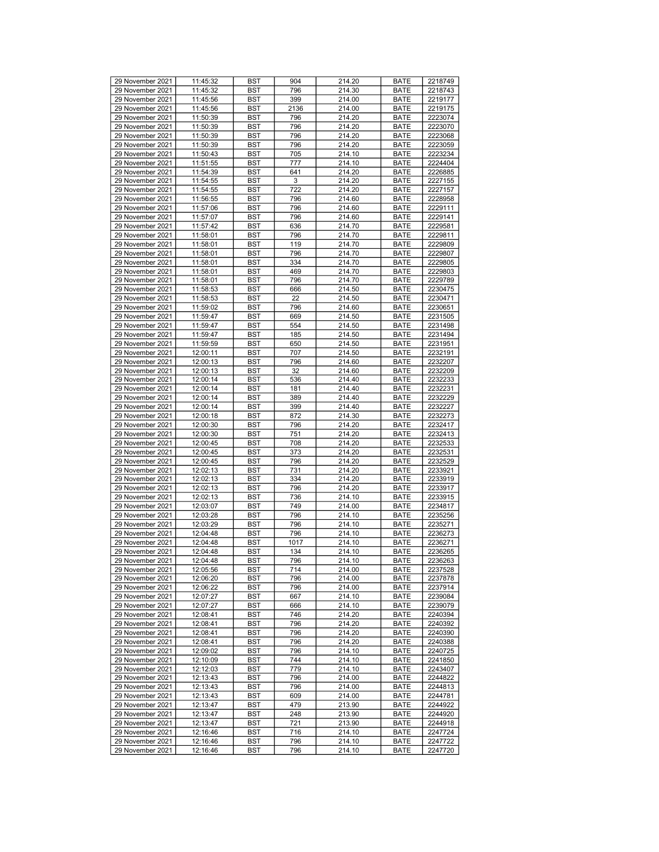| 29 November 2021 | 11:45:32 | <b>BST</b> | 904  | 214.20 | <b>BATE</b> | 2218749 |
|------------------|----------|------------|------|--------|-------------|---------|
|                  |          |            |      |        |             |         |
| 29 November 2021 | 11:45:32 | <b>BST</b> | 796  | 214.30 | <b>BATE</b> | 2218743 |
| 29 November 2021 | 11:45:56 | <b>BST</b> | 399  | 214.00 | <b>BATE</b> | 2219177 |
| 29 November 2021 | 11:45:56 | <b>BST</b> | 2136 | 214.00 | <b>BATE</b> | 2219175 |
| 29 November 2021 | 11:50:39 | <b>BST</b> | 796  | 214.20 | <b>BATE</b> | 2223074 |
|                  |          |            |      |        |             |         |
| 29 November 2021 | 11:50:39 | <b>BST</b> | 796  | 214.20 | <b>BATE</b> | 2223070 |
| 29 November 2021 | 11:50:39 | <b>BST</b> | 796  | 214.20 | <b>BATE</b> | 2223068 |
| 29 November 2021 | 11:50:39 | <b>BST</b> | 796  | 214.20 | <b>BATE</b> | 2223059 |
| 29 November 2021 | 11:50:43 | <b>BST</b> | 705  | 214.10 | <b>BATE</b> | 2223234 |
|                  |          |            |      |        |             |         |
| 29 November 2021 | 11:51:55 | <b>BST</b> | 777  | 214.10 | <b>BATE</b> | 2224404 |
| 29 November 2021 | 11:54:39 | <b>BST</b> | 641  | 214.20 | <b>BATE</b> | 2226885 |
| 29 November 2021 | 11:54:55 | <b>BST</b> | 3    | 214.20 | <b>BATE</b> | 2227155 |
| 29 November 2021 | 11:54:55 | <b>BST</b> | 722  | 214.20 | <b>BATE</b> | 2227157 |
|                  |          |            |      |        |             |         |
| 29 November 2021 | 11:56:55 | <b>BST</b> | 796  | 214.60 | <b>BATE</b> | 2228958 |
| 29 November 2021 | 11:57:06 | <b>BST</b> | 796  | 214.60 | <b>BATE</b> | 2229111 |
| 29 November 2021 | 11:57:07 | <b>BST</b> | 796  | 214.60 | <b>BATE</b> | 2229141 |
| 29 November 2021 | 11:57:42 | <b>BST</b> | 636  | 214.70 | <b>BATE</b> | 2229581 |
|                  |          |            |      |        |             |         |
| 29 November 2021 | 11:58:01 | <b>BST</b> | 796  | 214.70 | <b>BATE</b> | 2229811 |
| 29 November 2021 | 11:58:01 | <b>BST</b> | 119  | 214.70 | <b>BATE</b> | 2229809 |
| 29 November 2021 | 11:58:01 | <b>BST</b> | 796  | 214.70 | <b>BATE</b> | 2229807 |
|                  |          |            |      |        |             |         |
| 29 November 2021 | 11:58:01 | <b>BST</b> | 334  | 214.70 | <b>BATE</b> | 2229805 |
| 29 November 2021 | 11:58:01 | <b>BST</b> | 469  | 214.70 | <b>BATE</b> | 2229803 |
| 29 November 2021 | 11:58:01 | <b>BST</b> | 796  | 214.70 | <b>BATE</b> | 2229789 |
| 29 November 2021 | 11:58:53 | <b>BST</b> | 666  | 214.50 | <b>BATE</b> | 2230475 |
| 29 November 2021 | 11:58:53 |            |      |        |             |         |
|                  |          | <b>BST</b> | 22   | 214.50 | <b>BATE</b> | 2230471 |
| 29 November 2021 | 11:59:02 | <b>BST</b> | 796  | 214.60 | <b>BATE</b> | 2230651 |
| 29 November 2021 | 11:59:47 | <b>BST</b> | 669  | 214.50 | <b>BATE</b> | 2231505 |
| 29 November 2021 | 11:59:47 | <b>BST</b> | 554  | 214.50 | <b>BATE</b> | 2231498 |
|                  |          |            |      |        |             |         |
| 29 November 2021 | 11:59:47 | <b>BST</b> | 185  | 214.50 | <b>BATE</b> | 2231494 |
| 29 November 2021 | 11:59:59 | <b>BST</b> | 650  | 214.50 | <b>BATE</b> | 2231951 |
| 29 November 2021 | 12:00:11 | <b>BST</b> | 707  | 214.50 | <b>BATE</b> | 2232191 |
| 29 November 2021 | 12:00:13 | <b>BST</b> | 796  | 214.60 | <b>BATE</b> | 2232207 |
|                  |          |            |      |        |             |         |
| 29 November 2021 | 12:00:13 | <b>BST</b> | 32   | 214.60 | <b>BATE</b> | 2232209 |
| 29 November 2021 | 12:00:14 | <b>BST</b> | 536  | 214.40 | <b>BATE</b> | 2232233 |
| 29 November 2021 | 12:00:14 | <b>BST</b> | 181  | 214.40 | <b>BATE</b> | 2232231 |
| 29 November 2021 | 12:00:14 | <b>BST</b> | 389  | 214.40 | <b>BATE</b> | 2232229 |
|                  |          |            |      |        |             |         |
| 29 November 2021 | 12:00:14 | <b>BST</b> | 399  | 214.40 | <b>BATE</b> | 2232227 |
| 29 November 2021 | 12:00:18 | <b>BST</b> | 872  | 214.30 | <b>BATE</b> | 2232273 |
| 29 November 2021 | 12:00:30 | <b>BST</b> | 796  | 214.20 | <b>BATE</b> | 2232417 |
| 29 November 2021 | 12:00:30 | <b>BST</b> | 751  | 214.20 | <b>BATE</b> | 2232413 |
|                  |          |            |      |        | <b>BATE</b> |         |
| 29 November 2021 | 12:00:45 | <b>BST</b> | 708  | 214.20 |             | 2232533 |
| 29 November 2021 | 12:00:45 | <b>BST</b> | 373  | 214.20 | <b>BATE</b> | 2232531 |
| 29 November 2021 | 12:00:45 | <b>BST</b> | 796  | 214.20 | <b>BATE</b> | 2232529 |
| 29 November 2021 | 12:02:13 | <b>BST</b> | 731  | 214.20 | <b>BATE</b> | 2233921 |
|                  |          |            |      |        |             |         |
| 29 November 2021 | 12:02:13 | <b>BST</b> | 334  | 214.20 | <b>BATE</b> | 2233919 |
| 29 November 2021 | 12:02:13 | <b>BST</b> | 796  | 214.20 | <b>BATE</b> | 2233917 |
| 29 November 2021 | 12:02:13 | <b>BST</b> | 736  | 214.10 | <b>BATE</b> | 2233915 |
| 29 November 2021 | 12:03:07 | <b>BST</b> | 749  | 214.00 | <b>BATE</b> | 2234817 |
|                  |          |            |      |        |             |         |
| 29 November 2021 | 12:03:28 | <b>BST</b> | 796  | 214.10 | <b>BATE</b> | 2235256 |
| 29 November 2021 | 12:03:29 | <b>BST</b> | 796  | 214.10 | <b>BATE</b> | 2235271 |
| 29 November 2021 | 12:04:48 | <b>BST</b> | 796  | 214.10 | <b>BATE</b> | 2236273 |
| 29 November 2021 | 12:04:48 | <b>BST</b> | 1017 | 214.10 | <b>BATE</b> | 2236271 |
| 29 November 2021 | 12:04:48 | <b>BST</b> | 134  | 214.10 | <b>BATE</b> | 2236265 |
|                  |          |            |      |        |             |         |
| 29 November 2021 | 12:04:48 | <b>BST</b> | 796  | 214.10 | <b>BATE</b> | 2236263 |
| 29 November 2021 | 12:05:56 | <b>BST</b> | 714  | 214.00 | <b>BATE</b> | 2237528 |
| 29 November 2021 | 12:06:20 | <b>BST</b> | 796  | 214.00 | <b>BATE</b> | 2237878 |
| 29 November 2021 | 12:06:22 | BST        | 796  | 214.00 | <b>BATE</b> | 2237914 |
|                  |          |            |      |        |             |         |
| 29 November 2021 | 12:07:27 | <b>BST</b> | 667  | 214.10 | <b>BATE</b> | 2239084 |
| 29 November 2021 | 12:07:27 | <b>BST</b> | 666  | 214.10 | <b>BATE</b> | 2239079 |
| 29 November 2021 | 12:08:41 | <b>BST</b> | 746  | 214.20 | <b>BATE</b> | 2240394 |
| 29 November 2021 | 12:08:41 | <b>BST</b> | 796  | 214.20 | <b>BATE</b> | 2240392 |
|                  |          |            |      |        |             |         |
| 29 November 2021 | 12:08:41 | BST        | 796  | 214.20 | <b>BATE</b> | 2240390 |
| 29 November 2021 | 12:08:41 | <b>BST</b> | 796  | 214.20 | <b>BATE</b> | 2240388 |
| 29 November 2021 | 12:09:02 | <b>BST</b> | 796  | 214.10 | <b>BATE</b> | 2240725 |
| 29 November 2021 | 12:10:09 | <b>BST</b> | 744  | 214.10 | BATE        | 2241850 |
|                  |          |            |      |        |             |         |
| 29 November 2021 | 12:12:03 | <b>BST</b> | 779  | 214.10 | <b>BATE</b> | 2243407 |
| 29 November 2021 | 12:13:43 | <b>BST</b> | 796  | 214.00 | <b>BATE</b> | 2244822 |
| 29 November 2021 | 12:13:43 | <b>BST</b> | 796  | 214.00 | <b>BATE</b> | 2244813 |
| 29 November 2021 | 12:13:43 | <b>BST</b> | 609  | 214.00 | <b>BATE</b> | 2244781 |
|                  |          |            |      |        |             |         |
| 29 November 2021 | 12:13:47 | <b>BST</b> | 479  | 213.90 | <b>BATE</b> | 2244922 |
| 29 November 2021 | 12:13:47 | <b>BST</b> | 248  | 213.90 | <b>BATE</b> | 2244920 |
| 29 November 2021 | 12:13:47 | BST        | 721  | 213.90 | <b>BATE</b> | 2244918 |
| 29 November 2021 | 12:16:46 | <b>BST</b> | 716  | 214.10 | <b>BATE</b> | 2247724 |
|                  |          |            |      |        |             |         |
| 29 November 2021 | 12:16:46 | BST        | 796  | 214.10 | <b>BATE</b> | 2247722 |
| 29 November 2021 | 12:16:46 | BST        | 796  | 214.10 | BATE        | 2247720 |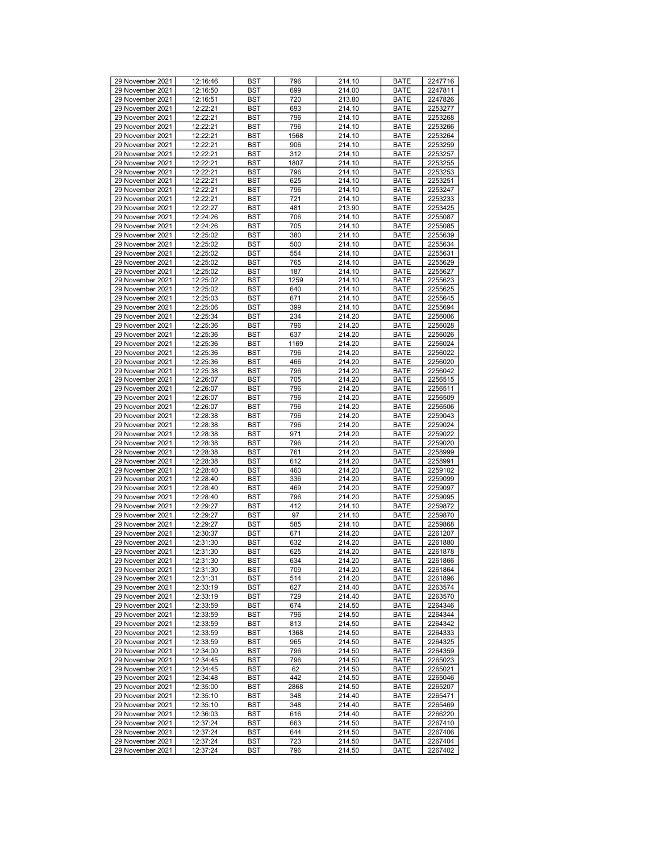| 29 November 2021<br>12:16:50<br>BST<br>699<br>214.00<br><b>BATE</b><br>2247811<br>29 November 2021<br>12:16:51<br>BST<br>720<br>213.80<br><b>BATE</b><br>2247826<br>29 November 2021<br>12:22:21<br>693<br>214.10<br><b>BATE</b><br>2253277<br><b>BST</b><br>29 November 2021<br>12:22:21<br>796<br>214.10<br>2253268<br><b>BST</b><br><b>BATE</b><br>29 November 2021<br>12:22:21<br><b>BST</b><br>796<br>214.10<br><b>BATE</b><br>2253266<br>29 November 2021<br>12:22:21<br><b>BST</b><br>1568<br>214.10<br><b>BATE</b><br>2253264<br>29 November 2021<br>12:22:21<br>BST<br>906<br>214.10<br><b>BATE</b><br>2253259<br>29 November 2021<br>12:22:21<br>312<br>214.10<br><b>BATE</b><br>2253257<br><b>BST</b><br>29 November 2021<br>12:22:21<br>1807<br>214.10<br>2253255<br><b>BST</b><br><b>BATE</b><br>214.10<br>29 November 2021<br>12:22:21<br><b>BST</b><br>796<br><b>BATE</b><br>2253253<br>29 November 2021<br>12:22:21<br>2253251<br><b>BST</b><br>625<br>214.10<br><b>BATE</b><br>29 November 2021<br>12:22:21<br>BST<br>796<br>214.10<br><b>BATE</b><br>2253247<br>29 November 2021<br>12:22:21<br>721<br>214.10<br><b>BATE</b><br>2253233<br><b>BST</b><br>29 November 2021<br>12:22:27<br>481<br>213.90<br>2253425<br><b>BST</b><br><b>BATE</b><br>29 November 2021<br>12:24:26<br><b>BST</b><br>706<br>214.10<br><b>BATE</b><br>2255087<br>29 November 2021<br>12:24:26<br>BST<br>705<br>214.10<br><b>BATE</b><br>2255085<br>29 November 2021<br>12:25:02<br>BST<br>380<br>214.10<br><b>BATE</b><br>2255639<br>29 November 2021<br>214.10<br><b>BATE</b><br>12:25:02<br><b>BST</b><br>500<br>2255634<br>29 November 2021<br>12:25:02<br>214.10<br><b>BST</b><br>554<br><b>BATE</b><br>2255631<br>214.10<br>29 November 2021<br>12:25:02<br><b>BST</b><br>765<br><b>BATE</b><br>2255629<br>29 November 2021<br>12:25:02<br><b>BST</b><br>187<br>214.10<br><b>BATE</b><br>2255627<br>29 November 2021<br>1259<br>12:25:02<br>BST<br>214.10<br><b>BATE</b><br>2255623<br>29 November 2021<br>12:25:02<br>640<br>214.10<br><b>BATE</b><br><b>BST</b><br>2255625<br>29 November 2021<br>12:25:03<br>671<br>214.10<br>2255645<br><b>BST</b><br><b>BATE</b><br>29 November 2021<br>12:25:06<br><b>BST</b><br>399<br>214.10<br><b>BATE</b><br>2255694<br>29 November 2021<br>234<br>12:25:34<br>BST<br>214.20<br><b>BATE</b><br>2256006<br>29 November 2021<br>12:25:36<br>BST<br>796<br>214.20<br><b>BATE</b><br>2256028<br>29 November 2021<br>637<br>214.20<br><b>BATE</b><br>12:25:36<br><b>BST</b><br>2256026<br>29 November 2021<br>12:25:36<br>1169<br>214.20<br><b>BST</b><br><b>BATE</b><br>2256024<br>29 November 2021<br>12:25:36<br><b>BST</b><br>796<br>214.20<br><b>BATE</b><br>2256022<br>29 November 2021<br>466<br>12:25:36<br><b>BST</b><br>214.20<br><b>BATE</b><br>2256020<br>29 November 2021<br>12:25:38<br>BST<br>796<br>214.20<br><b>BATE</b><br>2256042<br>29 November 2021<br>705<br>214.20<br><b>BATE</b><br>2256515<br>12:26:07<br><b>BST</b><br>29 November 2021<br>12:26:07<br>796<br>214.20<br>2256511<br><b>BST</b><br><b>BATE</b><br>29 November 2021<br>12:26:07<br><b>BST</b><br>796<br>214.20<br><b>BATE</b><br>2256509<br>29 November 2021<br>12:26:07<br>BST<br>796<br>214.20<br><b>BATE</b><br>2256506<br>29 November 2021<br>12:28:38<br>BST<br>796<br>214.20<br><b>BATE</b><br>2259043<br>29 November 2021<br>214.20<br><b>BATE</b><br>12:28:38<br><b>BST</b><br>796<br>2259024<br>29 November 2021<br>12:28:38<br>971<br>214.20<br>2259022<br><b>BST</b><br><b>BATE</b><br>29 November 2021<br>12:28:38<br><b>BST</b><br>796<br>214.20<br><b>BATE</b><br>2259020<br>29 November 2021<br>2258999<br>12:28:38<br><b>BST</b><br>761<br>214.20<br><b>BATE</b><br>29 November 2021<br>12:28:38<br>BST<br>612<br>214.20<br><b>BATE</b><br>2258991<br>29 November 2021<br>12:28:40<br>460<br>214.20<br><b>BATE</b><br>2259102<br><b>BST</b><br>29 November 2021<br>12:28:40<br>336<br>214.20<br>2259099<br><b>BST</b><br><b>BATE</b><br>29 November 2021<br>12:28:40<br><b>BST</b><br>469<br>214.20<br><b>BATE</b><br>2259097<br>29 November 2021<br>12:28:40<br>BST<br>796<br>214.20<br><b>BATE</b><br>2259095<br>29 November 2021<br>12:29:27<br>BST<br>412<br>214.10<br><b>BATE</b><br>2259872<br>29 November 2021<br>97<br>214.10<br><b>BATE</b><br>12:29:27<br><b>BST</b><br>2259870<br>29 November 2021<br>12:29:27<br>214.10<br>2259868<br><b>BST</b><br>585<br><b>BATE</b><br>214.20<br>29 November 2021<br>12:30:37<br><b>BST</b><br>671<br><b>BATE</b><br>2261207<br>29 November 2021<br>12:31:30<br>2261880<br>BST<br>632<br>214.20<br><b>BATE</b><br>29 November 2021<br>214.20<br>12:31:30<br><b>BST</b><br>625<br><b>BATE</b><br>2261878<br>29 November 2021<br>12:31:30<br><b>BST</b><br>634<br><b>BATE</b><br>214.20<br>2261866<br>29 November 2021<br>12:31:30<br><b>BST</b><br>709<br>214.20<br><b>BATE</b><br>2261864<br>29 November 2021<br>12:31:31<br><b>BST</b><br>514<br>214.20<br><b>BATE</b><br>2261896<br>29 November 2021<br>12:33:19<br>BST<br>627<br>214.40<br><b>BATE</b><br>2263574<br>29 November 2021<br>12:33:19<br><b>BST</b><br>729<br>214.40<br><b>BATE</b><br>2263570<br>29 November 2021<br>674<br>214.50<br><b>BATE</b><br>12:33:59<br>BST<br>2264346<br>29 November 2021<br>12:33:59<br>796<br><b>BST</b><br>214.50<br><b>BATE</b><br>2264344<br>29 November 2021<br>12:33:59<br><b>BST</b><br>813<br>214.50<br><b>BATE</b><br>2264342<br>29 November 2021<br>12:33:59<br>BST<br>1368<br>214.50<br><b>BATE</b><br>2264333<br>29 November 2021<br>12:33:59<br>BST<br>965<br>214.50<br><b>BATE</b><br>2264325<br>29 November 2021<br><b>BATE</b><br>12:34:00<br>BST<br>796<br>214.50<br>2264359<br>29 November 2021<br>12:34:45<br><b>BST</b><br>796<br>214.50<br><b>BATE</b><br>2265023<br>29 November 2021<br>12:34:45<br><b>BST</b><br>62<br>214.50<br><b>BATE</b><br>2265021<br>29 November 2021<br>12:34:48<br>BST<br>442<br>214.50<br><b>BATE</b><br>2265046<br>29 November 2021<br>12:35:00<br><b>BST</b><br>2868<br>214.50<br><b>BATE</b><br>2265207<br>29 November 2021<br>214.40<br><b>BATE</b><br>12:35:10<br>BST<br>348<br>2265471<br>29 November 2021<br>12:35:10<br>348<br><b>BST</b><br>214.40<br><b>BATE</b><br>2265469<br>29 November 2021<br>12:36:03<br><b>BST</b><br>616<br>214.40<br><b>BATE</b><br>2266220<br>29 November 2021<br>12:37:24<br>BST<br>214.50<br><b>BATE</b><br>2267410<br>663<br>29 November 2021<br>12:37:24<br>BST<br>644<br>214.50<br><b>BATE</b><br>2267406<br>29 November 2021<br>2267404<br>12:37:24<br>BST<br>723<br>214.50<br><b>BATE</b><br>29 November 2021<br>12:37:24<br>BST<br>796<br>214.50<br>BATE<br>2267402 | 29 November 2021 | 12:16:46 | <b>BST</b> | 796 | 214.10 | <b>BATE</b> | 2247716 |
|--------------------------------------------------------------------------------------------------------------------------------------------------------------------------------------------------------------------------------------------------------------------------------------------------------------------------------------------------------------------------------------------------------------------------------------------------------------------------------------------------------------------------------------------------------------------------------------------------------------------------------------------------------------------------------------------------------------------------------------------------------------------------------------------------------------------------------------------------------------------------------------------------------------------------------------------------------------------------------------------------------------------------------------------------------------------------------------------------------------------------------------------------------------------------------------------------------------------------------------------------------------------------------------------------------------------------------------------------------------------------------------------------------------------------------------------------------------------------------------------------------------------------------------------------------------------------------------------------------------------------------------------------------------------------------------------------------------------------------------------------------------------------------------------------------------------------------------------------------------------------------------------------------------------------------------------------------------------------------------------------------------------------------------------------------------------------------------------------------------------------------------------------------------------------------------------------------------------------------------------------------------------------------------------------------------------------------------------------------------------------------------------------------------------------------------------------------------------------------------------------------------------------------------------------------------------------------------------------------------------------------------------------------------------------------------------------------------------------------------------------------------------------------------------------------------------------------------------------------------------------------------------------------------------------------------------------------------------------------------------------------------------------------------------------------------------------------------------------------------------------------------------------------------------------------------------------------------------------------------------------------------------------------------------------------------------------------------------------------------------------------------------------------------------------------------------------------------------------------------------------------------------------------------------------------------------------------------------------------------------------------------------------------------------------------------------------------------------------------------------------------------------------------------------------------------------------------------------------------------------------------------------------------------------------------------------------------------------------------------------------------------------------------------------------------------------------------------------------------------------------------------------------------------------------------------------------------------------------------------------------------------------------------------------------------------------------------------------------------------------------------------------------------------------------------------------------------------------------------------------------------------------------------------------------------------------------------------------------------------------------------------------------------------------------------------------------------------------------------------------------------------------------------------------------------------------------------------------------------------------------------------------------------------------------------------------------------------------------------------------------------------------------------------------------------------------------------------------------------------------------------------------------------------------------------------------------------------------------------------------------------------------------------------------------------------------------------------------------------------------------------------------------------------------------------------------------------------------------------------------------------------------------------------------------------------------------------------------------------------------------------------------------------------------------------------------------------------------------------------------------------------------------------------------------------------------------------------------------------------------------------------------------------------------------------------------------------------------------------------------------------------------------------------------------------------------------------------------------------------------------------------------------------------------------------------------------------------------------------------------------------------------------------------------------------------------------------------------------------------------------------------------------------------------------------------------------------------------------------------------------------------------------------------------------------------------------------------------------------------------------------------------------------|------------------|----------|------------|-----|--------|-------------|---------|
|                                                                                                                                                                                                                                                                                                                                                                                                                                                                                                                                                                                                                                                                                                                                                                                                                                                                                                                                                                                                                                                                                                                                                                                                                                                                                                                                                                                                                                                                                                                                                                                                                                                                                                                                                                                                                                                                                                                                                                                                                                                                                                                                                                                                                                                                                                                                                                                                                                                                                                                                                                                                                                                                                                                                                                                                                                                                                                                                                                                                                                                                                                                                                                                                                                                                                                                                                                                                                                                                                                                                                                                                                                                                                                                                                                                                                                                                                                                                                                                                                                                                                                                                                                                                                                                                                                                                                                                                                                                                                                                                                                                                                                                                                                                                                                                                                                                                                                                                                                                                                                                                                                                                                                                                                                                                                                                                                                                                                                                                                                                                                                                                                                                                                                                                                                                                                                                                                                                                                                                                                                                                                                                                                                                                                                                                                                                                                                                                                                                                                                                                                                                                                                                        |                  |          |            |     |        |             |         |
|                                                                                                                                                                                                                                                                                                                                                                                                                                                                                                                                                                                                                                                                                                                                                                                                                                                                                                                                                                                                                                                                                                                                                                                                                                                                                                                                                                                                                                                                                                                                                                                                                                                                                                                                                                                                                                                                                                                                                                                                                                                                                                                                                                                                                                                                                                                                                                                                                                                                                                                                                                                                                                                                                                                                                                                                                                                                                                                                                                                                                                                                                                                                                                                                                                                                                                                                                                                                                                                                                                                                                                                                                                                                                                                                                                                                                                                                                                                                                                                                                                                                                                                                                                                                                                                                                                                                                                                                                                                                                                                                                                                                                                                                                                                                                                                                                                                                                                                                                                                                                                                                                                                                                                                                                                                                                                                                                                                                                                                                                                                                                                                                                                                                                                                                                                                                                                                                                                                                                                                                                                                                                                                                                                                                                                                                                                                                                                                                                                                                                                                                                                                                                                                        |                  |          |            |     |        |             |         |
|                                                                                                                                                                                                                                                                                                                                                                                                                                                                                                                                                                                                                                                                                                                                                                                                                                                                                                                                                                                                                                                                                                                                                                                                                                                                                                                                                                                                                                                                                                                                                                                                                                                                                                                                                                                                                                                                                                                                                                                                                                                                                                                                                                                                                                                                                                                                                                                                                                                                                                                                                                                                                                                                                                                                                                                                                                                                                                                                                                                                                                                                                                                                                                                                                                                                                                                                                                                                                                                                                                                                                                                                                                                                                                                                                                                                                                                                                                                                                                                                                                                                                                                                                                                                                                                                                                                                                                                                                                                                                                                                                                                                                                                                                                                                                                                                                                                                                                                                                                                                                                                                                                                                                                                                                                                                                                                                                                                                                                                                                                                                                                                                                                                                                                                                                                                                                                                                                                                                                                                                                                                                                                                                                                                                                                                                                                                                                                                                                                                                                                                                                                                                                                                        |                  |          |            |     |        |             |         |
|                                                                                                                                                                                                                                                                                                                                                                                                                                                                                                                                                                                                                                                                                                                                                                                                                                                                                                                                                                                                                                                                                                                                                                                                                                                                                                                                                                                                                                                                                                                                                                                                                                                                                                                                                                                                                                                                                                                                                                                                                                                                                                                                                                                                                                                                                                                                                                                                                                                                                                                                                                                                                                                                                                                                                                                                                                                                                                                                                                                                                                                                                                                                                                                                                                                                                                                                                                                                                                                                                                                                                                                                                                                                                                                                                                                                                                                                                                                                                                                                                                                                                                                                                                                                                                                                                                                                                                                                                                                                                                                                                                                                                                                                                                                                                                                                                                                                                                                                                                                                                                                                                                                                                                                                                                                                                                                                                                                                                                                                                                                                                                                                                                                                                                                                                                                                                                                                                                                                                                                                                                                                                                                                                                                                                                                                                                                                                                                                                                                                                                                                                                                                                                                        |                  |          |            |     |        |             |         |
|                                                                                                                                                                                                                                                                                                                                                                                                                                                                                                                                                                                                                                                                                                                                                                                                                                                                                                                                                                                                                                                                                                                                                                                                                                                                                                                                                                                                                                                                                                                                                                                                                                                                                                                                                                                                                                                                                                                                                                                                                                                                                                                                                                                                                                                                                                                                                                                                                                                                                                                                                                                                                                                                                                                                                                                                                                                                                                                                                                                                                                                                                                                                                                                                                                                                                                                                                                                                                                                                                                                                                                                                                                                                                                                                                                                                                                                                                                                                                                                                                                                                                                                                                                                                                                                                                                                                                                                                                                                                                                                                                                                                                                                                                                                                                                                                                                                                                                                                                                                                                                                                                                                                                                                                                                                                                                                                                                                                                                                                                                                                                                                                                                                                                                                                                                                                                                                                                                                                                                                                                                                                                                                                                                                                                                                                                                                                                                                                                                                                                                                                                                                                                                                        |                  |          |            |     |        |             |         |
|                                                                                                                                                                                                                                                                                                                                                                                                                                                                                                                                                                                                                                                                                                                                                                                                                                                                                                                                                                                                                                                                                                                                                                                                                                                                                                                                                                                                                                                                                                                                                                                                                                                                                                                                                                                                                                                                                                                                                                                                                                                                                                                                                                                                                                                                                                                                                                                                                                                                                                                                                                                                                                                                                                                                                                                                                                                                                                                                                                                                                                                                                                                                                                                                                                                                                                                                                                                                                                                                                                                                                                                                                                                                                                                                                                                                                                                                                                                                                                                                                                                                                                                                                                                                                                                                                                                                                                                                                                                                                                                                                                                                                                                                                                                                                                                                                                                                                                                                                                                                                                                                                                                                                                                                                                                                                                                                                                                                                                                                                                                                                                                                                                                                                                                                                                                                                                                                                                                                                                                                                                                                                                                                                                                                                                                                                                                                                                                                                                                                                                                                                                                                                                                        |                  |          |            |     |        |             |         |
|                                                                                                                                                                                                                                                                                                                                                                                                                                                                                                                                                                                                                                                                                                                                                                                                                                                                                                                                                                                                                                                                                                                                                                                                                                                                                                                                                                                                                                                                                                                                                                                                                                                                                                                                                                                                                                                                                                                                                                                                                                                                                                                                                                                                                                                                                                                                                                                                                                                                                                                                                                                                                                                                                                                                                                                                                                                                                                                                                                                                                                                                                                                                                                                                                                                                                                                                                                                                                                                                                                                                                                                                                                                                                                                                                                                                                                                                                                                                                                                                                                                                                                                                                                                                                                                                                                                                                                                                                                                                                                                                                                                                                                                                                                                                                                                                                                                                                                                                                                                                                                                                                                                                                                                                                                                                                                                                                                                                                                                                                                                                                                                                                                                                                                                                                                                                                                                                                                                                                                                                                                                                                                                                                                                                                                                                                                                                                                                                                                                                                                                                                                                                                                                        |                  |          |            |     |        |             |         |
|                                                                                                                                                                                                                                                                                                                                                                                                                                                                                                                                                                                                                                                                                                                                                                                                                                                                                                                                                                                                                                                                                                                                                                                                                                                                                                                                                                                                                                                                                                                                                                                                                                                                                                                                                                                                                                                                                                                                                                                                                                                                                                                                                                                                                                                                                                                                                                                                                                                                                                                                                                                                                                                                                                                                                                                                                                                                                                                                                                                                                                                                                                                                                                                                                                                                                                                                                                                                                                                                                                                                                                                                                                                                                                                                                                                                                                                                                                                                                                                                                                                                                                                                                                                                                                                                                                                                                                                                                                                                                                                                                                                                                                                                                                                                                                                                                                                                                                                                                                                                                                                                                                                                                                                                                                                                                                                                                                                                                                                                                                                                                                                                                                                                                                                                                                                                                                                                                                                                                                                                                                                                                                                                                                                                                                                                                                                                                                                                                                                                                                                                                                                                                                                        |                  |          |            |     |        |             |         |
|                                                                                                                                                                                                                                                                                                                                                                                                                                                                                                                                                                                                                                                                                                                                                                                                                                                                                                                                                                                                                                                                                                                                                                                                                                                                                                                                                                                                                                                                                                                                                                                                                                                                                                                                                                                                                                                                                                                                                                                                                                                                                                                                                                                                                                                                                                                                                                                                                                                                                                                                                                                                                                                                                                                                                                                                                                                                                                                                                                                                                                                                                                                                                                                                                                                                                                                                                                                                                                                                                                                                                                                                                                                                                                                                                                                                                                                                                                                                                                                                                                                                                                                                                                                                                                                                                                                                                                                                                                                                                                                                                                                                                                                                                                                                                                                                                                                                                                                                                                                                                                                                                                                                                                                                                                                                                                                                                                                                                                                                                                                                                                                                                                                                                                                                                                                                                                                                                                                                                                                                                                                                                                                                                                                                                                                                                                                                                                                                                                                                                                                                                                                                                                                        |                  |          |            |     |        |             |         |
|                                                                                                                                                                                                                                                                                                                                                                                                                                                                                                                                                                                                                                                                                                                                                                                                                                                                                                                                                                                                                                                                                                                                                                                                                                                                                                                                                                                                                                                                                                                                                                                                                                                                                                                                                                                                                                                                                                                                                                                                                                                                                                                                                                                                                                                                                                                                                                                                                                                                                                                                                                                                                                                                                                                                                                                                                                                                                                                                                                                                                                                                                                                                                                                                                                                                                                                                                                                                                                                                                                                                                                                                                                                                                                                                                                                                                                                                                                                                                                                                                                                                                                                                                                                                                                                                                                                                                                                                                                                                                                                                                                                                                                                                                                                                                                                                                                                                                                                                                                                                                                                                                                                                                                                                                                                                                                                                                                                                                                                                                                                                                                                                                                                                                                                                                                                                                                                                                                                                                                                                                                                                                                                                                                                                                                                                                                                                                                                                                                                                                                                                                                                                                                                        |                  |          |            |     |        |             |         |
|                                                                                                                                                                                                                                                                                                                                                                                                                                                                                                                                                                                                                                                                                                                                                                                                                                                                                                                                                                                                                                                                                                                                                                                                                                                                                                                                                                                                                                                                                                                                                                                                                                                                                                                                                                                                                                                                                                                                                                                                                                                                                                                                                                                                                                                                                                                                                                                                                                                                                                                                                                                                                                                                                                                                                                                                                                                                                                                                                                                                                                                                                                                                                                                                                                                                                                                                                                                                                                                                                                                                                                                                                                                                                                                                                                                                                                                                                                                                                                                                                                                                                                                                                                                                                                                                                                                                                                                                                                                                                                                                                                                                                                                                                                                                                                                                                                                                                                                                                                                                                                                                                                                                                                                                                                                                                                                                                                                                                                                                                                                                                                                                                                                                                                                                                                                                                                                                                                                                                                                                                                                                                                                                                                                                                                                                                                                                                                                                                                                                                                                                                                                                                                                        |                  |          |            |     |        |             |         |
|                                                                                                                                                                                                                                                                                                                                                                                                                                                                                                                                                                                                                                                                                                                                                                                                                                                                                                                                                                                                                                                                                                                                                                                                                                                                                                                                                                                                                                                                                                                                                                                                                                                                                                                                                                                                                                                                                                                                                                                                                                                                                                                                                                                                                                                                                                                                                                                                                                                                                                                                                                                                                                                                                                                                                                                                                                                                                                                                                                                                                                                                                                                                                                                                                                                                                                                                                                                                                                                                                                                                                                                                                                                                                                                                                                                                                                                                                                                                                                                                                                                                                                                                                                                                                                                                                                                                                                                                                                                                                                                                                                                                                                                                                                                                                                                                                                                                                                                                                                                                                                                                                                                                                                                                                                                                                                                                                                                                                                                                                                                                                                                                                                                                                                                                                                                                                                                                                                                                                                                                                                                                                                                                                                                                                                                                                                                                                                                                                                                                                                                                                                                                                                                        |                  |          |            |     |        |             |         |
|                                                                                                                                                                                                                                                                                                                                                                                                                                                                                                                                                                                                                                                                                                                                                                                                                                                                                                                                                                                                                                                                                                                                                                                                                                                                                                                                                                                                                                                                                                                                                                                                                                                                                                                                                                                                                                                                                                                                                                                                                                                                                                                                                                                                                                                                                                                                                                                                                                                                                                                                                                                                                                                                                                                                                                                                                                                                                                                                                                                                                                                                                                                                                                                                                                                                                                                                                                                                                                                                                                                                                                                                                                                                                                                                                                                                                                                                                                                                                                                                                                                                                                                                                                                                                                                                                                                                                                                                                                                                                                                                                                                                                                                                                                                                                                                                                                                                                                                                                                                                                                                                                                                                                                                                                                                                                                                                                                                                                                                                                                                                                                                                                                                                                                                                                                                                                                                                                                                                                                                                                                                                                                                                                                                                                                                                                                                                                                                                                                                                                                                                                                                                                                                        |                  |          |            |     |        |             |         |
|                                                                                                                                                                                                                                                                                                                                                                                                                                                                                                                                                                                                                                                                                                                                                                                                                                                                                                                                                                                                                                                                                                                                                                                                                                                                                                                                                                                                                                                                                                                                                                                                                                                                                                                                                                                                                                                                                                                                                                                                                                                                                                                                                                                                                                                                                                                                                                                                                                                                                                                                                                                                                                                                                                                                                                                                                                                                                                                                                                                                                                                                                                                                                                                                                                                                                                                                                                                                                                                                                                                                                                                                                                                                                                                                                                                                                                                                                                                                                                                                                                                                                                                                                                                                                                                                                                                                                                                                                                                                                                                                                                                                                                                                                                                                                                                                                                                                                                                                                                                                                                                                                                                                                                                                                                                                                                                                                                                                                                                                                                                                                                                                                                                                                                                                                                                                                                                                                                                                                                                                                                                                                                                                                                                                                                                                                                                                                                                                                                                                                                                                                                                                                                                        |                  |          |            |     |        |             |         |
|                                                                                                                                                                                                                                                                                                                                                                                                                                                                                                                                                                                                                                                                                                                                                                                                                                                                                                                                                                                                                                                                                                                                                                                                                                                                                                                                                                                                                                                                                                                                                                                                                                                                                                                                                                                                                                                                                                                                                                                                                                                                                                                                                                                                                                                                                                                                                                                                                                                                                                                                                                                                                                                                                                                                                                                                                                                                                                                                                                                                                                                                                                                                                                                                                                                                                                                                                                                                                                                                                                                                                                                                                                                                                                                                                                                                                                                                                                                                                                                                                                                                                                                                                                                                                                                                                                                                                                                                                                                                                                                                                                                                                                                                                                                                                                                                                                                                                                                                                                                                                                                                                                                                                                                                                                                                                                                                                                                                                                                                                                                                                                                                                                                                                                                                                                                                                                                                                                                                                                                                                                                                                                                                                                                                                                                                                                                                                                                                                                                                                                                                                                                                                                                        |                  |          |            |     |        |             |         |
|                                                                                                                                                                                                                                                                                                                                                                                                                                                                                                                                                                                                                                                                                                                                                                                                                                                                                                                                                                                                                                                                                                                                                                                                                                                                                                                                                                                                                                                                                                                                                                                                                                                                                                                                                                                                                                                                                                                                                                                                                                                                                                                                                                                                                                                                                                                                                                                                                                                                                                                                                                                                                                                                                                                                                                                                                                                                                                                                                                                                                                                                                                                                                                                                                                                                                                                                                                                                                                                                                                                                                                                                                                                                                                                                                                                                                                                                                                                                                                                                                                                                                                                                                                                                                                                                                                                                                                                                                                                                                                                                                                                                                                                                                                                                                                                                                                                                                                                                                                                                                                                                                                                                                                                                                                                                                                                                                                                                                                                                                                                                                                                                                                                                                                                                                                                                                                                                                                                                                                                                                                                                                                                                                                                                                                                                                                                                                                                                                                                                                                                                                                                                                                                        |                  |          |            |     |        |             |         |
|                                                                                                                                                                                                                                                                                                                                                                                                                                                                                                                                                                                                                                                                                                                                                                                                                                                                                                                                                                                                                                                                                                                                                                                                                                                                                                                                                                                                                                                                                                                                                                                                                                                                                                                                                                                                                                                                                                                                                                                                                                                                                                                                                                                                                                                                                                                                                                                                                                                                                                                                                                                                                                                                                                                                                                                                                                                                                                                                                                                                                                                                                                                                                                                                                                                                                                                                                                                                                                                                                                                                                                                                                                                                                                                                                                                                                                                                                                                                                                                                                                                                                                                                                                                                                                                                                                                                                                                                                                                                                                                                                                                                                                                                                                                                                                                                                                                                                                                                                                                                                                                                                                                                                                                                                                                                                                                                                                                                                                                                                                                                                                                                                                                                                                                                                                                                                                                                                                                                                                                                                                                                                                                                                                                                                                                                                                                                                                                                                                                                                                                                                                                                                                                        |                  |          |            |     |        |             |         |
|                                                                                                                                                                                                                                                                                                                                                                                                                                                                                                                                                                                                                                                                                                                                                                                                                                                                                                                                                                                                                                                                                                                                                                                                                                                                                                                                                                                                                                                                                                                                                                                                                                                                                                                                                                                                                                                                                                                                                                                                                                                                                                                                                                                                                                                                                                                                                                                                                                                                                                                                                                                                                                                                                                                                                                                                                                                                                                                                                                                                                                                                                                                                                                                                                                                                                                                                                                                                                                                                                                                                                                                                                                                                                                                                                                                                                                                                                                                                                                                                                                                                                                                                                                                                                                                                                                                                                                                                                                                                                                                                                                                                                                                                                                                                                                                                                                                                                                                                                                                                                                                                                                                                                                                                                                                                                                                                                                                                                                                                                                                                                                                                                                                                                                                                                                                                                                                                                                                                                                                                                                                                                                                                                                                                                                                                                                                                                                                                                                                                                                                                                                                                                                                        |                  |          |            |     |        |             |         |
|                                                                                                                                                                                                                                                                                                                                                                                                                                                                                                                                                                                                                                                                                                                                                                                                                                                                                                                                                                                                                                                                                                                                                                                                                                                                                                                                                                                                                                                                                                                                                                                                                                                                                                                                                                                                                                                                                                                                                                                                                                                                                                                                                                                                                                                                                                                                                                                                                                                                                                                                                                                                                                                                                                                                                                                                                                                                                                                                                                                                                                                                                                                                                                                                                                                                                                                                                                                                                                                                                                                                                                                                                                                                                                                                                                                                                                                                                                                                                                                                                                                                                                                                                                                                                                                                                                                                                                                                                                                                                                                                                                                                                                                                                                                                                                                                                                                                                                                                                                                                                                                                                                                                                                                                                                                                                                                                                                                                                                                                                                                                                                                                                                                                                                                                                                                                                                                                                                                                                                                                                                                                                                                                                                                                                                                                                                                                                                                                                                                                                                                                                                                                                                                        |                  |          |            |     |        |             |         |
|                                                                                                                                                                                                                                                                                                                                                                                                                                                                                                                                                                                                                                                                                                                                                                                                                                                                                                                                                                                                                                                                                                                                                                                                                                                                                                                                                                                                                                                                                                                                                                                                                                                                                                                                                                                                                                                                                                                                                                                                                                                                                                                                                                                                                                                                                                                                                                                                                                                                                                                                                                                                                                                                                                                                                                                                                                                                                                                                                                                                                                                                                                                                                                                                                                                                                                                                                                                                                                                                                                                                                                                                                                                                                                                                                                                                                                                                                                                                                                                                                                                                                                                                                                                                                                                                                                                                                                                                                                                                                                                                                                                                                                                                                                                                                                                                                                                                                                                                                                                                                                                                                                                                                                                                                                                                                                                                                                                                                                                                                                                                                                                                                                                                                                                                                                                                                                                                                                                                                                                                                                                                                                                                                                                                                                                                                                                                                                                                                                                                                                                                                                                                                                                        |                  |          |            |     |        |             |         |
|                                                                                                                                                                                                                                                                                                                                                                                                                                                                                                                                                                                                                                                                                                                                                                                                                                                                                                                                                                                                                                                                                                                                                                                                                                                                                                                                                                                                                                                                                                                                                                                                                                                                                                                                                                                                                                                                                                                                                                                                                                                                                                                                                                                                                                                                                                                                                                                                                                                                                                                                                                                                                                                                                                                                                                                                                                                                                                                                                                                                                                                                                                                                                                                                                                                                                                                                                                                                                                                                                                                                                                                                                                                                                                                                                                                                                                                                                                                                                                                                                                                                                                                                                                                                                                                                                                                                                                                                                                                                                                                                                                                                                                                                                                                                                                                                                                                                                                                                                                                                                                                                                                                                                                                                                                                                                                                                                                                                                                                                                                                                                                                                                                                                                                                                                                                                                                                                                                                                                                                                                                                                                                                                                                                                                                                                                                                                                                                                                                                                                                                                                                                                                                                        |                  |          |            |     |        |             |         |
|                                                                                                                                                                                                                                                                                                                                                                                                                                                                                                                                                                                                                                                                                                                                                                                                                                                                                                                                                                                                                                                                                                                                                                                                                                                                                                                                                                                                                                                                                                                                                                                                                                                                                                                                                                                                                                                                                                                                                                                                                                                                                                                                                                                                                                                                                                                                                                                                                                                                                                                                                                                                                                                                                                                                                                                                                                                                                                                                                                                                                                                                                                                                                                                                                                                                                                                                                                                                                                                                                                                                                                                                                                                                                                                                                                                                                                                                                                                                                                                                                                                                                                                                                                                                                                                                                                                                                                                                                                                                                                                                                                                                                                                                                                                                                                                                                                                                                                                                                                                                                                                                                                                                                                                                                                                                                                                                                                                                                                                                                                                                                                                                                                                                                                                                                                                                                                                                                                                                                                                                                                                                                                                                                                                                                                                                                                                                                                                                                                                                                                                                                                                                                                                        |                  |          |            |     |        |             |         |
|                                                                                                                                                                                                                                                                                                                                                                                                                                                                                                                                                                                                                                                                                                                                                                                                                                                                                                                                                                                                                                                                                                                                                                                                                                                                                                                                                                                                                                                                                                                                                                                                                                                                                                                                                                                                                                                                                                                                                                                                                                                                                                                                                                                                                                                                                                                                                                                                                                                                                                                                                                                                                                                                                                                                                                                                                                                                                                                                                                                                                                                                                                                                                                                                                                                                                                                                                                                                                                                                                                                                                                                                                                                                                                                                                                                                                                                                                                                                                                                                                                                                                                                                                                                                                                                                                                                                                                                                                                                                                                                                                                                                                                                                                                                                                                                                                                                                                                                                                                                                                                                                                                                                                                                                                                                                                                                                                                                                                                                                                                                                                                                                                                                                                                                                                                                                                                                                                                                                                                                                                                                                                                                                                                                                                                                                                                                                                                                                                                                                                                                                                                                                                                                        |                  |          |            |     |        |             |         |
|                                                                                                                                                                                                                                                                                                                                                                                                                                                                                                                                                                                                                                                                                                                                                                                                                                                                                                                                                                                                                                                                                                                                                                                                                                                                                                                                                                                                                                                                                                                                                                                                                                                                                                                                                                                                                                                                                                                                                                                                                                                                                                                                                                                                                                                                                                                                                                                                                                                                                                                                                                                                                                                                                                                                                                                                                                                                                                                                                                                                                                                                                                                                                                                                                                                                                                                                                                                                                                                                                                                                                                                                                                                                                                                                                                                                                                                                                                                                                                                                                                                                                                                                                                                                                                                                                                                                                                                                                                                                                                                                                                                                                                                                                                                                                                                                                                                                                                                                                                                                                                                                                                                                                                                                                                                                                                                                                                                                                                                                                                                                                                                                                                                                                                                                                                                                                                                                                                                                                                                                                                                                                                                                                                                                                                                                                                                                                                                                                                                                                                                                                                                                                                                        |                  |          |            |     |        |             |         |
|                                                                                                                                                                                                                                                                                                                                                                                                                                                                                                                                                                                                                                                                                                                                                                                                                                                                                                                                                                                                                                                                                                                                                                                                                                                                                                                                                                                                                                                                                                                                                                                                                                                                                                                                                                                                                                                                                                                                                                                                                                                                                                                                                                                                                                                                                                                                                                                                                                                                                                                                                                                                                                                                                                                                                                                                                                                                                                                                                                                                                                                                                                                                                                                                                                                                                                                                                                                                                                                                                                                                                                                                                                                                                                                                                                                                                                                                                                                                                                                                                                                                                                                                                                                                                                                                                                                                                                                                                                                                                                                                                                                                                                                                                                                                                                                                                                                                                                                                                                                                                                                                                                                                                                                                                                                                                                                                                                                                                                                                                                                                                                                                                                                                                                                                                                                                                                                                                                                                                                                                                                                                                                                                                                                                                                                                                                                                                                                                                                                                                                                                                                                                                                                        |                  |          |            |     |        |             |         |
|                                                                                                                                                                                                                                                                                                                                                                                                                                                                                                                                                                                                                                                                                                                                                                                                                                                                                                                                                                                                                                                                                                                                                                                                                                                                                                                                                                                                                                                                                                                                                                                                                                                                                                                                                                                                                                                                                                                                                                                                                                                                                                                                                                                                                                                                                                                                                                                                                                                                                                                                                                                                                                                                                                                                                                                                                                                                                                                                                                                                                                                                                                                                                                                                                                                                                                                                                                                                                                                                                                                                                                                                                                                                                                                                                                                                                                                                                                                                                                                                                                                                                                                                                                                                                                                                                                                                                                                                                                                                                                                                                                                                                                                                                                                                                                                                                                                                                                                                                                                                                                                                                                                                                                                                                                                                                                                                                                                                                                                                                                                                                                                                                                                                                                                                                                                                                                                                                                                                                                                                                                                                                                                                                                                                                                                                                                                                                                                                                                                                                                                                                                                                                                                        |                  |          |            |     |        |             |         |
|                                                                                                                                                                                                                                                                                                                                                                                                                                                                                                                                                                                                                                                                                                                                                                                                                                                                                                                                                                                                                                                                                                                                                                                                                                                                                                                                                                                                                                                                                                                                                                                                                                                                                                                                                                                                                                                                                                                                                                                                                                                                                                                                                                                                                                                                                                                                                                                                                                                                                                                                                                                                                                                                                                                                                                                                                                                                                                                                                                                                                                                                                                                                                                                                                                                                                                                                                                                                                                                                                                                                                                                                                                                                                                                                                                                                                                                                                                                                                                                                                                                                                                                                                                                                                                                                                                                                                                                                                                                                                                                                                                                                                                                                                                                                                                                                                                                                                                                                                                                                                                                                                                                                                                                                                                                                                                                                                                                                                                                                                                                                                                                                                                                                                                                                                                                                                                                                                                                                                                                                                                                                                                                                                                                                                                                                                                                                                                                                                                                                                                                                                                                                                                                        |                  |          |            |     |        |             |         |
|                                                                                                                                                                                                                                                                                                                                                                                                                                                                                                                                                                                                                                                                                                                                                                                                                                                                                                                                                                                                                                                                                                                                                                                                                                                                                                                                                                                                                                                                                                                                                                                                                                                                                                                                                                                                                                                                                                                                                                                                                                                                                                                                                                                                                                                                                                                                                                                                                                                                                                                                                                                                                                                                                                                                                                                                                                                                                                                                                                                                                                                                                                                                                                                                                                                                                                                                                                                                                                                                                                                                                                                                                                                                                                                                                                                                                                                                                                                                                                                                                                                                                                                                                                                                                                                                                                                                                                                                                                                                                                                                                                                                                                                                                                                                                                                                                                                                                                                                                                                                                                                                                                                                                                                                                                                                                                                                                                                                                                                                                                                                                                                                                                                                                                                                                                                                                                                                                                                                                                                                                                                                                                                                                                                                                                                                                                                                                                                                                                                                                                                                                                                                                                                        |                  |          |            |     |        |             |         |
|                                                                                                                                                                                                                                                                                                                                                                                                                                                                                                                                                                                                                                                                                                                                                                                                                                                                                                                                                                                                                                                                                                                                                                                                                                                                                                                                                                                                                                                                                                                                                                                                                                                                                                                                                                                                                                                                                                                                                                                                                                                                                                                                                                                                                                                                                                                                                                                                                                                                                                                                                                                                                                                                                                                                                                                                                                                                                                                                                                                                                                                                                                                                                                                                                                                                                                                                                                                                                                                                                                                                                                                                                                                                                                                                                                                                                                                                                                                                                                                                                                                                                                                                                                                                                                                                                                                                                                                                                                                                                                                                                                                                                                                                                                                                                                                                                                                                                                                                                                                                                                                                                                                                                                                                                                                                                                                                                                                                                                                                                                                                                                                                                                                                                                                                                                                                                                                                                                                                                                                                                                                                                                                                                                                                                                                                                                                                                                                                                                                                                                                                                                                                                                                        |                  |          |            |     |        |             |         |
|                                                                                                                                                                                                                                                                                                                                                                                                                                                                                                                                                                                                                                                                                                                                                                                                                                                                                                                                                                                                                                                                                                                                                                                                                                                                                                                                                                                                                                                                                                                                                                                                                                                                                                                                                                                                                                                                                                                                                                                                                                                                                                                                                                                                                                                                                                                                                                                                                                                                                                                                                                                                                                                                                                                                                                                                                                                                                                                                                                                                                                                                                                                                                                                                                                                                                                                                                                                                                                                                                                                                                                                                                                                                                                                                                                                                                                                                                                                                                                                                                                                                                                                                                                                                                                                                                                                                                                                                                                                                                                                                                                                                                                                                                                                                                                                                                                                                                                                                                                                                                                                                                                                                                                                                                                                                                                                                                                                                                                                                                                                                                                                                                                                                                                                                                                                                                                                                                                                                                                                                                                                                                                                                                                                                                                                                                                                                                                                                                                                                                                                                                                                                                                                        |                  |          |            |     |        |             |         |
|                                                                                                                                                                                                                                                                                                                                                                                                                                                                                                                                                                                                                                                                                                                                                                                                                                                                                                                                                                                                                                                                                                                                                                                                                                                                                                                                                                                                                                                                                                                                                                                                                                                                                                                                                                                                                                                                                                                                                                                                                                                                                                                                                                                                                                                                                                                                                                                                                                                                                                                                                                                                                                                                                                                                                                                                                                                                                                                                                                                                                                                                                                                                                                                                                                                                                                                                                                                                                                                                                                                                                                                                                                                                                                                                                                                                                                                                                                                                                                                                                                                                                                                                                                                                                                                                                                                                                                                                                                                                                                                                                                                                                                                                                                                                                                                                                                                                                                                                                                                                                                                                                                                                                                                                                                                                                                                                                                                                                                                                                                                                                                                                                                                                                                                                                                                                                                                                                                                                                                                                                                                                                                                                                                                                                                                                                                                                                                                                                                                                                                                                                                                                                                                        |                  |          |            |     |        |             |         |
|                                                                                                                                                                                                                                                                                                                                                                                                                                                                                                                                                                                                                                                                                                                                                                                                                                                                                                                                                                                                                                                                                                                                                                                                                                                                                                                                                                                                                                                                                                                                                                                                                                                                                                                                                                                                                                                                                                                                                                                                                                                                                                                                                                                                                                                                                                                                                                                                                                                                                                                                                                                                                                                                                                                                                                                                                                                                                                                                                                                                                                                                                                                                                                                                                                                                                                                                                                                                                                                                                                                                                                                                                                                                                                                                                                                                                                                                                                                                                                                                                                                                                                                                                                                                                                                                                                                                                                                                                                                                                                                                                                                                                                                                                                                                                                                                                                                                                                                                                                                                                                                                                                                                                                                                                                                                                                                                                                                                                                                                                                                                                                                                                                                                                                                                                                                                                                                                                                                                                                                                                                                                                                                                                                                                                                                                                                                                                                                                                                                                                                                                                                                                                                                        |                  |          |            |     |        |             |         |
|                                                                                                                                                                                                                                                                                                                                                                                                                                                                                                                                                                                                                                                                                                                                                                                                                                                                                                                                                                                                                                                                                                                                                                                                                                                                                                                                                                                                                                                                                                                                                                                                                                                                                                                                                                                                                                                                                                                                                                                                                                                                                                                                                                                                                                                                                                                                                                                                                                                                                                                                                                                                                                                                                                                                                                                                                                                                                                                                                                                                                                                                                                                                                                                                                                                                                                                                                                                                                                                                                                                                                                                                                                                                                                                                                                                                                                                                                                                                                                                                                                                                                                                                                                                                                                                                                                                                                                                                                                                                                                                                                                                                                                                                                                                                                                                                                                                                                                                                                                                                                                                                                                                                                                                                                                                                                                                                                                                                                                                                                                                                                                                                                                                                                                                                                                                                                                                                                                                                                                                                                                                                                                                                                                                                                                                                                                                                                                                                                                                                                                                                                                                                                                                        |                  |          |            |     |        |             |         |
|                                                                                                                                                                                                                                                                                                                                                                                                                                                                                                                                                                                                                                                                                                                                                                                                                                                                                                                                                                                                                                                                                                                                                                                                                                                                                                                                                                                                                                                                                                                                                                                                                                                                                                                                                                                                                                                                                                                                                                                                                                                                                                                                                                                                                                                                                                                                                                                                                                                                                                                                                                                                                                                                                                                                                                                                                                                                                                                                                                                                                                                                                                                                                                                                                                                                                                                                                                                                                                                                                                                                                                                                                                                                                                                                                                                                                                                                                                                                                                                                                                                                                                                                                                                                                                                                                                                                                                                                                                                                                                                                                                                                                                                                                                                                                                                                                                                                                                                                                                                                                                                                                                                                                                                                                                                                                                                                                                                                                                                                                                                                                                                                                                                                                                                                                                                                                                                                                                                                                                                                                                                                                                                                                                                                                                                                                                                                                                                                                                                                                                                                                                                                                                                        |                  |          |            |     |        |             |         |
|                                                                                                                                                                                                                                                                                                                                                                                                                                                                                                                                                                                                                                                                                                                                                                                                                                                                                                                                                                                                                                                                                                                                                                                                                                                                                                                                                                                                                                                                                                                                                                                                                                                                                                                                                                                                                                                                                                                                                                                                                                                                                                                                                                                                                                                                                                                                                                                                                                                                                                                                                                                                                                                                                                                                                                                                                                                                                                                                                                                                                                                                                                                                                                                                                                                                                                                                                                                                                                                                                                                                                                                                                                                                                                                                                                                                                                                                                                                                                                                                                                                                                                                                                                                                                                                                                                                                                                                                                                                                                                                                                                                                                                                                                                                                                                                                                                                                                                                                                                                                                                                                                                                                                                                                                                                                                                                                                                                                                                                                                                                                                                                                                                                                                                                                                                                                                                                                                                                                                                                                                                                                                                                                                                                                                                                                                                                                                                                                                                                                                                                                                                                                                                                        |                  |          |            |     |        |             |         |
|                                                                                                                                                                                                                                                                                                                                                                                                                                                                                                                                                                                                                                                                                                                                                                                                                                                                                                                                                                                                                                                                                                                                                                                                                                                                                                                                                                                                                                                                                                                                                                                                                                                                                                                                                                                                                                                                                                                                                                                                                                                                                                                                                                                                                                                                                                                                                                                                                                                                                                                                                                                                                                                                                                                                                                                                                                                                                                                                                                                                                                                                                                                                                                                                                                                                                                                                                                                                                                                                                                                                                                                                                                                                                                                                                                                                                                                                                                                                                                                                                                                                                                                                                                                                                                                                                                                                                                                                                                                                                                                                                                                                                                                                                                                                                                                                                                                                                                                                                                                                                                                                                                                                                                                                                                                                                                                                                                                                                                                                                                                                                                                                                                                                                                                                                                                                                                                                                                                                                                                                                                                                                                                                                                                                                                                                                                                                                                                                                                                                                                                                                                                                                                                        |                  |          |            |     |        |             |         |
|                                                                                                                                                                                                                                                                                                                                                                                                                                                                                                                                                                                                                                                                                                                                                                                                                                                                                                                                                                                                                                                                                                                                                                                                                                                                                                                                                                                                                                                                                                                                                                                                                                                                                                                                                                                                                                                                                                                                                                                                                                                                                                                                                                                                                                                                                                                                                                                                                                                                                                                                                                                                                                                                                                                                                                                                                                                                                                                                                                                                                                                                                                                                                                                                                                                                                                                                                                                                                                                                                                                                                                                                                                                                                                                                                                                                                                                                                                                                                                                                                                                                                                                                                                                                                                                                                                                                                                                                                                                                                                                                                                                                                                                                                                                                                                                                                                                                                                                                                                                                                                                                                                                                                                                                                                                                                                                                                                                                                                                                                                                                                                                                                                                                                                                                                                                                                                                                                                                                                                                                                                                                                                                                                                                                                                                                                                                                                                                                                                                                                                                                                                                                                                                        |                  |          |            |     |        |             |         |
|                                                                                                                                                                                                                                                                                                                                                                                                                                                                                                                                                                                                                                                                                                                                                                                                                                                                                                                                                                                                                                                                                                                                                                                                                                                                                                                                                                                                                                                                                                                                                                                                                                                                                                                                                                                                                                                                                                                                                                                                                                                                                                                                                                                                                                                                                                                                                                                                                                                                                                                                                                                                                                                                                                                                                                                                                                                                                                                                                                                                                                                                                                                                                                                                                                                                                                                                                                                                                                                                                                                                                                                                                                                                                                                                                                                                                                                                                                                                                                                                                                                                                                                                                                                                                                                                                                                                                                                                                                                                                                                                                                                                                                                                                                                                                                                                                                                                                                                                                                                                                                                                                                                                                                                                                                                                                                                                                                                                                                                                                                                                                                                                                                                                                                                                                                                                                                                                                                                                                                                                                                                                                                                                                                                                                                                                                                                                                                                                                                                                                                                                                                                                                                                        |                  |          |            |     |        |             |         |
|                                                                                                                                                                                                                                                                                                                                                                                                                                                                                                                                                                                                                                                                                                                                                                                                                                                                                                                                                                                                                                                                                                                                                                                                                                                                                                                                                                                                                                                                                                                                                                                                                                                                                                                                                                                                                                                                                                                                                                                                                                                                                                                                                                                                                                                                                                                                                                                                                                                                                                                                                                                                                                                                                                                                                                                                                                                                                                                                                                                                                                                                                                                                                                                                                                                                                                                                                                                                                                                                                                                                                                                                                                                                                                                                                                                                                                                                                                                                                                                                                                                                                                                                                                                                                                                                                                                                                                                                                                                                                                                                                                                                                                                                                                                                                                                                                                                                                                                                                                                                                                                                                                                                                                                                                                                                                                                                                                                                                                                                                                                                                                                                                                                                                                                                                                                                                                                                                                                                                                                                                                                                                                                                                                                                                                                                                                                                                                                                                                                                                                                                                                                                                                                        |                  |          |            |     |        |             |         |
|                                                                                                                                                                                                                                                                                                                                                                                                                                                                                                                                                                                                                                                                                                                                                                                                                                                                                                                                                                                                                                                                                                                                                                                                                                                                                                                                                                                                                                                                                                                                                                                                                                                                                                                                                                                                                                                                                                                                                                                                                                                                                                                                                                                                                                                                                                                                                                                                                                                                                                                                                                                                                                                                                                                                                                                                                                                                                                                                                                                                                                                                                                                                                                                                                                                                                                                                                                                                                                                                                                                                                                                                                                                                                                                                                                                                                                                                                                                                                                                                                                                                                                                                                                                                                                                                                                                                                                                                                                                                                                                                                                                                                                                                                                                                                                                                                                                                                                                                                                                                                                                                                                                                                                                                                                                                                                                                                                                                                                                                                                                                                                                                                                                                                                                                                                                                                                                                                                                                                                                                                                                                                                                                                                                                                                                                                                                                                                                                                                                                                                                                                                                                                                                        |                  |          |            |     |        |             |         |
|                                                                                                                                                                                                                                                                                                                                                                                                                                                                                                                                                                                                                                                                                                                                                                                                                                                                                                                                                                                                                                                                                                                                                                                                                                                                                                                                                                                                                                                                                                                                                                                                                                                                                                                                                                                                                                                                                                                                                                                                                                                                                                                                                                                                                                                                                                                                                                                                                                                                                                                                                                                                                                                                                                                                                                                                                                                                                                                                                                                                                                                                                                                                                                                                                                                                                                                                                                                                                                                                                                                                                                                                                                                                                                                                                                                                                                                                                                                                                                                                                                                                                                                                                                                                                                                                                                                                                                                                                                                                                                                                                                                                                                                                                                                                                                                                                                                                                                                                                                                                                                                                                                                                                                                                                                                                                                                                                                                                                                                                                                                                                                                                                                                                                                                                                                                                                                                                                                                                                                                                                                                                                                                                                                                                                                                                                                                                                                                                                                                                                                                                                                                                                                                        |                  |          |            |     |        |             |         |
|                                                                                                                                                                                                                                                                                                                                                                                                                                                                                                                                                                                                                                                                                                                                                                                                                                                                                                                                                                                                                                                                                                                                                                                                                                                                                                                                                                                                                                                                                                                                                                                                                                                                                                                                                                                                                                                                                                                                                                                                                                                                                                                                                                                                                                                                                                                                                                                                                                                                                                                                                                                                                                                                                                                                                                                                                                                                                                                                                                                                                                                                                                                                                                                                                                                                                                                                                                                                                                                                                                                                                                                                                                                                                                                                                                                                                                                                                                                                                                                                                                                                                                                                                                                                                                                                                                                                                                                                                                                                                                                                                                                                                                                                                                                                                                                                                                                                                                                                                                                                                                                                                                                                                                                                                                                                                                                                                                                                                                                                                                                                                                                                                                                                                                                                                                                                                                                                                                                                                                                                                                                                                                                                                                                                                                                                                                                                                                                                                                                                                                                                                                                                                                                        |                  |          |            |     |        |             |         |
|                                                                                                                                                                                                                                                                                                                                                                                                                                                                                                                                                                                                                                                                                                                                                                                                                                                                                                                                                                                                                                                                                                                                                                                                                                                                                                                                                                                                                                                                                                                                                                                                                                                                                                                                                                                                                                                                                                                                                                                                                                                                                                                                                                                                                                                                                                                                                                                                                                                                                                                                                                                                                                                                                                                                                                                                                                                                                                                                                                                                                                                                                                                                                                                                                                                                                                                                                                                                                                                                                                                                                                                                                                                                                                                                                                                                                                                                                                                                                                                                                                                                                                                                                                                                                                                                                                                                                                                                                                                                                                                                                                                                                                                                                                                                                                                                                                                                                                                                                                                                                                                                                                                                                                                                                                                                                                                                                                                                                                                                                                                                                                                                                                                                                                                                                                                                                                                                                                                                                                                                                                                                                                                                                                                                                                                                                                                                                                                                                                                                                                                                                                                                                                                        |                  |          |            |     |        |             |         |
|                                                                                                                                                                                                                                                                                                                                                                                                                                                                                                                                                                                                                                                                                                                                                                                                                                                                                                                                                                                                                                                                                                                                                                                                                                                                                                                                                                                                                                                                                                                                                                                                                                                                                                                                                                                                                                                                                                                                                                                                                                                                                                                                                                                                                                                                                                                                                                                                                                                                                                                                                                                                                                                                                                                                                                                                                                                                                                                                                                                                                                                                                                                                                                                                                                                                                                                                                                                                                                                                                                                                                                                                                                                                                                                                                                                                                                                                                                                                                                                                                                                                                                                                                                                                                                                                                                                                                                                                                                                                                                                                                                                                                                                                                                                                                                                                                                                                                                                                                                                                                                                                                                                                                                                                                                                                                                                                                                                                                                                                                                                                                                                                                                                                                                                                                                                                                                                                                                                                                                                                                                                                                                                                                                                                                                                                                                                                                                                                                                                                                                                                                                                                                                                        |                  |          |            |     |        |             |         |
|                                                                                                                                                                                                                                                                                                                                                                                                                                                                                                                                                                                                                                                                                                                                                                                                                                                                                                                                                                                                                                                                                                                                                                                                                                                                                                                                                                                                                                                                                                                                                                                                                                                                                                                                                                                                                                                                                                                                                                                                                                                                                                                                                                                                                                                                                                                                                                                                                                                                                                                                                                                                                                                                                                                                                                                                                                                                                                                                                                                                                                                                                                                                                                                                                                                                                                                                                                                                                                                                                                                                                                                                                                                                                                                                                                                                                                                                                                                                                                                                                                                                                                                                                                                                                                                                                                                                                                                                                                                                                                                                                                                                                                                                                                                                                                                                                                                                                                                                                                                                                                                                                                                                                                                                                                                                                                                                                                                                                                                                                                                                                                                                                                                                                                                                                                                                                                                                                                                                                                                                                                                                                                                                                                                                                                                                                                                                                                                                                                                                                                                                                                                                                                                        |                  |          |            |     |        |             |         |
|                                                                                                                                                                                                                                                                                                                                                                                                                                                                                                                                                                                                                                                                                                                                                                                                                                                                                                                                                                                                                                                                                                                                                                                                                                                                                                                                                                                                                                                                                                                                                                                                                                                                                                                                                                                                                                                                                                                                                                                                                                                                                                                                                                                                                                                                                                                                                                                                                                                                                                                                                                                                                                                                                                                                                                                                                                                                                                                                                                                                                                                                                                                                                                                                                                                                                                                                                                                                                                                                                                                                                                                                                                                                                                                                                                                                                                                                                                                                                                                                                                                                                                                                                                                                                                                                                                                                                                                                                                                                                                                                                                                                                                                                                                                                                                                                                                                                                                                                                                                                                                                                                                                                                                                                                                                                                                                                                                                                                                                                                                                                                                                                                                                                                                                                                                                                                                                                                                                                                                                                                                                                                                                                                                                                                                                                                                                                                                                                                                                                                                                                                                                                                                                        |                  |          |            |     |        |             |         |
|                                                                                                                                                                                                                                                                                                                                                                                                                                                                                                                                                                                                                                                                                                                                                                                                                                                                                                                                                                                                                                                                                                                                                                                                                                                                                                                                                                                                                                                                                                                                                                                                                                                                                                                                                                                                                                                                                                                                                                                                                                                                                                                                                                                                                                                                                                                                                                                                                                                                                                                                                                                                                                                                                                                                                                                                                                                                                                                                                                                                                                                                                                                                                                                                                                                                                                                                                                                                                                                                                                                                                                                                                                                                                                                                                                                                                                                                                                                                                                                                                                                                                                                                                                                                                                                                                                                                                                                                                                                                                                                                                                                                                                                                                                                                                                                                                                                                                                                                                                                                                                                                                                                                                                                                                                                                                                                                                                                                                                                                                                                                                                                                                                                                                                                                                                                                                                                                                                                                                                                                                                                                                                                                                                                                                                                                                                                                                                                                                                                                                                                                                                                                                                                        |                  |          |            |     |        |             |         |
|                                                                                                                                                                                                                                                                                                                                                                                                                                                                                                                                                                                                                                                                                                                                                                                                                                                                                                                                                                                                                                                                                                                                                                                                                                                                                                                                                                                                                                                                                                                                                                                                                                                                                                                                                                                                                                                                                                                                                                                                                                                                                                                                                                                                                                                                                                                                                                                                                                                                                                                                                                                                                                                                                                                                                                                                                                                                                                                                                                                                                                                                                                                                                                                                                                                                                                                                                                                                                                                                                                                                                                                                                                                                                                                                                                                                                                                                                                                                                                                                                                                                                                                                                                                                                                                                                                                                                                                                                                                                                                                                                                                                                                                                                                                                                                                                                                                                                                                                                                                                                                                                                                                                                                                                                                                                                                                                                                                                                                                                                                                                                                                                                                                                                                                                                                                                                                                                                                                                                                                                                                                                                                                                                                                                                                                                                                                                                                                                                                                                                                                                                                                                                                                        |                  |          |            |     |        |             |         |
|                                                                                                                                                                                                                                                                                                                                                                                                                                                                                                                                                                                                                                                                                                                                                                                                                                                                                                                                                                                                                                                                                                                                                                                                                                                                                                                                                                                                                                                                                                                                                                                                                                                                                                                                                                                                                                                                                                                                                                                                                                                                                                                                                                                                                                                                                                                                                                                                                                                                                                                                                                                                                                                                                                                                                                                                                                                                                                                                                                                                                                                                                                                                                                                                                                                                                                                                                                                                                                                                                                                                                                                                                                                                                                                                                                                                                                                                                                                                                                                                                                                                                                                                                                                                                                                                                                                                                                                                                                                                                                                                                                                                                                                                                                                                                                                                                                                                                                                                                                                                                                                                                                                                                                                                                                                                                                                                                                                                                                                                                                                                                                                                                                                                                                                                                                                                                                                                                                                                                                                                                                                                                                                                                                                                                                                                                                                                                                                                                                                                                                                                                                                                                                                        |                  |          |            |     |        |             |         |
|                                                                                                                                                                                                                                                                                                                                                                                                                                                                                                                                                                                                                                                                                                                                                                                                                                                                                                                                                                                                                                                                                                                                                                                                                                                                                                                                                                                                                                                                                                                                                                                                                                                                                                                                                                                                                                                                                                                                                                                                                                                                                                                                                                                                                                                                                                                                                                                                                                                                                                                                                                                                                                                                                                                                                                                                                                                                                                                                                                                                                                                                                                                                                                                                                                                                                                                                                                                                                                                                                                                                                                                                                                                                                                                                                                                                                                                                                                                                                                                                                                                                                                                                                                                                                                                                                                                                                                                                                                                                                                                                                                                                                                                                                                                                                                                                                                                                                                                                                                                                                                                                                                                                                                                                                                                                                                                                                                                                                                                                                                                                                                                                                                                                                                                                                                                                                                                                                                                                                                                                                                                                                                                                                                                                                                                                                                                                                                                                                                                                                                                                                                                                                                                        |                  |          |            |     |        |             |         |
|                                                                                                                                                                                                                                                                                                                                                                                                                                                                                                                                                                                                                                                                                                                                                                                                                                                                                                                                                                                                                                                                                                                                                                                                                                                                                                                                                                                                                                                                                                                                                                                                                                                                                                                                                                                                                                                                                                                                                                                                                                                                                                                                                                                                                                                                                                                                                                                                                                                                                                                                                                                                                                                                                                                                                                                                                                                                                                                                                                                                                                                                                                                                                                                                                                                                                                                                                                                                                                                                                                                                                                                                                                                                                                                                                                                                                                                                                                                                                                                                                                                                                                                                                                                                                                                                                                                                                                                                                                                                                                                                                                                                                                                                                                                                                                                                                                                                                                                                                                                                                                                                                                                                                                                                                                                                                                                                                                                                                                                                                                                                                                                                                                                                                                                                                                                                                                                                                                                                                                                                                                                                                                                                                                                                                                                                                                                                                                                                                                                                                                                                                                                                                                                        |                  |          |            |     |        |             |         |
|                                                                                                                                                                                                                                                                                                                                                                                                                                                                                                                                                                                                                                                                                                                                                                                                                                                                                                                                                                                                                                                                                                                                                                                                                                                                                                                                                                                                                                                                                                                                                                                                                                                                                                                                                                                                                                                                                                                                                                                                                                                                                                                                                                                                                                                                                                                                                                                                                                                                                                                                                                                                                                                                                                                                                                                                                                                                                                                                                                                                                                                                                                                                                                                                                                                                                                                                                                                                                                                                                                                                                                                                                                                                                                                                                                                                                                                                                                                                                                                                                                                                                                                                                                                                                                                                                                                                                                                                                                                                                                                                                                                                                                                                                                                                                                                                                                                                                                                                                                                                                                                                                                                                                                                                                                                                                                                                                                                                                                                                                                                                                                                                                                                                                                                                                                                                                                                                                                                                                                                                                                                                                                                                                                                                                                                                                                                                                                                                                                                                                                                                                                                                                                                        |                  |          |            |     |        |             |         |
|                                                                                                                                                                                                                                                                                                                                                                                                                                                                                                                                                                                                                                                                                                                                                                                                                                                                                                                                                                                                                                                                                                                                                                                                                                                                                                                                                                                                                                                                                                                                                                                                                                                                                                                                                                                                                                                                                                                                                                                                                                                                                                                                                                                                                                                                                                                                                                                                                                                                                                                                                                                                                                                                                                                                                                                                                                                                                                                                                                                                                                                                                                                                                                                                                                                                                                                                                                                                                                                                                                                                                                                                                                                                                                                                                                                                                                                                                                                                                                                                                                                                                                                                                                                                                                                                                                                                                                                                                                                                                                                                                                                                                                                                                                                                                                                                                                                                                                                                                                                                                                                                                                                                                                                                                                                                                                                                                                                                                                                                                                                                                                                                                                                                                                                                                                                                                                                                                                                                                                                                                                                                                                                                                                                                                                                                                                                                                                                                                                                                                                                                                                                                                                                        |                  |          |            |     |        |             |         |
|                                                                                                                                                                                                                                                                                                                                                                                                                                                                                                                                                                                                                                                                                                                                                                                                                                                                                                                                                                                                                                                                                                                                                                                                                                                                                                                                                                                                                                                                                                                                                                                                                                                                                                                                                                                                                                                                                                                                                                                                                                                                                                                                                                                                                                                                                                                                                                                                                                                                                                                                                                                                                                                                                                                                                                                                                                                                                                                                                                                                                                                                                                                                                                                                                                                                                                                                                                                                                                                                                                                                                                                                                                                                                                                                                                                                                                                                                                                                                                                                                                                                                                                                                                                                                                                                                                                                                                                                                                                                                                                                                                                                                                                                                                                                                                                                                                                                                                                                                                                                                                                                                                                                                                                                                                                                                                                                                                                                                                                                                                                                                                                                                                                                                                                                                                                                                                                                                                                                                                                                                                                                                                                                                                                                                                                                                                                                                                                                                                                                                                                                                                                                                                                        |                  |          |            |     |        |             |         |
|                                                                                                                                                                                                                                                                                                                                                                                                                                                                                                                                                                                                                                                                                                                                                                                                                                                                                                                                                                                                                                                                                                                                                                                                                                                                                                                                                                                                                                                                                                                                                                                                                                                                                                                                                                                                                                                                                                                                                                                                                                                                                                                                                                                                                                                                                                                                                                                                                                                                                                                                                                                                                                                                                                                                                                                                                                                                                                                                                                                                                                                                                                                                                                                                                                                                                                                                                                                                                                                                                                                                                                                                                                                                                                                                                                                                                                                                                                                                                                                                                                                                                                                                                                                                                                                                                                                                                                                                                                                                                                                                                                                                                                                                                                                                                                                                                                                                                                                                                                                                                                                                                                                                                                                                                                                                                                                                                                                                                                                                                                                                                                                                                                                                                                                                                                                                                                                                                                                                                                                                                                                                                                                                                                                                                                                                                                                                                                                                                                                                                                                                                                                                                                                        |                  |          |            |     |        |             |         |
|                                                                                                                                                                                                                                                                                                                                                                                                                                                                                                                                                                                                                                                                                                                                                                                                                                                                                                                                                                                                                                                                                                                                                                                                                                                                                                                                                                                                                                                                                                                                                                                                                                                                                                                                                                                                                                                                                                                                                                                                                                                                                                                                                                                                                                                                                                                                                                                                                                                                                                                                                                                                                                                                                                                                                                                                                                                                                                                                                                                                                                                                                                                                                                                                                                                                                                                                                                                                                                                                                                                                                                                                                                                                                                                                                                                                                                                                                                                                                                                                                                                                                                                                                                                                                                                                                                                                                                                                                                                                                                                                                                                                                                                                                                                                                                                                                                                                                                                                                                                                                                                                                                                                                                                                                                                                                                                                                                                                                                                                                                                                                                                                                                                                                                                                                                                                                                                                                                                                                                                                                                                                                                                                                                                                                                                                                                                                                                                                                                                                                                                                                                                                                                                        |                  |          |            |     |        |             |         |
|                                                                                                                                                                                                                                                                                                                                                                                                                                                                                                                                                                                                                                                                                                                                                                                                                                                                                                                                                                                                                                                                                                                                                                                                                                                                                                                                                                                                                                                                                                                                                                                                                                                                                                                                                                                                                                                                                                                                                                                                                                                                                                                                                                                                                                                                                                                                                                                                                                                                                                                                                                                                                                                                                                                                                                                                                                                                                                                                                                                                                                                                                                                                                                                                                                                                                                                                                                                                                                                                                                                                                                                                                                                                                                                                                                                                                                                                                                                                                                                                                                                                                                                                                                                                                                                                                                                                                                                                                                                                                                                                                                                                                                                                                                                                                                                                                                                                                                                                                                                                                                                                                                                                                                                                                                                                                                                                                                                                                                                                                                                                                                                                                                                                                                                                                                                                                                                                                                                                                                                                                                                                                                                                                                                                                                                                                                                                                                                                                                                                                                                                                                                                                                                        |                  |          |            |     |        |             |         |
|                                                                                                                                                                                                                                                                                                                                                                                                                                                                                                                                                                                                                                                                                                                                                                                                                                                                                                                                                                                                                                                                                                                                                                                                                                                                                                                                                                                                                                                                                                                                                                                                                                                                                                                                                                                                                                                                                                                                                                                                                                                                                                                                                                                                                                                                                                                                                                                                                                                                                                                                                                                                                                                                                                                                                                                                                                                                                                                                                                                                                                                                                                                                                                                                                                                                                                                                                                                                                                                                                                                                                                                                                                                                                                                                                                                                                                                                                                                                                                                                                                                                                                                                                                                                                                                                                                                                                                                                                                                                                                                                                                                                                                                                                                                                                                                                                                                                                                                                                                                                                                                                                                                                                                                                                                                                                                                                                                                                                                                                                                                                                                                                                                                                                                                                                                                                                                                                                                                                                                                                                                                                                                                                                                                                                                                                                                                                                                                                                                                                                                                                                                                                                                                        |                  |          |            |     |        |             |         |
|                                                                                                                                                                                                                                                                                                                                                                                                                                                                                                                                                                                                                                                                                                                                                                                                                                                                                                                                                                                                                                                                                                                                                                                                                                                                                                                                                                                                                                                                                                                                                                                                                                                                                                                                                                                                                                                                                                                                                                                                                                                                                                                                                                                                                                                                                                                                                                                                                                                                                                                                                                                                                                                                                                                                                                                                                                                                                                                                                                                                                                                                                                                                                                                                                                                                                                                                                                                                                                                                                                                                                                                                                                                                                                                                                                                                                                                                                                                                                                                                                                                                                                                                                                                                                                                                                                                                                                                                                                                                                                                                                                                                                                                                                                                                                                                                                                                                                                                                                                                                                                                                                                                                                                                                                                                                                                                                                                                                                                                                                                                                                                                                                                                                                                                                                                                                                                                                                                                                                                                                                                                                                                                                                                                                                                                                                                                                                                                                                                                                                                                                                                                                                                                        |                  |          |            |     |        |             |         |
|                                                                                                                                                                                                                                                                                                                                                                                                                                                                                                                                                                                                                                                                                                                                                                                                                                                                                                                                                                                                                                                                                                                                                                                                                                                                                                                                                                                                                                                                                                                                                                                                                                                                                                                                                                                                                                                                                                                                                                                                                                                                                                                                                                                                                                                                                                                                                                                                                                                                                                                                                                                                                                                                                                                                                                                                                                                                                                                                                                                                                                                                                                                                                                                                                                                                                                                                                                                                                                                                                                                                                                                                                                                                                                                                                                                                                                                                                                                                                                                                                                                                                                                                                                                                                                                                                                                                                                                                                                                                                                                                                                                                                                                                                                                                                                                                                                                                                                                                                                                                                                                                                                                                                                                                                                                                                                                                                                                                                                                                                                                                                                                                                                                                                                                                                                                                                                                                                                                                                                                                                                                                                                                                                                                                                                                                                                                                                                                                                                                                                                                                                                                                                                                        |                  |          |            |     |        |             |         |
|                                                                                                                                                                                                                                                                                                                                                                                                                                                                                                                                                                                                                                                                                                                                                                                                                                                                                                                                                                                                                                                                                                                                                                                                                                                                                                                                                                                                                                                                                                                                                                                                                                                                                                                                                                                                                                                                                                                                                                                                                                                                                                                                                                                                                                                                                                                                                                                                                                                                                                                                                                                                                                                                                                                                                                                                                                                                                                                                                                                                                                                                                                                                                                                                                                                                                                                                                                                                                                                                                                                                                                                                                                                                                                                                                                                                                                                                                                                                                                                                                                                                                                                                                                                                                                                                                                                                                                                                                                                                                                                                                                                                                                                                                                                                                                                                                                                                                                                                                                                                                                                                                                                                                                                                                                                                                                                                                                                                                                                                                                                                                                                                                                                                                                                                                                                                                                                                                                                                                                                                                                                                                                                                                                                                                                                                                                                                                                                                                                                                                                                                                                                                                                                        |                  |          |            |     |        |             |         |
|                                                                                                                                                                                                                                                                                                                                                                                                                                                                                                                                                                                                                                                                                                                                                                                                                                                                                                                                                                                                                                                                                                                                                                                                                                                                                                                                                                                                                                                                                                                                                                                                                                                                                                                                                                                                                                                                                                                                                                                                                                                                                                                                                                                                                                                                                                                                                                                                                                                                                                                                                                                                                                                                                                                                                                                                                                                                                                                                                                                                                                                                                                                                                                                                                                                                                                                                                                                                                                                                                                                                                                                                                                                                                                                                                                                                                                                                                                                                                                                                                                                                                                                                                                                                                                                                                                                                                                                                                                                                                                                                                                                                                                                                                                                                                                                                                                                                                                                                                                                                                                                                                                                                                                                                                                                                                                                                                                                                                                                                                                                                                                                                                                                                                                                                                                                                                                                                                                                                                                                                                                                                                                                                                                                                                                                                                                                                                                                                                                                                                                                                                                                                                                                        |                  |          |            |     |        |             |         |
|                                                                                                                                                                                                                                                                                                                                                                                                                                                                                                                                                                                                                                                                                                                                                                                                                                                                                                                                                                                                                                                                                                                                                                                                                                                                                                                                                                                                                                                                                                                                                                                                                                                                                                                                                                                                                                                                                                                                                                                                                                                                                                                                                                                                                                                                                                                                                                                                                                                                                                                                                                                                                                                                                                                                                                                                                                                                                                                                                                                                                                                                                                                                                                                                                                                                                                                                                                                                                                                                                                                                                                                                                                                                                                                                                                                                                                                                                                                                                                                                                                                                                                                                                                                                                                                                                                                                                                                                                                                                                                                                                                                                                                                                                                                                                                                                                                                                                                                                                                                                                                                                                                                                                                                                                                                                                                                                                                                                                                                                                                                                                                                                                                                                                                                                                                                                                                                                                                                                                                                                                                                                                                                                                                                                                                                                                                                                                                                                                                                                                                                                                                                                                                                        |                  |          |            |     |        |             |         |
|                                                                                                                                                                                                                                                                                                                                                                                                                                                                                                                                                                                                                                                                                                                                                                                                                                                                                                                                                                                                                                                                                                                                                                                                                                                                                                                                                                                                                                                                                                                                                                                                                                                                                                                                                                                                                                                                                                                                                                                                                                                                                                                                                                                                                                                                                                                                                                                                                                                                                                                                                                                                                                                                                                                                                                                                                                                                                                                                                                                                                                                                                                                                                                                                                                                                                                                                                                                                                                                                                                                                                                                                                                                                                                                                                                                                                                                                                                                                                                                                                                                                                                                                                                                                                                                                                                                                                                                                                                                                                                                                                                                                                                                                                                                                                                                                                                                                                                                                                                                                                                                                                                                                                                                                                                                                                                                                                                                                                                                                                                                                                                                                                                                                                                                                                                                                                                                                                                                                                                                                                                                                                                                                                                                                                                                                                                                                                                                                                                                                                                                                                                                                                                                        |                  |          |            |     |        |             |         |
|                                                                                                                                                                                                                                                                                                                                                                                                                                                                                                                                                                                                                                                                                                                                                                                                                                                                                                                                                                                                                                                                                                                                                                                                                                                                                                                                                                                                                                                                                                                                                                                                                                                                                                                                                                                                                                                                                                                                                                                                                                                                                                                                                                                                                                                                                                                                                                                                                                                                                                                                                                                                                                                                                                                                                                                                                                                                                                                                                                                                                                                                                                                                                                                                                                                                                                                                                                                                                                                                                                                                                                                                                                                                                                                                                                                                                                                                                                                                                                                                                                                                                                                                                                                                                                                                                                                                                                                                                                                                                                                                                                                                                                                                                                                                                                                                                                                                                                                                                                                                                                                                                                                                                                                                                                                                                                                                                                                                                                                                                                                                                                                                                                                                                                                                                                                                                                                                                                                                                                                                                                                                                                                                                                                                                                                                                                                                                                                                                                                                                                                                                                                                                                                        |                  |          |            |     |        |             |         |
|                                                                                                                                                                                                                                                                                                                                                                                                                                                                                                                                                                                                                                                                                                                                                                                                                                                                                                                                                                                                                                                                                                                                                                                                                                                                                                                                                                                                                                                                                                                                                                                                                                                                                                                                                                                                                                                                                                                                                                                                                                                                                                                                                                                                                                                                                                                                                                                                                                                                                                                                                                                                                                                                                                                                                                                                                                                                                                                                                                                                                                                                                                                                                                                                                                                                                                                                                                                                                                                                                                                                                                                                                                                                                                                                                                                                                                                                                                                                                                                                                                                                                                                                                                                                                                                                                                                                                                                                                                                                                                                                                                                                                                                                                                                                                                                                                                                                                                                                                                                                                                                                                                                                                                                                                                                                                                                                                                                                                                                                                                                                                                                                                                                                                                                                                                                                                                                                                                                                                                                                                                                                                                                                                                                                                                                                                                                                                                                                                                                                                                                                                                                                                                                        |                  |          |            |     |        |             |         |
|                                                                                                                                                                                                                                                                                                                                                                                                                                                                                                                                                                                                                                                                                                                                                                                                                                                                                                                                                                                                                                                                                                                                                                                                                                                                                                                                                                                                                                                                                                                                                                                                                                                                                                                                                                                                                                                                                                                                                                                                                                                                                                                                                                                                                                                                                                                                                                                                                                                                                                                                                                                                                                                                                                                                                                                                                                                                                                                                                                                                                                                                                                                                                                                                                                                                                                                                                                                                                                                                                                                                                                                                                                                                                                                                                                                                                                                                                                                                                                                                                                                                                                                                                                                                                                                                                                                                                                                                                                                                                                                                                                                                                                                                                                                                                                                                                                                                                                                                                                                                                                                                                                                                                                                                                                                                                                                                                                                                                                                                                                                                                                                                                                                                                                                                                                                                                                                                                                                                                                                                                                                                                                                                                                                                                                                                                                                                                                                                                                                                                                                                                                                                                                                        |                  |          |            |     |        |             |         |
|                                                                                                                                                                                                                                                                                                                                                                                                                                                                                                                                                                                                                                                                                                                                                                                                                                                                                                                                                                                                                                                                                                                                                                                                                                                                                                                                                                                                                                                                                                                                                                                                                                                                                                                                                                                                                                                                                                                                                                                                                                                                                                                                                                                                                                                                                                                                                                                                                                                                                                                                                                                                                                                                                                                                                                                                                                                                                                                                                                                                                                                                                                                                                                                                                                                                                                                                                                                                                                                                                                                                                                                                                                                                                                                                                                                                                                                                                                                                                                                                                                                                                                                                                                                                                                                                                                                                                                                                                                                                                                                                                                                                                                                                                                                                                                                                                                                                                                                                                                                                                                                                                                                                                                                                                                                                                                                                                                                                                                                                                                                                                                                                                                                                                                                                                                                                                                                                                                                                                                                                                                                                                                                                                                                                                                                                                                                                                                                                                                                                                                                                                                                                                                                        |                  |          |            |     |        |             |         |
|                                                                                                                                                                                                                                                                                                                                                                                                                                                                                                                                                                                                                                                                                                                                                                                                                                                                                                                                                                                                                                                                                                                                                                                                                                                                                                                                                                                                                                                                                                                                                                                                                                                                                                                                                                                                                                                                                                                                                                                                                                                                                                                                                                                                                                                                                                                                                                                                                                                                                                                                                                                                                                                                                                                                                                                                                                                                                                                                                                                                                                                                                                                                                                                                                                                                                                                                                                                                                                                                                                                                                                                                                                                                                                                                                                                                                                                                                                                                                                                                                                                                                                                                                                                                                                                                                                                                                                                                                                                                                                                                                                                                                                                                                                                                                                                                                                                                                                                                                                                                                                                                                                                                                                                                                                                                                                                                                                                                                                                                                                                                                                                                                                                                                                                                                                                                                                                                                                                                                                                                                                                                                                                                                                                                                                                                                                                                                                                                                                                                                                                                                                                                                                                        |                  |          |            |     |        |             |         |
|                                                                                                                                                                                                                                                                                                                                                                                                                                                                                                                                                                                                                                                                                                                                                                                                                                                                                                                                                                                                                                                                                                                                                                                                                                                                                                                                                                                                                                                                                                                                                                                                                                                                                                                                                                                                                                                                                                                                                                                                                                                                                                                                                                                                                                                                                                                                                                                                                                                                                                                                                                                                                                                                                                                                                                                                                                                                                                                                                                                                                                                                                                                                                                                                                                                                                                                                                                                                                                                                                                                                                                                                                                                                                                                                                                                                                                                                                                                                                                                                                                                                                                                                                                                                                                                                                                                                                                                                                                                                                                                                                                                                                                                                                                                                                                                                                                                                                                                                                                                                                                                                                                                                                                                                                                                                                                                                                                                                                                                                                                                                                                                                                                                                                                                                                                                                                                                                                                                                                                                                                                                                                                                                                                                                                                                                                                                                                                                                                                                                                                                                                                                                                                                        |                  |          |            |     |        |             |         |
|                                                                                                                                                                                                                                                                                                                                                                                                                                                                                                                                                                                                                                                                                                                                                                                                                                                                                                                                                                                                                                                                                                                                                                                                                                                                                                                                                                                                                                                                                                                                                                                                                                                                                                                                                                                                                                                                                                                                                                                                                                                                                                                                                                                                                                                                                                                                                                                                                                                                                                                                                                                                                                                                                                                                                                                                                                                                                                                                                                                                                                                                                                                                                                                                                                                                                                                                                                                                                                                                                                                                                                                                                                                                                                                                                                                                                                                                                                                                                                                                                                                                                                                                                                                                                                                                                                                                                                                                                                                                                                                                                                                                                                                                                                                                                                                                                                                                                                                                                                                                                                                                                                                                                                                                                                                                                                                                                                                                                                                                                                                                                                                                                                                                                                                                                                                                                                                                                                                                                                                                                                                                                                                                                                                                                                                                                                                                                                                                                                                                                                                                                                                                                                                        |                  |          |            |     |        |             |         |
|                                                                                                                                                                                                                                                                                                                                                                                                                                                                                                                                                                                                                                                                                                                                                                                                                                                                                                                                                                                                                                                                                                                                                                                                                                                                                                                                                                                                                                                                                                                                                                                                                                                                                                                                                                                                                                                                                                                                                                                                                                                                                                                                                                                                                                                                                                                                                                                                                                                                                                                                                                                                                                                                                                                                                                                                                                                                                                                                                                                                                                                                                                                                                                                                                                                                                                                                                                                                                                                                                                                                                                                                                                                                                                                                                                                                                                                                                                                                                                                                                                                                                                                                                                                                                                                                                                                                                                                                                                                                                                                                                                                                                                                                                                                                                                                                                                                                                                                                                                                                                                                                                                                                                                                                                                                                                                                                                                                                                                                                                                                                                                                                                                                                                                                                                                                                                                                                                                                                                                                                                                                                                                                                                                                                                                                                                                                                                                                                                                                                                                                                                                                                                                                        |                  |          |            |     |        |             |         |
|                                                                                                                                                                                                                                                                                                                                                                                                                                                                                                                                                                                                                                                                                                                                                                                                                                                                                                                                                                                                                                                                                                                                                                                                                                                                                                                                                                                                                                                                                                                                                                                                                                                                                                                                                                                                                                                                                                                                                                                                                                                                                                                                                                                                                                                                                                                                                                                                                                                                                                                                                                                                                                                                                                                                                                                                                                                                                                                                                                                                                                                                                                                                                                                                                                                                                                                                                                                                                                                                                                                                                                                                                                                                                                                                                                                                                                                                                                                                                                                                                                                                                                                                                                                                                                                                                                                                                                                                                                                                                                                                                                                                                                                                                                                                                                                                                                                                                                                                                                                                                                                                                                                                                                                                                                                                                                                                                                                                                                                                                                                                                                                                                                                                                                                                                                                                                                                                                                                                                                                                                                                                                                                                                                                                                                                                                                                                                                                                                                                                                                                                                                                                                                                        |                  |          |            |     |        |             |         |
|                                                                                                                                                                                                                                                                                                                                                                                                                                                                                                                                                                                                                                                                                                                                                                                                                                                                                                                                                                                                                                                                                                                                                                                                                                                                                                                                                                                                                                                                                                                                                                                                                                                                                                                                                                                                                                                                                                                                                                                                                                                                                                                                                                                                                                                                                                                                                                                                                                                                                                                                                                                                                                                                                                                                                                                                                                                                                                                                                                                                                                                                                                                                                                                                                                                                                                                                                                                                                                                                                                                                                                                                                                                                                                                                                                                                                                                                                                                                                                                                                                                                                                                                                                                                                                                                                                                                                                                                                                                                                                                                                                                                                                                                                                                                                                                                                                                                                                                                                                                                                                                                                                                                                                                                                                                                                                                                                                                                                                                                                                                                                                                                                                                                                                                                                                                                                                                                                                                                                                                                                                                                                                                                                                                                                                                                                                                                                                                                                                                                                                                                                                                                                                                        |                  |          |            |     |        |             |         |
|                                                                                                                                                                                                                                                                                                                                                                                                                                                                                                                                                                                                                                                                                                                                                                                                                                                                                                                                                                                                                                                                                                                                                                                                                                                                                                                                                                                                                                                                                                                                                                                                                                                                                                                                                                                                                                                                                                                                                                                                                                                                                                                                                                                                                                                                                                                                                                                                                                                                                                                                                                                                                                                                                                                                                                                                                                                                                                                                                                                                                                                                                                                                                                                                                                                                                                                                                                                                                                                                                                                                                                                                                                                                                                                                                                                                                                                                                                                                                                                                                                                                                                                                                                                                                                                                                                                                                                                                                                                                                                                                                                                                                                                                                                                                                                                                                                                                                                                                                                                                                                                                                                                                                                                                                                                                                                                                                                                                                                                                                                                                                                                                                                                                                                                                                                                                                                                                                                                                                                                                                                                                                                                                                                                                                                                                                                                                                                                                                                                                                                                                                                                                                                                        |                  |          |            |     |        |             |         |
|                                                                                                                                                                                                                                                                                                                                                                                                                                                                                                                                                                                                                                                                                                                                                                                                                                                                                                                                                                                                                                                                                                                                                                                                                                                                                                                                                                                                                                                                                                                                                                                                                                                                                                                                                                                                                                                                                                                                                                                                                                                                                                                                                                                                                                                                                                                                                                                                                                                                                                                                                                                                                                                                                                                                                                                                                                                                                                                                                                                                                                                                                                                                                                                                                                                                                                                                                                                                                                                                                                                                                                                                                                                                                                                                                                                                                                                                                                                                                                                                                                                                                                                                                                                                                                                                                                                                                                                                                                                                                                                                                                                                                                                                                                                                                                                                                                                                                                                                                                                                                                                                                                                                                                                                                                                                                                                                                                                                                                                                                                                                                                                                                                                                                                                                                                                                                                                                                                                                                                                                                                                                                                                                                                                                                                                                                                                                                                                                                                                                                                                                                                                                                                                        |                  |          |            |     |        |             |         |
|                                                                                                                                                                                                                                                                                                                                                                                                                                                                                                                                                                                                                                                                                                                                                                                                                                                                                                                                                                                                                                                                                                                                                                                                                                                                                                                                                                                                                                                                                                                                                                                                                                                                                                                                                                                                                                                                                                                                                                                                                                                                                                                                                                                                                                                                                                                                                                                                                                                                                                                                                                                                                                                                                                                                                                                                                                                                                                                                                                                                                                                                                                                                                                                                                                                                                                                                                                                                                                                                                                                                                                                                                                                                                                                                                                                                                                                                                                                                                                                                                                                                                                                                                                                                                                                                                                                                                                                                                                                                                                                                                                                                                                                                                                                                                                                                                                                                                                                                                                                                                                                                                                                                                                                                                                                                                                                                                                                                                                                                                                                                                                                                                                                                                                                                                                                                                                                                                                                                                                                                                                                                                                                                                                                                                                                                                                                                                                                                                                                                                                                                                                                                                                                        |                  |          |            |     |        |             |         |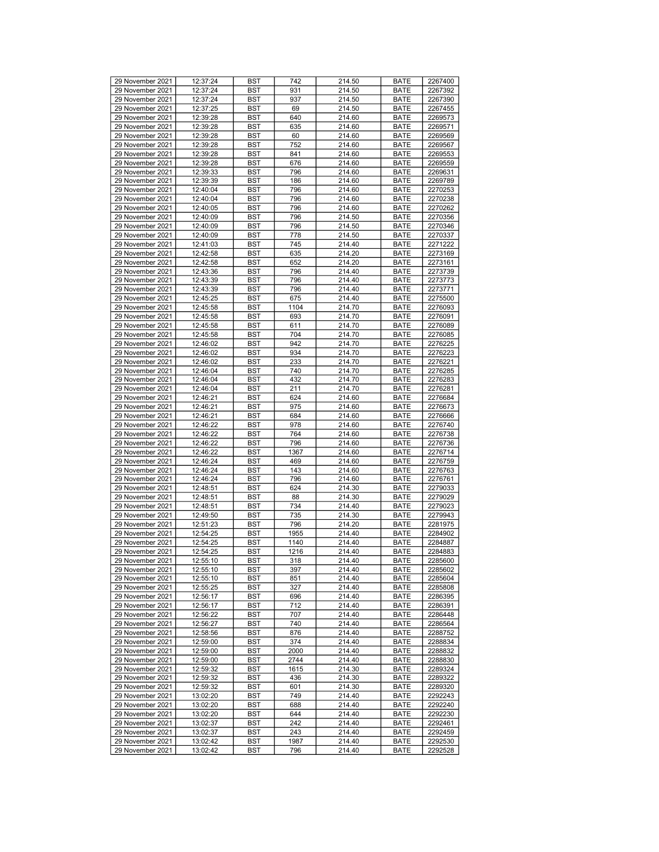| 29 November 2021                     | 12:37:24             | <b>BST</b> | 742         | 214.50           | <b>BATE</b>         | 2267400            |
|--------------------------------------|----------------------|------------|-------------|------------------|---------------------|--------------------|
| 29 November 2021                     | 12:37:24             | <b>BST</b> | 931         | 214.50           | <b>BATE</b>         | 2267392            |
| 29 November 2021                     | 12:37:24             | <b>BST</b> | 937         | 214.50           | <b>BATE</b>         | 2267390            |
| 29 November 2021                     | 12:37:25             | <b>BST</b> | 69          | 214.50           | <b>BATE</b>         | 2267455            |
| 29 November 2021                     | 12:39:28             | <b>BST</b> | 640         | 214.60           | <b>BATE</b>         | 2269573            |
|                                      |                      |            |             |                  | <b>BATE</b>         |                    |
| 29 November 2021                     | 12:39:28             | <b>BST</b> | 635         | 214.60           |                     | 2269571            |
| 29 November 2021                     | 12:39:28             | <b>BST</b> | 60          | 214.60           | <b>BATE</b>         | 2269569            |
| 29 November 2021                     | 12:39:28             | <b>BST</b> | 752         | 214.60           | <b>BATE</b>         | 2269567            |
| 29 November 2021                     | 12:39:28             | <b>BST</b> | 841         | 214.60           | <b>BATE</b>         | 2269553            |
|                                      |                      |            |             |                  |                     |                    |
| 29 November 2021                     | 12:39:28             | <b>BST</b> | 676         | 214.60           | <b>BATE</b>         | 2269559            |
| 29 November 2021                     | 12:39:33             | <b>BST</b> | 796         | 214.60           | <b>BATE</b>         | 2269631            |
| 29 November 2021                     | 12:39:39             | <b>BST</b> | 186         | 214.60           | <b>BATE</b>         | 2269789            |
| 29 November 2021                     | 12:40:04             | <b>BST</b> | 796         | 214.60           | <b>BATE</b>         | 2270253            |
| 29 November 2021                     |                      |            |             |                  |                     |                    |
|                                      | 12:40:04             | <b>BST</b> | 796         | 214.60           | <b>BATE</b>         | 2270238            |
| 29 November 2021                     | 12:40:05             | <b>BST</b> | 796         | 214.60           | <b>BATE</b>         | 2270262            |
| 29 November 2021                     | 12:40:09             | <b>BST</b> | 796         | 214.50           | <b>BATE</b>         | 2270356            |
| 29 November 2021                     | 12:40:09             | <b>BST</b> | 796         | 214.50           | <b>BATE</b>         | 2270346            |
| 29 November 2021                     | 12:40:09             | <b>BST</b> | 778         | 214.50           | <b>BATE</b>         | 2270337            |
|                                      |                      |            |             |                  |                     |                    |
| 29 November 2021                     | 12:41:03             | <b>BST</b> | 745         | 214.40           | <b>BATE</b>         | 2271222            |
| 29 November 2021                     | 12:42:58             | <b>BST</b> | 635         | 214.20           | <b>BATE</b>         | 2273169            |
| 29 November 2021                     | 12:42:58             | <b>BST</b> | 652         | 214.20           | <b>BATE</b>         | 2273161            |
| 29 November 2021                     | 12:43:36             | <b>BST</b> | 796         | 214.40           | <b>BATE</b>         | 2273739            |
|                                      |                      |            |             |                  |                     |                    |
| 29 November 2021                     | 12:43:39             | <b>BST</b> | 796         | 214.40           | <b>BATE</b>         | 2273773            |
| 29 November 2021                     | 12:43:39             | <b>BST</b> | 796         | 214.40           | <b>BATE</b>         | 2273771            |
| 29 November 2021                     | 12:45:25             | <b>BST</b> | 675         | 214.40           | <b>BATE</b>         | 2275500            |
| 29 November 2021                     | 12:45:58             | <b>BST</b> | 1104        | 214.70           | <b>BATE</b>         | 2276093            |
| 29 November 2021                     | 12:45:58             | <b>BST</b> | 693         | 214.70           |                     | 2276091            |
|                                      |                      |            |             |                  | <b>BATE</b>         |                    |
| 29 November 2021                     | 12:45:58             | <b>BST</b> | 611         | 214.70           | <b>BATE</b>         | 2276089            |
| 29 November 2021                     | 12:45:58             | <b>BST</b> | 704         | 214.70           | <b>BATE</b>         | 2276085            |
| 29 November 2021                     | 12:46:02             | <b>BST</b> | 942         | 214.70           | <b>BATE</b>         | 2276225            |
| 29 November 2021                     | 12:46:02             | <b>BST</b> | 934         | 214.70           | <b>BATE</b>         | 2276223            |
| 29 November 2021                     |                      |            |             |                  |                     |                    |
|                                      | 12:46:02             | <b>BST</b> | 233         | 214.70           | <b>BATE</b>         | 2276221            |
| 29 November 2021                     | 12:46:04             | <b>BST</b> | 740         | 214.70           | <b>BATE</b>         | 2276285            |
| 29 November 2021                     | 12:46:04             | <b>BST</b> | 432         | 214.70           | <b>BATE</b>         | 2276283            |
| 29 November 2021                     | 12:46:04             | <b>BST</b> | 211         | 214.70           | <b>BATE</b>         | 2276281            |
| 29 November 2021                     | 12:46:21             | <b>BST</b> | 624         | 214.60           | <b>BATE</b>         | 2276684            |
|                                      |                      |            |             |                  |                     |                    |
| 29 November 2021                     | 12:46:21             | <b>BST</b> | 975         | 214.60           | <b>BATE</b>         | 2276673            |
| 29 November 2021                     | 12:46:21             | <b>BST</b> | 684         | 214.60           | <b>BATE</b>         | 2276666            |
| 29 November 2021                     | 12:46:22             | <b>BST</b> | 978         | 214.60           | <b>BATE</b>         | 2276740            |
| 29 November 2021                     | 12:46:22             | <b>BST</b> | 764         | 214.60           | <b>BATE</b>         | 2276738            |
| 29 November 2021                     | 12:46:22             | <b>BST</b> | 796         | 214.60           | <b>BATE</b>         | 2276736            |
|                                      |                      |            |             |                  |                     |                    |
| 29 November 2021                     | 12:46:22             | <b>BST</b> | 1367        | 214.60           | <b>BATE</b>         | 2276714            |
| 29 November 2021                     | 12:46:24             | <b>BST</b> | 469         | 214.60           | <b>BATE</b>         | 2276759            |
| 29 November 2021                     | 12:46:24             | <b>BST</b> | 143         | 214.60           | <b>BATE</b>         | 2276763            |
| 29 November 2021                     | 12:46:24             | <b>BST</b> | 796         | 214.60           | <b>BATE</b>         | 2276761            |
| 29 November 2021                     | 12:48:51             | <b>BST</b> | 624         | 214.30           | <b>BATE</b>         | 2279033            |
|                                      |                      |            |             | 214.30           |                     |                    |
| 29 November 2021                     | 12:48:51             | <b>BST</b> | 88          |                  | <b>BATE</b>         | 2279029            |
| 29 November 2021                     | 12:48:51             | <b>BST</b> | 734         | 214.40           | <b>BATE</b>         | 2279023            |
| 29 November 2021                     | 12:49:50             | <b>BST</b> | 735         | 214.30           | <b>BATE</b>         | 2279943            |
| 29 November 2021                     | 12:51:23             | <b>BST</b> | 796         | 214.20           | <b>BATE</b>         | 2281975            |
| 29 November 2021                     | 12:54:25             | <b>BST</b> | 1955        | 214.40           | <b>BATE</b>         | 2284902            |
|                                      |                      |            |             |                  |                     |                    |
| 29 November 2021                     | 12:54:25             | <b>BST</b> | 1140        | 214.40           | <b>BATE</b>         | 2284887            |
| 29 November 2021                     | 12:54:25             | <b>BST</b> | 1216        |                  |                     |                    |
| 29 November 2021                     |                      |            |             | 214.40           | <b>BATE</b>         | 2284883            |
|                                      | 12:55:10             | <b>BST</b> | 318         | 214.40           | <b>BATE</b>         | 2285600            |
| 29 November 2021                     | 12:55:10             | <b>BST</b> | 397         | 214.40           | <b>BATE</b>         | 2285602            |
|                                      |                      |            |             |                  |                     |                    |
| 29 November 2021                     | 12:55:10             | <b>BST</b> | 851         | 214.40           | <b>BATE</b>         | 2285604            |
| 29 November 2021                     | 12:55:25             | BST        | 327         | 214.40           | <b>BATE</b>         | 2285808            |
| 29 November 2021                     | 12:56:17             | <b>BST</b> | 696         | 214.40           | <b>BATE</b>         | 2286395            |
| 29 November 2021                     | 12:56:17             | BST        | 712         | 214.40           | <b>BATE</b>         | 2286391            |
| 29 November 2021                     | 12:56:22             | <b>BST</b> | 707         | 214.40           | <b>BATE</b>         | 2286448            |
| 29 November 2021                     | 12:56:27             | <b>BST</b> | 740         | 214.40           | <b>BATE</b>         | 2286564            |
|                                      |                      |            |             |                  |                     |                    |
| 29 November 2021                     | 12:58:56             | BST        | 876         | 214.40           | <b>BATE</b>         | 2288752            |
| 29 November 2021                     | 12:59:00             | <b>BST</b> | 374         | 214.40           | <b>BATE</b>         | 2288834            |
| 29 November 2021                     | 12:59:00             | <b>BST</b> | 2000        | 214.40           | <b>BATE</b>         | 2288832            |
| 29 November 2021                     | 12:59:00             | <b>BST</b> | 2744        | 214.40           | <b>BATE</b>         | 2288830            |
| 29 November 2021                     | 12:59:32             | <b>BST</b> | 1615        | 214.30           | <b>BATE</b>         | 2289324            |
|                                      |                      |            |             |                  |                     |                    |
| 29 November 2021                     | 12:59:32             | <b>BST</b> | 436         | 214.30           | <b>BATE</b>         | 2289322            |
| 29 November 2021                     | 12:59:32             | <b>BST</b> | 601         | 214.30           | <b>BATE</b>         | 2289320            |
| 29 November 2021                     | 13:02:20             | BST        | 749         | 214.40           | <b>BATE</b>         | 2292243            |
| 29 November 2021                     | 13:02:20             | <b>BST</b> | 688         | 214.40           | <b>BATE</b>         | 2292240            |
| 29 November 2021                     | 13:02:20             | <b>BST</b> | 644         | 214.40           | <b>BATE</b>         | 2292230            |
|                                      |                      |            |             |                  |                     |                    |
| 29 November 2021                     | 13:02:37             | BST        | 242         | 214.40           | <b>BATE</b>         | 2292461            |
| 29 November 2021                     | 13:02:37             | <b>BST</b> | 243         | 214.40           | <b>BATE</b>         | 2292459            |
| 29 November 2021<br>29 November 2021 | 13:02:42<br>13:02:42 | BST<br>BST | 1987<br>796 | 214.40<br>214.40 | <b>BATE</b><br>BATE | 2292530<br>2292528 |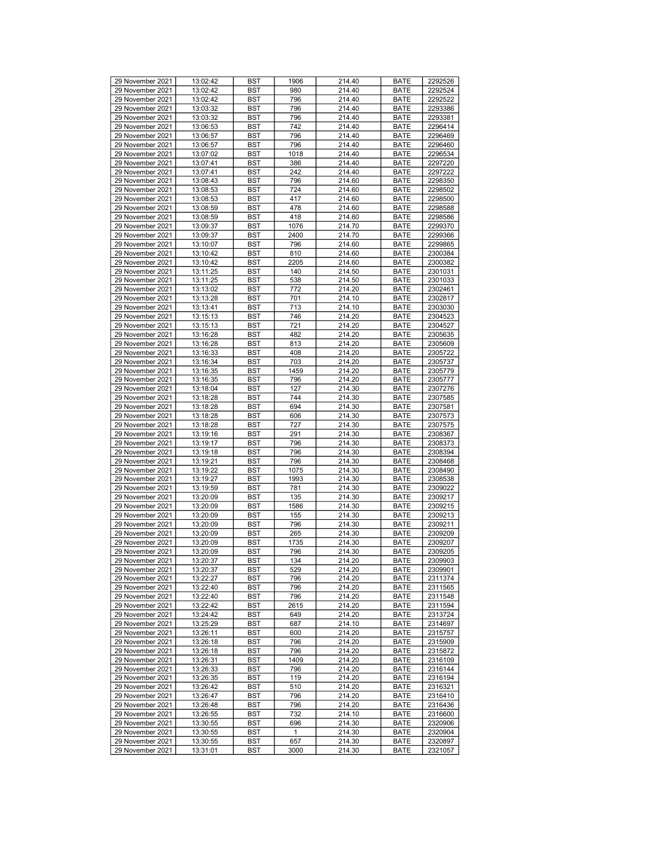| 29 November 2021 | 13:02:42 | <b>BST</b> | 1906        | 214.40 | <b>BATE</b> | 2292526 |
|------------------|----------|------------|-------------|--------|-------------|---------|
| 29 November 2021 | 13:02:42 | <b>BST</b> | 980         | 214.40 | <b>BATE</b> | 2292524 |
|                  |          |            |             |        |             |         |
| 29 November 2021 | 13:02:42 | <b>BST</b> | 796         | 214.40 | <b>BATE</b> | 2292522 |
| 29 November 2021 | 13:03:32 | <b>BST</b> | 796         | 214.40 | <b>BATE</b> | 2293386 |
|                  |          |            |             |        |             |         |
| 29 November 2021 | 13:03:32 | <b>BST</b> | 796         | 214.40 | <b>BATE</b> | 2293381 |
| 29 November 2021 | 13:06:53 | <b>BST</b> | 742         | 214.40 | <b>BATE</b> | 2296414 |
| 29 November 2021 |          |            |             |        |             |         |
|                  | 13:06:57 | <b>BST</b> | 796         | 214.40 | <b>BATE</b> | 2296469 |
| 29 November 2021 | 13:06:57 | <b>BST</b> | 796         | 214.40 | <b>BATE</b> | 2296460 |
|                  |          |            |             |        |             |         |
| 29 November 2021 | 13:07:02 | <b>BST</b> | 1018        | 214.40 | <b>BATE</b> | 2296534 |
| 29 November 2021 | 13:07:41 | <b>BST</b> | 386         | 214.40 | <b>BATE</b> | 2297220 |
| 29 November 2021 |          |            | 242         |        | <b>BATE</b> |         |
|                  | 13:07:41 | <b>BST</b> |             | 214.40 |             | 2297222 |
| 29 November 2021 | 13:08:43 | <b>BST</b> | 796         | 214.60 | <b>BATE</b> | 2298350 |
| 29 November 2021 | 13:08:53 | <b>BST</b> | 724         | 214.60 | <b>BATE</b> | 2298502 |
|                  |          |            |             |        |             |         |
| 29 November 2021 | 13:08:53 | <b>BST</b> | 417         | 214.60 | <b>BATE</b> | 2298500 |
| 29 November 2021 | 13:08:59 | <b>BST</b> | 478         | 214.60 | <b>BATE</b> | 2298588 |
|                  |          |            |             |        |             |         |
| 29 November 2021 | 13:08:59 | <b>BST</b> | 418         | 214.60 | <b>BATE</b> | 2298586 |
| 29 November 2021 | 13:09:37 | <b>BST</b> | 1076        | 214.70 | <b>BATE</b> | 2299370 |
|                  |          |            |             |        |             |         |
| 29 November 2021 | 13:09:37 | <b>BST</b> | 2400        | 214.70 | <b>BATE</b> | 2299366 |
| 29 November 2021 | 13:10:07 | <b>BST</b> | 796         | 214.60 | <b>BATE</b> | 2299865 |
|                  |          |            |             |        |             |         |
| 29 November 2021 | 13:10:42 | <b>BST</b> | 810         | 214.60 | <b>BATE</b> | 2300384 |
| 29 November 2021 | 13:10:42 | <b>BST</b> | 2205        | 214.60 | <b>BATE</b> | 2300382 |
|                  |          |            |             |        |             |         |
| 29 November 2021 | 13:11:25 | <b>BST</b> | 140         | 214.50 | <b>BATE</b> | 2301031 |
| 29 November 2021 | 13:11:25 | <b>BST</b> | 538         | 214.50 | <b>BATE</b> | 2301033 |
|                  |          |            |             |        |             |         |
| 29 November 2021 | 13:13:02 | <b>BST</b> | 772         | 214.20 | <b>BATE</b> | 2302461 |
| 29 November 2021 | 13:13:28 | <b>BST</b> | 701         | 214.10 | <b>BATE</b> | 2302817 |
|                  |          |            |             |        |             |         |
| 29 November 2021 | 13:13:41 | <b>BST</b> | 713         | 214.10 | <b>BATE</b> | 2303030 |
| 29 November 2021 | 13:15:13 | <b>BST</b> | 746         | 214.20 | <b>BATE</b> | 2304523 |
|                  |          |            |             |        |             |         |
| 29 November 2021 | 13:15:13 | <b>BST</b> | 721         | 214.20 | <b>BATE</b> | 2304527 |
| 29 November 2021 | 13:16:28 | <b>BST</b> | 482         | 214.20 | <b>BATE</b> | 2305635 |
|                  |          |            |             |        |             |         |
| 29 November 2021 | 13:16:28 | <b>BST</b> | 813         | 214.20 | <b>BATE</b> | 2305609 |
| 29 November 2021 | 13:16:33 | <b>BST</b> | 408         | 214.20 | <b>BATE</b> | 2305722 |
|                  |          |            |             |        |             |         |
| 29 November 2021 | 13:16:34 | <b>BST</b> | 703         | 214.20 | <b>BATE</b> | 2305737 |
| 29 November 2021 | 13:16:35 | <b>BST</b> | 1459        | 214.20 | <b>BATE</b> | 2305779 |
|                  |          |            |             |        |             |         |
| 29 November 2021 | 13:16:35 | <b>BST</b> | 796         | 214.20 | <b>BATE</b> | 2305777 |
| 29 November 2021 | 13:18:04 | <b>BST</b> | 127         | 214.30 | <b>BATE</b> | 2307276 |
|                  |          |            |             |        |             |         |
| 29 November 2021 | 13:18:28 | <b>BST</b> | 744         | 214.30 | <b>BATE</b> | 2307585 |
| 29 November 2021 | 13:18:28 | <b>BST</b> | 694         | 214.30 | <b>BATE</b> | 2307581 |
|                  |          |            |             |        |             |         |
| 29 November 2021 | 13:18:28 | <b>BST</b> | 606         | 214.30 | <b>BATE</b> | 2307573 |
| 29 November 2021 | 13:18:28 | <b>BST</b> | 727         | 214.30 | <b>BATE</b> | 2307575 |
|                  |          |            |             |        |             |         |
| 29 November 2021 | 13:19:16 | <b>BST</b> | 291         | 214.30 | <b>BATE</b> | 2308367 |
| 29 November 2021 | 13:19:17 | <b>BST</b> | 796         | 214.30 | <b>BATE</b> | 2308373 |
|                  |          |            |             |        |             |         |
| 29 November 2021 | 13:19:18 | <b>BST</b> | 796         | 214.30 | <b>BATE</b> | 2308394 |
| 29 November 2021 | 13:19:21 | <b>BST</b> | 796         | 214.30 | <b>BATE</b> | 2308468 |
|                  |          |            |             |        |             |         |
| 29 November 2021 | 13:19:22 | <b>BST</b> | 1075        | 214.30 | <b>BATE</b> | 2308490 |
| 29 November 2021 | 13:19:27 | <b>BST</b> | 1993        | 214.30 | <b>BATE</b> | 2308538 |
|                  |          |            |             |        |             |         |
| 29 November 2021 | 13:19:59 | <b>BST</b> | 781         | 214.30 | <b>BATE</b> | 2309022 |
| 29 November 2021 | 13:20:09 | <b>BST</b> | 135         | 214.30 | <b>BATE</b> | 2309217 |
|                  |          |            |             |        |             |         |
| 29 November 2021 | 13:20:09 | <b>BST</b> | 1586        | 214.30 | <b>BATE</b> | 2309215 |
| 29 November 2021 | 13:20:09 | <b>BST</b> | 155         | 214.30 | <b>BATE</b> | 2309213 |
| 29 November 2021 | 13:20:09 | <b>BST</b> | 796         | 214.30 | <b>BATE</b> | 2309211 |
|                  |          |            |             |        |             |         |
| 29 November 2021 | 13:20:09 | <b>BST</b> | 265         | 214.30 | <b>BATE</b> | 2309209 |
| 29 November 2021 | 13:20:09 | <b>BST</b> | 1735        | 214.30 | <b>BATE</b> | 2309207 |
|                  |          |            |             |        |             |         |
| 29 November 2021 | 13:20:09 | <b>BST</b> | 796         | 214.30 | <b>BATE</b> | 2309205 |
| 29 November 2021 | 13:20:37 | <b>BST</b> | 134         | 214.20 | <b>BATE</b> | 2309903 |
|                  |          |            |             |        |             |         |
| 29 November 2021 | 13:20:37 | <b>BST</b> | 529         | 214.20 | <b>BATE</b> | 2309901 |
| 29 November 2021 | 13:22:27 | <b>BST</b> | 796         | 214.20 | <b>BATE</b> | 2311374 |
|                  |          |            |             |        |             |         |
| 29 November 2021 | 13:22:40 | BST        | 796         | 214.20 | <b>BATE</b> | 2311565 |
| 29 November 2021 | 13:22:40 | <b>BST</b> | 796         | 214.20 | <b>BATE</b> | 2311548 |
|                  |          |            |             |        |             |         |
| 29 November 2021 | 13:22:42 | BST        | 2615        | 214.20 | <b>BATE</b> | 2311594 |
| 29 November 2021 | 13:24:42 | <b>BST</b> | 649         | 214.20 | <b>BATE</b> | 2313724 |
| 29 November 2021 | 13:25:29 | <b>BST</b> | 687         | 214.10 | <b>BATE</b> | 2314697 |
|                  |          |            |             |        |             |         |
| 29 November 2021 | 13:26:11 | BST        | 600         | 214.20 | <b>BATE</b> | 2315757 |
| 29 November 2021 | 13:26:18 | <b>BST</b> | 796         | 214.20 | <b>BATE</b> | 2315909 |
|                  |          |            |             |        |             |         |
| 29 November 2021 | 13:26:18 | <b>BST</b> | 796         | 214.20 | <b>BATE</b> | 2315872 |
| 29 November 2021 | 13:26:31 | <b>BST</b> | 1409        | 214.20 | BATE        | 2316109 |
|                  |          |            |             |        |             |         |
| 29 November 2021 | 13:26:33 | <b>BST</b> | 796         | 214.20 | <b>BATE</b> | 2316144 |
| 29 November 2021 | 13:26:35 | <b>BST</b> | 119         | 214.20 | <b>BATE</b> | 2316194 |
|                  |          |            |             |        |             |         |
| 29 November 2021 | 13:26:42 | <b>BST</b> | 510         | 214.20 | <b>BATE</b> | 2316321 |
| 29 November 2021 | 13:26:47 | BST        | 796         | 214.20 | <b>BATE</b> | 2316410 |
|                  |          |            |             |        |             |         |
| 29 November 2021 | 13:26:48 | <b>BST</b> | 796         | 214.20 | BATE        | 2316436 |
| 29 November 2021 | 13:26:55 | <b>BST</b> | 732         | 214.10 | <b>BATE</b> | 2316600 |
|                  |          |            |             |        |             |         |
| 29 November 2021 | 13:30:55 | <b>BST</b> | 696         | 214.30 | <b>BATE</b> | 2320906 |
| 29 November 2021 | 13:30:55 | <b>BST</b> | $\mathbf 1$ | 214.30 | <b>BATE</b> | 2320904 |
|                  |          |            |             |        |             |         |
| 29 November 2021 | 13:30:55 | BST        | 657         | 214.30 | <b>BATE</b> | 2320897 |
| 29 November 2021 | 13:31:01 | BST        | 3000        | 214.30 | BATE        | 2321057 |
|                  |          |            |             |        |             |         |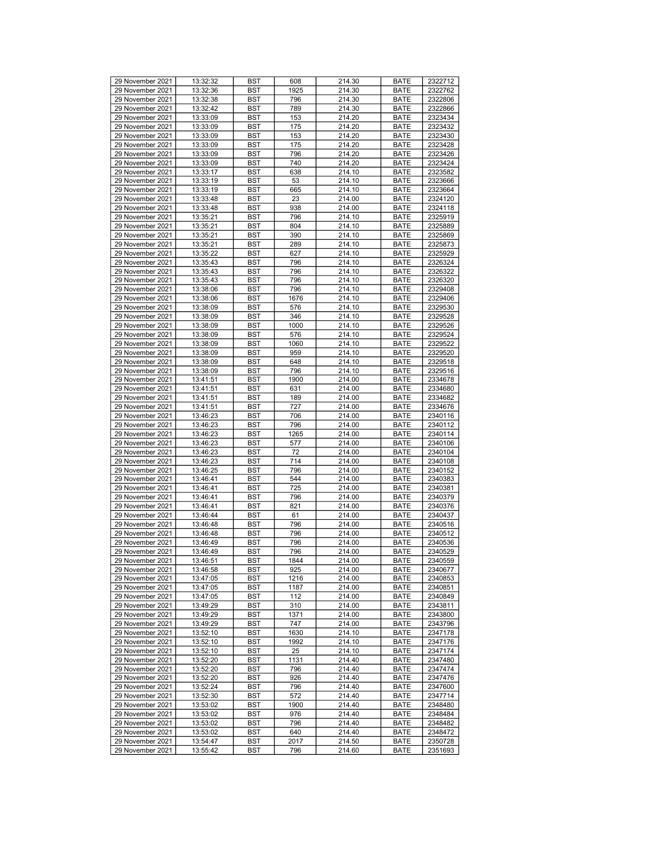| 29 November 2021 |          |            |      |        |             |         |
|------------------|----------|------------|------|--------|-------------|---------|
|                  | 13:32:32 | <b>BST</b> | 608  | 214.30 | <b>BATE</b> | 2322712 |
| 29 November 2021 | 13:32:36 | <b>BST</b> | 1925 | 214.30 | <b>BATE</b> | 2322762 |
| 29 November 2021 | 13:32:38 | <b>BST</b> | 796  | 214.30 | <b>BATE</b> | 2322806 |
| 29 November 2021 | 13:32:42 | <b>BST</b> | 789  | 214.30 | <b>BATE</b> | 2322866 |
| 29 November 2021 | 13:33:09 | <b>BST</b> | 153  | 214.20 | <b>BATE</b> | 2323434 |
| 29 November 2021 | 13:33:09 | <b>BST</b> | 175  | 214.20 | <b>BATE</b> | 2323432 |
| 29 November 2021 | 13:33:09 | <b>BST</b> |      | 214.20 | <b>BATE</b> |         |
|                  |          |            | 153  |        |             | 2323430 |
| 29 November 2021 | 13:33:09 | <b>BST</b> | 175  | 214.20 | <b>BATE</b> | 2323428 |
| 29 November 2021 | 13:33:09 | <b>BST</b> | 796  | 214.20 | <b>BATE</b> | 2323426 |
| 29 November 2021 | 13:33:09 | <b>BST</b> | 740  | 214.20 | <b>BATE</b> | 2323424 |
| 29 November 2021 | 13:33:17 | <b>BST</b> | 638  | 214.10 | <b>BATE</b> | 2323582 |
| 29 November 2021 | 13:33:19 | <b>BST</b> | 53   | 214.10 | <b>BATE</b> | 2323666 |
| 29 November 2021 | 13:33:19 | <b>BST</b> | 665  | 214.10 | <b>BATE</b> | 2323664 |
|                  |          |            |      |        |             |         |
| 29 November 2021 | 13:33:48 | <b>BST</b> | 23   | 214.00 | <b>BATE</b> | 2324120 |
| 29 November 2021 | 13:33:48 | <b>BST</b> | 938  | 214.00 | <b>BATE</b> | 2324118 |
| 29 November 2021 | 13:35:21 | <b>BST</b> | 796  | 214.10 | <b>BATE</b> | 2325919 |
| 29 November 2021 | 13:35:21 | <b>BST</b> | 804  | 214.10 | <b>BATE</b> | 2325889 |
| 29 November 2021 | 13:35:21 | <b>BST</b> | 390  | 214.10 | <b>BATE</b> | 2325869 |
| 29 November 2021 | 13:35:21 | <b>BST</b> | 289  | 214.10 | <b>BATE</b> | 2325873 |
|                  |          |            |      |        |             |         |
| 29 November 2021 | 13:35:22 | <b>BST</b> | 627  | 214.10 | <b>BATE</b> | 2325929 |
| 29 November 2021 | 13:35:43 | <b>BST</b> | 796  | 214.10 | <b>BATE</b> | 2326324 |
| 29 November 2021 | 13:35:43 | <b>BST</b> | 796  | 214.10 | <b>BATE</b> | 2326322 |
| 29 November 2021 | 13:35:43 | <b>BST</b> | 796  | 214.10 | <b>BATE</b> | 2326320 |
| 29 November 2021 | 13:38:06 | <b>BST</b> | 796  | 214.10 | <b>BATE</b> | 2329408 |
| 29 November 2021 | 13:38:06 | <b>BST</b> | 1676 | 214.10 | <b>BATE</b> | 2329406 |
| 29 November 2021 | 13:38:09 | <b>BST</b> |      | 214.10 | <b>BATE</b> |         |
|                  |          |            | 576  |        |             | 2329530 |
| 29 November 2021 | 13:38:09 | <b>BST</b> | 346  | 214.10 | <b>BATE</b> | 2329528 |
| 29 November 2021 | 13:38:09 | <b>BST</b> | 1000 | 214.10 | <b>BATE</b> | 2329526 |
| 29 November 2021 | 13:38:09 | <b>BST</b> | 576  | 214.10 | <b>BATE</b> | 2329524 |
| 29 November 2021 | 13:38:09 | <b>BST</b> | 1060 | 214.10 | <b>BATE</b> | 2329522 |
| 29 November 2021 | 13:38:09 | <b>BST</b> | 959  | 214.10 | <b>BATE</b> | 2329520 |
| 29 November 2021 | 13:38:09 | <b>BST</b> | 648  | 214.10 |             |         |
|                  |          |            |      |        | <b>BATE</b> | 2329518 |
| 29 November 2021 | 13:38:09 | <b>BST</b> | 796  | 214.10 | <b>BATE</b> | 2329516 |
| 29 November 2021 | 13:41:51 | <b>BST</b> | 1900 | 214.00 | <b>BATE</b> | 2334678 |
| 29 November 2021 | 13:41:51 | <b>BST</b> | 631  | 214.00 | <b>BATE</b> | 2334680 |
| 29 November 2021 | 13:41:51 | <b>BST</b> | 189  | 214.00 | <b>BATE</b> | 2334682 |
| 29 November 2021 | 13:41:51 | <b>BST</b> | 727  | 214.00 | <b>BATE</b> | 2334676 |
| 29 November 2021 | 13:46:23 | <b>BST</b> | 706  | 214.00 | <b>BATE</b> | 2340116 |
|                  |          |            |      |        |             |         |
| 29 November 2021 | 13:46:23 | <b>BST</b> | 796  | 214.00 | <b>BATE</b> | 2340112 |
| 29 November 2021 | 13:46:23 | <b>BST</b> | 1265 | 214.00 | <b>BATE</b> | 2340114 |
| 29 November 2021 | 13:46:23 | <b>BST</b> | 577  | 214.00 | <b>BATE</b> | 2340106 |
| 29 November 2021 | 13:46:23 | <b>BST</b> | 72   | 214.00 | <b>BATE</b> | 2340104 |
| 29 November 2021 | 13:46:23 | <b>BST</b> | 714  | 214.00 | <b>BATE</b> | 2340108 |
| 29 November 2021 | 13:46:25 | <b>BST</b> | 796  | 214.00 | <b>BATE</b> | 2340152 |
| 29 November 2021 | 13:46:41 |            | 544  |        | <b>BATE</b> | 2340383 |
|                  |          | <b>BST</b> |      | 214.00 |             |         |
| 29 November 2021 | 13:46:41 | <b>BST</b> | 725  | 214.00 | <b>BATE</b> | 2340381 |
| 29 November 2021 | 13:46:41 | <b>BST</b> | 796  | 214.00 | <b>BATE</b> | 2340379 |
| 29 November 2021 | 13:46:41 | <b>BST</b> | 821  | 214.00 | <b>BATE</b> | 2340376 |
| 29 November 2021 | 13:46:44 | <b>BST</b> | 61   | 214.00 | <b>BATE</b> | 2340437 |
| 29 November 2021 | 13:46:48 | <b>BST</b> | 796  | 214.00 | <b>BATE</b> | 2340516 |
| 29 November 2021 | 13:46:48 | <b>BST</b> | 796  | 214.00 | <b>BATE</b> | 2340512 |
|                  |          |            |      |        |             |         |
| 29 November 2021 | 13:46:49 | <b>BST</b> | 796  | 214.00 | <b>BATE</b> | 2340536 |
| 29 November 2021 | 13:46:49 | <b>BST</b> | 796  | 214.00 | <b>BATE</b> | 2340529 |
| 29 November 2021 | 13:46:51 | <b>BST</b> | 1844 | 214.00 | <b>BATE</b> | 2340559 |
| 29 November 2021 | 13:46:58 | <b>BST</b> | 925  | 214.00 | <b>BATE</b> | 2340677 |
| 29 November 2021 | 13:47:05 | <b>BST</b> | 1216 | 214.00 | <b>BATE</b> | 2340853 |
| 29 November 2021 | 13:47:05 | BST        | 1187 | 214.00 | <b>BATE</b> | 2340851 |
| 29 November 2021 | 13:47:05 | <b>BST</b> | 112  | 214.00 | <b>BATE</b> | 2340849 |
| 29 November 2021 |          |            |      |        |             |         |
|                  | 13:49:29 | <b>BST</b> | 310  | 214.00 | <b>BATE</b> | 2343811 |
| 29 November 2021 | 13:49:29 | <b>BST</b> | 1371 | 214.00 | <b>BATE</b> | 2343800 |
| 29 November 2021 | 13:49:29 | <b>BST</b> | 747  | 214.00 | <b>BATE</b> | 2343796 |
| 29 November 2021 | 13:52:10 | BST        | 1630 | 214.10 | <b>BATE</b> | 2347178 |
| 29 November 2021 | 13:52:10 | <b>BST</b> | 1992 | 214.10 | <b>BATE</b> | 2347176 |
| 29 November 2021 | 13:52:10 | <b>BST</b> | 25   | 214.10 | <b>BATE</b> | 2347174 |
| 29 November 2021 | 13:52:20 | <b>BST</b> | 1131 | 214.40 | <b>BATE</b> | 2347480 |
|                  |          |            |      |        |             |         |
| 29 November 2021 | 13:52:20 | <b>BST</b> | 796  | 214.40 | <b>BATE</b> | 2347474 |
| 29 November 2021 | 13:52:20 | BST        | 926  | 214.40 | <b>BATE</b> | 2347476 |
| 29 November 2021 | 13:52:24 | <b>BST</b> | 796  | 214.40 | <b>BATE</b> | 2347600 |
| 29 November 2021 | 13:52:30 | BST        | 572  | 214.40 | <b>BATE</b> | 2347714 |
| 29 November 2021 | 13:53:02 | <b>BST</b> | 1900 | 214.40 | <b>BATE</b> | 2348480 |
| 29 November 2021 | 13:53:02 | <b>BST</b> | 976  | 214.40 | <b>BATE</b> | 2348484 |
|                  |          |            |      |        |             |         |
| 29 November 2021 | 13:53:02 | <b>BST</b> | 796  | 214.40 | <b>BATE</b> | 2348482 |
| 29 November 2021 | 13:53:02 | <b>BST</b> | 640  | 214.40 | <b>BATE</b> | 2348472 |
| 29 November 2021 | 13:54:47 | BST        | 2017 | 214.50 | <b>BATE</b> | 2350728 |
| 29 November 2021 | 13:55:42 | BST        | 796  | 214.60 | BATE        | 2351693 |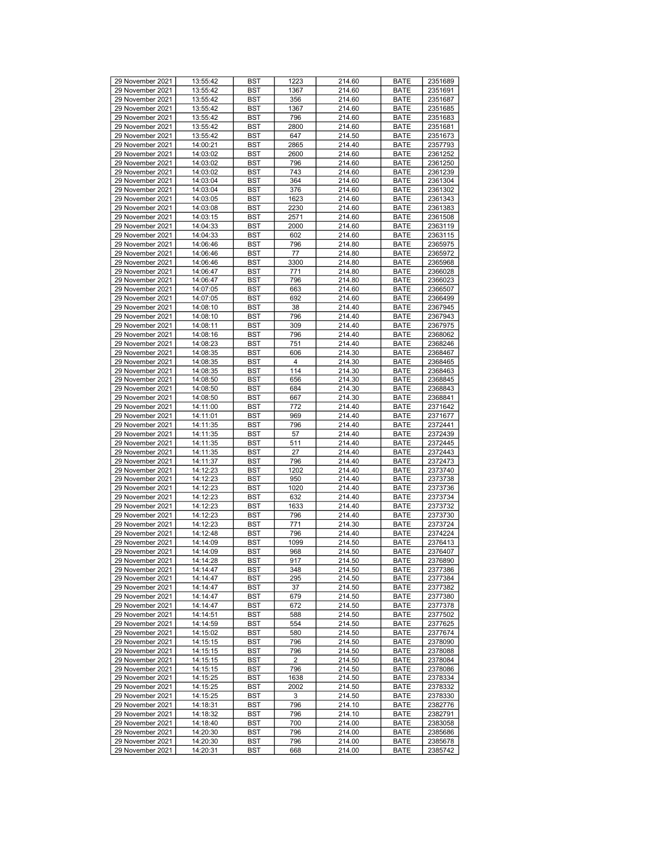| 29 November 2021                     |                      |            |      |                  |                     |                    |
|--------------------------------------|----------------------|------------|------|------------------|---------------------|--------------------|
|                                      | 13:55:42             | <b>BST</b> | 1223 | 214.60           | <b>BATE</b>         | 2351689            |
| 29 November 2021                     | 13:55:42             | <b>BST</b> | 1367 | 214.60           | <b>BATE</b>         | 2351691            |
| 29 November 2021                     | 13:55:42             | <b>BST</b> | 356  | 214.60           | <b>BATE</b>         | 2351687            |
| 29 November 2021                     | 13:55:42             | <b>BST</b> | 1367 | 214.60           | <b>BATE</b>         | 2351685            |
| 29 November 2021                     | 13:55:42             | <b>BST</b> | 796  | 214.60           | <b>BATE</b>         | 2351683            |
| 29 November 2021                     | 13:55:42             | <b>BST</b> | 2800 | 214.60           | <b>BATE</b>         | 2351681            |
| 29 November 2021                     | 13:55:42             | <b>BST</b> | 647  | 214.50           | <b>BATE</b>         |                    |
|                                      |                      |            |      |                  |                     | 2351673            |
| 29 November 2021                     | 14:00:21             | <b>BST</b> | 2865 | 214.40           | <b>BATE</b>         | 2357793            |
| 29 November 2021                     | 14:03:02             | <b>BST</b> | 2600 | 214.60           | <b>BATE</b>         | 2361252            |
| 29 November 2021                     | 14:03:02             | <b>BST</b> | 796  | 214.60           | <b>BATE</b>         | 2361250            |
| 29 November 2021                     | 14:03:02             | <b>BST</b> | 743  | 214.60           | <b>BATE</b>         | 2361239            |
| 29 November 2021                     | 14:03:04             | <b>BST</b> | 364  | 214.60           | <b>BATE</b>         | 2361304            |
| 29 November 2021                     | 14:03:04             | <b>BST</b> | 376  | 214.60           | <b>BATE</b>         | 2361302            |
|                                      |                      |            |      |                  |                     |                    |
| 29 November 2021                     | 14:03:05             | <b>BST</b> | 1623 | 214.60           | <b>BATE</b>         | 2361343            |
| 29 November 2021                     | 14:03:08             | <b>BST</b> | 2230 | 214.60           | <b>BATE</b>         | 2361383            |
| 29 November 2021                     | 14:03:15             | <b>BST</b> | 2571 | 214.60           | <b>BATE</b>         | 2361508            |
| 29 November 2021                     | 14:04:33             | <b>BST</b> | 2000 | 214.60           | <b>BATE</b>         | 2363119            |
| 29 November 2021                     | 14:04:33             | <b>BST</b> | 602  | 214.60           | <b>BATE</b>         | 2363115            |
| 29 November 2021                     | 14:06:46             | <b>BST</b> | 796  | 214.80           | <b>BATE</b>         | 2365975            |
|                                      |                      |            |      |                  |                     |                    |
| 29 November 2021                     | 14:06:46             | <b>BST</b> | 77   | 214.80           | <b>BATE</b>         | 2365972            |
| 29 November 2021                     | 14:06:46             | <b>BST</b> | 3300 | 214.80           | <b>BATE</b>         | 2365968            |
| 29 November 2021                     | 14:06:47             | <b>BST</b> | 771  | 214.80           | <b>BATE</b>         | 2366028            |
| 29 November 2021                     | 14:06:47             | <b>BST</b> | 796  | 214.80           | <b>BATE</b>         | 2366023            |
| 29 November 2021                     | 14:07:05             | <b>BST</b> | 663  | 214.60           | <b>BATE</b>         | 2366507            |
| 29 November 2021                     | 14:07:05             | <b>BST</b> | 692  | 214.60           | <b>BATE</b>         | 2366499            |
| 29 November 2021                     | 14:08:10             | <b>BST</b> | 38   | 214.40           | <b>BATE</b>         |                    |
|                                      |                      |            |      |                  |                     | 2367945            |
| 29 November 2021                     | 14:08:10             | <b>BST</b> | 796  | 214.40           | <b>BATE</b>         | 2367943            |
| 29 November 2021                     | 14:08:11             | <b>BST</b> | 309  | 214.40           | <b>BATE</b>         | 2367975            |
| 29 November 2021                     | 14:08:16             | <b>BST</b> | 796  | 214.40           | <b>BATE</b>         | 2368062            |
| 29 November 2021                     | 14:08:23             | <b>BST</b> | 751  | 214.40           | <b>BATE</b>         | 2368246            |
| 29 November 2021                     | 14:08:35             | <b>BST</b> | 606  | 214.30           | <b>BATE</b>         | 2368467            |
| 29 November 2021                     | 14:08:35             | <b>BST</b> | 4    | 214.30           |                     | 2368465            |
|                                      |                      |            |      |                  | <b>BATE</b>         |                    |
| 29 November 2021                     | 14:08:35             | <b>BST</b> | 114  | 214.30           | <b>BATE</b>         | 2368463            |
| 29 November 2021                     | 14:08:50             | <b>BST</b> | 656  | 214.30           | <b>BATE</b>         | 2368845            |
| 29 November 2021                     | 14:08:50             | <b>BST</b> | 684  | 214.30           | <b>BATE</b>         | 2368843            |
| 29 November 2021                     | 14:08:50             | <b>BST</b> | 667  | 214.30           | <b>BATE</b>         | 2368841            |
| 29 November 2021                     | 14:11:00             | <b>BST</b> | 772  | 214.40           | <b>BATE</b>         | 2371642            |
| 29 November 2021                     | 14:11:01             | <b>BST</b> | 969  | 214.40           | <b>BATE</b>         | 2371677            |
|                                      |                      |            |      |                  |                     |                    |
| 29 November 2021                     | 14:11:35             | <b>BST</b> | 796  | 214.40           | <b>BATE</b>         | 2372441            |
| 29 November 2021                     | 14:11:35             | <b>BST</b> | 57   | 214.40           | <b>BATE</b>         | 2372439            |
| 29 November 2021                     | 14:11:35             | <b>BST</b> | 511  | 214.40           | <b>BATE</b>         | 2372445            |
| 29 November 2021                     | 14:11:35             | <b>BST</b> | 27   | 214.40           | <b>BATE</b>         | 2372443            |
| 29 November 2021                     | 14:11:37             | <b>BST</b> | 796  | 214.40           | <b>BATE</b>         | 2372473            |
| 29 November 2021                     | 14:12:23             | <b>BST</b> | 1202 | 214.40           | <b>BATE</b>         | 2373740            |
|                                      |                      |            |      |                  |                     |                    |
| 29 November 2021                     | 14:12:23             | <b>BST</b> | 950  | 214.40           | <b>BATE</b>         | 2373738            |
| 29 November 2021                     | 14:12:23             | <b>BST</b> | 1020 | 214.40           | <b>BATE</b>         | 2373736            |
| 29 November 2021                     | 14:12:23             | <b>BST</b> | 632  | 214.40           | <b>BATE</b>         | 2373734            |
| 29 November 2021                     | 14:12:23             | <b>BST</b> | 1633 | 214.40           | <b>BATE</b>         | 2373732            |
| 29 November 2021                     | 14:12:23             | <b>BST</b> | 796  | 214.40           | <b>BATE</b>         | 2373730            |
| 29 November 2021                     | 14:12:23             | <b>BST</b> | 771  | 214.30           | <b>BATE</b>         | 2373724            |
| 29 November 2021                     | 14:12:48             | <b>BST</b> | 796  | 214.40           | <b>BATE</b>         | 2374224            |
| 29 November 2021                     |                      |            | 1099 |                  |                     |                    |
|                                      | 14:14:09             | <b>BST</b> |      | 214.50           | <b>BATE</b>         | 2376413            |
| 29 November 2021                     | 14:14:09             | <b>BST</b> | 968  | 214.50           | <b>BATE</b>         | 2376407            |
| 29 November 2021                     | 14:14:28             | <b>BST</b> | 917  | 214.50           | <b>BATE</b>         | 2376890            |
| 29 November 2021                     |                      |            |      |                  |                     |                    |
|                                      | 14:14:47             | <b>BST</b> | 348  | 214.50           | <b>BATE</b>         | 2377386            |
| 29 November 2021                     | 14:14:47             | <b>BST</b> | 295  | 214.50           | <b>BATE</b>         | 2377384            |
|                                      |                      |            |      |                  |                     |                    |
| 29 November 2021                     | 14:14:47             | BST        | 37   | 214.50           | <b>BATE</b>         | 2377382            |
| 29 November 2021                     | 14:14:47             | <b>BST</b> | 679  | 214.50           | <b>BATE</b>         | 2377380            |
| 29 November 2021                     | 14:14:47             | BST        | 672  | 214.50           | <b>BATE</b>         | 2377378            |
| 29 November 2021                     | 14:14:51             | <b>BST</b> | 588  | 214.50           | <b>BATE</b>         | 2377502            |
| 29 November 2021                     | 14:14:59             | <b>BST</b> | 554  | 214.50           | <b>BATE</b>         | 2377625            |
| 29 November 2021                     | 14:15:02             | BST        | 580  | 214.50           | <b>BATE</b>         | 2377674            |
| 29 November 2021                     | 14:15:15             | <b>BST</b> | 796  | 214.50           | <b>BATE</b>         | 2378090            |
|                                      |                      |            |      |                  |                     |                    |
| 29 November 2021                     | 14:15:15             | <b>BST</b> | 796  | 214.50           | <b>BATE</b>         | 2378088            |
| 29 November 2021                     | 14:15:15             | <b>BST</b> | 2    | 214.50           | <b>BATE</b>         | 2378084            |
| 29 November 2021                     | 14:15:15             | <b>BST</b> | 796  | 214.50           | <b>BATE</b>         | 2378086            |
| 29 November 2021                     | 14:15:25             | <b>BST</b> | 1638 | 214.50           | <b>BATE</b>         | 2378334            |
| 29 November 2021                     | 14:15:25             | <b>BST</b> | 2002 | 214.50           | <b>BATE</b>         | 2378332            |
| 29 November 2021                     | 14:15:25             | BST        | 3    | 214.50           | <b>BATE</b>         | 2378330            |
|                                      |                      |            |      |                  |                     |                    |
| 29 November 2021                     | 14:18:31             | <b>BST</b> | 796  | 214.10           | <b>BATE</b>         | 2382776            |
| 29 November 2021                     | 14:18:32             | <b>BST</b> | 796  | 214.10           | <b>BATE</b>         | 2382791            |
| 29 November 2021                     | 14:18:40             | BST        | 700  | 214.00           | <b>BATE</b>         | 2383058            |
| 29 November 2021                     | 14:20:30             | <b>BST</b> | 796  | 214.00           | <b>BATE</b>         | 2385686            |
| 29 November 2021<br>29 November 2021 | 14:20:30<br>14:20:31 | BST        | 796  | 214.00<br>214.00 | <b>BATE</b><br>BATE | 2385678<br>2385742 |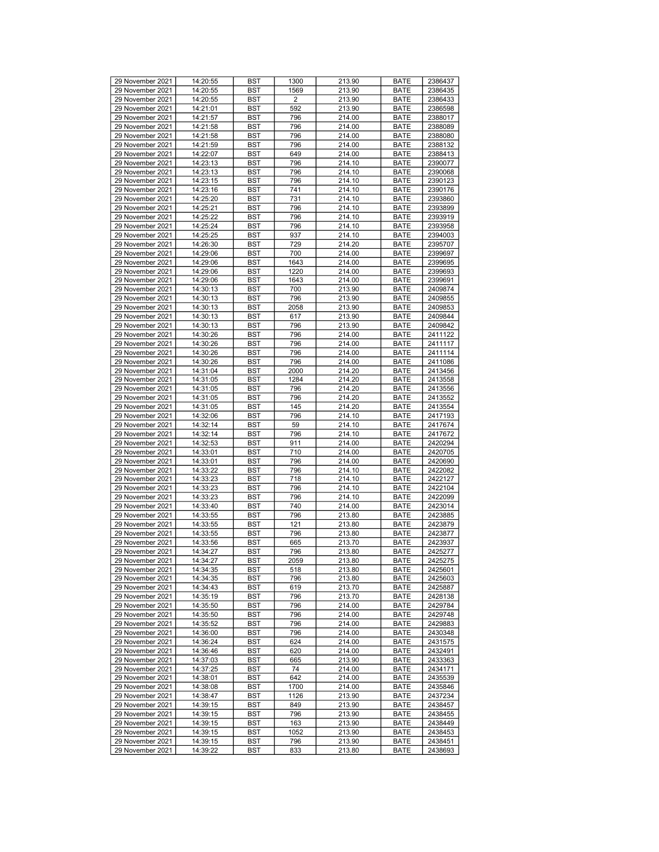| 29 November 2021 |          |            |      |        |             |         |
|------------------|----------|------------|------|--------|-------------|---------|
|                  | 14:20:55 | <b>BST</b> | 1300 | 213.90 | <b>BATE</b> | 2386437 |
| 29 November 2021 | 14:20:55 | <b>BST</b> | 1569 | 213.90 | <b>BATE</b> | 2386435 |
| 29 November 2021 | 14:20:55 | <b>BST</b> | 2    | 213.90 | <b>BATE</b> | 2386433 |
| 29 November 2021 | 14:21:01 | <b>BST</b> | 592  | 213.90 | <b>BATE</b> | 2386598 |
| 29 November 2021 | 14:21:57 | <b>BST</b> | 796  | 214.00 | <b>BATE</b> | 2388017 |
| 29 November 2021 | 14:21:58 | <b>BST</b> | 796  | 214.00 | <b>BATE</b> | 2388089 |
| 29 November 2021 |          | <b>BST</b> | 796  | 214.00 |             | 2388080 |
|                  | 14:21:58 |            |      |        | <b>BATE</b> |         |
| 29 November 2021 | 14:21:59 | <b>BST</b> | 796  | 214.00 | <b>BATE</b> | 2388132 |
| 29 November 2021 | 14:22:07 | <b>BST</b> | 649  | 214.00 | <b>BATE</b> | 2388413 |
| 29 November 2021 | 14:23:13 | <b>BST</b> | 796  | 214.10 | <b>BATE</b> | 2390077 |
| 29 November 2021 | 14:23:13 | <b>BST</b> | 796  | 214.10 | <b>BATE</b> | 2390068 |
| 29 November 2021 | 14:23:15 | <b>BST</b> | 796  | 214.10 | <b>BATE</b> | 2390123 |
| 29 November 2021 | 14:23:16 | <b>BST</b> | 741  | 214.10 | <b>BATE</b> | 2390176 |
|                  |          |            |      |        |             |         |
| 29 November 2021 | 14:25:20 | <b>BST</b> | 731  | 214.10 | <b>BATE</b> | 2393860 |
| 29 November 2021 | 14:25:21 | <b>BST</b> | 796  | 214.10 | <b>BATE</b> | 2393899 |
| 29 November 2021 | 14:25:22 | <b>BST</b> | 796  | 214.10 | <b>BATE</b> | 2393919 |
| 29 November 2021 | 14:25:24 | <b>BST</b> | 796  | 214.10 | <b>BATE</b> | 2393958 |
| 29 November 2021 | 14:25:25 | <b>BST</b> | 937  | 214.10 | <b>BATE</b> | 2394003 |
|                  |          |            |      |        |             |         |
| 29 November 2021 | 14:26:30 | <b>BST</b> | 729  | 214.20 | <b>BATE</b> | 2395707 |
| 29 November 2021 | 14:29:06 | <b>BST</b> | 700  | 214.00 | <b>BATE</b> | 2399697 |
| 29 November 2021 | 14:29:06 | <b>BST</b> | 1643 | 214.00 | <b>BATE</b> | 2399695 |
| 29 November 2021 | 14:29:06 | <b>BST</b> | 1220 | 214.00 | <b>BATE</b> | 2399693 |
| 29 November 2021 | 14:29:06 | <b>BST</b> | 1643 | 214.00 | <b>BATE</b> | 2399691 |
| 29 November 2021 | 14:30:13 | <b>BST</b> | 700  | 213.90 | <b>BATE</b> | 2409874 |
| 29 November 2021 | 14:30:13 | <b>BST</b> | 796  | 213.90 | <b>BATE</b> | 2409855 |
|                  |          |            |      |        |             |         |
| 29 November 2021 | 14:30:13 | <b>BST</b> | 2058 | 213.90 | <b>BATE</b> | 2409853 |
| 29 November 2021 | 14:30:13 | <b>BST</b> | 617  | 213.90 | <b>BATE</b> | 2409844 |
| 29 November 2021 | 14:30:13 | <b>BST</b> | 796  | 213.90 | <b>BATE</b> | 2409842 |
| 29 November 2021 | 14:30:26 | <b>BST</b> | 796  | 214.00 | <b>BATE</b> | 2411122 |
| 29 November 2021 | 14:30:26 | <b>BST</b> | 796  | 214.00 | <b>BATE</b> | 2411117 |
| 29 November 2021 | 14:30:26 | <b>BST</b> | 796  | 214.00 | <b>BATE</b> | 2411114 |
|                  |          |            |      |        |             |         |
| 29 November 2021 | 14:30:26 | <b>BST</b> | 796  | 214.00 | <b>BATE</b> | 2411086 |
| 29 November 2021 | 14:31:04 | <b>BST</b> | 2000 | 214.20 | <b>BATE</b> | 2413456 |
| 29 November 2021 | 14:31:05 | <b>BST</b> | 1284 | 214.20 | <b>BATE</b> | 2413558 |
| 29 November 2021 | 14:31:05 | <b>BST</b> | 796  | 214.20 | <b>BATE</b> | 2413556 |
| 29 November 2021 | 14:31:05 | <b>BST</b> | 796  | 214.20 | <b>BATE</b> | 2413552 |
| 29 November 2021 | 14:31:05 | <b>BST</b> | 145  | 214.20 | <b>BATE</b> | 2413554 |
|                  |          |            |      |        |             |         |
| 29 November 2021 | 14:32:06 | <b>BST</b> | 796  | 214.10 | <b>BATE</b> | 2417193 |
| 29 November 2021 | 14:32:14 | <b>BST</b> | 59   | 214.10 | <b>BATE</b> | 2417674 |
| 29 November 2021 | 14:32:14 | <b>BST</b> | 796  | 214.10 | <b>BATE</b> | 2417672 |
| 29 November 2021 | 14:32:53 | <b>BST</b> | 911  | 214.00 | <b>BATE</b> | 2420294 |
| 29 November 2021 | 14:33:01 | <b>BST</b> | 710  | 214.00 | <b>BATE</b> | 2420705 |
| 29 November 2021 | 14:33:01 | <b>BST</b> | 796  | 214.00 | <b>BATE</b> | 2420690 |
|                  |          |            |      |        |             |         |
| 29 November 2021 | 14:33:22 | <b>BST</b> | 796  | 214.10 | <b>BATE</b> | 2422082 |
| 29 November 2021 | 14:33:23 | <b>BST</b> | 718  | 214.10 | <b>BATE</b> | 2422127 |
| 29 November 2021 | 14:33:23 | <b>BST</b> | 796  | 214.10 | <b>BATE</b> | 2422104 |
| 29 November 2021 | 14:33:23 | <b>BST</b> | 796  | 214.10 | <b>BATE</b> | 2422099 |
| 29 November 2021 | 14:33:40 | <b>BST</b> | 740  | 214.00 | <b>BATE</b> | 2423014 |
| 29 November 2021 | 14:33:55 | <b>BST</b> | 796  | 213.80 | <b>BATE</b> | 2423885 |
| 29 November 2021 | 14:33:55 | <b>BST</b> | 121  | 213.80 | <b>BATE</b> | 2423879 |
|                  |          |            |      |        |             |         |
| 29 November 2021 | 14:33:55 | <b>BST</b> | 796  | 213.80 | <b>BATE</b> | 2423877 |
| 29 November 2021 | 14:33:56 | <b>BST</b> | 665  | 213.70 | <b>BATE</b> | 2423937 |
| 29 November 2021 | 14:34:27 | <b>BST</b> | 796  | 213.80 | <b>BATE</b> | 2425277 |
| 29 November 2021 | 14:34:27 | <b>BST</b> | 2059 | 213.80 | <b>BATE</b> | 2425275 |
| 29 November 2021 | 14:34:35 | <b>BST</b> | 518  | 213.80 | <b>BATE</b> | 2425601 |
| 29 November 2021 | 14:34:35 | <b>BST</b> | 796  | 213.80 | <b>BATE</b> | 2425603 |
|                  |          |            |      |        |             |         |
| 29 November 2021 | 14:34:43 | BST        | 619  | 213.70 | <b>BATE</b> | 2425887 |
| 29 November 2021 | 14:35:19 | <b>BST</b> | 796  | 213.70 | <b>BATE</b> | 2428138 |
| 29 November 2021 | 14:35:50 | <b>BST</b> | 796  | 214.00 | <b>BATE</b> | 2429784 |
| 29 November 2021 | 14:35:50 | <b>BST</b> | 796  | 214.00 | <b>BATE</b> | 2429748 |
| 29 November 2021 | 14:35:52 | <b>BST</b> | 796  | 214.00 | <b>BATE</b> | 2429883 |
| 29 November 2021 | 14:36:00 | BST        | 796  | 214.00 | <b>BATE</b> | 2430348 |
| 29 November 2021 | 14:36:24 | <b>BST</b> | 624  | 214.00 | <b>BATE</b> | 2431575 |
|                  |          |            |      |        |             |         |
| 29 November 2021 | 14:36:46 | <b>BST</b> | 620  | 214.00 | <b>BATE</b> | 2432491 |
| 29 November 2021 | 14:37:03 | <b>BST</b> | 665  | 213.90 | <b>BATE</b> | 2433363 |
| 29 November 2021 | 14:37:25 | <b>BST</b> | 74   | 214.00 | <b>BATE</b> | 2434171 |
| 29 November 2021 | 14:38:01 | <b>BST</b> | 642  | 214.00 | <b>BATE</b> | 2435539 |
| 29 November 2021 | 14:38:08 | <b>BST</b> | 1700 | 214.00 | <b>BATE</b> | 2435846 |
| 29 November 2021 | 14:38:47 | BST        | 1126 | 213.90 | <b>BATE</b> | 2437234 |
| 29 November 2021 |          |            |      |        |             |         |
|                  | 14:39:15 | <b>BST</b> | 849  | 213.90 | <b>BATE</b> | 2438457 |
| 29 November 2021 | 14:39:15 | <b>BST</b> | 796  | 213.90 | <b>BATE</b> | 2438455 |
| 29 November 2021 | 14:39:15 | BST        | 163  | 213.90 | <b>BATE</b> | 2438449 |
| 29 November 2021 | 14:39:15 | <b>BST</b> | 1052 | 213.90 | <b>BATE</b> | 2438453 |
| 29 November 2021 | 14:39:15 | BST        | 796  | 213.90 | <b>BATE</b> | 2438451 |
| 29 November 2021 | 14:39:22 | BST        | 833  | 213.80 | BATE        | 2438693 |
|                  |          |            |      |        |             |         |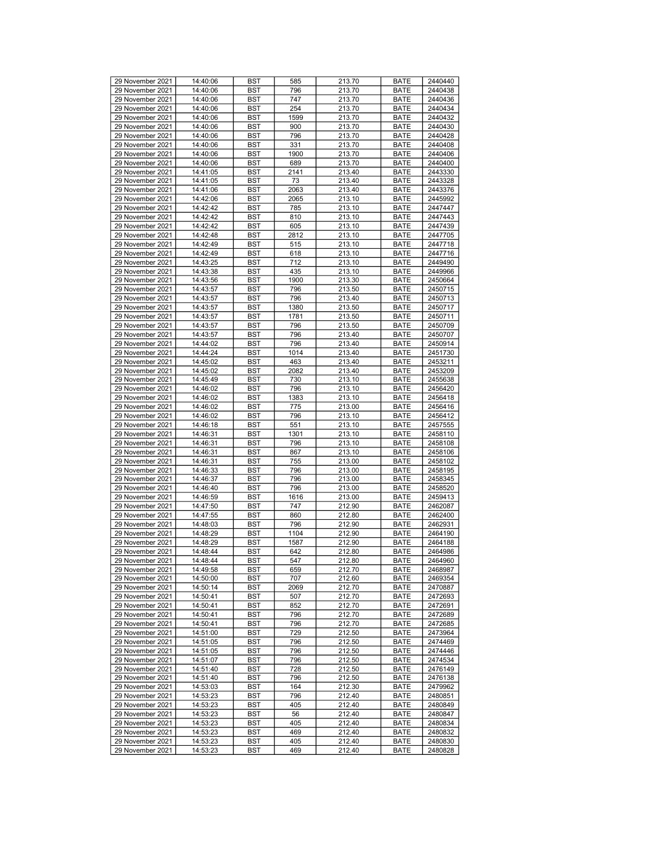| 29 November 2021 |          |            |      |        |             |         |
|------------------|----------|------------|------|--------|-------------|---------|
|                  | 14:40:06 | <b>BST</b> | 585  | 213.70 | <b>BATE</b> | 2440440 |
| 29 November 2021 | 14:40:06 | <b>BST</b> | 796  | 213.70 | <b>BATE</b> | 2440438 |
| 29 November 2021 | 14:40:06 | <b>BST</b> | 747  | 213.70 | <b>BATE</b> | 2440436 |
| 29 November 2021 | 14:40:06 | <b>BST</b> | 254  | 213.70 | <b>BATE</b> | 2440434 |
| 29 November 2021 | 14:40:06 | <b>BST</b> | 1599 | 213.70 | <b>BATE</b> | 2440432 |
| 29 November 2021 | 14:40:06 | <b>BST</b> | 900  | 213.70 | <b>BATE</b> | 2440430 |
| 29 November 2021 | 14:40:06 | <b>BST</b> | 796  | 213.70 |             | 2440428 |
|                  |          |            |      |        | <b>BATE</b> |         |
| 29 November 2021 | 14:40:06 | <b>BST</b> | 331  | 213.70 | <b>BATE</b> | 2440408 |
| 29 November 2021 | 14:40:06 | <b>BST</b> | 1900 | 213.70 | <b>BATE</b> | 2440406 |
| 29 November 2021 | 14:40:06 | <b>BST</b> | 689  | 213.70 | <b>BATE</b> | 2440400 |
| 29 November 2021 | 14:41:05 | <b>BST</b> | 2141 | 213.40 | <b>BATE</b> | 2443330 |
| 29 November 2021 | 14:41:05 | <b>BST</b> | 73   | 213.40 | <b>BATE</b> | 2443328 |
| 29 November 2021 | 14:41:06 | <b>BST</b> | 2063 | 213.40 | <b>BATE</b> | 2443376 |
|                  |          |            |      |        |             |         |
| 29 November 2021 | 14:42:06 | <b>BST</b> | 2065 | 213.10 | <b>BATE</b> | 2445992 |
| 29 November 2021 | 14:42:42 | <b>BST</b> | 785  | 213.10 | <b>BATE</b> | 2447447 |
| 29 November 2021 | 14:42:42 | <b>BST</b> | 810  | 213.10 | <b>BATE</b> | 2447443 |
| 29 November 2021 | 14:42:42 | <b>BST</b> | 605  | 213.10 | <b>BATE</b> | 2447439 |
| 29 November 2021 | 14:42:48 | <b>BST</b> | 2812 | 213.10 | <b>BATE</b> | 2447705 |
| 29 November 2021 | 14:42:49 | <b>BST</b> | 515  | 213.10 | <b>BATE</b> | 2447718 |
|                  |          |            |      |        |             |         |
| 29 November 2021 | 14:42:49 | <b>BST</b> | 618  | 213.10 | <b>BATE</b> | 2447716 |
| 29 November 2021 | 14:43:25 | <b>BST</b> | 712  | 213.10 | <b>BATE</b> | 2449490 |
| 29 November 2021 | 14:43:38 | <b>BST</b> | 435  | 213.10 | <b>BATE</b> | 2449966 |
| 29 November 2021 | 14:43:56 | <b>BST</b> | 1900 | 213.30 | <b>BATE</b> | 2450664 |
| 29 November 2021 | 14:43:57 | <b>BST</b> | 796  | 213.50 | <b>BATE</b> | 2450715 |
| 29 November 2021 | 14:43:57 | <b>BST</b> | 796  | 213.40 | <b>BATE</b> | 2450713 |
| 29 November 2021 | 14:43:57 | <b>BST</b> | 1380 | 213.50 | <b>BATE</b> | 2450717 |
|                  |          |            |      |        |             |         |
| 29 November 2021 | 14:43:57 | <b>BST</b> | 1781 | 213.50 | <b>BATE</b> | 2450711 |
| 29 November 2021 | 14:43:57 | <b>BST</b> | 796  | 213.50 | <b>BATE</b> | 2450709 |
| 29 November 2021 | 14:43:57 | <b>BST</b> | 796  | 213.40 | <b>BATE</b> | 2450707 |
| 29 November 2021 | 14:44:02 | <b>BST</b> | 796  | 213.40 | <b>BATE</b> | 2450914 |
| 29 November 2021 | 14:44:24 | <b>BST</b> | 1014 | 213.40 | <b>BATE</b> | 2451730 |
| 29 November 2021 | 14:45:02 | <b>BST</b> | 463  | 213.40 | <b>BATE</b> | 2453211 |
|                  |          |            |      |        |             |         |
| 29 November 2021 | 14:45:02 | <b>BST</b> | 2082 | 213.40 | <b>BATE</b> | 2453209 |
| 29 November 2021 | 14:45:49 | <b>BST</b> | 730  | 213.10 | <b>BATE</b> | 2455638 |
| 29 November 2021 | 14:46:02 | <b>BST</b> | 796  | 213.10 | <b>BATE</b> | 2456420 |
| 29 November 2021 | 14:46:02 | <b>BST</b> | 1383 | 213.10 | <b>BATE</b> | 2456418 |
| 29 November 2021 | 14:46:02 | <b>BST</b> | 775  | 213.00 | <b>BATE</b> | 2456416 |
| 29 November 2021 | 14:46:02 | <b>BST</b> | 796  | 213.10 | <b>BATE</b> | 2456412 |
|                  |          |            |      |        |             |         |
| 29 November 2021 | 14:46:18 | <b>BST</b> | 551  | 213.10 | <b>BATE</b> | 2457555 |
| 29 November 2021 | 14:46:31 | <b>BST</b> | 1301 | 213.10 | <b>BATE</b> | 2458110 |
| 29 November 2021 | 14:46:31 | <b>BST</b> | 796  | 213.10 | <b>BATE</b> | 2458108 |
| 29 November 2021 | 14:46:31 | <b>BST</b> | 867  | 213.10 | <b>BATE</b> | 2458106 |
| 29 November 2021 | 14:46:31 | <b>BST</b> | 755  | 213.00 | <b>BATE</b> | 2458102 |
| 29 November 2021 | 14:46:33 | <b>BST</b> | 796  | 213.00 | <b>BATE</b> | 2458195 |
|                  |          |            |      |        |             |         |
| 29 November 2021 | 14:46:37 | <b>BST</b> | 796  | 213.00 | <b>BATE</b> | 2458345 |
| 29 November 2021 | 14:46:40 | <b>BST</b> | 796  | 213.00 | <b>BATE</b> | 2458520 |
| 29 November 2021 | 14:46:59 | <b>BST</b> | 1616 | 213.00 | <b>BATE</b> | 2459413 |
| 29 November 2021 | 14:47:50 | <b>BST</b> | 747  | 212.90 | <b>BATE</b> | 2462087 |
| 29 November 2021 | 14:47:55 | <b>BST</b> | 860  | 212.80 | <b>BATE</b> | 2462400 |
| 29 November 2021 | 14:48:03 | <b>BST</b> | 796  | 212.90 | <b>BATE</b> | 2462931 |
| 29 November 2021 | 14:48:29 | <b>BST</b> | 1104 | 212.90 | <b>BATE</b> | 2464190 |
|                  | 14:48:29 |            |      |        |             |         |
| 29 November 2021 |          | <b>BST</b> | 1587 | 212.90 | <b>BATE</b> | 2464188 |
| 29 November 2021 | 14:48:44 | <b>BST</b> | 642  | 212.80 | <b>BATE</b> | 2464986 |
| 29 November 2021 | 14:48:44 | <b>BST</b> | 547  | 212.80 | <b>BATE</b> | 2464960 |
| 29 November 2021 | 14:49:58 | <b>BST</b> | 659  | 212.70 | <b>BATE</b> | 2468987 |
| 29 November 2021 | 14:50:00 | <b>BST</b> | 707  | 212.60 | <b>BATE</b> | 2469354 |
| 29 November 2021 | 14:50:14 | BST        | 2069 | 212.70 | <b>BATE</b> | 2470887 |
| 29 November 2021 | 14:50:41 | <b>BST</b> | 507  | 212.70 | <b>BATE</b> | 2472693 |
| 29 November 2021 | 14:50:41 |            |      |        |             |         |
|                  |          | <b>BST</b> | 852  | 212.70 | <b>BATE</b> | 2472691 |
| 29 November 2021 | 14:50:41 | <b>BST</b> | 796  | 212.70 | <b>BATE</b> | 2472689 |
| 29 November 2021 | 14:50:41 | <b>BST</b> | 796  | 212.70 | <b>BATE</b> | 2472685 |
| 29 November 2021 | 14:51:00 | BST        | 729  | 212.50 | <b>BATE</b> | 2473964 |
| 29 November 2021 | 14:51:05 | <b>BST</b> | 796  | 212.50 | <b>BATE</b> | 2474469 |
| 29 November 2021 | 14:51:05 | <b>BST</b> | 796  | 212.50 | <b>BATE</b> | 2474446 |
| 29 November 2021 | 14:51:07 | <b>BST</b> | 796  | 212.50 | BATE        | 2474534 |
|                  |          |            |      |        |             |         |
| 29 November 2021 | 14:51:40 | <b>BST</b> | 728  | 212.50 | <b>BATE</b> | 2476149 |
| 29 November 2021 | 14:51:40 | BST        | 796  | 212.50 | <b>BATE</b> | 2476138 |
| 29 November 2021 | 14:53:03 | <b>BST</b> | 164  | 212.30 | <b>BATE</b> | 2479962 |
| 29 November 2021 | 14:53:23 | BST        | 796  | 212.40 | <b>BATE</b> | 2480851 |
| 29 November 2021 | 14:53:23 | <b>BST</b> | 405  | 212.40 | <b>BATE</b> | 2480849 |
| 29 November 2021 | 14:53:23 | <b>BST</b> | 56   | 212.40 | <b>BATE</b> | 2480847 |
|                  |          |            |      |        |             |         |
| 29 November 2021 | 14:53:23 | BST        | 405  | 212.40 | <b>BATE</b> | 2480834 |
| 29 November 2021 | 14:53:23 | <b>BST</b> | 469  | 212.40 | <b>BATE</b> | 2480832 |
| 29 November 2021 | 14:53:23 | BST        | 405  | 212.40 | <b>BATE</b> | 2480830 |
| 29 November 2021 | 14:53:23 | BST        | 469  | 212.40 | BATE        | 2480828 |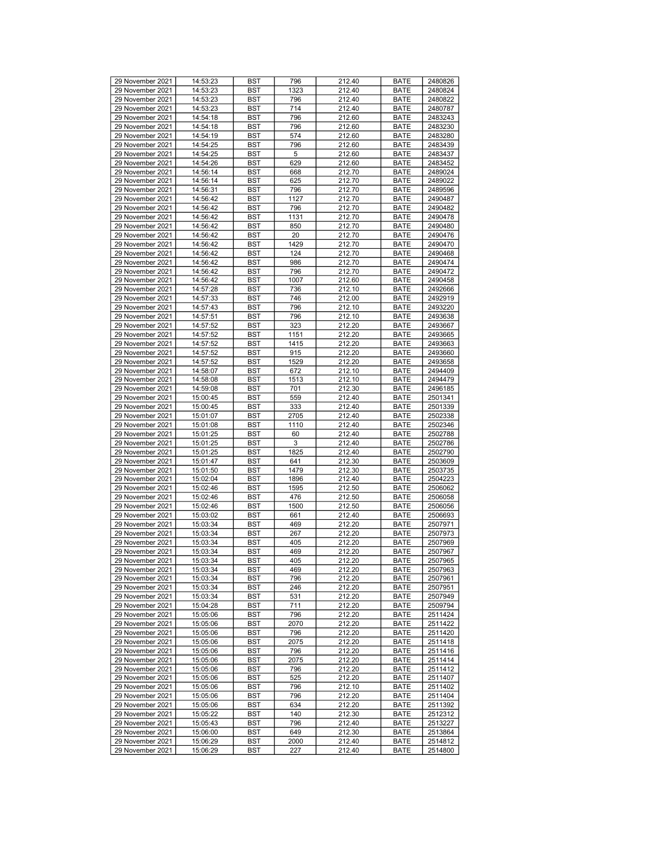| 29 November 2021 | 14:53:23 | <b>BST</b> | 796  | 212.40 | <b>BATE</b> | 2480826 |
|------------------|----------|------------|------|--------|-------------|---------|
| 29 November 2021 | 14:53:23 | BST        | 1323 | 212.40 | <b>BATE</b> | 2480824 |
| 29 November 2021 | 14:53:23 | BST        | 796  | 212.40 | <b>BATE</b> | 2480822 |
| 29 November 2021 | 14:53:23 | <b>BST</b> | 714  | 212.40 | <b>BATE</b> | 2480787 |
|                  |          |            |      |        |             |         |
| 29 November 2021 | 14:54:18 | <b>BST</b> | 796  | 212.60 | <b>BATE</b> | 2483243 |
| 29 November 2021 | 14:54:18 | <b>BST</b> | 796  | 212.60 | <b>BATE</b> | 2483230 |
| 29 November 2021 | 14:54:19 | <b>BST</b> | 574  | 212.60 | <b>BATE</b> | 2483280 |
| 29 November 2021 | 14:54:25 | BST        | 796  | 212.60 | <b>BATE</b> | 2483439 |
| 29 November 2021 | 14:54:25 | <b>BST</b> | 5    | 212.60 | <b>BATE</b> | 2483437 |
| 29 November 2021 | 14:54:26 | <b>BST</b> | 629  | 212.60 | <b>BATE</b> | 2483452 |
| 29 November 2021 | 14:56:14 | <b>BST</b> | 668  | 212.70 | <b>BATE</b> | 2489024 |
| 29 November 2021 | 14:56:14 | <b>BST</b> | 625  | 212.70 | <b>BATE</b> | 2489022 |
| 29 November 2021 | 14:56:31 | BST        | 796  | 212.70 | <b>BATE</b> | 2489596 |
|                  |          |            |      |        |             |         |
| 29 November 2021 | 14:56:42 | <b>BST</b> | 1127 | 212.70 | <b>BATE</b> | 2490487 |
| 29 November 2021 | 14:56:42 | <b>BST</b> | 796  | 212.70 | <b>BATE</b> | 2490482 |
| 29 November 2021 | 14:56:42 | <b>BST</b> | 1131 | 212.70 | <b>BATE</b> | 2490478 |
| 29 November 2021 | 14:56:42 | <b>BST</b> | 850  | 212.70 | <b>BATE</b> | 2490480 |
| 29 November 2021 | 14:56:42 | BST        | 20   | 212.70 | <b>BATE</b> | 2490476 |
| 29 November 2021 | 14:56:42 | <b>BST</b> | 1429 | 212.70 | <b>BATE</b> | 2490470 |
| 29 November 2021 | 14:56:42 | <b>BST</b> | 124  | 212.70 | <b>BATE</b> | 2490468 |
| 29 November 2021 | 14:56:42 | <b>BST</b> | 986  | 212.70 | <b>BATE</b> | 2490474 |
| 29 November 2021 | 14:56:42 | <b>BST</b> | 796  |        | <b>BATE</b> | 2490472 |
|                  |          |            |      | 212.70 |             |         |
| 29 November 2021 | 14:56:42 | BST        | 1007 | 212.60 | <b>BATE</b> | 2490458 |
| 29 November 2021 | 14:57:28 | <b>BST</b> | 736  | 212.10 | <b>BATE</b> | 2492666 |
| 29 November 2021 | 14:57:33 | <b>BST</b> | 746  | 212.00 | <b>BATE</b> | 2492919 |
| 29 November 2021 | 14:57:43 | <b>BST</b> | 796  | 212.10 | <b>BATE</b> | 2493220 |
| 29 November 2021 | 14:57:51 | BST        | 796  | 212.10 | <b>BATE</b> | 2493638 |
| 29 November 2021 | 14:57:52 | BST        | 323  | 212.20 | <b>BATE</b> | 2493667 |
| 29 November 2021 | 14:57:52 | <b>BST</b> | 1151 | 212.20 | <b>BATE</b> | 2493665 |
| 29 November 2021 | 14:57:52 | <b>BST</b> | 1415 | 212.20 | <b>BATE</b> | 2493663 |
|                  |          |            |      | 212.20 |             |         |
| 29 November 2021 | 14:57:52 | <b>BST</b> | 915  |        | <b>BATE</b> | 2493660 |
| 29 November 2021 | 14:57:52 | <b>BST</b> | 1529 | 212.20 | <b>BATE</b> | 2493658 |
| 29 November 2021 | 14:58:07 | BST        | 672  | 212.10 | <b>BATE</b> | 2494409 |
| 29 November 2021 | 14:58:08 | <b>BST</b> | 1513 | 212.10 | <b>BATE</b> | 2494479 |
| 29 November 2021 | 14:59:08 | <b>BST</b> | 701  | 212.30 | <b>BATE</b> | 2496185 |
| 29 November 2021 | 15:00:45 | <b>BST</b> | 559  | 212.40 | <b>BATE</b> | 2501341 |
| 29 November 2021 | 15:00:45 | BST        | 333  | 212.40 | <b>BATE</b> | 2501339 |
| 29 November 2021 | 15:01:07 | BST        | 2705 | 212.40 | <b>BATE</b> | 2502338 |
| 29 November 2021 |          | <b>BST</b> | 1110 | 212.40 | <b>BATE</b> | 2502346 |
|                  | 15:01:08 |            |      |        |             |         |
| 29 November 2021 | 15:01:25 | <b>BST</b> | 60   | 212.40 | <b>BATE</b> | 2502788 |
| 29 November 2021 | 15:01:25 | <b>BST</b> | 3    | 212.40 | <b>BATE</b> | 2502786 |
| 29 November 2021 | 15:01:25 | <b>BST</b> | 1825 | 212.40 | <b>BATE</b> | 2502790 |
| 29 November 2021 | 15:01:47 | BST        | 641  | 212.30 | <b>BATE</b> | 2503609 |
| 29 November 2021 | 15:01:50 | <b>BST</b> | 1479 | 212.30 | <b>BATE</b> | 2503735 |
| 29 November 2021 | 15:02:04 | <b>BST</b> | 1896 | 212.40 | <b>BATE</b> | 2504223 |
| 29 November 2021 | 15:02:46 | <b>BST</b> | 1595 | 212.50 | <b>BATE</b> | 2506062 |
| 29 November 2021 | 15:02:46 | BST        | 476  | 212.50 | <b>BATE</b> | 2506058 |
| 29 November 2021 |          |            |      |        |             |         |
|                  | 15:02:46 | BST        | 1500 | 212.50 | <b>BATE</b> | 2506056 |
| 29 November 2021 | 15:03:02 | <b>BST</b> | 661  | 212.40 | <b>BATE</b> | 2506693 |
| 29 November 2021 | 15:03:34 | <b>BST</b> | 469  | 212.20 | <b>BATE</b> | 2507971 |
| 29 November 2021 | 15:03:34 | <b>BST</b> | 267  | 212.20 | <b>BATE</b> | 2507973 |
| 29 November 2021 | 15:03:34 | BST        | 405  | 212.20 | <b>BATE</b> | 2507969 |
| 29 November 2021 | 15:03:34 | <b>BST</b> | 469  | 212.20 | <b>BATE</b> | 2507967 |
| 29 November 2021 | 15:03:34 | <b>BST</b> | 405  | 212.20 | <b>BATE</b> | 2507965 |
| 29 November 2021 | 15:03:34 | <b>BST</b> | 469  | 212.20 | <b>BATE</b> | 2507963 |
| 29 November 2021 | 15:03:34 | <b>BST</b> | 796  | 212.20 | <b>BATE</b> | 2507961 |
| 29 November 2021 |          | <b>BST</b> |      |        |             |         |
|                  | 15:03:34 |            | 246  | 212.20 | <b>BATE</b> | 2507951 |
| 29 November 2021 | 15:03:34 | <b>BST</b> | 531  | 212.20 | <b>BATE</b> | 2507949 |
| 29 November 2021 | 15:04:28 | BST        | 711  | 212.20 | <b>BATE</b> | 2509794 |
| 29 November 2021 | 15:05:06 | <b>BST</b> | 796  | 212.20 | <b>BATE</b> | 2511424 |
| 29 November 2021 | 15:05:06 | <b>BST</b> | 2070 | 212.20 | <b>BATE</b> | 2511422 |
| 29 November 2021 | 15:05:06 | BST        | 796  | 212.20 | <b>BATE</b> | 2511420 |
| 29 November 2021 | 15:05:06 | BST        | 2075 | 212.20 | <b>BATE</b> | 2511418 |
| 29 November 2021 | 15:05:06 | BST        | 796  | 212.20 | <b>BATE</b> | 2511416 |
| 29 November 2021 | 15:05:06 | <b>BST</b> | 2075 | 212.20 | <b>BATE</b> | 2511414 |
|                  |          |            |      |        |             |         |
| 29 November 2021 | 15:05:06 | <b>BST</b> | 796  | 212.20 | <b>BATE</b> | 2511412 |
| 29 November 2021 | 15:05:06 | BST        | 525  | 212.20 | <b>BATE</b> | 2511407 |
| 29 November 2021 | 15:05:06 | <b>BST</b> | 796  | 212.10 | <b>BATE</b> | 2511402 |
| 29 November 2021 | 15:05:06 | BST        | 796  | 212.20 | <b>BATE</b> | 2511404 |
| 29 November 2021 | 15:05:06 | <b>BST</b> | 634  | 212.20 | <b>BATE</b> | 2511392 |
| 29 November 2021 | 15:05:22 | <b>BST</b> | 140  | 212.30 | <b>BATE</b> | 2512312 |
| 29 November 2021 | 15:05:43 | BST        | 796  | 212.40 | <b>BATE</b> | 2513227 |
| 29 November 2021 | 15:06:00 | BST        | 649  | 212.30 | <b>BATE</b> | 2513864 |
|                  |          |            |      |        |             |         |
| 29 November 2021 | 15:06:29 | BST        | 2000 | 212.40 | <b>BATE</b> | 2514812 |
| 29 November 2021 | 15:06:29 | BST        | 227  | 212.40 | BATE        | 2514800 |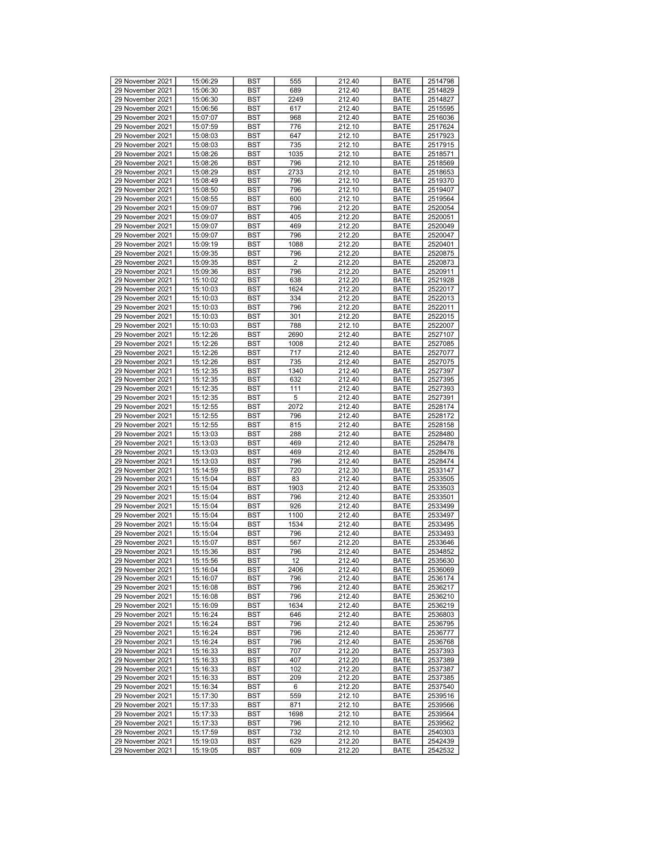|                                      | 15:06:29             | <b>BST</b> | 555            | 212.40           | <b>BATE</b>         | 2514798            |
|--------------------------------------|----------------------|------------|----------------|------------------|---------------------|--------------------|
| 29 November 2021                     |                      |            |                |                  |                     |                    |
| 29 November 2021                     | 15:06:30             | <b>BST</b> | 689            | 212.40           | <b>BATE</b>         | 2514829            |
| 29 November 2021                     | 15:06:30             | <b>BST</b> | 2249           | 212.40           | <b>BATE</b>         | 2514827            |
| 29 November 2021                     | 15:06:56             | <b>BST</b> | 617            | 212.40           | <b>BATE</b>         | 2515595            |
| 29 November 2021                     | 15:07:07             | <b>BST</b> | 968            | 212.40           | <b>BATE</b>         | 2516036            |
|                                      |                      |            |                |                  |                     |                    |
| 29 November 2021                     | 15:07:59             | <b>BST</b> | 776            | 212.10           | <b>BATE</b>         | 2517624            |
| 29 November 2021                     | 15:08:03             | <b>BST</b> | 647            | 212.10           | <b>BATE</b>         | 2517923            |
| 29 November 2021                     | 15:08:03             | <b>BST</b> | 735            | 212.10           | <b>BATE</b>         | 2517915            |
| 29 November 2021                     | 15:08:26             | <b>BST</b> | 1035           | 212.10           | <b>BATE</b>         | 2518571            |
|                                      |                      |            |                |                  |                     |                    |
| 29 November 2021                     | 15:08:26             | <b>BST</b> | 796            | 212.10           | <b>BATE</b>         | 2518569            |
| 29 November 2021                     | 15:08:29             | <b>BST</b> | 2733           | 212.10           | <b>BATE</b>         | 2518653            |
| 29 November 2021                     | 15:08:49             | <b>BST</b> | 796            | 212.10           | <b>BATE</b>         | 2519370            |
| 29 November 2021                     | 15:08:50             |            |                |                  |                     |                    |
|                                      |                      | <b>BST</b> | 796            | 212.10           | <b>BATE</b>         | 2519407            |
| 29 November 2021                     | 15:08:55             | <b>BST</b> | 600            | 212.10           | <b>BATE</b>         | 2519564            |
| 29 November 2021                     | 15:09:07             | <b>BST</b> | 796            | 212.20           | <b>BATE</b>         | 2520054            |
| 29 November 2021                     | 15:09:07             | <b>BST</b> | 405            | 212.20           | <b>BATE</b>         | 2520051            |
|                                      |                      |            |                |                  |                     |                    |
| 29 November 2021                     | 15:09:07             | <b>BST</b> | 469            | 212.20           | <b>BATE</b>         | 2520049            |
| 29 November 2021                     | 15:09:07             | <b>BST</b> | 796            | 212.20           | <b>BATE</b>         | 2520047            |
| 29 November 2021                     | 15:09:19             | <b>BST</b> | 1088           | 212.20           | <b>BATE</b>         | 2520401            |
| 29 November 2021                     | 15:09:35             | <b>BST</b> | 796            | 212.20           | <b>BATE</b>         | 2520875            |
|                                      |                      |            |                |                  |                     |                    |
| 29 November 2021                     | 15:09:35             | <b>BST</b> | $\overline{2}$ | 212.20           | <b>BATE</b>         | 2520873            |
| 29 November 2021                     | 15:09:36             | <b>BST</b> | 796            | 212.20           | <b>BATE</b>         | 2520911            |
| 29 November 2021                     | 15:10:02             | <b>BST</b> | 638            | 212.20           | <b>BATE</b>         | 2521928            |
|                                      |                      |            |                |                  |                     |                    |
| 29 November 2021                     | 15:10:03             | <b>BST</b> | 1624           | 212.20           | <b>BATE</b>         | 2522017            |
| 29 November 2021                     | 15:10:03             | <b>BST</b> | 334            | 212.20           | <b>BATE</b>         | 2522013            |
| 29 November 2021                     | 15:10:03             | <b>BST</b> | 796            | 212.20           | <b>BATE</b>         | 2522011            |
| 29 November 2021                     | 15:10:03             | <b>BST</b> | 301            | 212.20           | <b>BATE</b>         | 2522015            |
|                                      |                      |            |                |                  |                     |                    |
| 29 November 2021                     | 15:10:03             | <b>BST</b> | 788            | 212.10           | <b>BATE</b>         | 2522007            |
| 29 November 2021                     | 15:12:26             | <b>BST</b> | 2690           | 212.40           | <b>BATE</b>         | 2527107            |
| 29 November 2021                     | 15:12:26             | <b>BST</b> | 1008           | 212.40           | <b>BATE</b>         | 2527085            |
| 29 November 2021                     | 15:12:26             | <b>BST</b> | 717            | 212.40           | <b>BATE</b>         | 2527077            |
|                                      |                      |            |                |                  |                     |                    |
| 29 November 2021                     | 15:12:26             | <b>BST</b> | 735            | 212.40           | <b>BATE</b>         | 2527075            |
| 29 November 2021                     | 15:12:35             | <b>BST</b> | 1340           | 212.40           | <b>BATE</b>         | 2527397            |
| 29 November 2021                     | 15:12:35             | <b>BST</b> | 632            | 212.40           | <b>BATE</b>         | 2527395            |
| 29 November 2021                     |                      |            | 111            | 212.40           |                     |                    |
|                                      | 15:12:35             | <b>BST</b> |                |                  | <b>BATE</b>         | 2527393            |
| 29 November 2021                     | 15:12:35             | <b>BST</b> | 5              | 212.40           | <b>BATE</b>         | 2527391            |
| 29 November 2021                     | 15:12:55             | <b>BST</b> | 2072           | 212.40           | <b>BATE</b>         | 2528174            |
| 29 November 2021                     | 15:12:55             | <b>BST</b> | 796            | 212.40           | <b>BATE</b>         | 2528172            |
|                                      |                      |            |                |                  |                     |                    |
| 29 November 2021                     | 15:12:55             | <b>BST</b> | 815            | 212.40           | <b>BATE</b>         | 2528158            |
|                                      |                      |            |                |                  |                     |                    |
| 29 November 2021                     | 15:13:03             | <b>BST</b> | 288            | 212.40           | <b>BATE</b>         | 2528480            |
|                                      |                      |            |                |                  |                     |                    |
| 29 November 2021                     | 15:13:03             | <b>BST</b> | 469            | 212.40           | <b>BATE</b>         | 2528478            |
| 29 November 2021                     | 15:13:03             | <b>BST</b> | 469            | 212.40           | <b>BATE</b>         | 2528476            |
| 29 November 2021                     | 15:13:03             | <b>BST</b> | 796            | 212.40           | <b>BATE</b>         | 2528474            |
| 29 November 2021                     | 15:14:59             | <b>BST</b> | 720            | 212.30           | <b>BATE</b>         | 2533147            |
|                                      |                      |            |                |                  |                     |                    |
| 29 November 2021                     | 15:15:04             | <b>BST</b> | 83             | 212.40           | <b>BATE</b>         | 2533505            |
| 29 November 2021                     | 15:15:04             | <b>BST</b> | 1903           | 212.40           | <b>BATE</b>         | 2533503            |
| 29 November 2021                     | 15:15:04             | <b>BST</b> | 796            | 212.40           | <b>BATE</b>         | 2533501            |
| 29 November 2021                     | 15:15:04             | <b>BST</b> | 926            | 212.40           | <b>BATE</b>         | 2533499            |
|                                      |                      |            |                |                  |                     |                    |
| 29 November 2021                     | 15:15:04             | <b>BST</b> | 1100           | 212.40           | <b>BATE</b>         | 2533497            |
| 29 November 2021                     | 15:15:04             | <b>BST</b> | 1534           | 212.40           | <b>BATE</b>         | 2533495            |
| 29 November 2021                     | 15:15:04             | <b>BST</b> | 796            | 212.40           | <b>BATE</b>         | 2533493            |
| 29 November 2021                     | 15:15:07             | <b>BST</b> | 567            | 212.20           | <b>BATE</b>         | 2533646            |
| 29 November 2021                     |                      | <b>BST</b> | 796            | 212.40           |                     |                    |
|                                      | 15:15:36             |            |                |                  | <b>BATE</b>         | 2534852            |
| 29 November 2021                     | 15:15:56             | <b>BST</b> | 12             | 212.40           | <b>BATE</b>         | 2535630            |
| 29 November 2021                     | 15:16:04             | <b>BST</b> | 2406           | 212.40           | <b>BATE</b>         | 2536069            |
| 29 November 2021                     | 15:16:07             | <b>BST</b> | 796            | 212.40           | <b>BATE</b>         | 2536174            |
|                                      |                      |            |                |                  |                     |                    |
| 29 November 2021                     | 15:16:08             | BST        | 796            | 212.40           | <b>BATE</b>         | 2536217            |
| 29 November 2021                     | 15:16:08             | <b>BST</b> | 796            | 212.40           | <b>BATE</b>         | 2536210            |
| 29 November 2021                     | 15:16:09             | <b>BST</b> | 1634           | 212.40           | <b>BATE</b>         | 2536219            |
| 29 November 2021                     | 15:16:24             | <b>BST</b> | 646            | 212.40           | <b>BATE</b>         | 2536803            |
|                                      |                      |            |                |                  |                     |                    |
| 29 November 2021                     | 15:16:24             | <b>BST</b> | 796            | 212.40           | <b>BATE</b>         | 2536795            |
| 29 November 2021                     | 15:16:24             | BST        | 796            | 212.40           | <b>BATE</b>         | 2536777            |
| 29 November 2021                     | 15:16:24             | <b>BST</b> | 796            | 212.40           | <b>BATE</b>         | 2536768            |
| 29 November 2021                     | 15:16:33             | <b>BST</b> | 707            | 212.20           | <b>BATE</b>         | 2537393            |
|                                      |                      |            |                |                  |                     |                    |
| 29 November 2021                     | 15:16:33             | <b>BST</b> | 407            | 212.20           | BATE                | 2537389            |
| 29 November 2021                     | 15:16:33             | <b>BST</b> | 102            | 212.20           | <b>BATE</b>         | 2537387            |
| 29 November 2021                     | 15:16:33             | <b>BST</b> | 209            | 212.20           | <b>BATE</b>         | 2537385            |
| 29 November 2021                     | 15:16:34             | <b>BST</b> | 6              | 212.20           | <b>BATE</b>         | 2537540            |
|                                      |                      |            |                |                  |                     |                    |
| 29 November 2021                     | 15:17:30             | <b>BST</b> | 559            | 212.10           | <b>BATE</b>         | 2539516            |
| 29 November 2021                     | 15:17:33             | <b>BST</b> | 871            | 212.10           | BATE                | 2539566            |
| 29 November 2021                     | 15:17:33             | <b>BST</b> | 1698           | 212.10           | <b>BATE</b>         | 2539564            |
| 29 November 2021                     | 15:17:33             | <b>BST</b> | 796            | 212.10           | <b>BATE</b>         | 2539562            |
|                                      |                      |            |                |                  |                     |                    |
| 29 November 2021                     | 15:17:59             | <b>BST</b> | 732            | 212.10           | <b>BATE</b>         | 2540303            |
| 29 November 2021<br>29 November 2021 | 15:19:03<br>15:19:05 | BST<br>BST | 629<br>609     | 212.20<br>212.20 | <b>BATE</b><br>BATE | 2542439<br>2542532 |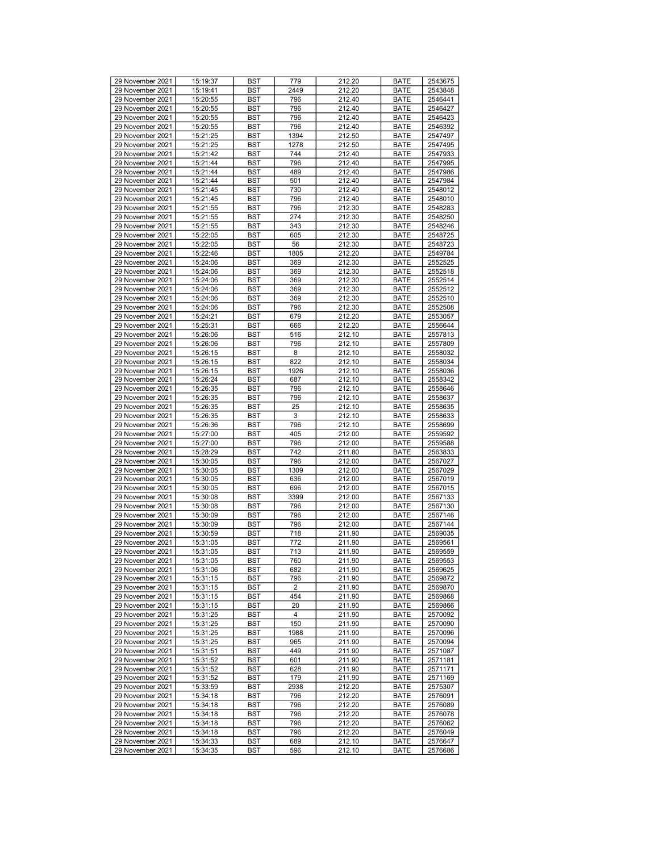| 29 November 2021 | 15:19:37 | <b>BST</b> | 779  | 212.20 | <b>BATE</b> | 2543675 |
|------------------|----------|------------|------|--------|-------------|---------|
| 29 November 2021 | 15:19:41 | BST        | 2449 | 212.20 | <b>BATE</b> | 2543848 |
| 29 November 2021 | 15:20:55 | BST        | 796  | 212.40 | <b>BATE</b> | 2546441 |
| 29 November 2021 | 15:20:55 | <b>BST</b> | 796  | 212.40 | <b>BATE</b> | 2546427 |
|                  |          |            |      |        |             |         |
| 29 November 2021 | 15:20:55 | <b>BST</b> | 796  | 212.40 | <b>BATE</b> | 2546423 |
| 29 November 2021 | 15:20:55 | <b>BST</b> | 796  | 212.40 | <b>BATE</b> | 2546392 |
| 29 November 2021 | 15:21:25 | <b>BST</b> | 1394 | 212.50 | <b>BATE</b> | 2547497 |
| 29 November 2021 | 15:21:25 | BST        | 1278 | 212.50 | <b>BATE</b> | 2547495 |
| 29 November 2021 | 15:21:42 | <b>BST</b> | 744  | 212.40 | <b>BATE</b> | 2547933 |
| 29 November 2021 | 15:21:44 | <b>BST</b> | 796  | 212.40 | <b>BATE</b> | 2547995 |
| 29 November 2021 | 15:21:44 | <b>BST</b> | 489  | 212.40 | <b>BATE</b> | 2547986 |
| 29 November 2021 | 15:21:44 | <b>BST</b> | 501  | 212.40 | <b>BATE</b> | 2547984 |
| 29 November 2021 | 15:21:45 | BST        | 730  | 212.40 | <b>BATE</b> | 2548012 |
|                  |          |            |      |        |             |         |
| 29 November 2021 | 15:21:45 | <b>BST</b> | 796  | 212.40 | <b>BATE</b> | 2548010 |
| 29 November 2021 | 15:21:55 | <b>BST</b> | 796  | 212.30 | <b>BATE</b> | 2548283 |
| 29 November 2021 | 15:21:55 | <b>BST</b> | 274  | 212.30 | <b>BATE</b> | 2548250 |
| 29 November 2021 | 15:21:55 | BST        | 343  | 212.30 | <b>BATE</b> | 2548246 |
| 29 November 2021 | 15:22:05 | BST        | 605  | 212.30 | <b>BATE</b> | 2548725 |
| 29 November 2021 | 15:22:05 | <b>BST</b> | 56   | 212.30 | <b>BATE</b> | 2548723 |
| 29 November 2021 | 15:22:46 | <b>BST</b> | 1805 | 212.20 | <b>BATE</b> | 2549784 |
| 29 November 2021 | 15:24:06 | <b>BST</b> | 369  | 212.30 | <b>BATE</b> | 2552525 |
| 29 November 2021 |          | <b>BST</b> | 369  | 212.30 | <b>BATE</b> | 2552518 |
|                  | 15:24:06 |            |      |        |             |         |
| 29 November 2021 | 15:24:06 | BST        | 369  | 212.30 | <b>BATE</b> | 2552514 |
| 29 November 2021 | 15:24:06 | <b>BST</b> | 369  | 212.30 | <b>BATE</b> | 2552512 |
| 29 November 2021 | 15:24:06 | <b>BST</b> | 369  | 212.30 | <b>BATE</b> | 2552510 |
| 29 November 2021 | 15:24:06 | <b>BST</b> | 796  | 212.30 | <b>BATE</b> | 2552508 |
| 29 November 2021 | 15:24:21 | BST        | 679  | 212.20 | <b>BATE</b> | 2553057 |
| 29 November 2021 | 15:25:31 | BST        | 666  | 212.20 | <b>BATE</b> | 2556644 |
| 29 November 2021 | 15:26:06 | <b>BST</b> | 516  | 212.10 | <b>BATE</b> | 2557813 |
| 29 November 2021 | 15:26:06 | <b>BST</b> | 796  | 212.10 | <b>BATE</b> | 2557809 |
|                  |          |            |      |        |             |         |
| 29 November 2021 | 15:26:15 | <b>BST</b> | 8    | 212.10 | <b>BATE</b> | 2558032 |
| 29 November 2021 | 15:26:15 | <b>BST</b> | 822  | 212.10 | <b>BATE</b> | 2558034 |
| 29 November 2021 | 15:26:15 | BST        | 1926 | 212.10 | <b>BATE</b> | 2558036 |
| 29 November 2021 | 15:26:24 | <b>BST</b> | 687  | 212.10 | <b>BATE</b> | 2558342 |
| 29 November 2021 | 15:26:35 | <b>BST</b> | 796  | 212.10 | <b>BATE</b> | 2558646 |
| 29 November 2021 | 15:26:35 | <b>BST</b> | 796  | 212.10 | <b>BATE</b> | 2558637 |
| 29 November 2021 | 15:26:35 | BST        | 25   | 212.10 | <b>BATE</b> | 2558635 |
| 29 November 2021 | 15:26:35 | BST        | 3    | 212.10 | <b>BATE</b> | 2558633 |
| 29 November 2021 |          | <b>BST</b> | 796  | 212.10 | <b>BATE</b> | 2558699 |
|                  | 15:26:36 |            |      |        |             |         |
| 29 November 2021 | 15:27:00 | <b>BST</b> | 405  | 212.00 | <b>BATE</b> | 2559592 |
| 29 November 2021 | 15:27:00 | <b>BST</b> | 796  | 212.00 | <b>BATE</b> | 2559588 |
| 29 November 2021 | 15:28:29 | <b>BST</b> | 742  | 211.80 | <b>BATE</b> | 2563833 |
| 29 November 2021 | 15:30:05 | BST        | 796  | 212.00 | <b>BATE</b> | 2567027 |
| 29 November 2021 | 15:30:05 | <b>BST</b> | 1309 | 212.00 | <b>BATE</b> | 2567029 |
| 29 November 2021 | 15:30:05 | <b>BST</b> | 636  | 212.00 | <b>BATE</b> | 2567019 |
| 29 November 2021 | 15:30:05 | <b>BST</b> | 696  | 212.00 | <b>BATE</b> | 2567015 |
| 29 November 2021 | 15:30:08 | BST        | 3399 | 212.00 | <b>BATE</b> | 2567133 |
| 29 November 2021 |          |            |      |        |             |         |
|                  | 15:30:08 | BST        | 796  | 212.00 | <b>BATE</b> | 2567130 |
| 29 November 2021 | 15:30:09 | <b>BST</b> | 796  | 212.00 | <b>BATE</b> | 2567146 |
| 29 November 2021 | 15:30:09 | <b>BST</b> | 796  | 212.00 | <b>BATE</b> | 2567144 |
| 29 November 2021 | 15:30:59 | <b>BST</b> | 718  | 211.90 | <b>BATE</b> | 2569035 |
| 29 November 2021 | 15:31:05 | BST        | 772  | 211.90 | <b>BATE</b> | 2569561 |
| 29 November 2021 | 15:31:05 | <b>BST</b> | 713  | 211.90 | <b>BATE</b> | 2569559 |
| 29 November 2021 | 15:31:05 | <b>BST</b> | 760  | 211.90 | <b>BATE</b> | 2569553 |
| 29 November 2021 | 15:31:06 | <b>BST</b> | 682  | 211.90 | <b>BATE</b> | 2569625 |
| 29 November 2021 | 15:31:15 | <b>BST</b> | 796  | 211.90 | <b>BATE</b> | 2569872 |
|                  |          |            |      |        |             |         |
| 29 November 2021 | 15:31:15 | <b>BST</b> | 2    | 211.90 | <b>BATE</b> | 2569870 |
| 29 November 2021 | 15:31:15 | <b>BST</b> | 454  | 211.90 | <b>BATE</b> | 2569868 |
| 29 November 2021 | 15:31:15 | BST        | 20   | 211.90 | <b>BATE</b> | 2569866 |
| 29 November 2021 | 15:31:25 | <b>BST</b> | 4    | 211.90 | <b>BATE</b> | 2570092 |
| 29 November 2021 | 15:31:25 | <b>BST</b> | 150  | 211.90 | <b>BATE</b> | 2570090 |
| 29 November 2021 | 15:31:25 | BST        | 1988 | 211.90 | <b>BATE</b> | 2570096 |
| 29 November 2021 | 15:31:25 | BST        | 965  | 211.90 | <b>BATE</b> | 2570094 |
| 29 November 2021 | 15:31:51 | BST        | 449  | 211.90 | <b>BATE</b> | 2571087 |
| 29 November 2021 |          |            | 601  |        |             |         |
|                  | 15:31:52 | <b>BST</b> |      | 211.90 | <b>BATE</b> | 2571181 |
| 29 November 2021 | 15:31:52 | <b>BST</b> | 628  | 211.90 | <b>BATE</b> | 2571171 |
| 29 November 2021 | 15:31:52 | <b>BST</b> | 179  | 211.90 | BATE        | 2571169 |
| 29 November 2021 | 15:33:59 | <b>BST</b> | 2938 | 212.20 | <b>BATE</b> | 2575307 |
| 29 November 2021 | 15:34:18 | BST        | 796  | 212.20 | <b>BATE</b> | 2576091 |
| 29 November 2021 | 15:34:18 | <b>BST</b> | 796  | 212.20 | <b>BATE</b> | 2576089 |
| 29 November 2021 | 15:34:18 | <b>BST</b> | 796  | 212.20 | <b>BATE</b> | 2576078 |
| 29 November 2021 | 15:34:18 | BST        | 796  | 212.20 | <b>BATE</b> | 2576062 |
| 29 November 2021 |          |            |      |        |             |         |
|                  | 15:34:18 | BST        | 796  | 212.20 | <b>BATE</b> | 2576049 |
| 29 November 2021 | 15:34:33 | BST        | 689  | 212.10 | <b>BATE</b> | 2576647 |
| 29 November 2021 | 15:34:35 | BST        | 596  | 212.10 | BATE        | 2576686 |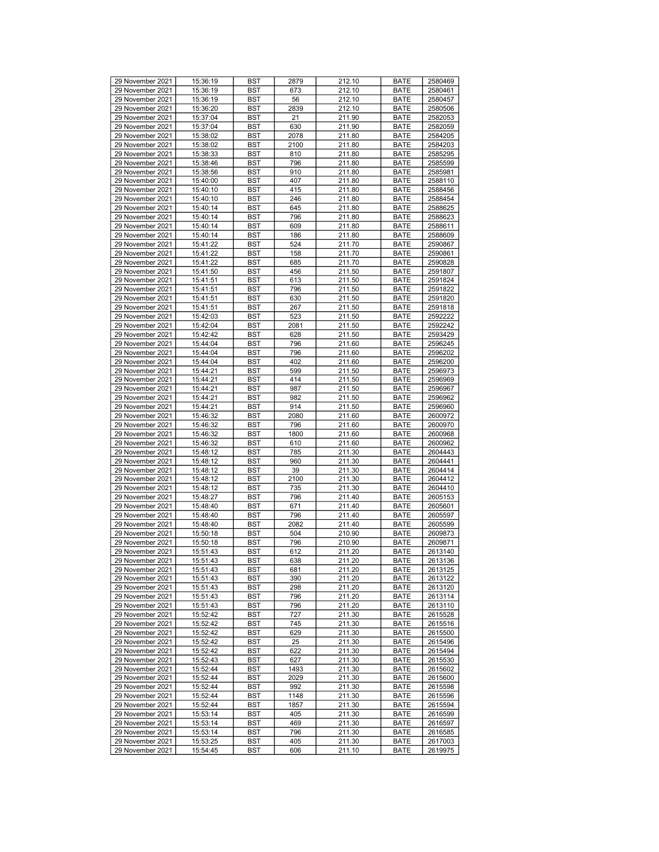| 29 November 2021 | 15:36:19 | <b>BST</b> | 2879 | 212.10 | <b>BATE</b> | 2580469 |
|------------------|----------|------------|------|--------|-------------|---------|
| 29 November 2021 | 15:36:19 |            |      |        |             | 2580461 |
|                  |          | <b>BST</b> | 673  | 212.10 | <b>BATE</b> |         |
| 29 November 2021 | 15:36:19 | <b>BST</b> | 56   | 212.10 | <b>BATE</b> | 2580457 |
| 29 November 2021 | 15:36:20 | <b>BST</b> | 2839 | 212.10 | <b>BATE</b> | 2580506 |
| 29 November 2021 | 15:37:04 | <b>BST</b> | 21   | 211.90 | <b>BATE</b> | 2582053 |
| 29 November 2021 | 15:37:04 | <b>BST</b> | 630  | 211.90 | <b>BATE</b> | 2582059 |
| 29 November 2021 | 15:38:02 | <b>BST</b> | 2078 | 211.80 | <b>BATE</b> | 2584205 |
| 29 November 2021 | 15:38:02 | <b>BST</b> | 2100 | 211.80 | <b>BATE</b> | 2584203 |
| 29 November 2021 | 15:38:33 |            | 810  |        | <b>BATE</b> | 2585295 |
|                  |          | <b>BST</b> |      | 211.80 |             |         |
| 29 November 2021 | 15:38:46 | <b>BST</b> | 796  | 211.80 | <b>BATE</b> | 2585599 |
| 29 November 2021 | 15:38:56 | <b>BST</b> | 910  | 211.80 | <b>BATE</b> | 2585981 |
| 29 November 2021 | 15:40:00 | <b>BST</b> | 407  | 211.80 | <b>BATE</b> | 2588110 |
| 29 November 2021 | 15:40:10 | <b>BST</b> | 415  | 211.80 | <b>BATE</b> | 2588456 |
| 29 November 2021 | 15:40:10 | <b>BST</b> | 246  | 211.80 | <b>BATE</b> | 2588454 |
| 29 November 2021 | 15:40:14 | <b>BST</b> | 645  |        | <b>BATE</b> | 2588625 |
|                  |          |            |      | 211.80 |             |         |
| 29 November 2021 | 15:40:14 | <b>BST</b> | 796  | 211.80 | <b>BATE</b> | 2588623 |
| 29 November 2021 | 15:40:14 | <b>BST</b> | 609  | 211.80 | <b>BATE</b> | 2588611 |
| 29 November 2021 | 15:40:14 | <b>BST</b> | 186  | 211.80 | <b>BATE</b> | 2588609 |
| 29 November 2021 | 15:41:22 | <b>BST</b> | 524  | 211.70 | <b>BATE</b> | 2590867 |
| 29 November 2021 | 15:41:22 | <b>BST</b> | 158  | 211.70 | <b>BATE</b> | 2590861 |
| 29 November 2021 | 15:41:22 | <b>BST</b> | 685  | 211.70 | <b>BATE</b> | 2590828 |
|                  |          |            |      |        |             |         |
| 29 November 2021 | 15:41:50 | <b>BST</b> | 456  | 211.50 | <b>BATE</b> | 2591807 |
| 29 November 2021 | 15:41:51 | <b>BST</b> | 613  | 211.50 | <b>BATE</b> | 2591824 |
| 29 November 2021 | 15:41:51 | <b>BST</b> | 796  | 211.50 | <b>BATE</b> | 2591822 |
| 29 November 2021 | 15:41:51 | <b>BST</b> | 630  | 211.50 | <b>BATE</b> | 2591820 |
| 29 November 2021 | 15:41:51 | <b>BST</b> | 267  | 211.50 | <b>BATE</b> | 2591818 |
| 29 November 2021 | 15:42:03 | <b>BST</b> | 523  | 211.50 | <b>BATE</b> | 2592222 |
| 29 November 2021 |          | <b>BST</b> | 2081 |        |             | 2592242 |
|                  | 15:42:04 |            |      | 211.50 | <b>BATE</b> |         |
| 29 November 2021 | 15:42:42 | <b>BST</b> | 628  | 211.50 | <b>BATE</b> | 2593429 |
| 29 November 2021 | 15:44:04 | <b>BST</b> | 796  | 211.60 | <b>BATE</b> | 2596245 |
| 29 November 2021 | 15:44:04 | <b>BST</b> | 796  | 211.60 | <b>BATE</b> | 2596202 |
| 29 November 2021 | 15:44:04 | <b>BST</b> | 402  | 211.60 | <b>BATE</b> | 2596200 |
| 29 November 2021 | 15:44:21 | <b>BST</b> | 599  | 211.50 | <b>BATE</b> | 2596973 |
| 29 November 2021 | 15:44:21 | <b>BST</b> | 414  | 211.50 | <b>BATE</b> | 2596969 |
|                  |          |            |      |        |             |         |
| 29 November 2021 | 15:44:21 | <b>BST</b> | 987  | 211.50 | <b>BATE</b> | 2596967 |
| 29 November 2021 | 15:44:21 | <b>BST</b> | 982  | 211.50 | <b>BATE</b> | 2596962 |
| 29 November 2021 | 15:44:21 | <b>BST</b> | 914  | 211.50 | <b>BATE</b> | 2596960 |
| 29 November 2021 | 15:46:32 | <b>BST</b> | 2080 | 211.60 | <b>BATE</b> | 2600972 |
| 29 November 2021 | 15:46:32 | <b>BST</b> | 796  | 211.60 | <b>BATE</b> | 2600970 |
| 29 November 2021 | 15:46:32 | <b>BST</b> | 1800 | 211.60 | <b>BATE</b> | 2600968 |
| 29 November 2021 |          | <b>BST</b> |      | 211.60 | <b>BATE</b> | 2600962 |
|                  | 15:46:32 |            | 610  |        |             |         |
| 29 November 2021 | 15:48:12 | <b>BST</b> | 785  | 211.30 | <b>BATE</b> | 2604443 |
| 29 November 2021 | 15:48:12 | <b>BST</b> | 960  | 211.30 | <b>BATE</b> | 2604441 |
| 29 November 2021 | 15:48:12 | <b>BST</b> | 39   | 211.30 | <b>BATE</b> | 2604414 |
| 29 November 2021 | 15:48:12 | <b>BST</b> | 2100 | 211.30 | <b>BATE</b> | 2604412 |
| 29 November 2021 | 15:48:12 | <b>BST</b> | 735  | 211.30 | <b>BATE</b> | 2604410 |
| 29 November 2021 | 15:48:27 | <b>BST</b> | 796  | 211.40 | <b>BATE</b> | 2605153 |
|                  |          |            |      |        |             |         |
| 29 November 2021 | 15:48:40 | <b>BST</b> | 671  | 211.40 | <b>BATE</b> | 2605601 |
| 29 November 2021 | 15:48:40 | <b>BST</b> | 796  | 211.40 | <b>BATE</b> | 2605597 |
| 29 November 2021 | 15:48:40 | <b>BST</b> | 2082 | 211.40 | <b>BATE</b> | 2605599 |
| 29 November 2021 | 15:50:18 | <b>BST</b> | 504  | 210.90 | <b>BATE</b> | 2609873 |
| 29 November 2021 | 15:50:18 | <b>BST</b> | 796  | 210.90 | <b>BATE</b> | 2609871 |
| 29 November 2021 | 15:51:43 | <b>BST</b> | 612  | 211.20 | <b>BATE</b> | 2613140 |
| 29 November 2021 | 15:51:43 | <b>BST</b> | 638  | 211.20 | <b>BATE</b> | 2613136 |
|                  |          |            |      | 211.20 |             |         |
| 29 November 2021 | 15:51:43 | <b>BST</b> | 681  |        | <b>BATE</b> | 2613125 |
| 29 November 2021 | 15:51:43 | <b>BST</b> | 390  | 211.20 | <b>BATE</b> | 2613122 |
| 29 November 2021 | 15:51:43 | BST        | 298  | 211.20 | <b>BATE</b> | 2613120 |
| 29 November 2021 | 15:51:43 | <b>BST</b> | 796  | 211.20 | <b>BATE</b> | 2613114 |
| 29 November 2021 | 15:51:43 | BST        | 796  | 211.20 | <b>BATE</b> | 2613110 |
| 29 November 2021 | 15:52:42 | <b>BST</b> | 727  | 211.30 | <b>BATE</b> | 2615528 |
| 29 November 2021 | 15:52:42 | <b>BST</b> | 745  | 211.30 | <b>BATE</b> | 2615516 |
| 29 November 2021 | 15:52:42 | BST        | 629  | 211.30 | <b>BATE</b> | 2615500 |
|                  |          |            |      |        |             |         |
| 29 November 2021 | 15:52:42 | <b>BST</b> | 25   | 211.30 | <b>BATE</b> | 2615496 |
| 29 November 2021 | 15:52:42 | <b>BST</b> | 622  | 211.30 | <b>BATE</b> | 2615494 |
| 29 November 2021 | 15:52:43 | <b>BST</b> | 627  | 211.30 | <b>BATE</b> | 2615530 |
| 29 November 2021 | 15:52:44 | <b>BST</b> | 1493 | 211.30 | <b>BATE</b> | 2615602 |
| 29 November 2021 | 15:52:44 | <b>BST</b> | 2029 | 211.30 | <b>BATE</b> | 2615600 |
| 29 November 2021 | 15:52:44 | <b>BST</b> | 992  | 211.30 | <b>BATE</b> | 2615598 |
|                  |          |            |      |        |             |         |
| 29 November 2021 | 15:52:44 | BST        | 1148 | 211.30 | <b>BATE</b> | 2615596 |
| 29 November 2021 | 15:52:44 | <b>BST</b> | 1857 | 211.30 | BATE        | 2615594 |
| 29 November 2021 | 15:53:14 | <b>BST</b> | 405  | 211.30 | <b>BATE</b> | 2616599 |
| 29 November 2021 | 15:53:14 | BST        | 469  | 211.30 | <b>BATE</b> | 2616597 |
| 29 November 2021 | 15:53:14 | <b>BST</b> | 796  | 211.30 | <b>BATE</b> | 2616585 |
| 29 November 2021 | 15:53:25 | BST        | 405  | 211.30 | <b>BATE</b> | 2617003 |
|                  |          |            |      |        |             |         |
| 29 November 2021 | 15:54:45 | BST        | 606  | 211.10 | BATE        | 2619975 |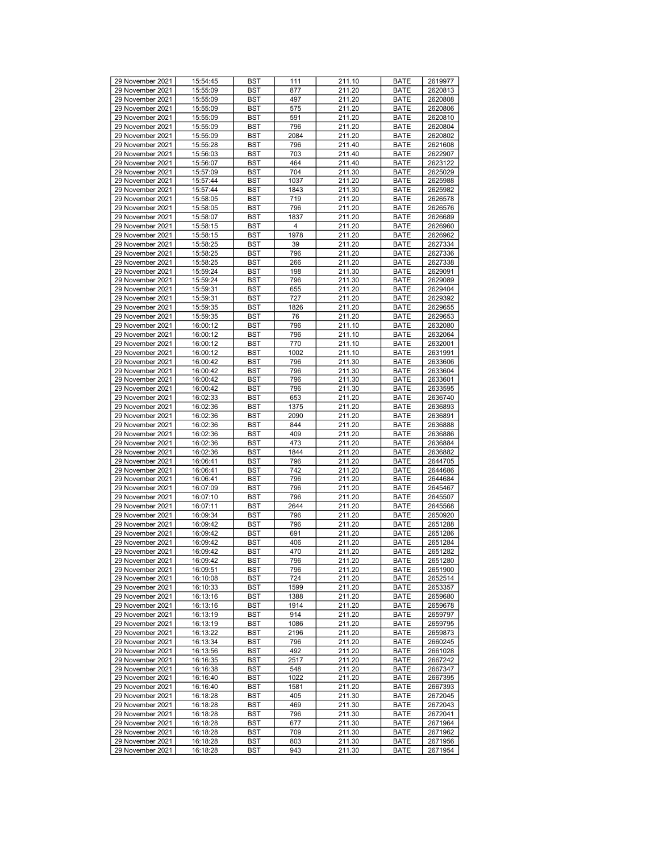| 29 November 2021 | 15:54:45 | <b>BST</b> | 111            | 211.10 | <b>BATE</b> | 2619977 |
|------------------|----------|------------|----------------|--------|-------------|---------|
| 29 November 2021 | 15:55:09 | <b>BST</b> | 877            | 211.20 | <b>BATE</b> | 2620813 |
| 29 November 2021 | 15:55:09 | <b>BST</b> | 497            | 211.20 | <b>BATE</b> | 2620808 |
| 29 November 2021 | 15:55:09 | <b>BST</b> | 575            | 211.20 | <b>BATE</b> | 2620806 |
| 29 November 2021 |          |            |                |        |             |         |
|                  | 15:55:09 | <b>BST</b> | 591            | 211.20 | <b>BATE</b> | 2620810 |
| 29 November 2021 | 15:55:09 | <b>BST</b> | 796            | 211.20 | <b>BATE</b> | 2620804 |
| 29 November 2021 | 15:55:09 | <b>BST</b> | 2084           | 211.20 | <b>BATE</b> | 2620802 |
| 29 November 2021 | 15:55:28 | <b>BST</b> | 796            | 211.40 | <b>BATE</b> | 2621608 |
|                  |          |            |                |        |             |         |
| 29 November 2021 | 15:56:03 | <b>BST</b> | 703            | 211.40 | <b>BATE</b> | 2622907 |
| 29 November 2021 | 15:56:07 | <b>BST</b> | 464            | 211.40 | <b>BATE</b> | 2623122 |
| 29 November 2021 | 15:57:09 | <b>BST</b> | 704            | 211.30 | <b>BATE</b> | 2625029 |
| 29 November 2021 | 15:57:44 | <b>BST</b> | 1037           | 211.20 | <b>BATE</b> | 2625988 |
|                  |          |            |                |        |             |         |
| 29 November 2021 | 15:57:44 | <b>BST</b> | 1843           | 211.30 | <b>BATE</b> | 2625982 |
| 29 November 2021 | 15:58:05 | <b>BST</b> | 719            | 211.20 | <b>BATE</b> | 2626578 |
| 29 November 2021 | 15:58:05 | <b>BST</b> | 796            | 211.20 | <b>BATE</b> | 2626576 |
| 29 November 2021 | 15:58:07 | <b>BST</b> | 1837           | 211.20 | <b>BATE</b> | 2626689 |
|                  |          |            |                |        |             |         |
| 29 November 2021 | 15:58:15 | <b>BST</b> | $\overline{4}$ | 211.20 | <b>BATE</b> | 2626960 |
| 29 November 2021 | 15:58:15 | <b>BST</b> | 1978           | 211.20 | <b>BATE</b> | 2626962 |
| 29 November 2021 | 15:58:25 | <b>BST</b> | 39             | 211.20 | <b>BATE</b> | 2627334 |
| 29 November 2021 | 15:58:25 | <b>BST</b> | 796            | 211.20 | <b>BATE</b> | 2627336 |
|                  |          |            |                |        |             |         |
| 29 November 2021 | 15:58:25 | <b>BST</b> | 266            | 211.20 | <b>BATE</b> | 2627338 |
| 29 November 2021 | 15:59:24 | <b>BST</b> | 198            | 211.30 | <b>BATE</b> | 2629091 |
| 29 November 2021 | 15:59:24 | <b>BST</b> | 796            | 211.30 | <b>BATE</b> | 2629089 |
| 29 November 2021 | 15:59:31 | <b>BST</b> | 655            | 211.20 | <b>BATE</b> | 2629404 |
|                  |          |            |                |        |             |         |
| 29 November 2021 | 15:59:31 | <b>BST</b> | 727            | 211.20 | <b>BATE</b> | 2629392 |
| 29 November 2021 | 15:59:35 | <b>BST</b> | 1826           | 211.20 | <b>BATE</b> | 2629655 |
| 29 November 2021 | 15:59:35 | <b>BST</b> | 76             | 211.20 | <b>BATE</b> | 2629653 |
| 29 November 2021 | 16:00:12 | <b>BST</b> | 796            | 211.10 | <b>BATE</b> | 2632080 |
|                  |          |            |                |        |             |         |
| 29 November 2021 | 16:00:12 | <b>BST</b> | 796            | 211.10 | <b>BATE</b> | 2632064 |
| 29 November 2021 | 16:00:12 | <b>BST</b> | 770            | 211.10 | <b>BATE</b> | 2632001 |
| 29 November 2021 | 16:00:12 | <b>BST</b> | 1002           | 211.10 | <b>BATE</b> | 2631991 |
| 29 November 2021 | 16:00:42 | <b>BST</b> | 796            | 211.30 | <b>BATE</b> | 2633606 |
| 29 November 2021 | 16:00:42 | <b>BST</b> | 796            | 211.30 | <b>BATE</b> | 2633604 |
|                  |          |            |                |        |             |         |
| 29 November 2021 | 16:00:42 | <b>BST</b> | 796            | 211.30 | <b>BATE</b> | 2633601 |
| 29 November 2021 | 16:00:42 | <b>BST</b> | 796            | 211.30 | <b>BATE</b> | 2633595 |
| 29 November 2021 | 16:02:33 | <b>BST</b> | 653            | 211.20 | <b>BATE</b> | 2636740 |
| 29 November 2021 | 16:02:36 | <b>BST</b> | 1375           | 211.20 | <b>BATE</b> | 2636893 |
|                  |          |            |                |        |             |         |
| 29 November 2021 | 16:02:36 | <b>BST</b> | 2090           | 211.20 | <b>BATE</b> | 2636891 |
| 29 November 2021 | 16:02:36 | <b>BST</b> | 844            | 211.20 | <b>BATE</b> | 2636888 |
| 29 November 2021 | 16:02:36 | <b>BST</b> | 409            | 211.20 | <b>BATE</b> | 2636886 |
| 29 November 2021 | 16:02:36 | <b>BST</b> | 473            | 211.20 | <b>BATE</b> | 2636884 |
|                  |          |            |                |        |             |         |
| 29 November 2021 | 16:02:36 | <b>BST</b> | 1844           | 211.20 | <b>BATE</b> | 2636882 |
| 29 November 2021 | 16:06:41 | <b>BST</b> | 796            | 211.20 | <b>BATE</b> | 2644705 |
| 29 November 2021 | 16:06:41 | <b>BST</b> | 742            | 211.20 | <b>BATE</b> | 2644686 |
| 29 November 2021 | 16:06:41 | <b>BST</b> | 796            | 211.20 | <b>BATE</b> | 2644684 |
| 29 November 2021 | 16:07:09 | <b>BST</b> | 796            | 211.20 | <b>BATE</b> | 2645467 |
|                  |          |            |                |        |             |         |
| 29 November 2021 | 16:07:10 | <b>BST</b> | 796            | 211.20 | <b>BATE</b> | 2645507 |
| 29 November 2021 | 16:07:11 | <b>BST</b> | 2644           | 211.20 | <b>BATE</b> | 2645568 |
| 29 November 2021 | 16:09:34 | <b>BST</b> | 796            | 211.20 | <b>BATE</b> | 2650920 |
| 29 November 2021 | 16:09:42 | <b>BST</b> | 796            | 211.20 | <b>BATE</b> | 2651288 |
| 29 November 2021 |          |            |                | 211.20 |             |         |
|                  | 16:09:42 | <b>BST</b> | 691            |        | <b>BATE</b> | 2651286 |
| 29 November 2021 | 16:09:42 | <b>BST</b> | 406            | 211.20 | <b>BATE</b> | 2651284 |
| 29 November 2021 | 16:09:42 | <b>BST</b> | 470            | 211.20 | <b>BATE</b> | 2651282 |
| 29 November 2021 | 16:09:42 | <b>BST</b> | 796            | 211.20 | <b>BATE</b> | 2651280 |
| 29 November 2021 | 16:09:51 | <b>BST</b> | 796            | 211.20 | <b>BATE</b> | 2651900 |
|                  |          |            |                |        |             |         |
| 29 November 2021 | 16:10:08 | <b>BST</b> | 724            | 211.20 | <b>BATE</b> | 2652514 |
| 29 November 2021 | 16:10:33 | BST        | 1599           | 211.20 | <b>BATE</b> | 2653357 |
| 29 November 2021 | 16:13:16 | <b>BST</b> | 1388           | 211.20 | <b>BATE</b> | 2659680 |
| 29 November 2021 | 16:13:16 | <b>BST</b> | 1914           | 211.20 | <b>BATE</b> | 2659678 |
|                  |          |            |                |        |             |         |
| 29 November 2021 | 16:13:19 | <b>BST</b> | 914            | 211.20 | <b>BATE</b> | 2659797 |
| 29 November 2021 | 16:13:19 | <b>BST</b> | 1086           | 211.20 | <b>BATE</b> | 2659795 |
| 29 November 2021 | 16:13:22 | BST        | 2196           | 211.20 | <b>BATE</b> | 2659873 |
| 29 November 2021 | 16:13:34 | <b>BST</b> | 796            | 211.20 | <b>BATE</b> | 2660245 |
|                  |          |            |                |        |             |         |
| 29 November 2021 | 16:13:56 | <b>BST</b> | 492            | 211.20 | <b>BATE</b> | 2661028 |
| 29 November 2021 | 16:16:35 | <b>BST</b> | 2517           | 211.20 | <b>BATE</b> | 2667242 |
| 29 November 2021 | 16:16:38 | <b>BST</b> | 548            | 211.20 | <b>BATE</b> | 2667347 |
| 29 November 2021 | 16:16:40 | <b>BST</b> | 1022           | 211.20 | <b>BATE</b> | 2667395 |
| 29 November 2021 | 16:16:40 | <b>BST</b> | 1581           | 211.20 | <b>BATE</b> | 2667393 |
|                  |          |            |                |        |             |         |
| 29 November 2021 | 16:18:28 | <b>BST</b> | 405            | 211.30 | <b>BATE</b> | 2672045 |
| 29 November 2021 | 16:18:28 | <b>BST</b> | 469            | 211.30 | <b>BATE</b> | 2672043 |
| 29 November 2021 | 16:18:28 | <b>BST</b> | 796            | 211.30 | <b>BATE</b> | 2672041 |
| 29 November 2021 | 16:18:28 | BST        | 677            | 211.30 | <b>BATE</b> | 2671964 |
| 29 November 2021 |          | <b>BST</b> | 709            | 211.30 |             |         |
|                  | 16:18:28 |            |                |        | <b>BATE</b> | 2671962 |
| 29 November 2021 | 16:18:28 | BST        | 803            | 211.30 | <b>BATE</b> | 2671956 |
| 29 November 2021 | 16:18:28 | BST        | 943            | 211.30 | BATE        | 2671954 |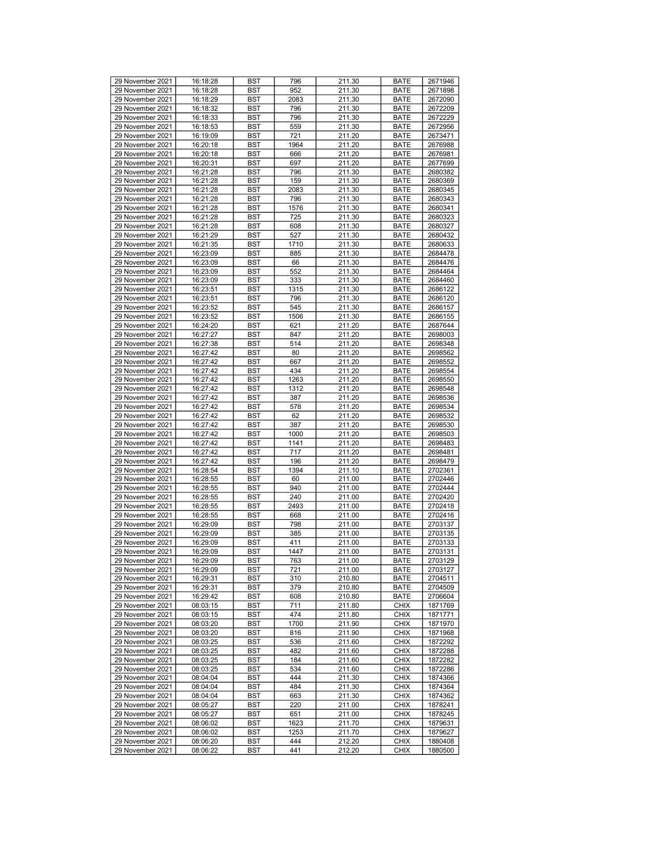| 29 November 2021                     | 16:18:28             | <b>BST</b> | 796        | 211.30           | <b>BATE</b>                | 2671946            |
|--------------------------------------|----------------------|------------|------------|------------------|----------------------------|--------------------|
| 29 November 2021                     | 16:18:28             | <b>BST</b> | 952        | 211.30           | <b>BATE</b>                | 2671898            |
| 29 November 2021                     | 16:18:29             | <b>BST</b> | 2083       | 211.30           | <b>BATE</b>                | 2672090            |
| 29 November 2021                     | 16:18:32             | <b>BST</b> | 796        | 211.30           | <b>BATE</b>                | 2672209            |
| 29 November 2021                     | 16:18:33             | <b>BST</b> | 796        | 211.30           | <b>BATE</b>                | 2672229            |
|                                      |                      |            |            |                  |                            |                    |
| 29 November 2021                     | 16:18:53             | <b>BST</b> | 559        | 211.30           | <b>BATE</b>                | 2672956            |
| 29 November 2021                     | 16:19:09             | <b>BST</b> | 721        | 211.20           | <b>BATE</b>                | 2673471            |
| 29 November 2021                     | 16:20:18             | <b>BST</b> | 1964       | 211.20           | <b>BATE</b>                | 2676988            |
| 29 November 2021                     | 16:20:18             | <b>BST</b> | 666        | 211.20           | <b>BATE</b>                | 2676981            |
| 29 November 2021                     |                      |            |            |                  | <b>BATE</b>                | 2677699            |
|                                      | 16:20:31             | <b>BST</b> | 697        | 211.20           |                            |                    |
| 29 November 2021                     | 16:21:28             | <b>BST</b> | 796        | 211.30           | <b>BATE</b>                | 2680382            |
| 29 November 2021                     | 16:21:28             | <b>BST</b> | 159        | 211.30           | <b>BATE</b>                | 2680369            |
| 29 November 2021                     | 16:21:28             | <b>BST</b> | 2083       | 211.30           | <b>BATE</b>                | 2680345            |
| 29 November 2021                     | 16:21:28             | <b>BST</b> | 796        | 211.30           | <b>BATE</b>                | 2680343            |
|                                      |                      |            |            |                  |                            |                    |
| 29 November 2021                     | 16:21:28             | <b>BST</b> | 1576       | 211.30           | <b>BATE</b>                | 2680341            |
| 29 November 2021                     | 16:21:28             | <b>BST</b> | 725        | 211.30           | <b>BATE</b>                | 2680323            |
| 29 November 2021                     | 16:21:28             | <b>BST</b> | 608        | 211.30           | <b>BATE</b>                | 2680327            |
| 29 November 2021                     | 16:21:29             | <b>BST</b> | 527        | 211.30           | <b>BATE</b>                | 2680432            |
|                                      |                      |            |            |                  |                            |                    |
| 29 November 2021                     | 16:21:35             | <b>BST</b> | 1710       | 211.30           | <b>BATE</b>                | 2680633            |
| 29 November 2021                     | 16:23:09             | <b>BST</b> | 885        | 211.30           | <b>BATE</b>                | 2684478            |
| 29 November 2021                     | 16:23:09             | <b>BST</b> | 66         | 211.30           | <b>BATE</b>                | 2684476            |
| 29 November 2021                     | 16:23:09             | <b>BST</b> | 552        | 211.30           | <b>BATE</b>                | 2684464            |
| 29 November 2021                     | 16:23:09             | <b>BST</b> | 333        | 211.30           | <b>BATE</b>                | 2684460            |
|                                      |                      |            |            |                  |                            |                    |
| 29 November 2021                     | 16:23:51             | <b>BST</b> | 1315       | 211.30           | <b>BATE</b>                | 2686122            |
| 29 November 2021                     | 16:23:51             | <b>BST</b> | 796        | 211.30           | <b>BATE</b>                | 2686120            |
| 29 November 2021                     | 16:23:52             | <b>BST</b> | 545        | 211.30           | <b>BATE</b>                | 2686157            |
| 29 November 2021                     | 16:23:52             | <b>BST</b> | 1506       | 211.30           | <b>BATE</b>                | 2686155            |
|                                      |                      |            |            |                  |                            |                    |
| 29 November 2021                     | 16:24:20             | <b>BST</b> | 621        | 211.20           | <b>BATE</b>                | 2687644            |
| 29 November 2021                     | 16:27:27             | <b>BST</b> | 847        | 211.20           | <b>BATE</b>                | 2698003            |
| 29 November 2021                     | 16:27:38             | <b>BST</b> | 514        | 211.20           | <b>BATE</b>                | 2698348            |
| 29 November 2021                     | 16:27:42             | <b>BST</b> | 80         | 211.20           | <b>BATE</b>                | 2698562            |
|                                      |                      |            |            |                  |                            |                    |
| 29 November 2021                     | 16:27:42             | <b>BST</b> | 667        | 211.20           | <b>BATE</b>                | 2698552            |
| 29 November 2021                     | 16:27:42             | <b>BST</b> | 434        | 211.20           | <b>BATE</b>                | 2698554            |
| 29 November 2021                     | 16:27:42             | <b>BST</b> | 1263       | 211.20           | <b>BATE</b>                | 2698550            |
| 29 November 2021                     | 16:27:42             | <b>BST</b> | 1312       | 211.20           | <b>BATE</b>                | 2698548            |
| 29 November 2021                     | 16:27:42             | <b>BST</b> | 387        | 211.20           | <b>BATE</b>                | 2698536            |
|                                      |                      |            |            |                  |                            |                    |
| 29 November 2021                     | 16:27:42             | <b>BST</b> | 578        | 211.20           | <b>BATE</b>                | 2698534            |
| 29 November 2021                     | 16:27:42             | <b>BST</b> | 62         | 211.20           | <b>BATE</b>                | 2698532            |
| 29 November 2021                     | 16:27:42             | <b>BST</b> | 387        | 211.20           | <b>BATE</b>                | 2698530            |
| 29 November 2021                     | 16:27:42             | <b>BST</b> | 1000       | 211.20           | <b>BATE</b>                | 2698503            |
|                                      |                      |            |            |                  |                            |                    |
| 29 November 2021                     | 16:27:42             | <b>BST</b> | 1141       | 211.20           | <b>BATE</b>                | 2698483            |
| 29 November 2021                     | 16:27:42             | <b>BST</b> | 717        | 211.20           | <b>BATE</b>                | 2698481            |
| 29 November 2021                     | 16:27:42             | <b>BST</b> | 196        | 211.20           | <b>BATE</b>                | 2698479            |
| 29 November 2021                     | 16:28:54             | <b>BST</b> | 1394       | 211.10           | <b>BATE</b>                | 2702361            |
| 29 November 2021                     | 16:28:55             | <b>BST</b> | 60         | 211.00           | <b>BATE</b>                | 2702446            |
|                                      |                      |            |            |                  |                            |                    |
| 29 November 2021                     | 16:28:55             | <b>BST</b> | 940        | 211.00           | <b>BATE</b>                | 2702444            |
| 29 November 2021                     | 16:28:55             | <b>BST</b> | 240        | 211.00           | <b>BATE</b>                | 2702420            |
| 29 November 2021                     | 16:28:55             | <b>BST</b> | 2493       | 211.00           | <b>BATE</b>                | 2702418            |
| 29 November 2021                     | 16:28:55             | <b>BST</b> | 668        | 211.00           | <b>BATE</b>                | 2702416            |
|                                      |                      |            |            |                  |                            |                    |
| 29 November 2021                     | 16:29:09             | <b>BST</b> | 798        | 211.00           | <b>BATE</b>                | 2703137            |
| 29 November 2021                     | 16:29:09             | <b>BST</b> | 385        | 211.00           | <b>BATE</b>                | 2703135            |
| 29 November 2021                     | 16:29:09             | <b>BST</b> | 411        | 211.00           | <b>BATE</b>                | 2703133            |
| 29 November 2021                     | 16:29:09             | <b>BST</b> | 1447       | 211.00           | <b>BATE</b>                | 2703131            |
| 29 November 2021                     | 16:29:09             | <b>BST</b> | 763        | 211.00           | <b>BATE</b>                | 2703129            |
|                                      |                      |            |            |                  |                            |                    |
| 29 November 2021                     | 16:29:09             | <b>BST</b> | 721        | 211.00           | <b>BATE</b>                | 2703127            |
| 29 November 2021                     | 16:29:31             | <b>BST</b> | 310        | 210.80           | <b>BATE</b>                | 2704511            |
| 29 November 2021                     | 16:29:31             | BST        | 379        | 210.80           | <b>BATE</b>                | 2704509            |
| 29 November 2021                     | 16:29:42             | <b>BST</b> | 608        | 210.80           | <b>BATE</b>                | 2706604            |
| 29 November 2021                     | 08:03:15             | <b>BST</b> | 711        | 211.80           | <b>CHIX</b>                | 1871769            |
|                                      |                      |            |            |                  |                            |                    |
| 29 November 2021                     |                      |            |            |                  |                            |                    |
| 29 November 2021                     | 08:03:15             | <b>BST</b> | 474        | 211.80           | <b>CHIX</b>                | 1871771            |
|                                      | 08:03:20             | <b>BST</b> | 1700       | 211.90           | <b>CHIX</b>                | 1871970            |
| 29 November 2021                     | 08:03:20             | BST        | 816        | 211.90           | <b>CHIX</b>                | 1871968            |
|                                      |                      |            |            |                  |                            |                    |
| 29 November 2021                     | 08:03:25             | <b>BST</b> | 536        | 211.60           | <b>CHIX</b>                | 1872292            |
| 29 November 2021                     | 08:03:25             | <b>BST</b> | 482        | 211.60           | <b>CHIX</b>                | 1872288            |
| 29 November 2021                     | 08:03:25             | <b>BST</b> | 184        | 211.60           | <b>CHIX</b>                | 1872282            |
| 29 November 2021                     | 08:03:25             | <b>BST</b> | 534        | 211.60           | <b>CHIX</b>                | 1872286            |
| 29 November 2021                     | 08:04:04             | <b>BST</b> | 444        | 211.30           | <b>CHIX</b>                | 1874366            |
|                                      |                      |            |            |                  |                            |                    |
| 29 November 2021                     | 08:04:04             | <b>BST</b> | 484        | 211.30           | <b>CHIX</b>                | 1874364            |
| 29 November 2021                     | 08:04:04             | BST        | 663        | 211.30           | <b>CHIX</b>                | 1874362            |
| 29 November 2021                     | 08:05:27             | <b>BST</b> | 220        | 211.00           | <b>CHIX</b>                | 1878241            |
| 29 November 2021                     | 08:05:27             | <b>BST</b> | 651        | 211.00           | <b>CHIX</b>                | 1878245            |
|                                      |                      |            |            |                  |                            |                    |
| 29 November 2021                     | 08:06:02             | BST        | 1623       | 211.70           | <b>CHIX</b>                | 1879631            |
| 29 November 2021                     | 08:06:02             | <b>BST</b> | 1253       | 211.70           | <b>CHIX</b>                | 1879627            |
| 29 November 2021<br>29 November 2021 | 08:06:20<br>08:06:22 | BST<br>BST | 444<br>441 | 212.20<br>212.20 | <b>CHIX</b><br><b>CHIX</b> | 1880408<br>1880500 |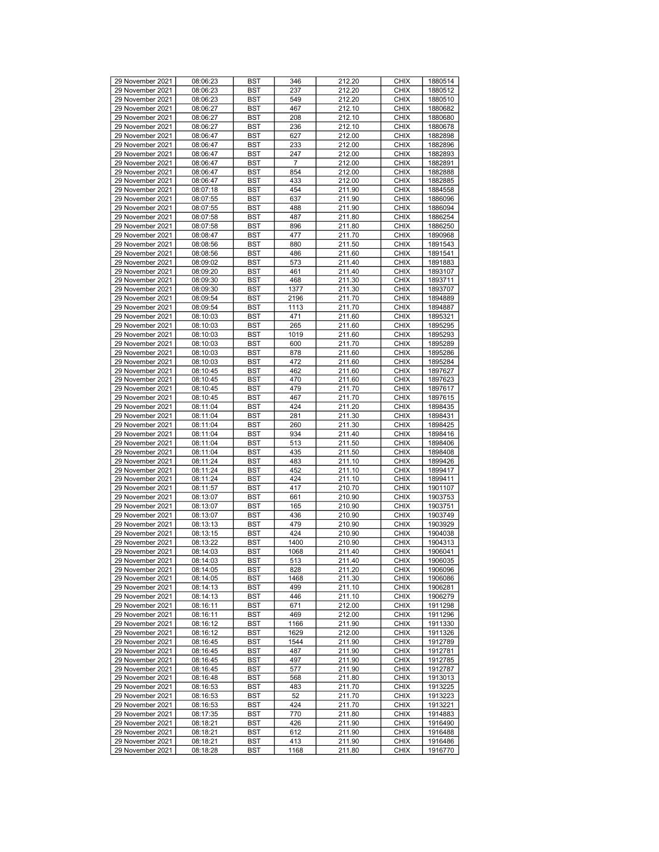| 29 November 2021                     | 08:06:23             | <b>BST</b> | 346         | 212.20           | <b>CHIX</b>                | 1880514            |
|--------------------------------------|----------------------|------------|-------------|------------------|----------------------------|--------------------|
| 29 November 2021                     | 08:06:23             | <b>BST</b> | 237         | 212.20           | <b>CHIX</b>                | 1880512            |
|                                      |                      |            |             |                  |                            |                    |
| 29 November 2021                     | 08:06:23             | <b>BST</b> | 549         | 212.20           | <b>CHIX</b>                | 1880510            |
| 29 November 2021                     | 08:06:27             | <b>BST</b> | 467         | 212.10           | <b>CHIX</b>                | 1880682            |
|                                      |                      |            |             |                  |                            |                    |
| 29 November 2021                     | 08:06:27             | <b>BST</b> | 208         | 212.10           | <b>CHIX</b>                | 1880680            |
| 29 November 2021                     | 08:06:27             | <b>BST</b> | 236         | 212.10           | <b>CHIX</b>                | 1880678            |
|                                      |                      |            |             |                  |                            |                    |
| 29 November 2021                     | 08:06:47             | <b>BST</b> | 627         | 212.00           | <b>CHIX</b>                | 1882898            |
| 29 November 2021                     | 08:06:47             | <b>BST</b> | 233         | 212.00           | <b>CHIX</b>                | 1882896            |
|                                      |                      |            |             |                  |                            |                    |
| 29 November 2021                     | 08:06:47             | <b>BST</b> | 247         | 212.00           | <b>CHIX</b>                | 1882893            |
| 29 November 2021                     | 08:06:47             | <b>BST</b> | 7           | 212.00           | <b>CHIX</b>                | 1882891            |
|                                      |                      |            |             |                  |                            |                    |
| 29 November 2021                     | 08:06:47             | <b>BST</b> | 854         | 212.00           | <b>CHIX</b>                | 1882888            |
| 29 November 2021                     | 08:06:47             | <b>BST</b> | 433         | 212.00           | <b>CHIX</b>                | 1882885            |
|                                      |                      |            |             |                  |                            |                    |
| 29 November 2021                     | 08:07:18             | <b>BST</b> | 454         | 211.90           | <b>CHIX</b>                | 1884558            |
| 29 November 2021                     | 08:07:55             | <b>BST</b> | 637         | 211.90           | <b>CHIX</b>                | 1886096            |
|                                      |                      |            |             |                  |                            |                    |
| 29 November 2021                     | 08:07:55             | <b>BST</b> | 488         | 211.90           | <b>CHIX</b>                | 1886094            |
| 29 November 2021                     | 08:07:58             | <b>BST</b> | 487         | 211.80           | <b>CHIX</b>                | 1886254            |
|                                      |                      |            |             |                  |                            |                    |
| 29 November 2021                     | 08:07:58             | <b>BST</b> | 896         | 211.80           | <b>CHIX</b>                | 1886250            |
| 29 November 2021                     | 08:08:47             | <b>BST</b> | 477         | 211.70           | <b>CHIX</b>                | 1890968            |
|                                      |                      |            |             |                  |                            |                    |
| 29 November 2021                     | 08:08:56             | <b>BST</b> | 880         | 211.50           | <b>CHIX</b>                | 1891543            |
| 29 November 2021                     | 08:08:56             | <b>BST</b> | 486         | 211.60           | <b>CHIX</b>                | 1891541            |
|                                      |                      |            |             |                  |                            |                    |
| 29 November 2021                     | 08:09:02             | <b>BST</b> | 573         | 211.40           | <b>CHIX</b>                | 1891883            |
| 29 November 2021                     | 08:09:20             | <b>BST</b> | 461         | 211.40           | <b>CHIX</b>                | 1893107            |
|                                      |                      |            |             |                  |                            |                    |
| 29 November 2021                     | 08:09:30             | <b>BST</b> | 468         | 211.30           | <b>CHIX</b>                | 1893711            |
| 29 November 2021                     | 08:09:30             | <b>BST</b> | 1377        | 211.30           | <b>CHIX</b>                | 1893707            |
|                                      |                      |            |             |                  |                            |                    |
| 29 November 2021                     | 08:09:54             | <b>BST</b> | 2196        | 211.70           | <b>CHIX</b>                | 1894889            |
| 29 November 2021                     | 08:09:54             | <b>BST</b> | 1113        | 211.70           | <b>CHIX</b>                | 1894887            |
|                                      |                      |            |             |                  |                            |                    |
| 29 November 2021                     | 08:10:03             | <b>BST</b> | 471         | 211.60           | <b>CHIX</b>                | 1895321            |
| 29 November 2021                     | 08:10:03             | <b>BST</b> | 265         | 211.60           | <b>CHIX</b>                | 1895295            |
|                                      |                      |            |             |                  |                            |                    |
| 29 November 2021                     | 08:10:03             | <b>BST</b> | 1019        | 211.60           | <b>CHIX</b>                | 1895293            |
| 29 November 2021                     | 08:10:03             | <b>BST</b> | 600         | 211.70           | <b>CHIX</b>                | 1895289            |
|                                      |                      |            |             |                  |                            |                    |
| 29 November 2021                     | 08:10:03             | <b>BST</b> | 878         | 211.60           | <b>CHIX</b>                | 1895286            |
| 29 November 2021                     | 08:10:03             | <b>BST</b> | 472         | 211.60           | <b>CHIX</b>                | 1895284            |
|                                      |                      |            |             |                  |                            |                    |
| 29 November 2021                     | 08:10:45             | <b>BST</b> | 462         | 211.60           | <b>CHIX</b>                | 1897627            |
| 29 November 2021                     | 08:10:45             | <b>BST</b> | 470         | 211.60           | <b>CHIX</b>                | 1897623            |
|                                      |                      |            |             |                  |                            |                    |
| 29 November 2021                     | 08:10:45             | <b>BST</b> | 479         | 211.70           | <b>CHIX</b>                | 1897617            |
| 29 November 2021                     | 08:10:45             | <b>BST</b> | 467         | 211.70           | <b>CHIX</b>                | 1897615            |
|                                      |                      |            |             |                  |                            |                    |
| 29 November 2021                     | 08:11:04             | <b>BST</b> | 424         | 211.20           | <b>CHIX</b>                | 1898435            |
| 29 November 2021                     | 08:11:04             | <b>BST</b> | 281         | 211.30           | <b>CHIX</b>                | 1898431            |
|                                      |                      |            |             |                  |                            |                    |
| 29 November 2021                     | 08:11:04             | <b>BST</b> | 260         | 211.30           | <b>CHIX</b>                | 1898425            |
| 29 November 2021                     | 08:11:04             | <b>BST</b> | 934         | 211.40           | <b>CHIX</b>                | 1898416            |
|                                      |                      |            |             |                  |                            |                    |
| 29 November 2021                     | 08:11:04             | <b>BST</b> | 513         | 211.50           | <b>CHIX</b>                | 1898406            |
| 29 November 2021                     | 08:11:04             | <b>BST</b> | 435         | 211.50           | <b>CHIX</b>                | 1898408            |
| 29 November 2021                     |                      | <b>BST</b> | 483         |                  | <b>CHIX</b>                | 1899426            |
|                                      | 08:11:24             |            |             | 211.10           |                            |                    |
| 29 November 2021                     | 08:11:24             | <b>BST</b> | 452         | 211.10           | <b>CHIX</b>                | 1899417            |
| 29 November 2021                     | 08:11:24             | <b>BST</b> | 424         | 211.10           | <b>CHIX</b>                | 1899411            |
|                                      |                      |            |             |                  |                            |                    |
| 29 November 2021                     | 08:11:57             | <b>BST</b> | 417         | 210.70           | <b>CHIX</b>                | 1901107            |
| 29 November 2021                     | 08:13:07             | <b>BST</b> | 661         | 210.90           | <b>CHIX</b>                | 1903753            |
|                                      |                      |            |             |                  |                            |                    |
| 29 November 2021                     | 08:13:07             | <b>BST</b> | 165         | 210.90           | <b>CHIX</b>                | 1903751            |
| 29 November 2021                     | 08:13:07             | <b>BST</b> | 436         | 210.90           | <b>CHIX</b>                | 1903749            |
|                                      |                      |            |             |                  |                            |                    |
| 29 November 2021                     | 08:13:13             | <b>BST</b> | 479         | 210.90           | <b>CHIX</b>                | 1903929            |
| 29 November 2021                     | 08:13:15             | <b>BST</b> | 424         | 210.90           | <b>CHIX</b>                | 1904038            |
|                                      |                      |            |             |                  | <b>CHIX</b>                | 1904313            |
| 29 November 2021                     | 08:13:22             | <b>BST</b> | 1400        |                  |                            |                    |
| 29 November 2021                     | 08:14:03             |            |             | 210.90           |                            |                    |
| 29 November 2021                     |                      | <b>BST</b> | 1068        | 211.40           | <b>CHIX</b>                | 1906041            |
|                                      |                      |            |             |                  |                            |                    |
|                                      | 08:14:03             | <b>BST</b> | 513         | 211.40           | <b>CHIX</b>                | 1906035            |
| 29 November 2021                     | 08:14:05             | <b>BST</b> | 828         | 211.20           | <b>CHIX</b>                | 1906096            |
|                                      |                      |            |             |                  |                            |                    |
| 29 November 2021                     | 08:14:05             | <b>BST</b> | 1468        | 211.30           | <b>CHIX</b>                | 1906086            |
| 29 November 2021                     | 08:14:13             | BST        | 499         | 211.10           | <b>CHIX</b>                | 1906281            |
|                                      |                      |            |             |                  |                            |                    |
| 29 November 2021                     | 08:14:13             | <b>BST</b> | 446         | 211.10           | <b>CHIX</b>                | 1906279            |
| 29 November 2021                     | 08:16:11             | <b>BST</b> | 671         | 212.00           | <b>CHIX</b>                | 1911298            |
| 29 November 2021                     | 08:16:11             | <b>BST</b> | 469         | 212.00           | <b>CHIX</b>                | 1911296            |
|                                      |                      |            |             |                  |                            |                    |
| 29 November 2021                     | 08:16:12             | <b>BST</b> | 1166        | 211.90           | <b>CHIX</b>                | 1911330            |
| 29 November 2021                     | 08:16:12             | BST        | 1629        | 212.00           | <b>CHIX</b>                | 1911326            |
|                                      |                      |            |             |                  |                            |                    |
| 29 November 2021                     | 08:16:45             | <b>BST</b> | 1544        | 211.90           | <b>CHIX</b>                | 1912789            |
| 29 November 2021                     | 08:16:45             | <b>BST</b> | 487         | 211.90           | <b>CHIX</b>                | 1912781            |
|                                      |                      |            |             |                  |                            |                    |
| 29 November 2021                     | 08:16:45             | <b>BST</b> | 497         | 211.90           | <b>CHIX</b>                | 1912785            |
| 29 November 2021                     | 08:16:45             | <b>BST</b> | 577         | 211.90           | <b>CHIX</b>                | 1912787            |
|                                      |                      |            |             |                  |                            |                    |
| 29 November 2021                     | 08:16:48             | <b>BST</b> | 568         | 211.80           | <b>CHIX</b>                | 1913013            |
| 29 November 2021                     | 08:16:53             | <b>BST</b> | 483         | 211.70           | <b>CHIX</b>                | 1913225            |
|                                      |                      |            |             |                  |                            |                    |
| 29 November 2021                     | 08:16:53             | <b>BST</b> | 52          | 211.70           | <b>CHIX</b>                | 1913223            |
| 29 November 2021                     | 08:16:53             | <b>BST</b> | 424         | 211.70           | <b>CHIX</b>                | 1913221            |
|                                      |                      |            |             |                  |                            |                    |
| 29 November 2021                     | 08:17:35             | <b>BST</b> | 770         | 211.80           | <b>CHIX</b>                | 1914883            |
| 29 November 2021                     | 08:18:21             | BST        | 426         | 211.90           | <b>CHIX</b>                | 1916490            |
| 29 November 2021                     | 08:18:21             | <b>BST</b> | 612         | 211.90           | <b>CHIX</b>                | 1916488            |
|                                      |                      |            |             |                  |                            |                    |
| 29 November 2021<br>29 November 2021 | 08:18:21<br>08:18:28 | BST<br>BST | 413<br>1168 | 211.90<br>211.80 | <b>CHIX</b><br><b>CHIX</b> | 1916486<br>1916770 |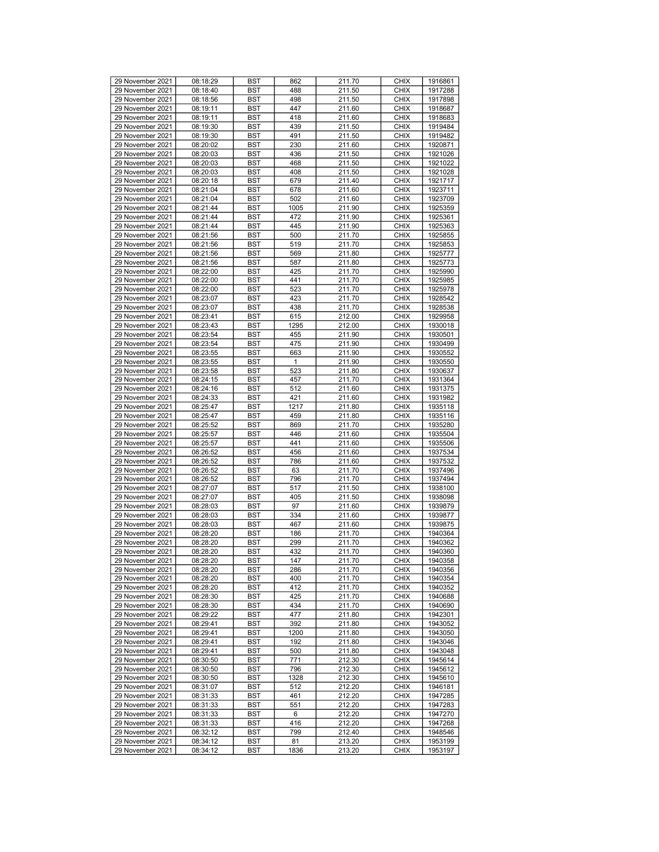| 29 November 2021 | 08:18:29 | <b>BST</b> | 862  | 211.70 | <b>CHIX</b> | 1916861 |
|------------------|----------|------------|------|--------|-------------|---------|
| 29 November 2021 | 08:18:40 | BST        | 488  | 211.50 | <b>CHIX</b> | 1917288 |
|                  |          |            |      |        |             |         |
| 29 November 2021 | 08:18:56 | BST        | 498  | 211.50 | <b>CHIX</b> | 1917898 |
| 29 November 2021 | 08:19:11 | <b>BST</b> | 447  | 211.60 | <b>CHIX</b> | 1918687 |
| 29 November 2021 | 08:19:11 | <b>BST</b> | 418  | 211.60 | <b>CHIX</b> | 1918683 |
| 29 November 2021 | 08:19:30 | <b>BST</b> | 439  | 211.50 | <b>CHIX</b> | 1919484 |
| 29 November 2021 | 08:19:30 | BST        | 491  | 211.50 | <b>CHIX</b> | 1919482 |
|                  |          |            |      |        |             |         |
| 29 November 2021 | 08:20:02 | BST        | 230  | 211.60 | <b>CHIX</b> | 1920871 |
| 29 November 2021 | 08:20:03 | BST        | 436  | 211.50 | <b>CHIX</b> | 1921026 |
| 29 November 2021 | 08:20:03 | <b>BST</b> | 468  | 211.50 | <b>CHIX</b> | 1921022 |
| 29 November 2021 | 08:20:03 | <b>BST</b> | 408  | 211.50 | <b>CHIX</b> | 1921028 |
| 29 November 2021 | 08:20:18 | BST        | 679  | 211.40 | <b>CHIX</b> | 1921717 |
|                  |          |            |      |        |             |         |
| 29 November 2021 | 08:21:04 | BST        | 678  | 211.60 | <b>CHIX</b> | 1923711 |
| 29 November 2021 | 08:21:04 | <b>BST</b> | 502  | 211.60 | <b>CHIX</b> | 1923709 |
| 29 November 2021 | 08:21:44 | <b>BST</b> | 1005 | 211.90 | <b>CHIX</b> | 1925359 |
| 29 November 2021 | 08:21:44 | <b>BST</b> | 472  | 211.90 | <b>CHIX</b> | 1925361 |
| 29 November 2021 | 08:21:44 | BST        | 445  | 211.90 | <b>CHIX</b> | 1925363 |
| 29 November 2021 |          |            |      |        | <b>CHIX</b> | 1925855 |
|                  | 08:21:56 | BST        | 500  | 211.70 |             |         |
| 29 November 2021 | 08:21:56 | BST        | 519  | 211.70 | <b>CHIX</b> | 1925853 |
| 29 November 2021 | 08:21:56 | <b>BST</b> | 569  | 211.80 | <b>CHIX</b> | 1925777 |
| 29 November 2021 | 08:21:56 | <b>BST</b> | 587  | 211.80 | <b>CHIX</b> | 1925773 |
| 29 November 2021 | 08:22:00 | BST        | 425  | 211.70 | <b>CHIX</b> | 1925990 |
| 29 November 2021 | 08:22:00 | BST        | 441  | 211.70 | <b>CHIX</b> | 1925985 |
|                  |          |            |      |        |             |         |
| 29 November 2021 | 08:22:00 | <b>BST</b> | 523  | 211.70 | <b>CHIX</b> | 1925978 |
| 29 November 2021 | 08:23:07 | <b>BST</b> | 423  | 211.70 | <b>CHIX</b> | 1928542 |
| 29 November 2021 | 08:23:07 | <b>BST</b> | 438  | 211.70 | <b>CHIX</b> | 1928538 |
| 29 November 2021 | 08:23:41 | BST        | 615  | 212.00 | <b>CHIX</b> | 1929958 |
| 29 November 2021 | 08:23:43 | BST        | 1295 | 212.00 | <b>CHIX</b> | 1930018 |
|                  |          |            |      |        |             |         |
| 29 November 2021 | 08:23:54 | <b>BST</b> | 455  | 211.90 | <b>CHIX</b> | 1930501 |
| 29 November 2021 | 08:23:54 | <b>BST</b> | 475  | 211.90 | <b>CHIX</b> | 1930499 |
| 29 November 2021 | 08:23:55 | <b>BST</b> | 663  | 211.90 | <b>CHIX</b> | 1930552 |
| 29 November 2021 | 08:23:55 | BST        | 1    | 211.90 | <b>CHIX</b> | 1930550 |
| 29 November 2021 | 08:23:58 | BST        | 523  | 211.80 | <b>CHIX</b> | 1930637 |
|                  |          |            |      |        |             |         |
| 29 November 2021 | 08:24:15 | <b>BST</b> | 457  | 211.70 | <b>CHIX</b> | 1931364 |
| 29 November 2021 | 08:24:16 | <b>BST</b> | 512  | 211.60 | <b>CHIX</b> | 1931375 |
| 29 November 2021 | 08:24:33 | <b>BST</b> | 421  | 211.60 | <b>CHIX</b> | 1931982 |
| 29 November 2021 | 08:25:47 | BST        | 1217 | 211.80 | <b>CHIX</b> | 1935118 |
| 29 November 2021 | 08:25:47 | BST        | 459  | 211.80 | <b>CHIX</b> | 1935116 |
|                  |          |            |      |        |             |         |
| 29 November 2021 | 08:25:52 | BST        | 869  | 211.70 | <b>CHIX</b> | 1935280 |
| 29 November 2021 | 08:25:57 | <b>BST</b> | 446  | 211.60 | <b>CHIX</b> | 1935504 |
| 29 November 2021 | 08:25:57 | <b>BST</b> | 441  | 211.60 | <b>CHIX</b> | 1935506 |
| 29 November 2021 | 08:26:52 | BST        | 456  | 211.60 | <b>CHIX</b> | 1937534 |
| 29 November 2021 | 08:26:52 | BST        | 786  | 211.60 | <b>CHIX</b> | 1937532 |
|                  |          |            |      |        |             |         |
| 29 November 2021 | 08:26:52 | BST        | 63   | 211.70 | <b>CHIX</b> | 1937496 |
| 29 November 2021 | 08:26:52 | <b>BST</b> | 796  | 211.70 | <b>CHIX</b> | 1937494 |
| 29 November 2021 | 08:27:07 | <b>BST</b> | 517  | 211.50 | <b>CHIX</b> | 1938100 |
| 29 November 2021 | 08:27:07 | BST        | 405  | 211.50 | <b>CHIX</b> | 1938098 |
| 29 November 2021 | 08:28:03 | BST        | 97   | 211.60 | <b>CHIX</b> | 1939879 |
|                  |          |            |      |        |             |         |
| 29 November 2021 | 08:28:03 | <b>BST</b> | 334  | 211.60 | <b>CHIX</b> | 1939877 |
| 29 November 2021 | 08:28:03 | <b>BST</b> | 467  | 211.60 | <b>CHIX</b> | 1939875 |
| 29 November 2021 | 08:28:20 | <b>BST</b> | 186  | 211.70 | <b>CHIX</b> | 1940364 |
| 29 November 2021 | 08:28:20 | BST        | 299  | 211.70 | <b>CHIX</b> | 1940362 |
| 29 November 2021 | 08:28:20 | <b>BST</b> | 432  | 211.70 | <b>CHIX</b> | 1940360 |
| 29 November 2021 | 08:28:20 | <b>BST</b> | 147  | 211.70 | <b>CHIX</b> | 1940358 |
|                  |          |            |      |        |             |         |
| 29 November 2021 | 08:28:20 | <b>BST</b> | 286  | 211.70 | <b>CHIX</b> | 1940356 |
| 29 November 2021 | 08:28:20 | <b>BST</b> | 400  | 211.70 | <b>CHIX</b> | 1940354 |
| 29 November 2021 | 08:28:20 | <b>BST</b> | 412  | 211.70 | <b>CHIX</b> | 1940352 |
| 29 November 2021 | 08:28:30 | <b>BST</b> | 425  | 211.70 | <b>CHIX</b> | 1940688 |
| 29 November 2021 | 08:28:30 | BST        | 434  | 211.70 | <b>CHIX</b> | 1940690 |
| 29 November 2021 |          |            | 477  | 211.80 | <b>CHIX</b> | 1942301 |
|                  | 08:29:22 | <b>BST</b> |      |        |             |         |
| 29 November 2021 | 08:29:41 | <b>BST</b> | 392  | 211.80 | <b>CHIX</b> | 1943052 |
| 29 November 2021 | 08:29:41 | BST        | 1200 | 211.80 | <b>CHIX</b> | 1943050 |
| 29 November 2021 | 08:29:41 | BST        | 192  | 211.80 | <b>CHIX</b> | 1943046 |
| 29 November 2021 | 08:29:41 | BST        | 500  | 211.80 | <b>CHIX</b> | 1943048 |
| 29 November 2021 |          |            | 771  | 212.30 | <b>CHIX</b> | 1945614 |
|                  | 08:30:50 | <b>BST</b> |      |        |             |         |
| 29 November 2021 | 08:30:50 | <b>BST</b> | 796  | 212.30 | <b>CHIX</b> | 1945612 |
| 29 November 2021 | 08:30:50 | BST        | 1328 | 212.30 | <b>CHIX</b> | 1945610 |
| 29 November 2021 | 08:31:07 | <b>BST</b> | 512  | 212.20 | <b>CHIX</b> | 1946181 |
| 29 November 2021 | 08:31:33 | BST        | 461  | 212.20 | <b>CHIX</b> | 1947285 |
| 29 November 2021 | 08:31:33 |            | 551  | 212.20 | <b>CHIX</b> | 1947283 |
|                  |          | <b>BST</b> |      |        |             |         |
| 29 November 2021 | 08:31:33 | <b>BST</b> | 6    | 212.20 | <b>CHIX</b> | 1947270 |
| 29 November 2021 | 08:31:33 | BST        | 416  | 212.20 | <b>CHIX</b> | 1947268 |
| 29 November 2021 | 08:32:12 | BST        | 799  | 212.40 | <b>CHIX</b> | 1948546 |
| 29 November 2021 | 08:34:12 | BST        | 81   | 213.20 | <b>CHIX</b> | 1953199 |
|                  |          |            |      |        |             |         |
| 29 November 2021 | 08:34:12 | BST        | 1836 | 213.20 | <b>CHIX</b> | 1953197 |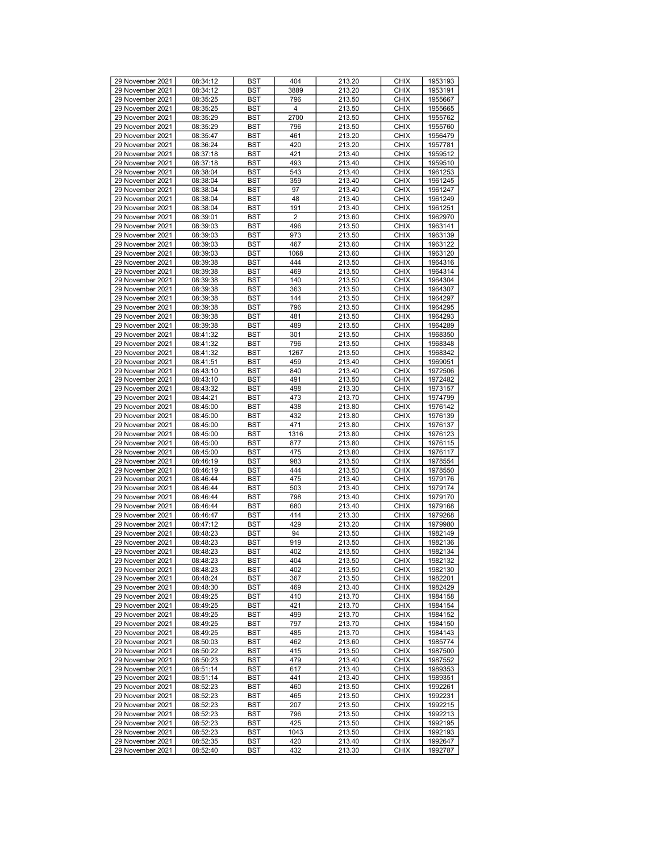| 29 November 2021 | 08:34:12 | <b>BST</b> | 404                     | 213.20 | <b>CHIX</b> | 1953193 |
|------------------|----------|------------|-------------------------|--------|-------------|---------|
| 29 November 2021 | 08:34:12 | BST        | 3889                    | 213.20 | <b>CHIX</b> | 1953191 |
| 29 November 2021 | 08:35:25 | BST        | 796                     | 213.50 | <b>CHIX</b> | 1955667 |
| 29 November 2021 | 08:35:25 | <b>BST</b> | $\overline{\mathbf{4}}$ | 213.50 | <b>CHIX</b> | 1955665 |
|                  |          |            |                         |        |             |         |
| 29 November 2021 | 08:35:29 | <b>BST</b> | 2700                    | 213.50 | <b>CHIX</b> | 1955762 |
| 29 November 2021 | 08:35:29 | <b>BST</b> | 796                     | 213.50 | <b>CHIX</b> | 1955760 |
| 29 November 2021 | 08:35:47 | BST        | 461                     | 213.20 | <b>CHIX</b> | 1956479 |
| 29 November 2021 | 08:36:24 | BST        | 420                     | 213.20 | <b>CHIX</b> | 1957781 |
| 29 November 2021 | 08:37:18 | <b>BST</b> | 421                     | 213.40 | <b>CHIX</b> | 1959512 |
| 29 November 2021 | 08:37:18 | <b>BST</b> | 493                     | 213.40 | <b>CHIX</b> | 1959510 |
| 29 November 2021 | 08:38:04 | <b>BST</b> | 543                     | 213.40 | <b>CHIX</b> | 1961253 |
| 29 November 2021 | 08:38:04 | BST        | 359                     | 213.40 | <b>CHIX</b> | 1961245 |
| 29 November 2021 | 08:38:04 | BST        | 97                      | 213.40 | <b>CHIX</b> | 1961247 |
|                  |          |            |                         |        |             |         |
| 29 November 2021 | 08:38:04 | <b>BST</b> | 48                      | 213.40 | <b>CHIX</b> | 1961249 |
| 29 November 2021 | 08:38:04 | <b>BST</b> | 191                     | 213.40 | <b>CHIX</b> | 1961251 |
| 29 November 2021 | 08:39:01 | <b>BST</b> | 2                       | 213.60 | <b>CHIX</b> | 1962970 |
| 29 November 2021 | 08:39:03 | BST        | 496                     | 213.50 | <b>CHIX</b> | 1963141 |
| 29 November 2021 | 08:39:03 | BST        | 973                     | 213.50 | <b>CHIX</b> | 1963139 |
| 29 November 2021 | 08:39:03 | BST        | 467                     | 213.60 | <b>CHIX</b> | 1963122 |
| 29 November 2021 | 08:39:03 | <b>BST</b> | 1068                    | 213.60 | <b>CHIX</b> | 1963120 |
| 29 November 2021 | 08:39:38 | <b>BST</b> | 444                     | 213.50 | <b>CHIX</b> | 1964316 |
|                  |          |            |                         |        |             |         |
| 29 November 2021 | 08:39:38 | BST        | 469                     | 213.50 | <b>CHIX</b> | 1964314 |
| 29 November 2021 | 08:39:38 | BST        | 140                     | 213.50 | <b>CHIX</b> | 1964304 |
| 29 November 2021 | 08:39:38 | <b>BST</b> | 363                     | 213.50 | <b>CHIX</b> | 1964307 |
| 29 November 2021 | 08:39:38 | <b>BST</b> | 144                     | 213.50 | <b>CHIX</b> | 1964297 |
| 29 November 2021 | 08:39:38 | <b>BST</b> | 796                     | 213.50 | <b>CHIX</b> | 1964295 |
| 29 November 2021 | 08:39:38 | BST        | 481                     | 213.50 | <b>CHIX</b> | 1964293 |
| 29 November 2021 | 08:39:38 | BST        | 489                     | 213.50 | <b>CHIX</b> | 1964289 |
| 29 November 2021 | 08:41:32 | <b>BST</b> | 301                     | 213.50 | <b>CHIX</b> | 1968350 |
| 29 November 2021 | 08:41:32 | <b>BST</b> | 796                     | 213.50 | <b>CHIX</b> | 1968348 |
|                  |          |            |                         |        |             |         |
| 29 November 2021 | 08:41:32 | <b>BST</b> | 1267                    | 213.50 | <b>CHIX</b> | 1968342 |
| 29 November 2021 | 08:41:51 | BST        | 459                     | 213.40 | <b>CHIX</b> | 1969051 |
| 29 November 2021 | 08:43:10 | BST        | 840                     | 213.40 | <b>CHIX</b> | 1972506 |
| 29 November 2021 | 08:43:10 | <b>BST</b> | 491                     | 213.50 | <b>CHIX</b> | 1972482 |
| 29 November 2021 | 08:43:32 | <b>BST</b> | 498                     | 213.30 | <b>CHIX</b> | 1973157 |
| 29 November 2021 | 08:44:21 | <b>BST</b> | 473                     | 213.70 | <b>CHIX</b> | 1974799 |
| 29 November 2021 | 08:45:00 | BST        | 438                     | 213.80 | <b>CHIX</b> | 1976142 |
| 29 November 2021 | 08:45:00 | BST        | 432                     | 213.80 | <b>CHIX</b> | 1976139 |
| 29 November 2021 | 08:45:00 | BST        | 471                     | 213.80 | <b>CHIX</b> | 1976137 |
|                  |          |            |                         |        |             |         |
| 29 November 2021 | 08:45:00 | <b>BST</b> | 1316                    | 213.80 | <b>CHIX</b> | 1976123 |
| 29 November 2021 | 08:45:00 | <b>BST</b> | 877                     | 213.80 | <b>CHIX</b> | 1976115 |
| 29 November 2021 | 08:45:00 | BST        | 475                     | 213.80 | <b>CHIX</b> | 1976117 |
| 29 November 2021 | 08:46:19 | BST        | 983                     | 213.50 | <b>CHIX</b> | 1978554 |
| 29 November 2021 | 08:46:19 | <b>BST</b> | 444                     | 213.50 | <b>CHIX</b> | 1978550 |
| 29 November 2021 | 08:46:44 | <b>BST</b> | 475                     | 213.40 | <b>CHIX</b> | 1979176 |
| 29 November 2021 | 08:46:44 | <b>BST</b> | 503                     | 213.40 | <b>CHIX</b> | 1979174 |
| 29 November 2021 | 08:46:44 | BST        | 798                     | 213.40 | <b>CHIX</b> | 1979170 |
| 29 November 2021 |          |            |                         |        |             |         |
|                  | 08:46:44 | BST        | 680                     | 213.40 | <b>CHIX</b> | 1979168 |
| 29 November 2021 | 08:46:47 | <b>BST</b> | 414                     | 213.30 | <b>CHIX</b> | 1979268 |
| 29 November 2021 | 08:47:12 | <b>BST</b> | 429                     | 213.20 | <b>CHIX</b> | 1979980 |
| 29 November 2021 | 08:48:23 | <b>BST</b> | 94                      | 213.50 | <b>CHIX</b> | 1982149 |
| 29 November 2021 | 08:48:23 | BST        | 919                     | 213.50 | <b>CHIX</b> | 1982136 |
| 29 November 2021 | 08:48:23 | <b>BST</b> | 402                     | 213.50 | <b>CHIX</b> | 1982134 |
| 29 November 2021 | 08:48:23 | <b>BST</b> | 404                     | 213.50 | <b>CHIX</b> | 1982132 |
| 29 November 2021 | 08:48:23 | <b>BST</b> | 402                     | 213.50 | <b>CHIX</b> | 1982130 |
| 29 November 2021 | 08:48:24 | <b>BST</b> | 367                     | 213.50 | <b>CHIX</b> | 1982201 |
|                  |          | <b>BST</b> |                         |        |             |         |
| 29 November 2021 | 08:48:30 |            | 469                     | 213.40 | <b>CHIX</b> | 1982429 |
| 29 November 2021 | 08:49:25 | <b>BST</b> | 410                     | 213.70 | <b>CHIX</b> | 1984158 |
| 29 November 2021 | 08:49:25 | BST        | 421                     | 213.70 | <b>CHIX</b> | 1984154 |
| 29 November 2021 | 08:49:25 | <b>BST</b> | 499                     | 213.70 | <b>CHIX</b> | 1984152 |
| 29 November 2021 | 08:49:25 | <b>BST</b> | 797                     | 213.70 | <b>CHIX</b> | 1984150 |
| 29 November 2021 | 08:49:25 | BST        | 485                     | 213.70 | <b>CHIX</b> | 1984143 |
| 29 November 2021 | 08:50:03 | <b>BST</b> | 462                     | 213.60 | <b>CHIX</b> | 1985774 |
| 29 November 2021 | 08:50:22 | BST        | 415                     | 213.50 | <b>CHIX</b> | 1987500 |
| 29 November 2021 | 08:50:23 |            | 479                     | 213.40 | <b>CHIX</b> |         |
|                  |          | <b>BST</b> |                         |        |             | 1987552 |
| 29 November 2021 | 08:51:14 | <b>BST</b> | 617                     | 213.40 | <b>CHIX</b> | 1989353 |
| 29 November 2021 | 08:51:14 | BST        | 441                     | 213.40 | <b>CHIX</b> | 1989351 |
| 29 November 2021 | 08:52:23 | <b>BST</b> | 460                     | 213.50 | <b>CHIX</b> | 1992261 |
| 29 November 2021 | 08:52:23 | BST        | 465                     | 213.50 | <b>CHIX</b> | 1992231 |
| 29 November 2021 | 08:52:23 | <b>BST</b> | 207                     | 213.50 | <b>CHIX</b> | 1992215 |
| 29 November 2021 | 08:52:23 | <b>BST</b> | 796                     | 213.50 | <b>CHIX</b> | 1992213 |
| 29 November 2021 | 08:52:23 | BST        | 425                     | 213.50 | <b>CHIX</b> | 1992195 |
| 29 November 2021 |          |            |                         |        |             |         |
|                  | 08:52:23 | BST        | 1043                    | 213.50 | <b>CHIX</b> | 1992193 |
| 29 November 2021 | 08:52:35 | BST        | 420                     | 213.40 | <b>CHIX</b> | 1992647 |
| 29 November 2021 | 08:52:40 | BST        | 432                     | 213.30 | <b>CHIX</b> | 1992787 |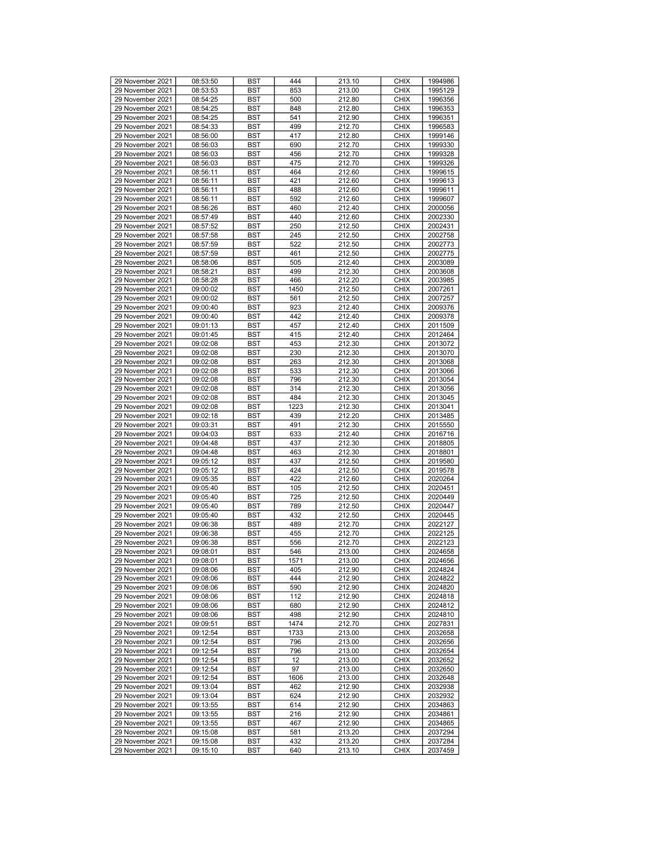| 29 November 2021 | 08:53:50 | <b>BST</b> | 444  | 213.10 | <b>CHIX</b> | 1994986 |
|------------------|----------|------------|------|--------|-------------|---------|
| 29 November 2021 | 08:53:53 | BST        | 853  | 213.00 | <b>CHIX</b> | 1995129 |
|                  |          |            |      |        |             |         |
| 29 November 2021 | 08:54:25 | BST        | 500  | 212.80 | <b>CHIX</b> | 1996356 |
| 29 November 2021 | 08:54:25 | <b>BST</b> | 848  | 212.80 | <b>CHIX</b> | 1996353 |
| 29 November 2021 | 08:54:25 | <b>BST</b> | 541  | 212.90 | <b>CHIX</b> | 1996351 |
| 29 November 2021 | 08:54:33 | <b>BST</b> | 499  | 212.70 | <b>CHIX</b> | 1996583 |
| 29 November 2021 | 08:56:00 | BST        | 417  | 212.80 | <b>CHIX</b> | 1999146 |
|                  |          |            |      |        |             |         |
| 29 November 2021 | 08:56:03 | BST        | 690  | 212.70 | <b>CHIX</b> | 1999330 |
| 29 November 2021 | 08:56:03 | <b>BST</b> | 456  | 212.70 | <b>CHIX</b> | 1999328 |
| 29 November 2021 | 08:56:03 | <b>BST</b> | 475  | 212.70 | <b>CHIX</b> | 1999326 |
| 29 November 2021 | 08:56:11 | <b>BST</b> | 464  | 212.60 | <b>CHIX</b> | 1999615 |
| 29 November 2021 | 08:56:11 | BST        | 421  | 212.60 | <b>CHIX</b> | 1999613 |
|                  |          |            |      |        |             |         |
| 29 November 2021 | 08:56:11 | BST        | 488  | 212.60 | <b>CHIX</b> | 1999611 |
| 29 November 2021 | 08:56:11 | <b>BST</b> | 592  | 212.60 | <b>CHIX</b> | 1999607 |
| 29 November 2021 | 08:56:26 | <b>BST</b> | 460  | 212.40 | <b>CHIX</b> | 2000056 |
| 29 November 2021 | 08:57:49 | <b>BST</b> | 440  | 212.60 | <b>CHIX</b> | 2002330 |
| 29 November 2021 | 08:57:52 | BST        | 250  | 212.50 | <b>CHIX</b> | 2002431 |
| 29 November 2021 | 08:57:58 | BST        | 245  | 212.50 | <b>CHIX</b> | 2002758 |
|                  |          |            |      |        |             |         |
| 29 November 2021 | 08:57:59 | BST        | 522  | 212.50 | <b>CHIX</b> | 2002773 |
| 29 November 2021 | 08:57:59 | <b>BST</b> | 461  | 212.50 | <b>CHIX</b> | 2002775 |
| 29 November 2021 | 08:58:06 | <b>BST</b> | 505  | 212.40 | <b>CHIX</b> | 2003089 |
| 29 November 2021 | 08:58:21 | BST        | 499  | 212.30 | <b>CHIX</b> | 2003608 |
| 29 November 2021 | 08:58:28 | BST        | 466  | 212.20 | <b>CHIX</b> | 2003985 |
|                  |          |            |      |        |             |         |
| 29 November 2021 | 09:00:02 | <b>BST</b> | 1450 | 212.50 | <b>CHIX</b> | 2007261 |
| 29 November 2021 | 09:00:02 | <b>BST</b> | 561  | 212.50 | <b>CHIX</b> | 2007257 |
| 29 November 2021 | 09:00:40 | <b>BST</b> | 923  | 212.40 | <b>CHIX</b> | 2009376 |
| 29 November 2021 | 09:00:40 | BST        | 442  | 212.40 | <b>CHIX</b> | 2009378 |
| 29 November 2021 | 09:01:13 | BST        | 457  | 212.40 | <b>CHIX</b> | 2011509 |
|                  |          |            |      |        |             |         |
| 29 November 2021 | 09:01:45 | <b>BST</b> | 415  | 212.40 | <b>CHIX</b> | 2012464 |
| 29 November 2021 | 09:02:08 | <b>BST</b> | 453  | 212.30 | <b>CHIX</b> | 2013072 |
| 29 November 2021 | 09:02:08 | <b>BST</b> | 230  | 212.30 | <b>CHIX</b> | 2013070 |
| 29 November 2021 | 09:02:08 | BST        | 263  | 212.30 | <b>CHIX</b> | 2013068 |
| 29 November 2021 | 09:02:08 | BST        | 533  | 212.30 | <b>CHIX</b> | 2013066 |
|                  |          |            |      |        |             |         |
| 29 November 2021 | 09:02:08 | <b>BST</b> | 796  | 212.30 | <b>CHIX</b> | 2013054 |
| 29 November 2021 | 09:02:08 | <b>BST</b> | 314  | 212.30 | <b>CHIX</b> | 2013056 |
| 29 November 2021 | 09:02:08 | <b>BST</b> | 484  | 212.30 | <b>CHIX</b> | 2013045 |
| 29 November 2021 | 09:02:08 | BST        | 1223 | 212.30 | <b>CHIX</b> | 2013041 |
| 29 November 2021 | 09:02:18 | BST        | 439  | 212.20 | <b>CHIX</b> | 2013485 |
| 29 November 2021 | 09:03:31 | BST        | 491  | 212.30 | <b>CHIX</b> | 2015550 |
|                  |          |            |      |        |             |         |
| 29 November 2021 | 09:04:03 | <b>BST</b> | 633  | 212.40 | <b>CHIX</b> | 2016716 |
| 29 November 2021 | 09:04:48 | <b>BST</b> | 437  | 212.30 | <b>CHIX</b> | 2018805 |
| 29 November 2021 | 09:04:48 | BST        | 463  | 212.30 | <b>CHIX</b> | 2018801 |
| 29 November 2021 | 09:05:12 | BST        | 437  | 212.50 | <b>CHIX</b> | 2019580 |
| 29 November 2021 | 09:05:12 | <b>BST</b> | 424  | 212.50 | <b>CHIX</b> | 2019578 |
|                  |          |            |      |        |             |         |
| 29 November 2021 | 09:05:35 | <b>BST</b> | 422  | 212.60 | <b>CHIX</b> | 2020264 |
| 29 November 2021 | 09:05:40 | <b>BST</b> | 105  | 212.50 | <b>CHIX</b> | 2020451 |
| 29 November 2021 | 09:05:40 | BST        | 725  | 212.50 | <b>CHIX</b> | 2020449 |
| 29 November 2021 | 09:05:40 | BST        | 789  | 212.50 | <b>CHIX</b> | 2020447 |
| 29 November 2021 | 09:05:40 | <b>BST</b> | 432  | 212.50 | <b>CHIX</b> | 2020445 |
| 29 November 2021 | 09:06:38 | <b>BST</b> | 489  | 212.70 | <b>CHIX</b> | 2022127 |
|                  |          |            |      |        |             |         |
| 29 November 2021 | 09:06:38 | <b>BST</b> | 455  | 212.70 | <b>CHIX</b> | 2022125 |
| 29 November 2021 | 09:06:38 | BST        | 556  | 212.70 | <b>CHIX</b> | 2022123 |
| 29 November 2021 | 09:08:01 | <b>BST</b> | 546  | 213.00 | <b>CHIX</b> | 2024658 |
| 29 November 2021 | 09:08:01 | <b>BST</b> | 1571 | 213.00 | <b>CHIX</b> | 2024656 |
| 29 November 2021 | 09:08:06 | <b>BST</b> | 405  | 212.90 | <b>CHIX</b> | 2024824 |
|                  | 09:08:06 |            | 444  |        | <b>CHIX</b> |         |
| 29 November 2021 |          | <b>BST</b> |      | 212.90 |             | 2024822 |
| 29 November 2021 | 09:08:06 | <b>BST</b> | 590  | 212.90 | <b>CHIX</b> | 2024820 |
| 29 November 2021 | 09:08:06 | <b>BST</b> | 112  | 212.90 | <b>CHIX</b> | 2024818 |
| 29 November 2021 | 09:08:06 | <b>BST</b> | 680  | 212.90 | <b>CHIX</b> | 2024812 |
| 29 November 2021 | 09:08:06 | <b>BST</b> | 498  | 212.90 | <b>CHIX</b> | 2024810 |
| 29 November 2021 | 09:09:51 | <b>BST</b> | 1474 | 212.70 | <b>CHIX</b> | 2027831 |
|                  |          |            |      |        |             |         |
| 29 November 2021 | 09:12:54 | BST        | 1733 | 213.00 | <b>CHIX</b> | 2032658 |
| 29 November 2021 | 09:12:54 | <b>BST</b> | 796  | 213.00 | <b>CHIX</b> | 2032656 |
| 29 November 2021 | 09:12:54 | BST        | 796  | 213.00 | <b>CHIX</b> | 2032654 |
| 29 November 2021 | 09:12:54 | <b>BST</b> | 12   | 213.00 | <b>CHIX</b> | 2032652 |
| 29 November 2021 | 09:12:54 | <b>BST</b> | 97   | 213.00 | <b>CHIX</b> | 2032650 |
|                  |          |            |      |        |             |         |
| 29 November 2021 | 09:12:54 | BST        | 1606 | 213.00 | <b>CHIX</b> | 2032648 |
| 29 November 2021 | 09:13:04 | <b>BST</b> | 462  | 212.90 | <b>CHIX</b> | 2032938 |
| 29 November 2021 | 09:13:04 | BST        | 624  | 212.90 | <b>CHIX</b> | 2032932 |
| 29 November 2021 | 09:13:55 | <b>BST</b> | 614  | 212.90 | <b>CHIX</b> | 2034863 |
| 29 November 2021 | 09:13:55 | <b>BST</b> | 216  | 212.90 | <b>CHIX</b> | 2034861 |
| 29 November 2021 | 09:13:55 | BST        | 467  | 212.90 | <b>CHIX</b> | 2034865 |
|                  |          |            |      |        |             |         |
| 29 November 2021 | 09:15:08 | BST        | 581  | 213.20 | <b>CHIX</b> | 2037294 |
| 29 November 2021 | 09:15:08 | BST        | 432  | 213.20 | <b>CHIX</b> | 2037284 |
| 29 November 2021 | 09:15:10 | BST        | 640  | 213.10 | <b>CHIX</b> | 2037459 |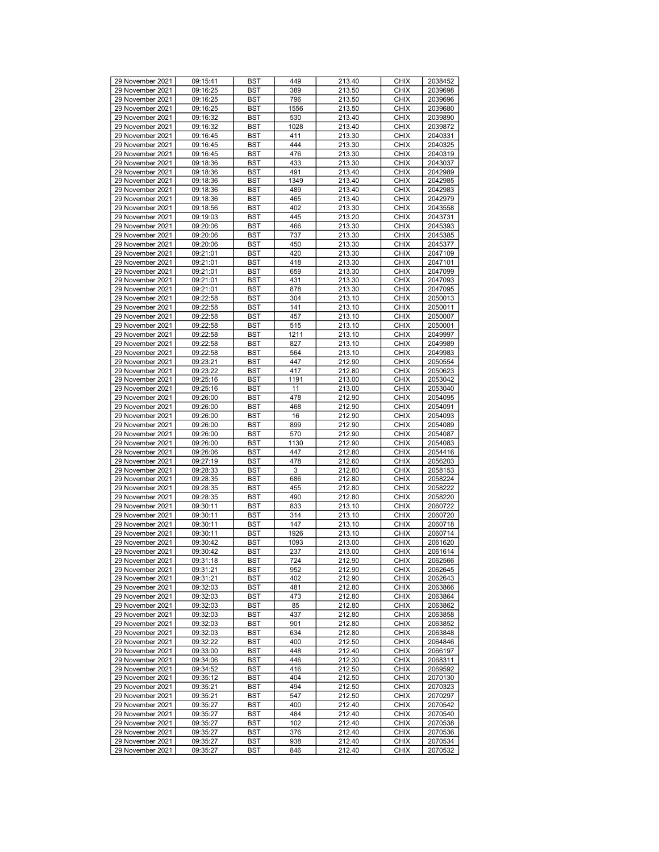| 29 November 2021 | 09:15:41 | <b>BST</b> | 449  | 213.40 | <b>CHIX</b> | 2038452 |
|------------------|----------|------------|------|--------|-------------|---------|
| 29 November 2021 | 09:16:25 | <b>BST</b> | 389  | 213.50 | <b>CHIX</b> | 2039698 |
| 29 November 2021 | 09:16:25 | <b>BST</b> | 796  | 213.50 | <b>CHIX</b> | 2039696 |
| 29 November 2021 | 09:16:25 | <b>BST</b> | 1556 | 213.50 | <b>CHIX</b> | 2039680 |
|                  |          |            |      |        |             |         |
| 29 November 2021 | 09:16:32 | <b>BST</b> | 530  | 213.40 | <b>CHIX</b> | 2039890 |
| 29 November 2021 | 09:16:32 | <b>BST</b> | 1028 | 213.40 | <b>CHIX</b> | 2039872 |
| 29 November 2021 | 09:16:45 | <b>BST</b> | 411  | 213.30 | <b>CHIX</b> | 2040331 |
| 29 November 2021 | 09:16:45 | <b>BST</b> | 444  | 213.30 | <b>CHIX</b> | 2040325 |
|                  |          |            |      |        |             |         |
| 29 November 2021 | 09:16:45 | <b>BST</b> | 476  | 213.30 | <b>CHIX</b> | 2040319 |
| 29 November 2021 | 09:18:36 | <b>BST</b> | 433  | 213.30 | <b>CHIX</b> | 2043037 |
| 29 November 2021 | 09:18:36 | <b>BST</b> | 491  | 213.40 | <b>CHIX</b> | 2042989 |
| 29 November 2021 | 09:18:36 | <b>BST</b> | 1349 | 213.40 | <b>CHIX</b> | 2042985 |
|                  |          |            |      |        |             |         |
| 29 November 2021 | 09:18:36 | <b>BST</b> | 489  | 213.40 | <b>CHIX</b> | 2042983 |
| 29 November 2021 | 09:18:36 | <b>BST</b> | 465  | 213.40 | <b>CHIX</b> | 2042979 |
| 29 November 2021 | 09:18:56 | <b>BST</b> | 402  | 213.30 | <b>CHIX</b> | 2043558 |
| 29 November 2021 | 09:19:03 | <b>BST</b> | 445  | 213.20 | <b>CHIX</b> | 2043731 |
|                  |          |            |      |        |             |         |
| 29 November 2021 | 09:20:06 | <b>BST</b> | 466  | 213.30 | <b>CHIX</b> | 2045393 |
| 29 November 2021 | 09:20:06 | <b>BST</b> | 737  | 213.30 | <b>CHIX</b> | 2045385 |
| 29 November 2021 | 09:20:06 | <b>BST</b> | 450  | 213.30 | <b>CHIX</b> | 2045377 |
| 29 November 2021 | 09:21:01 | <b>BST</b> | 420  | 213.30 | <b>CHIX</b> | 2047109 |
|                  |          |            |      |        |             |         |
| 29 November 2021 | 09:21:01 | <b>BST</b> | 418  | 213.30 | <b>CHIX</b> | 2047101 |
| 29 November 2021 | 09:21:01 | <b>BST</b> | 659  | 213.30 | <b>CHIX</b> | 2047099 |
| 29 November 2021 | 09:21:01 | <b>BST</b> | 431  | 213.30 | <b>CHIX</b> | 2047093 |
| 29 November 2021 | 09:21:01 | <b>BST</b> | 878  | 213.30 | <b>CHIX</b> | 2047095 |
|                  |          |            |      |        |             |         |
| 29 November 2021 | 09:22:58 | <b>BST</b> | 304  | 213.10 | <b>CHIX</b> | 2050013 |
| 29 November 2021 | 09:22:58 | <b>BST</b> | 141  | 213.10 | <b>CHIX</b> | 2050011 |
| 29 November 2021 | 09:22:58 | <b>BST</b> | 457  | 213.10 | <b>CHIX</b> | 2050007 |
| 29 November 2021 | 09:22:58 | <b>BST</b> | 515  | 213.10 | <b>CHIX</b> | 2050001 |
|                  |          |            |      |        |             |         |
| 29 November 2021 | 09:22:58 | <b>BST</b> | 1211 | 213.10 | <b>CHIX</b> | 2049997 |
| 29 November 2021 | 09:22:58 | <b>BST</b> | 827  | 213.10 | <b>CHIX</b> | 2049989 |
| 29 November 2021 | 09:22:58 | <b>BST</b> | 564  | 213.10 | <b>CHIX</b> | 2049983 |
| 29 November 2021 | 09:23:21 | <b>BST</b> | 447  | 212.90 | <b>CHIX</b> | 2050554 |
| 29 November 2021 | 09:23:22 | <b>BST</b> | 417  | 212.80 | <b>CHIX</b> | 2050623 |
|                  |          |            |      |        |             |         |
| 29 November 2021 | 09:25:16 | <b>BST</b> | 1191 | 213.00 | <b>CHIX</b> | 2053042 |
| 29 November 2021 | 09:25:16 | <b>BST</b> | 11   | 213.00 | <b>CHIX</b> | 2053040 |
| 29 November 2021 | 09:26:00 | <b>BST</b> | 478  | 212.90 | <b>CHIX</b> | 2054095 |
| 29 November 2021 | 09:26:00 | <b>BST</b> | 468  | 212.90 | <b>CHIX</b> | 2054091 |
|                  |          |            |      |        |             |         |
| 29 November 2021 | 09:26:00 | <b>BST</b> | 16   | 212.90 | <b>CHIX</b> | 2054093 |
| 29 November 2021 | 09:26:00 | <b>BST</b> | 899  | 212.90 | <b>CHIX</b> | 2054089 |
| 29 November 2021 | 09:26:00 | <b>BST</b> | 570  | 212.90 | <b>CHIX</b> | 2054087 |
| 29 November 2021 | 09:26:00 | <b>BST</b> | 1130 | 212.90 | <b>CHIX</b> | 2054083 |
|                  |          |            | 447  |        |             |         |
| 29 November 2021 | 09:26:06 | <b>BST</b> |      | 212.80 | <b>CHIX</b> | 2054416 |
| 29 November 2021 | 09:27:19 | <b>BST</b> | 478  | 212.60 | <b>CHIX</b> | 2056203 |
| 29 November 2021 | 09:28:33 | <b>BST</b> | 3    | 212.80 | <b>CHIX</b> | 2058153 |
| 29 November 2021 | 09:28:35 | <b>BST</b> | 686  | 212.80 | <b>CHIX</b> | 2058224 |
| 29 November 2021 | 09:28:35 | <b>BST</b> | 455  | 212.80 | <b>CHIX</b> | 2058222 |
|                  |          |            |      |        | <b>CHIX</b> |         |
| 29 November 2021 | 09:28:35 | <b>BST</b> | 490  | 212.80 |             | 2058220 |
| 29 November 2021 | 09:30:11 | <b>BST</b> | 833  | 213.10 | <b>CHIX</b> | 2060722 |
| 29 November 2021 | 09:30:11 | <b>BST</b> | 314  | 213.10 | <b>CHIX</b> | 2060720 |
| 29 November 2021 | 09:30:11 | <b>BST</b> | 147  | 213.10 | <b>CHIX</b> | 2060718 |
|                  |          |            |      |        |             |         |
| 29 November 2021 | 09:30:11 | <b>BST</b> | 1926 | 213.10 | <b>CHIX</b> | 2060714 |
| 29 November 2021 | 09:30:42 | <b>BST</b> | 1093 | 213.00 | <b>CHIX</b> | 2061620 |
| 29 November 2021 | 09:30:42 | <b>BST</b> | 237  | 213.00 | <b>CHIX</b> | 2061614 |
| 29 November 2021 | 09:31:18 | <b>BST</b> | 724  | 212.90 | <b>CHIX</b> | 2062566 |
|                  |          |            |      |        |             |         |
| 29 November 2021 | 09:31:21 | <b>BST</b> | 952  | 212.90 | <b>CHIX</b> | 2062645 |
| 29 November 2021 | 09:31:21 | <b>BST</b> | 402  | 212.90 | <b>CHIX</b> | 2062643 |
| 29 November 2021 | 09:32:03 | BST        | 481  | 212.80 | <b>CHIX</b> | 2063866 |
| 29 November 2021 | 09:32:03 | <b>BST</b> | 473  | 212.80 | <b>CHIX</b> | 2063864 |
|                  |          |            |      |        |             |         |
| 29 November 2021 | 09:32:03 | <b>BST</b> | 85   | 212.80 | <b>CHIX</b> | 2063862 |
| 29 November 2021 | 09:32:03 | <b>BST</b> | 437  | 212.80 | <b>CHIX</b> | 2063858 |
| 29 November 2021 | 09:32:03 | <b>BST</b> | 901  | 212.80 | <b>CHIX</b> | 2063852 |
| 29 November 2021 | 09:32:03 | BST        | 634  | 212.80 | <b>CHIX</b> | 2063848 |
|                  |          |            |      |        |             |         |
| 29 November 2021 | 09:32:22 | <b>BST</b> | 400  | 212.50 | <b>CHIX</b> | 2064846 |
| 29 November 2021 | 09:33:00 | <b>BST</b> | 448  | 212.40 | <b>CHIX</b> | 2066197 |
| 29 November 2021 | 09:34:06 | <b>BST</b> | 446  | 212.30 | <b>CHIX</b> | 2068311 |
| 29 November 2021 | 09:34:52 | <b>BST</b> | 416  | 212.50 | <b>CHIX</b> | 2069592 |
| 29 November 2021 | 09:35:12 | BST        | 404  | 212.50 | <b>CHIX</b> | 2070130 |
|                  |          |            |      |        |             |         |
| 29 November 2021 | 09:35:21 | <b>BST</b> | 494  | 212.50 | <b>CHIX</b> | 2070323 |
|                  |          |            |      | 212.50 | <b>CHIX</b> | 2070297 |
| 29 November 2021 | 09:35:21 | BST        | 547  |        |             |         |
| 29 November 2021 | 09:35:27 | <b>BST</b> | 400  | 212.40 | <b>CHIX</b> | 2070542 |
|                  |          |            |      |        |             |         |
| 29 November 2021 | 09:35:27 | <b>BST</b> | 484  | 212.40 | <b>CHIX</b> | 2070540 |
| 29 November 2021 | 09:35:27 | BST        | 102  | 212.40 | <b>CHIX</b> | 2070538 |
| 29 November 2021 | 09:35:27 | <b>BST</b> | 376  | 212.40 | <b>CHIX</b> | 2070536 |
| 29 November 2021 | 09:35:27 | BST        | 938  | 212.40 | <b>CHIX</b> | 2070534 |
| 29 November 2021 | 09:35:27 | BST        | 846  | 212.40 | <b>CHIX</b> | 2070532 |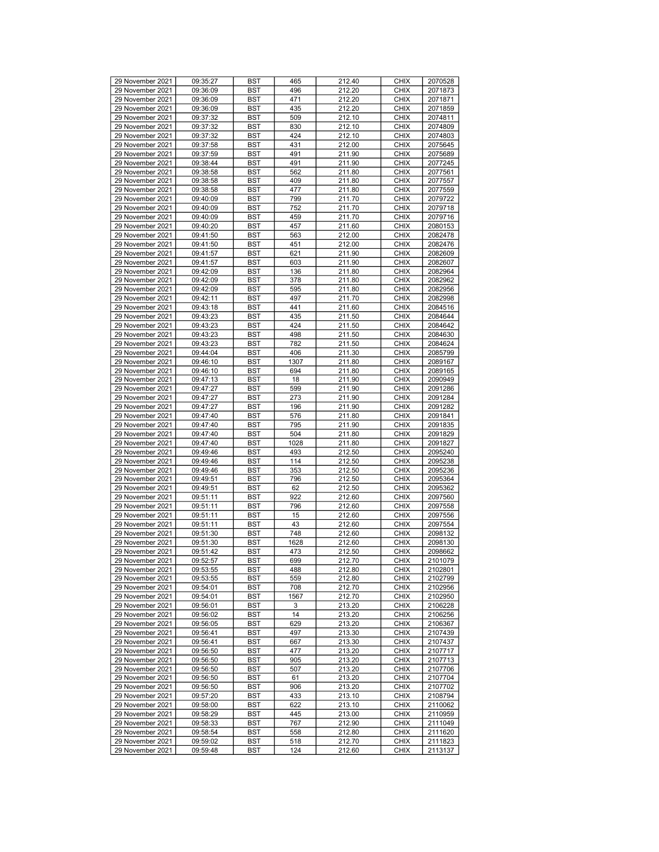| 29 November 2021 | 09:35:27 | <b>BST</b> | 465  | 212.40 | <b>CHIX</b> | 2070528 |
|------------------|----------|------------|------|--------|-------------|---------|
| 29 November 2021 | 09:36:09 | BST        | 496  | 212.20 | <b>CHIX</b> | 2071873 |
|                  |          |            |      |        |             |         |
| 29 November 2021 | 09:36:09 | BST        | 471  | 212.20 | <b>CHIX</b> | 2071871 |
| 29 November 2021 | 09:36:09 | <b>BST</b> | 435  | 212.20 | <b>CHIX</b> | 2071859 |
| 29 November 2021 | 09:37:32 | <b>BST</b> | 509  | 212.10 | <b>CHIX</b> | 2074811 |
| 29 November 2021 | 09:37:32 | <b>BST</b> | 830  | 212.10 | <b>CHIX</b> | 2074809 |
| 29 November 2021 | 09:37:32 | BST        | 424  | 212.10 | <b>CHIX</b> | 2074803 |
| 29 November 2021 | 09:37:58 | BST        | 431  | 212.00 | <b>CHIX</b> | 2075645 |
|                  |          |            |      |        |             |         |
| 29 November 2021 | 09:37:59 | BST        | 491  | 211.90 | <b>CHIX</b> | 2075689 |
| 29 November 2021 | 09:38:44 | <b>BST</b> | 491  | 211.90 | <b>CHIX</b> | 2077245 |
| 29 November 2021 | 09:38:58 | <b>BST</b> | 562  | 211.80 | <b>CHIX</b> | 2077561 |
| 29 November 2021 | 09:38:58 | BST        | 409  | 211.80 | <b>CHIX</b> | 2077557 |
| 29 November 2021 | 09:38:58 | BST        | 477  | 211.80 | <b>CHIX</b> | 2077559 |
| 29 November 2021 | 09:40:09 | <b>BST</b> | 799  | 211.70 | <b>CHIX</b> | 2079722 |
| 29 November 2021 | 09:40:09 | <b>BST</b> | 752  | 211.70 | <b>CHIX</b> | 2079718 |
|                  |          |            |      |        |             |         |
| 29 November 2021 | 09:40:09 | <b>BST</b> | 459  | 211.70 | <b>CHIX</b> | 2079716 |
| 29 November 2021 | 09:40:20 | BST        | 457  | 211.60 | <b>CHIX</b> | 2080153 |
| 29 November 2021 | 09:41:50 | BST        | 563  | 212.00 | <b>CHIX</b> | 2082478 |
| 29 November 2021 | 09:41:50 | BST        | 451  | 212.00 | <b>CHIX</b> | 2082476 |
| 29 November 2021 | 09:41:57 | <b>BST</b> | 621  | 211.90 | <b>CHIX</b> | 2082609 |
| 29 November 2021 | 09:41:57 | <b>BST</b> | 603  | 211.90 | <b>CHIX</b> | 2082607 |
|                  |          |            |      |        |             |         |
| 29 November 2021 | 09:42:09 | BST        | 136  | 211.80 | <b>CHIX</b> | 2082964 |
| 29 November 2021 | 09:42:09 | BST        | 378  | 211.80 | <b>CHIX</b> | 2082962 |
| 29 November 2021 | 09:42:09 | <b>BST</b> | 595  | 211.80 | <b>CHIX</b> | 2082956 |
| 29 November 2021 | 09:42:11 | <b>BST</b> | 497  | 211.70 | <b>CHIX</b> | 2082998 |
| 29 November 2021 | 09:43:18 | <b>BST</b> | 441  | 211.60 | <b>CHIX</b> | 2084516 |
| 29 November 2021 | 09:43:23 | BST        | 435  | 211.50 | <b>CHIX</b> | 2084644 |
| 29 November 2021 | 09:43:23 | BST        | 424  | 211.50 | <b>CHIX</b> | 2084642 |
|                  |          |            |      |        |             |         |
| 29 November 2021 | 09:43:23 | <b>BST</b> | 498  | 211.50 | <b>CHIX</b> | 2084630 |
| 29 November 2021 | 09:43:23 | <b>BST</b> | 782  | 211.50 | <b>CHIX</b> | 2084624 |
| 29 November 2021 | 09:44:04 | <b>BST</b> | 406  | 211.30 | <b>CHIX</b> | 2085799 |
| 29 November 2021 | 09:46:10 | BST        | 1307 | 211.80 | <b>CHIX</b> | 2089167 |
| 29 November 2021 | 09:46:10 | BST        | 694  | 211.80 | <b>CHIX</b> | 2089165 |
| 29 November 2021 | 09:47:13 | <b>BST</b> | 18   | 211.90 | <b>CHIX</b> | 2090949 |
| 29 November 2021 | 09:47:27 |            | 599  | 211.90 | <b>CHIX</b> | 2091286 |
|                  |          | <b>BST</b> |      |        |             |         |
| 29 November 2021 | 09:47:27 | <b>BST</b> | 273  | 211.90 | <b>CHIX</b> | 2091284 |
| 29 November 2021 | 09:47:27 | BST        | 196  | 211.90 | <b>CHIX</b> | 2091282 |
| 29 November 2021 | 09:47:40 | BST        | 576  | 211.80 | <b>CHIX</b> | 2091841 |
| 29 November 2021 | 09:47:40 | BST        | 795  | 211.90 | <b>CHIX</b> | 2091835 |
| 29 November 2021 | 09:47:40 | <b>BST</b> | 504  | 211.80 | <b>CHIX</b> | 2091829 |
| 29 November 2021 | 09:47:40 | <b>BST</b> | 1028 | 211.80 | <b>CHIX</b> | 2091827 |
| 29 November 2021 |          |            | 493  |        |             |         |
|                  | 09:49:46 | BST        |      | 212.50 | <b>CHIX</b> | 2095240 |
| 29 November 2021 | 09:49:46 | BST        | 114  | 212.50 | <b>CHIX</b> | 2095238 |
| 29 November 2021 | 09:49:46 | <b>BST</b> | 353  | 212.50 | <b>CHIX</b> | 2095236 |
| 29 November 2021 | 09:49:51 | <b>BST</b> | 796  | 212.50 | <b>CHIX</b> | 2095364 |
| 29 November 2021 | 09:49:51 | <b>BST</b> | 62   | 212.50 | <b>CHIX</b> | 2095362 |
| 29 November 2021 | 09:51:11 | BST        | 922  | 212.60 | <b>CHIX</b> | 2097560 |
| 29 November 2021 | 09:51:11 | BST        | 796  | 212.60 | <b>CHIX</b> | 2097558 |
| 29 November 2021 |          | <b>BST</b> |      |        | <b>CHIX</b> | 2097556 |
|                  | 09:51:11 |            | 15   | 212.60 |             |         |
| 29 November 2021 | 09:51:11 | <b>BST</b> | 43   | 212.60 | <b>CHIX</b> | 2097554 |
| 29 November 2021 | 09:51:30 | <b>BST</b> | 748  | 212.60 | <b>CHIX</b> | 2098132 |
| 29 November 2021 | 09:51:30 | BST        | 1628 | 212.60 | <b>CHIX</b> | 2098130 |
| 29 November 2021 | 09:51:42 | <b>BST</b> | 473  | 212.50 | <b>CHIX</b> | 2098662 |
| 29 November 2021 | 09:52:57 | <b>BST</b> | 699  | 212.70 | <b>CHIX</b> | 2101079 |
| 29 November 2021 | 09:53:55 | <b>BST</b> | 488  | 212.80 | <b>CHIX</b> | 2102801 |
|                  |          |            |      | 212.80 |             | 2102799 |
| 29 November 2021 | 09:53:55 | <b>BST</b> | 559  |        | <b>CHIX</b> |         |
| 29 November 2021 | 09:54:01 | <b>BST</b> | 708  | 212.70 | <b>CHIX</b> | 2102956 |
| 29 November 2021 | 09:54:01 | <b>BST</b> | 1567 | 212.70 | <b>CHIX</b> | 2102950 |
| 29 November 2021 | 09:56:01 | BST        | 3    | 213.20 | <b>CHIX</b> | 2106228 |
| 29 November 2021 | 09:56:02 | <b>BST</b> | 14   | 213.20 | <b>CHIX</b> | 2106256 |
| 29 November 2021 | 09:56:05 | <b>BST</b> | 629  | 213.20 | <b>CHIX</b> | 2106367 |
| 29 November 2021 | 09:56:41 | BST        | 497  | 213.30 | <b>CHIX</b> | 2107439 |
| 29 November 2021 | 09:56:41 | BST        | 667  | 213.30 | <b>CHIX</b> | 2107437 |
|                  |          |            |      |        |             |         |
| 29 November 2021 | 09:56:50 | BST        | 477  | 213.20 | <b>CHIX</b> | 2107717 |
| 29 November 2021 | 09:56:50 | <b>BST</b> | 905  | 213.20 | <b>CHIX</b> | 2107713 |
| 29 November 2021 | 09:56:50 | <b>BST</b> | 507  | 213.20 | <b>CHIX</b> | 2107706 |
| 29 November 2021 | 09:56:50 | <b>BST</b> | 61   | 213.20 | <b>CHIX</b> | 2107704 |
| 29 November 2021 | 09:56:50 | <b>BST</b> | 906  | 213.20 | <b>CHIX</b> | 2107702 |
| 29 November 2021 | 09:57:20 | BST        | 433  | 213.10 | <b>CHIX</b> | 2108794 |
| 29 November 2021 | 09:58:00 | <b>BST</b> | 622  | 213.10 | <b>CHIX</b> | 2110062 |
|                  |          |            |      |        |             |         |
| 29 November 2021 | 09:58:29 | <b>BST</b> | 445  | 213.00 | <b>CHIX</b> | 2110959 |
| 29 November 2021 | 09:58:33 | BST        | 767  | 212.90 | <b>CHIX</b> | 2111049 |
| 29 November 2021 | 09:58:54 | BST        | 558  | 212.80 | <b>CHIX</b> | 2111620 |
| 29 November 2021 | 09:59:02 | BST        | 518  | 212.70 | <b>CHIX</b> | 2111823 |
| 29 November 2021 | 09:59:48 | BST        | 124  | 212.60 | <b>CHIX</b> | 2113137 |
|                  |          |            |      |        |             |         |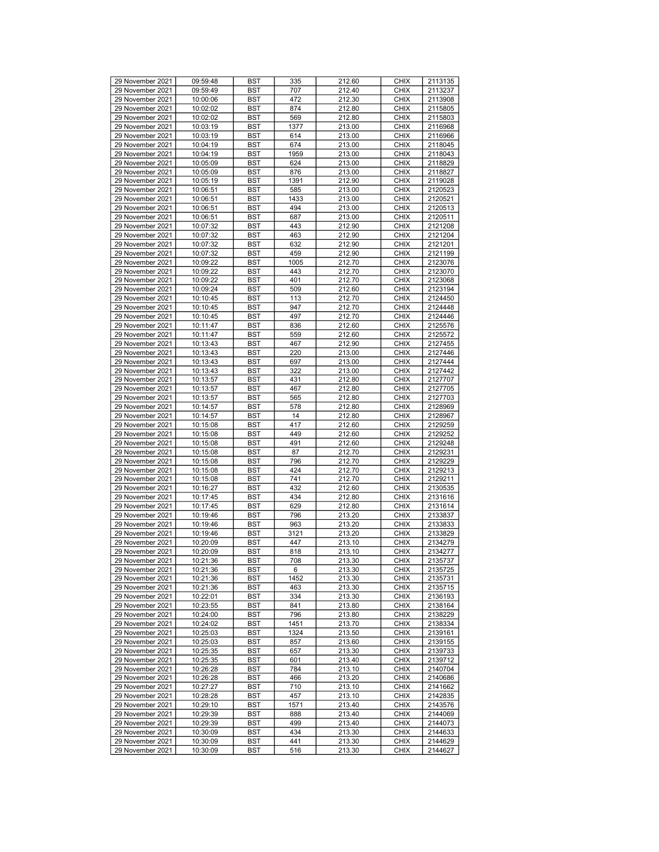| 29 November 2021 | 09:59:48 | <b>BST</b> | 335  | 212.60 | <b>CHIX</b> | 2113135 |
|------------------|----------|------------|------|--------|-------------|---------|
| 29 November 2021 | 09:59:49 | <b>BST</b> | 707  | 212.40 | <b>CHIX</b> | 2113237 |
|                  |          |            |      |        |             |         |
| 29 November 2021 | 10:00:06 | <b>BST</b> | 472  | 212.30 | <b>CHIX</b> | 2113908 |
| 29 November 2021 | 10:02:02 | <b>BST</b> | 874  | 212.80 | <b>CHIX</b> | 2115805 |
|                  |          |            |      |        |             |         |
| 29 November 2021 | 10:02:02 | <b>BST</b> | 569  | 212.80 | <b>CHIX</b> | 2115803 |
| 29 November 2021 | 10:03:19 | <b>BST</b> | 1377 | 213.00 | <b>CHIX</b> | 2116968 |
|                  |          |            |      |        |             |         |
| 29 November 2021 | 10:03:19 | <b>BST</b> | 614  | 213.00 | <b>CHIX</b> | 2116966 |
| 29 November 2021 | 10:04:19 | <b>BST</b> | 674  | 213.00 | <b>CHIX</b> | 2118045 |
|                  |          |            |      |        |             |         |
| 29 November 2021 | 10:04:19 | <b>BST</b> | 1959 | 213.00 | <b>CHIX</b> | 2118043 |
| 29 November 2021 | 10:05:09 | <b>BST</b> | 624  | 213.00 | <b>CHIX</b> | 2118829 |
|                  |          |            |      |        |             |         |
| 29 November 2021 | 10:05:09 | <b>BST</b> | 876  | 213.00 | <b>CHIX</b> | 2118827 |
| 29 November 2021 | 10:05:19 | <b>BST</b> | 1391 | 212.90 | <b>CHIX</b> | 2119028 |
|                  |          |            |      |        |             |         |
| 29 November 2021 | 10:06:51 | <b>BST</b> | 585  | 213.00 | <b>CHIX</b> | 2120523 |
| 29 November 2021 | 10:06:51 | <b>BST</b> | 1433 | 213.00 | <b>CHIX</b> | 2120521 |
|                  |          |            |      |        |             |         |
| 29 November 2021 | 10:06:51 | <b>BST</b> | 494  | 213.00 | <b>CHIX</b> | 2120513 |
| 29 November 2021 | 10:06:51 | <b>BST</b> | 687  | 213.00 | <b>CHIX</b> | 2120511 |
|                  |          |            |      |        |             |         |
| 29 November 2021 | 10:07:32 | <b>BST</b> | 443  | 212.90 | <b>CHIX</b> | 2121208 |
| 29 November 2021 | 10:07:32 | <b>BST</b> | 463  | 212.90 | <b>CHIX</b> | 2121204 |
|                  |          |            |      |        |             |         |
| 29 November 2021 | 10:07:32 | <b>BST</b> | 632  | 212.90 | <b>CHIX</b> | 2121201 |
| 29 November 2021 | 10:07:32 | <b>BST</b> | 459  | 212.90 | <b>CHIX</b> | 2121199 |
|                  |          |            |      |        |             |         |
| 29 November 2021 | 10:09:22 | <b>BST</b> | 1005 | 212.70 | <b>CHIX</b> | 2123076 |
| 29 November 2021 | 10:09:22 | <b>BST</b> | 443  | 212.70 | <b>CHIX</b> | 2123070 |
|                  |          |            |      |        |             |         |
| 29 November 2021 | 10:09:22 | <b>BST</b> | 401  | 212.70 | <b>CHIX</b> | 2123068 |
| 29 November 2021 | 10:09:24 | <b>BST</b> | 509  | 212.60 | <b>CHIX</b> | 2123194 |
|                  |          |            |      |        |             |         |
| 29 November 2021 | 10:10:45 | <b>BST</b> | 113  | 212.70 | <b>CHIX</b> | 2124450 |
| 29 November 2021 | 10:10:45 | <b>BST</b> | 947  | 212.70 | <b>CHIX</b> | 2124448 |
|                  |          |            |      |        |             |         |
| 29 November 2021 | 10:10:45 | <b>BST</b> | 497  | 212.70 | <b>CHIX</b> | 2124446 |
| 29 November 2021 | 10:11:47 | <b>BST</b> | 836  | 212.60 | <b>CHIX</b> | 2125576 |
|                  |          |            |      |        |             |         |
| 29 November 2021 | 10:11:47 | <b>BST</b> | 559  | 212.60 | <b>CHIX</b> | 2125572 |
| 29 November 2021 | 10:13:43 | <b>BST</b> | 467  | 212.90 | <b>CHIX</b> | 2127455 |
|                  |          |            |      |        |             |         |
| 29 November 2021 | 10:13:43 | <b>BST</b> | 220  | 213.00 | <b>CHIX</b> | 2127446 |
| 29 November 2021 | 10:13:43 | <b>BST</b> | 697  | 213.00 | <b>CHIX</b> | 2127444 |
|                  |          |            |      |        |             |         |
| 29 November 2021 | 10:13:43 | <b>BST</b> | 322  | 213.00 | <b>CHIX</b> | 2127442 |
| 29 November 2021 | 10:13:57 | <b>BST</b> | 431  | 212.80 | <b>CHIX</b> | 2127707 |
|                  |          |            |      |        |             |         |
| 29 November 2021 | 10:13:57 | <b>BST</b> | 467  | 212.80 | <b>CHIX</b> | 2127705 |
| 29 November 2021 | 10:13:57 | <b>BST</b> | 565  | 212.80 | <b>CHIX</b> | 2127703 |
|                  |          |            |      |        |             |         |
| 29 November 2021 | 10:14:57 | <b>BST</b> | 578  | 212.80 | <b>CHIX</b> | 2128969 |
| 29 November 2021 | 10:14:57 | <b>BST</b> | 14   | 212.80 | <b>CHIX</b> | 2128967 |
|                  |          |            |      |        |             |         |
| 29 November 2021 | 10:15:08 | <b>BST</b> | 417  | 212.60 | <b>CHIX</b> | 2129259 |
| 29 November 2021 | 10:15:08 | <b>BST</b> | 449  | 212.60 | <b>CHIX</b> | 2129252 |
|                  |          |            |      |        |             |         |
| 29 November 2021 | 10:15:08 | <b>BST</b> | 491  | 212.60 | <b>CHIX</b> | 2129248 |
| 29 November 2021 | 10:15:08 | <b>BST</b> | 87   | 212.70 | <b>CHIX</b> | 2129231 |
|                  |          |            |      |        |             |         |
| 29 November 2021 | 10:15:08 | <b>BST</b> | 796  | 212.70 | <b>CHIX</b> | 2129229 |
| 29 November 2021 | 10:15:08 | <b>BST</b> | 424  | 212.70 | <b>CHIX</b> | 2129213 |
|                  |          |            |      |        |             |         |
| 29 November 2021 | 10:15:08 | <b>BST</b> | 741  | 212.70 | <b>CHIX</b> | 2129211 |
| 29 November 2021 | 10:16:27 | <b>BST</b> | 432  | 212.60 | <b>CHIX</b> | 2130535 |
|                  |          |            |      |        |             |         |
| 29 November 2021 | 10:17:45 | <b>BST</b> | 434  | 212.80 | <b>CHIX</b> | 2131616 |
| 29 November 2021 | 10:17:45 | <b>BST</b> | 629  | 212.80 | <b>CHIX</b> | 2131614 |
|                  |          |            |      |        |             |         |
| 29 November 2021 | 10:19:46 | <b>BST</b> | 796  | 213.20 | <b>CHIX</b> | 2133837 |
| 29 November 2021 | 10:19:46 | <b>BST</b> | 963  | 213.20 | <b>CHIX</b> | 2133833 |
|                  |          |            |      |        |             |         |
| 29 November 2021 | 10:19:46 | <b>BST</b> | 3121 | 213.20 | <b>CHIX</b> | 2133829 |
| 29 November 2021 | 10:20:09 | <b>BST</b> | 447  | 213.10 | <b>CHIX</b> | 2134279 |
|                  |          |            |      |        |             |         |
| 29 November 2021 | 10:20:09 | <b>BST</b> | 818  | 213.10 | <b>CHIX</b> | 2134277 |
| 29 November 2021 | 10:21:36 | <b>BST</b> | 708  | 213.30 | <b>CHIX</b> | 2135737 |
|                  |          |            |      |        |             |         |
| 29 November 2021 | 10:21:36 | <b>BST</b> | 6    | 213.30 | <b>CHIX</b> | 2135725 |
| 29 November 2021 | 10:21:36 | <b>BST</b> | 1452 | 213.30 | <b>CHIX</b> | 2135731 |
|                  |          |            |      |        |             |         |
| 29 November 2021 | 10:21:36 | BST        | 463  | 213.30 | <b>CHIX</b> | 2135715 |
| 29 November 2021 | 10:22:01 | <b>BST</b> | 334  | 213.30 | <b>CHIX</b> | 2136193 |
|                  |          |            |      |        |             |         |
| 29 November 2021 | 10:23:55 | <b>BST</b> | 841  | 213.80 | <b>CHIX</b> | 2138164 |
| 29 November 2021 | 10:24:00 | <b>BST</b> | 796  | 213.80 | <b>CHIX</b> | 2138229 |
|                  |          |            |      |        |             |         |
| 29 November 2021 | 10:24:02 | <b>BST</b> | 1451 | 213.70 | <b>CHIX</b> | 2138334 |
| 29 November 2021 | 10:25:03 | BST        | 1324 | 213.50 | <b>CHIX</b> | 2139161 |
|                  |          |            |      |        |             |         |
| 29 November 2021 | 10:25:03 | <b>BST</b> | 857  | 213.60 | <b>CHIX</b> | 2139155 |
| 29 November 2021 | 10:25:35 | <b>BST</b> | 657  | 213.30 | <b>CHIX</b> | 2139733 |
|                  |          |            |      |        |             |         |
| 29 November 2021 | 10:25:35 | <b>BST</b> | 601  | 213.40 | <b>CHIX</b> | 2139712 |
| 29 November 2021 | 10:26:28 | <b>BST</b> | 784  | 213.10 | <b>CHIX</b> | 2140704 |
|                  |          |            |      |        |             |         |
| 29 November 2021 | 10:26:28 | <b>BST</b> | 466  | 213.20 | <b>CHIX</b> | 2140686 |
| 29 November 2021 | 10:27:27 | <b>BST</b> | 710  | 213.10 | <b>CHIX</b> | 2141662 |
|                  |          |            |      |        |             |         |
| 29 November 2021 | 10:28:28 | <b>BST</b> | 457  | 213.10 | <b>CHIX</b> | 2142835 |
| 29 November 2021 | 10:29:10 | <b>BST</b> | 1571 | 213.40 | <b>CHIX</b> | 2143576 |
|                  |          |            |      |        |             |         |
| 29 November 2021 | 10:29:39 | <b>BST</b> | 888  | 213.40 | <b>CHIX</b> | 2144069 |
| 29 November 2021 | 10:29:39 | <b>BST</b> | 499  | 213.40 | <b>CHIX</b> | 2144073 |
|                  |          |            |      |        |             |         |
| 29 November 2021 | 10:30:09 | <b>BST</b> | 434  | 213.30 | <b>CHIX</b> | 2144633 |
| 29 November 2021 | 10:30:09 | BST        | 441  | 213.30 | <b>CHIX</b> | 2144629 |
| 29 November 2021 | 10:30:09 | BST        | 516  | 213.30 | <b>CHIX</b> | 2144627 |
|                  |          |            |      |        |             |         |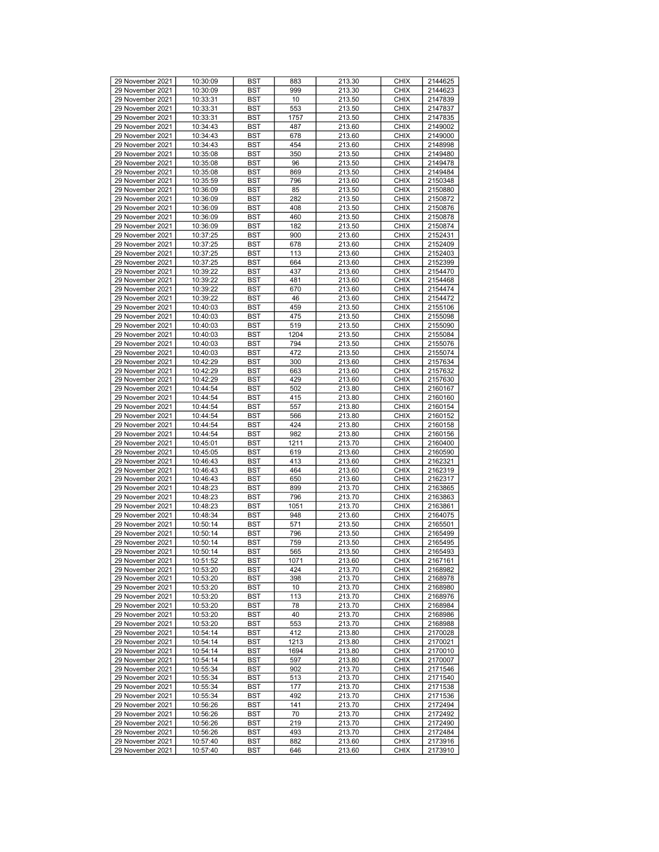| 29 November 2021 |          |            |      |        | <b>CHIX</b> |         |
|------------------|----------|------------|------|--------|-------------|---------|
|                  | 10:30:09 | <b>BST</b> | 883  | 213.30 |             | 2144625 |
| 29 November 2021 | 10:30:09 | <b>BST</b> | 999  | 213.30 | <b>CHIX</b> | 2144623 |
| 29 November 2021 | 10:33:31 | <b>BST</b> | 10   | 213.50 | <b>CHIX</b> | 2147839 |
| 29 November 2021 | 10:33:31 | <b>BST</b> | 553  | 213.50 | <b>CHIX</b> | 2147837 |
| 29 November 2021 | 10:33:31 | <b>BST</b> | 1757 | 213.50 | <b>CHIX</b> | 2147835 |
| 29 November 2021 | 10:34:43 | <b>BST</b> | 487  | 213.60 | <b>CHIX</b> | 2149002 |
| 29 November 2021 | 10:34:43 | <b>BST</b> | 678  | 213.60 | <b>CHIX</b> | 2149000 |
|                  |          |            |      |        |             |         |
| 29 November 2021 | 10:34:43 | <b>BST</b> | 454  | 213.60 | <b>CHIX</b> | 2148998 |
| 29 November 2021 | 10:35:08 | <b>BST</b> | 350  | 213.50 | <b>CHIX</b> | 2149480 |
| 29 November 2021 | 10:35:08 | <b>BST</b> | 96   | 213.50 | <b>CHIX</b> | 2149478 |
| 29 November 2021 | 10:35:08 | <b>BST</b> | 869  | 213.50 | <b>CHIX</b> | 2149484 |
| 29 November 2021 | 10:35:59 | <b>BST</b> | 796  | 213.60 | <b>CHIX</b> | 2150348 |
| 29 November 2021 | 10:36:09 | <b>BST</b> | 85   | 213.50 | <b>CHIX</b> | 2150880 |
|                  |          |            |      |        |             |         |
| 29 November 2021 | 10:36:09 | <b>BST</b> | 282  | 213.50 | <b>CHIX</b> | 2150872 |
| 29 November 2021 | 10:36:09 | <b>BST</b> | 408  | 213.50 | <b>CHIX</b> | 2150876 |
| 29 November 2021 | 10:36:09 | <b>BST</b> | 460  | 213.50 | <b>CHIX</b> | 2150878 |
| 29 November 2021 | 10:36:09 | <b>BST</b> | 182  | 213.50 | <b>CHIX</b> | 2150874 |
| 29 November 2021 | 10:37:25 | <b>BST</b> | 900  | 213.60 | <b>CHIX</b> | 2152431 |
| 29 November 2021 | 10:37:25 | <b>BST</b> | 678  | 213.60 | <b>CHIX</b> | 2152409 |
|                  |          |            |      |        |             |         |
| 29 November 2021 | 10:37:25 | <b>BST</b> | 113  | 213.60 | <b>CHIX</b> | 2152403 |
| 29 November 2021 | 10:37:25 | <b>BST</b> | 664  | 213.60 | <b>CHIX</b> | 2152399 |
| 29 November 2021 | 10:39:22 | <b>BST</b> | 437  | 213.60 | <b>CHIX</b> | 2154470 |
| 29 November 2021 | 10:39:22 | <b>BST</b> | 481  | 213.60 | <b>CHIX</b> | 2154468 |
| 29 November 2021 | 10:39:22 | <b>BST</b> | 670  | 213.60 | <b>CHIX</b> | 2154474 |
| 29 November 2021 | 10:39:22 | <b>BST</b> | 46   | 213.60 | <b>CHIX</b> | 2154472 |
| 29 November 2021 | 10:40:03 | <b>BST</b> | 459  | 213.50 | <b>CHIX</b> |         |
|                  |          |            |      |        |             | 2155106 |
| 29 November 2021 | 10:40:03 | <b>BST</b> | 475  | 213.50 | <b>CHIX</b> | 2155098 |
| 29 November 2021 | 10:40:03 | <b>BST</b> | 519  | 213.50 | <b>CHIX</b> | 2155090 |
| 29 November 2021 | 10:40:03 | <b>BST</b> | 1204 | 213.50 | <b>CHIX</b> | 2155084 |
| 29 November 2021 | 10:40:03 | <b>BST</b> | 794  | 213.50 | <b>CHIX</b> | 2155076 |
| 29 November 2021 | 10:40:03 | <b>BST</b> | 472  | 213.50 | <b>CHIX</b> | 2155074 |
| 29 November 2021 | 10:42:29 | <b>BST</b> | 300  | 213.60 | <b>CHIX</b> | 2157634 |
|                  |          |            |      |        |             |         |
| 29 November 2021 | 10:42:29 | <b>BST</b> | 663  | 213.60 | <b>CHIX</b> | 2157632 |
| 29 November 2021 | 10:42:29 | <b>BST</b> | 429  | 213.60 | <b>CHIX</b> | 2157630 |
| 29 November 2021 | 10:44:54 | <b>BST</b> | 502  | 213.80 | <b>CHIX</b> | 2160167 |
| 29 November 2021 | 10:44:54 | <b>BST</b> | 415  | 213.80 | <b>CHIX</b> | 2160160 |
| 29 November 2021 | 10:44:54 | <b>BST</b> | 557  | 213.80 | <b>CHIX</b> | 2160154 |
| 29 November 2021 | 10:44:54 | <b>BST</b> | 566  | 213.80 | <b>CHIX</b> | 2160152 |
|                  |          |            |      |        |             |         |
| 29 November 2021 | 10:44:54 | <b>BST</b> | 424  | 213.80 | <b>CHIX</b> | 2160158 |
| 29 November 2021 | 10:44:54 | <b>BST</b> | 982  | 213.80 | <b>CHIX</b> | 2160156 |
| 29 November 2021 | 10:45:01 | <b>BST</b> | 1211 | 213.70 | <b>CHIX</b> | 2160400 |
| 29 November 2021 | 10:45:05 | <b>BST</b> | 619  | 213.60 | <b>CHIX</b> | 2160590 |
| 29 November 2021 | 10:46:43 | <b>BST</b> | 413  | 213.60 | <b>CHIX</b> | 2162321 |
| 29 November 2021 | 10:46:43 | <b>BST</b> | 464  | 213.60 | <b>CHIX</b> | 2162319 |
|                  |          |            |      |        |             |         |
| 29 November 2021 | 10:46:43 | <b>BST</b> | 650  | 213.60 | <b>CHIX</b> | 2162317 |
| 29 November 2021 | 10:48:23 | <b>BST</b> | 899  | 213.70 | <b>CHIX</b> | 2163865 |
| 29 November 2021 | 10:48:23 | <b>BST</b> | 796  | 213.70 | <b>CHIX</b> | 2163863 |
| 29 November 2021 | 10:48:23 | <b>BST</b> | 1051 | 213.70 | <b>CHIX</b> | 2163861 |
| 29 November 2021 | 10:48:34 | <b>BST</b> | 948  | 213.60 | <b>CHIX</b> | 2164075 |
| 29 November 2021 | 10:50:14 | <b>BST</b> | 571  | 213.50 | <b>CHIX</b> | 2165501 |
| 29 November 2021 | 10:50:14 | <b>BST</b> | 796  | 213.50 | <b>CHIX</b> | 2165499 |
|                  |          |            |      |        | <b>CHIX</b> |         |
| 29 November 2021 | 10:50:14 | <b>BST</b> | 759  | 213.50 |             | 2165495 |
| 29 November 2021 | 10:50:14 | <b>BST</b> | 565  | 213.50 | <b>CHIX</b> | 2165493 |
| 29 November 2021 | 10:51:52 | <b>BST</b> | 1071 | 213.60 | <b>CHIX</b> | 2167161 |
| 29 November 2021 | 10:53:20 | <b>BST</b> | 424  | 213.70 | <b>CHIX</b> | 2168982 |
| 29 November 2021 | 10:53:20 | <b>BST</b> | 398  | 213.70 | <b>CHIX</b> | 2168978 |
| 29 November 2021 | 10:53:20 | BST        | 10   | 213.70 | <b>CHIX</b> | 2168980 |
| 29 November 2021 | 10:53:20 | <b>BST</b> | 113  | 213.70 | <b>CHIX</b> | 2168976 |
|                  |          |            |      |        |             |         |
| 29 November 2021 | 10:53:20 | <b>BST</b> | 78   | 213.70 | <b>CHIX</b> | 2168984 |
| 29 November 2021 | 10:53:20 | <b>BST</b> | 40   | 213.70 | <b>CHIX</b> | 2168986 |
| 29 November 2021 | 10:53:20 | <b>BST</b> | 553  | 213.70 | <b>CHIX</b> | 2168988 |
| 29 November 2021 | 10:54:14 | BST        | 412  | 213.80 | <b>CHIX</b> | 2170028 |
| 29 November 2021 | 10:54:14 | <b>BST</b> | 1213 | 213.80 | <b>CHIX</b> | 2170021 |
| 29 November 2021 | 10:54:14 | <b>BST</b> | 1694 | 213.80 | <b>CHIX</b> | 2170010 |
| 29 November 2021 | 10:54:14 | <b>BST</b> | 597  | 213.80 | <b>CHIX</b> | 2170007 |
|                  |          |            |      |        |             |         |
| 29 November 2021 | 10:55:34 | <b>BST</b> | 902  | 213.70 | <b>CHIX</b> | 2171546 |
| 29 November 2021 | 10:55:34 | <b>BST</b> | 513  | 213.70 | <b>CHIX</b> | 2171540 |
| 29 November 2021 | 10:55:34 | <b>BST</b> | 177  | 213.70 | <b>CHIX</b> | 2171538 |
| 29 November 2021 | 10:55:34 | <b>BST</b> | 492  | 213.70 | <b>CHIX</b> | 2171536 |
| 29 November 2021 | 10:56:26 | <b>BST</b> | 141  | 213.70 | <b>CHIX</b> | 2172494 |
| 29 November 2021 | 10:56:26 | <b>BST</b> | 70   | 213.70 | <b>CHIX</b> | 2172492 |
|                  |          |            |      |        |             |         |
| 29 November 2021 | 10:56:26 | <b>BST</b> | 219  | 213.70 | <b>CHIX</b> | 2172490 |
| 29 November 2021 | 10:56:26 | <b>BST</b> | 493  | 213.70 | <b>CHIX</b> | 2172484 |
| 29 November 2021 | 10:57:40 | BST        | 882  | 213.60 | <b>CHIX</b> | 2173916 |
| 29 November 2021 | 10:57:40 | BST        | 646  | 213.60 | <b>CHIX</b> | 2173910 |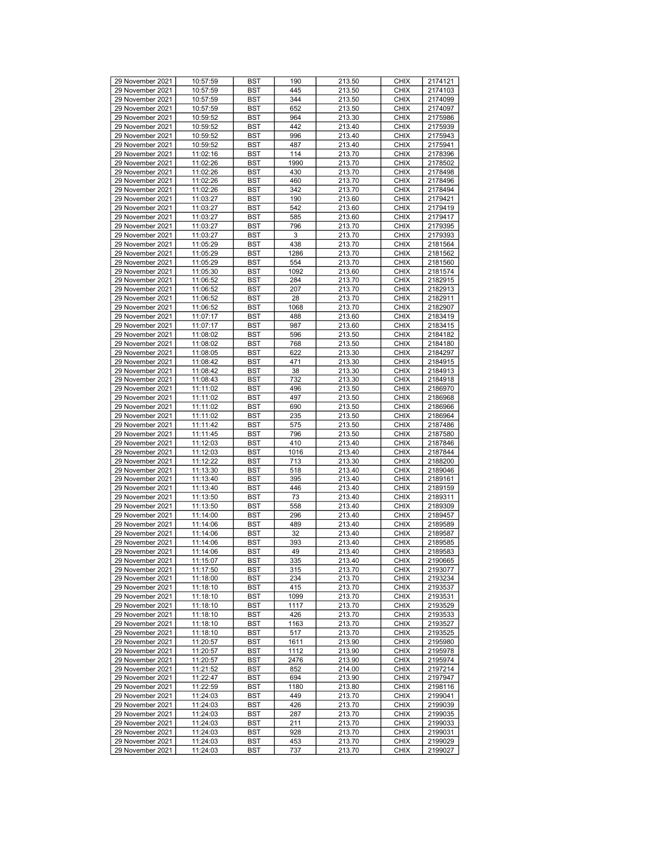| 29 November 2021<br>10:57:59<br>BST<br>445<br>213.50<br><b>CHIX</b><br>2174103<br>29 November 2021<br>344<br><b>CHIX</b><br>2174099<br>10:57:59<br>BST<br>213.50<br>29 November 2021<br>10:57:59<br>652<br>213.50<br><b>CHIX</b><br>2174097<br><b>BST</b><br>29 November 2021<br>213.30<br><b>CHIX</b><br>2175986<br>10:59:52<br><b>BST</b><br>964<br>29 November 2021<br>442<br><b>CHIX</b><br>10:59:52<br><b>BST</b><br>213.40<br>2175939<br>29 November 2021<br>2175943<br>10:59:52<br>BST<br>996<br>213.40<br><b>CHIX</b><br>29 November 2021<br><b>CHIX</b><br>2175941<br>10:59:52<br>BST<br>487<br>213.40<br>29 November 2021<br>11:02:16<br><b>BST</b><br>114<br>213.70<br><b>CHIX</b><br>2178396<br>29 November 2021<br>11:02:26<br>1990<br>213.70<br><b>CHIX</b><br><b>BST</b><br>2178502<br>29 November 2021<br><b>CHIX</b><br>11:02:26<br><b>BST</b><br>430<br>213.70<br>2178498<br>29 November 2021<br>460<br>2178496<br>11:02:26<br>BST<br>213.70<br><b>CHIX</b><br>29 November 2021<br>342<br><b>CHIX</b><br>2178494<br>11:02:26<br>BST<br>213.70<br>29 November 2021<br>11:03:27<br><b>BST</b><br>190<br>213.60<br><b>CHIX</b><br>2179421<br>29 November 2021<br>11:03:27<br>542<br>213.60<br><b>CHIX</b><br>2179419<br><b>BST</b><br>29 November 2021<br><b>CHIX</b><br>11:03:27<br><b>BST</b><br>585<br>213.60<br>2179417<br>29 November 2021<br>2179395<br>11:03:27<br>BST<br>796<br>213.70<br><b>CHIX</b><br>29 November 2021<br><b>CHIX</b><br>2179393<br>11:03:27<br>BST<br>3<br>213.70<br>29 November 2021<br>11:05:29<br>438<br>213.70<br><b>CHIX</b><br>2181564<br><b>BST</b><br>29 November 2021<br>11:05:29<br>1286<br>213.70<br><b>CHIX</b><br>2181562<br><b>BST</b><br><b>CHIX</b><br>29 November 2021<br>11:05:29<br><b>BST</b><br>554<br>213.70<br>2181560<br>29 November 2021<br>11:05:30<br>2181574<br><b>BST</b><br>1092<br>213.60<br><b>CHIX</b><br>29 November 2021<br>11:06:52<br><b>CHIX</b><br>2182915<br>BST<br>284<br>213.70<br>29 November 2021<br>11:06:52<br><b>BST</b><br>207<br>213.70<br><b>CHIX</b><br>2182913<br>29 November 2021<br>11:06:52<br>28<br>213.70<br><b>CHIX</b><br>2182911<br><b>BST</b><br>29 November 2021<br><b>CHIX</b><br>11:06:52<br><b>BST</b><br>1068<br>213.70<br>2182907<br>29 November 2021<br>488<br>11:07:17<br>BST<br>213.60<br><b>CHIX</b><br>2183419<br>29 November 2021<br><b>CHIX</b><br>11:07:17<br>BST<br>987<br>213.60<br>2183415<br>29 November 2021<br>213.50<br><b>CHIX</b><br>2184182<br>11:08:02<br><b>BST</b><br>596<br>29 November 2021<br>11:08:02<br>768<br>213.50<br><b>CHIX</b><br>2184180<br><b>BST</b><br>29 November 2021<br><b>CHIX</b><br>11:08:05<br><b>BST</b><br>622<br>213.30<br>2184297<br>29 November 2021<br>11:08:42<br>471<br>2184915<br>BST<br>213.30<br><b>CHIX</b><br>29 November 2021<br>11:08:42<br><b>CHIX</b><br>BST<br>38<br>213.30<br>2184913<br>29 November 2021<br>11:08:43<br><b>BST</b><br>732<br>213.30<br><b>CHIX</b><br>2184918<br>29 November 2021<br>11:11:02<br>496<br>213.50<br><b>CHIX</b><br>2186970<br><b>BST</b><br>29 November 2021<br>497<br><b>CHIX</b><br>11:11:02<br><b>BST</b><br>213.50<br>2186968<br>29 November 2021<br>11:11:02<br>BST<br>690<br>213.50<br><b>CHIX</b><br>2186966<br>29 November 2021<br><b>CHIX</b><br>11:11:02<br>BST<br>235<br>213.50<br>2186964<br>29 November 2021<br>11:11:42<br>213.50<br><b>CHIX</b><br>2187486<br><b>BST</b><br>575<br>29 November 2021<br>11:11:45<br>796<br>213.50<br><b>CHIX</b><br><b>BST</b><br>2187580<br>410<br><b>CHIX</b><br>29 November 2021<br>11:12:03<br><b>BST</b><br>213.40<br>2187846<br>29 November 2021<br>11:12:03<br>2187844<br>BST<br>1016<br>213.40<br><b>CHIX</b><br>29 November 2021<br>11:12:22<br>713<br><b>CHIX</b><br>BST<br>213.30<br>2188200<br>29 November 2021<br>11:13:30<br><b>BST</b><br>518<br>213.40<br><b>CHIX</b><br>2189046<br>29 November 2021<br>11:13:40<br>395<br>213.40<br><b>CHIX</b><br>2189161<br><b>BST</b><br>29 November 2021<br>446<br><b>CHIX</b><br>11:13:40<br><b>BST</b><br>213.40<br>2189159<br>29 November 2021<br>73<br>11:13:50<br>BST<br>213.40<br><b>CHIX</b><br>2189311<br>29 November 2021<br><b>CHIX</b><br>11:13:50<br>BST<br>558<br>213.40<br>2189309<br>29 November 2021<br>11:14:00<br>213.40<br><b>CHIX</b><br>2189457<br><b>BST</b><br>296<br>29 November 2021<br>11:14:06<br><b>BST</b><br>489<br>213.40<br><b>CHIX</b><br>2189589<br>32<br><b>CHIX</b><br>29 November 2021<br>11:14:06<br><b>BST</b><br>213.40<br>2189587<br>29 November 2021<br>11:14:06<br><b>CHIX</b><br>2189585<br>BST<br>393<br>213.40<br>29 November 2021<br>11:14:06<br><b>BST</b><br>49<br>213.40<br><b>CHIX</b><br>2189583<br>29 November 2021<br><b>BST</b><br>335<br>213.40<br><b>CHIX</b><br>11:15:07<br>2190665<br>29 November 2021<br>11:17:50<br><b>BST</b><br>315<br>213.70<br><b>CHIX</b><br>2193077<br><b>CHIX</b><br>29 November 2021<br>11:18:00<br><b>BST</b><br>234<br>213.70<br>2193234<br>29 November 2021<br>415<br>11:18:10<br>BST<br>213.70<br><b>CHIX</b><br>2193537<br>29 November 2021<br>11:18:10<br><b>BST</b><br>1099<br>213.70<br><b>CHIX</b><br>2193531<br>29 November 2021<br>11:18:10<br>213.70<br><b>CHIX</b><br>BST<br>1117<br>2193529<br>29 November 2021<br>11:18:10<br>426<br>213.70<br><b>CHIX</b><br>2193533<br><b>BST</b><br>29 November 2021<br>1163<br><b>CHIX</b><br>11:18:10<br><b>BST</b><br>213.70<br>2193527<br>29 November 2021<br>11:18:10<br>BST<br>517<br>213.70<br><b>CHIX</b><br>2193525<br>29 November 2021<br>11:20:57<br>BST<br>1611<br>213.90<br><b>CHIX</b><br>2195980<br>29 November 2021<br>11:20:57<br>1112<br><b>CHIX</b><br>BST<br>213.90<br>2195978<br>29 November 2021<br>11:20:57<br>2476<br><b>CHIX</b><br>BST<br>213.90<br>2195974<br>29 November 2021<br><b>CHIX</b><br>11:21:52<br><b>BST</b><br>852<br>214.00<br>2197214<br>29 November 2021<br>11:22:47<br>BST<br>694<br>213.90<br><b>CHIX</b><br>2197947<br>29 November 2021<br>11:22:59<br><b>BST</b><br>1180<br>213.80<br><b>CHIX</b><br>2198116<br>29 November 2021<br>449<br><b>CHIX</b><br>2199041<br>11:24:03<br>BST<br>213.70<br>29 November 2021<br>11:24:03<br>426<br>213.70<br><b>CHIX</b><br>2199039<br><b>BST</b><br>29 November 2021<br><b>CHIX</b><br>11:24:03<br><b>BST</b><br>287<br>213.70<br>2199035<br>29 November 2021<br>11:24:03<br>BST<br>211<br>213.70<br><b>CHIX</b><br>2199033<br>29 November 2021<br>11:24:03<br>BST<br>928<br>213.70<br><b>CHIX</b><br>2199031<br>29 November 2021<br>11:24:03<br>BST<br>453<br>213.70<br><b>CHIX</b><br>2199029<br>29 November 2021<br>11:24:03<br>BST<br>737<br>213.70<br><b>CHIX</b><br>2199027 | 29 November 2021 | 10:57:59 | <b>BST</b> | 190 | 213.50 | <b>CHIX</b> | 2174121 |
|-----------------------------------------------------------------------------------------------------------------------------------------------------------------------------------------------------------------------------------------------------------------------------------------------------------------------------------------------------------------------------------------------------------------------------------------------------------------------------------------------------------------------------------------------------------------------------------------------------------------------------------------------------------------------------------------------------------------------------------------------------------------------------------------------------------------------------------------------------------------------------------------------------------------------------------------------------------------------------------------------------------------------------------------------------------------------------------------------------------------------------------------------------------------------------------------------------------------------------------------------------------------------------------------------------------------------------------------------------------------------------------------------------------------------------------------------------------------------------------------------------------------------------------------------------------------------------------------------------------------------------------------------------------------------------------------------------------------------------------------------------------------------------------------------------------------------------------------------------------------------------------------------------------------------------------------------------------------------------------------------------------------------------------------------------------------------------------------------------------------------------------------------------------------------------------------------------------------------------------------------------------------------------------------------------------------------------------------------------------------------------------------------------------------------------------------------------------------------------------------------------------------------------------------------------------------------------------------------------------------------------------------------------------------------------------------------------------------------------------------------------------------------------------------------------------------------------------------------------------------------------------------------------------------------------------------------------------------------------------------------------------------------------------------------------------------------------------------------------------------------------------------------------------------------------------------------------------------------------------------------------------------------------------------------------------------------------------------------------------------------------------------------------------------------------------------------------------------------------------------------------------------------------------------------------------------------------------------------------------------------------------------------------------------------------------------------------------------------------------------------------------------------------------------------------------------------------------------------------------------------------------------------------------------------------------------------------------------------------------------------------------------------------------------------------------------------------------------------------------------------------------------------------------------------------------------------------------------------------------------------------------------------------------------------------------------------------------------------------------------------------------------------------------------------------------------------------------------------------------------------------------------------------------------------------------------------------------------------------------------------------------------------------------------------------------------------------------------------------------------------------------------------------------------------------------------------------------------------------------------------------------------------------------------------------------------------------------------------------------------------------------------------------------------------------------------------------------------------------------------------------------------------------------------------------------------------------------------------------------------------------------------------------------------------------------------------------------------------------------------------------------------------------------------------------------------------------------------------------------------------------------------------------------------------------------------------------------------------------------------------------------------------------------------------------------------------------------------------------------------------------------------------------------------------------------------------------------------------------------------------------------------------------------------------------------------------------------------------------------------------------------------------------------------------------------------------------------------------------------------------------------------------------------------------------------------------------------------------------------------------------------------------------------------------------------------------------------------------------------------------------------------------------------------------------------------------------------------------------------------------------------------------------------------------------------------------------------------------------------------------------|------------------|----------|------------|-----|--------|-------------|---------|
|                                                                                                                                                                                                                                                                                                                                                                                                                                                                                                                                                                                                                                                                                                                                                                                                                                                                                                                                                                                                                                                                                                                                                                                                                                                                                                                                                                                                                                                                                                                                                                                                                                                                                                                                                                                                                                                                                                                                                                                                                                                                                                                                                                                                                                                                                                                                                                                                                                                                                                                                                                                                                                                                                                                                                                                                                                                                                                                                                                                                                                                                                                                                                                                                                                                                                                                                                                                                                                                                                                                                                                                                                                                                                                                                                                                                                                                                                                                                                                                                                                                                                                                                                                                                                                                                                                                                                                                                                                                                                                                                                                                                                                                                                                                                                                                                                                                                                                                                                                                                                                                                                                                                                                                                                                                                                                                                                                                                                                                                                                                                                                                                                                                                                                                                                                                                                                                                                                                                                                                                                                                                                                                                                                                                                                                                                                                                                                                                                                                                                                                                                                                                                             |                  |          |            |     |        |             |         |
|                                                                                                                                                                                                                                                                                                                                                                                                                                                                                                                                                                                                                                                                                                                                                                                                                                                                                                                                                                                                                                                                                                                                                                                                                                                                                                                                                                                                                                                                                                                                                                                                                                                                                                                                                                                                                                                                                                                                                                                                                                                                                                                                                                                                                                                                                                                                                                                                                                                                                                                                                                                                                                                                                                                                                                                                                                                                                                                                                                                                                                                                                                                                                                                                                                                                                                                                                                                                                                                                                                                                                                                                                                                                                                                                                                                                                                                                                                                                                                                                                                                                                                                                                                                                                                                                                                                                                                                                                                                                                                                                                                                                                                                                                                                                                                                                                                                                                                                                                                                                                                                                                                                                                                                                                                                                                                                                                                                                                                                                                                                                                                                                                                                                                                                                                                                                                                                                                                                                                                                                                                                                                                                                                                                                                                                                                                                                                                                                                                                                                                                                                                                                                             |                  |          |            |     |        |             |         |
|                                                                                                                                                                                                                                                                                                                                                                                                                                                                                                                                                                                                                                                                                                                                                                                                                                                                                                                                                                                                                                                                                                                                                                                                                                                                                                                                                                                                                                                                                                                                                                                                                                                                                                                                                                                                                                                                                                                                                                                                                                                                                                                                                                                                                                                                                                                                                                                                                                                                                                                                                                                                                                                                                                                                                                                                                                                                                                                                                                                                                                                                                                                                                                                                                                                                                                                                                                                                                                                                                                                                                                                                                                                                                                                                                                                                                                                                                                                                                                                                                                                                                                                                                                                                                                                                                                                                                                                                                                                                                                                                                                                                                                                                                                                                                                                                                                                                                                                                                                                                                                                                                                                                                                                                                                                                                                                                                                                                                                                                                                                                                                                                                                                                                                                                                                                                                                                                                                                                                                                                                                                                                                                                                                                                                                                                                                                                                                                                                                                                                                                                                                                                                             |                  |          |            |     |        |             |         |
|                                                                                                                                                                                                                                                                                                                                                                                                                                                                                                                                                                                                                                                                                                                                                                                                                                                                                                                                                                                                                                                                                                                                                                                                                                                                                                                                                                                                                                                                                                                                                                                                                                                                                                                                                                                                                                                                                                                                                                                                                                                                                                                                                                                                                                                                                                                                                                                                                                                                                                                                                                                                                                                                                                                                                                                                                                                                                                                                                                                                                                                                                                                                                                                                                                                                                                                                                                                                                                                                                                                                                                                                                                                                                                                                                                                                                                                                                                                                                                                                                                                                                                                                                                                                                                                                                                                                                                                                                                                                                                                                                                                                                                                                                                                                                                                                                                                                                                                                                                                                                                                                                                                                                                                                                                                                                                                                                                                                                                                                                                                                                                                                                                                                                                                                                                                                                                                                                                                                                                                                                                                                                                                                                                                                                                                                                                                                                                                                                                                                                                                                                                                                                             |                  |          |            |     |        |             |         |
|                                                                                                                                                                                                                                                                                                                                                                                                                                                                                                                                                                                                                                                                                                                                                                                                                                                                                                                                                                                                                                                                                                                                                                                                                                                                                                                                                                                                                                                                                                                                                                                                                                                                                                                                                                                                                                                                                                                                                                                                                                                                                                                                                                                                                                                                                                                                                                                                                                                                                                                                                                                                                                                                                                                                                                                                                                                                                                                                                                                                                                                                                                                                                                                                                                                                                                                                                                                                                                                                                                                                                                                                                                                                                                                                                                                                                                                                                                                                                                                                                                                                                                                                                                                                                                                                                                                                                                                                                                                                                                                                                                                                                                                                                                                                                                                                                                                                                                                                                                                                                                                                                                                                                                                                                                                                                                                                                                                                                                                                                                                                                                                                                                                                                                                                                                                                                                                                                                                                                                                                                                                                                                                                                                                                                                                                                                                                                                                                                                                                                                                                                                                                                             |                  |          |            |     |        |             |         |
|                                                                                                                                                                                                                                                                                                                                                                                                                                                                                                                                                                                                                                                                                                                                                                                                                                                                                                                                                                                                                                                                                                                                                                                                                                                                                                                                                                                                                                                                                                                                                                                                                                                                                                                                                                                                                                                                                                                                                                                                                                                                                                                                                                                                                                                                                                                                                                                                                                                                                                                                                                                                                                                                                                                                                                                                                                                                                                                                                                                                                                                                                                                                                                                                                                                                                                                                                                                                                                                                                                                                                                                                                                                                                                                                                                                                                                                                                                                                                                                                                                                                                                                                                                                                                                                                                                                                                                                                                                                                                                                                                                                                                                                                                                                                                                                                                                                                                                                                                                                                                                                                                                                                                                                                                                                                                                                                                                                                                                                                                                                                                                                                                                                                                                                                                                                                                                                                                                                                                                                                                                                                                                                                                                                                                                                                                                                                                                                                                                                                                                                                                                                                                             |                  |          |            |     |        |             |         |
|                                                                                                                                                                                                                                                                                                                                                                                                                                                                                                                                                                                                                                                                                                                                                                                                                                                                                                                                                                                                                                                                                                                                                                                                                                                                                                                                                                                                                                                                                                                                                                                                                                                                                                                                                                                                                                                                                                                                                                                                                                                                                                                                                                                                                                                                                                                                                                                                                                                                                                                                                                                                                                                                                                                                                                                                                                                                                                                                                                                                                                                                                                                                                                                                                                                                                                                                                                                                                                                                                                                                                                                                                                                                                                                                                                                                                                                                                                                                                                                                                                                                                                                                                                                                                                                                                                                                                                                                                                                                                                                                                                                                                                                                                                                                                                                                                                                                                                                                                                                                                                                                                                                                                                                                                                                                                                                                                                                                                                                                                                                                                                                                                                                                                                                                                                                                                                                                                                                                                                                                                                                                                                                                                                                                                                                                                                                                                                                                                                                                                                                                                                                                                             |                  |          |            |     |        |             |         |
|                                                                                                                                                                                                                                                                                                                                                                                                                                                                                                                                                                                                                                                                                                                                                                                                                                                                                                                                                                                                                                                                                                                                                                                                                                                                                                                                                                                                                                                                                                                                                                                                                                                                                                                                                                                                                                                                                                                                                                                                                                                                                                                                                                                                                                                                                                                                                                                                                                                                                                                                                                                                                                                                                                                                                                                                                                                                                                                                                                                                                                                                                                                                                                                                                                                                                                                                                                                                                                                                                                                                                                                                                                                                                                                                                                                                                                                                                                                                                                                                                                                                                                                                                                                                                                                                                                                                                                                                                                                                                                                                                                                                                                                                                                                                                                                                                                                                                                                                                                                                                                                                                                                                                                                                                                                                                                                                                                                                                                                                                                                                                                                                                                                                                                                                                                                                                                                                                                                                                                                                                                                                                                                                                                                                                                                                                                                                                                                                                                                                                                                                                                                                                             |                  |          |            |     |        |             |         |
|                                                                                                                                                                                                                                                                                                                                                                                                                                                                                                                                                                                                                                                                                                                                                                                                                                                                                                                                                                                                                                                                                                                                                                                                                                                                                                                                                                                                                                                                                                                                                                                                                                                                                                                                                                                                                                                                                                                                                                                                                                                                                                                                                                                                                                                                                                                                                                                                                                                                                                                                                                                                                                                                                                                                                                                                                                                                                                                                                                                                                                                                                                                                                                                                                                                                                                                                                                                                                                                                                                                                                                                                                                                                                                                                                                                                                                                                                                                                                                                                                                                                                                                                                                                                                                                                                                                                                                                                                                                                                                                                                                                                                                                                                                                                                                                                                                                                                                                                                                                                                                                                                                                                                                                                                                                                                                                                                                                                                                                                                                                                                                                                                                                                                                                                                                                                                                                                                                                                                                                                                                                                                                                                                                                                                                                                                                                                                                                                                                                                                                                                                                                                                             |                  |          |            |     |        |             |         |
|                                                                                                                                                                                                                                                                                                                                                                                                                                                                                                                                                                                                                                                                                                                                                                                                                                                                                                                                                                                                                                                                                                                                                                                                                                                                                                                                                                                                                                                                                                                                                                                                                                                                                                                                                                                                                                                                                                                                                                                                                                                                                                                                                                                                                                                                                                                                                                                                                                                                                                                                                                                                                                                                                                                                                                                                                                                                                                                                                                                                                                                                                                                                                                                                                                                                                                                                                                                                                                                                                                                                                                                                                                                                                                                                                                                                                                                                                                                                                                                                                                                                                                                                                                                                                                                                                                                                                                                                                                                                                                                                                                                                                                                                                                                                                                                                                                                                                                                                                                                                                                                                                                                                                                                                                                                                                                                                                                                                                                                                                                                                                                                                                                                                                                                                                                                                                                                                                                                                                                                                                                                                                                                                                                                                                                                                                                                                                                                                                                                                                                                                                                                                                             |                  |          |            |     |        |             |         |
|                                                                                                                                                                                                                                                                                                                                                                                                                                                                                                                                                                                                                                                                                                                                                                                                                                                                                                                                                                                                                                                                                                                                                                                                                                                                                                                                                                                                                                                                                                                                                                                                                                                                                                                                                                                                                                                                                                                                                                                                                                                                                                                                                                                                                                                                                                                                                                                                                                                                                                                                                                                                                                                                                                                                                                                                                                                                                                                                                                                                                                                                                                                                                                                                                                                                                                                                                                                                                                                                                                                                                                                                                                                                                                                                                                                                                                                                                                                                                                                                                                                                                                                                                                                                                                                                                                                                                                                                                                                                                                                                                                                                                                                                                                                                                                                                                                                                                                                                                                                                                                                                                                                                                                                                                                                                                                                                                                                                                                                                                                                                                                                                                                                                                                                                                                                                                                                                                                                                                                                                                                                                                                                                                                                                                                                                                                                                                                                                                                                                                                                                                                                                                             |                  |          |            |     |        |             |         |
|                                                                                                                                                                                                                                                                                                                                                                                                                                                                                                                                                                                                                                                                                                                                                                                                                                                                                                                                                                                                                                                                                                                                                                                                                                                                                                                                                                                                                                                                                                                                                                                                                                                                                                                                                                                                                                                                                                                                                                                                                                                                                                                                                                                                                                                                                                                                                                                                                                                                                                                                                                                                                                                                                                                                                                                                                                                                                                                                                                                                                                                                                                                                                                                                                                                                                                                                                                                                                                                                                                                                                                                                                                                                                                                                                                                                                                                                                                                                                                                                                                                                                                                                                                                                                                                                                                                                                                                                                                                                                                                                                                                                                                                                                                                                                                                                                                                                                                                                                                                                                                                                                                                                                                                                                                                                                                                                                                                                                                                                                                                                                                                                                                                                                                                                                                                                                                                                                                                                                                                                                                                                                                                                                                                                                                                                                                                                                                                                                                                                                                                                                                                                                             |                  |          |            |     |        |             |         |
|                                                                                                                                                                                                                                                                                                                                                                                                                                                                                                                                                                                                                                                                                                                                                                                                                                                                                                                                                                                                                                                                                                                                                                                                                                                                                                                                                                                                                                                                                                                                                                                                                                                                                                                                                                                                                                                                                                                                                                                                                                                                                                                                                                                                                                                                                                                                                                                                                                                                                                                                                                                                                                                                                                                                                                                                                                                                                                                                                                                                                                                                                                                                                                                                                                                                                                                                                                                                                                                                                                                                                                                                                                                                                                                                                                                                                                                                                                                                                                                                                                                                                                                                                                                                                                                                                                                                                                                                                                                                                                                                                                                                                                                                                                                                                                                                                                                                                                                                                                                                                                                                                                                                                                                                                                                                                                                                                                                                                                                                                                                                                                                                                                                                                                                                                                                                                                                                                                                                                                                                                                                                                                                                                                                                                                                                                                                                                                                                                                                                                                                                                                                                                             |                  |          |            |     |        |             |         |
|                                                                                                                                                                                                                                                                                                                                                                                                                                                                                                                                                                                                                                                                                                                                                                                                                                                                                                                                                                                                                                                                                                                                                                                                                                                                                                                                                                                                                                                                                                                                                                                                                                                                                                                                                                                                                                                                                                                                                                                                                                                                                                                                                                                                                                                                                                                                                                                                                                                                                                                                                                                                                                                                                                                                                                                                                                                                                                                                                                                                                                                                                                                                                                                                                                                                                                                                                                                                                                                                                                                                                                                                                                                                                                                                                                                                                                                                                                                                                                                                                                                                                                                                                                                                                                                                                                                                                                                                                                                                                                                                                                                                                                                                                                                                                                                                                                                                                                                                                                                                                                                                                                                                                                                                                                                                                                                                                                                                                                                                                                                                                                                                                                                                                                                                                                                                                                                                                                                                                                                                                                                                                                                                                                                                                                                                                                                                                                                                                                                                                                                                                                                                                             |                  |          |            |     |        |             |         |
|                                                                                                                                                                                                                                                                                                                                                                                                                                                                                                                                                                                                                                                                                                                                                                                                                                                                                                                                                                                                                                                                                                                                                                                                                                                                                                                                                                                                                                                                                                                                                                                                                                                                                                                                                                                                                                                                                                                                                                                                                                                                                                                                                                                                                                                                                                                                                                                                                                                                                                                                                                                                                                                                                                                                                                                                                                                                                                                                                                                                                                                                                                                                                                                                                                                                                                                                                                                                                                                                                                                                                                                                                                                                                                                                                                                                                                                                                                                                                                                                                                                                                                                                                                                                                                                                                                                                                                                                                                                                                                                                                                                                                                                                                                                                                                                                                                                                                                                                                                                                                                                                                                                                                                                                                                                                                                                                                                                                                                                                                                                                                                                                                                                                                                                                                                                                                                                                                                                                                                                                                                                                                                                                                                                                                                                                                                                                                                                                                                                                                                                                                                                                                             |                  |          |            |     |        |             |         |
|                                                                                                                                                                                                                                                                                                                                                                                                                                                                                                                                                                                                                                                                                                                                                                                                                                                                                                                                                                                                                                                                                                                                                                                                                                                                                                                                                                                                                                                                                                                                                                                                                                                                                                                                                                                                                                                                                                                                                                                                                                                                                                                                                                                                                                                                                                                                                                                                                                                                                                                                                                                                                                                                                                                                                                                                                                                                                                                                                                                                                                                                                                                                                                                                                                                                                                                                                                                                                                                                                                                                                                                                                                                                                                                                                                                                                                                                                                                                                                                                                                                                                                                                                                                                                                                                                                                                                                                                                                                                                                                                                                                                                                                                                                                                                                                                                                                                                                                                                                                                                                                                                                                                                                                                                                                                                                                                                                                                                                                                                                                                                                                                                                                                                                                                                                                                                                                                                                                                                                                                                                                                                                                                                                                                                                                                                                                                                                                                                                                                                                                                                                                                                             |                  |          |            |     |        |             |         |
|                                                                                                                                                                                                                                                                                                                                                                                                                                                                                                                                                                                                                                                                                                                                                                                                                                                                                                                                                                                                                                                                                                                                                                                                                                                                                                                                                                                                                                                                                                                                                                                                                                                                                                                                                                                                                                                                                                                                                                                                                                                                                                                                                                                                                                                                                                                                                                                                                                                                                                                                                                                                                                                                                                                                                                                                                                                                                                                                                                                                                                                                                                                                                                                                                                                                                                                                                                                                                                                                                                                                                                                                                                                                                                                                                                                                                                                                                                                                                                                                                                                                                                                                                                                                                                                                                                                                                                                                                                                                                                                                                                                                                                                                                                                                                                                                                                                                                                                                                                                                                                                                                                                                                                                                                                                                                                                                                                                                                                                                                                                                                                                                                                                                                                                                                                                                                                                                                                                                                                                                                                                                                                                                                                                                                                                                                                                                                                                                                                                                                                                                                                                                                             |                  |          |            |     |        |             |         |
|                                                                                                                                                                                                                                                                                                                                                                                                                                                                                                                                                                                                                                                                                                                                                                                                                                                                                                                                                                                                                                                                                                                                                                                                                                                                                                                                                                                                                                                                                                                                                                                                                                                                                                                                                                                                                                                                                                                                                                                                                                                                                                                                                                                                                                                                                                                                                                                                                                                                                                                                                                                                                                                                                                                                                                                                                                                                                                                                                                                                                                                                                                                                                                                                                                                                                                                                                                                                                                                                                                                                                                                                                                                                                                                                                                                                                                                                                                                                                                                                                                                                                                                                                                                                                                                                                                                                                                                                                                                                                                                                                                                                                                                                                                                                                                                                                                                                                                                                                                                                                                                                                                                                                                                                                                                                                                                                                                                                                                                                                                                                                                                                                                                                                                                                                                                                                                                                                                                                                                                                                                                                                                                                                                                                                                                                                                                                                                                                                                                                                                                                                                                                                             |                  |          |            |     |        |             |         |
|                                                                                                                                                                                                                                                                                                                                                                                                                                                                                                                                                                                                                                                                                                                                                                                                                                                                                                                                                                                                                                                                                                                                                                                                                                                                                                                                                                                                                                                                                                                                                                                                                                                                                                                                                                                                                                                                                                                                                                                                                                                                                                                                                                                                                                                                                                                                                                                                                                                                                                                                                                                                                                                                                                                                                                                                                                                                                                                                                                                                                                                                                                                                                                                                                                                                                                                                                                                                                                                                                                                                                                                                                                                                                                                                                                                                                                                                                                                                                                                                                                                                                                                                                                                                                                                                                                                                                                                                                                                                                                                                                                                                                                                                                                                                                                                                                                                                                                                                                                                                                                                                                                                                                                                                                                                                                                                                                                                                                                                                                                                                                                                                                                                                                                                                                                                                                                                                                                                                                                                                                                                                                                                                                                                                                                                                                                                                                                                                                                                                                                                                                                                                                             |                  |          |            |     |        |             |         |
|                                                                                                                                                                                                                                                                                                                                                                                                                                                                                                                                                                                                                                                                                                                                                                                                                                                                                                                                                                                                                                                                                                                                                                                                                                                                                                                                                                                                                                                                                                                                                                                                                                                                                                                                                                                                                                                                                                                                                                                                                                                                                                                                                                                                                                                                                                                                                                                                                                                                                                                                                                                                                                                                                                                                                                                                                                                                                                                                                                                                                                                                                                                                                                                                                                                                                                                                                                                                                                                                                                                                                                                                                                                                                                                                                                                                                                                                                                                                                                                                                                                                                                                                                                                                                                                                                                                                                                                                                                                                                                                                                                                                                                                                                                                                                                                                                                                                                                                                                                                                                                                                                                                                                                                                                                                                                                                                                                                                                                                                                                                                                                                                                                                                                                                                                                                                                                                                                                                                                                                                                                                                                                                                                                                                                                                                                                                                                                                                                                                                                                                                                                                                                             |                  |          |            |     |        |             |         |
|                                                                                                                                                                                                                                                                                                                                                                                                                                                                                                                                                                                                                                                                                                                                                                                                                                                                                                                                                                                                                                                                                                                                                                                                                                                                                                                                                                                                                                                                                                                                                                                                                                                                                                                                                                                                                                                                                                                                                                                                                                                                                                                                                                                                                                                                                                                                                                                                                                                                                                                                                                                                                                                                                                                                                                                                                                                                                                                                                                                                                                                                                                                                                                                                                                                                                                                                                                                                                                                                                                                                                                                                                                                                                                                                                                                                                                                                                                                                                                                                                                                                                                                                                                                                                                                                                                                                                                                                                                                                                                                                                                                                                                                                                                                                                                                                                                                                                                                                                                                                                                                                                                                                                                                                                                                                                                                                                                                                                                                                                                                                                                                                                                                                                                                                                                                                                                                                                                                                                                                                                                                                                                                                                                                                                                                                                                                                                                                                                                                                                                                                                                                                                             |                  |          |            |     |        |             |         |
|                                                                                                                                                                                                                                                                                                                                                                                                                                                                                                                                                                                                                                                                                                                                                                                                                                                                                                                                                                                                                                                                                                                                                                                                                                                                                                                                                                                                                                                                                                                                                                                                                                                                                                                                                                                                                                                                                                                                                                                                                                                                                                                                                                                                                                                                                                                                                                                                                                                                                                                                                                                                                                                                                                                                                                                                                                                                                                                                                                                                                                                                                                                                                                                                                                                                                                                                                                                                                                                                                                                                                                                                                                                                                                                                                                                                                                                                                                                                                                                                                                                                                                                                                                                                                                                                                                                                                                                                                                                                                                                                                                                                                                                                                                                                                                                                                                                                                                                                                                                                                                                                                                                                                                                                                                                                                                                                                                                                                                                                                                                                                                                                                                                                                                                                                                                                                                                                                                                                                                                                                                                                                                                                                                                                                                                                                                                                                                                                                                                                                                                                                                                                                             |                  |          |            |     |        |             |         |
|                                                                                                                                                                                                                                                                                                                                                                                                                                                                                                                                                                                                                                                                                                                                                                                                                                                                                                                                                                                                                                                                                                                                                                                                                                                                                                                                                                                                                                                                                                                                                                                                                                                                                                                                                                                                                                                                                                                                                                                                                                                                                                                                                                                                                                                                                                                                                                                                                                                                                                                                                                                                                                                                                                                                                                                                                                                                                                                                                                                                                                                                                                                                                                                                                                                                                                                                                                                                                                                                                                                                                                                                                                                                                                                                                                                                                                                                                                                                                                                                                                                                                                                                                                                                                                                                                                                                                                                                                                                                                                                                                                                                                                                                                                                                                                                                                                                                                                                                                                                                                                                                                                                                                                                                                                                                                                                                                                                                                                                                                                                                                                                                                                                                                                                                                                                                                                                                                                                                                                                                                                                                                                                                                                                                                                                                                                                                                                                                                                                                                                                                                                                                                             |                  |          |            |     |        |             |         |
|                                                                                                                                                                                                                                                                                                                                                                                                                                                                                                                                                                                                                                                                                                                                                                                                                                                                                                                                                                                                                                                                                                                                                                                                                                                                                                                                                                                                                                                                                                                                                                                                                                                                                                                                                                                                                                                                                                                                                                                                                                                                                                                                                                                                                                                                                                                                                                                                                                                                                                                                                                                                                                                                                                                                                                                                                                                                                                                                                                                                                                                                                                                                                                                                                                                                                                                                                                                                                                                                                                                                                                                                                                                                                                                                                                                                                                                                                                                                                                                                                                                                                                                                                                                                                                                                                                                                                                                                                                                                                                                                                                                                                                                                                                                                                                                                                                                                                                                                                                                                                                                                                                                                                                                                                                                                                                                                                                                                                                                                                                                                                                                                                                                                                                                                                                                                                                                                                                                                                                                                                                                                                                                                                                                                                                                                                                                                                                                                                                                                                                                                                                                                                             |                  |          |            |     |        |             |         |
|                                                                                                                                                                                                                                                                                                                                                                                                                                                                                                                                                                                                                                                                                                                                                                                                                                                                                                                                                                                                                                                                                                                                                                                                                                                                                                                                                                                                                                                                                                                                                                                                                                                                                                                                                                                                                                                                                                                                                                                                                                                                                                                                                                                                                                                                                                                                                                                                                                                                                                                                                                                                                                                                                                                                                                                                                                                                                                                                                                                                                                                                                                                                                                                                                                                                                                                                                                                                                                                                                                                                                                                                                                                                                                                                                                                                                                                                                                                                                                                                                                                                                                                                                                                                                                                                                                                                                                                                                                                                                                                                                                                                                                                                                                                                                                                                                                                                                                                                                                                                                                                                                                                                                                                                                                                                                                                                                                                                                                                                                                                                                                                                                                                                                                                                                                                                                                                                                                                                                                                                                                                                                                                                                                                                                                                                                                                                                                                                                                                                                                                                                                                                                             |                  |          |            |     |        |             |         |
|                                                                                                                                                                                                                                                                                                                                                                                                                                                                                                                                                                                                                                                                                                                                                                                                                                                                                                                                                                                                                                                                                                                                                                                                                                                                                                                                                                                                                                                                                                                                                                                                                                                                                                                                                                                                                                                                                                                                                                                                                                                                                                                                                                                                                                                                                                                                                                                                                                                                                                                                                                                                                                                                                                                                                                                                                                                                                                                                                                                                                                                                                                                                                                                                                                                                                                                                                                                                                                                                                                                                                                                                                                                                                                                                                                                                                                                                                                                                                                                                                                                                                                                                                                                                                                                                                                                                                                                                                                                                                                                                                                                                                                                                                                                                                                                                                                                                                                                                                                                                                                                                                                                                                                                                                                                                                                                                                                                                                                                                                                                                                                                                                                                                                                                                                                                                                                                                                                                                                                                                                                                                                                                                                                                                                                                                                                                                                                                                                                                                                                                                                                                                                             |                  |          |            |     |        |             |         |
|                                                                                                                                                                                                                                                                                                                                                                                                                                                                                                                                                                                                                                                                                                                                                                                                                                                                                                                                                                                                                                                                                                                                                                                                                                                                                                                                                                                                                                                                                                                                                                                                                                                                                                                                                                                                                                                                                                                                                                                                                                                                                                                                                                                                                                                                                                                                                                                                                                                                                                                                                                                                                                                                                                                                                                                                                                                                                                                                                                                                                                                                                                                                                                                                                                                                                                                                                                                                                                                                                                                                                                                                                                                                                                                                                                                                                                                                                                                                                                                                                                                                                                                                                                                                                                                                                                                                                                                                                                                                                                                                                                                                                                                                                                                                                                                                                                                                                                                                                                                                                                                                                                                                                                                                                                                                                                                                                                                                                                                                                                                                                                                                                                                                                                                                                                                                                                                                                                                                                                                                                                                                                                                                                                                                                                                                                                                                                                                                                                                                                                                                                                                                                             |                  |          |            |     |        |             |         |
|                                                                                                                                                                                                                                                                                                                                                                                                                                                                                                                                                                                                                                                                                                                                                                                                                                                                                                                                                                                                                                                                                                                                                                                                                                                                                                                                                                                                                                                                                                                                                                                                                                                                                                                                                                                                                                                                                                                                                                                                                                                                                                                                                                                                                                                                                                                                                                                                                                                                                                                                                                                                                                                                                                                                                                                                                                                                                                                                                                                                                                                                                                                                                                                                                                                                                                                                                                                                                                                                                                                                                                                                                                                                                                                                                                                                                                                                                                                                                                                                                                                                                                                                                                                                                                                                                                                                                                                                                                                                                                                                                                                                                                                                                                                                                                                                                                                                                                                                                                                                                                                                                                                                                                                                                                                                                                                                                                                                                                                                                                                                                                                                                                                                                                                                                                                                                                                                                                                                                                                                                                                                                                                                                                                                                                                                                                                                                                                                                                                                                                                                                                                                                             |                  |          |            |     |        |             |         |
|                                                                                                                                                                                                                                                                                                                                                                                                                                                                                                                                                                                                                                                                                                                                                                                                                                                                                                                                                                                                                                                                                                                                                                                                                                                                                                                                                                                                                                                                                                                                                                                                                                                                                                                                                                                                                                                                                                                                                                                                                                                                                                                                                                                                                                                                                                                                                                                                                                                                                                                                                                                                                                                                                                                                                                                                                                                                                                                                                                                                                                                                                                                                                                                                                                                                                                                                                                                                                                                                                                                                                                                                                                                                                                                                                                                                                                                                                                                                                                                                                                                                                                                                                                                                                                                                                                                                                                                                                                                                                                                                                                                                                                                                                                                                                                                                                                                                                                                                                                                                                                                                                                                                                                                                                                                                                                                                                                                                                                                                                                                                                                                                                                                                                                                                                                                                                                                                                                                                                                                                                                                                                                                                                                                                                                                                                                                                                                                                                                                                                                                                                                                                                             |                  |          |            |     |        |             |         |
|                                                                                                                                                                                                                                                                                                                                                                                                                                                                                                                                                                                                                                                                                                                                                                                                                                                                                                                                                                                                                                                                                                                                                                                                                                                                                                                                                                                                                                                                                                                                                                                                                                                                                                                                                                                                                                                                                                                                                                                                                                                                                                                                                                                                                                                                                                                                                                                                                                                                                                                                                                                                                                                                                                                                                                                                                                                                                                                                                                                                                                                                                                                                                                                                                                                                                                                                                                                                                                                                                                                                                                                                                                                                                                                                                                                                                                                                                                                                                                                                                                                                                                                                                                                                                                                                                                                                                                                                                                                                                                                                                                                                                                                                                                                                                                                                                                                                                                                                                                                                                                                                                                                                                                                                                                                                                                                                                                                                                                                                                                                                                                                                                                                                                                                                                                                                                                                                                                                                                                                                                                                                                                                                                                                                                                                                                                                                                                                                                                                                                                                                                                                                                             |                  |          |            |     |        |             |         |
|                                                                                                                                                                                                                                                                                                                                                                                                                                                                                                                                                                                                                                                                                                                                                                                                                                                                                                                                                                                                                                                                                                                                                                                                                                                                                                                                                                                                                                                                                                                                                                                                                                                                                                                                                                                                                                                                                                                                                                                                                                                                                                                                                                                                                                                                                                                                                                                                                                                                                                                                                                                                                                                                                                                                                                                                                                                                                                                                                                                                                                                                                                                                                                                                                                                                                                                                                                                                                                                                                                                                                                                                                                                                                                                                                                                                                                                                                                                                                                                                                                                                                                                                                                                                                                                                                                                                                                                                                                                                                                                                                                                                                                                                                                                                                                                                                                                                                                                                                                                                                                                                                                                                                                                                                                                                                                                                                                                                                                                                                                                                                                                                                                                                                                                                                                                                                                                                                                                                                                                                                                                                                                                                                                                                                                                                                                                                                                                                                                                                                                                                                                                                                             |                  |          |            |     |        |             |         |
|                                                                                                                                                                                                                                                                                                                                                                                                                                                                                                                                                                                                                                                                                                                                                                                                                                                                                                                                                                                                                                                                                                                                                                                                                                                                                                                                                                                                                                                                                                                                                                                                                                                                                                                                                                                                                                                                                                                                                                                                                                                                                                                                                                                                                                                                                                                                                                                                                                                                                                                                                                                                                                                                                                                                                                                                                                                                                                                                                                                                                                                                                                                                                                                                                                                                                                                                                                                                                                                                                                                                                                                                                                                                                                                                                                                                                                                                                                                                                                                                                                                                                                                                                                                                                                                                                                                                                                                                                                                                                                                                                                                                                                                                                                                                                                                                                                                                                                                                                                                                                                                                                                                                                                                                                                                                                                                                                                                                                                                                                                                                                                                                                                                                                                                                                                                                                                                                                                                                                                                                                                                                                                                                                                                                                                                                                                                                                                                                                                                                                                                                                                                                                             |                  |          |            |     |        |             |         |
|                                                                                                                                                                                                                                                                                                                                                                                                                                                                                                                                                                                                                                                                                                                                                                                                                                                                                                                                                                                                                                                                                                                                                                                                                                                                                                                                                                                                                                                                                                                                                                                                                                                                                                                                                                                                                                                                                                                                                                                                                                                                                                                                                                                                                                                                                                                                                                                                                                                                                                                                                                                                                                                                                                                                                                                                                                                                                                                                                                                                                                                                                                                                                                                                                                                                                                                                                                                                                                                                                                                                                                                                                                                                                                                                                                                                                                                                                                                                                                                                                                                                                                                                                                                                                                                                                                                                                                                                                                                                                                                                                                                                                                                                                                                                                                                                                                                                                                                                                                                                                                                                                                                                                                                                                                                                                                                                                                                                                                                                                                                                                                                                                                                                                                                                                                                                                                                                                                                                                                                                                                                                                                                                                                                                                                                                                                                                                                                                                                                                                                                                                                                                                             |                  |          |            |     |        |             |         |
|                                                                                                                                                                                                                                                                                                                                                                                                                                                                                                                                                                                                                                                                                                                                                                                                                                                                                                                                                                                                                                                                                                                                                                                                                                                                                                                                                                                                                                                                                                                                                                                                                                                                                                                                                                                                                                                                                                                                                                                                                                                                                                                                                                                                                                                                                                                                                                                                                                                                                                                                                                                                                                                                                                                                                                                                                                                                                                                                                                                                                                                                                                                                                                                                                                                                                                                                                                                                                                                                                                                                                                                                                                                                                                                                                                                                                                                                                                                                                                                                                                                                                                                                                                                                                                                                                                                                                                                                                                                                                                                                                                                                                                                                                                                                                                                                                                                                                                                                                                                                                                                                                                                                                                                                                                                                                                                                                                                                                                                                                                                                                                                                                                                                                                                                                                                                                                                                                                                                                                                                                                                                                                                                                                                                                                                                                                                                                                                                                                                                                                                                                                                                                             |                  |          |            |     |        |             |         |
|                                                                                                                                                                                                                                                                                                                                                                                                                                                                                                                                                                                                                                                                                                                                                                                                                                                                                                                                                                                                                                                                                                                                                                                                                                                                                                                                                                                                                                                                                                                                                                                                                                                                                                                                                                                                                                                                                                                                                                                                                                                                                                                                                                                                                                                                                                                                                                                                                                                                                                                                                                                                                                                                                                                                                                                                                                                                                                                                                                                                                                                                                                                                                                                                                                                                                                                                                                                                                                                                                                                                                                                                                                                                                                                                                                                                                                                                                                                                                                                                                                                                                                                                                                                                                                                                                                                                                                                                                                                                                                                                                                                                                                                                                                                                                                                                                                                                                                                                                                                                                                                                                                                                                                                                                                                                                                                                                                                                                                                                                                                                                                                                                                                                                                                                                                                                                                                                                                                                                                                                                                                                                                                                                                                                                                                                                                                                                                                                                                                                                                                                                                                                                             |                  |          |            |     |        |             |         |
|                                                                                                                                                                                                                                                                                                                                                                                                                                                                                                                                                                                                                                                                                                                                                                                                                                                                                                                                                                                                                                                                                                                                                                                                                                                                                                                                                                                                                                                                                                                                                                                                                                                                                                                                                                                                                                                                                                                                                                                                                                                                                                                                                                                                                                                                                                                                                                                                                                                                                                                                                                                                                                                                                                                                                                                                                                                                                                                                                                                                                                                                                                                                                                                                                                                                                                                                                                                                                                                                                                                                                                                                                                                                                                                                                                                                                                                                                                                                                                                                                                                                                                                                                                                                                                                                                                                                                                                                                                                                                                                                                                                                                                                                                                                                                                                                                                                                                                                                                                                                                                                                                                                                                                                                                                                                                                                                                                                                                                                                                                                                                                                                                                                                                                                                                                                                                                                                                                                                                                                                                                                                                                                                                                                                                                                                                                                                                                                                                                                                                                                                                                                                                             |                  |          |            |     |        |             |         |
|                                                                                                                                                                                                                                                                                                                                                                                                                                                                                                                                                                                                                                                                                                                                                                                                                                                                                                                                                                                                                                                                                                                                                                                                                                                                                                                                                                                                                                                                                                                                                                                                                                                                                                                                                                                                                                                                                                                                                                                                                                                                                                                                                                                                                                                                                                                                                                                                                                                                                                                                                                                                                                                                                                                                                                                                                                                                                                                                                                                                                                                                                                                                                                                                                                                                                                                                                                                                                                                                                                                                                                                                                                                                                                                                                                                                                                                                                                                                                                                                                                                                                                                                                                                                                                                                                                                                                                                                                                                                                                                                                                                                                                                                                                                                                                                                                                                                                                                                                                                                                                                                                                                                                                                                                                                                                                                                                                                                                                                                                                                                                                                                                                                                                                                                                                                                                                                                                                                                                                                                                                                                                                                                                                                                                                                                                                                                                                                                                                                                                                                                                                                                                             |                  |          |            |     |        |             |         |
|                                                                                                                                                                                                                                                                                                                                                                                                                                                                                                                                                                                                                                                                                                                                                                                                                                                                                                                                                                                                                                                                                                                                                                                                                                                                                                                                                                                                                                                                                                                                                                                                                                                                                                                                                                                                                                                                                                                                                                                                                                                                                                                                                                                                                                                                                                                                                                                                                                                                                                                                                                                                                                                                                                                                                                                                                                                                                                                                                                                                                                                                                                                                                                                                                                                                                                                                                                                                                                                                                                                                                                                                                                                                                                                                                                                                                                                                                                                                                                                                                                                                                                                                                                                                                                                                                                                                                                                                                                                                                                                                                                                                                                                                                                                                                                                                                                                                                                                                                                                                                                                                                                                                                                                                                                                                                                                                                                                                                                                                                                                                                                                                                                                                                                                                                                                                                                                                                                                                                                                                                                                                                                                                                                                                                                                                                                                                                                                                                                                                                                                                                                                                                             |                  |          |            |     |        |             |         |
|                                                                                                                                                                                                                                                                                                                                                                                                                                                                                                                                                                                                                                                                                                                                                                                                                                                                                                                                                                                                                                                                                                                                                                                                                                                                                                                                                                                                                                                                                                                                                                                                                                                                                                                                                                                                                                                                                                                                                                                                                                                                                                                                                                                                                                                                                                                                                                                                                                                                                                                                                                                                                                                                                                                                                                                                                                                                                                                                                                                                                                                                                                                                                                                                                                                                                                                                                                                                                                                                                                                                                                                                                                                                                                                                                                                                                                                                                                                                                                                                                                                                                                                                                                                                                                                                                                                                                                                                                                                                                                                                                                                                                                                                                                                                                                                                                                                                                                                                                                                                                                                                                                                                                                                                                                                                                                                                                                                                                                                                                                                                                                                                                                                                                                                                                                                                                                                                                                                                                                                                                                                                                                                                                                                                                                                                                                                                                                                                                                                                                                                                                                                                                             |                  |          |            |     |        |             |         |
|                                                                                                                                                                                                                                                                                                                                                                                                                                                                                                                                                                                                                                                                                                                                                                                                                                                                                                                                                                                                                                                                                                                                                                                                                                                                                                                                                                                                                                                                                                                                                                                                                                                                                                                                                                                                                                                                                                                                                                                                                                                                                                                                                                                                                                                                                                                                                                                                                                                                                                                                                                                                                                                                                                                                                                                                                                                                                                                                                                                                                                                                                                                                                                                                                                                                                                                                                                                                                                                                                                                                                                                                                                                                                                                                                                                                                                                                                                                                                                                                                                                                                                                                                                                                                                                                                                                                                                                                                                                                                                                                                                                                                                                                                                                                                                                                                                                                                                                                                                                                                                                                                                                                                                                                                                                                                                                                                                                                                                                                                                                                                                                                                                                                                                                                                                                                                                                                                                                                                                                                                                                                                                                                                                                                                                                                                                                                                                                                                                                                                                                                                                                                                             |                  |          |            |     |        |             |         |
|                                                                                                                                                                                                                                                                                                                                                                                                                                                                                                                                                                                                                                                                                                                                                                                                                                                                                                                                                                                                                                                                                                                                                                                                                                                                                                                                                                                                                                                                                                                                                                                                                                                                                                                                                                                                                                                                                                                                                                                                                                                                                                                                                                                                                                                                                                                                                                                                                                                                                                                                                                                                                                                                                                                                                                                                                                                                                                                                                                                                                                                                                                                                                                                                                                                                                                                                                                                                                                                                                                                                                                                                                                                                                                                                                                                                                                                                                                                                                                                                                                                                                                                                                                                                                                                                                                                                                                                                                                                                                                                                                                                                                                                                                                                                                                                                                                                                                                                                                                                                                                                                                                                                                                                                                                                                                                                                                                                                                                                                                                                                                                                                                                                                                                                                                                                                                                                                                                                                                                                                                                                                                                                                                                                                                                                                                                                                                                                                                                                                                                                                                                                                                             |                  |          |            |     |        |             |         |
|                                                                                                                                                                                                                                                                                                                                                                                                                                                                                                                                                                                                                                                                                                                                                                                                                                                                                                                                                                                                                                                                                                                                                                                                                                                                                                                                                                                                                                                                                                                                                                                                                                                                                                                                                                                                                                                                                                                                                                                                                                                                                                                                                                                                                                                                                                                                                                                                                                                                                                                                                                                                                                                                                                                                                                                                                                                                                                                                                                                                                                                                                                                                                                                                                                                                                                                                                                                                                                                                                                                                                                                                                                                                                                                                                                                                                                                                                                                                                                                                                                                                                                                                                                                                                                                                                                                                                                                                                                                                                                                                                                                                                                                                                                                                                                                                                                                                                                                                                                                                                                                                                                                                                                                                                                                                                                                                                                                                                                                                                                                                                                                                                                                                                                                                                                                                                                                                                                                                                                                                                                                                                                                                                                                                                                                                                                                                                                                                                                                                                                                                                                                                                             |                  |          |            |     |        |             |         |
|                                                                                                                                                                                                                                                                                                                                                                                                                                                                                                                                                                                                                                                                                                                                                                                                                                                                                                                                                                                                                                                                                                                                                                                                                                                                                                                                                                                                                                                                                                                                                                                                                                                                                                                                                                                                                                                                                                                                                                                                                                                                                                                                                                                                                                                                                                                                                                                                                                                                                                                                                                                                                                                                                                                                                                                                                                                                                                                                                                                                                                                                                                                                                                                                                                                                                                                                                                                                                                                                                                                                                                                                                                                                                                                                                                                                                                                                                                                                                                                                                                                                                                                                                                                                                                                                                                                                                                                                                                                                                                                                                                                                                                                                                                                                                                                                                                                                                                                                                                                                                                                                                                                                                                                                                                                                                                                                                                                                                                                                                                                                                                                                                                                                                                                                                                                                                                                                                                                                                                                                                                                                                                                                                                                                                                                                                                                                                                                                                                                                                                                                                                                                                             |                  |          |            |     |        |             |         |
|                                                                                                                                                                                                                                                                                                                                                                                                                                                                                                                                                                                                                                                                                                                                                                                                                                                                                                                                                                                                                                                                                                                                                                                                                                                                                                                                                                                                                                                                                                                                                                                                                                                                                                                                                                                                                                                                                                                                                                                                                                                                                                                                                                                                                                                                                                                                                                                                                                                                                                                                                                                                                                                                                                                                                                                                                                                                                                                                                                                                                                                                                                                                                                                                                                                                                                                                                                                                                                                                                                                                                                                                                                                                                                                                                                                                                                                                                                                                                                                                                                                                                                                                                                                                                                                                                                                                                                                                                                                                                                                                                                                                                                                                                                                                                                                                                                                                                                                                                                                                                                                                                                                                                                                                                                                                                                                                                                                                                                                                                                                                                                                                                                                                                                                                                                                                                                                                                                                                                                                                                                                                                                                                                                                                                                                                                                                                                                                                                                                                                                                                                                                                                             |                  |          |            |     |        |             |         |
|                                                                                                                                                                                                                                                                                                                                                                                                                                                                                                                                                                                                                                                                                                                                                                                                                                                                                                                                                                                                                                                                                                                                                                                                                                                                                                                                                                                                                                                                                                                                                                                                                                                                                                                                                                                                                                                                                                                                                                                                                                                                                                                                                                                                                                                                                                                                                                                                                                                                                                                                                                                                                                                                                                                                                                                                                                                                                                                                                                                                                                                                                                                                                                                                                                                                                                                                                                                                                                                                                                                                                                                                                                                                                                                                                                                                                                                                                                                                                                                                                                                                                                                                                                                                                                                                                                                                                                                                                                                                                                                                                                                                                                                                                                                                                                                                                                                                                                                                                                                                                                                                                                                                                                                                                                                                                                                                                                                                                                                                                                                                                                                                                                                                                                                                                                                                                                                                                                                                                                                                                                                                                                                                                                                                                                                                                                                                                                                                                                                                                                                                                                                                                             |                  |          |            |     |        |             |         |
|                                                                                                                                                                                                                                                                                                                                                                                                                                                                                                                                                                                                                                                                                                                                                                                                                                                                                                                                                                                                                                                                                                                                                                                                                                                                                                                                                                                                                                                                                                                                                                                                                                                                                                                                                                                                                                                                                                                                                                                                                                                                                                                                                                                                                                                                                                                                                                                                                                                                                                                                                                                                                                                                                                                                                                                                                                                                                                                                                                                                                                                                                                                                                                                                                                                                                                                                                                                                                                                                                                                                                                                                                                                                                                                                                                                                                                                                                                                                                                                                                                                                                                                                                                                                                                                                                                                                                                                                                                                                                                                                                                                                                                                                                                                                                                                                                                                                                                                                                                                                                                                                                                                                                                                                                                                                                                                                                                                                                                                                                                                                                                                                                                                                                                                                                                                                                                                                                                                                                                                                                                                                                                                                                                                                                                                                                                                                                                                                                                                                                                                                                                                                                             |                  |          |            |     |        |             |         |
|                                                                                                                                                                                                                                                                                                                                                                                                                                                                                                                                                                                                                                                                                                                                                                                                                                                                                                                                                                                                                                                                                                                                                                                                                                                                                                                                                                                                                                                                                                                                                                                                                                                                                                                                                                                                                                                                                                                                                                                                                                                                                                                                                                                                                                                                                                                                                                                                                                                                                                                                                                                                                                                                                                                                                                                                                                                                                                                                                                                                                                                                                                                                                                                                                                                                                                                                                                                                                                                                                                                                                                                                                                                                                                                                                                                                                                                                                                                                                                                                                                                                                                                                                                                                                                                                                                                                                                                                                                                                                                                                                                                                                                                                                                                                                                                                                                                                                                                                                                                                                                                                                                                                                                                                                                                                                                                                                                                                                                                                                                                                                                                                                                                                                                                                                                                                                                                                                                                                                                                                                                                                                                                                                                                                                                                                                                                                                                                                                                                                                                                                                                                                                             |                  |          |            |     |        |             |         |
|                                                                                                                                                                                                                                                                                                                                                                                                                                                                                                                                                                                                                                                                                                                                                                                                                                                                                                                                                                                                                                                                                                                                                                                                                                                                                                                                                                                                                                                                                                                                                                                                                                                                                                                                                                                                                                                                                                                                                                                                                                                                                                                                                                                                                                                                                                                                                                                                                                                                                                                                                                                                                                                                                                                                                                                                                                                                                                                                                                                                                                                                                                                                                                                                                                                                                                                                                                                                                                                                                                                                                                                                                                                                                                                                                                                                                                                                                                                                                                                                                                                                                                                                                                                                                                                                                                                                                                                                                                                                                                                                                                                                                                                                                                                                                                                                                                                                                                                                                                                                                                                                                                                                                                                                                                                                                                                                                                                                                                                                                                                                                                                                                                                                                                                                                                                                                                                                                                                                                                                                                                                                                                                                                                                                                                                                                                                                                                                                                                                                                                                                                                                                                             |                  |          |            |     |        |             |         |
|                                                                                                                                                                                                                                                                                                                                                                                                                                                                                                                                                                                                                                                                                                                                                                                                                                                                                                                                                                                                                                                                                                                                                                                                                                                                                                                                                                                                                                                                                                                                                                                                                                                                                                                                                                                                                                                                                                                                                                                                                                                                                                                                                                                                                                                                                                                                                                                                                                                                                                                                                                                                                                                                                                                                                                                                                                                                                                                                                                                                                                                                                                                                                                                                                                                                                                                                                                                                                                                                                                                                                                                                                                                                                                                                                                                                                                                                                                                                                                                                                                                                                                                                                                                                                                                                                                                                                                                                                                                                                                                                                                                                                                                                                                                                                                                                                                                                                                                                                                                                                                                                                                                                                                                                                                                                                                                                                                                                                                                                                                                                                                                                                                                                                                                                                                                                                                                                                                                                                                                                                                                                                                                                                                                                                                                                                                                                                                                                                                                                                                                                                                                                                             |                  |          |            |     |        |             |         |
|                                                                                                                                                                                                                                                                                                                                                                                                                                                                                                                                                                                                                                                                                                                                                                                                                                                                                                                                                                                                                                                                                                                                                                                                                                                                                                                                                                                                                                                                                                                                                                                                                                                                                                                                                                                                                                                                                                                                                                                                                                                                                                                                                                                                                                                                                                                                                                                                                                                                                                                                                                                                                                                                                                                                                                                                                                                                                                                                                                                                                                                                                                                                                                                                                                                                                                                                                                                                                                                                                                                                                                                                                                                                                                                                                                                                                                                                                                                                                                                                                                                                                                                                                                                                                                                                                                                                                                                                                                                                                                                                                                                                                                                                                                                                                                                                                                                                                                                                                                                                                                                                                                                                                                                                                                                                                                                                                                                                                                                                                                                                                                                                                                                                                                                                                                                                                                                                                                                                                                                                                                                                                                                                                                                                                                                                                                                                                                                                                                                                                                                                                                                                                             |                  |          |            |     |        |             |         |
|                                                                                                                                                                                                                                                                                                                                                                                                                                                                                                                                                                                                                                                                                                                                                                                                                                                                                                                                                                                                                                                                                                                                                                                                                                                                                                                                                                                                                                                                                                                                                                                                                                                                                                                                                                                                                                                                                                                                                                                                                                                                                                                                                                                                                                                                                                                                                                                                                                                                                                                                                                                                                                                                                                                                                                                                                                                                                                                                                                                                                                                                                                                                                                                                                                                                                                                                                                                                                                                                                                                                                                                                                                                                                                                                                                                                                                                                                                                                                                                                                                                                                                                                                                                                                                                                                                                                                                                                                                                                                                                                                                                                                                                                                                                                                                                                                                                                                                                                                                                                                                                                                                                                                                                                                                                                                                                                                                                                                                                                                                                                                                                                                                                                                                                                                                                                                                                                                                                                                                                                                                                                                                                                                                                                                                                                                                                                                                                                                                                                                                                                                                                                                             |                  |          |            |     |        |             |         |
|                                                                                                                                                                                                                                                                                                                                                                                                                                                                                                                                                                                                                                                                                                                                                                                                                                                                                                                                                                                                                                                                                                                                                                                                                                                                                                                                                                                                                                                                                                                                                                                                                                                                                                                                                                                                                                                                                                                                                                                                                                                                                                                                                                                                                                                                                                                                                                                                                                                                                                                                                                                                                                                                                                                                                                                                                                                                                                                                                                                                                                                                                                                                                                                                                                                                                                                                                                                                                                                                                                                                                                                                                                                                                                                                                                                                                                                                                                                                                                                                                                                                                                                                                                                                                                                                                                                                                                                                                                                                                                                                                                                                                                                                                                                                                                                                                                                                                                                                                                                                                                                                                                                                                                                                                                                                                                                                                                                                                                                                                                                                                                                                                                                                                                                                                                                                                                                                                                                                                                                                                                                                                                                                                                                                                                                                                                                                                                                                                                                                                                                                                                                                                             |                  |          |            |     |        |             |         |
|                                                                                                                                                                                                                                                                                                                                                                                                                                                                                                                                                                                                                                                                                                                                                                                                                                                                                                                                                                                                                                                                                                                                                                                                                                                                                                                                                                                                                                                                                                                                                                                                                                                                                                                                                                                                                                                                                                                                                                                                                                                                                                                                                                                                                                                                                                                                                                                                                                                                                                                                                                                                                                                                                                                                                                                                                                                                                                                                                                                                                                                                                                                                                                                                                                                                                                                                                                                                                                                                                                                                                                                                                                                                                                                                                                                                                                                                                                                                                                                                                                                                                                                                                                                                                                                                                                                                                                                                                                                                                                                                                                                                                                                                                                                                                                                                                                                                                                                                                                                                                                                                                                                                                                                                                                                                                                                                                                                                                                                                                                                                                                                                                                                                                                                                                                                                                                                                                                                                                                                                                                                                                                                                                                                                                                                                                                                                                                                                                                                                                                                                                                                                                             |                  |          |            |     |        |             |         |
|                                                                                                                                                                                                                                                                                                                                                                                                                                                                                                                                                                                                                                                                                                                                                                                                                                                                                                                                                                                                                                                                                                                                                                                                                                                                                                                                                                                                                                                                                                                                                                                                                                                                                                                                                                                                                                                                                                                                                                                                                                                                                                                                                                                                                                                                                                                                                                                                                                                                                                                                                                                                                                                                                                                                                                                                                                                                                                                                                                                                                                                                                                                                                                                                                                                                                                                                                                                                                                                                                                                                                                                                                                                                                                                                                                                                                                                                                                                                                                                                                                                                                                                                                                                                                                                                                                                                                                                                                                                                                                                                                                                                                                                                                                                                                                                                                                                                                                                                                                                                                                                                                                                                                                                                                                                                                                                                                                                                                                                                                                                                                                                                                                                                                                                                                                                                                                                                                                                                                                                                                                                                                                                                                                                                                                                                                                                                                                                                                                                                                                                                                                                                                             |                  |          |            |     |        |             |         |
|                                                                                                                                                                                                                                                                                                                                                                                                                                                                                                                                                                                                                                                                                                                                                                                                                                                                                                                                                                                                                                                                                                                                                                                                                                                                                                                                                                                                                                                                                                                                                                                                                                                                                                                                                                                                                                                                                                                                                                                                                                                                                                                                                                                                                                                                                                                                                                                                                                                                                                                                                                                                                                                                                                                                                                                                                                                                                                                                                                                                                                                                                                                                                                                                                                                                                                                                                                                                                                                                                                                                                                                                                                                                                                                                                                                                                                                                                                                                                                                                                                                                                                                                                                                                                                                                                                                                                                                                                                                                                                                                                                                                                                                                                                                                                                                                                                                                                                                                                                                                                                                                                                                                                                                                                                                                                                                                                                                                                                                                                                                                                                                                                                                                                                                                                                                                                                                                                                                                                                                                                                                                                                                                                                                                                                                                                                                                                                                                                                                                                                                                                                                                                             |                  |          |            |     |        |             |         |
|                                                                                                                                                                                                                                                                                                                                                                                                                                                                                                                                                                                                                                                                                                                                                                                                                                                                                                                                                                                                                                                                                                                                                                                                                                                                                                                                                                                                                                                                                                                                                                                                                                                                                                                                                                                                                                                                                                                                                                                                                                                                                                                                                                                                                                                                                                                                                                                                                                                                                                                                                                                                                                                                                                                                                                                                                                                                                                                                                                                                                                                                                                                                                                                                                                                                                                                                                                                                                                                                                                                                                                                                                                                                                                                                                                                                                                                                                                                                                                                                                                                                                                                                                                                                                                                                                                                                                                                                                                                                                                                                                                                                                                                                                                                                                                                                                                                                                                                                                                                                                                                                                                                                                                                                                                                                                                                                                                                                                                                                                                                                                                                                                                                                                                                                                                                                                                                                                                                                                                                                                                                                                                                                                                                                                                                                                                                                                                                                                                                                                                                                                                                                                             |                  |          |            |     |        |             |         |
|                                                                                                                                                                                                                                                                                                                                                                                                                                                                                                                                                                                                                                                                                                                                                                                                                                                                                                                                                                                                                                                                                                                                                                                                                                                                                                                                                                                                                                                                                                                                                                                                                                                                                                                                                                                                                                                                                                                                                                                                                                                                                                                                                                                                                                                                                                                                                                                                                                                                                                                                                                                                                                                                                                                                                                                                                                                                                                                                                                                                                                                                                                                                                                                                                                                                                                                                                                                                                                                                                                                                                                                                                                                                                                                                                                                                                                                                                                                                                                                                                                                                                                                                                                                                                                                                                                                                                                                                                                                                                                                                                                                                                                                                                                                                                                                                                                                                                                                                                                                                                                                                                                                                                                                                                                                                                                                                                                                                                                                                                                                                                                                                                                                                                                                                                                                                                                                                                                                                                                                                                                                                                                                                                                                                                                                                                                                                                                                                                                                                                                                                                                                                                             |                  |          |            |     |        |             |         |
|                                                                                                                                                                                                                                                                                                                                                                                                                                                                                                                                                                                                                                                                                                                                                                                                                                                                                                                                                                                                                                                                                                                                                                                                                                                                                                                                                                                                                                                                                                                                                                                                                                                                                                                                                                                                                                                                                                                                                                                                                                                                                                                                                                                                                                                                                                                                                                                                                                                                                                                                                                                                                                                                                                                                                                                                                                                                                                                                                                                                                                                                                                                                                                                                                                                                                                                                                                                                                                                                                                                                                                                                                                                                                                                                                                                                                                                                                                                                                                                                                                                                                                                                                                                                                                                                                                                                                                                                                                                                                                                                                                                                                                                                                                                                                                                                                                                                                                                                                                                                                                                                                                                                                                                                                                                                                                                                                                                                                                                                                                                                                                                                                                                                                                                                                                                                                                                                                                                                                                                                                                                                                                                                                                                                                                                                                                                                                                                                                                                                                                                                                                                                                             |                  |          |            |     |        |             |         |
|                                                                                                                                                                                                                                                                                                                                                                                                                                                                                                                                                                                                                                                                                                                                                                                                                                                                                                                                                                                                                                                                                                                                                                                                                                                                                                                                                                                                                                                                                                                                                                                                                                                                                                                                                                                                                                                                                                                                                                                                                                                                                                                                                                                                                                                                                                                                                                                                                                                                                                                                                                                                                                                                                                                                                                                                                                                                                                                                                                                                                                                                                                                                                                                                                                                                                                                                                                                                                                                                                                                                                                                                                                                                                                                                                                                                                                                                                                                                                                                                                                                                                                                                                                                                                                                                                                                                                                                                                                                                                                                                                                                                                                                                                                                                                                                                                                                                                                                                                                                                                                                                                                                                                                                                                                                                                                                                                                                                                                                                                                                                                                                                                                                                                                                                                                                                                                                                                                                                                                                                                                                                                                                                                                                                                                                                                                                                                                                                                                                                                                                                                                                                                             |                  |          |            |     |        |             |         |
|                                                                                                                                                                                                                                                                                                                                                                                                                                                                                                                                                                                                                                                                                                                                                                                                                                                                                                                                                                                                                                                                                                                                                                                                                                                                                                                                                                                                                                                                                                                                                                                                                                                                                                                                                                                                                                                                                                                                                                                                                                                                                                                                                                                                                                                                                                                                                                                                                                                                                                                                                                                                                                                                                                                                                                                                                                                                                                                                                                                                                                                                                                                                                                                                                                                                                                                                                                                                                                                                                                                                                                                                                                                                                                                                                                                                                                                                                                                                                                                                                                                                                                                                                                                                                                                                                                                                                                                                                                                                                                                                                                                                                                                                                                                                                                                                                                                                                                                                                                                                                                                                                                                                                                                                                                                                                                                                                                                                                                                                                                                                                                                                                                                                                                                                                                                                                                                                                                                                                                                                                                                                                                                                                                                                                                                                                                                                                                                                                                                                                                                                                                                                                             |                  |          |            |     |        |             |         |
|                                                                                                                                                                                                                                                                                                                                                                                                                                                                                                                                                                                                                                                                                                                                                                                                                                                                                                                                                                                                                                                                                                                                                                                                                                                                                                                                                                                                                                                                                                                                                                                                                                                                                                                                                                                                                                                                                                                                                                                                                                                                                                                                                                                                                                                                                                                                                                                                                                                                                                                                                                                                                                                                                                                                                                                                                                                                                                                                                                                                                                                                                                                                                                                                                                                                                                                                                                                                                                                                                                                                                                                                                                                                                                                                                                                                                                                                                                                                                                                                                                                                                                                                                                                                                                                                                                                                                                                                                                                                                                                                                                                                                                                                                                                                                                                                                                                                                                                                                                                                                                                                                                                                                                                                                                                                                                                                                                                                                                                                                                                                                                                                                                                                                                                                                                                                                                                                                                                                                                                                                                                                                                                                                                                                                                                                                                                                                                                                                                                                                                                                                                                                                             |                  |          |            |     |        |             |         |
|                                                                                                                                                                                                                                                                                                                                                                                                                                                                                                                                                                                                                                                                                                                                                                                                                                                                                                                                                                                                                                                                                                                                                                                                                                                                                                                                                                                                                                                                                                                                                                                                                                                                                                                                                                                                                                                                                                                                                                                                                                                                                                                                                                                                                                                                                                                                                                                                                                                                                                                                                                                                                                                                                                                                                                                                                                                                                                                                                                                                                                                                                                                                                                                                                                                                                                                                                                                                                                                                                                                                                                                                                                                                                                                                                                                                                                                                                                                                                                                                                                                                                                                                                                                                                                                                                                                                                                                                                                                                                                                                                                                                                                                                                                                                                                                                                                                                                                                                                                                                                                                                                                                                                                                                                                                                                                                                                                                                                                                                                                                                                                                                                                                                                                                                                                                                                                                                                                                                                                                                                                                                                                                                                                                                                                                                                                                                                                                                                                                                                                                                                                                                                             |                  |          |            |     |        |             |         |
|                                                                                                                                                                                                                                                                                                                                                                                                                                                                                                                                                                                                                                                                                                                                                                                                                                                                                                                                                                                                                                                                                                                                                                                                                                                                                                                                                                                                                                                                                                                                                                                                                                                                                                                                                                                                                                                                                                                                                                                                                                                                                                                                                                                                                                                                                                                                                                                                                                                                                                                                                                                                                                                                                                                                                                                                                                                                                                                                                                                                                                                                                                                                                                                                                                                                                                                                                                                                                                                                                                                                                                                                                                                                                                                                                                                                                                                                                                                                                                                                                                                                                                                                                                                                                                                                                                                                                                                                                                                                                                                                                                                                                                                                                                                                                                                                                                                                                                                                                                                                                                                                                                                                                                                                                                                                                                                                                                                                                                                                                                                                                                                                                                                                                                                                                                                                                                                                                                                                                                                                                                                                                                                                                                                                                                                                                                                                                                                                                                                                                                                                                                                                                             |                  |          |            |     |        |             |         |
|                                                                                                                                                                                                                                                                                                                                                                                                                                                                                                                                                                                                                                                                                                                                                                                                                                                                                                                                                                                                                                                                                                                                                                                                                                                                                                                                                                                                                                                                                                                                                                                                                                                                                                                                                                                                                                                                                                                                                                                                                                                                                                                                                                                                                                                                                                                                                                                                                                                                                                                                                                                                                                                                                                                                                                                                                                                                                                                                                                                                                                                                                                                                                                                                                                                                                                                                                                                                                                                                                                                                                                                                                                                                                                                                                                                                                                                                                                                                                                                                                                                                                                                                                                                                                                                                                                                                                                                                                                                                                                                                                                                                                                                                                                                                                                                                                                                                                                                                                                                                                                                                                                                                                                                                                                                                                                                                                                                                                                                                                                                                                                                                                                                                                                                                                                                                                                                                                                                                                                                                                                                                                                                                                                                                                                                                                                                                                                                                                                                                                                                                                                                                                             |                  |          |            |     |        |             |         |
|                                                                                                                                                                                                                                                                                                                                                                                                                                                                                                                                                                                                                                                                                                                                                                                                                                                                                                                                                                                                                                                                                                                                                                                                                                                                                                                                                                                                                                                                                                                                                                                                                                                                                                                                                                                                                                                                                                                                                                                                                                                                                                                                                                                                                                                                                                                                                                                                                                                                                                                                                                                                                                                                                                                                                                                                                                                                                                                                                                                                                                                                                                                                                                                                                                                                                                                                                                                                                                                                                                                                                                                                                                                                                                                                                                                                                                                                                                                                                                                                                                                                                                                                                                                                                                                                                                                                                                                                                                                                                                                                                                                                                                                                                                                                                                                                                                                                                                                                                                                                                                                                                                                                                                                                                                                                                                                                                                                                                                                                                                                                                                                                                                                                                                                                                                                                                                                                                                                                                                                                                                                                                                                                                                                                                                                                                                                                                                                                                                                                                                                                                                                                                             |                  |          |            |     |        |             |         |
|                                                                                                                                                                                                                                                                                                                                                                                                                                                                                                                                                                                                                                                                                                                                                                                                                                                                                                                                                                                                                                                                                                                                                                                                                                                                                                                                                                                                                                                                                                                                                                                                                                                                                                                                                                                                                                                                                                                                                                                                                                                                                                                                                                                                                                                                                                                                                                                                                                                                                                                                                                                                                                                                                                                                                                                                                                                                                                                                                                                                                                                                                                                                                                                                                                                                                                                                                                                                                                                                                                                                                                                                                                                                                                                                                                                                                                                                                                                                                                                                                                                                                                                                                                                                                                                                                                                                                                                                                                                                                                                                                                                                                                                                                                                                                                                                                                                                                                                                                                                                                                                                                                                                                                                                                                                                                                                                                                                                                                                                                                                                                                                                                                                                                                                                                                                                                                                                                                                                                                                                                                                                                                                                                                                                                                                                                                                                                                                                                                                                                                                                                                                                                             |                  |          |            |     |        |             |         |
|                                                                                                                                                                                                                                                                                                                                                                                                                                                                                                                                                                                                                                                                                                                                                                                                                                                                                                                                                                                                                                                                                                                                                                                                                                                                                                                                                                                                                                                                                                                                                                                                                                                                                                                                                                                                                                                                                                                                                                                                                                                                                                                                                                                                                                                                                                                                                                                                                                                                                                                                                                                                                                                                                                                                                                                                                                                                                                                                                                                                                                                                                                                                                                                                                                                                                                                                                                                                                                                                                                                                                                                                                                                                                                                                                                                                                                                                                                                                                                                                                                                                                                                                                                                                                                                                                                                                                                                                                                                                                                                                                                                                                                                                                                                                                                                                                                                                                                                                                                                                                                                                                                                                                                                                                                                                                                                                                                                                                                                                                                                                                                                                                                                                                                                                                                                                                                                                                                                                                                                                                                                                                                                                                                                                                                                                                                                                                                                                                                                                                                                                                                                                                             |                  |          |            |     |        |             |         |
|                                                                                                                                                                                                                                                                                                                                                                                                                                                                                                                                                                                                                                                                                                                                                                                                                                                                                                                                                                                                                                                                                                                                                                                                                                                                                                                                                                                                                                                                                                                                                                                                                                                                                                                                                                                                                                                                                                                                                                                                                                                                                                                                                                                                                                                                                                                                                                                                                                                                                                                                                                                                                                                                                                                                                                                                                                                                                                                                                                                                                                                                                                                                                                                                                                                                                                                                                                                                                                                                                                                                                                                                                                                                                                                                                                                                                                                                                                                                                                                                                                                                                                                                                                                                                                                                                                                                                                                                                                                                                                                                                                                                                                                                                                                                                                                                                                                                                                                                                                                                                                                                                                                                                                                                                                                                                                                                                                                                                                                                                                                                                                                                                                                                                                                                                                                                                                                                                                                                                                                                                                                                                                                                                                                                                                                                                                                                                                                                                                                                                                                                                                                                                             |                  |          |            |     |        |             |         |
|                                                                                                                                                                                                                                                                                                                                                                                                                                                                                                                                                                                                                                                                                                                                                                                                                                                                                                                                                                                                                                                                                                                                                                                                                                                                                                                                                                                                                                                                                                                                                                                                                                                                                                                                                                                                                                                                                                                                                                                                                                                                                                                                                                                                                                                                                                                                                                                                                                                                                                                                                                                                                                                                                                                                                                                                                                                                                                                                                                                                                                                                                                                                                                                                                                                                                                                                                                                                                                                                                                                                                                                                                                                                                                                                                                                                                                                                                                                                                                                                                                                                                                                                                                                                                                                                                                                                                                                                                                                                                                                                                                                                                                                                                                                                                                                                                                                                                                                                                                                                                                                                                                                                                                                                                                                                                                                                                                                                                                                                                                                                                                                                                                                                                                                                                                                                                                                                                                                                                                                                                                                                                                                                                                                                                                                                                                                                                                                                                                                                                                                                                                                                                             |                  |          |            |     |        |             |         |
|                                                                                                                                                                                                                                                                                                                                                                                                                                                                                                                                                                                                                                                                                                                                                                                                                                                                                                                                                                                                                                                                                                                                                                                                                                                                                                                                                                                                                                                                                                                                                                                                                                                                                                                                                                                                                                                                                                                                                                                                                                                                                                                                                                                                                                                                                                                                                                                                                                                                                                                                                                                                                                                                                                                                                                                                                                                                                                                                                                                                                                                                                                                                                                                                                                                                                                                                                                                                                                                                                                                                                                                                                                                                                                                                                                                                                                                                                                                                                                                                                                                                                                                                                                                                                                                                                                                                                                                                                                                                                                                                                                                                                                                                                                                                                                                                                                                                                                                                                                                                                                                                                                                                                                                                                                                                                                                                                                                                                                                                                                                                                                                                                                                                                                                                                                                                                                                                                                                                                                                                                                                                                                                                                                                                                                                                                                                                                                                                                                                                                                                                                                                                                             |                  |          |            |     |        |             |         |
|                                                                                                                                                                                                                                                                                                                                                                                                                                                                                                                                                                                                                                                                                                                                                                                                                                                                                                                                                                                                                                                                                                                                                                                                                                                                                                                                                                                                                                                                                                                                                                                                                                                                                                                                                                                                                                                                                                                                                                                                                                                                                                                                                                                                                                                                                                                                                                                                                                                                                                                                                                                                                                                                                                                                                                                                                                                                                                                                                                                                                                                                                                                                                                                                                                                                                                                                                                                                                                                                                                                                                                                                                                                                                                                                                                                                                                                                                                                                                                                                                                                                                                                                                                                                                                                                                                                                                                                                                                                                                                                                                                                                                                                                                                                                                                                                                                                                                                                                                                                                                                                                                                                                                                                                                                                                                                                                                                                                                                                                                                                                                                                                                                                                                                                                                                                                                                                                                                                                                                                                                                                                                                                                                                                                                                                                                                                                                                                                                                                                                                                                                                                                                             |                  |          |            |     |        |             |         |
|                                                                                                                                                                                                                                                                                                                                                                                                                                                                                                                                                                                                                                                                                                                                                                                                                                                                                                                                                                                                                                                                                                                                                                                                                                                                                                                                                                                                                                                                                                                                                                                                                                                                                                                                                                                                                                                                                                                                                                                                                                                                                                                                                                                                                                                                                                                                                                                                                                                                                                                                                                                                                                                                                                                                                                                                                                                                                                                                                                                                                                                                                                                                                                                                                                                                                                                                                                                                                                                                                                                                                                                                                                                                                                                                                                                                                                                                                                                                                                                                                                                                                                                                                                                                                                                                                                                                                                                                                                                                                                                                                                                                                                                                                                                                                                                                                                                                                                                                                                                                                                                                                                                                                                                                                                                                                                                                                                                                                                                                                                                                                                                                                                                                                                                                                                                                                                                                                                                                                                                                                                                                                                                                                                                                                                                                                                                                                                                                                                                                                                                                                                                                                             |                  |          |            |     |        |             |         |
|                                                                                                                                                                                                                                                                                                                                                                                                                                                                                                                                                                                                                                                                                                                                                                                                                                                                                                                                                                                                                                                                                                                                                                                                                                                                                                                                                                                                                                                                                                                                                                                                                                                                                                                                                                                                                                                                                                                                                                                                                                                                                                                                                                                                                                                                                                                                                                                                                                                                                                                                                                                                                                                                                                                                                                                                                                                                                                                                                                                                                                                                                                                                                                                                                                                                                                                                                                                                                                                                                                                                                                                                                                                                                                                                                                                                                                                                                                                                                                                                                                                                                                                                                                                                                                                                                                                                                                                                                                                                                                                                                                                                                                                                                                                                                                                                                                                                                                                                                                                                                                                                                                                                                                                                                                                                                                                                                                                                                                                                                                                                                                                                                                                                                                                                                                                                                                                                                                                                                                                                                                                                                                                                                                                                                                                                                                                                                                                                                                                                                                                                                                                                                             |                  |          |            |     |        |             |         |
|                                                                                                                                                                                                                                                                                                                                                                                                                                                                                                                                                                                                                                                                                                                                                                                                                                                                                                                                                                                                                                                                                                                                                                                                                                                                                                                                                                                                                                                                                                                                                                                                                                                                                                                                                                                                                                                                                                                                                                                                                                                                                                                                                                                                                                                                                                                                                                                                                                                                                                                                                                                                                                                                                                                                                                                                                                                                                                                                                                                                                                                                                                                                                                                                                                                                                                                                                                                                                                                                                                                                                                                                                                                                                                                                                                                                                                                                                                                                                                                                                                                                                                                                                                                                                                                                                                                                                                                                                                                                                                                                                                                                                                                                                                                                                                                                                                                                                                                                                                                                                                                                                                                                                                                                                                                                                                                                                                                                                                                                                                                                                                                                                                                                                                                                                                                                                                                                                                                                                                                                                                                                                                                                                                                                                                                                                                                                                                                                                                                                                                                                                                                                                             |                  |          |            |     |        |             |         |
|                                                                                                                                                                                                                                                                                                                                                                                                                                                                                                                                                                                                                                                                                                                                                                                                                                                                                                                                                                                                                                                                                                                                                                                                                                                                                                                                                                                                                                                                                                                                                                                                                                                                                                                                                                                                                                                                                                                                                                                                                                                                                                                                                                                                                                                                                                                                                                                                                                                                                                                                                                                                                                                                                                                                                                                                                                                                                                                                                                                                                                                                                                                                                                                                                                                                                                                                                                                                                                                                                                                                                                                                                                                                                                                                                                                                                                                                                                                                                                                                                                                                                                                                                                                                                                                                                                                                                                                                                                                                                                                                                                                                                                                                                                                                                                                                                                                                                                                                                                                                                                                                                                                                                                                                                                                                                                                                                                                                                                                                                                                                                                                                                                                                                                                                                                                                                                                                                                                                                                                                                                                                                                                                                                                                                                                                                                                                                                                                                                                                                                                                                                                                                             |                  |          |            |     |        |             |         |
|                                                                                                                                                                                                                                                                                                                                                                                                                                                                                                                                                                                                                                                                                                                                                                                                                                                                                                                                                                                                                                                                                                                                                                                                                                                                                                                                                                                                                                                                                                                                                                                                                                                                                                                                                                                                                                                                                                                                                                                                                                                                                                                                                                                                                                                                                                                                                                                                                                                                                                                                                                                                                                                                                                                                                                                                                                                                                                                                                                                                                                                                                                                                                                                                                                                                                                                                                                                                                                                                                                                                                                                                                                                                                                                                                                                                                                                                                                                                                                                                                                                                                                                                                                                                                                                                                                                                                                                                                                                                                                                                                                                                                                                                                                                                                                                                                                                                                                                                                                                                                                                                                                                                                                                                                                                                                                                                                                                                                                                                                                                                                                                                                                                                                                                                                                                                                                                                                                                                                                                                                                                                                                                                                                                                                                                                                                                                                                                                                                                                                                                                                                                                                             |                  |          |            |     |        |             |         |
|                                                                                                                                                                                                                                                                                                                                                                                                                                                                                                                                                                                                                                                                                                                                                                                                                                                                                                                                                                                                                                                                                                                                                                                                                                                                                                                                                                                                                                                                                                                                                                                                                                                                                                                                                                                                                                                                                                                                                                                                                                                                                                                                                                                                                                                                                                                                                                                                                                                                                                                                                                                                                                                                                                                                                                                                                                                                                                                                                                                                                                                                                                                                                                                                                                                                                                                                                                                                                                                                                                                                                                                                                                                                                                                                                                                                                                                                                                                                                                                                                                                                                                                                                                                                                                                                                                                                                                                                                                                                                                                                                                                                                                                                                                                                                                                                                                                                                                                                                                                                                                                                                                                                                                                                                                                                                                                                                                                                                                                                                                                                                                                                                                                                                                                                                                                                                                                                                                                                                                                                                                                                                                                                                                                                                                                                                                                                                                                                                                                                                                                                                                                                                             |                  |          |            |     |        |             |         |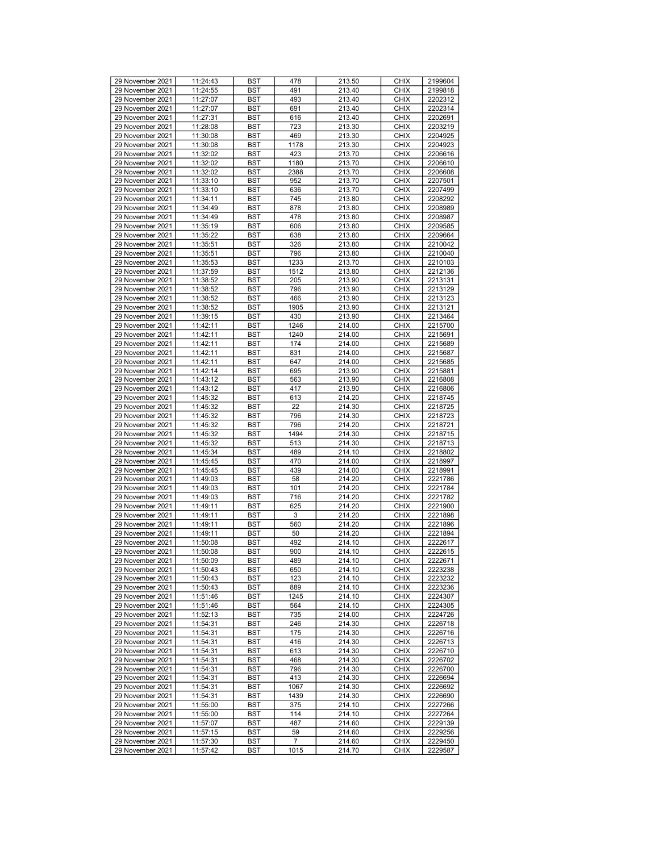| 29 November 2021 |          |            | 478            |        | <b>CHIX</b> |         |
|------------------|----------|------------|----------------|--------|-------------|---------|
|                  | 11:24:43 | <b>BST</b> |                | 213.50 |             | 2199604 |
| 29 November 2021 | 11:24:55 | <b>BST</b> | 491            | 213.40 | <b>CHIX</b> | 2199818 |
| 29 November 2021 | 11:27:07 | <b>BST</b> | 493            | 213.40 | <b>CHIX</b> | 2202312 |
| 29 November 2021 | 11:27:07 | <b>BST</b> | 691            | 213.40 | <b>CHIX</b> | 2202314 |
| 29 November 2021 | 11:27:31 | <b>BST</b> | 616            | 213.40 | <b>CHIX</b> | 2202691 |
| 29 November 2021 | 11:28:08 | <b>BST</b> | 723            | 213.30 | <b>CHIX</b> | 2203219 |
| 29 November 2021 | 11:30:08 | <b>BST</b> | 469            | 213.30 | <b>CHIX</b> | 2204925 |
|                  |          |            |                |        |             |         |
| 29 November 2021 | 11:30:08 | <b>BST</b> | 1178           | 213.30 | <b>CHIX</b> | 2204923 |
| 29 November 2021 | 11:32:02 | <b>BST</b> | 423            | 213.70 | <b>CHIX</b> | 2206616 |
| 29 November 2021 | 11:32:02 | <b>BST</b> | 1180           | 213.70 | <b>CHIX</b> | 2206610 |
| 29 November 2021 | 11:32:02 | <b>BST</b> | 2388           | 213.70 | <b>CHIX</b> | 2206608 |
| 29 November 2021 | 11:33:10 | <b>BST</b> | 952            | 213.70 | <b>CHIX</b> | 2207501 |
| 29 November 2021 | 11:33:10 | <b>BST</b> | 636            | 213.70 | <b>CHIX</b> | 2207499 |
|                  |          |            |                |        |             |         |
| 29 November 2021 | 11:34:11 | <b>BST</b> | 745            | 213.80 | <b>CHIX</b> | 2208292 |
| 29 November 2021 | 11:34:49 | <b>BST</b> | 878            | 213.80 | <b>CHIX</b> | 2208989 |
| 29 November 2021 | 11:34:49 | <b>BST</b> | 478            | 213.80 | <b>CHIX</b> | 2208987 |
| 29 November 2021 | 11:35:19 | <b>BST</b> | 606            | 213.80 | <b>CHIX</b> | 2209585 |
| 29 November 2021 | 11:35:22 | <b>BST</b> | 638            | 213.80 | <b>CHIX</b> | 2209664 |
| 29 November 2021 | 11:35:51 | <b>BST</b> | 326            | 213.80 | <b>CHIX</b> | 2210042 |
|                  |          |            |                |        |             |         |
| 29 November 2021 | 11:35:51 | <b>BST</b> | 796            | 213.80 | <b>CHIX</b> | 2210040 |
| 29 November 2021 | 11:35:53 | <b>BST</b> | 1233           | 213.70 | <b>CHIX</b> | 2210103 |
| 29 November 2021 | 11:37:59 | <b>BST</b> | 1512           | 213.80 | <b>CHIX</b> | 2212136 |
| 29 November 2021 | 11:38:52 | <b>BST</b> | 205            | 213.90 | <b>CHIX</b> | 2213131 |
| 29 November 2021 | 11:38:52 | <b>BST</b> | 796            | 213.90 | <b>CHIX</b> | 2213129 |
| 29 November 2021 | 11:38:52 | <b>BST</b> | 466            | 213.90 | <b>CHIX</b> | 2213123 |
| 29 November 2021 | 11:38:52 | <b>BST</b> | 1905           | 213.90 | <b>CHIX</b> | 2213121 |
|                  |          |            |                |        |             |         |
| 29 November 2021 | 11:39:15 | <b>BST</b> | 430            | 213.90 | <b>CHIX</b> | 2213464 |
| 29 November 2021 | 11:42:11 | <b>BST</b> | 1246           | 214.00 | <b>CHIX</b> | 2215700 |
| 29 November 2021 | 11:42:11 | <b>BST</b> | 1240           | 214.00 | <b>CHIX</b> | 2215691 |
| 29 November 2021 | 11:42:11 | <b>BST</b> | 174            | 214.00 | <b>CHIX</b> | 2215689 |
| 29 November 2021 | 11:42:11 | <b>BST</b> | 831            | 214.00 | <b>CHIX</b> | 2215687 |
| 29 November 2021 | 11:42:11 | <b>BST</b> | 647            | 214.00 | <b>CHIX</b> | 2215685 |
| 29 November 2021 | 11:42:14 | <b>BST</b> | 695            |        | <b>CHIX</b> | 2215881 |
|                  |          |            |                | 213.90 |             |         |
| 29 November 2021 | 11:43:12 | <b>BST</b> | 563            | 213.90 | <b>CHIX</b> | 2216808 |
| 29 November 2021 | 11:43:12 | <b>BST</b> | 417            | 213.90 | <b>CHIX</b> | 2216806 |
| 29 November 2021 | 11:45:32 | <b>BST</b> | 613            | 214.20 | <b>CHIX</b> | 2218745 |
| 29 November 2021 | 11:45:32 | <b>BST</b> | 22             | 214.30 | <b>CHIX</b> | 2218725 |
| 29 November 2021 | 11:45:32 | <b>BST</b> | 796            | 214.30 | <b>CHIX</b> | 2218723 |
| 29 November 2021 | 11:45:32 | <b>BST</b> | 796            | 214.20 | <b>CHIX</b> | 2218721 |
|                  |          |            |                |        |             |         |
| 29 November 2021 | 11:45:32 | <b>BST</b> | 1494           | 214.30 | <b>CHIX</b> | 2218715 |
| 29 November 2021 | 11:45:32 | <b>BST</b> | 513            | 214.30 | <b>CHIX</b> | 2218713 |
| 29 November 2021 | 11:45:34 | <b>BST</b> | 489            | 214.10 | <b>CHIX</b> | 2218802 |
| 29 November 2021 | 11:45:45 | <b>BST</b> | 470            | 214.00 | <b>CHIX</b> | 2218997 |
| 29 November 2021 | 11:45:45 | <b>BST</b> | 439            | 214.00 | <b>CHIX</b> | 2218991 |
| 29 November 2021 | 11:49:03 | <b>BST</b> | 58             | 214.20 | <b>CHIX</b> | 2221786 |
| 29 November 2021 |          | <b>BST</b> |                | 214.20 | <b>CHIX</b> | 2221784 |
|                  | 11:49:03 |            | 101            |        |             |         |
| 29 November 2021 | 11:49:03 | <b>BST</b> | 716            | 214.20 | <b>CHIX</b> | 2221782 |
| 29 November 2021 | 11:49:11 | <b>BST</b> | 625            | 214.20 | <b>CHIX</b> | 2221900 |
| 29 November 2021 | 11:49:11 | <b>BST</b> | 3              | 214.20 | <b>CHIX</b> | 2221898 |
| 29 November 2021 | 11:49:11 | <b>BST</b> | 560            | 214.20 | <b>CHIX</b> | 2221896 |
| 29 November 2021 | 11:49:11 | <b>BST</b> | 50             | 214.20 | <b>CHIX</b> | 2221894 |
| 29 November 2021 | 11:50:08 | <b>BST</b> | 492            | 214.10 | <b>CHIX</b> | 2222617 |
| 29 November 2021 | 11:50:08 | <b>BST</b> | 900            | 214.10 | <b>CHIX</b> | 2222615 |
|                  |          |            |                |        |             |         |
| 29 November 2021 | 11:50:09 | <b>BST</b> | 489            | 214.10 | <b>CHIX</b> | 2222671 |
| 29 November 2021 | 11:50:43 | <b>BST</b> | 650            | 214.10 | <b>CHIX</b> | 2223238 |
| 29 November 2021 | 11:50:43 | <b>BST</b> | 123            | 214.10 | <b>CHIX</b> | 2223232 |
| 29 November 2021 | 11:50:43 | BST        | 889            | 214.10 | <b>CHIX</b> | 2223236 |
| 29 November 2021 | 11:51:46 | <b>BST</b> | 1245           | 214.10 | <b>CHIX</b> | 2224307 |
| 29 November 2021 | 11:51:46 | BST        | 564            | 214.10 | <b>CHIX</b> | 2224305 |
| 29 November 2021 | 11:52:13 | <b>BST</b> | 735            | 214.00 | <b>CHIX</b> | 2224726 |
|                  |          |            |                |        | <b>CHIX</b> |         |
| 29 November 2021 | 11:54:31 | <b>BST</b> | 246            | 214.30 |             | 2226718 |
| 29 November 2021 | 11:54:31 | BST        | 175            | 214.30 | <b>CHIX</b> | 2226716 |
| 29 November 2021 | 11:54:31 | <b>BST</b> | 416            | 214.30 | <b>CHIX</b> | 2226713 |
| 29 November 2021 | 11:54:31 | <b>BST</b> | 613            | 214.30 | <b>CHIX</b> | 2226710 |
| 29 November 2021 | 11:54:31 | <b>BST</b> | 468            | 214.30 | <b>CHIX</b> | 2226702 |
| 29 November 2021 | 11:54:31 | <b>BST</b> | 796            | 214.30 | <b>CHIX</b> | 2226700 |
|                  |          |            | 413            |        |             |         |
| 29 November 2021 | 11:54:31 | <b>BST</b> |                | 214.30 | <b>CHIX</b> | 2226694 |
| 29 November 2021 | 11:54:31 | <b>BST</b> | 1067           | 214.30 | <b>CHIX</b> | 2226692 |
| 29 November 2021 | 11:54:31 | BST        | 1439           | 214.30 | <b>CHIX</b> | 2226690 |
| 29 November 2021 | 11:55:00 | <b>BST</b> | 375            | 214.10 | <b>CHIX</b> | 2227266 |
| 29 November 2021 | 11:55:00 | <b>BST</b> | 114            | 214.10 | <b>CHIX</b> | 2227264 |
| 29 November 2021 | 11:57:07 | BST        | 487            | 214.60 | <b>CHIX</b> | 2229139 |
| 29 November 2021 | 11:57:15 | <b>BST</b> | 59             | 214.60 | <b>CHIX</b> | 2229256 |
|                  |          |            |                |        |             |         |
| 29 November 2021 | 11:57:30 | BST        | $\overline{7}$ | 214.60 | <b>CHIX</b> | 2229450 |
| 29 November 2021 | 11:57:42 | BST        | 1015           | 214.70 | <b>CHIX</b> | 2229587 |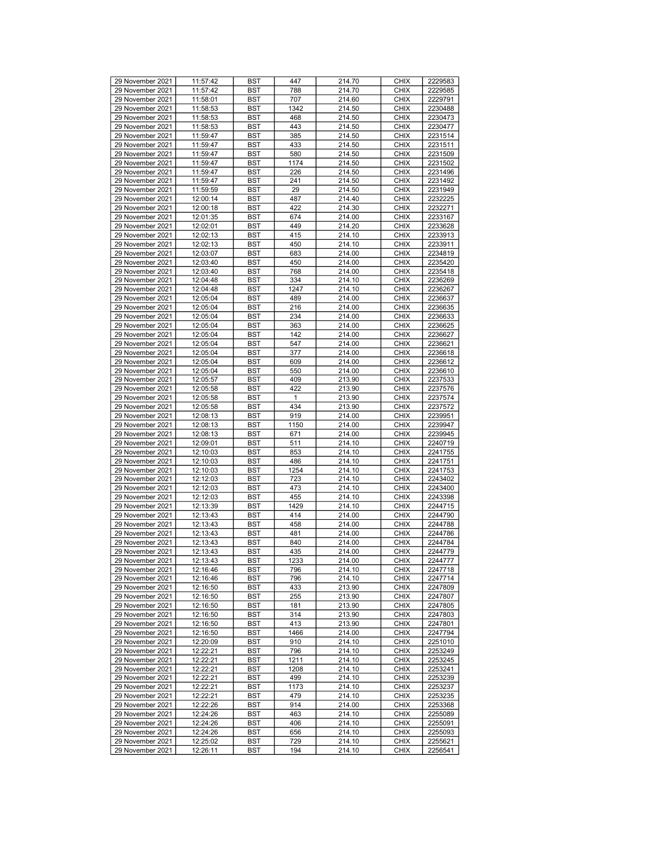| 29 November 2021 |          |            | 447          |        | <b>CHIX</b> |         |
|------------------|----------|------------|--------------|--------|-------------|---------|
|                  | 11:57:42 | <b>BST</b> |              | 214.70 |             | 2229583 |
| 29 November 2021 | 11:57:42 | <b>BST</b> | 788          | 214.70 | <b>CHIX</b> | 2229585 |
| 29 November 2021 | 11:58:01 | <b>BST</b> | 707          | 214.60 | <b>CHIX</b> | 2229791 |
| 29 November 2021 | 11:58:53 | <b>BST</b> | 1342         | 214.50 | <b>CHIX</b> | 2230488 |
| 29 November 2021 | 11:58:53 | <b>BST</b> | 468          | 214.50 | <b>CHIX</b> | 2230473 |
| 29 November 2021 | 11:58:53 | <b>BST</b> | 443          | 214.50 | <b>CHIX</b> | 2230477 |
| 29 November 2021 | 11:59:47 | <b>BST</b> | 385          | 214.50 | <b>CHIX</b> |         |
|                  |          |            |              |        |             | 2231514 |
| 29 November 2021 | 11:59:47 | <b>BST</b> | 433          | 214.50 | <b>CHIX</b> | 2231511 |
| 29 November 2021 | 11:59:47 | <b>BST</b> | 580          | 214.50 | <b>CHIX</b> | 2231509 |
| 29 November 2021 | 11:59:47 | <b>BST</b> | 1174         | 214.50 | <b>CHIX</b> | 2231502 |
| 29 November 2021 | 11:59:47 | <b>BST</b> | 226          | 214.50 | <b>CHIX</b> | 2231496 |
| 29 November 2021 | 11:59:47 | <b>BST</b> | 241          | 214.50 | <b>CHIX</b> | 2231492 |
| 29 November 2021 | 11:59:59 | <b>BST</b> | 29           | 214.50 | <b>CHIX</b> | 2231949 |
|                  |          |            |              |        |             |         |
| 29 November 2021 | 12:00:14 | <b>BST</b> | 487          | 214.40 | <b>CHIX</b> | 2232225 |
| 29 November 2021 | 12:00:18 | <b>BST</b> | 422          | 214.30 | <b>CHIX</b> | 2232271 |
| 29 November 2021 | 12:01:35 | <b>BST</b> | 674          | 214.00 | <b>CHIX</b> | 2233167 |
| 29 November 2021 | 12:02:01 | <b>BST</b> | 449          | 214.20 | <b>CHIX</b> | 2233628 |
| 29 November 2021 | 12:02:13 | <b>BST</b> | 415          | 214.10 | <b>CHIX</b> | 2233913 |
| 29 November 2021 | 12:02:13 | <b>BST</b> | 450          | 214.10 | <b>CHIX</b> | 2233911 |
| 29 November 2021 | 12:03:07 |            |              |        | <b>CHIX</b> | 2234819 |
|                  |          | <b>BST</b> | 683          | 214.00 |             |         |
| 29 November 2021 | 12:03:40 | <b>BST</b> | 450          | 214.00 | <b>CHIX</b> | 2235420 |
| 29 November 2021 | 12:03:40 | <b>BST</b> | 768          | 214.00 | <b>CHIX</b> | 2235418 |
| 29 November 2021 | 12:04:48 | <b>BST</b> | 334          | 214.10 | <b>CHIX</b> | 2236269 |
| 29 November 2021 | 12:04:48 | <b>BST</b> | 1247         | 214.10 | <b>CHIX</b> | 2236267 |
| 29 November 2021 | 12:05:04 | <b>BST</b> | 489          | 214.00 | <b>CHIX</b> | 2236637 |
| 29 November 2021 | 12:05:04 | <b>BST</b> | 216          | 214.00 | <b>CHIX</b> | 2236635 |
| 29 November 2021 |          |            |              | 214.00 |             |         |
|                  | 12:05:04 | <b>BST</b> | 234          |        | <b>CHIX</b> | 2236633 |
| 29 November 2021 | 12:05:04 | <b>BST</b> | 363          | 214.00 | <b>CHIX</b> | 2236625 |
| 29 November 2021 | 12:05:04 | <b>BST</b> | 142          | 214.00 | <b>CHIX</b> | 2236627 |
| 29 November 2021 | 12:05:04 | <b>BST</b> | 547          | 214.00 | <b>CHIX</b> | 2236621 |
| 29 November 2021 | 12:05:04 | <b>BST</b> | 377          | 214.00 | <b>CHIX</b> | 2236618 |
| 29 November 2021 | 12:05:04 | <b>BST</b> | 609          | 214.00 | <b>CHIX</b> | 2236612 |
| 29 November 2021 | 12:05:04 | <b>BST</b> | 550          | 214.00 | <b>CHIX</b> | 2236610 |
|                  |          |            |              |        |             |         |
| 29 November 2021 | 12:05:57 | <b>BST</b> | 409          | 213.90 | <b>CHIX</b> | 2237533 |
| 29 November 2021 | 12:05:58 | <b>BST</b> | 422          | 213.90 | <b>CHIX</b> | 2237576 |
| 29 November 2021 | 12:05:58 | <b>BST</b> | $\mathbf{1}$ | 213.90 | <b>CHIX</b> | 2237574 |
| 29 November 2021 | 12:05:58 | <b>BST</b> | 434          | 213.90 | <b>CHIX</b> | 2237572 |
| 29 November 2021 | 12:08:13 | <b>BST</b> | 919          | 214.00 | <b>CHIX</b> | 2239951 |
| 29 November 2021 | 12:08:13 | <b>BST</b> | 1150         | 214.00 | <b>CHIX</b> | 2239947 |
| 29 November 2021 | 12:08:13 | <b>BST</b> | 671          | 214.00 | <b>CHIX</b> | 2239945 |
|                  |          |            | 511          |        |             |         |
| 29 November 2021 | 12:09:01 | <b>BST</b> |              | 214.10 | <b>CHIX</b> | 2240719 |
| 29 November 2021 | 12:10:03 | <b>BST</b> | 853          | 214.10 | <b>CHIX</b> | 2241755 |
| 29 November 2021 | 12:10:03 | <b>BST</b> | 486          | 214.10 | <b>CHIX</b> | 2241751 |
| 29 November 2021 | 12:10:03 | <b>BST</b> | 1254         | 214.10 | <b>CHIX</b> | 2241753 |
| 29 November 2021 | 12:12:03 | <b>BST</b> | 723          | 214.10 | <b>CHIX</b> | 2243402 |
| 29 November 2021 | 12:12:03 | <b>BST</b> | 473          | 214.10 | <b>CHIX</b> | 2243400 |
| 29 November 2021 | 12:12:03 | <b>BST</b> | 455          | 214.10 | <b>CHIX</b> | 2243398 |
| 29 November 2021 | 12:13:39 | <b>BST</b> | 1429         | 214.10 | <b>CHIX</b> | 2244715 |
|                  |          |            |              |        |             |         |
| 29 November 2021 | 12:13:43 | <b>BST</b> | 414          | 214.00 | <b>CHIX</b> | 2244790 |
| 29 November 2021 | 12:13:43 | <b>BST</b> | 458          | 214.00 | <b>CHIX</b> | 2244788 |
| 29 November 2021 | 12:13:43 | <b>BST</b> | 481          | 214.00 | <b>CHIX</b> | 2244786 |
| 29 November 2021 | 12:13:43 | <b>BST</b> | 840          | 214.00 | <b>CHIX</b> | 2244784 |
| 29 November 2021 | 12:13:43 | <b>BST</b> | 435          | 214.00 | <b>CHIX</b> | 2244779 |
| 29 November 2021 | 12:13:43 | <b>BST</b> | 1233         | 214.00 | <b>CHIX</b> | 2244777 |
| 29 November 2021 | 12:16:46 | <b>BST</b> | 796          | 214.10 | <b>CHIX</b> | 2247718 |
| 29 November 2021 | 12:16:46 | <b>BST</b> | 796          | 214.10 | <b>CHIX</b> | 2247714 |
|                  |          |            |              |        |             |         |
| 29 November 2021 | 12:16:50 | BST        | 433          | 213.90 | <b>CHIX</b> | 2247809 |
| 29 November 2021 | 12:16:50 | <b>BST</b> | 255          | 213.90 | <b>CHIX</b> | 2247807 |
| 29 November 2021 | 12:16:50 | BST        | 181          | 213.90 | <b>CHIX</b> | 2247805 |
| 29 November 2021 | 12:16:50 | <b>BST</b> | 314          | 213.90 | <b>CHIX</b> | 2247803 |
| 29 November 2021 | 12:16:50 | <b>BST</b> | 413          | 213.90 | <b>CHIX</b> | 2247801 |
| 29 November 2021 | 12:16:50 | BST        | 1466         | 214.00 | <b>CHIX</b> | 2247794 |
| 29 November 2021 | 12:20:09 | <b>BST</b> | 910          | 214.10 | <b>CHIX</b> | 2251010 |
|                  |          |            |              |        |             |         |
| 29 November 2021 | 12:22:21 | <b>BST</b> | 796          | 214.10 | <b>CHIX</b> | 2253249 |
| 29 November 2021 | 12:22:21 | <b>BST</b> | 1211         | 214.10 | <b>CHIX</b> | 2253245 |
| 29 November 2021 | 12:22:21 | <b>BST</b> | 1208         | 214.10 | <b>CHIX</b> | 2253241 |
| 29 November 2021 | 12:22:21 | <b>BST</b> | 499          | 214.10 | <b>CHIX</b> | 2253239 |
| 29 November 2021 | 12:22:21 | <b>BST</b> | 1173         | 214.10 | <b>CHIX</b> | 2253237 |
| 29 November 2021 | 12:22:21 | BST        | 479          | 214.10 | <b>CHIX</b> | 2253235 |
| 29 November 2021 | 12:22:26 | <b>BST</b> | 914          | 214.00 | <b>CHIX</b> | 2253368 |
|                  |          |            |              |        |             |         |
| 29 November 2021 | 12:24:26 | <b>BST</b> | 463          | 214.10 | <b>CHIX</b> | 2255089 |
| 29 November 2021 | 12:24:26 | BST        | 406          | 214.10 | <b>CHIX</b> | 2255091 |
| 29 November 2021 | 12:24:26 | <b>BST</b> | 656          | 214.10 | <b>CHIX</b> | 2255093 |
| 29 November 2021 | 12:25:02 | BST        | 729          | 214.10 | <b>CHIX</b> | 2255621 |
| 29 November 2021 | 12:26:11 | BST        | 194          | 214.10 | <b>CHIX</b> | 2256541 |
|                  |          |            |              |        |             |         |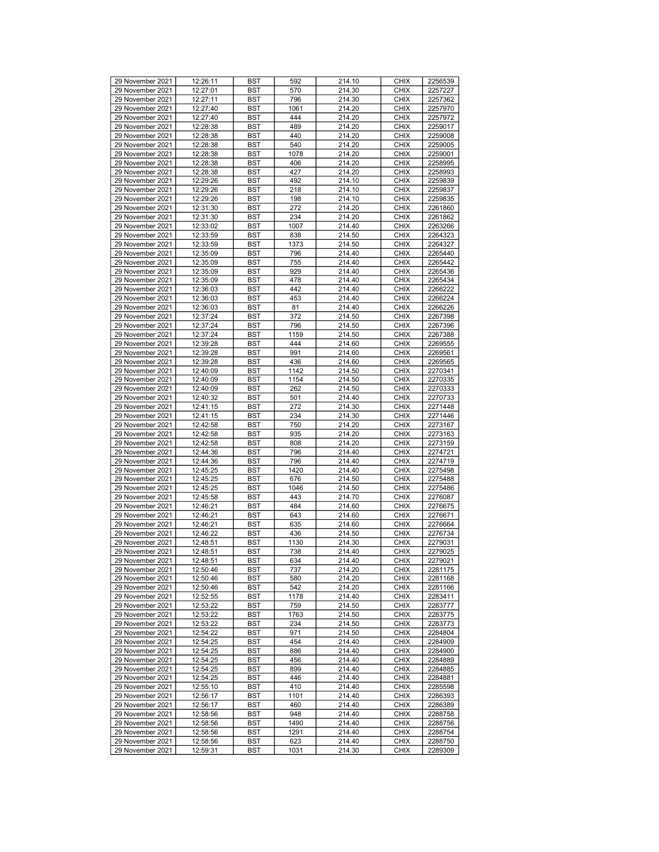| 29 November 2021                     | 12:26:11             | <b>BST</b> | 592         | 214.10           | <b>CHIX</b>                | 2256539            |
|--------------------------------------|----------------------|------------|-------------|------------------|----------------------------|--------------------|
| 29 November 2021                     | 12:27:01             | <b>BST</b> | 570         | 214.30           | <b>CHIX</b>                | 2257227            |
| 29 November 2021                     | 12:27:11             | <b>BST</b> | 796         | 214.30           | <b>CHIX</b>                | 2257362            |
| 29 November 2021                     | 12:27:40             | <b>BST</b> | 1061        | 214.20           | <b>CHIX</b>                | 2257970            |
|                                      |                      |            | 444         |                  |                            |                    |
| 29 November 2021                     | 12:27:40             | <b>BST</b> |             | 214.20           | <b>CHIX</b>                | 2257972            |
| 29 November 2021                     | 12:28:38             | <b>BST</b> | 489         | 214.20           | <b>CHIX</b>                | 2259017            |
| 29 November 2021                     | 12:28:38             | <b>BST</b> | 440         | 214.20           | <b>CHIX</b>                | 2259008            |
| 29 November 2021                     | 12:28:38             | <b>BST</b> | 540         | 214.20           | <b>CHIX</b>                | 2259005            |
|                                      |                      |            |             |                  |                            |                    |
| 29 November 2021                     | 12:28:38             | <b>BST</b> | 1078        | 214.20           | <b>CHIX</b>                | 2259001            |
| 29 November 2021                     | 12:28:38             | <b>BST</b> | 406         | 214.20           | <b>CHIX</b>                | 2258995            |
| 29 November 2021                     | 12:28:38             | <b>BST</b> | 427         | 214.20           | <b>CHIX</b>                | 2258993            |
| 29 November 2021                     | 12:29:26             | <b>BST</b> | 492         | 214.10           | <b>CHIX</b>                | 2259839            |
| 29 November 2021                     | 12:29:26             | <b>BST</b> | 218         | 214.10           | <b>CHIX</b>                | 2259837            |
|                                      |                      |            |             |                  |                            |                    |
| 29 November 2021                     | 12:29:26             | <b>BST</b> | 198         | 214.10           | <b>CHIX</b>                | 2259835            |
| 29 November 2021                     | 12:31:30             | <b>BST</b> | 272         | 214.20           | <b>CHIX</b>                | 2261860            |
| 29 November 2021                     | 12:31:30             | <b>BST</b> | 234         | 214.20           | <b>CHIX</b>                | 2261862            |
| 29 November 2021                     | 12:33:02             | <b>BST</b> | 1007        | 214.40           | <b>CHIX</b>                | 2263266            |
|                                      |                      |            |             |                  |                            |                    |
| 29 November 2021                     | 12:33:59             | <b>BST</b> | 838         | 214.50           | <b>CHIX</b>                | 2264323            |
| 29 November 2021                     | 12:33:59             | <b>BST</b> | 1373        | 214.50           | <b>CHIX</b>                | 2264327            |
| 29 November 2021                     | 12:35:09             | <b>BST</b> | 796         | 214.40           | <b>CHIX</b>                | 2265440            |
| 29 November 2021                     | 12:35:09             | <b>BST</b> | 755         | 214.40           | <b>CHIX</b>                | 2265442            |
|                                      |                      |            |             |                  |                            |                    |
| 29 November 2021                     | 12:35:09             | <b>BST</b> | 929         | 214.40           | <b>CHIX</b>                | 2265436            |
| 29 November 2021                     | 12:35:09             | <b>BST</b> | 478         | 214.40           | <b>CHIX</b>                | 2265434            |
| 29 November 2021                     | 12:36:03             | <b>BST</b> | 442         | 214.40           | <b>CHIX</b>                | 2266222            |
| 29 November 2021                     | 12:36:03             | <b>BST</b> | 453         | 214.40           | <b>CHIX</b>                | 2266224            |
| 29 November 2021                     | 12:36:03             | <b>BST</b> | 81          | 214.40           | <b>CHIX</b>                | 2266226            |
|                                      |                      |            |             |                  |                            |                    |
| 29 November 2021                     | 12:37:24             | <b>BST</b> | 372         | 214.50           | <b>CHIX</b>                | 2267398            |
| 29 November 2021                     | 12:37:24             | <b>BST</b> | 796         | 214.50           | <b>CHIX</b>                | 2267396            |
| 29 November 2021                     | 12:37:24             | <b>BST</b> | 1159        | 214.50           | <b>CHIX</b>                | 2267388            |
| 29 November 2021                     | 12:39:28             | <b>BST</b> | 444         | 214.60           | <b>CHIX</b>                | 2269555            |
| 29 November 2021                     | 12:39:28             | <b>BST</b> | 991         | 214.60           | <b>CHIX</b>                | 2269561            |
|                                      |                      |            |             |                  |                            |                    |
| 29 November 2021                     | 12:39:28             | <b>BST</b> | 436         | 214.60           | <b>CHIX</b>                | 2269565            |
| 29 November 2021                     | 12:40:09             | <b>BST</b> | 1142        | 214.50           | <b>CHIX</b>                | 2270341            |
| 29 November 2021                     | 12:40:09             | <b>BST</b> | 1154        | 214.50           | <b>CHIX</b>                | 2270335            |
| 29 November 2021                     | 12:40:09             | <b>BST</b> | 262         | 214.50           | <b>CHIX</b>                | 2270333            |
| 29 November 2021                     | 12:40:32             | <b>BST</b> | 501         | 214.40           | <b>CHIX</b>                | 2270733            |
|                                      |                      |            |             |                  | <b>CHIX</b>                |                    |
| 29 November 2021                     | 12:41:15             | <b>BST</b> | 272         | 214.30           |                            | 2271448            |
| 29 November 2021                     | 12:41:15             | <b>BST</b> | 234         | 214.30           | <b>CHIX</b>                | 2271446            |
| 29 November 2021                     | 12:42:58             | <b>BST</b> | 750         | 214.20           | <b>CHIX</b>                | 2273167            |
| 29 November 2021                     | 12:42:58             | <b>BST</b> | 935         | 214.20           | <b>CHIX</b>                | 2273163            |
| 29 November 2021                     | 12:42:58             | <b>BST</b> | 808         | 214.20           | <b>CHIX</b>                | 2273159            |
|                                      |                      |            |             |                  |                            |                    |
| 29 November 2021                     | 12:44:36             | <b>BST</b> | 796         | 214.40           | <b>CHIX</b>                | 2274721            |
| 29 November 2021                     | 12:44:36             | <b>BST</b> | 796         | 214.40           | <b>CHIX</b>                | 2274719            |
| 29 November 2021                     | 12:45:25             | <b>BST</b> | 1420        | 214.40           | <b>CHIX</b>                | 2275498            |
| 29 November 2021                     | 12:45:25             | <b>BST</b> | 676         | 214.50           | <b>CHIX</b>                | 2275488            |
| 29 November 2021                     | 12:45:25             | <b>BST</b> | 1046        | 214.50           | <b>CHIX</b>                | 2275486            |
|                                      |                      |            |             |                  | <b>CHIX</b>                |                    |
| 29 November 2021                     | 12:45:58             | <b>BST</b> | 443         | 214.70           |                            | 2276087            |
| 29 November 2021                     | 12:46:21             | <b>BST</b> | 484         | 214.60           | <b>CHIX</b>                | 2276675            |
| 29 November 2021                     | 12:46:21             | <b>BST</b> | 643         | 214.60           | <b>CHIX</b>                | 2276671            |
| 29 November 2021                     | 12:46:21             | <b>BST</b> | 635         | 214.60           | <b>CHIX</b>                | 2276664            |
| 29 November 2021                     | 12:46:22             | <b>BST</b> | 436         |                  |                            |                    |
|                                      | 12:48:51             |            |             |                  |                            |                    |
| 29 November 2021                     |                      |            |             | 214.50           | <b>CHIX</b>                | 2276734            |
| 29 November 2021                     |                      | <b>BST</b> | 1130        | 214.30           | <b>CHIX</b>                | 2279031            |
|                                      | 12:48:51             | <b>BST</b> | 738         | 214.40           | <b>CHIX</b>                | 2279025            |
| 29 November 2021                     | 12:48:51             | <b>BST</b> | 634         | 214.40           | <b>CHIX</b>                | 2279021            |
| 29 November 2021                     | 12:50:46             | <b>BST</b> | 737         | 214.20           | <b>CHIX</b>                | 2281175            |
|                                      |                      |            |             |                  | <b>CHIX</b>                |                    |
| 29 November 2021                     | 12:50:46             | <b>BST</b> | 580         | 214.20           |                            | 2281168            |
| 29 November 2021                     | 12:50:46             | BST        | 542         | 214.20           | <b>CHIX</b>                | 2281166            |
| 29 November 2021                     | 12:52:55             | <b>BST</b> | 1178        | 214.40           | <b>CHIX</b>                | 2283411            |
| 29 November 2021                     | 12:53:22             | BST        | 759         | 214.50           | <b>CHIX</b>                | 2283777            |
| 29 November 2021                     | 12:53:22             | <b>BST</b> | 1763        | 214.50           | <b>CHIX</b>                | 2283775            |
| 29 November 2021                     | 12:53:22             | <b>BST</b> | 234         | 214.50           | <b>CHIX</b>                | 2283773            |
|                                      |                      |            |             |                  |                            |                    |
| 29 November 2021                     | 12:54:22             | BST        | 971         | 214.50           | <b>CHIX</b>                | 2284804            |
| 29 November 2021                     | 12:54:25             | <b>BST</b> | 454         | 214.40           | <b>CHIX</b>                | 2284909            |
| 29 November 2021                     | 12:54:25             | <b>BST</b> | 886         | 214.40           | <b>CHIX</b>                | 2284900            |
| 29 November 2021                     | 12:54:25             | <b>BST</b> | 456         | 214.40           | <b>CHIX</b>                | 2284889            |
| 29 November 2021                     | 12:54:25             | <b>BST</b> | 899         | 214.40           | <b>CHIX</b>                | 2284885            |
|                                      |                      |            |             |                  |                            |                    |
| 29 November 2021                     | 12:54:25             | <b>BST</b> | 446         | 214.40           | <b>CHIX</b>                | 2284881            |
| 29 November 2021                     | 12:55:10             | <b>BST</b> | 410         | 214.40           | <b>CHIX</b>                | 2285598            |
| 29 November 2021                     | 12:56:17             | BST        | 1101        | 214.40           | <b>CHIX</b>                | 2286393            |
| 29 November 2021                     | 12:56:17             | <b>BST</b> | 460         | 214.40           | <b>CHIX</b>                | 2286389            |
| 29 November 2021                     | 12:58:56             | <b>BST</b> | 948         | 214.40           | <b>CHIX</b>                | 2288758            |
|                                      |                      |            | 1490        |                  |                            |                    |
| 29 November 2021                     | 12:58:56             | BST        |             | 214.40           | <b>CHIX</b>                | 2288756            |
| 29 November 2021                     | 12:58:56             | <b>BST</b> | 1291        | 214.40           | <b>CHIX</b>                | 2288754            |
| 29 November 2021<br>29 November 2021 | 12:58:56<br>12:59:31 | BST<br>BST | 623<br>1031 | 214.40<br>214.30 | <b>CHIX</b><br><b>CHIX</b> | 2288750<br>2289309 |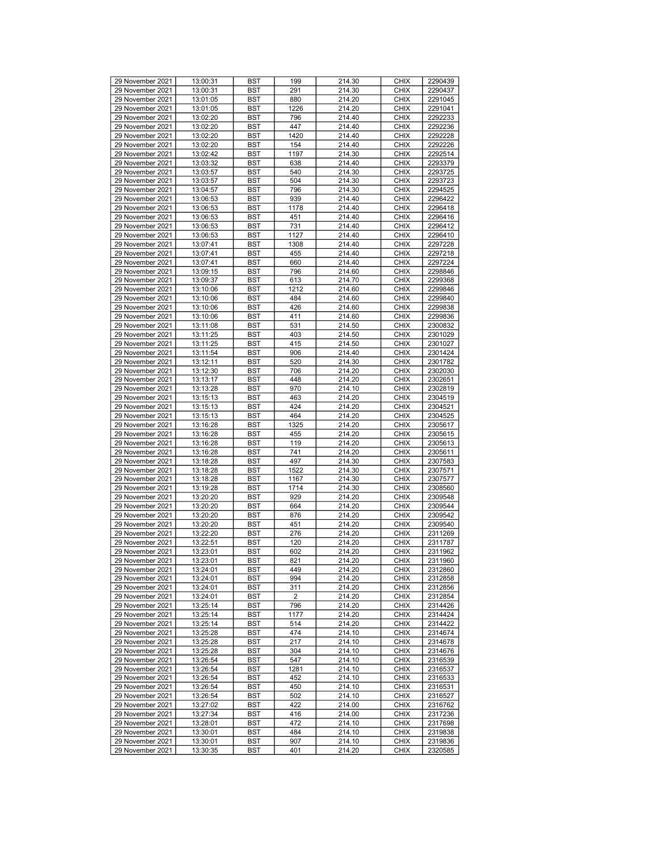| 29 November 2021                     | 13:00:31             | <b>BST</b> | 199        | 214.30           | <b>CHIX</b>                | 2290439            |
|--------------------------------------|----------------------|------------|------------|------------------|----------------------------|--------------------|
| 29 November 2021                     | 13:00:31             | <b>BST</b> | 291        | 214.30           | <b>CHIX</b>                | 2290437            |
| 29 November 2021                     | 13:01:05             | <b>BST</b> | 880        | 214.20           | <b>CHIX</b>                | 2291045            |
| 29 November 2021                     | 13:01:05             | <b>BST</b> | 1226       | 214.20           | <b>CHIX</b>                | 2291041            |
|                                      | 13:02:20             |            |            |                  |                            |                    |
| 29 November 2021                     |                      | <b>BST</b> | 796        | 214.40           | <b>CHIX</b>                | 2292233            |
| 29 November 2021                     | 13:02:20             | <b>BST</b> | 447        | 214.40           | <b>CHIX</b>                | 2292236            |
| 29 November 2021                     | 13:02:20             | <b>BST</b> | 1420       | 214.40           | <b>CHIX</b>                | 2292228            |
| 29 November 2021                     | 13:02:20             | <b>BST</b> | 154        | 214.40           | <b>CHIX</b>                | 2292226            |
|                                      |                      |            |            |                  |                            |                    |
| 29 November 2021                     | 13:02:42             | <b>BST</b> | 1197       | 214.30           | <b>CHIX</b>                | 2292514            |
| 29 November 2021                     | 13:03:32             | <b>BST</b> | 638        | 214.40           | <b>CHIX</b>                | 2293379            |
| 29 November 2021                     | 13:03:57             | <b>BST</b> | 540        | 214.30           | <b>CHIX</b>                | 2293725            |
| 29 November 2021                     | 13:03:57             | <b>BST</b> | 504        | 214.30           | <b>CHIX</b>                | 2293723            |
| 29 November 2021                     |                      | <b>BST</b> | 796        | 214.30           | <b>CHIX</b>                | 2294525            |
|                                      | 13:04:57             |            |            |                  |                            |                    |
| 29 November 2021                     | 13:06:53             | <b>BST</b> | 939        | 214.40           | <b>CHIX</b>                | 2296422            |
| 29 November 2021                     | 13:06:53             | <b>BST</b> | 1178       | 214.40           | <b>CHIX</b>                | 2296418            |
| 29 November 2021                     | 13:06:53             | <b>BST</b> | 451        | 214.40           | <b>CHIX</b>                | 2296416            |
| 29 November 2021                     | 13:06:53             | <b>BST</b> | 731        | 214.40           | <b>CHIX</b>                | 2296412            |
|                                      |                      |            |            |                  |                            |                    |
| 29 November 2021                     | 13:06:53             | <b>BST</b> | 1127       | 214.40           | <b>CHIX</b>                | 2296410            |
| 29 November 2021                     | 13:07:41             | <b>BST</b> | 1308       | 214.40           | <b>CHIX</b>                | 2297228            |
| 29 November 2021                     | 13:07:41             | <b>BST</b> | 455        | 214.40           | <b>CHIX</b>                | 2297218            |
| 29 November 2021                     | 13:07:41             | <b>BST</b> | 660        | 214.40           | <b>CHIX</b>                | 2297224            |
|                                      |                      |            |            |                  |                            |                    |
| 29 November 2021                     | 13:09:15             | <b>BST</b> | 796        | 214.60           | <b>CHIX</b>                | 2298846            |
| 29 November 2021                     | 13:09:37             | <b>BST</b> | 613        | 214.70           | <b>CHIX</b>                | 2299368            |
| 29 November 2021                     | 13:10:06             | <b>BST</b> | 1212       | 214.60           | <b>CHIX</b>                | 2299846            |
| 29 November 2021                     | 13:10:06             | <b>BST</b> | 484        | 214.60           | <b>CHIX</b>                | 2299840            |
| 29 November 2021                     | 13:10:06             | <b>BST</b> | 426        | 214.60           | <b>CHIX</b>                | 2299838            |
|                                      |                      |            |            |                  |                            |                    |
| 29 November 2021                     | 13:10:06             | <b>BST</b> | 411        | 214.60           | <b>CHIX</b>                | 2299836            |
| 29 November 2021                     | 13:11:08             | <b>BST</b> | 531        | 214.50           | <b>CHIX</b>                | 2300832            |
| 29 November 2021                     | 13:11:25             | <b>BST</b> | 403        | 214.50           | <b>CHIX</b>                | 2301029            |
| 29 November 2021                     | 13:11:25             | <b>BST</b> | 415        | 214.50           | <b>CHIX</b>                | 2301027            |
| 29 November 2021                     | 13:11:54             | <b>BST</b> | 906        | 214.40           | <b>CHIX</b>                | 2301424            |
|                                      |                      |            |            |                  |                            |                    |
| 29 November 2021                     | 13:12:11             | <b>BST</b> | 520        | 214.30           | <b>CHIX</b>                | 2301782            |
| 29 November 2021                     | 13:12:30             | <b>BST</b> | 706        | 214.20           | <b>CHIX</b>                | 2302030            |
| 29 November 2021                     | 13:13:17             | <b>BST</b> | 448        | 214.20           | <b>CHIX</b>                | 2302651            |
| 29 November 2021                     | 13:13:28             | <b>BST</b> | 970        | 214.10           | <b>CHIX</b>                | 2302819            |
| 29 November 2021                     | 13:15:13             | <b>BST</b> | 463        | 214.20           | <b>CHIX</b>                | 2304519            |
|                                      |                      |            |            |                  |                            |                    |
| 29 November 2021                     | 13:15:13             | <b>BST</b> | 424        | 214.20           | <b>CHIX</b>                | 2304521            |
| 29 November 2021                     | 13:15:13             | <b>BST</b> | 464        | 214.20           | <b>CHIX</b>                | 2304525            |
| 29 November 2021                     | 13:16:28             | <b>BST</b> | 1325       | 214.20           | <b>CHIX</b>                | 2305617            |
| 29 November 2021                     | 13:16:28             | <b>BST</b> | 455        | 214.20           | <b>CHIX</b>                | 2305615            |
| 29 November 2021                     | 13:16:28             | <b>BST</b> | 119        | 214.20           | <b>CHIX</b>                | 2305613            |
|                                      |                      |            | 741        |                  |                            |                    |
| 29 November 2021                     | 13:16:28             | <b>BST</b> |            | 214.20           | <b>CHIX</b>                | 2305611            |
| 29 November 2021                     | 13:18:28             | <b>BST</b> | 497        | 214.30           | <b>CHIX</b>                | 2307583            |
| 29 November 2021                     | 13:18:28             | <b>BST</b> | 1522       | 214.30           | <b>CHIX</b>                | 2307571            |
| 29 November 2021                     | 13:18:28             | <b>BST</b> | 1167       | 214.30           | <b>CHIX</b>                | 2307577            |
| 29 November 2021                     | 13:19:28             | <b>BST</b> | 1714       | 214.30           | <b>CHIX</b>                | 2308560            |
| 29 November 2021                     |                      |            | 929        | 214.20           |                            |                    |
|                                      | 13:20:20             | <b>BST</b> |            |                  |                            |                    |
| 29 November 2021                     | 13:20:20             |            |            |                  | <b>CHIX</b>                | 2309548            |
| 29 November 2021                     |                      | <b>BST</b> | 664        | 214.20           | <b>CHIX</b>                | 2309544            |
|                                      | 13:20:20             | <b>BST</b> | 876        | 214.20           | <b>CHIX</b>                | 2309542            |
| 29 November 2021                     | 13:20:20             | <b>BST</b> | 451        | 214.20           | <b>CHIX</b>                | 2309540            |
|                                      |                      |            |            |                  |                            |                    |
| 29 November 2021                     | 13:22:20             | <b>BST</b> | 276        | 214.20           | <b>CHIX</b>                | 2311269            |
| 29 November 2021                     | 13:22:51             | <b>BST</b> | 120        | 214.20           | <b>CHIX</b>                | 2311787            |
| 29 November 2021                     | 13:23:01             | <b>BST</b> | 602        | 214.20           | <b>CHIX</b>                | 2311962            |
| 29 November 2021                     | 13:23:01             | <b>BST</b> | 821        | 214.20           | <b>CHIX</b>                | 2311960            |
| 29 November 2021                     | 13:24:01             | <b>BST</b> | 449        | 214.20           | <b>CHIX</b>                | 2312860            |
|                                      |                      |            | 994        |                  | <b>CHIX</b>                |                    |
| 29 November 2021                     | 13:24:01             | <b>BST</b> |            | 214.20           |                            | 2312858            |
| 29 November 2021                     | 13:24:01             | BST        | 311        | 214.20           | <b>CHIX</b>                | 2312856            |
| 29 November 2021                     | 13:24:01             | <b>BST</b> | 2          | 214.20           | <b>CHIX</b>                | 2312854            |
| 29 November 2021                     | 13:25:14             | BST        | 796        | 214.20           | <b>CHIX</b>                | 2314426            |
| 29 November 2021                     | 13:25:14             | <b>BST</b> | 1177       | 214.20           | <b>CHIX</b>                | 2314424            |
| 29 November 2021                     | 13:25:14             | <b>BST</b> | 514        | 214.20           | <b>CHIX</b>                | 2314422            |
|                                      |                      |            |            |                  |                            |                    |
| 29 November 2021                     | 13:25:28             | BST        | 474        | 214.10           | <b>CHIX</b>                | 2314674            |
| 29 November 2021                     | 13:25:28             | <b>BST</b> | 217        | 214.10           | <b>CHIX</b>                | 2314678            |
| 29 November 2021                     | 13:25:28             | BST        | 304        | 214.10           | <b>CHIX</b>                | 2314676            |
| 29 November 2021                     | 13:26:54             | <b>BST</b> | 547        | 214.10           | <b>CHIX</b>                | 2316539            |
| 29 November 2021                     | 13:26:54             | <b>BST</b> | 1281       | 214.10           | <b>CHIX</b>                | 2316537            |
|                                      |                      |            |            |                  |                            |                    |
| 29 November 2021                     | 13:26:54             | <b>BST</b> | 452        | 214.10           | <b>CHIX</b>                | 2316533            |
| 29 November 2021                     | 13:26:54             | <b>BST</b> | 450        | 214.10           | <b>CHIX</b>                | 2316531            |
| 29 November 2021                     | 13:26:54             | BST        | 502        | 214.10           | <b>CHIX</b>                | 2316527            |
| 29 November 2021                     | 13:27:02             | <b>BST</b> | 422        | 214.00           | <b>CHIX</b>                | 2316762            |
| 29 November 2021                     | 13:27:34             | <b>BST</b> | 416        | 214.00           | <b>CHIX</b>                | 2317236            |
| 29 November 2021                     | 13:28:01             | <b>BST</b> | 472        | 214.10           | <b>CHIX</b>                | 2317698            |
|                                      |                      |            |            |                  |                            |                    |
| 29 November 2021                     | 13:30:01             | <b>BST</b> | 484        | 214.10           | <b>CHIX</b>                | 2319838            |
| 29 November 2021<br>29 November 2021 | 13:30:01<br>13:30:35 | BST<br>BST | 907<br>401 | 214.10<br>214.20 | <b>CHIX</b><br><b>CHIX</b> | 2319836<br>2320585 |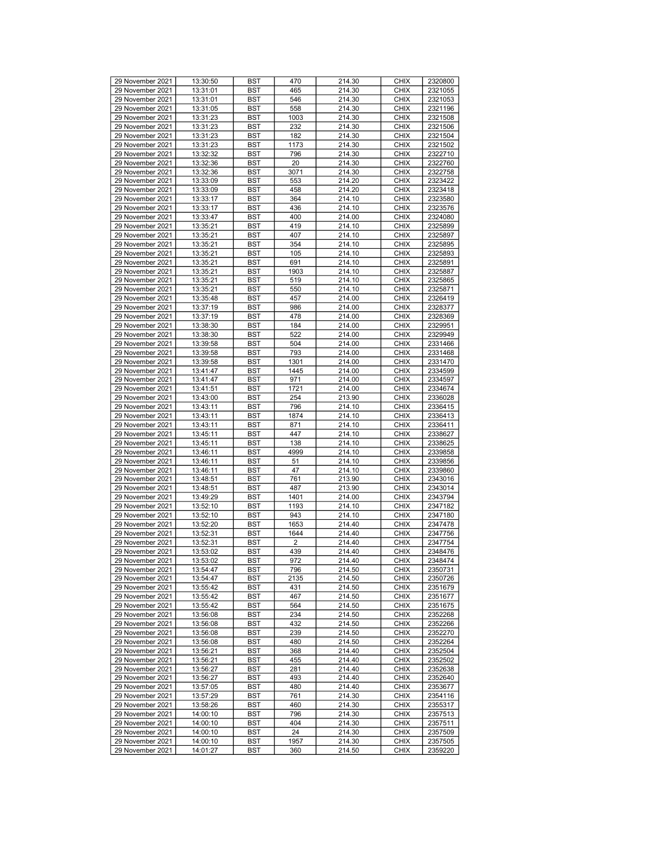| 29 November 2021 |          |            | 470  |        | <b>CHIX</b> |         |
|------------------|----------|------------|------|--------|-------------|---------|
|                  | 13:30:50 | <b>BST</b> |      | 214.30 |             | 2320800 |
| 29 November 2021 | 13:31:01 | <b>BST</b> | 465  | 214.30 | <b>CHIX</b> | 2321055 |
| 29 November 2021 | 13:31:01 | <b>BST</b> | 546  | 214.30 | <b>CHIX</b> | 2321053 |
| 29 November 2021 | 13:31:05 | <b>BST</b> | 558  | 214.30 | <b>CHIX</b> | 2321196 |
| 29 November 2021 | 13:31:23 | <b>BST</b> | 1003 | 214.30 | <b>CHIX</b> | 2321508 |
| 29 November 2021 | 13:31:23 | <b>BST</b> | 232  | 214.30 | <b>CHIX</b> | 2321506 |
| 29 November 2021 | 13:31:23 | <b>BST</b> | 182  | 214.30 | <b>CHIX</b> |         |
|                  |          |            |      |        |             | 2321504 |
| 29 November 2021 | 13:31:23 | <b>BST</b> | 1173 | 214.30 | <b>CHIX</b> | 2321502 |
| 29 November 2021 | 13:32:32 | <b>BST</b> | 796  | 214.30 | <b>CHIX</b> | 2322710 |
| 29 November 2021 | 13:32:36 | <b>BST</b> | 20   | 214.30 | <b>CHIX</b> | 2322760 |
| 29 November 2021 | 13:32:36 | <b>BST</b> | 3071 | 214.30 | <b>CHIX</b> | 2322758 |
| 29 November 2021 | 13:33:09 | <b>BST</b> | 553  | 214.20 | <b>CHIX</b> | 2323422 |
| 29 November 2021 | 13:33:09 | <b>BST</b> | 458  | 214.20 | <b>CHIX</b> | 2323418 |
|                  |          |            |      |        |             |         |
| 29 November 2021 | 13:33:17 | <b>BST</b> | 364  | 214.10 | <b>CHIX</b> | 2323580 |
| 29 November 2021 | 13:33:17 | <b>BST</b> | 436  | 214.10 | <b>CHIX</b> | 2323576 |
| 29 November 2021 | 13:33:47 | <b>BST</b> | 400  | 214.00 | <b>CHIX</b> | 2324080 |
| 29 November 2021 | 13:35:21 | <b>BST</b> | 419  | 214.10 | <b>CHIX</b> | 2325899 |
| 29 November 2021 | 13:35:21 | <b>BST</b> | 407  | 214.10 | <b>CHIX</b> | 2325897 |
| 29 November 2021 | 13:35:21 | <b>BST</b> | 354  | 214.10 | <b>CHIX</b> | 2325895 |
|                  |          |            |      |        |             |         |
| 29 November 2021 | 13:35:21 | <b>BST</b> | 105  | 214.10 | <b>CHIX</b> | 2325893 |
| 29 November 2021 | 13:35:21 | <b>BST</b> | 691  | 214.10 | <b>CHIX</b> | 2325891 |
| 29 November 2021 | 13:35:21 | <b>BST</b> | 1903 | 214.10 | <b>CHIX</b> | 2325887 |
| 29 November 2021 | 13:35:21 | <b>BST</b> | 519  | 214.10 | <b>CHIX</b> | 2325865 |
| 29 November 2021 | 13:35:21 | <b>BST</b> | 550  | 214.10 | <b>CHIX</b> | 2325871 |
| 29 November 2021 | 13:35:48 | <b>BST</b> | 457  | 214.00 | <b>CHIX</b> | 2326419 |
| 29 November 2021 | 13:37:19 | <b>BST</b> | 986  | 214.00 | <b>CHIX</b> | 2328377 |
|                  |          |            |      |        |             |         |
| 29 November 2021 | 13:37:19 | <b>BST</b> | 478  | 214.00 | <b>CHIX</b> | 2328369 |
| 29 November 2021 | 13:38:30 | <b>BST</b> | 184  | 214.00 | <b>CHIX</b> | 2329951 |
| 29 November 2021 | 13:38:30 | <b>BST</b> | 522  | 214.00 | <b>CHIX</b> | 2329949 |
| 29 November 2021 | 13:39:58 | <b>BST</b> | 504  | 214.00 | <b>CHIX</b> | 2331466 |
| 29 November 2021 | 13:39:58 | <b>BST</b> | 793  | 214.00 | <b>CHIX</b> | 2331468 |
| 29 November 2021 | 13:39:58 | <b>BST</b> | 1301 | 214.00 | <b>CHIX</b> | 2331470 |
|                  |          |            |      |        |             |         |
| 29 November 2021 | 13:41:47 | <b>BST</b> | 1445 | 214.00 | <b>CHIX</b> | 2334599 |
| 29 November 2021 | 13:41:47 | <b>BST</b> | 971  | 214.00 | <b>CHIX</b> | 2334597 |
| 29 November 2021 | 13:41:51 | <b>BST</b> | 1721 | 214.00 | <b>CHIX</b> | 2334674 |
| 29 November 2021 | 13:43:00 | <b>BST</b> | 254  | 213.90 | <b>CHIX</b> | 2336028 |
| 29 November 2021 | 13:43:11 | <b>BST</b> | 796  | 214.10 | <b>CHIX</b> | 2336415 |
| 29 November 2021 | 13:43:11 | <b>BST</b> | 1874 | 214.10 | <b>CHIX</b> | 2336413 |
| 29 November 2021 | 13:43:11 | <b>BST</b> | 871  | 214.10 | <b>CHIX</b> | 2336411 |
|                  |          |            |      |        |             |         |
| 29 November 2021 | 13:45:11 | <b>BST</b> | 447  | 214.10 | <b>CHIX</b> | 2338627 |
| 29 November 2021 | 13:45:11 | <b>BST</b> | 138  | 214.10 | <b>CHIX</b> | 2338625 |
| 29 November 2021 | 13:46:11 | <b>BST</b> | 4999 | 214.10 | <b>CHIX</b> | 2339858 |
| 29 November 2021 | 13:46:11 | <b>BST</b> | 51   | 214.10 | <b>CHIX</b> | 2339856 |
| 29 November 2021 | 13:46:11 | <b>BST</b> | 47   | 214.10 | <b>CHIX</b> | 2339860 |
| 29 November 2021 | 13:48:51 | <b>BST</b> | 761  | 213.90 | <b>CHIX</b> | 2343016 |
|                  |          |            |      |        |             |         |
| 29 November 2021 | 13:48:51 | <b>BST</b> | 487  | 213.90 | <b>CHIX</b> | 2343014 |
| 29 November 2021 | 13:49:29 | <b>BST</b> | 1401 | 214.00 | <b>CHIX</b> | 2343794 |
| 29 November 2021 | 13:52:10 | <b>BST</b> | 1193 | 214.10 | <b>CHIX</b> | 2347182 |
| 29 November 2021 | 13:52:10 | <b>BST</b> | 943  | 214.10 | <b>CHIX</b> | 2347180 |
| 29 November 2021 | 13:52:20 | <b>BST</b> | 1653 | 214.40 | <b>CHIX</b> | 2347478 |
| 29 November 2021 | 13:52:31 | <b>BST</b> | 1644 | 214.40 | <b>CHIX</b> | 2347756 |
| 29 November 2021 | 13:52:31 | <b>BST</b> | 2    | 214.40 | <b>CHIX</b> | 2347754 |
|                  |          | <b>BST</b> | 439  |        | <b>CHIX</b> |         |
| 29 November 2021 | 13:53:02 |            |      | 214.40 |             | 2348476 |
| 29 November 2021 | 13:53:02 | <b>BST</b> | 972  | 214.40 | <b>CHIX</b> | 2348474 |
| 29 November 2021 | 13:54:47 | <b>BST</b> | 796  | 214.50 | <b>CHIX</b> | 2350731 |
| 29 November 2021 | 13:54:47 | <b>BST</b> | 2135 | 214.50 | <b>CHIX</b> | 2350726 |
| 29 November 2021 | 13:55:42 | BST        | 431  | 214.50 | <b>CHIX</b> | 2351679 |
| 29 November 2021 | 13:55:42 | <b>BST</b> | 467  | 214.50 | <b>CHIX</b> | 2351677 |
| 29 November 2021 | 13:55:42 | BST        | 564  | 214.50 | <b>CHIX</b> | 2351675 |
| 29 November 2021 | 13:56:08 | <b>BST</b> | 234  | 214.50 | <b>CHIX</b> | 2352268 |
|                  |          |            |      |        |             |         |
| 29 November 2021 | 13:56:08 | <b>BST</b> | 432  | 214.50 | <b>CHIX</b> | 2352266 |
| 29 November 2021 | 13:56:08 | BST        | 239  | 214.50 | <b>CHIX</b> | 2352270 |
| 29 November 2021 | 13:56:08 | <b>BST</b> | 480  | 214.50 | <b>CHIX</b> | 2352264 |
| 29 November 2021 | 13:56:21 | <b>BST</b> | 368  | 214.40 | <b>CHIX</b> | 2352504 |
| 29 November 2021 | 13:56:21 | <b>BST</b> | 455  | 214.40 | <b>CHIX</b> | 2352502 |
| 29 November 2021 | 13:56:27 | <b>BST</b> | 281  | 214.40 | <b>CHIX</b> | 2352638 |
| 29 November 2021 |          |            | 493  |        |             |         |
|                  | 13:56:27 | <b>BST</b> |      | 214.40 | <b>CHIX</b> | 2352640 |
| 29 November 2021 | 13:57:05 | <b>BST</b> | 480  | 214.40 | <b>CHIX</b> | 2353677 |
| 29 November 2021 | 13:57:29 | BST        | 761  | 214.30 | <b>CHIX</b> | 2354116 |
| 29 November 2021 | 13:58:26 | <b>BST</b> | 460  | 214.30 | <b>CHIX</b> | 2355317 |
| 29 November 2021 | 14:00:10 | <b>BST</b> | 796  | 214.30 | <b>CHIX</b> | 2357513 |
| 29 November 2021 | 14:00:10 | BST        | 404  | 214.30 | <b>CHIX</b> | 2357511 |
| 29 November 2021 | 14:00:10 | <b>BST</b> | 24   | 214.30 | <b>CHIX</b> | 2357509 |
| 29 November 2021 | 14:00:10 |            |      | 214.30 |             |         |
|                  |          | BST        | 1957 |        | <b>CHIX</b> | 2357505 |
| 29 November 2021 | 14:01:27 | BST        | 360  | 214.50 | <b>CHIX</b> | 2359220 |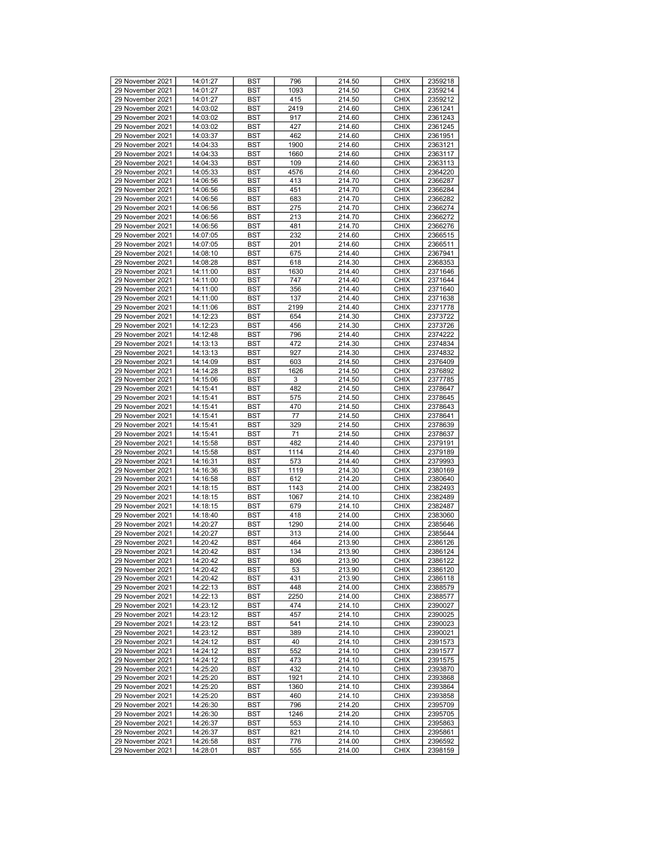| 29 November 2021                     | 14:01:27             | <b>BST</b> | 796        | 214.50           | <b>CHIX</b>                | 2359218            |
|--------------------------------------|----------------------|------------|------------|------------------|----------------------------|--------------------|
|                                      |                      |            |            |                  |                            |                    |
| 29 November 2021                     | 14:01:27             | <b>BST</b> | 1093       | 214.50           | <b>CHIX</b>                | 2359214            |
| 29 November 2021                     | 14:01:27             | <b>BST</b> | 415        | 214.50           | <b>CHIX</b>                | 2359212            |
| 29 November 2021                     | 14:03:02             | <b>BST</b> | 2419       | 214.60           | <b>CHIX</b>                | 2361241            |
| 29 November 2021                     | 14:03:02             | <b>BST</b> | 917        | 214.60           | <b>CHIX</b>                | 2361243            |
| 29 November 2021                     | 14:03:02             | <b>BST</b> | 427        | 214.60           | <b>CHIX</b>                | 2361245            |
|                                      |                      |            |            |                  |                            |                    |
| 29 November 2021                     | 14:03:37             | <b>BST</b> | 462        | 214.60           | <b>CHIX</b>                | 2361951            |
| 29 November 2021                     | 14:04:33             | <b>BST</b> | 1900       | 214.60           | <b>CHIX</b>                | 2363121            |
| 29 November 2021                     | 14:04:33             | <b>BST</b> | 1660       | 214.60           | <b>CHIX</b>                | 2363117            |
| 29 November 2021                     | 14:04:33             | <b>BST</b> | 109        | 214.60           | <b>CHIX</b>                | 2363113            |
| 29 November 2021                     | 14:05:33             | <b>BST</b> | 4576       | 214.60           | <b>CHIX</b>                | 2364220            |
|                                      |                      |            |            |                  |                            |                    |
| 29 November 2021                     | 14:06:56             | <b>BST</b> | 413        | 214.70           | <b>CHIX</b>                | 2366287            |
| 29 November 2021                     | 14:06:56             | <b>BST</b> | 451        | 214.70           | <b>CHIX</b>                | 2366284            |
| 29 November 2021                     | 14:06:56             | <b>BST</b> | 683        | 214.70           | <b>CHIX</b>                | 2366282            |
| 29 November 2021                     | 14:06:56             | <b>BST</b> | 275        | 214.70           | <b>CHIX</b>                | 2366274            |
| 29 November 2021                     | 14:06:56             | <b>BST</b> | 213        | 214.70           | <b>CHIX</b>                | 2366272            |
|                                      |                      |            |            |                  |                            |                    |
| 29 November 2021                     | 14:06:56             | <b>BST</b> | 481        | 214.70           | <b>CHIX</b>                | 2366276            |
| 29 November 2021                     | 14:07:05             | <b>BST</b> | 232        | 214.60           | <b>CHIX</b>                | 2366515            |
| 29 November 2021                     | 14:07:05             | <b>BST</b> | 201        | 214.60           | <b>CHIX</b>                | 2366511            |
| 29 November 2021                     | 14:08:10             | <b>BST</b> | 675        | 214.40           | <b>CHIX</b>                | 2367941            |
| 29 November 2021                     | 14:08:28             | <b>BST</b> | 618        | 214.30           | <b>CHIX</b>                | 2368353            |
|                                      |                      |            |            |                  |                            |                    |
| 29 November 2021                     | 14:11:00             | <b>BST</b> | 1630       | 214.40           | <b>CHIX</b>                | 2371646            |
| 29 November 2021                     | 14:11:00             | <b>BST</b> | 747        | 214.40           | <b>CHIX</b>                | 2371644            |
| 29 November 2021                     | 14:11:00             | <b>BST</b> | 356        | 214.40           | <b>CHIX</b>                | 2371640            |
| 29 November 2021                     | 14:11:00             | <b>BST</b> | 137        | 214.40           | <b>CHIX</b>                | 2371638            |
| 29 November 2021                     | 14:11:06             | <b>BST</b> | 2199       | 214.40           | <b>CHIX</b>                | 2371778            |
|                                      |                      |            |            |                  |                            |                    |
| 29 November 2021                     | 14:12:23             | <b>BST</b> | 654        | 214.30           | <b>CHIX</b>                | 2373722            |
| 29 November 2021                     | 14:12:23             | <b>BST</b> | 456        | 214.30           | <b>CHIX</b>                | 2373726            |
| 29 November 2021                     | 14:12:48             | <b>BST</b> | 796        | 214.40           | <b>CHIX</b>                | 2374222            |
| 29 November 2021                     | 14:13:13             | <b>BST</b> | 472        | 214.30           | <b>CHIX</b>                | 2374834            |
| 29 November 2021                     | 14:13:13             | <b>BST</b> | 927        | 214.30           | <b>CHIX</b>                | 2374832            |
|                                      |                      |            |            |                  |                            |                    |
| 29 November 2021                     | 14:14:09             | <b>BST</b> | 603        | 214.50           | <b>CHIX</b>                | 2376409            |
| 29 November 2021                     | 14:14:28             | <b>BST</b> | 1626       | 214.50           | <b>CHIX</b>                | 2376892            |
| 29 November 2021                     | 14:15:06             | <b>BST</b> | 3          | 214.50           | <b>CHIX</b>                | 2377785            |
| 29 November 2021                     | 14:15:41             | <b>BST</b> | 482        | 214.50           | <b>CHIX</b>                | 2378647            |
| 29 November 2021                     | 14:15:41             | <b>BST</b> | 575        | 214.50           | <b>CHIX</b>                | 2378645            |
|                                      |                      |            |            |                  |                            |                    |
| 29 November 2021                     | 14:15:41             | <b>BST</b> | 470        | 214.50           | <b>CHIX</b>                | 2378643            |
|                                      |                      |            |            |                  |                            |                    |
| 29 November 2021                     | 14:15:41             | <b>BST</b> | 77         | 214.50           | <b>CHIX</b>                | 2378641            |
| 29 November 2021                     | 14:15:41             | <b>BST</b> | 329        | 214.50           | <b>CHIX</b>                | 2378639            |
| 29 November 2021                     |                      |            | 71         |                  | <b>CHIX</b>                |                    |
|                                      | 14:15:41             | <b>BST</b> |            | 214.50           |                            | 2378637            |
| 29 November 2021                     | 14:15:58             | <b>BST</b> | 482        | 214.40           | <b>CHIX</b>                | 2379191            |
| 29 November 2021                     | 14:15:58             | <b>BST</b> | 1114       | 214.40           | <b>CHIX</b>                | 2379189            |
| 29 November 2021                     | 14:16:31             | <b>BST</b> | 573        | 214.40           | <b>CHIX</b>                | 2379993            |
| 29 November 2021                     | 14:16:36             | <b>BST</b> | 1119       | 214.30           | <b>CHIX</b>                | 2380169            |
| 29 November 2021                     |                      |            |            |                  | <b>CHIX</b>                | 2380640            |
|                                      | 14:16:58             | <b>BST</b> | 612        | 214.20           |                            |                    |
| 29 November 2021                     | 14:18:15             | <b>BST</b> | 1143       | 214.00           | <b>CHIX</b>                | 2382493            |
| 29 November 2021                     | 14:18:15             | <b>BST</b> | 1067       | 214.10           | <b>CHIX</b>                | 2382489            |
| 29 November 2021                     | 14:18:15             | <b>BST</b> | 679        | 214.10           | <b>CHIX</b>                | 2382487            |
| 29 November 2021                     | 14:18:40             | <b>BST</b> | 418        | 214.00           | <b>CHIX</b>                | 2383060            |
| 29 November 2021                     | 14:20:27             | <b>BST</b> | 1290       | 214.00           | <b>CHIX</b>                | 2385646            |
| 29 November 2021                     |                      | <b>BST</b> | 313        |                  |                            |                    |
|                                      | 14:20:27             |            |            | 214.00           | <b>CHIX</b>                | 2385644            |
| 29 November 2021                     | 14:20:42             | <b>BST</b> | 464        | 213.90           | <b>CHIX</b>                | 2386126            |
| 29 November 2021                     | 14:20:42             | <b>BST</b> | 134        | 213.90           | <b>CHIX</b>                | 2386124            |
| 29 November 2021                     | 14:20:42             | <b>BST</b> | 806        | 213.90           | <b>CHIX</b>                | 2386122            |
| 29 November 2021                     | 14:20:42             | <b>BST</b> | 53         | 213.90           | <b>CHIX</b>                | 2386120            |
| 29 November 2021                     | 14:20:42             | <b>BST</b> | 431        | 213.90           | <b>CHIX</b>                | 2386118            |
|                                      |                      |            |            |                  |                            |                    |
| 29 November 2021                     | 14:22:13             | BST        | 448        | 214.00           | <b>CHIX</b>                | 2388579            |
| 29 November 2021                     | 14:22:13             | <b>BST</b> | 2250       | 214.00           | <b>CHIX</b>                | 2388577            |
| 29 November 2021                     | 14:23:12             | BST        | 474        | 214.10           | <b>CHIX</b>                | 2390027            |
| 29 November 2021                     | 14:23:12             | <b>BST</b> | 457        | 214.10           | <b>CHIX</b>                | 2390025            |
| 29 November 2021                     | 14:23:12             | <b>BST</b> | 541        | 214.10           | <b>CHIX</b>                | 2390023            |
|                                      |                      |            |            |                  |                            |                    |
| 29 November 2021                     | 14:23:12             | BST        | 389        | 214.10           | <b>CHIX</b>                | 2390021            |
| 29 November 2021                     | 14:24:12             | <b>BST</b> | 40         | 214.10           | <b>CHIX</b>                | 2391573            |
| 29 November 2021                     | 14:24:12             | <b>BST</b> | 552        | 214.10           | <b>CHIX</b>                | 2391577            |
| 29 November 2021                     | 14:24:12             | <b>BST</b> | 473        | 214.10           | <b>CHIX</b>                | 2391575            |
| 29 November 2021                     | 14:25:20             | <b>BST</b> | 432        | 214.10           | <b>CHIX</b>                | 2393870            |
|                                      |                      |            |            |                  |                            |                    |
| 29 November 2021                     | 14:25:20             | BST        | 1921       | 214.10           | <b>CHIX</b>                | 2393868            |
| 29 November 2021                     | 14:25:20             | <b>BST</b> | 1360       | 214.10           | <b>CHIX</b>                | 2393864            |
| 29 November 2021                     | 14:25:20             | BST        | 460        | 214.10           | <b>CHIX</b>                | 2393858            |
| 29 November 2021                     | 14:26:30             | <b>BST</b> | 796        | 214.20           | <b>CHIX</b>                | 2395709            |
| 29 November 2021                     | 14:26:30             | <b>BST</b> | 1246       | 214.20           | <b>CHIX</b>                | 2395705            |
|                                      |                      |            |            |                  |                            |                    |
| 29 November 2021                     | 14:26:37             | <b>BST</b> | 553        | 214.10           | <b>CHIX</b>                | 2395863            |
| 29 November 2021                     | 14:26:37             | <b>BST</b> | 821        | 214.10           | <b>CHIX</b>                | 2395861            |
| 29 November 2021<br>29 November 2021 | 14:26:58<br>14:28:01 | BST<br>BST | 776<br>555 | 214.00<br>214.00 | <b>CHIX</b><br><b>CHIX</b> | 2396592<br>2398159 |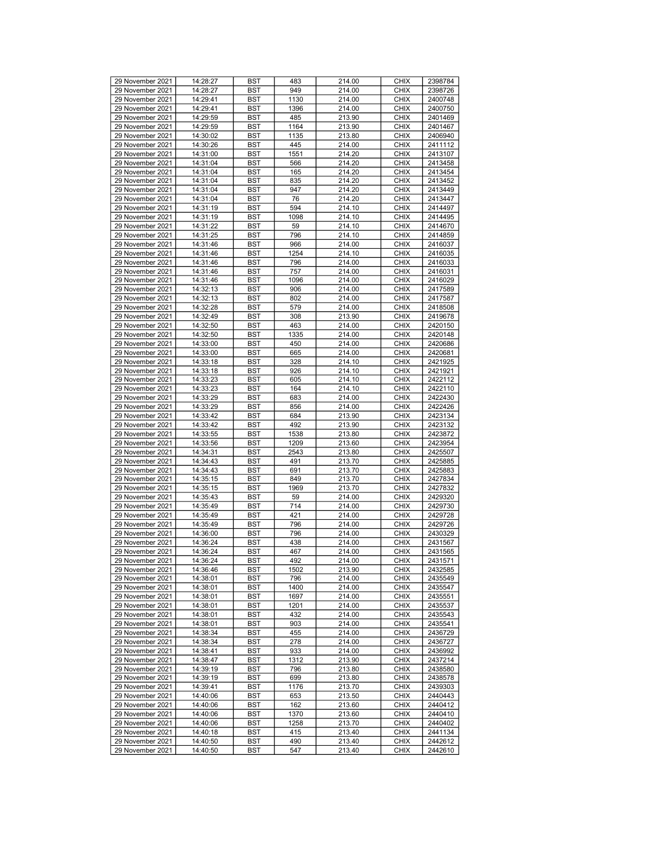| 29 November 2021 | 14:28:27 | <b>BST</b> | 483  | 214.00 | <b>CHIX</b> | 2398784 |
|------------------|----------|------------|------|--------|-------------|---------|
|                  |          |            |      |        |             |         |
| 29 November 2021 | 14:28:27 | <b>BST</b> | 949  | 214.00 | <b>CHIX</b> | 2398726 |
| 29 November 2021 | 14:29:41 | <b>BST</b> | 1130 | 214.00 | <b>CHIX</b> | 2400748 |
| 29 November 2021 | 14:29:41 | <b>BST</b> | 1396 | 214.00 | <b>CHIX</b> | 2400750 |
| 29 November 2021 | 14:29:59 | <b>BST</b> | 485  | 213.90 | <b>CHIX</b> | 2401469 |
| 29 November 2021 | 14:29:59 | <b>BST</b> | 1164 | 213.90 | <b>CHIX</b> | 2401467 |
| 29 November 2021 | 14:30:02 | <b>BST</b> | 1135 | 213.80 | <b>CHIX</b> | 2406940 |
| 29 November 2021 | 14:30:26 | BST        | 445  | 214.00 | <b>CHIX</b> | 2411112 |
| 29 November 2021 | 14:31:00 |            | 1551 | 214.20 | <b>CHIX</b> | 2413107 |
|                  |          | BST        |      |        |             |         |
| 29 November 2021 | 14:31:04 | <b>BST</b> | 566  | 214.20 | <b>CHIX</b> | 2413458 |
| 29 November 2021 | 14:31:04 | <b>BST</b> | 165  | 214.20 | <b>CHIX</b> | 2413454 |
| 29 November 2021 | 14:31:04 | <b>BST</b> | 835  | 214.20 | <b>CHIX</b> | 2413452 |
| 29 November 2021 | 14:31:04 | <b>BST</b> | 947  | 214.20 | <b>CHIX</b> | 2413449 |
| 29 November 2021 | 14:31:04 | <b>BST</b> | 76   | 214.20 | <b>CHIX</b> | 2413447 |
| 29 November 2021 | 14:31:19 | <b>BST</b> | 594  | 214.10 | <b>CHIX</b> | 2414497 |
|                  |          |            |      |        |             |         |
| 29 November 2021 | 14:31:19 | <b>BST</b> | 1098 | 214.10 | <b>CHIX</b> | 2414495 |
| 29 November 2021 | 14:31:22 | <b>BST</b> | 59   | 214.10 | <b>CHIX</b> | 2414670 |
| 29 November 2021 | 14:31:25 | BST        | 796  | 214.10 | <b>CHIX</b> | 2414859 |
| 29 November 2021 | 14:31:46 | BST        | 966  | 214.00 | <b>CHIX</b> | 2416037 |
| 29 November 2021 | 14:31:46 | <b>BST</b> | 1254 | 214.10 | <b>CHIX</b> | 2416035 |
| 29 November 2021 | 14:31:46 | <b>BST</b> | 796  | 214.00 | <b>CHIX</b> | 2416033 |
|                  |          |            |      |        |             |         |
| 29 November 2021 | 14:31:46 | <b>BST</b> | 757  | 214.00 | <b>CHIX</b> | 2416031 |
| 29 November 2021 | 14:31:46 | <b>BST</b> | 1096 | 214.00 | <b>CHIX</b> | 2416029 |
| 29 November 2021 | 14:32:13 | <b>BST</b> | 906  | 214.00 | <b>CHIX</b> | 2417589 |
| 29 November 2021 | 14:32:13 | <b>BST</b> | 802  | 214.00 | <b>CHIX</b> | 2417587 |
| 29 November 2021 | 14:32:28 | <b>BST</b> | 579  | 214.00 | <b>CHIX</b> | 2418508 |
| 29 November 2021 | 14:32:49 | <b>BST</b> | 308  | 213.90 | <b>CHIX</b> | 2419678 |
| 29 November 2021 | 14:32:50 | BST        | 463  | 214.00 | <b>CHIX</b> | 2420150 |
|                  |          |            |      | 214.00 |             |         |
| 29 November 2021 | 14:32:50 | BST        | 1335 |        | <b>CHIX</b> | 2420148 |
| 29 November 2021 | 14:33:00 | <b>BST</b> | 450  | 214.00 | <b>CHIX</b> | 2420686 |
| 29 November 2021 | 14:33:00 | <b>BST</b> | 665  | 214.00 | <b>CHIX</b> | 2420681 |
| 29 November 2021 | 14:33:18 | <b>BST</b> | 328  | 214.10 | <b>CHIX</b> | 2421925 |
| 29 November 2021 | 14:33:18 | <b>BST</b> | 926  | 214.10 | <b>CHIX</b> | 2421921 |
| 29 November 2021 | 14:33:23 | <b>BST</b> | 605  | 214.10 | <b>CHIX</b> | 2422112 |
| 29 November 2021 |          |            | 164  |        | <b>CHIX</b> | 2422110 |
|                  | 14:33:23 | <b>BST</b> |      | 214.10 |             |         |
| 29 November 2021 | 14:33:29 | <b>BST</b> | 683  | 214.00 | <b>CHIX</b> | 2422430 |
| 29 November 2021 | 14:33:29 | <b>BST</b> | 856  | 214.00 | <b>CHIX</b> | 2422426 |
| 29 November 2021 | 14:33:42 | BST        | 684  | 213.90 | <b>CHIX</b> | 2423134 |
| 29 November 2021 | 14:33:42 | BST        | 492  | 213.90 | <b>CHIX</b> | 2423132 |
| 29 November 2021 | 14:33:55 | <b>BST</b> | 1538 | 213.80 | <b>CHIX</b> | 2423872 |
| 29 November 2021 | 14:33:56 | <b>BST</b> | 1209 | 213.60 | <b>CHIX</b> | 2423954 |
|                  |          |            |      |        |             |         |
| 29 November 2021 | 14:34:31 | <b>BST</b> | 2543 | 213.80 | <b>CHIX</b> | 2425507 |
| 29 November 2021 | 14:34:43 | <b>BST</b> | 491  | 213.70 | <b>CHIX</b> | 2425885 |
| 29 November 2021 | 14:34:43 | <b>BST</b> | 691  | 213.70 | <b>CHIX</b> | 2425883 |
| 29 November 2021 | 14:35:15 | <b>BST</b> | 849  | 213.70 | <b>CHIX</b> | 2427834 |
| 29 November 2021 | 14:35:15 | <b>BST</b> | 1969 | 213.70 | <b>CHIX</b> | 2427832 |
| 29 November 2021 | 14:35:43 | <b>BST</b> | 59   | 214.00 | <b>CHIX</b> | 2429320 |
| 29 November 2021 | 14:35:49 | <b>BST</b> | 714  |        | <b>CHIX</b> | 2429730 |
|                  |          |            |      | 214.00 |             |         |
| 29 November 2021 | 14:35:49 | <b>BST</b> | 421  | 214.00 | <b>CHIX</b> | 2429728 |
| 29 November 2021 | 14:35:49 | <b>BST</b> | 796  | 214.00 | <b>CHIX</b> | 2429726 |
| 29 November 2021 | 14:36:00 | <b>BST</b> | 796  | 214.00 | <b>CHIX</b> | 2430329 |
| 29 November 2021 | 14:36:24 | <b>BST</b> | 438  | 214.00 | <b>CHIX</b> | 2431567 |
| 29 November 2021 | 14:36:24 | <b>BST</b> | 467  | 214.00 | <b>CHIX</b> | 2431565 |
| 29 November 2021 | 14:36:24 | <b>BST</b> | 492  | 214.00 | <b>CHIX</b> | 2431571 |
| 29 November 2021 | 14:36:46 | <b>BST</b> | 1502 | 213.90 | <b>CHIX</b> | 2432585 |
|                  |          |            |      |        |             |         |
| 29 November 2021 | 14:38:01 | <b>BST</b> | 796  | 214.00 | <b>CHIX</b> | 2435549 |
| 29 November 2021 | 14:38:01 | BST        | 1400 | 214.00 | <b>CHIX</b> | 2435547 |
| 29 November 2021 | 14:38:01 | <b>BST</b> | 1697 | 214.00 | <b>CHIX</b> | 2435551 |
| 29 November 2021 | 14:38:01 | <b>BST</b> | 1201 | 214.00 | <b>CHIX</b> | 2435537 |
| 29 November 2021 | 14:38:01 | <b>BST</b> | 432  | 214.00 | <b>CHIX</b> | 2435543 |
| 29 November 2021 | 14:38:01 | <b>BST</b> | 903  | 214.00 | <b>CHIX</b> | 2435541 |
| 29 November 2021 | 14:38:34 | BST        | 455  | 214.00 | <b>CHIX</b> | 2436729 |
|                  |          |            |      |        |             |         |
| 29 November 2021 | 14:38:34 | <b>BST</b> | 278  | 214.00 | <b>CHIX</b> | 2436727 |
| 29 November 2021 | 14:38:41 | <b>BST</b> | 933  | 214.00 | <b>CHIX</b> | 2436992 |
| 29 November 2021 | 14:38:47 | BST        | 1312 | 213.90 | <b>CHIX</b> | 2437214 |
| 29 November 2021 | 14:39:19 | <b>BST</b> | 796  | 213.80 | <b>CHIX</b> | 2438580 |
| 29 November 2021 | 14:39:19 | BST        | 699  | 213.80 | <b>CHIX</b> | 2438578 |
| 29 November 2021 | 14:39:41 | <b>BST</b> | 1176 | 213.70 | <b>CHIX</b> | 2439303 |
| 29 November 2021 | 14:40:06 | <b>BST</b> | 653  | 213.50 | <b>CHIX</b> | 2440443 |
|                  |          |            |      |        |             |         |
| 29 November 2021 | 14:40:06 | <b>BST</b> | 162  | 213.60 | <b>CHIX</b> | 2440412 |
| 29 November 2021 | 14:40:06 | <b>BST</b> | 1370 | 213.60 | <b>CHIX</b> | 2440410 |
| 29 November 2021 | 14:40:06 | BST        | 1258 | 213.70 | <b>CHIX</b> | 2440402 |
| 29 November 2021 | 14:40:18 | <b>BST</b> | 415  | 213.40 | <b>CHIX</b> | 2441134 |
| 29 November 2021 | 14:40:50 | BST        | 490  | 213.40 | <b>CHIX</b> | 2442612 |
| 29 November 2021 | 14:40:50 | BST        | 547  | 213.40 | <b>CHIX</b> | 2442610 |
|                  |          |            |      |        |             |         |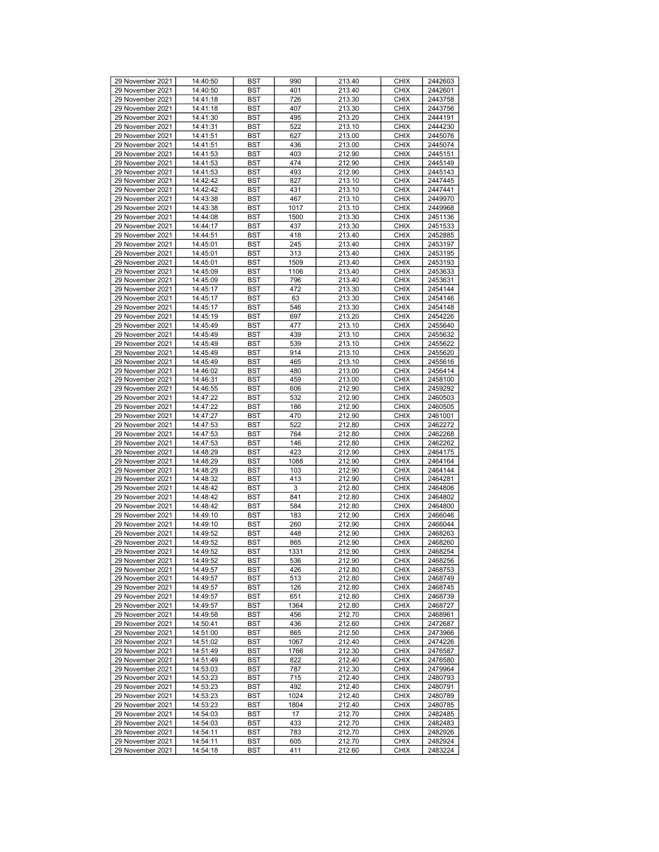| 29 November 2021                     | 14:40:50 | <b>BST</b> | 990  | 213.40 | <b>CHIX</b> | 2442603 |
|--------------------------------------|----------|------------|------|--------|-------------|---------|
| 29 November 2021                     | 14:40:50 | BST        | 401  | 213.40 | <b>CHIX</b> | 2442601 |
| 29 November 2021                     | 14:41:18 | BST        | 726  | 213.30 | <b>CHIX</b> | 2443758 |
| 29 November 2021                     | 14:41:18 | <b>BST</b> | 407  | 213.30 | <b>CHIX</b> | 2443756 |
| 29 November 2021                     | 14:41:30 | <b>BST</b> | 495  | 213.20 | <b>CHIX</b> | 2444191 |
| 29 November 2021                     | 14:41:31 | <b>BST</b> | 522  | 213.10 | <b>CHIX</b> | 2444230 |
| 29 November 2021                     | 14:41:51 | BST        | 627  | 213.00 | <b>CHIX</b> | 2445076 |
| 29 November 2021                     | 14:41:51 | BST        | 436  | 213.00 | <b>CHIX</b> | 2445074 |
| 29 November 2021                     | 14:41:53 | <b>BST</b> | 403  | 212.90 | <b>CHIX</b> | 2445151 |
| 29 November 2021                     | 14:41:53 | <b>BST</b> | 474  | 212.90 | <b>CHIX</b> | 2445149 |
|                                      |          |            | 493  |        | <b>CHIX</b> | 2445143 |
| 29 November 2021                     | 14:41:53 | <b>BST</b> |      | 212.90 |             |         |
| 29 November 2021<br>29 November 2021 | 14:42:42 | BST        | 827  | 213.10 | <b>CHIX</b> | 2447445 |
|                                      | 14:42:42 | BST        | 431  | 213.10 | <b>CHIX</b> | 2447441 |
| 29 November 2021                     | 14:43:38 | <b>BST</b> | 467  | 213.10 | <b>CHIX</b> | 2449970 |
| 29 November 2021                     | 14:43:38 | <b>BST</b> | 1017 | 213.10 | <b>CHIX</b> | 2449968 |
| 29 November 2021                     | 14:44:08 | <b>BST</b> | 1500 | 213.30 | <b>CHIX</b> | 2451136 |
| 29 November 2021                     | 14:44:17 | BST        | 437  | 213.30 | <b>CHIX</b> | 2451533 |
| 29 November 2021                     | 14:44:51 | BST        | 418  | 213.40 | <b>CHIX</b> | 2452885 |
| 29 November 2021                     | 14:45:01 | <b>BST</b> | 245  | 213.40 | <b>CHIX</b> | 2453197 |
| 29 November 2021                     | 14:45:01 | <b>BST</b> | 313  | 213.40 | <b>CHIX</b> | 2453195 |
| 29 November 2021                     | 14:45:01 | <b>BST</b> | 1509 | 213.40 | <b>CHIX</b> | 2453193 |
| 29 November 2021                     | 14:45:09 | BST        | 1106 | 213.40 | <b>CHIX</b> | 2453633 |
| 29 November 2021                     | 14:45:09 | BST        | 796  | 213.40 | <b>CHIX</b> | 2453631 |
| 29 November 2021                     | 14:45:17 | <b>BST</b> | 472  | 213.30 | <b>CHIX</b> | 2454144 |
| 29 November 2021                     | 14:45:17 | <b>BST</b> | 63   | 213.30 | <b>CHIX</b> | 2454146 |
| 29 November 2021                     | 14:45:17 | <b>BST</b> | 546  | 213.30 | <b>CHIX</b> | 2454148 |
| 29 November 2021                     | 14:45:19 | BST        | 697  | 213.20 | <b>CHIX</b> | 2454226 |
| 29 November 2021                     | 14:45:49 | BST        | 477  | 213.10 | <b>CHIX</b> | 2455640 |
| 29 November 2021                     | 14:45:49 | <b>BST</b> | 439  | 213.10 | <b>CHIX</b> | 2455632 |
| 29 November 2021                     | 14:45:49 | <b>BST</b> | 539  | 213.10 | <b>CHIX</b> | 2455622 |
| 29 November 2021                     | 14:45:49 | <b>BST</b> | 914  | 213.10 | <b>CHIX</b> | 2455620 |
| 29 November 2021                     | 14:45:49 | BST        | 465  | 213.10 | <b>CHIX</b> | 2455616 |
| 29 November 2021                     | 14:46:02 | BST        | 480  | 213.00 | <b>CHIX</b> | 2456414 |
| 29 November 2021                     | 14:46:31 | <b>BST</b> | 459  | 213.00 | <b>CHIX</b> | 2458100 |
| 29 November 2021                     | 14:46:55 |            |      | 212.90 | <b>CHIX</b> | 2459292 |
| 29 November 2021                     |          | <b>BST</b> | 606  |        |             |         |
|                                      | 14:47:22 | <b>BST</b> | 532  | 212.90 | <b>CHIX</b> | 2460503 |
| 29 November 2021                     | 14:47:22 | BST        | 186  | 212.90 | <b>CHIX</b> | 2460505 |
| 29 November 2021                     | 14:47:27 | BST        | 470  | 212.90 | <b>CHIX</b> | 2461001 |
| 29 November 2021                     | 14:47:53 | <b>BST</b> | 522  | 212.80 | <b>CHIX</b> | 2462272 |
| 29 November 2021                     | 14:47:53 | <b>BST</b> | 764  | 212.80 | <b>CHIX</b> | 2462268 |
| 29 November 2021                     | 14:47:53 | <b>BST</b> | 146  | 212.80 | <b>CHIX</b> | 2462262 |
| 29 November 2021                     | 14:48:29 | BST        | 423  | 212.90 | <b>CHIX</b> | 2464175 |
| 29 November 2021                     | 14:48:29 | BST        | 1088 | 212.90 | <b>CHIX</b> | 2464164 |
| 29 November 2021                     | 14:48:29 | <b>BST</b> | 103  | 212.90 | <b>CHIX</b> | 2464144 |
| 29 November 2021                     | 14:48:32 | <b>BST</b> | 413  | 212.90 | <b>CHIX</b> | 2464281 |
| 29 November 2021                     | 14:48:42 | <b>BST</b> | 3    | 212.80 | <b>CHIX</b> | 2464806 |
| 29 November 2021                     | 14:48:42 | BST        | 841  | 212.80 | <b>CHIX</b> | 2464802 |
| 29 November 2021                     | 14:48:42 | BST        | 584  | 212.80 | <b>CHIX</b> | 2464800 |
| 29 November 2021                     | 14:49:10 | <b>BST</b> | 183  | 212.90 | <b>CHIX</b> | 2466046 |
| 29 November 2021                     | 14:49:10 | <b>BST</b> | 260  | 212.90 | <b>CHIX</b> | 2466044 |
| 29 November 2021                     | 14:49:52 | <b>BST</b> | 448  | 212.90 | <b>CHIX</b> | 2468263 |
| 29 November 2021                     | 14:49:52 | BST        | 865  | 212.90 | <b>CHIX</b> | 2468260 |
| 29 November 2021                     | 14:49:52 | <b>BST</b> | 1331 | 212.90 | <b>CHIX</b> | 2468254 |
| 29 November 2021                     | 14:49:52 | <b>BST</b> | 536  | 212.90 | <b>CHIX</b> | 2468256 |
| 29 November 2021                     | 14:49:57 | <b>BST</b> | 426  | 212.80 | <b>CHIX</b> | 2468753 |
| 29 November 2021                     | 14:49:57 | <b>BST</b> | 513  | 212.80 | <b>CHIX</b> | 2468749 |
| 29 November 2021                     | 14:49:57 | <b>BST</b> | 126  | 212.80 | <b>CHIX</b> | 2468745 |
| 29 November 2021                     | 14:49:57 | <b>BST</b> | 651  | 212.80 | <b>CHIX</b> | 2468739 |
| 29 November 2021                     | 14:49:57 | BST        | 1364 | 212.80 | <b>CHIX</b> | 2468727 |
| 29 November 2021                     | 14:49:58 | <b>BST</b> | 456  | 212.70 | <b>CHIX</b> | 2468961 |
| 29 November 2021                     | 14:50:41 |            | 436  | 212.60 | <b>CHIX</b> |         |
|                                      |          | <b>BST</b> |      |        |             | 2472687 |
| 29 November 2021                     | 14:51:00 | BST        | 865  | 212.50 | <b>CHIX</b> | 2473966 |
| 29 November 2021                     | 14:51:02 | BST        | 1067 | 212.40 | <b>CHIX</b> | 2474226 |
| 29 November 2021                     | 14:51:49 | BST        | 1766 | 212.30 | <b>CHIX</b> | 2476587 |
| 29 November 2021                     | 14:51:49 | BST        | 822  | 212.40 | <b>CHIX</b> | 2476580 |
| 29 November 2021                     | 14:53:03 | <b>BST</b> | 787  | 212.30 | <b>CHIX</b> | 2479964 |
| 29 November 2021                     | 14:53:23 | BST        | 715  | 212.40 | <b>CHIX</b> | 2480793 |
| 29 November 2021                     | 14:53:23 | BST        | 492  | 212.40 | <b>CHIX</b> | 2480791 |
| 29 November 2021                     | 14:53:23 | BST        | 1024 | 212.40 | <b>CHIX</b> | 2480789 |
| 29 November 2021                     | 14:53:23 | <b>BST</b> | 1804 | 212.40 | <b>CHIX</b> | 2480785 |
| 29 November 2021                     | 14:54:03 | <b>BST</b> | 17   | 212.70 | <b>CHIX</b> | 2482485 |
| 29 November 2021                     | 14:54:03 | BST        | 433  | 212.70 | <b>CHIX</b> | 2482483 |
| 29 November 2021                     | 14:54:11 | BST        | 783  | 212.70 | <b>CHIX</b> | 2482926 |
| 29 November 2021                     | 14:54:11 | BST        | 605  | 212.70 | <b>CHIX</b> | 2482924 |
| 29 November 2021                     | 14:54:18 | BST        | 411  | 212.60 | <b>CHIX</b> | 2483224 |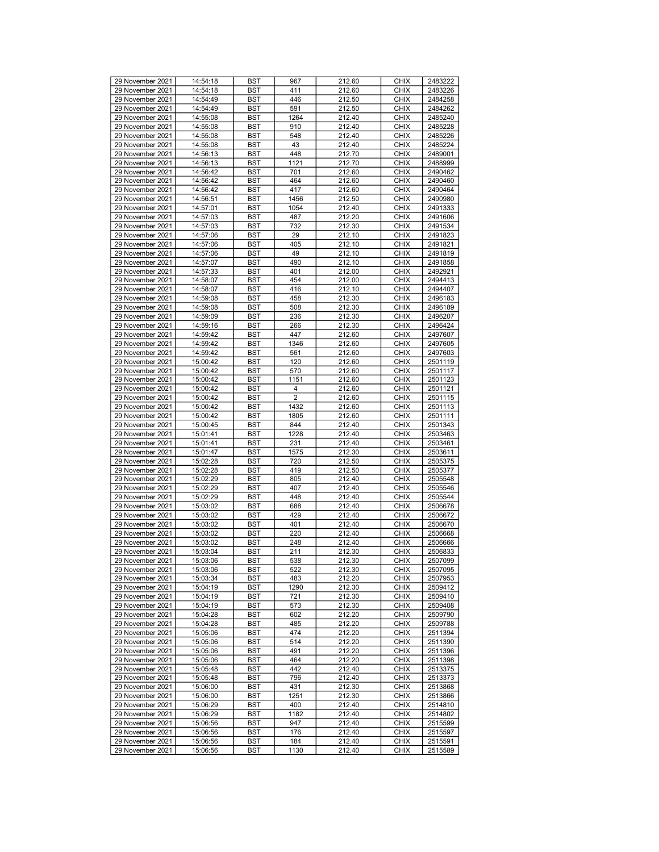| 29 November 2021                     | 14:54:18             | <b>BST</b> | 967            | 212.60           | <b>CHIX</b>                | 2483222            |
|--------------------------------------|----------------------|------------|----------------|------------------|----------------------------|--------------------|
| 29 November 2021                     | 14:54:18             | <b>BST</b> | 411            | 212.60           | <b>CHIX</b>                | 2483226            |
|                                      |                      |            |                |                  |                            |                    |
| 29 November 2021                     | 14:54:49             | <b>BST</b> | 446            | 212.50           | <b>CHIX</b>                | 2484258            |
| 29 November 2021                     | 14:54:49             | <b>BST</b> | 591            | 212.50           | <b>CHIX</b>                | 2484262            |
| 29 November 2021                     | 14:55:08             | <b>BST</b> | 1264           | 212.40           | <b>CHIX</b>                | 2485240            |
|                                      |                      |            |                |                  |                            |                    |
| 29 November 2021                     | 14:55:08             | <b>BST</b> | 910            | 212.40           | <b>CHIX</b>                | 2485228            |
| 29 November 2021                     | 14:55:08             | <b>BST</b> | 548            | 212.40           | <b>CHIX</b>                | 2485226            |
|                                      |                      |            |                |                  |                            |                    |
| 29 November 2021                     | 14:55:08             | <b>BST</b> | 43             | 212.40           | <b>CHIX</b>                | 2485224            |
| 29 November 2021                     | 14:56:13             | <b>BST</b> | 448            | 212.70           | <b>CHIX</b>                | 2489001            |
|                                      |                      |            |                |                  |                            |                    |
| 29 November 2021                     | 14:56:13             | <b>BST</b> | 1121           | 212.70           | <b>CHIX</b>                | 2488999            |
| 29 November 2021                     | 14:56:42             | <b>BST</b> | 701            | 212.60           | <b>CHIX</b>                | 2490462            |
|                                      |                      |            |                |                  |                            |                    |
| 29 November 2021                     | 14:56:42             | <b>BST</b> | 464            | 212.60           | <b>CHIX</b>                | 2490460            |
| 29 November 2021                     | 14:56:42             | <b>BST</b> | 417            | 212.60           | <b>CHIX</b>                | 2490464            |
|                                      |                      |            |                |                  |                            |                    |
| 29 November 2021                     | 14:56:51             | <b>BST</b> | 1456           | 212.50           | <b>CHIX</b>                | 2490980            |
| 29 November 2021                     | 14:57:01             | <b>BST</b> | 1054           | 212.40           | <b>CHIX</b>                | 2491333            |
|                                      |                      |            |                |                  |                            |                    |
| 29 November 2021                     | 14:57:03             | <b>BST</b> | 487            | 212.20           | <b>CHIX</b>                | 2491606            |
| 29 November 2021                     | 14:57:03             | <b>BST</b> | 732            | 212.30           | <b>CHIX</b>                | 2491534            |
| 29 November 2021                     | 14:57:06             | <b>BST</b> | 29             | 212.10           | <b>CHIX</b>                | 2491823            |
|                                      |                      |            |                |                  |                            |                    |
| 29 November 2021                     | 14:57:06             | <b>BST</b> | 405            | 212.10           | <b>CHIX</b>                | 2491821            |
| 29 November 2021                     | 14:57:06             | <b>BST</b> | 49             | 212.10           | <b>CHIX</b>                | 2491819            |
|                                      |                      |            |                |                  |                            |                    |
| 29 November 2021                     | 14:57:07             | <b>BST</b> | 490            | 212.10           | <b>CHIX</b>                | 2491858            |
| 29 November 2021                     | 14:57:33             | <b>BST</b> | 401            | 212.00           | <b>CHIX</b>                | 2492921            |
|                                      |                      |            |                |                  |                            |                    |
| 29 November 2021                     | 14:58:07             | <b>BST</b> | 454            | 212.00           | <b>CHIX</b>                | 2494413            |
| 29 November 2021                     | 14:58:07             | <b>BST</b> | 416            | 212.10           | <b>CHIX</b>                | 2494407            |
|                                      |                      |            |                |                  |                            |                    |
| 29 November 2021                     | 14:59:08             | <b>BST</b> | 458            | 212.30           | <b>CHIX</b>                | 2496183            |
| 29 November 2021                     | 14:59:08             | <b>BST</b> | 508            | 212.30           | <b>CHIX</b>                | 2496189            |
| 29 November 2021                     | 14:59:09             | <b>BST</b> | 236            | 212.30           | <b>CHIX</b>                | 2496207            |
|                                      |                      |            |                |                  |                            |                    |
| 29 November 2021                     | 14:59:16             | <b>BST</b> | 266            | 212.30           | <b>CHIX</b>                | 2496424            |
| 29 November 2021                     | 14:59:42             | <b>BST</b> | 447            | 212.60           | <b>CHIX</b>                | 2497607            |
|                                      |                      |            |                |                  |                            |                    |
| 29 November 2021                     | 14:59:42             | <b>BST</b> | 1346           | 212.60           | <b>CHIX</b>                | 2497605            |
| 29 November 2021                     | 14:59:42             | <b>BST</b> | 561            | 212.60           | <b>CHIX</b>                | 2497603            |
|                                      |                      |            |                |                  |                            |                    |
| 29 November 2021                     | 15:00:42             | <b>BST</b> | 120            | 212.60           | <b>CHIX</b>                | 2501119            |
| 29 November 2021                     | 15:00:42             | <b>BST</b> | 570            | 212.60           | <b>CHIX</b>                | 2501117            |
|                                      |                      |            |                |                  |                            |                    |
| 29 November 2021                     | 15:00:42             | <b>BST</b> | 1151           | 212.60           | <b>CHIX</b>                | 2501123            |
| 29 November 2021                     | 15:00:42             | <b>BST</b> | 4              | 212.60           | <b>CHIX</b>                | 2501121            |
|                                      |                      |            | $\overline{2}$ |                  |                            |                    |
| 29 November 2021                     | 15:00:42             | <b>BST</b> |                | 212.60           | <b>CHIX</b>                | 2501115            |
| 29 November 2021                     | 15:00:42             | <b>BST</b> | 1432           | 212.60           | <b>CHIX</b>                | 2501113            |
| 29 November 2021                     | 15:00:42             | <b>BST</b> | 1805           | 212.60           | <b>CHIX</b>                | 2501111            |
|                                      |                      |            |                |                  |                            |                    |
| 29 November 2021                     | 15:00:45             | <b>BST</b> | 844            | 212.40           | <b>CHIX</b>                | 2501343            |
| 29 November 2021                     | 15:01:41             | <b>BST</b> | 1228           | 212.40           | <b>CHIX</b>                | 2503463            |
|                                      |                      |            |                |                  |                            |                    |
| 29 November 2021                     | 15:01:41             | <b>BST</b> | 231            | 212.40           | <b>CHIX</b>                | 2503461            |
| 29 November 2021                     | 15:01:47             | <b>BST</b> | 1575           | 212.30           | <b>CHIX</b>                | 2503611            |
|                                      |                      |            |                |                  |                            |                    |
| 29 November 2021                     | 15:02:28             | <b>BST</b> | 720            | 212.50           | <b>CHIX</b>                | 2505375            |
| 29 November 2021                     | 15:02:28             | <b>BST</b> | 419            | 212.50           | <b>CHIX</b>                | 2505377            |
|                                      |                      |            |                |                  |                            |                    |
| 29 November 2021                     | 15:02:29             | <b>BST</b> | 805            | 212.40           | <b>CHIX</b>                | 2505548            |
| 29 November 2021                     | 15:02:29             | <b>BST</b> | 407            | 212.40           | <b>CHIX</b>                | 2505546            |
| 29 November 2021                     |                      |            |                |                  | <b>CHIX</b>                | 2505544            |
|                                      | 15:02:29             | <b>BST</b> | 448            | 212.40           |                            |                    |
| 29 November 2021                     | 15:03:02             | <b>BST</b> | 688            | 212.40           | <b>CHIX</b>                | 2506678            |
| 29 November 2021                     | 15:03:02             | <b>BST</b> | 429            | 212.40           | <b>CHIX</b>                | 2506672            |
|                                      |                      |            |                |                  |                            |                    |
| 29 November 2021                     | 15:03:02             | <b>BST</b> | 401            | 212.40           | <b>CHIX</b>                | 2506670            |
| 29 November 2021                     | 15:03:02             | <b>BST</b> | 220            | 212.40           | <b>CHIX</b>                | 2506668            |
|                                      |                      |            |                |                  |                            |                    |
| 29 November 2021                     | 15:03:02             | <b>BST</b> | 248            | 212.40           | <b>CHIX</b>                | 2506666            |
| 29 November 2021                     | 15:03:04             | <b>BST</b> | 211            | 212.30           | <b>CHIX</b>                | 2506833            |
| 29 November 2021                     | 15:03:06             | <b>BST</b> | 538            | 212.30           | <b>CHIX</b>                | 2507099            |
|                                      |                      |            |                |                  |                            |                    |
| 29 November 2021                     | 15:03:06             | <b>BST</b> | 522            | 212.30           | <b>CHIX</b>                | 2507095            |
| 29 November 2021                     | 15:03:34             | <b>BST</b> | 483            | 212.20           | <b>CHIX</b>                | 2507953            |
|                                      |                      |            |                |                  |                            |                    |
| 29 November 2021                     | 15:04:19             | BST        | 1290           | 212.30           | <b>CHIX</b>                | 2509412            |
| 29 November 2021                     | 15:04:19             | <b>BST</b> | 721            | 212.30           | <b>CHIX</b>                | 2509410            |
| 29 November 2021                     |                      |            |                |                  |                            |                    |
|                                      | 15:04:19             | <b>BST</b> | 573            | 212.30           | <b>CHIX</b>                | 2509408            |
| 29 November 2021                     | 15:04:28             | <b>BST</b> | 602            | 212.20           | <b>CHIX</b>                | 2509790            |
| 29 November 2021                     | 15:04:28             | <b>BST</b> | 485            | 212.20           | <b>CHIX</b>                | 2509788            |
|                                      |                      |            |                |                  |                            |                    |
| 29 November 2021                     | 15:05:06             | BST        | 474            | 212.20           | <b>CHIX</b>                | 2511394            |
| 29 November 2021                     | 15:05:06             | <b>BST</b> | 514            | 212.20           | <b>CHIX</b>                | 2511390            |
|                                      |                      |            |                |                  |                            |                    |
| 29 November 2021                     | 15:05:06             | <b>BST</b> | 491            | 212.20           | <b>CHIX</b>                | 2511396            |
| 29 November 2021                     | 15:05:06             | <b>BST</b> | 464            | 212.20           | <b>CHIX</b>                | 2511398            |
|                                      |                      |            |                |                  |                            |                    |
| 29 November 2021                     | 15:05:48             | <b>BST</b> | 442            | 212.40           | <b>CHIX</b>                | 2513375            |
| 29 November 2021                     | 15:05:48             | <b>BST</b> | 796            | 212.40           | <b>CHIX</b>                | 2513373            |
|                                      |                      |            |                |                  |                            |                    |
| 29 November 2021                     | 15:06:00             | <b>BST</b> | 431            | 212.30           | <b>CHIX</b>                | 2513868            |
| 29 November 2021                     | 15:06:00             | <b>BST</b> | 1251           | 212.30           | <b>CHIX</b>                | 2513866            |
| 29 November 2021                     |                      | <b>BST</b> | 400            | 212.40           | <b>CHIX</b>                | 2514810            |
|                                      |                      |            |                |                  |                            |                    |
|                                      | 15:06:29             |            |                |                  |                            |                    |
| 29 November 2021                     | 15:06:29             | <b>BST</b> | 1182           | 212.40           | <b>CHIX</b>                | 2514802            |
|                                      |                      |            |                |                  |                            |                    |
| 29 November 2021                     | 15:06:56             | <b>BST</b> | 947            | 212.40           | <b>CHIX</b>                | 2515599            |
| 29 November 2021                     | 15:06:56             | <b>BST</b> | 176            | 212.40           | <b>CHIX</b>                | 2515597            |
|                                      |                      |            |                |                  |                            |                    |
| 29 November 2021<br>29 November 2021 | 15:06:56<br>15:06:56 | BST<br>BST | 184<br>1130    | 212.40<br>212.40 | <b>CHIX</b><br><b>CHIX</b> | 2515591<br>2515589 |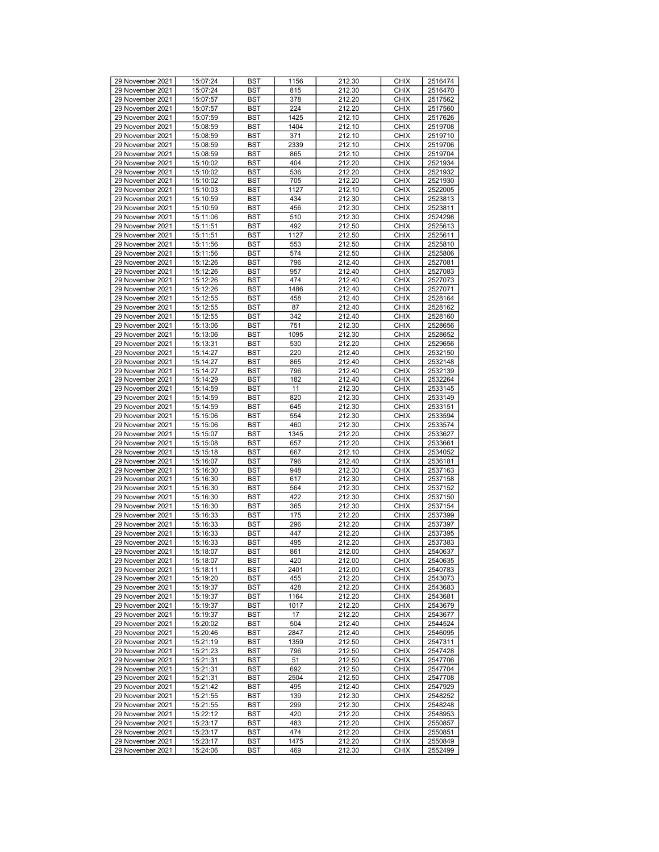| 29 November 2021 |          |            |      |        | <b>CHIX</b> |         |
|------------------|----------|------------|------|--------|-------------|---------|
|                  | 15:07:24 | <b>BST</b> | 1156 | 212.30 |             | 2516474 |
| 29 November 2021 | 15:07:24 | <b>BST</b> | 815  | 212.30 | <b>CHIX</b> | 2516470 |
| 29 November 2021 | 15:07:57 | <b>BST</b> | 378  | 212.20 | <b>CHIX</b> | 2517562 |
| 29 November 2021 | 15:07:57 | <b>BST</b> | 224  | 212.20 | <b>CHIX</b> | 2517560 |
| 29 November 2021 | 15:07:59 | <b>BST</b> | 1425 | 212.10 | <b>CHIX</b> | 2517626 |
| 29 November 2021 | 15:08:59 | <b>BST</b> | 1404 | 212.10 | <b>CHIX</b> | 2519708 |
| 29 November 2021 | 15:08:59 | <b>BST</b> | 371  | 212.10 | <b>CHIX</b> | 2519710 |
|                  |          |            |      |        |             |         |
| 29 November 2021 | 15:08:59 | <b>BST</b> | 2339 | 212.10 | <b>CHIX</b> | 2519706 |
| 29 November 2021 | 15:08:59 | <b>BST</b> | 865  | 212.10 | <b>CHIX</b> | 2519704 |
| 29 November 2021 | 15:10:02 | <b>BST</b> | 404  | 212.20 | <b>CHIX</b> | 2521934 |
| 29 November 2021 | 15:10:02 | <b>BST</b> | 536  | 212.20 | <b>CHIX</b> | 2521932 |
| 29 November 2021 | 15:10:02 | <b>BST</b> | 705  | 212.20 | <b>CHIX</b> | 2521930 |
| 29 November 2021 | 15:10:03 | <b>BST</b> | 1127 | 212.10 | <b>CHIX</b> | 2522005 |
|                  |          |            |      |        |             |         |
| 29 November 2021 | 15:10:59 | <b>BST</b> | 434  | 212.30 | <b>CHIX</b> | 2523813 |
| 29 November 2021 | 15:10:59 | <b>BST</b> | 456  | 212.30 | <b>CHIX</b> | 2523811 |
| 29 November 2021 | 15:11:06 | <b>BST</b> | 510  | 212.30 | <b>CHIX</b> | 2524298 |
| 29 November 2021 | 15:11:51 | <b>BST</b> | 492  | 212.50 | <b>CHIX</b> | 2525613 |
| 29 November 2021 | 15:11:51 | <b>BST</b> | 1127 | 212.50 | <b>CHIX</b> | 2525611 |
| 29 November 2021 | 15:11:56 | <b>BST</b> | 553  | 212.50 | <b>CHIX</b> | 2525810 |
| 29 November 2021 | 15:11:56 |            |      | 212.50 | <b>CHIX</b> |         |
|                  |          | <b>BST</b> | 574  |        |             | 2525806 |
| 29 November 2021 | 15:12:26 | <b>BST</b> | 796  | 212.40 | <b>CHIX</b> | 2527081 |
| 29 November 2021 | 15:12:26 | <b>BST</b> | 957  | 212.40 | <b>CHIX</b> | 2527083 |
| 29 November 2021 | 15:12:26 | <b>BST</b> | 474  | 212.40 | <b>CHIX</b> | 2527073 |
| 29 November 2021 | 15:12:26 | <b>BST</b> | 1486 | 212.40 | <b>CHIX</b> | 2527071 |
| 29 November 2021 | 15:12:55 | <b>BST</b> | 458  | 212.40 | <b>CHIX</b> | 2528164 |
| 29 November 2021 | 15:12:55 | <b>BST</b> | 87   | 212.40 | <b>CHIX</b> | 2528162 |
|                  |          |            |      |        |             |         |
| 29 November 2021 | 15:12:55 | <b>BST</b> | 342  | 212.40 | <b>CHIX</b> | 2528160 |
| 29 November 2021 | 15:13:06 | <b>BST</b> | 751  | 212.30 | <b>CHIX</b> | 2528656 |
| 29 November 2021 | 15:13:06 | <b>BST</b> | 1095 | 212.30 | <b>CHIX</b> | 2528652 |
| 29 November 2021 | 15:13:31 | <b>BST</b> | 530  | 212.20 | <b>CHIX</b> | 2529656 |
| 29 November 2021 | 15:14:27 | <b>BST</b> | 220  | 212.40 | <b>CHIX</b> | 2532150 |
| 29 November 2021 | 15:14:27 | <b>BST</b> | 865  | 212.40 | <b>CHIX</b> | 2532148 |
| 29 November 2021 |          | <b>BST</b> |      | 212.40 | <b>CHIX</b> |         |
|                  | 15:14:27 |            | 796  |        |             | 2532139 |
| 29 November 2021 | 15:14:29 | <b>BST</b> | 182  | 212.40 | <b>CHIX</b> | 2532264 |
| 29 November 2021 | 15:14:59 | <b>BST</b> | 11   | 212.30 | <b>CHIX</b> | 2533145 |
| 29 November 2021 | 15:14:59 | <b>BST</b> | 820  | 212.30 | <b>CHIX</b> | 2533149 |
| 29 November 2021 | 15:14:59 | <b>BST</b> | 645  | 212.30 | <b>CHIX</b> | 2533151 |
| 29 November 2021 | 15:15:06 | <b>BST</b> | 554  | 212.30 | <b>CHIX</b> | 2533594 |
| 29 November 2021 | 15:15:06 | <b>BST</b> | 460  | 212.30 | <b>CHIX</b> | 2533574 |
|                  |          |            |      |        |             |         |
| 29 November 2021 | 15:15:07 | <b>BST</b> | 1345 | 212.20 | <b>CHIX</b> | 2533627 |
| 29 November 2021 | 15:15:08 | <b>BST</b> | 657  | 212.20 | <b>CHIX</b> | 2533661 |
| 29 November 2021 | 15:15:18 | <b>BST</b> | 667  | 212.10 | <b>CHIX</b> | 2534052 |
| 29 November 2021 | 15:16:07 | <b>BST</b> | 796  | 212.40 | <b>CHIX</b> | 2536181 |
| 29 November 2021 | 15:16:30 | <b>BST</b> | 948  | 212.30 | <b>CHIX</b> | 2537163 |
| 29 November 2021 | 15:16:30 | <b>BST</b> | 617  | 212.30 | <b>CHIX</b> | 2537158 |
|                  |          |            |      |        |             |         |
| 29 November 2021 | 15:16:30 | <b>BST</b> | 564  | 212.30 | <b>CHIX</b> | 2537152 |
| 29 November 2021 | 15:16:30 | <b>BST</b> | 422  | 212.30 | <b>CHIX</b> | 2537150 |
| 29 November 2021 | 15:16:30 | <b>BST</b> | 365  | 212.30 | <b>CHIX</b> | 2537154 |
| 29 November 2021 | 15:16:33 | <b>BST</b> | 175  | 212.20 | <b>CHIX</b> | 2537399 |
| 29 November 2021 | 15:16:33 | <b>BST</b> | 296  | 212.20 | <b>CHIX</b> | 2537397 |
| 29 November 2021 | 15:16:33 | <b>BST</b> | 447  | 212.20 | <b>CHIX</b> | 2537395 |
| 29 November 2021 | 15:16:33 | <b>BST</b> | 495  | 212.20 | <b>CHIX</b> | 2537383 |
| 29 November 2021 | 15:18:07 | <b>BST</b> | 861  | 212.00 | <b>CHIX</b> | 2540637 |
|                  |          |            |      |        |             |         |
| 29 November 2021 | 15:18:07 | <b>BST</b> | 420  | 212.00 | <b>CHIX</b> | 2540635 |
| 29 November 2021 | 15:18:11 | <b>BST</b> | 2401 | 212.00 | <b>CHIX</b> | 2540783 |
| 29 November 2021 | 15:19:20 | <b>BST</b> | 455  | 212.20 | <b>CHIX</b> | 2543073 |
| 29 November 2021 | 15:19:37 | BST        | 428  | 212.20 | <b>CHIX</b> | 2543683 |
| 29 November 2021 | 15:19:37 | <b>BST</b> | 1164 | 212.20 | <b>CHIX</b> | 2543681 |
| 29 November 2021 | 15:19:37 | <b>BST</b> | 1017 | 212.20 | <b>CHIX</b> | 2543679 |
| 29 November 2021 | 15:19:37 | BST        | 17   | 212.20 | <b>CHIX</b> | 2543677 |
|                  |          |            | 504  |        | <b>CHIX</b> |         |
| 29 November 2021 | 15:20:02 | <b>BST</b> |      | 212.40 |             | 2544524 |
| 29 November 2021 | 15:20:46 | BST        | 2847 | 212.40 | <b>CHIX</b> | 2546095 |
| 29 November 2021 | 15:21:19 | <b>BST</b> | 1359 | 212.50 | <b>CHIX</b> | 2547311 |
| 29 November 2021 | 15:21:23 | <b>BST</b> | 796  | 212.50 | <b>CHIX</b> | 2547428 |
| 29 November 2021 | 15:21:31 | <b>BST</b> | 51   | 212.50 | <b>CHIX</b> | 2547706 |
| 29 November 2021 | 15:21:31 | <b>BST</b> | 692  | 212.50 | <b>CHIX</b> | 2547704 |
| 29 November 2021 | 15:21:31 | BST        | 2504 | 212.50 | <b>CHIX</b> | 2547708 |
| 29 November 2021 |          |            |      |        |             |         |
|                  | 15:21:42 | <b>BST</b> | 495  | 212.40 | <b>CHIX</b> | 2547929 |
| 29 November 2021 | 15:21:55 | <b>BST</b> | 139  | 212.30 | <b>CHIX</b> | 2548252 |
| 29 November 2021 | 15:21:55 | BST        | 299  | 212.30 | <b>CHIX</b> | 2548248 |
| 29 November 2021 | 15:22:12 | <b>BST</b> | 420  | 212.20 | <b>CHIX</b> | 2548953 |
| 29 November 2021 | 15:23:17 | BST        | 483  | 212.20 | <b>CHIX</b> | 2550857 |
| 29 November 2021 | 15:23:17 | <b>BST</b> | 474  | 212.20 | <b>CHIX</b> | 2550851 |
| 29 November 2021 | 15:23:17 | BST        | 1475 | 212.20 | <b>CHIX</b> | 2550849 |
|                  |          |            |      |        |             |         |
| 29 November 2021 | 15:24:06 | BST        | 469  | 212.30 | <b>CHIX</b> | 2552499 |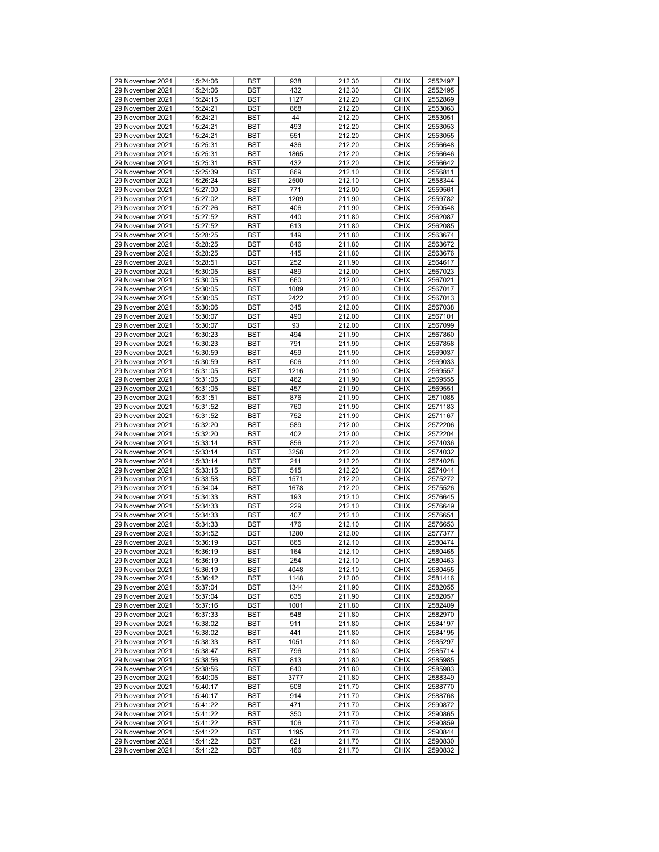| 29 November 2021 |          |            |      |        |             |         |
|------------------|----------|------------|------|--------|-------------|---------|
|                  | 15:24:06 | <b>BST</b> | 938  | 212.30 | <b>CHIX</b> | 2552497 |
| 29 November 2021 | 15:24:06 | <b>BST</b> | 432  | 212.30 | <b>CHIX</b> | 2552495 |
| 29 November 2021 | 15:24:15 | <b>BST</b> | 1127 | 212.20 | <b>CHIX</b> | 2552869 |
| 29 November 2021 | 15:24:21 | <b>BST</b> | 868  | 212.20 | <b>CHIX</b> | 2553063 |
| 29 November 2021 | 15:24:21 | <b>BST</b> | 44   | 212.20 | <b>CHIX</b> | 2553051 |
|                  |          |            |      |        |             |         |
| 29 November 2021 | 15:24:21 | <b>BST</b> | 493  | 212.20 | <b>CHIX</b> | 2553053 |
| 29 November 2021 | 15:24:21 | <b>BST</b> | 551  | 212.20 | <b>CHIX</b> | 2553055 |
| 29 November 2021 | 15:25:31 | <b>BST</b> | 436  | 212.20 | <b>CHIX</b> | 2556648 |
| 29 November 2021 | 15:25:31 | <b>BST</b> | 1865 | 212.20 | <b>CHIX</b> | 2556646 |
| 29 November 2021 | 15:25:31 | <b>BST</b> | 432  | 212.20 | <b>CHIX</b> | 2556642 |
|                  |          |            |      |        |             |         |
| 29 November 2021 | 15:25:39 | <b>BST</b> | 869  | 212.10 | <b>CHIX</b> | 2556811 |
| 29 November 2021 | 15:26:24 | <b>BST</b> | 2500 | 212.10 | <b>CHIX</b> | 2558344 |
| 29 November 2021 | 15:27:00 | <b>BST</b> | 771  | 212.00 | <b>CHIX</b> | 2559561 |
| 29 November 2021 | 15:27:02 | <b>BST</b> | 1209 | 211.90 | <b>CHIX</b> | 2559782 |
| 29 November 2021 | 15:27:26 | <b>BST</b> | 406  | 211.90 | <b>CHIX</b> | 2560548 |
|                  |          |            |      |        |             |         |
| 29 November 2021 | 15:27:52 | <b>BST</b> | 440  | 211.80 | <b>CHIX</b> | 2562087 |
| 29 November 2021 | 15:27:52 | <b>BST</b> | 613  | 211.80 | <b>CHIX</b> | 2562085 |
| 29 November 2021 | 15:28:25 | <b>BST</b> | 149  | 211.80 | <b>CHIX</b> | 2563674 |
| 29 November 2021 | 15:28:25 | <b>BST</b> | 846  | 211.80 | <b>CHIX</b> | 2563672 |
| 29 November 2021 |          |            |      | 211.80 | <b>CHIX</b> |         |
|                  | 15:28:25 | <b>BST</b> | 445  |        |             | 2563676 |
| 29 November 2021 | 15:28:51 | <b>BST</b> | 252  | 211.90 | <b>CHIX</b> | 2564617 |
| 29 November 2021 | 15:30:05 | <b>BST</b> | 489  | 212.00 | <b>CHIX</b> | 2567023 |
| 29 November 2021 | 15:30:05 | <b>BST</b> | 660  | 212.00 | <b>CHIX</b> | 2567021 |
| 29 November 2021 | 15:30:05 | <b>BST</b> | 1009 | 212.00 | <b>CHIX</b> | 2567017 |
|                  |          |            |      |        |             |         |
| 29 November 2021 | 15:30:05 | <b>BST</b> | 2422 | 212.00 | <b>CHIX</b> | 2567013 |
| 29 November 2021 | 15:30:06 | <b>BST</b> | 345  | 212.00 | <b>CHIX</b> | 2567038 |
| 29 November 2021 | 15:30:07 | <b>BST</b> | 490  | 212.00 | <b>CHIX</b> | 2567101 |
| 29 November 2021 | 15:30:07 | <b>BST</b> | 93   | 212.00 | <b>CHIX</b> | 2567099 |
| 29 November 2021 |          |            | 494  |        |             |         |
|                  | 15:30:23 | <b>BST</b> |      | 211.90 | <b>CHIX</b> | 2567860 |
| 29 November 2021 | 15:30:23 | <b>BST</b> | 791  | 211.90 | <b>CHIX</b> | 2567858 |
| 29 November 2021 | 15:30:59 | <b>BST</b> | 459  | 211.90 | <b>CHIX</b> | 2569037 |
| 29 November 2021 | 15:30:59 | <b>BST</b> | 606  | 211.90 | <b>CHIX</b> | 2569033 |
| 29 November 2021 | 15:31:05 | <b>BST</b> | 1216 | 211.90 | <b>CHIX</b> | 2569557 |
| 29 November 2021 | 15:31:05 | <b>BST</b> | 462  | 211.90 | <b>CHIX</b> |         |
|                  |          |            |      |        |             | 2569555 |
| 29 November 2021 | 15:31:05 | <b>BST</b> | 457  | 211.90 | <b>CHIX</b> | 2569551 |
| 29 November 2021 | 15:31:51 | <b>BST</b> | 876  | 211.90 | <b>CHIX</b> | 2571085 |
| 29 November 2021 | 15:31:52 | <b>BST</b> | 760  | 211.90 | <b>CHIX</b> | 2571183 |
| 29 November 2021 | 15:31:52 | <b>BST</b> | 752  | 211.90 | <b>CHIX</b> | 2571167 |
|                  | 15:32:20 | <b>BST</b> | 589  |        |             | 2572206 |
| 29 November 2021 |          |            |      |        |             |         |
|                  |          |            |      | 212.00 | <b>CHIX</b> |         |
| 29 November 2021 | 15:32:20 | <b>BST</b> | 402  | 212.00 | <b>CHIX</b> | 2572204 |
| 29 November 2021 | 15:33:14 | <b>BST</b> | 856  | 212.20 | <b>CHIX</b> | 2574036 |
|                  |          |            |      |        |             |         |
| 29 November 2021 | 15:33:14 | <b>BST</b> | 3258 | 212.20 | <b>CHIX</b> | 2574032 |
| 29 November 2021 | 15:33:14 | <b>BST</b> | 211  | 212.20 | <b>CHIX</b> | 2574028 |
| 29 November 2021 | 15:33:15 | <b>BST</b> | 515  | 212.20 | <b>CHIX</b> | 2574044 |
| 29 November 2021 | 15:33:58 | <b>BST</b> | 1571 | 212.20 | <b>CHIX</b> | 2575272 |
| 29 November 2021 | 15:34:04 | <b>BST</b> | 1678 | 212.20 | <b>CHIX</b> | 2575526 |
|                  |          |            |      |        |             |         |
| 29 November 2021 | 15:34:33 | <b>BST</b> | 193  | 212.10 | <b>CHIX</b> | 2576645 |
| 29 November 2021 | 15:34:33 | <b>BST</b> | 229  | 212.10 | <b>CHIX</b> | 2576649 |
| 29 November 2021 | 15:34:33 | <b>BST</b> | 407  | 212.10 | <b>CHIX</b> | 2576651 |
| 29 November 2021 | 15:34:33 | <b>BST</b> | 476  | 212.10 | <b>CHIX</b> | 2576653 |
| 29 November 2021 | 15:34:52 | <b>BST</b> | 1280 | 212.00 | <b>CHIX</b> | 2577377 |
|                  |          |            |      |        | <b>CHIX</b> |         |
| 29 November 2021 | 15:36:19 | <b>BST</b> | 865  | 212.10 |             | 2580474 |
| 29 November 2021 | 15:36:19 | <b>BST</b> | 164  | 212.10 | <b>CHIX</b> | 2580465 |
| 29 November 2021 | 15:36:19 | <b>BST</b> | 254  | 212.10 | <b>CHIX</b> | 2580463 |
| 29 November 2021 | 15:36:19 | <b>BST</b> | 4048 | 212.10 | <b>CHIX</b> | 2580455 |
| 29 November 2021 | 15:36:42 | <b>BST</b> | 1148 | 212.00 | <b>CHIX</b> | 2581416 |
|                  |          |            |      |        |             |         |
| 29 November 2021 | 15:37:04 | BST        | 1344 | 211.90 | <b>CHIX</b> | 2582055 |
| 29 November 2021 | 15:37:04 | <b>BST</b> | 635  | 211.90 | <b>CHIX</b> | 2582057 |
| 29 November 2021 | 15:37:16 | <b>BST</b> | 1001 | 211.80 | <b>CHIX</b> | 2582409 |
| 29 November 2021 | 15:37:33 | <b>BST</b> | 548  | 211.80 | <b>CHIX</b> | 2582970 |
| 29 November 2021 | 15:38:02 | <b>BST</b> | 911  | 211.80 | <b>CHIX</b> | 2584197 |
|                  |          |            |      |        |             |         |
| 29 November 2021 | 15:38:02 | BST        | 441  | 211.80 | <b>CHIX</b> | 2584195 |
| 29 November 2021 | 15:38:33 | <b>BST</b> | 1051 | 211.80 | <b>CHIX</b> | 2585297 |
| 29 November 2021 | 15:38:47 | <b>BST</b> | 796  | 211.80 | <b>CHIX</b> | 2585714 |
| 29 November 2021 | 15:38:56 | <b>BST</b> | 813  | 211.80 | <b>CHIX</b> | 2585985 |
| 29 November 2021 | 15:38:56 | <b>BST</b> | 640  | 211.80 | <b>CHIX</b> | 2585983 |
|                  |          |            |      |        |             |         |
| 29 November 2021 | 15:40:05 | <b>BST</b> | 3777 | 211.80 | <b>CHIX</b> | 2588349 |
| 29 November 2021 | 15:40:17 | <b>BST</b> | 508  | 211.70 | <b>CHIX</b> | 2588770 |
| 29 November 2021 | 15:40:17 | <b>BST</b> | 914  | 211.70 | <b>CHIX</b> | 2588768 |
| 29 November 2021 | 15:41:22 | <b>BST</b> | 471  | 211.70 | <b>CHIX</b> | 2590872 |
|                  |          |            |      |        |             |         |
| 29 November 2021 | 15:41:22 | <b>BST</b> | 350  | 211.70 | <b>CHIX</b> | 2590865 |
| 29 November 2021 | 15:41:22 | BST        | 106  | 211.70 | <b>CHIX</b> | 2590859 |
| 29 November 2021 | 15:41:22 | <b>BST</b> | 1195 | 211.70 | <b>CHIX</b> | 2590844 |
| 29 November 2021 | 15:41:22 | BST        | 621  | 211.70 | <b>CHIX</b> | 2590830 |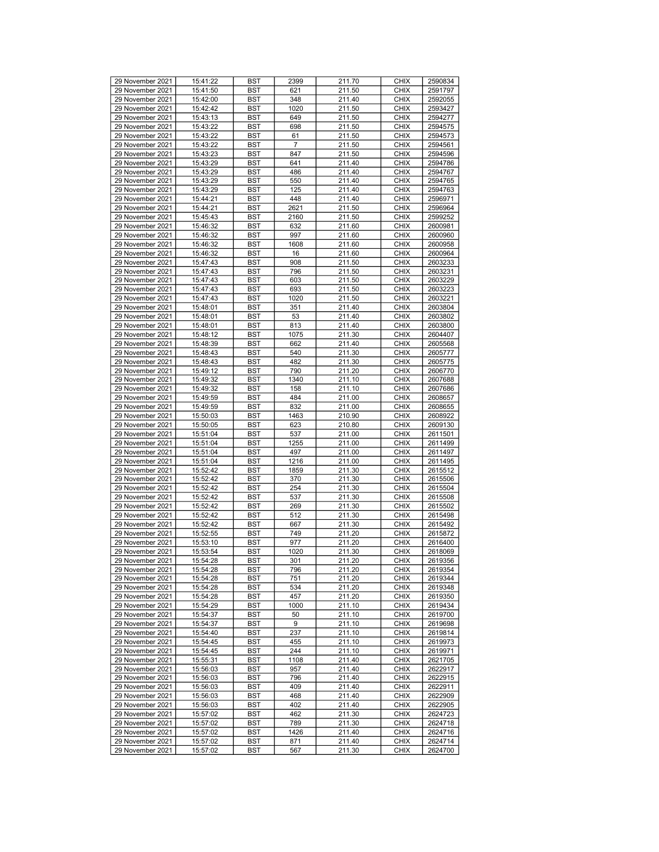| 29 November 2021 | 15:41:22 | <b>BST</b> | 2399 | 211.70 | <b>CHIX</b> | 2590834 |
|------------------|----------|------------|------|--------|-------------|---------|
| 29 November 2021 | 15:41:50 | <b>BST</b> | 621  | 211.50 | <b>CHIX</b> | 2591797 |
|                  |          |            |      |        |             |         |
| 29 November 2021 | 15:42:00 | <b>BST</b> | 348  | 211.40 | <b>CHIX</b> | 2592055 |
| 29 November 2021 | 15:42:42 | <b>BST</b> | 1020 | 211.50 | <b>CHIX</b> | 2593427 |
|                  |          |            |      |        |             |         |
| 29 November 2021 | 15:43:13 | <b>BST</b> | 649  | 211.50 | <b>CHIX</b> | 2594277 |
| 29 November 2021 | 15:43:22 | <b>BST</b> | 698  | 211.50 | <b>CHIX</b> | 2594575 |
|                  |          |            |      |        |             |         |
| 29 November 2021 | 15:43:22 | <b>BST</b> | 61   | 211.50 | <b>CHIX</b> | 2594573 |
| 29 November 2021 | 15:43:22 | <b>BST</b> | 7    | 211.50 | <b>CHIX</b> | 2594561 |
|                  |          |            |      |        |             |         |
| 29 November 2021 | 15:43:23 | <b>BST</b> | 847  | 211.50 | <b>CHIX</b> | 2594596 |
| 29 November 2021 | 15:43:29 | <b>BST</b> | 641  | 211.40 | <b>CHIX</b> | 2594786 |
|                  |          |            |      |        |             |         |
| 29 November 2021 | 15:43:29 | <b>BST</b> | 486  | 211.40 | <b>CHIX</b> | 2594767 |
| 29 November 2021 | 15:43:29 | <b>BST</b> | 550  | 211.40 | <b>CHIX</b> | 2594765 |
|                  |          |            |      |        |             |         |
| 29 November 2021 | 15:43:29 | <b>BST</b> | 125  | 211.40 | <b>CHIX</b> | 2594763 |
| 29 November 2021 | 15:44:21 | <b>BST</b> | 448  | 211.40 | <b>CHIX</b> | 2596971 |
|                  |          |            |      |        |             |         |
| 29 November 2021 | 15:44:21 | <b>BST</b> | 2621 | 211.50 | <b>CHIX</b> | 2596964 |
| 29 November 2021 | 15:45:43 | <b>BST</b> | 2160 | 211.50 | <b>CHIX</b> | 2599252 |
|                  |          |            |      |        |             |         |
| 29 November 2021 | 15:46:32 | <b>BST</b> | 632  | 211.60 | <b>CHIX</b> | 2600981 |
| 29 November 2021 | 15:46:32 | <b>BST</b> | 997  | 211.60 | <b>CHIX</b> | 2600960 |
|                  |          |            |      |        |             |         |
| 29 November 2021 | 15:46:32 | <b>BST</b> | 1608 | 211.60 | <b>CHIX</b> | 2600958 |
| 29 November 2021 | 15:46:32 |            | 16   |        | <b>CHIX</b> |         |
|                  |          | <b>BST</b> |      | 211.60 |             | 2600964 |
| 29 November 2021 | 15:47:43 | <b>BST</b> | 908  | 211.50 | <b>CHIX</b> | 2603233 |
|                  |          |            |      |        |             |         |
| 29 November 2021 | 15:47:43 | <b>BST</b> | 796  | 211.50 | <b>CHIX</b> | 2603231 |
| 29 November 2021 | 15:47:43 | <b>BST</b> | 603  | 211.50 | <b>CHIX</b> | 2603229 |
| 29 November 2021 | 15:47:43 |            |      |        |             |         |
|                  |          | <b>BST</b> | 693  | 211.50 | <b>CHIX</b> | 2603223 |
| 29 November 2021 | 15:47:43 | <b>BST</b> | 1020 | 211.50 | <b>CHIX</b> | 2603221 |
|                  |          |            |      | 211.40 |             |         |
| 29 November 2021 | 15:48:01 | <b>BST</b> | 351  |        | <b>CHIX</b> | 2603804 |
| 29 November 2021 | 15:48:01 | <b>BST</b> | 53   | 211.40 | <b>CHIX</b> | 2603802 |
| 29 November 2021 | 15:48:01 | <b>BST</b> | 813  | 211.40 | <b>CHIX</b> | 2603800 |
|                  |          |            |      |        |             |         |
| 29 November 2021 | 15:48:12 | <b>BST</b> | 1075 | 211.30 | <b>CHIX</b> | 2604407 |
| 29 November 2021 | 15:48:39 | <b>BST</b> | 662  | 211.40 | <b>CHIX</b> | 2605568 |
|                  |          |            |      |        |             |         |
| 29 November 2021 | 15:48:43 | <b>BST</b> | 540  | 211.30 | <b>CHIX</b> | 2605777 |
| 29 November 2021 | 15:48:43 | <b>BST</b> | 482  | 211.30 | <b>CHIX</b> | 2605775 |
|                  |          |            |      |        |             |         |
| 29 November 2021 | 15:49:12 | <b>BST</b> | 790  | 211.20 | <b>CHIX</b> | 2606770 |
| 29 November 2021 | 15:49:32 | <b>BST</b> | 1340 | 211.10 | <b>CHIX</b> | 2607688 |
|                  |          |            |      |        |             |         |
| 29 November 2021 | 15:49:32 | <b>BST</b> | 158  | 211.10 | <b>CHIX</b> | 2607686 |
| 29 November 2021 | 15:49:59 | <b>BST</b> | 484  | 211.00 | <b>CHIX</b> | 2608657 |
|                  |          |            |      |        |             |         |
| 29 November 2021 | 15:49:59 | <b>BST</b> | 832  | 211.00 | <b>CHIX</b> | 2608655 |
| 29 November 2021 | 15:50:03 | <b>BST</b> | 1463 | 210.90 | <b>CHIX</b> | 2608922 |
| 29 November 2021 |          |            | 623  |        |             |         |
|                  | 15:50:05 | <b>BST</b> |      | 210.80 | <b>CHIX</b> | 2609130 |
| 29 November 2021 | 15:51:04 | <b>BST</b> | 537  | 211.00 | <b>CHIX</b> | 2611501 |
| 29 November 2021 | 15:51:04 | <b>BST</b> | 1255 | 211.00 | <b>CHIX</b> | 2611499 |
|                  |          |            |      |        |             |         |
| 29 November 2021 | 15:51:04 | <b>BST</b> | 497  | 211.00 | <b>CHIX</b> | 2611497 |
| 29 November 2021 | 15:51:04 | <b>BST</b> | 1216 | 211.00 | <b>CHIX</b> | 2611495 |
|                  |          |            |      |        |             |         |
| 29 November 2021 | 15:52:42 | <b>BST</b> | 1859 | 211.30 | <b>CHIX</b> | 2615512 |
| 29 November 2021 | 15:52:42 | <b>BST</b> | 370  | 211.30 | <b>CHIX</b> | 2615506 |
|                  |          |            |      |        |             |         |
| 29 November 2021 | 15:52:42 | <b>BST</b> | 254  | 211.30 | <b>CHIX</b> | 2615504 |
| 29 November 2021 | 15:52:42 | <b>BST</b> | 537  | 211.30 | <b>CHIX</b> | 2615508 |
|                  |          |            |      |        |             |         |
| 29 November 2021 | 15:52:42 | <b>BST</b> | 269  | 211.30 | <b>CHIX</b> | 2615502 |
| 29 November 2021 | 15:52:42 | <b>BST</b> | 512  | 211.30 | <b>CHIX</b> | 2615498 |
| 29 November 2021 |          |            |      | 211.30 | <b>CHIX</b> | 2615492 |
|                  | 15:52:42 | <b>BST</b> | 667  |        |             |         |
| 29 November 2021 | 15:52:55 | <b>BST</b> | 749  | 211.20 | <b>CHIX</b> | 2615872 |
| 29 November 2021 | 15:53:10 | <b>BST</b> | 977  | 211.20 | <b>CHIX</b> | 2616400 |
|                  |          |            |      |        |             |         |
| 29 November 2021 | 15:53:54 | <b>BST</b> | 1020 | 211.30 | <b>CHIX</b> | 2618069 |
| 29 November 2021 | 15:54:28 | <b>BST</b> | 301  | 211.20 | <b>CHIX</b> | 2619356 |
|                  |          |            |      |        |             |         |
| 29 November 2021 | 15:54:28 | <b>BST</b> | 796  | 211.20 | <b>CHIX</b> | 2619354 |
| 29 November 2021 | 15:54:28 | <b>BST</b> | 751  | 211.20 | <b>CHIX</b> | 2619344 |
|                  |          |            |      |        |             |         |
| 29 November 2021 | 15:54:28 | <b>BST</b> | 534  | 211.20 | <b>CHIX</b> | 2619348 |
| 29 November 2021 | 15:54:28 | <b>BST</b> | 457  | 211.20 | <b>CHIX</b> | 2619350 |
| 29 November 2021 | 15:54:29 | BST        | 1000 | 211.10 | <b>CHIX</b> | 2619434 |
|                  |          |            |      |        |             |         |
| 29 November 2021 | 15:54:37 | <b>BST</b> | 50   | 211.10 | <b>CHIX</b> | 2619700 |
| 29 November 2021 | 15:54:37 | <b>BST</b> | 9    | 211.10 | <b>CHIX</b> | 2619698 |
|                  |          |            |      |        |             |         |
| 29 November 2021 | 15:54:40 | <b>BST</b> | 237  | 211.10 | <b>CHIX</b> | 2619814 |
| 29 November 2021 | 15:54:45 | <b>BST</b> | 455  | 211.10 | <b>CHIX</b> | 2619973 |
|                  |          |            |      |        |             |         |
| 29 November 2021 | 15:54:45 | <b>BST</b> | 244  | 211.10 | <b>CHIX</b> | 2619971 |
| 29 November 2021 | 15:55:31 | <b>BST</b> | 1108 | 211.40 | <b>CHIX</b> | 2621705 |
| 29 November 2021 | 15:56:03 | <b>BST</b> | 957  | 211.40 | <b>CHIX</b> | 2622917 |
|                  |          |            |      |        |             |         |
| 29 November 2021 | 15:56:03 | <b>BST</b> | 796  | 211.40 | <b>CHIX</b> | 2622915 |
| 29 November 2021 | 15:56:03 | <b>BST</b> | 409  | 211.40 | <b>CHIX</b> | 2622911 |
|                  |          |            |      |        |             |         |
| 29 November 2021 | 15:56:03 | <b>BST</b> | 468  | 211.40 | <b>CHIX</b> | 2622909 |
| 29 November 2021 | 15:56:03 | <b>BST</b> | 402  | 211.40 | <b>CHIX</b> | 2622905 |
| 29 November 2021 | 15:57:02 | <b>BST</b> | 462  | 211.30 | <b>CHIX</b> | 2624723 |
|                  |          |            |      |        |             |         |
| 29 November 2021 | 15:57:02 | BST        | 789  | 211.30 | <b>CHIX</b> | 2624718 |
| 29 November 2021 | 15:57:02 | <b>BST</b> | 1426 | 211.40 | <b>CHIX</b> | 2624716 |
|                  |          |            |      |        |             |         |
| 29 November 2021 | 15:57:02 | BST        | 871  | 211.40 | <b>CHIX</b> | 2624714 |
| 29 November 2021 | 15:57:02 | BST        | 567  | 211.30 | <b>CHIX</b> | 2624700 |
|                  |          |            |      |        |             |         |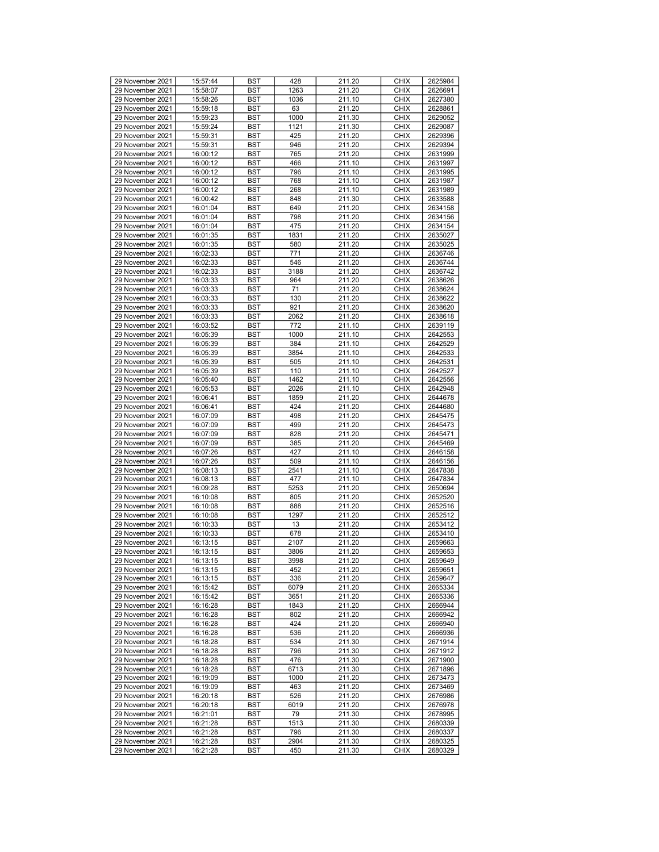| 29 November 2021                     | 15:57:44             | <b>BST</b> | 428         | 211.20           | <b>CHIX</b>                | 2625984            |
|--------------------------------------|----------------------|------------|-------------|------------------|----------------------------|--------------------|
|                                      |                      |            |             |                  |                            |                    |
| 29 November 2021                     | 15:58:07             | <b>BST</b> | 1263        | 211.20           | <b>CHIX</b>                | 2626691            |
| 29 November 2021                     | 15:58:26             | <b>BST</b> | 1036        | 211.10           | <b>CHIX</b>                | 2627380            |
| 29 November 2021                     | 15:59:18             | <b>BST</b> | 63          | 211.20           | <b>CHIX</b>                | 2628861            |
| 29 November 2021                     | 15:59:23             | <b>BST</b> | 1000        | 211.30           | <b>CHIX</b>                | 2629052            |
|                                      |                      |            |             |                  |                            |                    |
| 29 November 2021                     | 15:59:24             | <b>BST</b> | 1121        | 211.30           | <b>CHIX</b>                | 2629087            |
| 29 November 2021                     | 15:59:31             | <b>BST</b> | 425         | 211.20           | <b>CHIX</b>                | 2629396            |
| 29 November 2021                     | 15:59:31             | <b>BST</b> | 946         | 211.20           | <b>CHIX</b>                | 2629394            |
| 29 November 2021                     | 16:00:12             | <b>BST</b> | 765         | 211.20           | <b>CHIX</b>                | 2631999            |
|                                      |                      |            |             |                  |                            |                    |
| 29 November 2021                     | 16:00:12             | <b>BST</b> | 466         | 211.10           | <b>CHIX</b>                | 2631997            |
| 29 November 2021                     | 16:00:12             | <b>BST</b> | 796         | 211.10           | <b>CHIX</b>                | 2631995            |
| 29 November 2021                     | 16:00:12             | <b>BST</b> | 768         | 211.10           | <b>CHIX</b>                | 2631987            |
| 29 November 2021                     | 16:00:12             | <b>BST</b> | 268         | 211.10           | <b>CHIX</b>                | 2631989            |
|                                      |                      |            |             |                  |                            |                    |
| 29 November 2021                     | 16:00:42             | <b>BST</b> | 848         | 211.30           | <b>CHIX</b>                | 2633588            |
| 29 November 2021                     | 16:01:04             | <b>BST</b> | 649         | 211.20           | <b>CHIX</b>                | 2634158            |
| 29 November 2021                     | 16:01:04             | <b>BST</b> | 798         | 211.20           | <b>CHIX</b>                | 2634156            |
| 29 November 2021                     | 16:01:04             | <b>BST</b> | 475         | 211.20           | <b>CHIX</b>                | 2634154            |
|                                      |                      |            |             |                  |                            |                    |
| 29 November 2021                     | 16:01:35             | <b>BST</b> | 1831        | 211.20           | <b>CHIX</b>                | 2635027            |
| 29 November 2021                     | 16:01:35             | <b>BST</b> | 580         | 211.20           | <b>CHIX</b>                | 2635025            |
| 29 November 2021                     | 16:02:33             | <b>BST</b> | 771         | 211.20           | <b>CHIX</b>                | 2636746            |
|                                      |                      |            |             |                  |                            |                    |
| 29 November 2021                     | 16:02:33             | <b>BST</b> | 546         | 211.20           | <b>CHIX</b>                | 2636744            |
| 29 November 2021                     | 16:02:33             | <b>BST</b> | 3188        | 211.20           | <b>CHIX</b>                | 2636742            |
| 29 November 2021                     | 16:03:33             | <b>BST</b> | 964         | 211.20           | <b>CHIX</b>                | 2638626            |
| 29 November 2021                     | 16:03:33             | <b>BST</b> | 71          | 211.20           | <b>CHIX</b>                | 2638624            |
| 29 November 2021                     |                      |            |             |                  | <b>CHIX</b>                |                    |
|                                      | 16:03:33             | <b>BST</b> | 130         | 211.20           |                            | 2638622            |
| 29 November 2021                     | 16:03:33             | <b>BST</b> | 921         | 211.20           | <b>CHIX</b>                | 2638620            |
| 29 November 2021                     | 16:03:33             | <b>BST</b> | 2062        | 211.20           | <b>CHIX</b>                | 2638618            |
| 29 November 2021                     | 16:03:52             | <b>BST</b> | 772         | 211.10           | <b>CHIX</b>                | 2639119            |
|                                      |                      |            |             |                  |                            |                    |
| 29 November 2021                     | 16:05:39             | <b>BST</b> | 1000        | 211.10           | <b>CHIX</b>                | 2642553            |
| 29 November 2021                     | 16:05:39             | <b>BST</b> | 384         | 211.10           | <b>CHIX</b>                | 2642529            |
| 29 November 2021                     | 16:05:39             | <b>BST</b> | 3854        | 211.10           | <b>CHIX</b>                | 2642533            |
| 29 November 2021                     | 16:05:39             | <b>BST</b> | 505         | 211.10           | <b>CHIX</b>                | 2642531            |
|                                      |                      |            |             |                  |                            |                    |
| 29 November 2021                     | 16:05:39             | <b>BST</b> | 110         | 211.10           | <b>CHIX</b>                | 2642527            |
| 29 November 2021                     | 16:05:40             | <b>BST</b> | 1462        | 211.10           | <b>CHIX</b>                | 2642556            |
| 29 November 2021                     | 16:05:53             | <b>BST</b> | 2026        | 211.10           | <b>CHIX</b>                | 2642948            |
| 29 November 2021                     | 16:06:41             | <b>BST</b> | 1859        | 211.20           | <b>CHIX</b>                | 2644678            |
|                                      |                      |            |             |                  |                            |                    |
| 29 November 2021                     | 16:06:41             | <b>BST</b> | 424         | 211.20           | <b>CHIX</b>                | 2644680            |
| 29 November 2021                     | 16:07:09             | <b>BST</b> | 498         | 211.20           | <b>CHIX</b>                | 2645475            |
| 29 November 2021                     | 16:07:09             | <b>BST</b> | 499         | 211.20           | <b>CHIX</b>                | 2645473            |
| 29 November 2021                     | 16:07:09             | <b>BST</b> | 828         | 211.20           | <b>CHIX</b>                | 2645471            |
|                                      |                      |            |             |                  |                            |                    |
| 29 November 2021                     | 16:07:09             | <b>BST</b> | 385         | 211.20           | <b>CHIX</b>                | 2645469            |
| 29 November 2021                     | 16:07:26             | <b>BST</b> | 427         | 211.10           | <b>CHIX</b>                | 2646158            |
| 29 November 2021                     | 16:07:26             | <b>BST</b> | 509         | 211.10           | <b>CHIX</b>                | 2646156            |
| 29 November 2021                     | 16:08:13             | <b>BST</b> | 2541        | 211.10           | <b>CHIX</b>                | 2647838            |
| 29 November 2021                     | 16:08:13             |            |             |                  | <b>CHIX</b>                | 2647834            |
|                                      |                      | <b>BST</b> | 477         | 211.10           |                            |                    |
| 29 November 2021                     | 16:09:28             | <b>BST</b> | 5253        | 211.20           | <b>CHIX</b>                | 2650694            |
| 29 November 2021                     | 16:10:08             | <b>BST</b> | 805         | 211.20           | <b>CHIX</b>                | 2652520            |
| 29 November 2021                     | 16:10:08             | <b>BST</b> | 888         | 211.20           | <b>CHIX</b>                | 2652516            |
| 29 November 2021                     | 16:10:08             | <b>BST</b> | 1297        | 211.20           | <b>CHIX</b>                | 2652512            |
|                                      |                      |            |             |                  |                            |                    |
| 29 November 2021                     | 16:10:33             | <b>BST</b> | 13          | 211.20           | <b>CHIX</b>                | 2653412            |
| 29 November 2021                     | 16:10:33             | <b>BST</b> | 678         | 211.20           | <b>CHIX</b>                | 2653410            |
| 29 November 2021                     | 16:13:15             | <b>BST</b> | 2107        | 211.20           | <b>CHIX</b>                | 2659663            |
| 29 November 2021                     | 16:13:15             | <b>BST</b> | 3806        | 211.20           | <b>CHIX</b>                | 2659653            |
|                                      |                      |            |             |                  |                            |                    |
| 29 November 2021                     | 16:13:15             | <b>BST</b> | 3998        | 211.20           | <b>CHIX</b>                | 2659649            |
| 29 November 2021                     | 16:13:15             | <b>BST</b> | 452         | 211.20           | <b>CHIX</b>                | 2659651            |
| 29 November 2021                     | 16:13:15             | <b>BST</b> | 336         | 211.20           | <b>CHIX</b>                | 2659647            |
| 29 November 2021                     | 16:15:42             | BST        | 6079        | 211.20           | <b>CHIX</b>                | 2665334            |
| 29 November 2021                     | 16:15:42             |            |             |                  | <b>CHIX</b>                | 2665336            |
|                                      |                      | <b>BST</b> | 3651        | 211.20           |                            |                    |
| 29 November 2021                     | 16:16:28             | <b>BST</b> | 1843        | 211.20           | <b>CHIX</b>                | 2666944            |
| 29 November 2021                     | 16:16:28             | <b>BST</b> | 802         | 211.20           | <b>CHIX</b>                | 2666942            |
| 29 November 2021                     | 16:16:28             | <b>BST</b> | 424         | 211.20           | <b>CHIX</b>                | 2666940            |
| 29 November 2021                     | 16:16:28             | BST        | 536         | 211.20           | <b>CHIX</b>                | 2666936            |
|                                      |                      |            |             |                  |                            |                    |
| 29 November 2021                     |                      |            | 534         | 211.30           | <b>CHIX</b>                | 2671914            |
| 29 November 2021                     | 16:18:28             | <b>BST</b> |             |                  |                            | 2671912            |
|                                      | 16:18:28             | <b>BST</b> | 796         | 211.30           | <b>CHIX</b>                |                    |
|                                      |                      |            |             |                  |                            |                    |
| 29 November 2021                     | 16:18:28             | <b>BST</b> | 476         | 211.30           | <b>CHIX</b>                | 2671900            |
| 29 November 2021                     | 16:18:28             | <b>BST</b> | 6713        | 211.30           | <b>CHIX</b>                | 2671896            |
| 29 November 2021                     | 16:19:09             | <b>BST</b> | 1000        | 211.20           | <b>CHIX</b>                | 2673473            |
| 29 November 2021                     | 16:19:09             | <b>BST</b> | 463         | 211.20           | <b>CHIX</b>                | 2673469            |
|                                      |                      |            |             |                  |                            |                    |
| 29 November 2021                     | 16:20:18             | <b>BST</b> | 526         | 211.20           | <b>CHIX</b>                | 2676986            |
| 29 November 2021                     | 16:20:18             | <b>BST</b> | 6019        | 211.20           | <b>CHIX</b>                | 2676978            |
| 29 November 2021                     | 16:21:01             | <b>BST</b> | 79          | 211.30           | <b>CHIX</b>                | 2678995            |
| 29 November 2021                     | 16:21:28             | BST        | 1513        | 211.30           | <b>CHIX</b>                | 2680339            |
|                                      |                      |            |             |                  |                            |                    |
| 29 November 2021                     | 16:21:28             | <b>BST</b> | 796         | 211.30           | <b>CHIX</b>                | 2680337            |
| 29 November 2021<br>29 November 2021 | 16:21:28<br>16:21:28 | BST<br>BST | 2904<br>450 | 211.30<br>211.30 | <b>CHIX</b><br><b>CHIX</b> | 2680325<br>2680329 |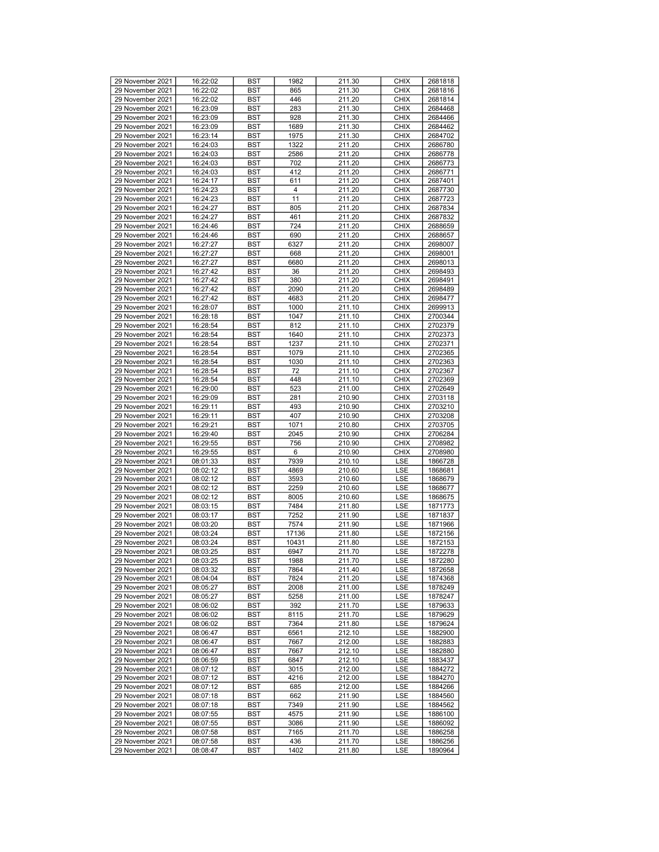|                  |          |            |                |        | <b>CHIX</b> |         |
|------------------|----------|------------|----------------|--------|-------------|---------|
| 29 November 2021 | 16:22:02 | <b>BST</b> | 1982           | 211.30 |             | 2681818 |
| 29 November 2021 | 16:22:02 | BST        | 865            | 211.30 | <b>CHIX</b> | 2681816 |
| 29 November 2021 | 16:22:02 | BST        | 446            | 211.20 | <b>CHIX</b> | 2681814 |
| 29 November 2021 | 16:23:09 | <b>BST</b> | 283            | 211.30 | <b>CHIX</b> | 2684468 |
| 29 November 2021 | 16:23:09 | <b>BST</b> | 928            | 211.30 | <b>CHIX</b> | 2684466 |
|                  |          |            |                |        |             |         |
| 29 November 2021 | 16:23:09 | <b>BST</b> | 1689           | 211.30 | <b>CHIX</b> | 2684462 |
| 29 November 2021 | 16:23:14 | BST        | 1975           | 211.30 | <b>CHIX</b> | 2684702 |
| 29 November 2021 | 16:24:03 | BST        | 1322           | 211.20 | <b>CHIX</b> | 2686780 |
| 29 November 2021 | 16:24:03 |            |                | 211.20 | <b>CHIX</b> | 2686778 |
|                  |          | <b>BST</b> | 2586           |        |             |         |
| 29 November 2021 | 16:24:03 | <b>BST</b> | 702            | 211.20 | <b>CHIX</b> | 2686773 |
| 29 November 2021 | 16:24:03 | <b>BST</b> | 412            | 211.20 | <b>CHIX</b> | 2686771 |
| 29 November 2021 | 16:24:17 | <b>BST</b> | 611            | 211.20 | <b>CHIX</b> | 2687401 |
|                  |          |            |                |        |             |         |
| 29 November 2021 | 16:24:23 | BST        | $\overline{4}$ | 211.20 | <b>CHIX</b> | 2687730 |
| 29 November 2021 | 16:24:23 | <b>BST</b> | 11             | 211.20 | <b>CHIX</b> | 2687723 |
| 29 November 2021 | 16:24:27 | <b>BST</b> | 805            | 211.20 | <b>CHIX</b> | 2687834 |
| 29 November 2021 | 16:24:27 | <b>BST</b> | 461            | 211.20 | <b>CHIX</b> | 2687832 |
|                  |          |            |                |        |             |         |
| 29 November 2021 | 16:24:46 | <b>BST</b> | 724            | 211.20 | <b>CHIX</b> | 2688659 |
| 29 November 2021 | 16:24:46 | BST        | 690            | 211.20 | <b>CHIX</b> | 2688657 |
| 29 November 2021 | 16:27:27 | <b>BST</b> | 6327           | 211.20 | <b>CHIX</b> | 2698007 |
| 29 November 2021 | 16:27:27 | <b>BST</b> | 668            | 211.20 | <b>CHIX</b> | 2698001 |
|                  |          |            |                |        |             |         |
| 29 November 2021 | 16:27:27 | <b>BST</b> | 6680           | 211.20 | <b>CHIX</b> | 2698013 |
| 29 November 2021 | 16:27:42 | BST        | 36             | 211.20 | <b>CHIX</b> | 2698493 |
| 29 November 2021 | 16:27:42 | BST        | 380            | 211.20 | <b>CHIX</b> | 2698491 |
| 29 November 2021 | 16:27:42 | <b>BST</b> | 2090           | 211.20 | <b>CHIX</b> | 2698489 |
| 29 November 2021 |          |            |                | 211.20 |             |         |
|                  | 16:27:42 | <b>BST</b> | 4683           |        | <b>CHIX</b> | 2698477 |
| 29 November 2021 | 16:28:07 | <b>BST</b> | 1000           | 211.10 | <b>CHIX</b> | 2699913 |
| 29 November 2021 | 16:28:18 | <b>BST</b> | 1047           | 211.10 | <b>CHIX</b> | 2700344 |
| 29 November 2021 | 16:28:54 | BST        | 812            | 211.10 | <b>CHIX</b> | 2702379 |
| 29 November 2021 | 16:28:54 | <b>BST</b> | 1640           | 211.10 | <b>CHIX</b> | 2702373 |
|                  |          |            |                |        |             |         |
| 29 November 2021 | 16:28:54 | <b>BST</b> | 1237           | 211.10 | <b>CHIX</b> | 2702371 |
| 29 November 2021 | 16:28:54 | <b>BST</b> | 1079           | 211.10 | <b>CHIX</b> | 2702365 |
| 29 November 2021 | 16:28:54 | <b>BST</b> | 1030           | 211.10 | <b>CHIX</b> | 2702363 |
| 29 November 2021 | 16:28:54 | BST        | 72             | 211.10 | <b>CHIX</b> | 2702367 |
|                  |          |            |                | 211.10 |             |         |
| 29 November 2021 | 16:28:54 | <b>BST</b> | 448            |        | <b>CHIX</b> | 2702369 |
| 29 November 2021 | 16:29:00 | <b>BST</b> | 523            | 211.00 | <b>CHIX</b> | 2702649 |
| 29 November 2021 | 16:29:09 | <b>BST</b> | 281            | 210.90 | <b>CHIX</b> | 2703118 |
| 29 November 2021 | 16:29:11 | <b>BST</b> | 493            | 210.90 | <b>CHIX</b> | 2703210 |
| 29 November 2021 | 16:29:11 | BST        | 407            | 210.90 | <b>CHIX</b> | 2703208 |
|                  |          |            |                |        |             |         |
| 29 November 2021 | 16:29:21 | <b>BST</b> | 1071           | 210.80 | <b>CHIX</b> | 2703705 |
| 29 November 2021 | 16:29:40 | <b>BST</b> | 2045           | 210.90 | <b>CHIX</b> | 2706284 |
| 29 November 2021 | 16:29:55 | <b>BST</b> | 756            | 210.90 | <b>CHIX</b> | 2708982 |
| 29 November 2021 | 16:29:55 | <b>BST</b> | 6              | 210.90 | <b>CHIX</b> | 2708980 |
| 29 November 2021 | 08:01:33 | BST        | 7939           | 210.10 | LSE         | 1866728 |
|                  |          |            |                |        |             |         |
| 29 November 2021 | 08:02:12 | <b>BST</b> | 4869           | 210.60 | LSE         | 1868681 |
| 29 November 2021 | 08:02:12 | <b>BST</b> | 3593           | 210.60 | LSE         | 1868679 |
| 29 November 2021 | 08:02:12 | <b>BST</b> | 2259           | 210.60 | LSE         | 1868677 |
| 29 November 2021 | 08:02:12 | BST        | 8005           | 210.60 | LSE         | 1868675 |
| 29 November 2021 |          |            | 7484           | 211.80 | LSE         |         |
|                  | 08:03:15 | BST        |                |        |             | 1871773 |
| 29 November 2021 | 08:03:17 | <b>BST</b> | 7252           | 211.90 | LSE         | 1871837 |
| 29 November 2021 | 08:03:20 | <b>BST</b> | 7574           | 211.90 | LSE         | 1871966 |
| 29 November 2021 | 08:03:24 | <b>BST</b> | 17136          | 211.80 | LSE         | 1872156 |
| 29 November 2021 | 08:03:24 | <b>BST</b> | 10431          | 211.80 | LSE         | 1872153 |
|                  |          |            |                |        |             |         |
| 29 November 2021 | 08:03:25 | BST        | 6947           | 211.70 | LSE         | 1872278 |
| 29 November 2021 | 08:03:25 | <b>BST</b> | 1988           | 211.70 | LSE         | 1872280 |
| 29 November 2021 | 08:03:32 | BST        | 7864           | 211.40 | <b>LSE</b>  | 1872658 |
| 29 November 2021 | 08:04:04 | <b>BST</b> | 7824           | 211.20 | LSE         | 1874368 |
| 29 November 2021 | 08:05:27 | <b>BST</b> | 2008           | 211.00 | LSE         | 1878249 |
| 29 November 2021 | 08:05:27 | BST        | 5258           | 211.00 | LSE         | 1878247 |
|                  |          |            |                |        |             |         |
| 29 November 2021 | 08:06:02 | <b>BST</b> | 392            | 211.70 | LSE         | 1879633 |
| 29 November 2021 | 08:06:02 | <b>BST</b> | 8115           | 211.70 | LSE         | 1879629 |
| 29 November 2021 | 08:06:02 | BST        | 7364           | 211.80 | LSE         | 1879624 |
| 29 November 2021 | 08:06:47 | BST        | 6561           | 212.10 | LSE         | 1882900 |
| 29 November 2021 | 08:06:47 | <b>BST</b> | 7667           | 212.00 | LSE         | 1882883 |
|                  |          |            |                |        |             |         |
| 29 November 2021 | 08:06:47 | <b>BST</b> | 7667           | 212.10 | LSE         | 1882880 |
| 29 November 2021 | 08:06:59 | BST        | 6847           | 212.10 | LSE         | 1883437 |
| 29 November 2021 | 08:07:12 | BST        | 3015           | 212.00 | LSE         | 1884272 |
| 29 November 2021 | 08:07:12 | <b>BST</b> | 4216           | 212.00 | LSE         | 1884270 |
| 29 November 2021 | 08:07:12 | BST        | 685            | 212.00 | LSE         | 1884266 |
|                  |          |            |                |        |             |         |
| 29 November 2021 | 08:07:18 | <b>BST</b> | 662            | 211.90 | LSE         | 1884560 |
| 29 November 2021 | 08:07:18 | <b>BST</b> | 7349           | 211.90 | LSE         | 1884562 |
| 29 November 2021 | 08:07:55 | BST        | 4575           | 211.90 | LSE         | 1886100 |
| 29 November 2021 | 08:07:55 | BST        | 3086           | 211.90 | LSE         | 1886092 |
| 29 November 2021 |          |            |                |        |             |         |
|                  | 08:07:58 | <b>BST</b> | 7165           | 211.70 | LSE         | 1886258 |
| 29 November 2021 | 08:07:58 | BST        | 436            | 211.70 | LSE         | 1886256 |
| 29 November 2021 | 08:08:47 | BST        | 1402           | 211.80 | LSE         | 1890964 |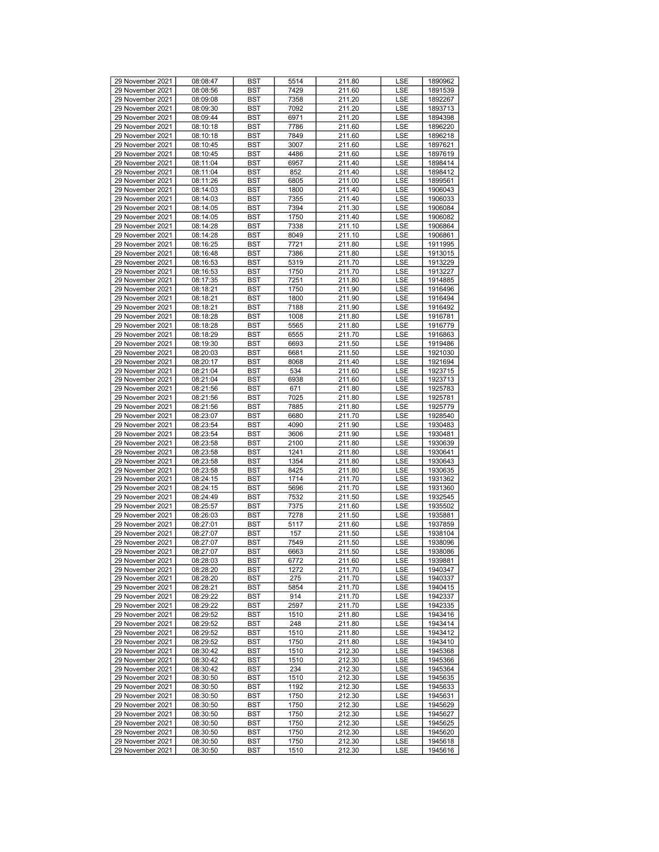| 29 November 2021 | 08:08:47 | <b>BST</b> | 5514 | 211.80 | LSE        | 1890962 |
|------------------|----------|------------|------|--------|------------|---------|
| 29 November 2021 | 08:08:56 | <b>BST</b> | 7429 | 211.60 | LSE        | 1891539 |
|                  |          |            |      |        |            |         |
| 29 November 2021 | 08:09:08 | <b>BST</b> | 7358 | 211.20 | LSE        | 1892267 |
| 29 November 2021 | 08:09:30 | <b>BST</b> | 7092 | 211.20 | LSE        | 1893713 |
| 29 November 2021 | 08:09:44 | <b>BST</b> | 6971 | 211.20 | <b>LSE</b> | 1894398 |
| 29 November 2021 | 08:10:18 | <b>BST</b> | 7786 | 211.60 | LSE        | 1896220 |
| 29 November 2021 | 08:10:18 | <b>BST</b> | 7849 | 211.60 | LSE        | 1896218 |
| 29 November 2021 | 08:10:45 | <b>BST</b> | 3007 | 211.60 | LSE        | 1897621 |
| 29 November 2021 | 08:10:45 | <b>BST</b> | 4486 | 211.60 | LSE        | 1897619 |
| 29 November 2021 | 08:11:04 | <b>BST</b> | 6957 | 211.40 | LSE        | 1898414 |
| 29 November 2021 | 08:11:04 | <b>BST</b> | 852  | 211.40 | LSE        | 1898412 |
| 29 November 2021 | 08:11:26 | <b>BST</b> | 6805 | 211.00 | LSE        | 1899561 |
| 29 November 2021 | 08:14:03 | <b>BST</b> | 1800 | 211.40 | LSE        | 1906043 |
|                  |          |            |      |        |            |         |
| 29 November 2021 | 08:14:03 | <b>BST</b> | 7355 | 211.40 | LSE        | 1906033 |
| 29 November 2021 | 08:14:05 | <b>BST</b> | 7394 | 211.30 | LSE        | 1906084 |
| 29 November 2021 | 08:14:05 | <b>BST</b> | 1750 | 211.40 | LSE        | 1906082 |
| 29 November 2021 | 08:14:28 | <b>BST</b> | 7338 | 211.10 | LSE        | 1906864 |
| 29 November 2021 | 08:14:28 | <b>BST</b> | 8049 | 211.10 | LSE        | 1906861 |
| 29 November 2021 | 08:16:25 | <b>BST</b> | 7721 | 211.80 | LSE        | 1911995 |
| 29 November 2021 | 08:16:48 | <b>BST</b> | 7386 | 211.80 | LSE        | 1913015 |
| 29 November 2021 | 08:16:53 | <b>BST</b> | 5319 | 211.70 | LSE        | 1913229 |
| 29 November 2021 | 08:16:53 | <b>BST</b> | 1750 | 211.70 | LSE        | 1913227 |
| 29 November 2021 | 08:17:35 | <b>BST</b> | 7251 | 211.80 | LSE        | 1914885 |
|                  |          |            |      |        |            |         |
| 29 November 2021 | 08:18:21 | <b>BST</b> | 1750 | 211.90 | LSE        | 1916496 |
| 29 November 2021 | 08:18:21 | <b>BST</b> | 1800 | 211.90 | LSE        | 1916494 |
| 29 November 2021 | 08:18:21 | <b>BST</b> | 7188 | 211.90 | LSE        | 1916492 |
| 29 November 2021 | 08:18:28 | <b>BST</b> | 1008 | 211.80 | LSE        | 1916781 |
| 29 November 2021 | 08:18:28 | <b>BST</b> | 5565 | 211.80 | LSE        | 1916779 |
| 29 November 2021 | 08:18:29 | <b>BST</b> | 6555 | 211.70 | LSE        | 1916863 |
| 29 November 2021 | 08:19:30 | <b>BST</b> | 6693 | 211.50 | LSE        | 1919486 |
| 29 November 2021 | 08:20:03 | <b>BST</b> | 6681 | 211.50 | LSE        | 1921030 |
| 29 November 2021 | 08:20:17 | <b>BST</b> | 8068 | 211.40 | LSE        | 1921694 |
| 29 November 2021 | 08:21:04 | <b>BST</b> | 534  | 211.60 | LSE        | 1923715 |
|                  |          |            |      |        |            |         |
| 29 November 2021 | 08:21:04 | <b>BST</b> | 6938 | 211.60 | LSE        | 1923713 |
| 29 November 2021 | 08:21:56 | <b>BST</b> | 671  | 211.80 | LSE        | 1925783 |
| 29 November 2021 | 08:21:56 | <b>BST</b> | 7025 | 211.80 | LSE        | 1925781 |
| 29 November 2021 | 08:21:56 | <b>BST</b> | 7885 | 211.80 | LSE        | 1925779 |
| 29 November 2021 | 08:23:07 | <b>BST</b> | 6680 | 211.70 | LSE        | 1928540 |
| 29 November 2021 | 08:23:54 | <b>BST</b> | 4090 | 211.90 | LSE        | 1930483 |
| 29 November 2021 | 08:23:54 | <b>BST</b> | 3606 | 211.90 | LSE        | 1930481 |
| 29 November 2021 | 08:23:58 | <b>BST</b> | 2100 | 211.80 | LSE        | 1930639 |
| 29 November 2021 | 08:23:58 | <b>BST</b> | 1241 | 211.80 | LSE        | 1930641 |
| 29 November 2021 | 08:23:58 | <b>BST</b> | 1354 | 211.80 | LSE        | 1930643 |
|                  |          |            |      |        |            |         |
| 29 November 2021 | 08:23:58 | <b>BST</b> | 8425 | 211.80 | LSE        | 1930635 |
| 29 November 2021 | 08:24:15 | <b>BST</b> | 1714 | 211.70 | LSE        | 1931362 |
| 29 November 2021 | 08:24:15 | <b>BST</b> | 5696 | 211.70 | LSE        | 1931360 |
| 29 November 2021 | 08:24:49 | <b>BST</b> | 7532 | 211.50 | LSE        | 1932545 |
| 29 November 2021 | 08:25:57 | <b>BST</b> | 7375 | 211.60 | LSE        | 1935502 |
| 29 November 2021 | 08:26:03 | <b>BST</b> | 7278 | 211.50 | LSE        | 1935881 |
| 29 November 2021 | 08:27:01 | <b>BST</b> | 5117 | 211.60 | LSE        | 1937859 |
| 29 November 2021 | 08:27:07 | <b>BST</b> | 157  | 211.50 | LSE        | 1938104 |
| 29 November 2021 | 08:27:07 | <b>BST</b> | 7549 | 211.50 | LSE        | 1938096 |
| 29 November 2021 | 08:27:07 | <b>BST</b> | 6663 | 211.50 | LSE        | 1938086 |
| 29 November 2021 | 08:28:03 | <b>BST</b> | 6772 | 211.60 | LSE        | 1939881 |
|                  |          |            | 1272 |        |            | 1940347 |
| 29 November 2021 | 08:28:20 | <b>BST</b> |      | 211.70 | LSE        |         |
| 29 November 2021 | 08:28:20 | BST        | 275  | 211.70 | LSE        | 1940337 |
| 29 November 2021 | 08:28:21 | <b>BST</b> | 5854 | 211.70 | LSE        | 1940415 |
| 29 November 2021 | 08:29:22 | <b>BST</b> | 914  | 211.70 | LSE        | 1942337 |
| 29 November 2021 | 08:29:22 | <b>BST</b> | 2597 | 211.70 | LSE        | 1942335 |
| 29 November 2021 | 08:29:52 | <b>BST</b> | 1510 | 211.80 | LSE        | 1943416 |
| 29 November 2021 | 08:29:52 | BST        | 248  | 211.80 | LSE        | 1943414 |
| 29 November 2021 | 08:29:52 | <b>BST</b> | 1510 | 211.80 | LSE        | 1943412 |
| 29 November 2021 | 08:29:52 | <b>BST</b> | 1750 | 211.80 | LSE        | 1943410 |
| 29 November 2021 | 08:30:42 | <b>BST</b> | 1510 | 212.30 | LSE        | 1945368 |
| 29 November 2021 | 08:30:42 | <b>BST</b> | 1510 | 212.30 | LSE        | 1945366 |
|                  |          |            |      |        |            |         |
| 29 November 2021 | 08:30:42 | BST        | 234  | 212.30 | LSE        | 1945364 |
| 29 November 2021 | 08:30:50 | <b>BST</b> | 1510 | 212.30 | LSE        | 1945635 |
| 29 November 2021 | 08:30:50 | <b>BST</b> | 1192 | 212.30 | LSE        | 1945633 |
| 29 November 2021 | 08:30:50 | BST        | 1750 | 212.30 | LSE        | 1945631 |
| 29 November 2021 | 08:30:50 | <b>BST</b> | 1750 | 212.30 | LSE        | 1945629 |
| 29 November 2021 | 08:30:50 | BST        | 1750 | 212.30 | LSE        | 1945627 |
| 29 November 2021 | 08:30:50 | <b>BST</b> | 1750 | 212.30 | LSE        | 1945625 |
| 29 November 2021 | 08:30:50 | <b>BST</b> | 1750 | 212.30 | LSE        | 1945620 |
| 29 November 2021 | 08:30:50 | BST        | 1750 | 212.30 | LSE        | 1945618 |
| 29 November 2021 | 08:30:50 | <b>BST</b> | 1510 | 212.30 | LSE        | 1945616 |
|                  |          |            |      |        |            |         |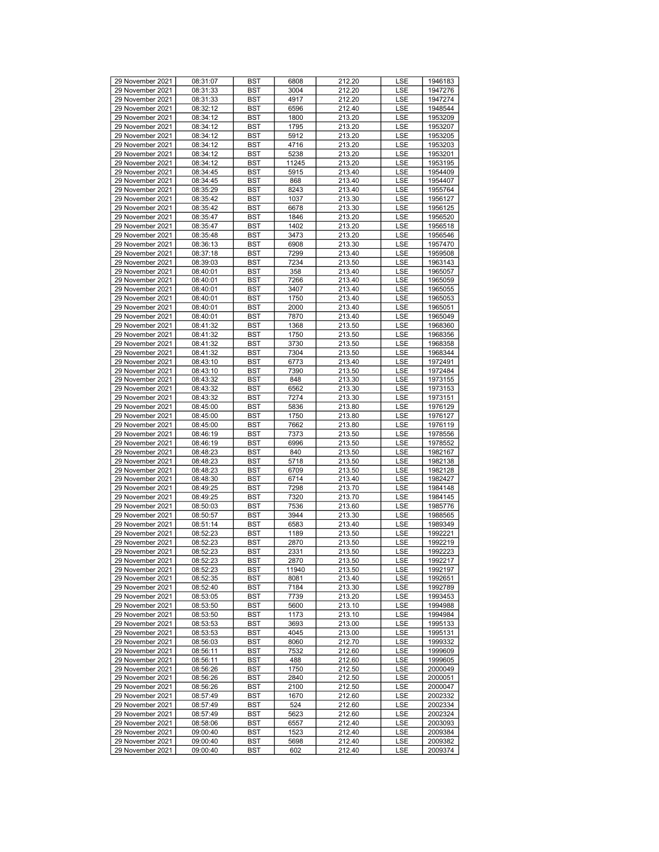| 29 November 2021                     | 08:31:07             | <b>BST</b> | 6808  | 212.20 | <b>LSE</b> | 1946183 |
|--------------------------------------|----------------------|------------|-------|--------|------------|---------|
| 29 November 2021                     | 08:31:33             | <b>BST</b> | 3004  | 212.20 | LSE        | 1947276 |
| 29 November 2021                     | 08:31:33             | BST        | 4917  | 212.20 | LSE        | 1947274 |
| 29 November 2021                     | 08:32:12             | <b>BST</b> | 6596  | 212.40 | LSE        | 1948544 |
| 29 November 2021                     | 08:34:12             | <b>BST</b> | 1800  | 213.20 | LSE        | 1953209 |
| 29 November 2021                     |                      |            | 1795  |        |            |         |
|                                      | 08:34:12             | <b>BST</b> |       | 213.20 | LSE        | 1953207 |
| 29 November 2021                     | 08:34:12             | <b>BST</b> | 5912  | 213.20 | LSE        | 1953205 |
| 29 November 2021                     | 08:34:12             | <b>BST</b> | 4716  | 213.20 | LSE        | 1953203 |
| 29 November 2021                     | 08:34:12             | <b>BST</b> | 5238  | 213.20 | LSE        | 1953201 |
| 29 November 2021                     | 08:34:12             | <b>BST</b> | 11245 | 213.20 | LSE        | 1953195 |
| 29 November 2021                     | 08:34:45             | <b>BST</b> | 5915  | 213.40 | LSE        | 1954409 |
| 29 November 2021                     | 08:34:45             | <b>BST</b> | 868   | 213.40 | LSE        | 1954407 |
| 29 November 2021                     | 08:35:29             | <b>BST</b> | 8243  | 213.40 | LSE        | 1955764 |
| 29 November 2021                     | 08:35:42             | <b>BST</b> | 1037  | 213.30 | LSE        | 1956127 |
| 29 November 2021                     | 08:35:42             | <b>BST</b> | 6678  | 213.30 | LSE        | 1956125 |
| 29 November 2021                     | 08:35:47             | <b>BST</b> | 1846  | 213.20 | LSE        | 1956520 |
| 29 November 2021                     | 08:35:47             | <b>BST</b> | 1402  | 213.20 | LSE        | 1956518 |
| 29 November 2021                     | 08:35:48             | <b>BST</b> | 3473  | 213.20 | LSE        | 1956546 |
| 29 November 2021                     | 08:36:13             | <b>BST</b> | 6908  | 213.30 | LSE        | 1957470 |
| 29 November 2021                     | 08:37:18             | <b>BST</b> | 7299  | 213.40 | LSE        | 1959508 |
| 29 November 2021                     | 08:39:03             | <b>BST</b> | 7234  | 213.50 | LSE        | 1963143 |
| 29 November 2021                     | 08:40:01             | <b>BST</b> | 358   | 213.40 | LSE        | 1965057 |
| 29 November 2021                     | 08:40:01             | <b>BST</b> | 7266  | 213.40 | LSE        | 1965059 |
| 29 November 2021                     | 08:40:01             | <b>BST</b> | 3407  | 213.40 | LSE        | 1965055 |
| 29 November 2021                     |                      | <b>BST</b> | 1750  |        |            |         |
| 29 November 2021                     | 08:40:01             |            |       | 213.40 | LSE        | 1965053 |
|                                      | 08:40:01             | <b>BST</b> | 2000  | 213.40 | LSE        | 1965051 |
| 29 November 2021                     | 08:40:01             | <b>BST</b> | 7870  | 213.40 | LSE        | 1965049 |
| 29 November 2021                     | 08:41:32             | <b>BST</b> | 1368  | 213.50 | LSE        | 1968360 |
| 29 November 2021                     | 08:41:32             | <b>BST</b> | 1750  | 213.50 | LSE        | 1968356 |
| 29 November 2021                     | 08:41:32             | <b>BST</b> | 3730  | 213.50 | LSE        | 1968358 |
| 29 November 2021                     | 08:41:32             | <b>BST</b> | 7304  | 213.50 | LSE        | 1968344 |
| 29 November 2021                     | 08:43:10             | <b>BST</b> | 6773  | 213.40 | LSE        | 1972491 |
| 29 November 2021                     | 08:43:10             | <b>BST</b> | 7390  | 213.50 | LSE        | 1972484 |
| 29 November 2021                     | 08:43:32             | <b>BST</b> | 848   | 213.30 | LSE        | 1973155 |
| 29 November 2021                     | 08:43:32             | <b>BST</b> | 6562  | 213.30 | LSE        | 1973153 |
| 29 November 2021                     | 08:43:32             | <b>BST</b> | 7274  | 213.30 | LSE        | 1973151 |
| 29 November 2021                     | 08:45:00             | <b>BST</b> | 5836  | 213.80 | LSE        | 1976129 |
| 29 November 2021                     | 08:45:00             | <b>BST</b> | 1750  | 213.80 | LSE        | 1976127 |
| 29 November 2021                     | 08:45:00             | <b>BST</b> | 7662  | 213.80 | LSE        | 1976119 |
| 29 November 2021                     | 08:46:19             | <b>BST</b> | 7373  | 213.50 | LSE        | 1978556 |
| 29 November 2021                     | 08:46:19             | <b>BST</b> | 6996  | 213.50 | LSE        | 1978552 |
| 29 November 2021                     | 08:48:23             | <b>BST</b> | 840   | 213.50 | LSE        | 1982167 |
| 29 November 2021                     | 08:48:23             | <b>BST</b> | 5718  | 213.50 | LSE        | 1982138 |
| 29 November 2021                     | 08:48:23             | <b>BST</b> | 6709  | 213.50 | LSE        | 1982128 |
| 29 November 2021                     | 08:48:30             | <b>BST</b> | 6714  | 213.40 | LSE        | 1982427 |
| 29 November 2021                     | 08:49:25             | <b>BST</b> | 7298  | 213.70 | LSE        | 1984148 |
| 29 November 2021                     | 08:49:25             | <b>BST</b> | 7320  | 213.70 | LSE        | 1984145 |
| 29 November 2021                     | 08:50:03             | <b>BST</b> | 7536  | 213.60 | LSE        | 1985776 |
| 29 November 2021                     | 08:50:57             | <b>BST</b> | 3944  | 213.30 | LSE        | 1988565 |
| 29 November 2021                     | 08:51:14             | <b>BST</b> | 6583  | 213.40 | LSE        | 1989349 |
| 29 November 2021                     | 08:52:23             | <b>BST</b> | 1189  | 213.50 | LSE        | 1992221 |
| 29 November 2021                     | 08:52:23             | <b>BST</b> | 2870  | 213.50 | LSE        | 1992219 |
| 29 November 2021                     | 08:52:23             | <b>BST</b> | 2331  | 213.50 | LSE        | 1992223 |
| 29 November 2021                     | 08:52:23             | <b>BST</b> | 2870  | 213.50 | LSE        | 1992217 |
| 29 November 2021                     | 08:52:23             | <b>BST</b> | 11940 | 213.50 | LSE        | 1992197 |
| 29 November 2021                     | 08:52:35             | BST        | 8081  | 213.40 | LSE        | 1992651 |
| 29 November 2021                     | 08:52:40             | <b>BST</b> | 7184  | 213.30 | LSE        | 1992789 |
| 29 November 2021                     | 08:53:05             | BST        | 7739  | 213.20 | LSE        | 1993453 |
| 29 November 2021                     | 08:53:50             | <b>BST</b> | 5600  | 213.10 | LSE        | 1994988 |
| 29 November 2021                     | 08:53:50             | <b>BST</b> | 1173  | 213.10 | LSE        | 1994984 |
| 29 November 2021                     | 08:53:53             | BST        | 3693  | 213.00 | LSE        | 1995133 |
| 29 November 2021                     | 08:53:53             | <b>BST</b> | 4045  | 213.00 | LSE        | 1995131 |
| 29 November 2021                     | 08:56:03             | <b>BST</b> | 8060  | 212.70 | LSE        | 1999332 |
| 29 November 2021                     | 08:56:11             | <b>BST</b> | 7532  | 212.60 | LSE        | 1999609 |
| 29 November 2021                     | 08:56:11             | <b>BST</b> | 488   | 212.60 | LSE        | 1999605 |
| 29 November 2021                     | 08:56:26             | BST        | 1750  | 212.50 |            | 2000049 |
| 29 November 2021                     |                      | BST        | 2840  |        | LSE        | 2000051 |
|                                      | 08:56:26             |            |       | 212.50 | LSE        |         |
| 29 November 2021<br>29 November 2021 | 08:56:26<br>08:57:49 | BST        | 2100  | 212.50 | LSE        | 2000047 |
|                                      |                      | <b>BST</b> | 1670  | 212.60 | LSE        | 2002332 |
| 29 November 2021                     | 08:57:49             | <b>BST</b> | 524   | 212.60 | LSE        | 2002334 |
| 29 November 2021                     | 08:57:49             | BST        | 5623  | 212.60 | LSE        | 2002324 |
| 29 November 2021                     | 08:58:06             | <b>BST</b> | 6557  | 212.40 | LSE        | 2003093 |
| 29 November 2021                     | 09:00:40             | <b>BST</b> | 1523  | 212.40 | LSE        | 2009384 |
| 29 November 2021                     | 09:00:40             | BST        | 5698  | 212.40 | LSE        | 2009382 |
| 29 November 2021                     | 09:00:40             | BST        | 602   | 212.40 | LSE        | 2009374 |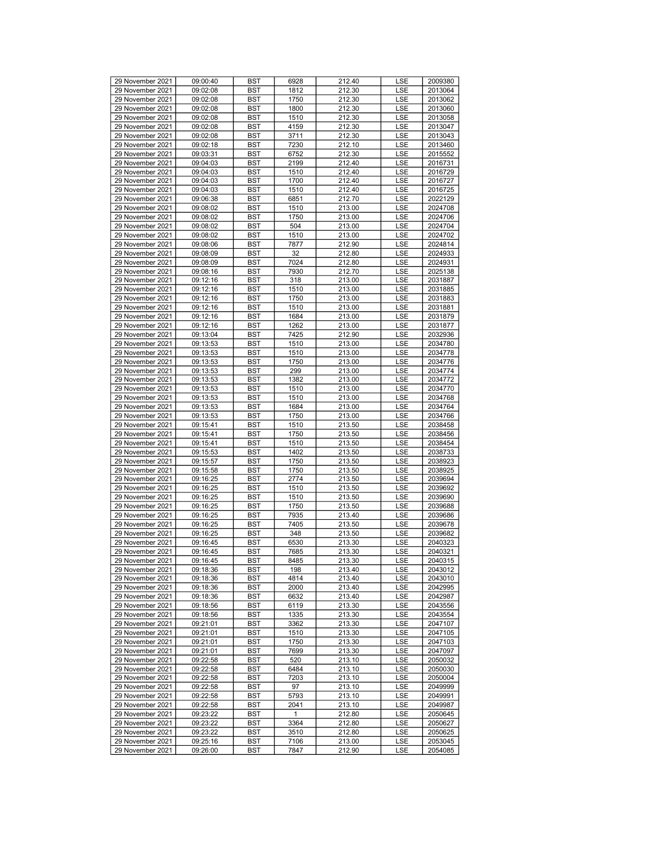| 29 November 2021 | 09:00:40 | <b>BST</b> | 6928 | 212.40 | LSE | 2009380            |
|------------------|----------|------------|------|--------|-----|--------------------|
| 29 November 2021 | 09:02:08 | <b>BST</b> | 1812 | 212.30 | LSE | 2013064            |
| 29 November 2021 | 09:02:08 | BST        | 1750 | 212.30 | LSE | 2013062            |
| 29 November 2021 | 09:02:08 | <b>BST</b> | 1800 | 212.30 | LSE | 2013060            |
| 29 November 2021 | 09:02:08 | <b>BST</b> | 1510 | 212.30 | LSE | 2013058            |
| 29 November 2021 |          |            | 4159 |        |     |                    |
|                  | 09:02:08 | <b>BST</b> |      | 212.30 | LSE | 2013047            |
| 29 November 2021 | 09:02:08 | <b>BST</b> | 3711 | 212.30 | LSE | 2013043            |
| 29 November 2021 | 09:02:18 | <b>BST</b> | 7230 | 212.10 | LSE | 2013460            |
| 29 November 2021 | 09:03:31 | <b>BST</b> | 6752 | 212.30 | LSE | 2015552            |
| 29 November 2021 | 09:04:03 | <b>BST</b> | 2199 | 212.40 | LSE | 2016731            |
| 29 November 2021 | 09:04:03 | <b>BST</b> | 1510 | 212.40 | LSE | 2016729            |
| 29 November 2021 | 09:04:03 | <b>BST</b> | 1700 | 212.40 | LSE | 2016727            |
| 29 November 2021 | 09:04:03 | BST        | 1510 | 212.40 | LSE | 2016725            |
| 29 November 2021 | 09:06:38 | <b>BST</b> | 6851 | 212.70 | LSE | 2022129            |
| 29 November 2021 | 09:08:02 | <b>BST</b> | 1510 | 213.00 | LSE | 2024708            |
| 29 November 2021 | 09:08:02 | <b>BST</b> | 1750 | 213.00 | LSE | 2024706            |
| 29 November 2021 | 09:08:02 | <b>BST</b> | 504  | 213.00 | LSE | 2024704            |
| 29 November 2021 | 09:08:02 | <b>BST</b> | 1510 | 213.00 | LSE | 2024702            |
| 29 November 2021 | 09:08:06 | <b>BST</b> | 7877 | 212.90 | LSE | 2024814            |
| 29 November 2021 | 09:08:09 | <b>BST</b> | 32   | 212.80 | LSE | 2024933            |
| 29 November 2021 | 09:08:09 | <b>BST</b> | 7024 | 212.80 | LSE | 2024931            |
| 29 November 2021 | 09:08:16 | <b>BST</b> | 7930 | 212.70 | LSE | 2025138            |
| 29 November 2021 | 09:12:16 | BST        | 318  | 213.00 | LSE | 2031887            |
| 29 November 2021 | 09:12:16 | <b>BST</b> | 1510 | 213.00 | LSE | 2031885            |
| 29 November 2021 | 09:12:16 | <b>BST</b> | 1750 | 213.00 | LSE | 2031883            |
| 29 November 2021 | 09:12:16 | <b>BST</b> | 1510 | 213.00 | LSE | 2031881            |
| 29 November 2021 | 09:12:16 | <b>BST</b> | 1684 | 213.00 | LSE | 2031879            |
| 29 November 2021 | 09:12:16 | BST        | 1262 | 213.00 | LSE | 2031877            |
| 29 November 2021 | 09:13:04 | <b>BST</b> | 7425 | 212.90 | LSE | 2032936            |
| 29 November 2021 |          | <b>BST</b> |      |        | LSE |                    |
| 29 November 2021 | 09:13:53 |            | 1510 | 213.00 |     | 2034780<br>2034778 |
|                  | 09:13:53 | <b>BST</b> | 1510 | 213.00 | LSE |                    |
| 29 November 2021 | 09:13:53 | <b>BST</b> | 1750 | 213.00 | LSE | 2034776            |
| 29 November 2021 | 09:13:53 | <b>BST</b> | 299  | 213.00 | LSE | 2034774            |
| 29 November 2021 | 09:13:53 | <b>BST</b> | 1382 | 213.00 | LSE | 2034772            |
| 29 November 2021 | 09:13:53 | <b>BST</b> | 1510 | 213.00 | LSE | 2034770            |
| 29 November 2021 | 09:13:53 | <b>BST</b> | 1510 | 213.00 | LSE | 2034768            |
| 29 November 2021 | 09:13:53 | <b>BST</b> | 1684 | 213.00 | LSE | 2034764            |
| 29 November 2021 | 09:13:53 | BST        | 1750 | 213.00 | LSE | 2034766            |
| 29 November 2021 | 09:15:41 | <b>BST</b> | 1510 | 213.50 | LSE | 2038458            |
| 29 November 2021 | 09:15:41 | <b>BST</b> | 1750 | 213.50 | LSE | 2038456            |
| 29 November 2021 | 09:15:41 | <b>BST</b> | 1510 | 213.50 | LSE | 2038454            |
| 29 November 2021 | 09:15:53 | <b>BST</b> | 1402 | 213.50 | LSE | 2038733            |
| 29 November 2021 | 09:15:57 | <b>BST</b> | 1750 | 213.50 | LSE | 2038923            |
| 29 November 2021 | 09:15:58 | <b>BST</b> | 1750 | 213.50 | LSE | 2038925            |
| 29 November 2021 | 09:16:25 | <b>BST</b> | 2774 | 213.50 | LSE | 2039694            |
| 29 November 2021 | 09:16:25 | <b>BST</b> | 1510 | 213.50 | LSE | 2039692            |
| 29 November 2021 | 09:16:25 | <b>BST</b> | 1510 | 213.50 | LSE | 2039690            |
| 29 November 2021 | 09:16:25 | BST        | 1750 | 213.50 | LSE | 2039688            |
| 29 November 2021 | 09:16:25 | <b>BST</b> | 7935 | 213.40 | LSE | 2039686            |
| 29 November 2021 | 09:16:25 | <b>BST</b> | 7405 | 213.50 | LSE | 2039678            |
| 29 November 2021 | 09:16:25 | <b>BST</b> | 348  | 213.50 | LSE | 2039682            |
| 29 November 2021 | 09:16:45 | <b>BST</b> | 6530 | 213.30 | LSE | 2040323            |
| 29 November 2021 | 09:16:45 | <b>BST</b> | 7685 | 213.30 | LSE | 2040321            |
| 29 November 2021 | 09:16:45 | <b>BST</b> | 8485 | 213.30 | LSE | 2040315            |
| 29 November 2021 | 09:18:36 | <b>BST</b> | 198  | 213.40 | LSE | 2043012            |
| 29 November 2021 | 09:18:36 | BST        | 4814 | 213.40 | LSE | 2043010            |
| 29 November 2021 | 09:18:36 | BST        | 2000 | 213.40 | LSE | 2042995            |
| 29 November 2021 | 09:18:36 | BST        | 6632 | 213.40 | LSE | 2042987            |
| 29 November 2021 | 09:18:56 | <b>BST</b> | 6119 | 213.30 | LSE | 2043556            |
| 29 November 2021 | 09:18:56 | <b>BST</b> | 1335 | 213.30 | LSE | 2043554            |
| 29 November 2021 | 09:21:01 | BST        | 3362 | 213.30 | LSE | 2047107            |
| 29 November 2021 | 09:21:01 | BST        | 1510 | 213.30 | LSE | 2047105            |
| 29 November 2021 | 09:21:01 | BST        | 1750 | 213.30 | LSE | 2047103            |
| 29 November 2021 | 09:21:01 | BST        | 7699 | 213.30 | LSE | 2047097            |
| 29 November 2021 | 09:22:58 | <b>BST</b> | 520  | 213.10 | LSE | 2050032            |
| 29 November 2021 | 09:22:58 | BST        | 6484 | 213.10 | LSE | 2050030            |
| 29 November 2021 | 09:22:58 | BST        | 7203 | 213.10 | LSE | 2050004            |
| 29 November 2021 | 09:22:58 | BST        | 97   | 213.10 | LSE | 2049999            |
| 29 November 2021 | 09:22:58 | BST        | 5793 | 213.10 | LSE | 2049991            |
| 29 November 2021 | 09:22:58 | <b>BST</b> | 2041 | 213.10 | LSE | 2049987            |
| 29 November 2021 | 09:23:22 | BST        | 1    | 212.80 | LSE | 2050645            |
| 29 November 2021 | 09:23:22 | BST        | 3364 | 212.80 | LSE | 2050627            |
| 29 November 2021 | 09:23:22 | <b>BST</b> | 3510 | 212.80 | LSE | 2050625            |
| 29 November 2021 | 09:25:16 | BST        | 7106 | 213.00 | LSE | 2053045            |
| 29 November 2021 | 09:26:00 | BST        | 7847 | 212.90 | LSE | 2054085            |
|                  |          |            |      |        |     |                    |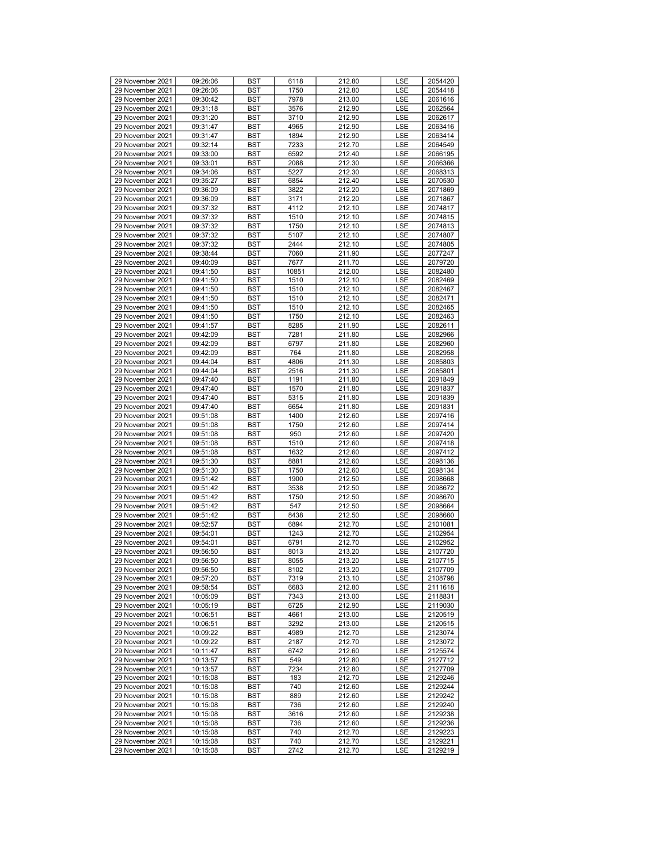| 29 November 2021 | 09:26:06 | <b>BST</b> | 6118  | 212.80 | LSE | 2054420 |
|------------------|----------|------------|-------|--------|-----|---------|
| 29 November 2021 | 09:26:06 | <b>BST</b> | 1750  | 212.80 | LSE | 2054418 |
| 29 November 2021 | 09:30:42 | BST        | 7978  | 213.00 | LSE | 2061616 |
| 29 November 2021 | 09:31:18 | <b>BST</b> | 3576  | 212.90 | LSE | 2062564 |
| 29 November 2021 | 09:31:20 | <b>BST</b> | 3710  | 212.90 | LSE | 2062617 |
| 29 November 2021 |          |            |       |        |     |         |
|                  | 09:31:47 | <b>BST</b> | 4965  | 212.90 | LSE | 2063416 |
| 29 November 2021 | 09:31:47 | <b>BST</b> | 1894  | 212.90 | LSE | 2063414 |
| 29 November 2021 | 09:32:14 | BST        | 7233  | 212.70 | LSE | 2064549 |
| 29 November 2021 | 09:33:00 | <b>BST</b> | 6592  | 212.40 | LSE | 2066195 |
| 29 November 2021 | 09:33:01 | <b>BST</b> | 2088  | 212.30 | LSE | 2066366 |
| 29 November 2021 | 09:34:06 | <b>BST</b> | 5227  | 212.30 | LSE | 2068313 |
| 29 November 2021 | 09:35:27 | <b>BST</b> | 6854  | 212.40 | LSE | 2070530 |
| 29 November 2021 | 09:36:09 | BST        | 3822  | 212.20 | LSE | 2071869 |
| 29 November 2021 | 09:36:09 | <b>BST</b> | 3171  | 212.20 | LSE | 2071867 |
| 29 November 2021 | 09:37:32 | <b>BST</b> | 4112  | 212.10 | LSE | 2074817 |
| 29 November 2021 | 09:37:32 | <b>BST</b> | 1510  | 212.10 | LSE | 2074815 |
| 29 November 2021 | 09:37:32 | <b>BST</b> | 1750  | 212.10 | LSE | 2074813 |
| 29 November 2021 | 09:37:32 | <b>BST</b> | 5107  | 212.10 | LSE | 2074807 |
| 29 November 2021 | 09:37:32 | <b>BST</b> | 2444  | 212.10 | LSE | 2074805 |
| 29 November 2021 | 09:38:44 | <b>BST</b> | 7060  | 211.90 | LSE | 2077247 |
| 29 November 2021 | 09:40:09 | <b>BST</b> | 7677  | 211.70 | LSE | 2079720 |
| 29 November 2021 | 09:41:50 | <b>BST</b> | 10851 | 212.00 | LSE | 2082480 |
| 29 November 2021 | 09:41:50 | <b>BST</b> | 1510  | 212.10 | LSE | 2082469 |
| 29 November 2021 | 09:41:50 | <b>BST</b> | 1510  | 212.10 | LSE | 2082467 |
| 29 November 2021 | 09:41:50 | <b>BST</b> | 1510  | 212.10 | LSE | 2082471 |
| 29 November 2021 | 09:41:50 | <b>BST</b> | 1510  | 212.10 | LSE | 2082465 |
| 29 November 2021 | 09:41:50 | <b>BST</b> | 1750  | 212.10 | LSE | 2082463 |
| 29 November 2021 | 09:41:57 | BST        | 8285  | 211.90 | LSE | 2082611 |
| 29 November 2021 | 09:42:09 | <b>BST</b> | 7281  | 211.80 | LSE | 2082966 |
| 29 November 2021 | 09:42:09 | <b>BST</b> | 6797  | 211.80 | LSE |         |
| 29 November 2021 |          |            | 764   |        |     | 2082960 |
|                  | 09:42:09 | <b>BST</b> |       | 211.80 | LSE | 2082958 |
| 29 November 2021 | 09:44:04 | <b>BST</b> | 4806  | 211.30 | LSE | 2085803 |
| 29 November 2021 | 09:44:04 | <b>BST</b> | 2516  | 211.30 | LSE | 2085801 |
| 29 November 2021 | 09:47:40 | <b>BST</b> | 1191  | 211.80 | LSE | 2091849 |
| 29 November 2021 | 09:47:40 | <b>BST</b> | 1570  | 211.80 | LSE | 2091837 |
| 29 November 2021 | 09:47:40 | <b>BST</b> | 5315  | 211.80 | LSE | 2091839 |
| 29 November 2021 | 09:47:40 | <b>BST</b> | 6654  | 211.80 | LSE | 2091831 |
| 29 November 2021 | 09:51:08 | BST        | 1400  | 212.60 | LSE | 2097416 |
| 29 November 2021 | 09:51:08 | <b>BST</b> | 1750  | 212.60 | LSE | 2097414 |
| 29 November 2021 | 09:51:08 | <b>BST</b> | 950   | 212.60 | LSE | 2097420 |
| 29 November 2021 | 09:51:08 | <b>BST</b> | 1510  | 212.60 | LSE | 2097418 |
| 29 November 2021 | 09:51:08 | <b>BST</b> | 1632  | 212.60 | LSE | 2097412 |
| 29 November 2021 | 09:51:30 | <b>BST</b> | 8881  | 212.60 | LSE | 2098136 |
| 29 November 2021 | 09:51:30 | <b>BST</b> | 1750  | 212.60 | LSE | 2098134 |
| 29 November 2021 | 09:51:42 | <b>BST</b> | 1900  | 212.50 | LSE | 2098668 |
| 29 November 2021 | 09:51:42 | <b>BST</b> | 3538  | 212.50 | LSE | 2098672 |
| 29 November 2021 | 09:51:42 | <b>BST</b> | 1750  | 212.50 | LSE | 2098670 |
| 29 November 2021 | 09:51:42 | BST        | 547   | 212.50 | LSE | 2098664 |
| 29 November 2021 | 09:51:42 | <b>BST</b> | 8438  | 212.50 | LSE | 2098660 |
| 29 November 2021 | 09:52:57 | <b>BST</b> | 6894  | 212.70 | LSE | 2101081 |
| 29 November 2021 | 09:54:01 | <b>BST</b> | 1243  | 212.70 | LSE | 2102954 |
| 29 November 2021 | 09:54:01 | <b>BST</b> | 6791  | 212.70 | LSE | 2102952 |
| 29 November 2021 | 09:56:50 | <b>BST</b> | 8013  | 213.20 | LSE | 2107720 |
| 29 November 2021 | 09:56:50 | <b>BST</b> | 8055  | 213.20 | LSE | 2107715 |
| 29 November 2021 | 09:56:50 | <b>BST</b> | 8102  | 213.20 | LSE | 2107709 |
| 29 November 2021 | 09:57:20 | BST        | 7319  | 213.10 | LSE | 2108798 |
| 29 November 2021 | 09:58:54 | BST        | 6683  | 212.80 | LSE | 2111618 |
| 29 November 2021 | 10:05:09 | BST        | 7343  | 213.00 | LSE | 2118831 |
| 29 November 2021 | 10:05:19 | BST        | 6725  | 212.90 | LSE | 2119030 |
| 29 November 2021 | 10:06:51 | <b>BST</b> | 4661  | 213.00 | LSE | 2120519 |
| 29 November 2021 | 10:06:51 | BST        | 3292  | 213.00 | LSE | 2120515 |
| 29 November 2021 | 10:09:22 | BST        | 4989  | 212.70 | LSE | 2123074 |
| 29 November 2021 | 10:09:22 | BST        | 2187  | 212.70 | LSE | 2123072 |
| 29 November 2021 | 10:11:47 | BST        | 6742  | 212.60 | LSE | 2125574 |
| 29 November 2021 | 10:13:57 | <b>BST</b> | 549   | 212.80 | LSE | 2127712 |
| 29 November 2021 | 10:13:57 | BST        | 7234  | 212.80 | LSE | 2127709 |
| 29 November 2021 | 10:15:08 | BST        | 183   | 212.70 | LSE | 2129246 |
| 29 November 2021 | 10:15:08 | BST        | 740   | 212.60 | LSE | 2129244 |
| 29 November 2021 | 10:15:08 | BST        | 889   | 212.60 | LSE | 2129242 |
| 29 November 2021 | 10:15:08 | <b>BST</b> | 736   | 212.60 | LSE | 2129240 |
| 29 November 2021 | 10:15:08 | BST        | 3616  | 212.60 | LSE | 2129238 |
| 29 November 2021 | 10:15:08 | BST        | 736   | 212.60 | LSE | 2129236 |
| 29 November 2021 | 10:15:08 | <b>BST</b> | 740   | 212.70 | LSE | 2129223 |
| 29 November 2021 | 10:15:08 | BST        | 740   | 212.70 | LSE | 2129221 |
| 29 November 2021 | 10:15:08 | BST        | 2742  | 212.70 | LSE | 2129219 |
|                  |          |            |       |        |     |         |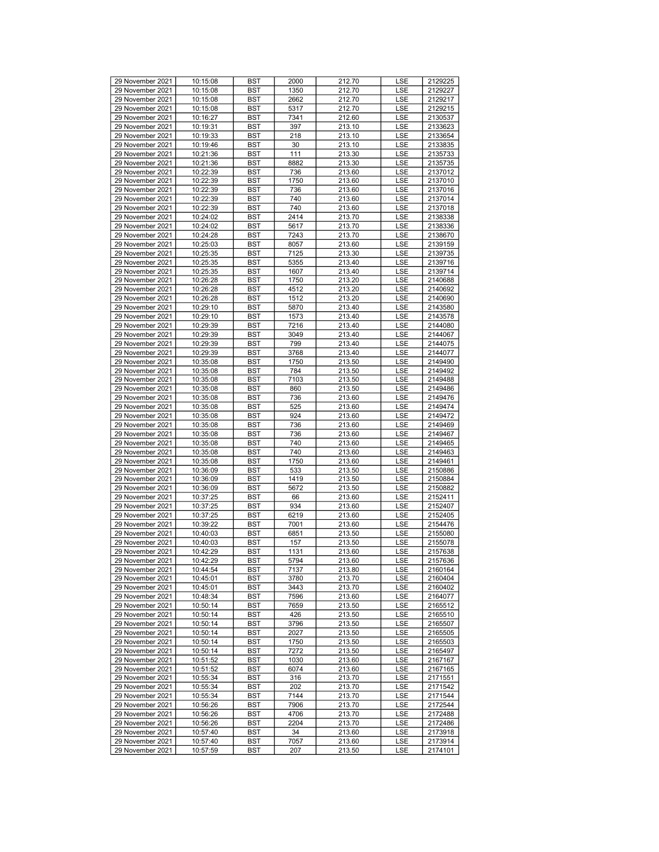| 29 November 2021 | 10:15:08 | <b>BST</b> | 2000 | 212.70 | LSE        | 2129225 |
|------------------|----------|------------|------|--------|------------|---------|
| 29 November 2021 | 10:15:08 | <b>BST</b> | 1350 | 212.70 | <b>LSE</b> | 2129227 |
| 29 November 2021 | 10:15:08 | BST        | 2662 | 212.70 | LSE        | 2129217 |
| 29 November 2021 | 10:15:08 | <b>BST</b> | 5317 | 212.70 | LSE        | 2129215 |
|                  |          |            |      |        |            |         |
| 29 November 2021 | 10:16:27 | <b>BST</b> | 7341 | 212.60 | LSE        | 2130537 |
| 29 November 2021 | 10:19:31 | <b>BST</b> | 397  | 213.10 | LSE        | 2133623 |
| 29 November 2021 | 10:19:33 | <b>BST</b> | 218  | 213.10 | LSE        | 2133654 |
| 29 November 2021 | 10:19:46 | BST        | 30   | 213.10 | LSE        | 2133835 |
| 29 November 2021 | 10:21:36 | <b>BST</b> | 111  | 213.30 | LSE        | 2135733 |
| 29 November 2021 | 10:21:36 | <b>BST</b> | 8882 | 213.30 | LSE        | 2135735 |
| 29 November 2021 | 10:22:39 | <b>BST</b> | 736  | 213.60 | LSE        | 2137012 |
| 29 November 2021 | 10:22:39 | <b>BST</b> | 1750 | 213.60 | LSE        | 2137010 |
| 29 November 2021 | 10:22:39 | BST        | 736  | 213.60 | LSE        | 2137016 |
|                  |          |            |      |        |            |         |
| 29 November 2021 | 10:22:39 | <b>BST</b> | 740  | 213.60 | LSE        | 2137014 |
| 29 November 2021 | 10:22:39 | <b>BST</b> | 740  | 213.60 | LSE        | 2137018 |
| 29 November 2021 | 10:24:02 | <b>BST</b> | 2414 | 213.70 | LSE        | 2138338 |
| 29 November 2021 | 10:24:02 | <b>BST</b> | 5617 | 213.70 | LSE        | 2138336 |
| 29 November 2021 | 10:24:28 | BST        | 7243 | 213.70 | LSE        | 2138670 |
| 29 November 2021 | 10:25:03 | <b>BST</b> | 8057 | 213.60 | LSE        | 2139159 |
| 29 November 2021 | 10:25:35 | <b>BST</b> | 7125 | 213.30 | LSE        | 2139735 |
| 29 November 2021 | 10:25:35 | <b>BST</b> | 5355 | 213.40 | LSE        | 2139716 |
| 29 November 2021 |          |            | 1607 |        | LSE        | 2139714 |
|                  | 10:25:35 | <b>BST</b> |      | 213.40 |            |         |
| 29 November 2021 | 10:26:28 | BST        | 1750 | 213.20 | LSE        | 2140688 |
| 29 November 2021 | 10:26:28 | <b>BST</b> | 4512 | 213.20 | LSE        | 2140692 |
| 29 November 2021 | 10:26:28 | <b>BST</b> | 1512 | 213.20 | LSE        | 2140690 |
| 29 November 2021 | 10:29:10 | <b>BST</b> | 5870 | 213.40 | LSE        | 2143580 |
| 29 November 2021 | 10:29:10 | BST        | 1573 | 213.40 | LSE        | 2143578 |
| 29 November 2021 | 10:29:39 | BST        | 7216 | 213.40 | LSE        | 2144080 |
| 29 November 2021 | 10:29:39 | <b>BST</b> | 3049 | 213.40 | LSE        | 2144067 |
| 29 November 2021 | 10:29:39 | <b>BST</b> | 799  | 213.40 | LSE        | 2144075 |
| 29 November 2021 |          |            |      |        |            |         |
|                  | 10:29:39 | <b>BST</b> | 3768 | 213.40 | LSE        | 2144077 |
| 29 November 2021 | 10:35:08 | <b>BST</b> | 1750 | 213.50 | LSE        | 2149490 |
| 29 November 2021 | 10:35:08 | BST        | 784  | 213.50 | LSE        | 2149492 |
| 29 November 2021 | 10:35:08 | <b>BST</b> | 7103 | 213.50 | LSE        | 2149488 |
| 29 November 2021 | 10:35:08 | <b>BST</b> | 860  | 213.50 | LSE        | 2149486 |
| 29 November 2021 | 10:35:08 | <b>BST</b> | 736  | 213.60 | LSE        | 2149476 |
| 29 November 2021 | 10:35:08 | BST        | 525  | 213.60 | LSE        | 2149474 |
| 29 November 2021 | 10:35:08 | BST        | 924  | 213.60 | LSE        | 2149472 |
| 29 November 2021 | 10:35:08 | <b>BST</b> | 736  | 213.60 | LSE        | 2149469 |
|                  |          |            |      |        |            |         |
| 29 November 2021 | 10:35:08 | <b>BST</b> | 736  | 213.60 | LSE        | 2149467 |
| 29 November 2021 | 10:35:08 | <b>BST</b> | 740  | 213.60 | LSE        | 2149465 |
| 29 November 2021 | 10:35:08 | <b>BST</b> | 740  | 213.60 | LSE        | 2149463 |
| 29 November 2021 | 10:35:08 | BST        | 1750 | 213.60 | LSE        | 2149461 |
| 29 November 2021 | 10:36:09 | <b>BST</b> | 533  | 213.50 | LSE        | 2150886 |
| 29 November 2021 | 10:36:09 | <b>BST</b> | 1419 | 213.50 | LSE        | 2150884 |
| 29 November 2021 | 10:36:09 | <b>BST</b> | 5672 | 213.50 | LSE        | 2150882 |
| 29 November 2021 | 10:37:25 | BST        | 66   | 213.60 | LSE        | 2152411 |
| 29 November 2021 |          |            |      |        |            |         |
|                  | 10:37:25 | BST        | 934  | 213.60 | LSE        | 2152407 |
| 29 November 2021 | 10:37:25 | <b>BST</b> | 6219 | 213.60 | LSE        | 2152405 |
| 29 November 2021 | 10:39:22 | <b>BST</b> | 7001 | 213.60 | LSE        | 2154476 |
| 29 November 2021 | 10:40:03 | <b>BST</b> | 6851 | 213.50 | LSE        | 2155080 |
| 29 November 2021 | 10:40:03 | <b>BST</b> | 157  | 213.50 | LSE        | 2155078 |
| 29 November 2021 | 10:42:29 | <b>BST</b> | 1131 | 213.60 | LSE        | 2157638 |
| 29 November 2021 | 10:42:29 | <b>BST</b> | 5794 | 213.60 | LSE        | 2157636 |
| 29 November 2021 | 10:44:54 | <b>BST</b> | 7137 | 213.80 | <b>LSE</b> | 2160164 |
| 29 November 2021 | 10:45:01 | <b>BST</b> | 3780 | 213.70 | LSE        | 2160404 |
| 29 November 2021 |          | BST        | 3443 |        |            |         |
|                  | 10:45:01 |            |      | 213.70 | LSE        | 2160402 |
| 29 November 2021 | 10:48:34 | <b>BST</b> | 7596 | 213.60 | LSE        | 2164077 |
| 29 November 2021 | 10:50:14 | BST        | 7659 | 213.50 | LSE        | 2165512 |
| 29 November 2021 | 10:50:14 | <b>BST</b> | 426  | 213.50 | LSE        | 2165510 |
| 29 November 2021 | 10:50:14 | <b>BST</b> | 3796 | 213.50 | LSE        | 2165507 |
| 29 November 2021 | 10:50:14 | BST        | 2027 | 213.50 | LSE        | 2165505 |
| 29 November 2021 | 10:50:14 | <b>BST</b> | 1750 | 213.50 | LSE        | 2165503 |
| 29 November 2021 | 10:50:14 | BST        | 7272 | 213.50 | LSE        | 2165497 |
| 29 November 2021 | 10:51:52 | <b>BST</b> | 1030 | 213.60 | LSE        | 2167167 |
| 29 November 2021 |          |            |      |        |            |         |
|                  | 10:51:52 | <b>BST</b> | 6074 | 213.60 | LSE        | 2167165 |
| 29 November 2021 | 10:55:34 | BST        | 316  | 213.70 | LSE        | 2171551 |
| 29 November 2021 | 10:55:34 | <b>BST</b> | 202  | 213.70 | LSE        | 2171542 |
| 29 November 2021 | 10:55:34 | BST        | 7144 | 213.70 | LSE        | 2171544 |
| 29 November 2021 | 10:56:26 | <b>BST</b> | 7906 | 213.70 | LSE        | 2172544 |
| 29 November 2021 | 10:56:26 | <b>BST</b> | 4706 | 213.70 | LSE        | 2172488 |
| 29 November 2021 | 10:56:26 | BST        | 2204 | 213.70 | LSE        | 2172486 |
| 29 November 2021 | 10:57:40 | BST        | 34   | 213.60 | LSE        | 2173918 |
|                  |          |            |      |        |            |         |
| 29 November 2021 | 10:57:40 | BST        | 7057 | 213.60 | LSE        | 2173914 |
| 29 November 2021 | 10:57:59 | BST        | 207  | 213.50 | LSE        | 2174101 |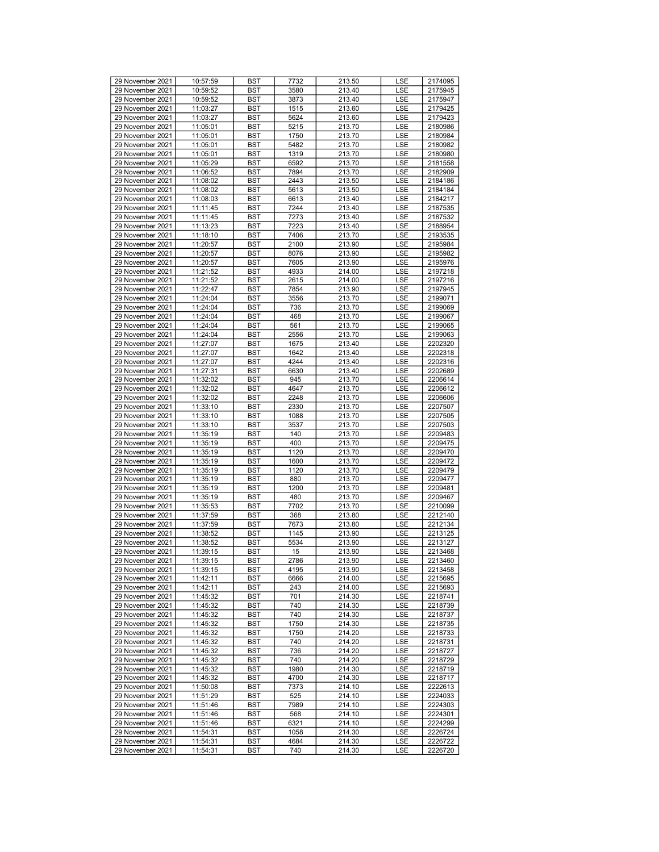| 29 November 2021 | 10:57:59 | <b>BST</b> | 7732 | 213.50 | <b>LSE</b> | 2174095 |
|------------------|----------|------------|------|--------|------------|---------|
| 29 November 2021 | 10:59:52 | <b>BST</b> | 3580 | 213.40 | LSE        | 2175945 |
| 29 November 2021 | 10:59:52 | BST        | 3873 | 213.40 | LSE        | 2175947 |
| 29 November 2021 | 11:03:27 | <b>BST</b> | 1515 | 213.60 | LSE        | 2179425 |
| 29 November 2021 | 11:03:27 | <b>BST</b> | 5624 | 213.60 | LSE        | 2179423 |
| 29 November 2021 | 11:05:01 | <b>BST</b> | 5215 | 213.70 | LSE        | 2180986 |
| 29 November 2021 | 11:05:01 | <b>BST</b> | 1750 | 213.70 | LSE        | 2180984 |
| 29 November 2021 | 11:05:01 | BST        | 5482 | 213.70 | LSE        | 2180982 |
| 29 November 2021 | 11:05:01 | <b>BST</b> | 1319 | 213.70 | LSE        | 2180980 |
| 29 November 2021 | 11:05:29 | <b>BST</b> | 6592 | 213.70 | LSE        | 2181558 |
| 29 November 2021 | 11:06:52 | <b>BST</b> | 7894 | 213.70 | LSE        | 2182909 |
| 29 November 2021 | 11:08:02 | <b>BST</b> | 2443 | 213.50 | LSE        | 2184186 |
|                  |          |            |      |        |            |         |
| 29 November 2021 | 11:08:02 | BST        | 5613 | 213.50 | LSE        | 2184184 |
| 29 November 2021 | 11:08:03 | <b>BST</b> | 6613 | 213.40 | LSE        | 2184217 |
| 29 November 2021 | 11:11:45 | <b>BST</b> | 7244 | 213.40 | LSE        | 2187535 |
| 29 November 2021 | 11:11:45 | <b>BST</b> | 7273 | 213.40 | LSE        | 2187532 |
| 29 November 2021 | 11:13:23 | <b>BST</b> | 7223 | 213.40 | LSE        | 2188954 |
| 29 November 2021 | 11:18:10 | <b>BST</b> | 7406 | 213.70 | LSE        | 2193535 |
| 29 November 2021 | 11:20:57 | <b>BST</b> | 2100 | 213.90 | LSE        | 2195984 |
| 29 November 2021 | 11:20:57 | <b>BST</b> | 8076 | 213.90 | LSE        | 2195982 |
| 29 November 2021 | 11:20:57 | <b>BST</b> | 7605 | 213.90 | LSE        | 2195976 |
| 29 November 2021 | 11:21:52 | <b>BST</b> | 4933 | 214.00 | LSE        | 2197218 |
| 29 November 2021 | 11:21:52 | BST        | 2615 | 214.00 | LSE        | 2197216 |
| 29 November 2021 | 11:22:47 | <b>BST</b> | 7854 | 213.90 | LSE        | 2197945 |
| 29 November 2021 | 11:24:04 | <b>BST</b> | 3556 | 213.70 | LSE        | 2199071 |
| 29 November 2021 | 11:24:04 | <b>BST</b> | 736  | 213.70 | LSE        | 2199069 |
| 29 November 2021 | 11:24:04 | <b>BST</b> | 468  | 213.70 | LSE        | 2199067 |
| 29 November 2021 | 11:24:04 | BST        | 561  | 213.70 | LSE        | 2199065 |
| 29 November 2021 | 11:24:04 | <b>BST</b> | 2556 | 213.70 | LSE        | 2199063 |
| 29 November 2021 | 11:27:07 | <b>BST</b> | 1675 | 213.40 | LSE        | 2202320 |
| 29 November 2021 | 11:27:07 | <b>BST</b> | 1642 | 213.40 | LSE        | 2202318 |
| 29 November 2021 | 11:27:07 | <b>BST</b> | 4244 | 213.40 | LSE        | 2202316 |
| 29 November 2021 | 11:27:31 | <b>BST</b> | 6630 | 213.40 | LSE        | 2202689 |
| 29 November 2021 | 11:32:02 | <b>BST</b> | 945  | 213.70 | LSE        | 2206614 |
| 29 November 2021 | 11:32:02 |            | 4647 |        | LSE        |         |
| 29 November 2021 |          | <b>BST</b> |      | 213.70 |            | 2206612 |
|                  | 11:32:02 | <b>BST</b> | 2248 | 213.70 | LSE        | 2206606 |
| 29 November 2021 | 11:33:10 | <b>BST</b> | 2330 | 213.70 | LSE        | 2207507 |
| 29 November 2021 | 11:33:10 | BST        | 1088 | 213.70 | LSE        | 2207505 |
| 29 November 2021 | 11:33:10 | <b>BST</b> | 3537 | 213.70 | LSE        | 2207503 |
| 29 November 2021 | 11:35:19 | <b>BST</b> | 140  | 213.70 | LSE        | 2209483 |
| 29 November 2021 | 11:35:19 | <b>BST</b> | 400  | 213.70 | LSE        | 2209475 |
| 29 November 2021 | 11:35:19 | <b>BST</b> | 1120 | 213.70 | LSE        | 2209470 |
| 29 November 2021 | 11:35:19 | <b>BST</b> | 1600 | 213.70 | LSE        | 2209472 |
| 29 November 2021 | 11:35:19 | <b>BST</b> | 1120 | 213.70 | LSE        | 2209479 |
| 29 November 2021 | 11:35:19 | <b>BST</b> | 880  | 213.70 | LSE        | 2209477 |
| 29 November 2021 | 11:35:19 | <b>BST</b> | 1200 | 213.70 | LSE        | 2209481 |
| 29 November 2021 | 11:35:19 | <b>BST</b> | 480  | 213.70 | LSE        | 2209467 |
| 29 November 2021 | 11:35:53 | BST        | 7702 | 213.70 | LSE        | 2210099 |
| 29 November 2021 | 11:37:59 | <b>BST</b> | 368  | 213.80 | LSE        | 2212140 |
| 29 November 2021 | 11:37:59 | <b>BST</b> | 7673 | 213.80 | LSE        | 2212134 |
| 29 November 2021 | 11:38:52 | <b>BST</b> | 1145 | 213.90 | LSE        | 2213125 |
| 29 November 2021 | 11:38:52 | <b>BST</b> | 5534 | 213.90 | LSE        | 2213127 |
| 29 November 2021 | 11:39:15 | <b>BST</b> | 15   | 213.90 | LSE        | 2213468 |
| 29 November 2021 | 11:39:15 | <b>BST</b> | 2786 | 213.90 | LSE        | 2213460 |
| 29 November 2021 | 11:39:15 | <b>BST</b> | 4195 | 213.90 | LSE        | 2213458 |
| 29 November 2021 | 11:42:11 | BST        | 6666 | 214.00 | LSE        | 2215695 |
| 29 November 2021 | 11:42:11 | BST        | 243  | 214.00 | LSE        | 2215693 |
| 29 November 2021 | 11:45:32 | BST        | 701  | 214.30 | LSE        | 2218741 |
| 29 November 2021 |          | <b>BST</b> | 740  | 214.30 |            |         |
|                  | 11:45:32 |            |      |        | LSE        | 2218739 |
| 29 November 2021 | 11:45:32 | <b>BST</b> | 740  | 214.30 | LSE        | 2218737 |
| 29 November 2021 | 11:45:32 | BST        | 1750 | 214.30 | LSE        | 2218735 |
| 29 November 2021 | 11:45:32 | BST        | 1750 | 214.20 | LSE        | 2218733 |
| 29 November 2021 | 11:45:32 | <b>BST</b> | 740  | 214.20 | LSE        | 2218731 |
| 29 November 2021 | 11:45:32 | BST        | 736  | 214.20 | LSE        | 2218727 |
| 29 November 2021 | 11:45:32 | <b>BST</b> | 740  | 214.20 | LSE        | 2218729 |
| 29 November 2021 | 11:45:32 | BST        | 1980 | 214.30 | LSE        | 2218719 |
| 29 November 2021 | 11:45:32 | BST        | 4700 | 214.30 | LSE        | 2218717 |
| 29 November 2021 | 11:50:08 | BST        | 7373 | 214.10 | LSE        | 2222613 |
| 29 November 2021 | 11:51:29 | BST        | 525  | 214.10 | LSE        | 2224033 |
| 29 November 2021 | 11:51:46 | <b>BST</b> | 7989 | 214.10 | LSE        | 2224303 |
| 29 November 2021 | 11:51:46 | BST        | 568  | 214.10 | LSE        | 2224301 |
| 29 November 2021 | 11:51:46 | <b>BST</b> | 6321 | 214.10 | LSE        | 2224299 |
| 29 November 2021 | 11:54:31 | <b>BST</b> | 1058 | 214.30 | LSE        | 2226724 |
| 29 November 2021 | 11:54:31 | BST        | 4684 | 214.30 | LSE        | 2226722 |
| 29 November 2021 | 11:54:31 | BST        | 740  | 214.30 | LSE        | 2226720 |
|                  |          |            |      |        |            |         |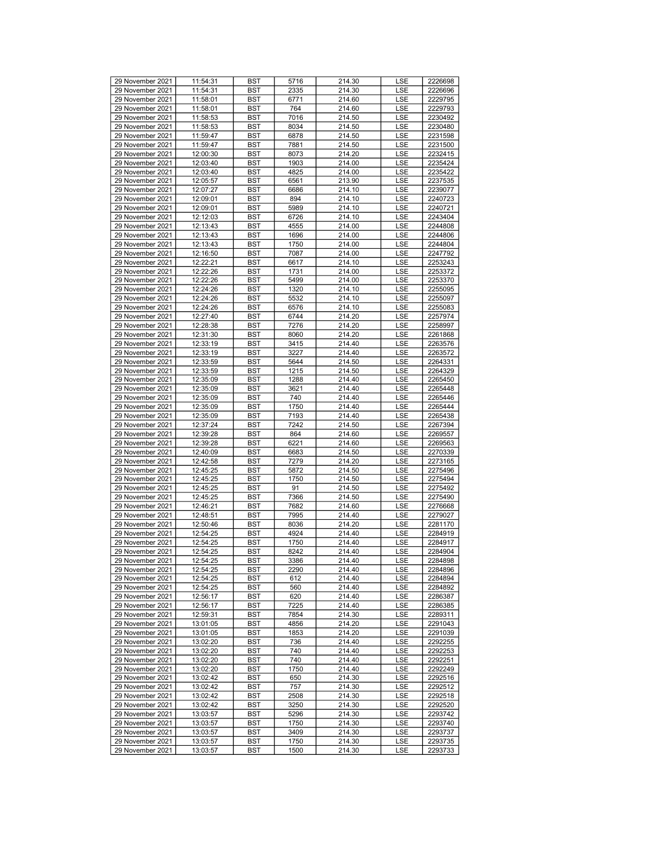| 29 November 2021 | 11:54:31 | <b>BST</b> | 5716 | 214.30 | LSE        | 2226698 |
|------------------|----------|------------|------|--------|------------|---------|
| 29 November 2021 | 11:54:31 | <b>BST</b> | 2335 | 214.30 | <b>LSE</b> | 2226696 |
| 29 November 2021 | 11:58:01 | BST        | 6771 | 214.60 | LSE        | 2229795 |
| 29 November 2021 | 11:58:01 | <b>BST</b> | 764  | 214.60 | LSE        | 2229793 |
| 29 November 2021 | 11:58:53 | <b>BST</b> | 7016 | 214.50 | LSE        | 2230492 |
| 29 November 2021 | 11:58:53 | <b>BST</b> | 8034 | 214.50 | LSE        | 2230480 |
| 29 November 2021 | 11:59:47 | <b>BST</b> | 6878 | 214.50 | LSE        | 2231598 |
| 29 November 2021 | 11:59:47 | BST        | 7881 | 214.50 | LSE        | 2231500 |
| 29 November 2021 | 12:00:30 | <b>BST</b> | 8073 | 214.20 | LSE        | 2232415 |
| 29 November 2021 | 12:03:40 | <b>BST</b> | 1903 | 214.00 | LSE        | 2235424 |
| 29 November 2021 | 12:03:40 | <b>BST</b> | 4825 | 214.00 | LSE        | 2235422 |
| 29 November 2021 |          |            |      |        |            |         |
| 29 November 2021 | 12:05:57 | <b>BST</b> | 6561 | 213.90 | LSE        | 2237535 |
|                  | 12:07:27 | BST        | 6686 | 214.10 | LSE        | 2239077 |
| 29 November 2021 | 12:09:01 | <b>BST</b> | 894  | 214.10 | LSE        | 2240723 |
| 29 November 2021 | 12:09:01 | <b>BST</b> | 5989 | 214.10 | LSE        | 2240721 |
| 29 November 2021 | 12:12:03 | <b>BST</b> | 6726 | 214.10 | LSE        | 2243404 |
| 29 November 2021 | 12:13:43 | <b>BST</b> | 4555 | 214.00 | <b>LSE</b> | 2244808 |
| 29 November 2021 | 12:13:43 | BST        | 1696 | 214.00 | LSE        | 2244806 |
| 29 November 2021 | 12:13:43 | <b>BST</b> | 1750 | 214.00 | LSE        | 2244804 |
| 29 November 2021 | 12:16:50 | <b>BST</b> | 7087 | 214.00 | LSE        | 2247792 |
| 29 November 2021 | 12:22:21 | <b>BST</b> | 6617 | 214.10 | LSE        | 2253243 |
| 29 November 2021 | 12:22:26 | <b>BST</b> | 1731 | 214.00 | LSE        | 2253372 |
| 29 November 2021 | 12:22:26 | BST        | 5499 | 214.00 | LSE        | 2253370 |
| 29 November 2021 | 12:24:26 | <b>BST</b> | 1320 | 214.10 | LSE        | 2255095 |
| 29 November 2021 | 12:24:26 | <b>BST</b> | 5532 | 214.10 | LSE        | 2255097 |
| 29 November 2021 | 12:24:26 | <b>BST</b> | 6576 | 214.10 | LSE        | 2255083 |
| 29 November 2021 | 12:27:40 | <b>BST</b> | 6744 | 214.20 | LSE        | 2257974 |
| 29 November 2021 | 12:28:38 | BST        | 7276 | 214.20 | LSE        | 2258997 |
| 29 November 2021 | 12:31:30 | <b>BST</b> | 8060 | 214.20 | LSE        | 2261868 |
| 29 November 2021 | 12:33:19 | <b>BST</b> | 3415 | 214.40 | LSE        | 2263576 |
| 29 November 2021 | 12:33:19 | <b>BST</b> | 3227 | 214.40 | LSE        | 2263572 |
| 29 November 2021 | 12:33:59 | <b>BST</b> | 5644 | 214.50 | <b>LSE</b> | 2264331 |
| 29 November 2021 | 12:33:59 | BST        | 1215 | 214.50 | LSE        | 2264329 |
| 29 November 2021 | 12:35:09 | <b>BST</b> | 1288 | 214.40 | LSE        | 2265450 |
| 29 November 2021 | 12:35:09 | <b>BST</b> | 3621 | 214.40 | LSE        | 2265448 |
| 29 November 2021 |          |            |      |        |            |         |
|                  | 12:35:09 | <b>BST</b> | 740  | 214.40 | LSE        | 2265446 |
| 29 November 2021 | 12:35:09 | BST        | 1750 | 214.40 | LSE        | 2265444 |
| 29 November 2021 | 12:35:09 | BST        | 7193 | 214.40 | LSE        | 2265438 |
| 29 November 2021 | 12:37:24 | <b>BST</b> | 7242 | 214.50 | LSE        | 2267394 |
| 29 November 2021 | 12:39:28 | <b>BST</b> | 864  | 214.60 | LSE        | 2269557 |
| 29 November 2021 | 12:39:28 | <b>BST</b> | 6221 | 214.60 | LSE        | 2269563 |
| 29 November 2021 | 12:40:09 | <b>BST</b> | 6683 | 214.50 | LSE        | 2270339 |
| 29 November 2021 | 12:42:58 | BST        | 7279 | 214.20 | LSE        | 2273165 |
| 29 November 2021 | 12:45:25 | <b>BST</b> | 5872 | 214.50 | LSE        | 2275496 |
| 29 November 2021 | 12:45:25 | <b>BST</b> | 1750 | 214.50 | LSE        | 2275494 |
| 29 November 2021 | 12:45:25 | <b>BST</b> | 91   | 214.50 | LSE        | 2275492 |
| 29 November 2021 | 12:45:25 | BST        | 7366 | 214.50 | LSE        | 2275490 |
| 29 November 2021 | 12:46:21 | BST        | 7682 | 214.60 | LSE        | 2276668 |
| 29 November 2021 | 12:48:51 | <b>BST</b> | 7995 | 214.40 | LSE        | 2279027 |
| 29 November 2021 | 12:50:46 | <b>BST</b> | 8036 | 214.20 | LSE        | 2281170 |
| 29 November 2021 | 12:54:25 | <b>BST</b> | 4924 | 214.40 | LSE        | 2284919 |
| 29 November 2021 | 12:54:25 | <b>BST</b> | 1750 | 214.40 | LSE        | 2284917 |
| 29 November 2021 | 12:54:25 | <b>BST</b> | 8242 | 214.40 | LSE        | 2284904 |
| 29 November 2021 | 12:54:25 | <b>BST</b> | 3386 | 214.40 | LSE        | 2284898 |
| 29 November 2021 | 12:54:25 | <b>BST</b> | 2290 | 214.40 | <b>LSE</b> | 2284896 |
| 29 November 2021 | 12:54:25 | <b>BST</b> | 612  | 214.40 | LSE        | 2284894 |
| 29 November 2021 | 12:54:25 | <b>BST</b> | 560  | 214.40 | LSE        | 2284892 |
| 29 November 2021 | 12:56:17 | <b>BST</b> | 620  | 214.40 | LSE        | 2286387 |
| 29 November 2021 | 12:56:17 | BST        | 7225 | 214.40 | LSE        | 2286385 |
| 29 November 2021 | 12:59:31 | <b>BST</b> | 7854 | 214.30 | <b>LSE</b> | 2289311 |
| 29 November 2021 | 13:01:05 | <b>BST</b> | 4856 | 214.20 | LSE        | 2291043 |
| 29 November 2021 | 13:01:05 |            | 1853 |        |            | 2291039 |
|                  |          | BST        |      | 214.20 | LSE        |         |
| 29 November 2021 | 13:02:20 | <b>BST</b> | 736  | 214.40 | LSE        | 2292255 |
| 29 November 2021 | 13:02:20 | BST        | 740  | 214.40 | LSE        | 2292253 |
| 29 November 2021 | 13:02:20 | <b>BST</b> | 740  | 214.40 | LSE        | 2292251 |
| 29 November 2021 | 13:02:20 | <b>BST</b> | 1750 | 214.40 | LSE        | 2292249 |
| 29 November 2021 | 13:02:42 | BST        | 650  | 214.30 | LSE        | 2292516 |
| 29 November 2021 | 13:02:42 | <b>BST</b> | 757  | 214.30 | LSE        | 2292512 |
| 29 November 2021 | 13:02:42 | BST        | 2508 | 214.30 | LSE        | 2292518 |
| 29 November 2021 | 13:02:42 | <b>BST</b> | 3250 | 214.30 | LSE        | 2292520 |
| 29 November 2021 | 13:03:57 | <b>BST</b> | 5296 | 214.30 | LSE        | 2293742 |
| 29 November 2021 | 13:03:57 | BST        | 1750 | 214.30 | LSE        | 2293740 |
| 29 November 2021 | 13:03:57 | BST        | 3409 | 214.30 | LSE        | 2293737 |
| 29 November 2021 | 13:03:57 | BST        | 1750 | 214.30 | LSE        | 2293735 |
| 29 November 2021 | 13:03:57 | BST        | 1500 | 214.30 | LSE        | 2293733 |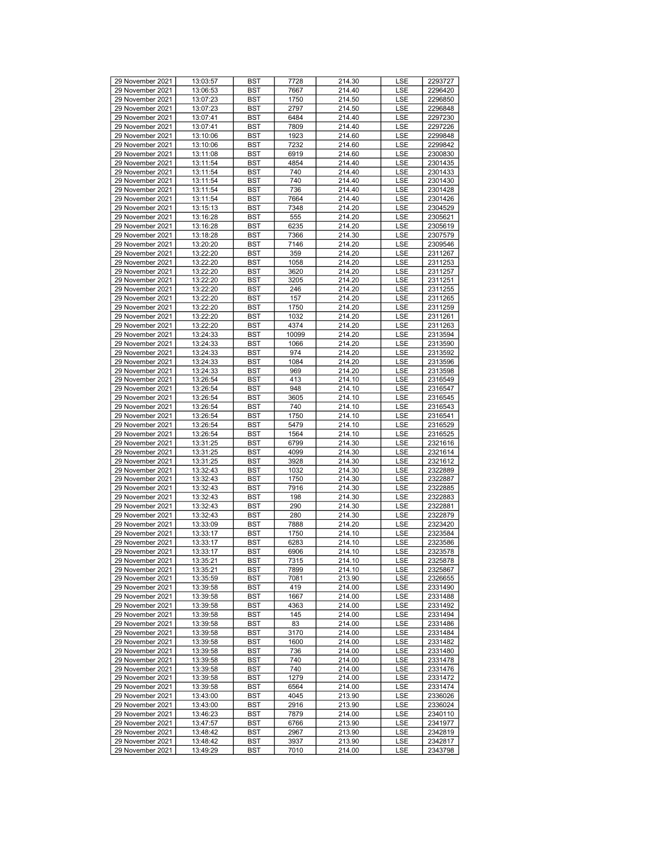| 29 November 2021 | 13:03:57 | <b>BST</b> | 7728  | 214.30 | LSE        | 2293727 |
|------------------|----------|------------|-------|--------|------------|---------|
| 29 November 2021 | 13:06:53 | <b>BST</b> | 7667  | 214.40 | <b>LSE</b> | 2296420 |
|                  |          |            |       |        |            |         |
| 29 November 2021 | 13:07:23 | <b>BST</b> | 1750  | 214.50 | LSE        | 2296850 |
| 29 November 2021 | 13:07:23 | <b>BST</b> | 2797  | 214.50 | LSE        | 2296848 |
|                  |          |            |       |        |            |         |
| 29 November 2021 | 13:07:41 | <b>BST</b> | 6484  | 214.40 | LSE        | 2297230 |
| 29 November 2021 | 13:07:41 | <b>BST</b> | 7809  | 214.40 | LSE        | 2297226 |
|                  |          |            |       |        |            |         |
| 29 November 2021 | 13:10:06 | <b>BST</b> | 1923  | 214.60 | LSE        | 2299848 |
| 29 November 2021 | 13:10:06 | <b>BST</b> | 7232  | 214.60 | LSE        | 2299842 |
|                  |          |            |       |        |            |         |
| 29 November 2021 | 13:11:08 | <b>BST</b> | 6919  | 214.60 | LSE        | 2300830 |
| 29 November 2021 | 13:11:54 | <b>BST</b> | 4854  | 214.40 | LSE        | 2301435 |
|                  |          |            |       |        |            |         |
| 29 November 2021 | 13:11:54 | <b>BST</b> | 740   | 214.40 | LSE        | 2301433 |
| 29 November 2021 | 13:11:54 | <b>BST</b> | 740   | 214.40 | LSE        | 2301430 |
|                  |          |            |       |        |            |         |
| 29 November 2021 | 13:11:54 | <b>BST</b> | 736   | 214.40 | LSE        | 2301428 |
| 29 November 2021 | 13:11:54 | <b>BST</b> | 7664  | 214.40 | LSE        | 2301426 |
|                  |          |            |       |        |            |         |
| 29 November 2021 | 13:15:13 | <b>BST</b> | 7348  | 214.20 | LSE        | 2304529 |
| 29 November 2021 | 13:16:28 | <b>BST</b> | 555   | 214.20 | LSE        | 2305621 |
|                  |          |            |       |        |            |         |
| 29 November 2021 | 13:16:28 | <b>BST</b> | 6235  | 214.20 | LSE        | 2305619 |
| 29 November 2021 | 13:18:28 | <b>BST</b> | 7366  | 214.30 | LSE        | 2307579 |
|                  |          |            |       |        |            |         |
| 29 November 2021 | 13:20:20 | <b>BST</b> | 7146  | 214.20 | LSE        | 2309546 |
| 29 November 2021 | 13:22:20 | <b>BST</b> | 359   | 214.20 | LSE        | 2311267 |
|                  |          |            |       |        |            |         |
| 29 November 2021 | 13:22:20 | <b>BST</b> | 1058  | 214.20 | LSE        | 2311253 |
| 29 November 2021 | 13:22:20 | <b>BST</b> | 3620  | 214.20 | LSE        | 2311257 |
|                  |          |            |       |        |            |         |
| 29 November 2021 | 13:22:20 | <b>BST</b> | 3205  | 214.20 | LSE        | 2311251 |
| 29 November 2021 | 13:22:20 | <b>BST</b> | 246   | 214.20 | LSE        | 2311255 |
|                  |          |            |       |        |            |         |
| 29 November 2021 | 13:22:20 | <b>BST</b> | 157   | 214.20 | LSE        | 2311265 |
| 29 November 2021 | 13:22:20 | <b>BST</b> | 1750  | 214.20 | LSE        | 2311259 |
|                  |          |            |       |        |            |         |
| 29 November 2021 | 13:22:20 | <b>BST</b> | 1032  | 214.20 | LSE        | 2311261 |
| 29 November 2021 | 13:22:20 | <b>BST</b> | 4374  | 214.20 | LSE        | 2311263 |
|                  |          |            |       |        |            |         |
| 29 November 2021 | 13:24:33 | <b>BST</b> | 10099 | 214.20 | LSE        | 2313594 |
| 29 November 2021 | 13:24:33 | <b>BST</b> | 1066  | 214.20 | LSE        | 2313590 |
|                  |          |            |       |        |            |         |
| 29 November 2021 | 13:24:33 | <b>BST</b> | 974   | 214.20 | LSE        | 2313592 |
| 29 November 2021 | 13:24:33 | <b>BST</b> | 1084  | 214.20 | LSE        | 2313596 |
|                  |          |            |       |        |            |         |
| 29 November 2021 | 13:24:33 | <b>BST</b> | 969   | 214.20 | LSE        | 2313598 |
| 29 November 2021 | 13:26:54 | <b>BST</b> | 413   | 214.10 | LSE        | 2316549 |
|                  |          |            |       |        |            |         |
| 29 November 2021 | 13:26:54 | <b>BST</b> | 948   | 214.10 | LSE        | 2316547 |
| 29 November 2021 | 13:26:54 | <b>BST</b> | 3605  | 214.10 | LSE        | 2316545 |
| 29 November 2021 |          | <b>BST</b> | 740   | 214.10 |            |         |
|                  | 13:26:54 |            |       |        | LSE        | 2316543 |
| 29 November 2021 | 13:26:54 | <b>BST</b> | 1750  | 214.10 | LSE        | 2316541 |
| 29 November 2021 | 13:26:54 | <b>BST</b> | 5479  | 214.10 | LSE        | 2316529 |
|                  |          |            |       |        |            |         |
| 29 November 2021 | 13:26:54 | <b>BST</b> | 1564  | 214.10 | LSE        | 2316525 |
| 29 November 2021 | 13:31:25 | <b>BST</b> | 6799  | 214.30 | LSE        | 2321616 |
|                  |          |            |       |        |            |         |
| 29 November 2021 | 13:31:25 | <b>BST</b> | 4099  | 214.30 | LSE        | 2321614 |
| 29 November 2021 | 13:31:25 | <b>BST</b> | 3928  | 214.30 | LSE        | 2321612 |
|                  |          |            |       |        |            |         |
| 29 November 2021 | 13:32:43 | <b>BST</b> | 1032  | 214.30 | LSE        | 2322889 |
| 29 November 2021 | 13:32:43 | <b>BST</b> | 1750  | 214.30 | LSE        | 2322887 |
|                  |          |            |       |        |            |         |
| 29 November 2021 | 13:32:43 | <b>BST</b> | 7916  | 214.30 | LSE        | 2322885 |
| 29 November 2021 | 13:32:43 | <b>BST</b> | 198   | 214.30 | LSE        | 2322883 |
|                  |          |            |       |        |            |         |
| 29 November 2021 | 13:32:43 | <b>BST</b> | 290   | 214.30 | LSE        | 2322881 |
| 29 November 2021 | 13:32:43 | <b>BST</b> | 280   | 214.30 | LSE        | 2322879 |
| 29 November 2021 | 13:33:09 | <b>BST</b> | 7888  | 214.20 | LSE        | 2323420 |
|                  |          |            |       |        |            |         |
| 29 November 2021 | 13:33:17 | <b>BST</b> | 1750  | 214.10 | LSE        | 2323584 |
| 29 November 2021 | 13:33:17 | <b>BST</b> | 6283  | 214.10 | LSE        | 2323586 |
|                  |          |            |       |        |            |         |
| 29 November 2021 | 13:33:17 | <b>BST</b> | 6906  | 214.10 | LSE        | 2323578 |
| 29 November 2021 | 13:35:21 | <b>BST</b> | 7315  | 214.10 | LSE        | 2325878 |
| 29 November 2021 | 13:35:21 | <b>BST</b> | 7899  | 214.10 | LSE        | 2325867 |
|                  |          |            |       |        |            |         |
| 29 November 2021 | 13:35:59 | <b>BST</b> | 7081  | 213.90 | LSE        | 2326655 |
| 29 November 2021 | 13:39:58 | BST        | 419   | 214.00 | LSE        | 2331490 |
|                  |          |            |       |        |            |         |
| 29 November 2021 | 13:39:58 | <b>BST</b> | 1667  | 214.00 | LSE        | 2331488 |
| 29 November 2021 | 13:39:58 | BST        | 4363  | 214.00 | LSE        | 2331492 |
|                  |          |            |       |        |            |         |
| 29 November 2021 | 13:39:58 | BST        | 145   | 214.00 | LSE        | 2331494 |
| 29 November 2021 | 13:39:58 | <b>BST</b> | 83    | 214.00 | LSE        | 2331486 |
|                  |          |            |       |        |            |         |
| 29 November 2021 | 13:39:58 | BST        | 3170  | 214.00 | LSE        | 2331484 |
| 29 November 2021 | 13:39:58 | <b>BST</b> | 1600  | 214.00 | LSE        | 2331482 |
| 29 November 2021 |          |            | 736   | 214.00 |            | 2331480 |
|                  | 13:39:58 | <b>BST</b> |       |        | LSE        |         |
| 29 November 2021 | 13:39:58 | BST        | 740   | 214.00 | LSE        | 2331478 |
| 29 November 2021 | 13:39:58 | <b>BST</b> | 740   | 214.00 | LSE        | 2331476 |
|                  |          |            |       |        |            |         |
| 29 November 2021 | 13:39:58 | BST        | 1279  | 214.00 | LSE        | 2331472 |
| 29 November 2021 | 13:39:58 | <b>BST</b> | 6564  | 214.00 | LSE        | 2331474 |
|                  |          |            |       |        |            |         |
| 29 November 2021 | 13:43:00 | BST        | 4045  | 213.90 | LSE        | 2336026 |
| 29 November 2021 | 13:43:00 | BST        | 2916  | 213.90 | LSE        | 2336024 |
| 29 November 2021 | 13:46:23 | <b>BST</b> | 7879  | 214.00 | LSE        | 2340110 |
|                  |          |            |       |        |            |         |
| 29 November 2021 | 13:47:57 | BST        | 6766  | 213.90 | LSE        | 2341977 |
| 29 November 2021 | 13:48:42 | <b>BST</b> | 2967  | 213.90 | LSE        | 2342819 |
|                  |          |            |       |        |            |         |
| 29 November 2021 | 13:48:42 | BST        | 3937  | 213.90 | LSE        | 2342817 |
| 29 November 2021 | 13:49:29 | BST        | 7010  | 214.00 | LSE        | 2343798 |
|                  |          |            |       |        |            |         |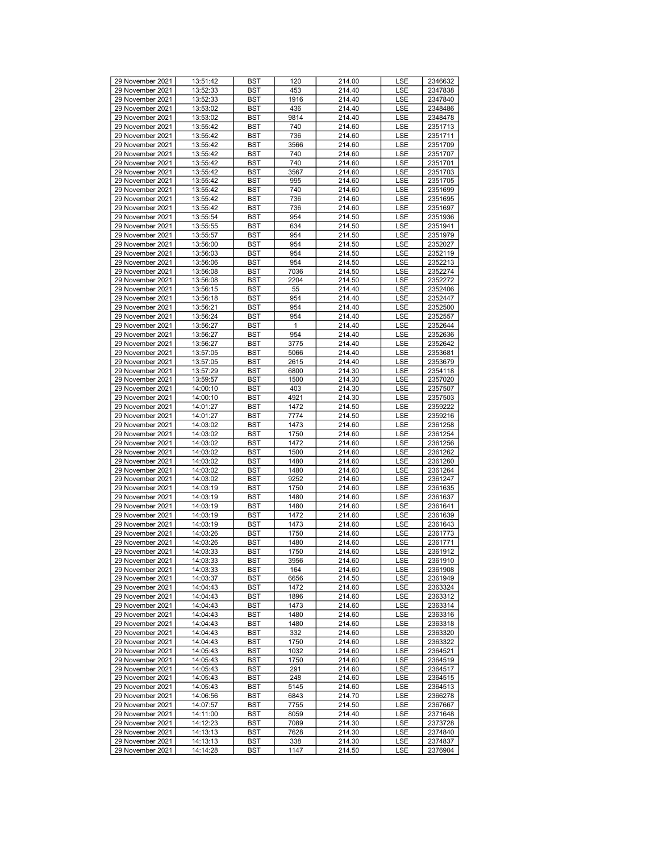| 29 November 2021 | 13:51:42 | <b>BST</b> | 120  | 214.00 | <b>LSE</b> | 2346632 |
|------------------|----------|------------|------|--------|------------|---------|
| 29 November 2021 | 13:52:33 | <b>BST</b> | 453  | 214.40 | <b>LSE</b> | 2347838 |
| 29 November 2021 | 13:52:33 | <b>BST</b> | 1916 | 214.40 | LSE        | 2347840 |
| 29 November 2021 | 13:53:02 | <b>BST</b> | 436  | 214.40 | LSE        | 2348486 |
| 29 November 2021 | 13:53:02 | <b>BST</b> | 9814 | 214.40 | LSE        | 2348478 |
|                  |          |            |      |        |            |         |
| 29 November 2021 | 13:55:42 | <b>BST</b> | 740  | 214.60 | LSE        | 2351713 |
| 29 November 2021 | 13:55:42 | <b>BST</b> | 736  | 214.60 | LSE        | 2351711 |
| 29 November 2021 | 13:55:42 | <b>BST</b> | 3566 | 214.60 | LSE        | 2351709 |
| 29 November 2021 | 13:55:42 | <b>BST</b> | 740  | 214.60 | LSE        | 2351707 |
|                  |          |            |      |        |            |         |
| 29 November 2021 | 13:55:42 | <b>BST</b> | 740  | 214.60 | LSE        | 2351701 |
| 29 November 2021 | 13:55:42 | <b>BST</b> | 3567 | 214.60 | LSE        | 2351703 |
| 29 November 2021 | 13:55:42 | <b>BST</b> | 995  | 214.60 | <b>LSE</b> | 2351705 |
| 29 November 2021 | 13:55:42 | <b>BST</b> | 740  |        | LSE        | 2351699 |
|                  |          |            |      | 214.60 |            |         |
| 29 November 2021 | 13:55:42 | <b>BST</b> | 736  | 214.60 | LSE        | 2351695 |
| 29 November 2021 | 13:55:42 | <b>BST</b> | 736  | 214.60 | LSE        | 2351697 |
| 29 November 2021 | 13:55:54 | <b>BST</b> | 954  | 214.50 | LSE        | 2351936 |
| 29 November 2021 |          |            |      |        |            |         |
|                  | 13:55:55 | <b>BST</b> | 634  | 214.50 | LSE        | 2351941 |
| 29 November 2021 | 13:55:57 | <b>BST</b> | 954  | 214.50 | LSE        | 2351979 |
| 29 November 2021 | 13:56:00 | <b>BST</b> | 954  | 214.50 | LSE        | 2352027 |
| 29 November 2021 | 13:56:03 | <b>BST</b> | 954  | 214.50 | LSE        | 2352119 |
|                  |          |            |      |        |            |         |
| 29 November 2021 | 13:56:06 | <b>BST</b> | 954  | 214.50 | LSE        | 2352213 |
| 29 November 2021 | 13:56:08 | <b>BST</b> | 7036 | 214.50 | <b>LSE</b> | 2352274 |
| 29 November 2021 | 13:56:08 | <b>BST</b> | 2204 | 214.50 | LSE        | 2352272 |
| 29 November 2021 | 13:56:15 | <b>BST</b> | 55   | 214.40 | LSE        | 2352406 |
|                  |          |            |      |        |            |         |
| 29 November 2021 | 13:56:18 | <b>BST</b> | 954  | 214.40 | LSE        | 2352447 |
| 29 November 2021 | 13:56:21 | <b>BST</b> | 954  | 214.40 | LSE        | 2352500 |
| 29 November 2021 | 13:56:24 | <b>BST</b> | 954  | 214.40 | LSE        | 2352557 |
| 29 November 2021 | 13:56:27 | <b>BST</b> | 1    | 214.40 | LSE        | 2352644 |
|                  |          |            |      |        |            |         |
| 29 November 2021 | 13:56:27 | <b>BST</b> | 954  | 214.40 | LSE        | 2352636 |
| 29 November 2021 | 13:56:27 | <b>BST</b> | 3775 | 214.40 | LSE        | 2352642 |
| 29 November 2021 | 13:57:05 | <b>BST</b> | 5066 | 214.40 | LSE        | 2353681 |
| 29 November 2021 |          |            |      | 214.40 |            |         |
|                  | 13:57:05 | <b>BST</b> | 2615 |        | <b>LSE</b> | 2353679 |
| 29 November 2021 | 13:57:29 | <b>BST</b> | 6800 | 214.30 | LSE        | 2354118 |
| 29 November 2021 | 13:59:57 | <b>BST</b> | 1500 | 214.30 | LSE        | 2357020 |
| 29 November 2021 | 14:00:10 | <b>BST</b> | 403  | 214.30 | LSE        | 2357507 |
|                  |          |            | 4921 |        |            |         |
| 29 November 2021 | 14:00:10 | <b>BST</b> |      | 214.30 | LSE        | 2357503 |
| 29 November 2021 | 14:01:27 | <b>BST</b> | 1472 | 214.50 | LSE        | 2359222 |
| 29 November 2021 | 14:01:27 | <b>BST</b> | 7774 | 214.50 | LSE        | 2359216 |
| 29 November 2021 | 14:03:02 | <b>BST</b> | 1473 | 214.60 | LSE        | 2361258 |
| 29 November 2021 | 14:03:02 |            | 1750 |        |            | 2361254 |
|                  |          | <b>BST</b> |      | 214.60 | LSE        |         |
| 29 November 2021 | 14:03:02 | <b>BST</b> | 1472 | 214.60 | LSE        | 2361256 |
| 29 November 2021 | 14:03:02 | <b>BST</b> | 1500 | 214.60 | LSE        | 2361262 |
| 29 November 2021 | 14:03:02 | <b>BST</b> | 1480 | 214.60 | LSE        | 2361260 |
|                  |          |            |      |        |            |         |
| 29 November 2021 | 14:03:02 | <b>BST</b> | 1480 | 214.60 | LSE        | 2361264 |
| 29 November 2021 | 14:03:02 | <b>BST</b> | 9252 | 214.60 | LSE        | 2361247 |
| 29 November 2021 | 14:03:19 | <b>BST</b> | 1750 | 214.60 | LSE        | 2361635 |
| 29 November 2021 | 14:03:19 | <b>BST</b> | 1480 | 214.60 | LSE        | 2361637 |
|                  |          |            |      |        |            |         |
| 29 November 2021 | 14:03:19 | <b>BST</b> | 1480 | 214.60 | LSE        | 2361641 |
| 29 November 2021 | 14:03:19 | <b>BST</b> | 1472 | 214.60 | LSE        | 2361639 |
| 29 November 2021 | 14:03:19 | <b>BST</b> | 1473 | 214.60 | LSE        | 2361643 |
| 29 November 2021 | 14:03:26 | <b>BST</b> | 1750 | 214.60 | LSE        | 2361773 |
| 29 November 2021 |          | <b>BST</b> | 1480 | 214.60 |            |         |
|                  | 14:03:26 |            |      |        | LSE        | 2361771 |
| 29 November 2021 | 14:03:33 | <b>BST</b> | 1750 | 214.60 | LSE        | 2361912 |
| 29 November 2021 | 14:03:33 | <b>BST</b> | 3956 | 214.60 | LSE        | 2361910 |
| 29 November 2021 | 14:03:33 | <b>BST</b> | 164  | 214.60 | LSE        | 2361908 |
| 29 November 2021 | 14:03:37 | <b>BST</b> | 6656 | 214.50 | LSE        | 2361949 |
|                  |          |            |      |        |            |         |
| 29 November 2021 | 14:04:43 | BST        | 1472 | 214.60 | LSE        | 2363324 |
| 29 November 2021 | 14:04:43 | <b>BST</b> | 1896 | 214.60 | LSE        | 2363312 |
| 29 November 2021 | 14:04:43 | BST        | 1473 | 214.60 | LSE        | 2363314 |
| 29 November 2021 | 14:04:43 | <b>BST</b> | 1480 | 214.60 | LSE        | 2363316 |
|                  |          |            |      |        |            |         |
| 29 November 2021 | 14:04:43 | <b>BST</b> | 1480 | 214.60 | LSE        | 2363318 |
| 29 November 2021 | 14:04:43 | BST        | 332  | 214.60 | LSE        | 2363320 |
| 29 November 2021 | 14:04:43 | <b>BST</b> | 1750 | 214.60 | LSE        | 2363322 |
|                  |          |            |      |        |            | 2364521 |
| 29 November 2021 | 14:05:43 | <b>BST</b> | 1032 | 214.60 | LSE        |         |
| 29 November 2021 | 14:05:43 | <b>BST</b> | 1750 | 214.60 | LSE        | 2364519 |
| 29 November 2021 | 14:05:43 | <b>BST</b> | 291  | 214.60 | LSE        | 2364517 |
| 29 November 2021 | 14:05:43 | BST        | 248  | 214.60 | LSE        | 2364515 |
|                  |          |            |      |        |            |         |
| 29 November 2021 | 14:05:43 | <b>BST</b> | 5145 | 214.60 | LSE        | 2364513 |
| 29 November 2021 | 14:06:56 | BST        | 6843 | 214.70 | LSE        | 2366278 |
| 29 November 2021 | 14:07:57 | <b>BST</b> | 7755 | 214.50 | LSE        | 2367667 |
| 29 November 2021 | 14:11:00 | <b>BST</b> | 8059 | 214.40 | LSE        | 2371648 |
|                  |          |            |      |        |            |         |
| 29 November 2021 | 14:12:23 | BST        | 7089 | 214.30 | LSE        | 2373728 |
| 29 November 2021 | 14:13:13 | <b>BST</b> | 7628 | 214.30 | LSE        | 2374840 |
| 29 November 2021 | 14:13:13 | BST        | 338  | 214.30 | LSE        | 2374837 |
| 29 November 2021 | 14:14:28 |            | 1147 | 214.50 | LSE        | 2376904 |
|                  |          | BST        |      |        |            |         |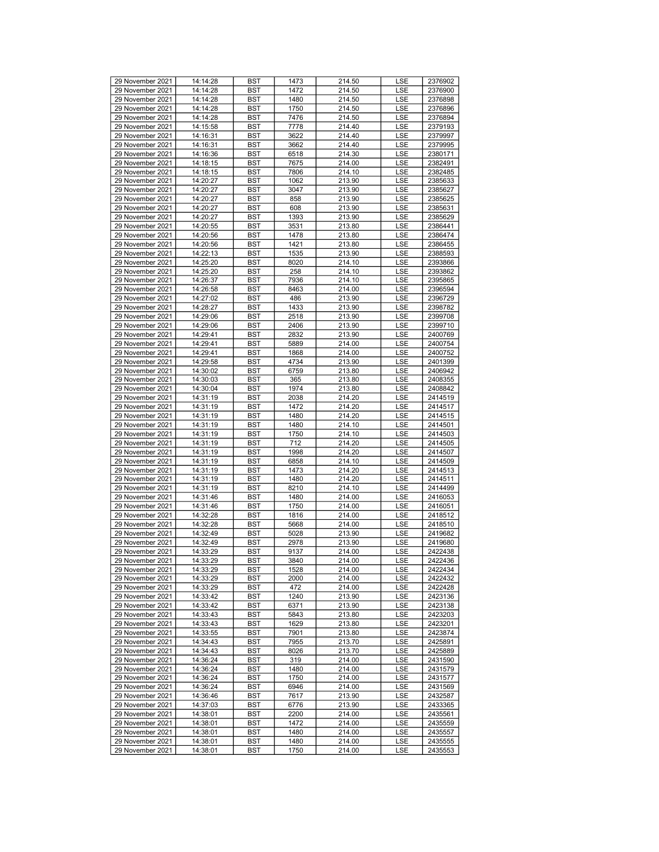| 29 November 2021 | 14:14:28 | <b>BST</b> | 1473 | 214.50 | <b>LSE</b> | 2376902 |
|------------------|----------|------------|------|--------|------------|---------|
| 29 November 2021 | 14:14:28 | <b>BST</b> | 1472 | 214.50 | LSE        | 2376900 |
|                  |          |            |      | 214.50 |            |         |
| 29 November 2021 | 14:14:28 | BST        | 1480 |        | LSE        | 2376898 |
| 29 November 2021 | 14:14:28 | <b>BST</b> | 1750 | 214.50 | LSE        | 2376896 |
| 29 November 2021 | 14:14:28 | <b>BST</b> | 7476 | 214.50 | LSE        | 2376894 |
| 29 November 2021 | 14:15:58 | <b>BST</b> | 7778 | 214.40 | LSE        | 2379193 |
| 29 November 2021 | 14:16:31 | <b>BST</b> | 3622 | 214.40 | LSE        | 2379997 |
| 29 November 2021 | 14:16:31 | BST        | 3662 | 214.40 | LSE        | 2379995 |
| 29 November 2021 | 14:16:36 | <b>BST</b> | 6518 | 214.30 | LSE        | 2380171 |
|                  |          |            |      |        |            |         |
| 29 November 2021 | 14:18:15 | <b>BST</b> | 7675 | 214.00 | LSE        | 2382491 |
| 29 November 2021 | 14:18:15 | <b>BST</b> | 7806 | 214.10 | LSE        | 2382485 |
| 29 November 2021 | 14:20:27 | <b>BST</b> | 1062 | 213.90 | LSE        | 2385633 |
| 29 November 2021 | 14:20:27 | BST        | 3047 | 213.90 | LSE        | 2385627 |
| 29 November 2021 | 14:20:27 | <b>BST</b> | 858  | 213.90 | LSE        | 2385625 |
| 29 November 2021 | 14:20:27 | <b>BST</b> | 608  | 213.90 | LSE        | 2385631 |
| 29 November 2021 | 14:20:27 | <b>BST</b> | 1393 | 213.90 | LSE        | 2385629 |
| 29 November 2021 | 14:20:55 | <b>BST</b> | 3531 | 213.80 | LSE        | 2386441 |
|                  |          |            |      |        |            |         |
| 29 November 2021 | 14:20:56 | BST        | 1478 | 213.80 | LSE        | 2386474 |
| 29 November 2021 | 14:20:56 | <b>BST</b> | 1421 | 213.80 | LSE        | 2386455 |
| 29 November 2021 | 14:22:13 | <b>BST</b> | 1535 | 213.90 | LSE        | 2388593 |
| 29 November 2021 | 14:25:20 | <b>BST</b> | 8020 | 214.10 | LSE        | 2393866 |
| 29 November 2021 | 14:25:20 | <b>BST</b> | 258  | 214.10 | LSE        | 2393862 |
| 29 November 2021 | 14:26:37 | BST        | 7936 | 214.10 | LSE        | 2395865 |
| 29 November 2021 | 14:26:58 | <b>BST</b> | 8463 | 214.00 | LSE        | 2396594 |
| 29 November 2021 | 14:27:02 |            | 486  |        |            |         |
|                  |          | <b>BST</b> |      | 213.90 | LSE        | 2396729 |
| 29 November 2021 | 14:28:27 | <b>BST</b> | 1433 | 213.90 | LSE        | 2398782 |
| 29 November 2021 | 14:29:06 | <b>BST</b> | 2518 | 213.90 | LSE        | 2399708 |
| 29 November 2021 | 14:29:06 | BST        | 2406 | 213.90 | LSE        | 2399710 |
| 29 November 2021 | 14:29:41 | <b>BST</b> | 2832 | 213.90 | LSE        | 2400769 |
| 29 November 2021 | 14:29:41 | <b>BST</b> | 5889 | 214.00 | LSE        | 2400754 |
| 29 November 2021 | 14:29:41 | <b>BST</b> | 1868 | 214.00 | LSE        | 2400752 |
| 29 November 2021 | 14:29:58 | <b>BST</b> | 4734 | 213.90 | LSE        | 2401399 |
|                  |          |            |      | 213.80 |            | 2406942 |
| 29 November 2021 | 14:30:02 | BST        | 6759 |        | LSE        |         |
| 29 November 2021 | 14:30:03 | <b>BST</b> | 365  | 213.80 | LSE        | 2408355 |
| 29 November 2021 | 14:30:04 | <b>BST</b> | 1974 | 213.80 | LSE        | 2408842 |
| 29 November 2021 | 14:31:19 | <b>BST</b> | 2038 | 214.20 | LSE        | 2414519 |
| 29 November 2021 | 14:31:19 | <b>BST</b> | 1472 | 214.20 | LSE        | 2414517 |
| 29 November 2021 | 14:31:19 | BST        | 1480 | 214.20 | LSE        | 2414515 |
| 29 November 2021 | 14:31:19 | <b>BST</b> | 1480 | 214.10 | LSE        | 2414501 |
| 29 November 2021 | 14:31:19 | <b>BST</b> | 1750 | 214.10 | LSE        | 2414503 |
|                  |          |            |      |        |            |         |
| 29 November 2021 | 14:31:19 | <b>BST</b> | 712  | 214.20 | LSE        | 2414505 |
| 29 November 2021 | 14:31:19 | <b>BST</b> | 1998 | 214.20 | LSE        | 2414507 |
| 29 November 2021 | 14:31:19 | <b>BST</b> | 6858 | 214.10 | LSE        | 2414509 |
| 29 November 2021 | 14:31:19 | <b>BST</b> | 1473 | 214.20 | LSE        | 2414513 |
| 29 November 2021 | 14:31:19 | <b>BST</b> | 1480 | 214.20 | LSE        | 2414511 |
| 29 November 2021 | 14:31:19 | <b>BST</b> | 8210 | 214.10 | LSE        | 2414499 |
| 29 November 2021 | 14:31:46 | <b>BST</b> | 1480 | 214.00 | LSE        | 2416053 |
| 29 November 2021 | 14:31:46 | BST        | 1750 | 214.00 | LSE        | 2416051 |
|                  |          |            |      |        |            |         |
| 29 November 2021 | 14:32:28 | <b>BST</b> | 1816 | 214.00 | LSE        | 2418512 |
| 29 November 2021 | 14:32:28 | <b>BST</b> | 5668 | 214.00 | LSE        | 2418510 |
| 29 November 2021 | 14:32:49 | <b>BST</b> | 5028 | 213.90 | LSE        | 2419682 |
| 29 November 2021 | 14:32:49 | <b>BST</b> | 2978 | 213.90 | LSE        | 2419680 |
| 29 November 2021 | 14:33:29 | <b>BST</b> | 9137 | 214.00 | LSE        | 2422438 |
| 29 November 2021 | 14:33:29 | <b>BST</b> | 3840 | 214.00 | LSE        | 2422436 |
| 29 November 2021 | 14:33:29 | <b>BST</b> | 1528 | 214.00 | LSE        | 2422434 |
| 29 November 2021 | 14:33:29 | BST        | 2000 | 214.00 | LSE        | 2422432 |
|                  |          |            |      |        |            |         |
| 29 November 2021 | 14:33:29 | BST        | 472  | 214.00 | LSE        | 2422428 |
| 29 November 2021 | 14:33:42 | BST        | 1240 | 213.90 | LSE        | 2423136 |
| 29 November 2021 | 14:33:42 | BST        | 6371 | 213.90 | LSE        | 2423138 |
| 29 November 2021 | 14:33:43 | <b>BST</b> | 5843 | 213.80 | LSE        | 2423203 |
| 29 November 2021 | 14:33:43 | BST        | 1629 | 213.80 | LSE        | 2423201 |
| 29 November 2021 | 14:33:55 | BST        | 7901 | 213.80 | LSE        | 2423874 |
| 29 November 2021 | 14:34:43 | BST        | 7955 | 213.70 | LSE        | 2425891 |
| 29 November 2021 | 14:34:43 | BST        | 8026 | 213.70 | LSE        | 2425889 |
|                  |          |            |      |        |            | 2431590 |
| 29 November 2021 | 14:36:24 | <b>BST</b> | 319  | 214.00 | LSE        |         |
| 29 November 2021 | 14:36:24 | BST        | 1480 | 214.00 | LSE        | 2431579 |
| 29 November 2021 | 14:36:24 | BST        | 1750 | 214.00 | LSE        | 2431577 |
| 29 November 2021 | 14:36:24 | BST        | 6946 | 214.00 | LSE        | 2431569 |
| 29 November 2021 | 14:36:46 | BST        | 7617 | 213.90 | LSE        | 2432587 |
| 29 November 2021 | 14:37:03 | <b>BST</b> | 6776 | 213.90 | LSE        | 2433365 |
| 29 November 2021 | 14:38:01 | BST        | 2200 | 214.00 | LSE        | 2435561 |
| 29 November 2021 | 14:38:01 | <b>BST</b> | 1472 | 214.00 | LSE        | 2435559 |
|                  |          |            |      |        |            |         |
| 29 November 2021 | 14:38:01 | BST        | 1480 | 214.00 | LSE        | 2435557 |
| 29 November 2021 | 14:38:01 | BST        | 1480 | 214.00 | LSE        | 2435555 |
| 29 November 2021 | 14:38:01 | BST        | 1750 | 214.00 | LSE        | 2435553 |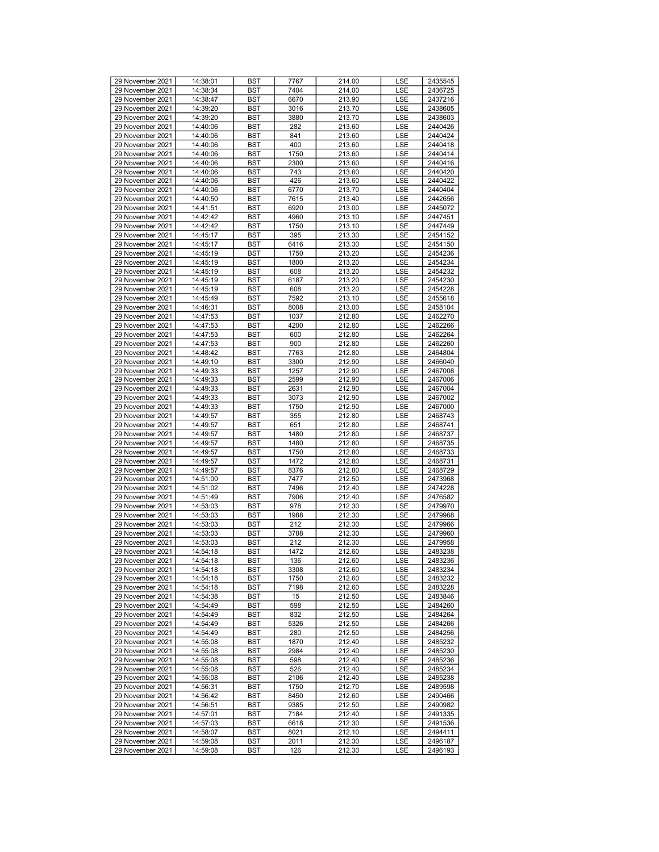| 29 November 2021 | 14:38:01 | <b>BST</b> | 7767 | 214.00 | LSE        | 2435545 |
|------------------|----------|------------|------|--------|------------|---------|
| 29 November 2021 | 14:38:34 | BST        | 7404 | 214.00 | <b>LSE</b> | 2436725 |
| 29 November 2021 | 14:38:47 | BST        | 6670 | 213.90 | LSE        | 2437216 |
| 29 November 2021 | 14:39:20 | <b>BST</b> | 3016 | 213.70 | LSE        | 2438605 |
|                  |          |            |      |        |            |         |
| 29 November 2021 | 14:39:20 | <b>BST</b> | 3880 | 213.70 | LSE        | 2438603 |
| 29 November 2021 | 14:40:06 | <b>BST</b> | 282  | 213.60 | LSE        | 2440426 |
| 29 November 2021 | 14:40:06 | <b>BST</b> | 841  | 213.60 | LSE        | 2440424 |
| 29 November 2021 | 14:40:06 | BST        | 400  | 213.60 | LSE        | 2440418 |
| 29 November 2021 | 14:40:06 | <b>BST</b> | 1750 | 213.60 | LSE        | 2440414 |
| 29 November 2021 | 14:40:06 | <b>BST</b> | 2300 | 213.60 | LSE        | 2440416 |
| 29 November 2021 | 14:40:06 | <b>BST</b> | 743  | 213.60 | LSE        | 2440420 |
| 29 November 2021 | 14:40:06 | <b>BST</b> | 426  | 213.60 | LSE        | 2440422 |
| 29 November 2021 | 14:40:06 | BST        | 6770 | 213.70 | LSE        | 2440404 |
|                  |          |            |      |        |            |         |
| 29 November 2021 | 14:40:50 | <b>BST</b> | 7615 | 213.40 | LSE        | 2442656 |
| 29 November 2021 | 14:41:51 | <b>BST</b> | 6920 | 213.00 | LSE        | 2445072 |
| 29 November 2021 | 14:42:42 | <b>BST</b> | 4960 | 213.10 | LSE        | 2447451 |
| 29 November 2021 | 14:42:42 | <b>BST</b> | 1750 | 213.10 | LSE        | 2447449 |
| 29 November 2021 | 14:45:17 | BST        | 395  | 213.30 | LSE        | 2454152 |
| 29 November 2021 | 14:45:17 | <b>BST</b> | 6416 | 213.30 | LSE        | 2454150 |
| 29 November 2021 | 14:45:19 | <b>BST</b> | 1750 | 213.20 | LSE        | 2454236 |
| 29 November 2021 | 14:45:19 | <b>BST</b> | 1800 | 213.20 | LSE        | 2454234 |
| 29 November 2021 | 14:45:19 | <b>BST</b> | 608  | 213.20 | LSE        | 2454232 |
|                  |          |            |      |        |            |         |
| 29 November 2021 | 14:45:19 | BST        | 6187 | 213.20 | LSE        | 2454230 |
| 29 November 2021 | 14:45:19 | <b>BST</b> | 608  | 213.20 | LSE        | 2454228 |
| 29 November 2021 | 14:45:49 | <b>BST</b> | 7592 | 213.10 | LSE        | 2455618 |
| 29 November 2021 | 14:46:31 | <b>BST</b> | 8008 | 213.00 | LSE        | 2458104 |
| 29 November 2021 | 14:47:53 | BST        | 1037 | 212.80 | LSE        | 2462270 |
| 29 November 2021 | 14:47:53 | BST        | 4200 | 212.80 | LSE        | 2462266 |
| 29 November 2021 | 14:47:53 | <b>BST</b> | 600  | 212.80 | LSE        | 2462264 |
| 29 November 2021 | 14:47:53 | <b>BST</b> | 900  | 212.80 | LSE        | 2462260 |
| 29 November 2021 |          |            |      | 212.80 |            |         |
|                  | 14:48:42 | <b>BST</b> | 7763 |        | LSE        | 2464804 |
| 29 November 2021 | 14:49:10 | <b>BST</b> | 3300 | 212.90 | LSE        | 2466040 |
| 29 November 2021 | 14:49:33 | BST        | 1257 | 212.90 | LSE        | 2467008 |
| 29 November 2021 | 14:49:33 | <b>BST</b> | 2599 | 212.90 | LSE        | 2467006 |
| 29 November 2021 | 14:49:33 | <b>BST</b> | 2631 | 212.90 | LSE        | 2467004 |
| 29 November 2021 | 14:49:33 | <b>BST</b> | 3073 | 212.90 | LSE        | 2467002 |
| 29 November 2021 | 14:49:33 | BST        | 1750 | 212.90 | LSE        | 2467000 |
| 29 November 2021 | 14:49:57 | BST        | 355  | 212.80 | LSE        | 2468743 |
| 29 November 2021 | 14:49:57 | <b>BST</b> |      | 212.80 |            | 2468741 |
|                  |          |            | 651  |        | LSE        |         |
| 29 November 2021 | 14:49:57 | <b>BST</b> | 1480 | 212.80 | LSE        | 2468737 |
| 29 November 2021 | 14:49:57 | <b>BST</b> | 1480 | 212.80 | LSE        | 2468735 |
| 29 November 2021 | 14:49:57 | <b>BST</b> | 1750 | 212.80 | LSE        | 2468733 |
| 29 November 2021 | 14:49:57 | BST        | 1472 | 212.80 | LSE        | 2468731 |
| 29 November 2021 | 14:49:57 | <b>BST</b> | 8376 | 212.80 | LSE        | 2468729 |
| 29 November 2021 | 14:51:00 | <b>BST</b> | 7477 | 212.50 | LSE        | 2473968 |
| 29 November 2021 | 14:51:02 | <b>BST</b> | 7496 | 212.40 | LSE        | 2474228 |
| 29 November 2021 | 14:51:49 | BST        | 7906 | 212.40 | LSE        | 2476582 |
|                  |          |            |      |        |            | 2479970 |
| 29 November 2021 | 14:53:03 | BST        | 978  | 212.30 | LSE        |         |
| 29 November 2021 | 14:53:03 | <b>BST</b> | 1988 | 212.30 | LSE        | 2479968 |
| 29 November 2021 | 14:53:03 | <b>BST</b> | 212  | 212.30 | LSE        | 2479966 |
| 29 November 2021 | 14:53:03 | <b>BST</b> | 3788 | 212.30 | LSE        | 2479960 |
| 29 November 2021 | 14:53:03 | <b>BST</b> | 212  | 212.30 | LSE        | 2479958 |
| 29 November 2021 | 14:54:18 | <b>BST</b> | 1472 | 212.60 | LSE        | 2483238 |
| 29 November 2021 | 14:54:18 | <b>BST</b> | 136  | 212.60 | LSE        | 2483236 |
| 29 November 2021 | 14:54:18 | <b>BST</b> | 3308 | 212.60 | <b>LSE</b> | 2483234 |
| 29 November 2021 | 14:54:18 | <b>BST</b> | 1750 | 212.60 | LSE        | 2483232 |
|                  |          |            |      |        |            |         |
| 29 November 2021 | 14:54:18 | BST        | 7198 | 212.60 | LSE        | 2483228 |
| 29 November 2021 | 14:54:38 | <b>BST</b> | 15   | 212.50 | LSE        | 2483846 |
| 29 November 2021 | 14:54:49 | BST        | 598  | 212.50 | LSE        | 2484260 |
| 29 November 2021 | 14:54:49 | BST        | 832  | 212.50 | LSE        | 2484264 |
| 29 November 2021 | 14:54:49 | <b>BST</b> | 5326 | 212.50 | LSE        | 2484266 |
| 29 November 2021 | 14:54:49 | BST        | 280  | 212.50 | LSE        | 2484256 |
| 29 November 2021 | 14:55:08 | BST        | 1870 | 212.40 | LSE        | 2485232 |
| 29 November 2021 | 14:55:08 | BST        | 2984 | 212.40 | LSE        | 2485230 |
| 29 November 2021 | 14:55:08 |            | 598  |        | LSE        | 2485236 |
|                  |          | <b>BST</b> |      | 212.40 |            |         |
| 29 November 2021 | 14:55:08 | <b>BST</b> | 526  | 212.40 | LSE        | 2485234 |
| 29 November 2021 | 14:55:08 | BST        | 2106 | 212.40 | LSE        | 2485238 |
| 29 November 2021 | 14:56:31 | <b>BST</b> | 1750 | 212.70 | LSE        | 2489598 |
| 29 November 2021 | 14:56:42 | BST        | 8450 | 212.60 | LSE        | 2490466 |
| 29 November 2021 | 14:56:51 | BST        | 9385 | 212.50 | LSE        | 2490982 |
| 29 November 2021 | 14:57:01 | <b>BST</b> | 7184 | 212.40 | LSE        | 2491335 |
| 29 November 2021 | 14:57:03 | BST        | 6618 | 212.30 | LSE        | 2491536 |
| 29 November 2021 |          |            |      |        |            |         |
|                  | 14:58:07 | BST        | 8021 | 212.10 | LSE        | 2494411 |
| 29 November 2021 | 14:59:08 | BST        | 2011 | 212.30 | LSE        | 2496187 |
| 29 November 2021 | 14:59:08 | BST        | 126  | 212.30 | LSE        | 2496193 |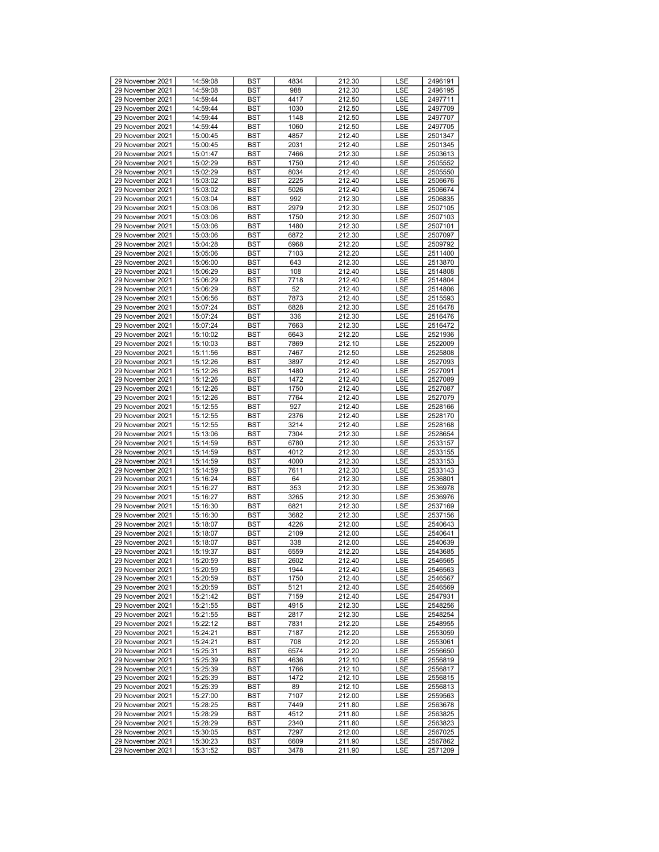| 29 November 2021 | 14:59:08             | <b>BST</b>               | 4834         | 212.30           | <b>LSE</b> | 2496191            |
|------------------|----------------------|--------------------------|--------------|------------------|------------|--------------------|
| 29 November 2021 | 14:59:08             | <b>BST</b>               | 988          | 212.30           | <b>LSE</b> | 2496195            |
| 29 November 2021 | 14:59:44             | BST                      | 4417         | 212.50           | LSE        | 2497711            |
| 29 November 2021 | 14:59:44             | <b>BST</b>               | 1030         | 212.50           | LSE        | 2497709            |
| 29 November 2021 | 14:59:44             | <b>BST</b>               | 1148         | 212.50           | LSE        | 2497707            |
| 29 November 2021 | 14:59:44             | <b>BST</b>               | 1060         | 212.50           | LSE        | 2497705            |
| 29 November 2021 | 15:00:45             | <b>BST</b>               | 4857         | 212.40           | LSE        | 2501347            |
| 29 November 2021 | 15:00:45             | BST                      | 2031         | 212.40           | LSE        | 2501345            |
| 29 November 2021 | 15:01:47             | <b>BST</b>               | 7466         | 212.30           | LSE        | 2503613            |
| 29 November 2021 | 15:02:29             | <b>BST</b>               | 1750         | 212.40           | LSE        | 2505552            |
| 29 November 2021 | 15:02:29             | <b>BST</b>               | 8034         | 212.40           | LSE        | 2505550            |
| 29 November 2021 | 15:03:02             | <b>BST</b>               | 2225         | 212.40           | LSE        | 2506676            |
| 29 November 2021 | 15:03:02             | BST                      | 5026         | 212.40           | LSE        | 2506674            |
| 29 November 2021 | 15:03:04             | <b>BST</b>               | 992          | 212.30           | LSE        | 2506835            |
| 29 November 2021 | 15:03:06             | <b>BST</b>               | 2979         | 212.30           | LSE        | 2507105            |
| 29 November 2021 | 15:03:06             | <b>BST</b>               | 1750         | 212.30           | LSE        | 2507103            |
| 29 November 2021 | 15:03:06             | <b>BST</b>               | 1480         | 212.30           | LSE        | 2507101            |
| 29 November 2021 | 15:03:06             | BST                      | 6872         | 212.30           | LSE        | 2507097            |
| 29 November 2021 | 15:04:28             | <b>BST</b>               | 6968         | 212.20           | LSE        | 2509792            |
| 29 November 2021 | 15:05:06             | <b>BST</b>               | 7103         | 212.20           | LSE        | 2511400            |
| 29 November 2021 | 15:06:00             | <b>BST</b>               | 643          | 212.30           | LSE        | 2513870            |
| 29 November 2021 | 15:06:29             | <b>BST</b>               | 108          | 212.40           | LSE        | 2514808            |
| 29 November 2021 | 15:06:29             | BST                      | 7718         | 212.40           | LSE        | 2514804            |
| 29 November 2021 | 15:06:29             | <b>BST</b>               | 52           | 212.40           | LSE        | 2514806            |
| 29 November 2021 | 15:06:56             | <b>BST</b>               | 7873         | 212.40           | LSE        | 2515593            |
| 29 November 2021 | 15:07:24             | <b>BST</b>               | 6828         | 212.30           | LSE        | 2516478            |
| 29 November 2021 | 15:07:24             | <b>BST</b>               | 336          | 212.30           | LSE        | 2516476            |
| 29 November 2021 | 15:07:24             | BST                      | 7663         | 212.30           | LSE        | 2516472            |
| 29 November 2021 | 15:10:02             | <b>BST</b>               | 6643         | 212.20           | LSE        | 2521936            |
| 29 November 2021 | 15:10:03             | <b>BST</b>               | 7869         | 212.10           | LSE        | 2522009            |
| 29 November 2021 | 15:11:56             | <b>BST</b>               | 7467         | 212.50           | LSE        | 2525808            |
| 29 November 2021 | 15:12:26             | <b>BST</b>               | 3897         | 212.40           | LSE        | 2527093            |
| 29 November 2021 | 15:12:26             | BST                      | 1480         | 212.40           | LSE        | 2527091            |
| 29 November 2021 | 15:12:26             | <b>BST</b>               | 1472         | 212.40           | LSE        | 2527089            |
| 29 November 2021 | 15:12:26             | <b>BST</b>               | 1750         | 212.40           | <b>LSE</b> | 2527087            |
| 29 November 2021 | 15:12:26             | <b>BST</b>               | 7764         | 212.40           | LSE        | 2527079            |
| 29 November 2021 | 15:12:55             | <b>BST</b>               | 927          | 212.40           | LSE        | 2528166            |
| 29 November 2021 | 15:12:55             | BST                      | 2376         | 212.40           | LSE        | 2528170            |
| 29 November 2021 | 15:12:55             | <b>BST</b>               | 3214         | 212.40           | LSE        | 2528168            |
| 29 November 2021 | 15:13:06             | <b>BST</b>               | 7304         | 212.30           | LSE        | 2528654            |
| 29 November 2021 | 15:14:59             | <b>BST</b>               | 6780         | 212.30           | LSE        | 2533157            |
| 29 November 2021 | 15:14:59             | <b>BST</b>               | 4012         | 212.30           | LSE        | 2533155            |
| 29 November 2021 | 15:14:59             | BST                      | 4000         | 212.30           | LSE        | 2533153            |
| 29 November 2021 | 15:14:59             | <b>BST</b>               | 7611         | 212.30           | LSE        | 2533143            |
| 29 November 2021 | 15:16:24             | <b>BST</b>               | 64           | 212.30           | LSE        | 2536801            |
| 29 November 2021 | 15:16:27             | <b>BST</b>               | 353          | 212.30           | LSE        | 2536978            |
| 29 November 2021 | 15:16:27             | <b>BST</b>               | 3265         | 212.30           | LSE        | 2536976            |
| 29 November 2021 | 15:16:30             | BST                      | 6821         | 212.30           | LSE        | 2537169            |
| 29 November 2021 |                      |                          | 3682         | 212.30           |            | 2537156            |
| 29 November 2021 | 15:16:30<br>15:18:07 | <b>BST</b><br><b>BST</b> | 4226         | 212.00           | LSE<br>LSE | 2540643            |
| 29 November 2021 | 15:18:07             | <b>BST</b>               | 2109         | 212.00           | LSE        | 2540641            |
| 29 November 2021 | 15:18:07             | <b>BST</b>               | 338          | 212.00           | LSE        | 2540639            |
| 29 November 2021 | 15:19:37             | <b>BST</b>               | 6559         | 212.20           | LSE        | 2543685            |
| 29 November 2021 | 15:20:59             | <b>BST</b>               | 2602         | 212.40           | LSE        | 2546565            |
| 29 November 2021 | 15:20:59             | <b>BST</b>               | 1944         | 212.40           | LSE        | 2546563            |
| 29 November 2021 | 15:20:59             | BST                      | 1750         | 212.40           | LSE        | 2546567            |
| 29 November 2021 | 15:20:59             | BST                      | 5121         | 212.40           | LSE        | 2546569            |
| 29 November 2021 | 15:21:42             | BST                      | 7159         | 212.40           | LSE        | 2547931            |
| 29 November 2021 | 15:21:55             | BST                      | 4915         | 212.30           | LSE        | 2548256            |
| 29 November 2021 | 15:21:55             | <b>BST</b>               | 2817         | 212.30           | LSE        | 2548254            |
| 29 November 2021 | 15:22:12             | BST                      | 7831         | 212.20           | LSE        | 2548955            |
| 29 November 2021 | 15:24:21             | BST                      | 7187         | 212.20           | LSE        | 2553059            |
| 29 November 2021 | 15:24:21             | BST                      | 708          | 212.20           | LSE        | 2553061            |
| 29 November 2021 | 15:25:31             | BST                      | 6574         | 212.20           | LSE        | 2556650            |
| 29 November 2021 | 15:25:39             | <b>BST</b>               | 4636         | 212.10           | LSE        | 2556819            |
| 29 November 2021 | 15:25:39             | BST                      | 1766         | 212.10           | LSE        | 2556817            |
| 29 November 2021 | 15:25:39             | BST                      | 1472         | 212.10           | LSE        | 2556815            |
| 29 November 2021 | 15:25:39             | BST                      | 89           | 212.10           | LSE        | 2556813            |
| 29 November 2021 | 15:27:00             | BST                      | 7107         | 212.00           | LSE        | 2559563            |
| 29 November 2021 | 15:28:25             | <b>BST</b>               | 7449         | 211.80           | LSE        | 2563678            |
| 29 November 2021 |                      | BST                      | 4512         | 211.80           |            |                    |
| 29 November 2021 | 15:28:29             |                          |              |                  | LSE        | 2563825            |
| 29 November 2021 | 15:28:29             | <b>BST</b><br><b>BST</b> | 2340<br>7297 | 211.80           | LSE<br>LSE | 2563823            |
| 29 November 2021 | 15:30:05<br>15:30:23 | BST                      | 6609         | 212.00<br>211.90 |            | 2567025<br>2567862 |
|                  |                      |                          |              |                  | LSE        |                    |
| 29 November 2021 | 15:31:52             | BST                      | 3478         | 211.90           | LSE        | 2571209            |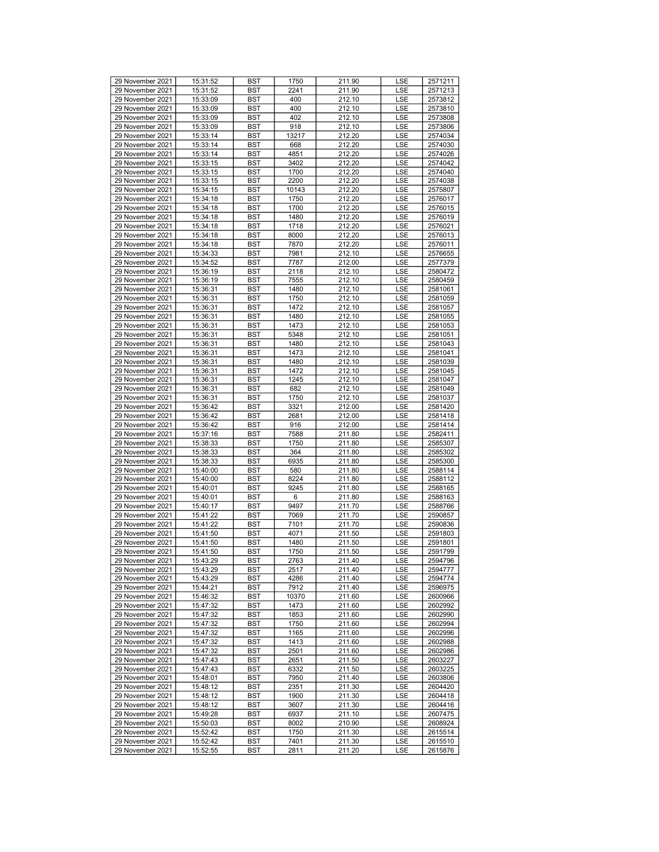| 29 November 2021 | 15:31:52 | <b>BST</b> | 1750  | 211.90 | LSE        | 2571211 |
|------------------|----------|------------|-------|--------|------------|---------|
| 29 November 2021 | 15:31:52 | <b>BST</b> | 2241  | 211.90 | <b>LSE</b> | 2571213 |
| 29 November 2021 | 15:33:09 | <b>BST</b> | 400   | 212.10 | LSE        | 2573812 |
| 29 November 2021 | 15:33:09 | <b>BST</b> | 400   | 212.10 | LSE        | 2573810 |
| 29 November 2021 | 15:33:09 | <b>BST</b> | 402   | 212.10 | LSE        | 2573808 |
| 29 November 2021 | 15:33:09 | <b>BST</b> | 918   | 212.10 | LSE        | 2573806 |
| 29 November 2021 | 15:33:14 | <b>BST</b> | 13217 | 212.20 | LSE        | 2574034 |
| 29 November 2021 |          |            |       |        | LSE        |         |
|                  | 15:33:14 | <b>BST</b> | 668   | 212.20 |            | 2574030 |
| 29 November 2021 | 15:33:14 | <b>BST</b> | 4851  | 212.20 | LSE        | 2574026 |
| 29 November 2021 | 15:33:15 | <b>BST</b> | 3402  | 212.20 | LSE        | 2574042 |
| 29 November 2021 | 15:33:15 | <b>BST</b> | 1700  | 212.20 | LSE        | 2574040 |
| 29 November 2021 | 15:33:15 | <b>BST</b> | 2200  | 212.20 | LSE        | 2574038 |
| 29 November 2021 | 15:34:15 | <b>BST</b> | 10143 | 212.20 | LSE        | 2575807 |
| 29 November 2021 | 15:34:18 | <b>BST</b> | 1750  | 212.20 | LSE        | 2576017 |
| 29 November 2021 | 15:34:18 | <b>BST</b> | 1700  | 212.20 | LSE        | 2576015 |
| 29 November 2021 | 15:34:18 | <b>BST</b> | 1480  | 212.20 | LSE        | 2576019 |
| 29 November 2021 | 15:34:18 | <b>BST</b> | 1718  | 212.20 | LSE        | 2576021 |
| 29 November 2021 | 15:34:18 | <b>BST</b> | 8000  | 212.20 | LSE        | 2576013 |
| 29 November 2021 | 15:34:18 | <b>BST</b> | 7870  | 212.20 | LSE        | 2576011 |
| 29 November 2021 | 15:34:33 | <b>BST</b> | 7981  | 212.10 | LSE        | 2576655 |
| 29 November 2021 | 15:34:52 | <b>BST</b> | 7787  | 212.00 | LSE        | 2577379 |
| 29 November 2021 | 15:36:19 | <b>BST</b> | 2118  | 212.10 | LSE        | 2580472 |
| 29 November 2021 | 15:36:19 | <b>BST</b> | 7555  | 212.10 | LSE        | 2580459 |
| 29 November 2021 | 15:36:31 | <b>BST</b> | 1480  | 212.10 | LSE        | 2581061 |
| 29 November 2021 | 15:36:31 | <b>BST</b> | 1750  | 212.10 | LSE        | 2581059 |
| 29 November 2021 | 15:36:31 | <b>BST</b> | 1472  | 212.10 | LSE        | 2581057 |
| 29 November 2021 |          | <b>BST</b> |       |        |            |         |
|                  | 15:36:31 |            | 1480  | 212.10 | LSE        | 2581055 |
| 29 November 2021 | 15:36:31 | <b>BST</b> | 1473  | 212.10 | LSE        | 2581053 |
| 29 November 2021 | 15:36:31 | <b>BST</b> | 5348  | 212.10 | LSE        | 2581051 |
| 29 November 2021 | 15:36:31 | <b>BST</b> | 1480  | 212.10 | LSE        | 2581043 |
| 29 November 2021 | 15:36:31 | <b>BST</b> | 1473  | 212.10 | LSE        | 2581041 |
| 29 November 2021 | 15:36:31 | <b>BST</b> | 1480  | 212.10 | LSE        | 2581039 |
| 29 November 2021 | 15:36:31 | <b>BST</b> | 1472  | 212.10 | LSE        | 2581045 |
| 29 November 2021 | 15:36:31 | <b>BST</b> | 1245  | 212.10 | LSE        | 2581047 |
| 29 November 2021 | 15:36:31 | <b>BST</b> | 682   | 212.10 | LSE        | 2581049 |
| 29 November 2021 | 15:36:31 | <b>BST</b> | 1750  | 212.10 | LSE        | 2581037 |
| 29 November 2021 | 15:36:42 | <b>BST</b> | 3321  | 212.00 | LSE        | 2581420 |
| 29 November 2021 | 15:36:42 | <b>BST</b> | 2681  | 212.00 | LSE        | 2581418 |
| 29 November 2021 | 15:36:42 | <b>BST</b> | 916   | 212.00 | LSE        | 2581414 |
| 29 November 2021 | 15:37:16 | <b>BST</b> | 7588  | 211.80 | LSE        | 2582411 |
| 29 November 2021 | 15:38:33 | <b>BST</b> | 1750  | 211.80 | LSE        | 2585307 |
| 29 November 2021 | 15:38:33 | <b>BST</b> | 364   | 211.80 | LSE        | 2585302 |
| 29 November 2021 | 15:38:33 | <b>BST</b> | 6935  | 211.80 | LSE        | 2585300 |
| 29 November 2021 | 15:40:00 | <b>BST</b> | 580   | 211.80 | LSE        | 2588114 |
| 29 November 2021 | 15:40:00 | <b>BST</b> | 8224  | 211.80 | LSE        | 2588112 |
| 29 November 2021 | 15:40:01 | <b>BST</b> | 9245  | 211.80 | LSE        | 2588165 |
| 29 November 2021 | 15:40:01 | <b>BST</b> | 6     | 211.80 | LSE        | 2588163 |
| 29 November 2021 | 15:40:17 | <b>BST</b> | 9497  | 211.70 | LSE        | 2588766 |
| 29 November 2021 | 15:41:22 | <b>BST</b> | 7069  | 211.70 | LSE        | 2590857 |
| 29 November 2021 | 15:41:22 | <b>BST</b> | 7101  | 211.70 | LSE        | 2590836 |
| 29 November 2021 |          |            |       |        |            |         |
|                  | 15:41:50 | <b>BST</b> | 4071  | 211.50 | LSE        | 2591803 |
| 29 November 2021 | 15:41:50 | <b>BST</b> | 1480  | 211.50 | LSE        | 2591801 |
| 29 November 2021 | 15:41:50 | <b>BST</b> | 1750  | 211.50 | LSE        | 2591799 |
| 29 November 2021 | 15:43:29 | <b>BST</b> | 2763  | 211.40 | LSE        | 2594796 |
| 29 November 2021 | 15:43:29 | BST        | 2517  | 211.40 | LSE        | 2594777 |
| 29 November 2021 | 15:43:29 | BST        | 4286  | 211.40 | LSE        | 2594774 |
| 29 November 2021 | 15:44:21 | BST        | 7912  | 211.40 | LSE        | 2596975 |
| 29 November 2021 | 15:46:32 | <b>BST</b> | 10370 | 211.60 | LSE        | 2600966 |
| 29 November 2021 | 15:47:32 | <b>BST</b> | 1473  | 211.60 | LSE        | 2602992 |
| 29 November 2021 | 15:47:32 | <b>BST</b> | 1853  | 211.60 | LSE        | 2602990 |
| 29 November 2021 | 15:47:32 | BST        | 1750  | 211.60 | LSE        | 2602994 |
| 29 November 2021 | 15:47:32 | BST        | 1165  | 211.60 | LSE        | 2602996 |
| 29 November 2021 | 15:47:32 | <b>BST</b> | 1413  | 211.60 | LSE        | 2602988 |
| 29 November 2021 | 15:47:32 | <b>BST</b> | 2501  | 211.60 | LSE        | 2602986 |
| 29 November 2021 | 15:47:43 | <b>BST</b> | 2651  | 211.50 | LSE        | 2603227 |
| 29 November 2021 | 15:47:43 | BST        | 6332  | 211.50 | LSE        | 2603225 |
| 29 November 2021 | 15:48:01 | BST        | 7950  | 211.40 | LSE        | 2603806 |
| 29 November 2021 | 15:48:12 | <b>BST</b> | 2351  | 211.30 | LSE        | 2604420 |
| 29 November 2021 | 15:48:12 | <b>BST</b> | 1900  | 211.30 | LSE        | 2604418 |
| 29 November 2021 | 15:48:12 | <b>BST</b> | 3607  | 211.30 | LSE        | 2604416 |
| 29 November 2021 | 15:49:28 | BST        | 6937  | 211.10 | LSE        | 2607475 |
| 29 November 2021 | 15:50:03 | BST        | 8002  | 210.90 | LSE        | 2608924 |
| 29 November 2021 | 15:52:42 | <b>BST</b> | 1750  | 211.30 | LSE        | 2615514 |
| 29 November 2021 | 15:52:42 | BST        | 7401  | 211.30 | LSE        | 2615510 |
| 29 November 2021 | 15:52:55 | BST        | 2811  | 211.20 | LSE        | 2615876 |
|                  |          |            |       |        |            |         |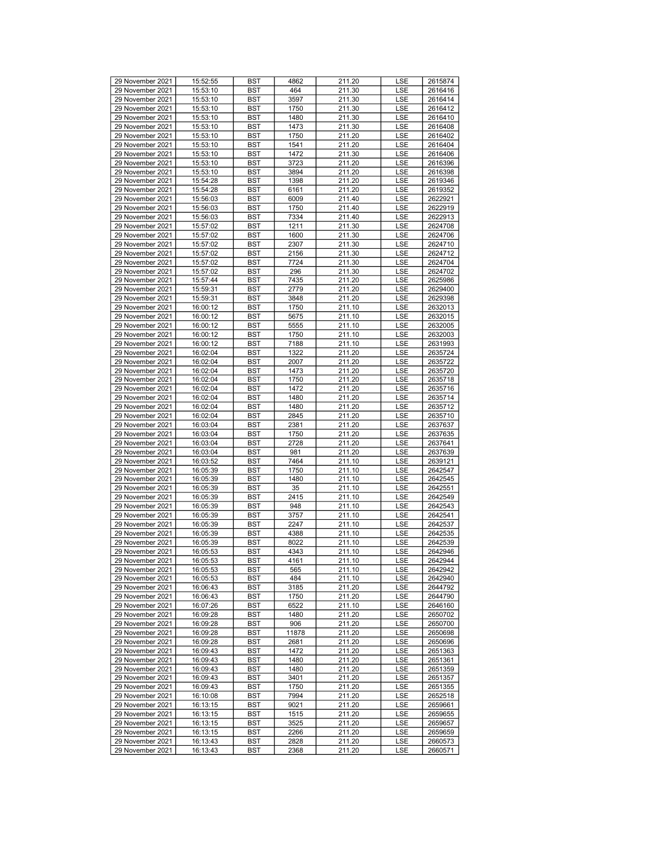| 29 November 2021 | 15:52:55             | <b>BST</b> | 4862  | 211.20 | LSE        | 2615874 |
|------------------|----------------------|------------|-------|--------|------------|---------|
| 29 November 2021 | 15:53:10             | BST        | 464   | 211.30 | <b>LSE</b> | 2616416 |
| 29 November 2021 | 15:53:10             | BST        | 3597  | 211.30 | LSE        | 2616414 |
| 29 November 2021 | 15:53:10             | <b>BST</b> | 1750  | 211.30 | LSE        | 2616412 |
| 29 November 2021 | 15:53:10             | <b>BST</b> | 1480  | 211.30 | LSE        | 2616410 |
| 29 November 2021 | 15:53:10             | <b>BST</b> | 1473  | 211.30 | LSE        | 2616408 |
| 29 November 2021 | 15:53:10             | BST        | 1750  | 211.20 | LSE        | 2616402 |
| 29 November 2021 | 15:53:10             | BST        | 1541  | 211.20 | LSE        | 2616404 |
| 29 November 2021 | 15:53:10             | <b>BST</b> | 1472  | 211.30 | LSE        | 2616406 |
| 29 November 2021 | 15:53:10             | <b>BST</b> | 3723  | 211.20 | LSE        | 2616396 |
|                  |                      |            | 3894  |        |            |         |
| 29 November 2021 | 15:53:10<br>15:54:28 | <b>BST</b> |       | 211.20 | LSE        | 2616398 |
| 29 November 2021 |                      | BST        | 1398  | 211.20 | LSE        | 2619346 |
| 29 November 2021 | 15:54:28             | BST        | 6161  | 211.20 | LSE        | 2619352 |
| 29 November 2021 | 15:56:03             | <b>BST</b> | 6009  | 211.40 | LSE        | 2622921 |
| 29 November 2021 | 15:56:03             | <b>BST</b> | 1750  | 211.40 | LSE        | 2622919 |
| 29 November 2021 | 15:56:03             | <b>BST</b> | 7334  | 211.40 | LSE        | 2622913 |
| 29 November 2021 | 15:57:02             | BST        | 1211  | 211.30 | LSE        | 2624708 |
| 29 November 2021 | 15:57:02             | BST        | 1600  | 211.30 | LSE        | 2624706 |
| 29 November 2021 | 15:57:02             | <b>BST</b> | 2307  | 211.30 | LSE        | 2624710 |
| 29 November 2021 | 15:57:02             | <b>BST</b> | 2156  | 211.30 | LSE        | 2624712 |
| 29 November 2021 | 15:57:02             | <b>BST</b> | 7724  | 211.30 | LSE        | 2624704 |
| 29 November 2021 | 15:57:02             | BST        | 296   | 211.30 | LSE        | 2624702 |
| 29 November 2021 | 15:57:44             | BST        | 7435  | 211.20 | LSE        | 2625986 |
| 29 November 2021 | 15:59:31             | <b>BST</b> | 2779  | 211.20 | LSE        | 2629400 |
| 29 November 2021 | 15:59:31             | <b>BST</b> | 3848  | 211.20 | LSE        | 2629398 |
| 29 November 2021 | 16:00:12             | <b>BST</b> | 1750  | 211.10 | LSE        | 2632013 |
| 29 November 2021 | 16:00:12             | BST        | 5675  | 211.10 | LSE        | 2632015 |
| 29 November 2021 | 16:00:12             | BST        | 5555  | 211.10 | LSE        | 2632005 |
| 29 November 2021 | 16:00:12             | <b>BST</b> | 1750  | 211.10 | LSE        | 2632003 |
| 29 November 2021 | 16:00:12             | <b>BST</b> | 7188  | 211.10 | LSE        | 2631993 |
| 29 November 2021 | 16:02:04             | <b>BST</b> | 1322  | 211.20 | LSE        | 2635724 |
| 29 November 2021 | 16:02:04             | BST        | 2007  | 211.20 | LSE        | 2635722 |
| 29 November 2021 | 16:02:04             | BST        | 1473  | 211.20 | LSE        | 2635720 |
| 29 November 2021 | 16:02:04             | <b>BST</b> | 1750  | 211.20 | LSE        | 2635718 |
| 29 November 2021 | 16:02:04             | <b>BST</b> | 1472  | 211.20 | LSE        |         |
| 29 November 2021 |                      |            |       |        |            | 2635716 |
|                  | 16:02:04             | <b>BST</b> | 1480  | 211.20 | LSE        | 2635714 |
| 29 November 2021 | 16:02:04             | BST        | 1480  | 211.20 | LSE        | 2635712 |
| 29 November 2021 | 16:02:04             | BST        | 2845  | 211.20 | LSE        | 2635710 |
| 29 November 2021 | 16:03:04             | <b>BST</b> | 2381  | 211.20 | LSE        | 2637637 |
| 29 November 2021 | 16:03:04             | <b>BST</b> | 1750  | 211.20 | LSE        | 2637635 |
| 29 November 2021 | 16:03:04             | <b>BST</b> | 2728  | 211.20 | LSE        | 2637641 |
| 29 November 2021 | 16:03:04             | BST        | 981   | 211.20 | LSE        | 2637639 |
| 29 November 2021 | 16:03:52             | BST        | 7464  | 211.10 | LSE        | 2639121 |
| 29 November 2021 | 16:05:39             | <b>BST</b> | 1750  | 211.10 | LSE        | 2642547 |
| 29 November 2021 | 16:05:39             | <b>BST</b> | 1480  | 211.10 | LSE        | 2642545 |
| 29 November 2021 | 16:05:39             | <b>BST</b> | 35    | 211.10 | LSE        | 2642551 |
| 29 November 2021 | 16:05:39             | BST        | 2415  | 211.10 | LSE        | 2642549 |
| 29 November 2021 | 16:05:39             | BST        | 948   | 211.10 | LSE        | 2642543 |
| 29 November 2021 | 16:05:39             | <b>BST</b> | 3757  | 211.10 | LSE        | 2642541 |
| 29 November 2021 | 16:05:39             | <b>BST</b> | 2247  | 211.10 | LSE        | 2642537 |
| 29 November 2021 | 16:05:39             | <b>BST</b> | 4388  | 211.10 | LSE        | 2642535 |
| 29 November 2021 | 16:05:39             | BST        | 8022  | 211.10 | LSE        | 2642539 |
| 29 November 2021 | 16:05:53             | BST        | 4343  | 211.10 | LSE        | 2642946 |
| 29 November 2021 | 16:05:53             | <b>BST</b> | 4161  | 211.10 | LSE        | 2642944 |
| 29 November 2021 | 16:05:53             | BST        | 565   | 211.10 | <b>LSE</b> | 2642942 |
| 29 November 2021 | 16:05:53             | <b>BST</b> | 484   | 211.10 | LSE        | 2642940 |
| 29 November 2021 | 16:06:43             | <b>BST</b> | 3185  | 211.20 | <b>LSE</b> | 2644792 |
| 29 November 2021 | 16:06:43             | BST        | 1750  | 211.20 | LSE        | 2644790 |
| 29 November 2021 | 16:07:26             | <b>BST</b> | 6522  | 211.10 | LSE        | 2646160 |
| 29 November 2021 | 16:09:28             | <b>BST</b> | 1480  | 211.20 | <b>LSE</b> | 2650702 |
| 29 November 2021 |                      |            |       | 211.20 |            |         |
|                  | 16:09:28             | BST        | 906   |        | LSE        | 2650700 |
| 29 November 2021 | 16:09:28             | BST        | 11878 | 211.20 | LSE        | 2650698 |
| 29 November 2021 | 16:09:28             | <b>BST</b> | 2681  | 211.20 | LSE        | 2650696 |
| 29 November 2021 | 16:09:43             | <b>BST</b> | 1472  | 211.20 | LSE        | 2651363 |
| 29 November 2021 | 16:09:43             | BST        | 1480  | 211.20 | LSE        | 2651361 |
| 29 November 2021 | 16:09:43             | <b>BST</b> | 1480  | 211.20 | LSE        | 2651359 |
| 29 November 2021 | 16:09:43             | BST        | 3401  | 211.20 | LSE        | 2651357 |
| 29 November 2021 | 16:09:43             | BST        | 1750  | 211.20 | LSE        | 2651355 |
| 29 November 2021 | 16:10:08             | <b>BST</b> | 7994  | 211.20 | LSE        | 2652518 |
| 29 November 2021 | 16:13:15             | <b>BST</b> | 9021  | 211.20 | LSE        | 2659661 |
| 29 November 2021 | 16:13:15             | BST        | 1515  | 211.20 | LSE        | 2659655 |
| 29 November 2021 | 16:13:15             | BST        | 3525  | 211.20 | LSE        | 2659657 |
| 29 November 2021 | 16:13:15             | <b>BST</b> | 2266  | 211.20 | LSE        | 2659659 |
| 29 November 2021 | 16:13:43             | BST        | 2828  | 211.20 | LSE        | 2660573 |
| 29 November 2021 | 16:13:43             | BST        | 2368  | 211.20 | LSE        | 2660571 |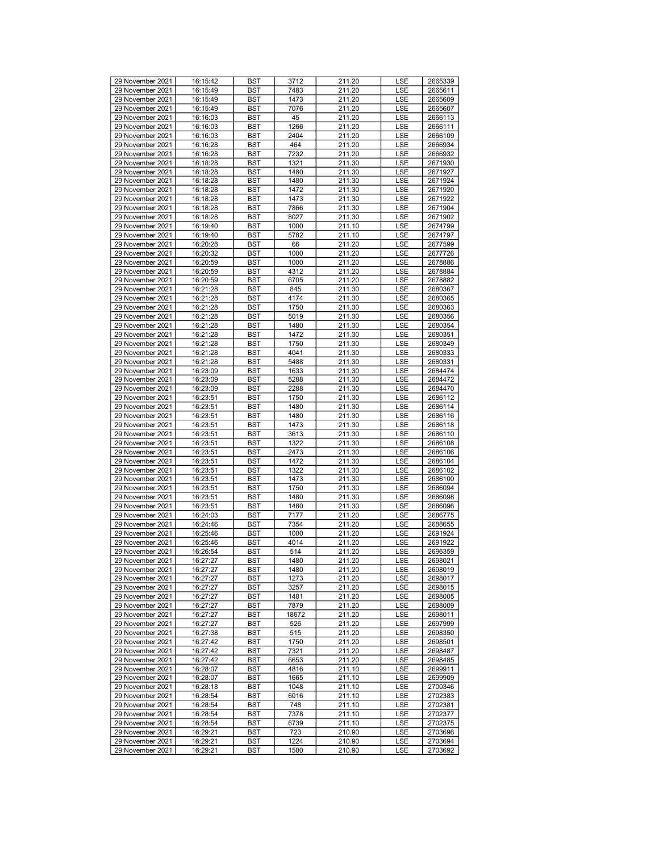| 29 November 2021 | 16:15:42 | BST        | 3712  | 211.20 | <b>LSE</b> | 2665339 |
|------------------|----------|------------|-------|--------|------------|---------|
| 29 November 2021 | 16:15:49 | <b>BST</b> | 7483  | 211.20 | <b>LSE</b> | 2665611 |
| 29 November 2021 | 16:15:49 | BST        | 1473  | 211.20 | LSE        | 2665609 |
| 29 November 2021 | 16:15:49 | <b>BST</b> | 7076  | 211.20 | LSE        | 2665607 |
| 29 November 2021 | 16:16:03 | <b>BST</b> | 45    | 211.20 | LSE        | 2666113 |
| 29 November 2021 |          |            |       | 211.20 |            |         |
|                  | 16:16:03 | <b>BST</b> | 1266  |        | LSE        | 2666111 |
| 29 November 2021 | 16:16:03 | <b>BST</b> | 2404  | 211.20 | LSE        | 2666109 |
| 29 November 2021 | 16:16:28 | BST        | 464   | 211.20 | LSE        | 2666934 |
| 29 November 2021 | 16:16:28 | <b>BST</b> | 7232  | 211.20 | LSE        | 2666932 |
| 29 November 2021 | 16:18:28 | <b>BST</b> | 1321  | 211.30 | <b>LSE</b> | 2671930 |
| 29 November 2021 | 16:18:28 | <b>BST</b> | 1480  | 211.30 | LSE        | 2671927 |
| 29 November 2021 | 16:18:28 | <b>BST</b> | 1480  | 211.30 | LSE        | 2671924 |
| 29 November 2021 | 16:18:28 | BST        | 1472  | 211.30 | LSE        | 2671920 |
| 29 November 2021 | 16:18:28 | <b>BST</b> | 1473  | 211.30 | LSE        | 2671922 |
| 29 November 2021 | 16:18:28 | <b>BST</b> | 7866  | 211.30 | <b>LSE</b> | 2671904 |
| 29 November 2021 | 16:18:28 | <b>BST</b> | 8027  | 211.30 | LSE        | 2671902 |
| 29 November 2021 | 16:19:40 | <b>BST</b> | 1000  | 211.10 | LSE        | 2674799 |
| 29 November 2021 | 16:19:40 | BST        | 5782  | 211.10 | LSE        | 2674797 |
| 29 November 2021 | 16:20:28 | <b>BST</b> | 66    | 211.20 | LSE        | 2677599 |
| 29 November 2021 | 16:20:32 | <b>BST</b> | 1000  | 211.20 | <b>LSE</b> | 2677726 |
| 29 November 2021 | 16:20:59 | <b>BST</b> | 1000  | 211.20 | LSE        | 2678886 |
| 29 November 2021 | 16:20:59 | <b>BST</b> | 4312  | 211.20 | LSE        | 2678884 |
| 29 November 2021 | 16:20:59 | BST        | 6705  | 211.20 | LSE        | 2678882 |
| 29 November 2021 | 16:21:28 | <b>BST</b> | 845   | 211.30 | LSE        | 2680367 |
| 29 November 2021 | 16:21:28 | <b>BST</b> | 4174  | 211.30 | LSE        | 2680365 |
| 29 November 2021 | 16:21:28 | <b>BST</b> | 1750  | 211.30 | LSE        | 2680363 |
| 29 November 2021 | 16:21:28 | <b>BST</b> | 5019  | 211.30 | LSE        | 2680356 |
| 29 November 2021 | 16:21:28 | BST        | 1480  | 211.30 | LSE        | 2680354 |
| 29 November 2021 | 16:21:28 | <b>BST</b> | 1472  | 211.30 | LSE        | 2680351 |
| 29 November 2021 | 16:21:28 | <b>BST</b> | 1750  | 211.30 | <b>LSE</b> | 2680349 |
| 29 November 2021 |          |            | 4041  |        |            |         |
|                  | 16:21:28 | <b>BST</b> |       | 211.30 | LSE        | 2680333 |
| 29 November 2021 | 16:21:28 | <b>BST</b> | 5488  | 211.30 | LSE        | 2680331 |
| 29 November 2021 | 16:23:09 | BST        | 1633  | 211.30 | LSE        | 2684474 |
| 29 November 2021 | 16:23:09 | <b>BST</b> | 5288  | 211.30 | LSE        | 2684472 |
| 29 November 2021 | 16:23:09 | <b>BST</b> | 2288  | 211.30 | LSE        | 2684470 |
| 29 November 2021 | 16:23:51 | <b>BST</b> | 1750  | 211.30 | LSE        | 2686112 |
| 29 November 2021 | 16:23:51 | <b>BST</b> | 1480  | 211.30 | LSE        | 2686114 |
| 29 November 2021 | 16:23:51 | BST        | 1480  | 211.30 | LSE        | 2686116 |
| 29 November 2021 | 16:23:51 | <b>BST</b> | 1473  | 211.30 | LSE        | 2686118 |
| 29 November 2021 | 16:23:51 | <b>BST</b> | 3613  | 211.30 | <b>LSE</b> | 2686110 |
| 29 November 2021 | 16:23:51 | <b>BST</b> | 1322  | 211.30 | LSE        | 2686108 |
| 29 November 2021 | 16:23:51 | <b>BST</b> | 2473  | 211.30 | LSE        | 2686106 |
| 29 November 2021 | 16:23:51 | BST        | 1472  | 211.30 | LSE        | 2686104 |
| 29 November 2021 | 16:23:51 | <b>BST</b> | 1322  | 211.30 | LSE        | 2686102 |
| 29 November 2021 | 16:23:51 | <b>BST</b> | 1473  | 211.30 | LSE        | 2686100 |
| 29 November 2021 | 16:23:51 | <b>BST</b> | 1750  | 211.30 | LSE        | 2686094 |
| 29 November 2021 | 16:23:51 | <b>BST</b> | 1480  | 211.30 | LSE        | 2686098 |
| 29 November 2021 | 16:23:51 | BST        | 1480  | 211.30 | LSE        | 2686096 |
| 29 November 2021 | 16:24:03 | <b>BST</b> | 7177  | 211.20 | LSE        | 2686775 |
| 29 November 2021 | 16:24:46 | <b>BST</b> | 7354  | 211.20 | LSE        | 2688655 |
| 29 November 2021 | 16:25:46 | <b>BST</b> | 1000  | 211.20 | LSE        | 2691924 |
| 29 November 2021 | 16:25:46 | <b>BST</b> | 4014  | 211.20 | LSE        | 2691922 |
| 29 November 2021 | 16:26:54 | BST        | 514   | 211.20 | LSE        | 2696359 |
| 29 November 2021 | 16:27:27 | <b>BST</b> | 1480  | 211.20 | LSE        | 2698021 |
| 29 November 2021 | 16:27:27 | <b>BST</b> | 1480  | 211.20 | LSE        | 2698019 |
| 29 November 2021 | 16:27:27 | BST        | 1273  | 211.20 | LSE        | 2698017 |
| 29 November 2021 | 16:27:27 | BST        | 3257  | 211.20 | LSE        | 2698015 |
| 29 November 2021 | 16:27:27 | BST        | 1481  | 211.20 | LSE        | 2698005 |
| 29 November 2021 | 16:27:27 | BST        | 7879  | 211.20 | LSE        | 2698009 |
| 29 November 2021 | 16:27:27 | <b>BST</b> | 18672 | 211.20 | LSE        | 2698011 |
| 29 November 2021 | 16:27:27 | BST        | 526   | 211.20 | LSE        | 2697999 |
| 29 November 2021 | 16:27:38 | BST        | 515   | 211.20 | LSE        | 2698350 |
| 29 November 2021 | 16:27:42 | BST        | 1750  | 211.20 | LSE        | 2698501 |
| 29 November 2021 | 16:27:42 | BST        | 7321  | 211.20 | LSE        | 2698487 |
| 29 November 2021 | 16:27:42 | <b>BST</b> | 6653  | 211.20 | LSE        | 2698485 |
| 29 November 2021 | 16:28:07 | BST        | 4816  | 211.10 | LSE        | 2699911 |
| 29 November 2021 | 16:28:07 | BST        | 1665  | 211.10 | LSE        | 2699909 |
| 29 November 2021 | 16:28:18 | BST        | 1048  | 211.10 | LSE        | 2700346 |
| 29 November 2021 | 16:28:54 | BST        | 6016  | 211.10 | LSE        | 2702383 |
| 29 November 2021 | 16:28:54 | <b>BST</b> | 748   | 211.10 | LSE        | 2702381 |
| 29 November 2021 | 16:28:54 | BST        | 7378  | 211.10 | LSE        | 2702377 |
| 29 November 2021 | 16:28:54 | <b>BST</b> | 6739  | 211.10 | LSE        | 2702375 |
| 29 November 2021 | 16:29:21 | <b>BST</b> | 723   | 210.90 | LSE        | 2703696 |
| 29 November 2021 | 16:29:21 | BST        | 1224  | 210.90 | LSE        | 2703694 |
| 29 November 2021 | 16:29:21 | BST        | 1500  | 210.90 | LSE        | 2703692 |
|                  |          |            |       |        |            |         |